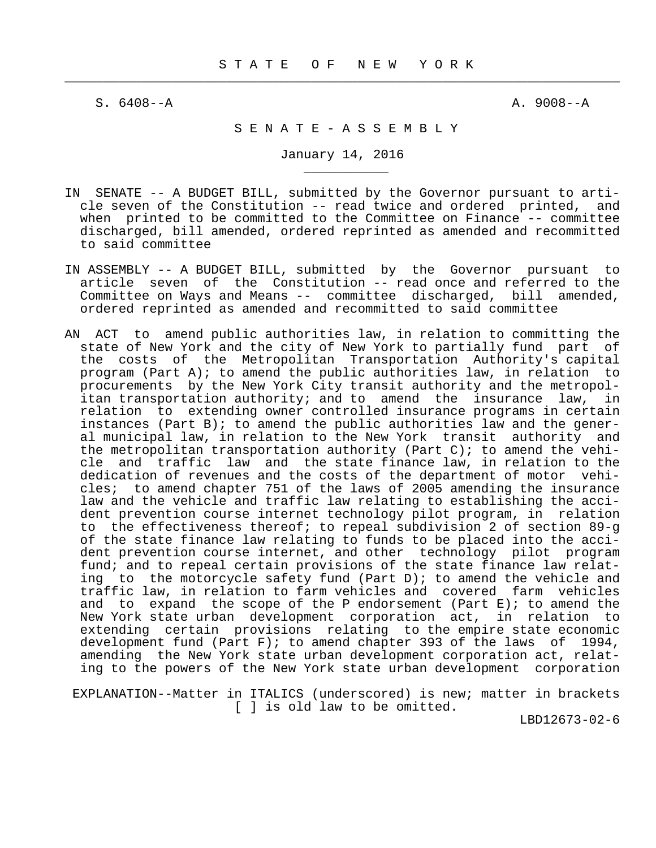$\frac{1}{2}$  , and the contribution of the contribution of the contribution of the contribution of the contribution of the contribution of the contribution of the contribution of the contribution of the contribution of the c

\_\_\_\_\_\_\_\_\_\_\_

 $S. 6408 - A$   $A. 9008 - A$ 

# S E N A T E - A S S E M B L Y

January 14, 2016

- IN SENATE -- A BUDGET BILL, submitted by the Governor pursuant to arti cle seven of the Constitution -- read twice and ordered printed, and when printed to be committed to the Committee on Finance -- committee discharged, bill amended, ordered reprinted as amended and recommitted to said committee
- IN ASSEMBLY -- A BUDGET BILL, submitted by the Governor pursuant to article seven of the Constitution -- read once and referred to the Committee on Ways and Means -- committee discharged, bill amended, ordered reprinted as amended and recommitted to said committee
- AN ACT to amend public authorities law, in relation to committing the state of New York and the city of New York to partially fund part of the costs of the Metropolitan Transportation Authority's capital program (Part A); to amend the public authorities law, in relation to procurements by the New York City transit authority and the metropol itan transportation authority; and to amend the insurance law, in relation to extending owner controlled insurance programs in certain instances (Part B); to amend the public authorities law and the gener al municipal law, in relation to the New York transit authority and the metropolitan transportation authority (Part C); to amend the vehi cle and traffic law and the state finance law, in relation to the dedication of revenues and the costs of the department of motor vehi cles; to amend chapter 751 of the laws of 2005 amending the insurance law and the vehicle and traffic law relating to establishing the acci dent prevention course internet technology pilot program, in relation to the effectiveness thereof; to repeal subdivision 2 of section 89-g of the state finance law relating to funds to be placed into the acci dent prevention course internet, and other technology pilot program fund; and to repeal certain provisions of the state finance law relat ing to the motorcycle safety fund (Part D); to amend the vehicle and traffic law, in relation to farm vehicles and covered farm vehicles and to expand the scope of the P endorsement (Part  $E$ ); to amend the New York state urban development corporation act, in relation to extending certain provisions relating to the empire state economic development fund (Part F); to amend chapter 393 of the laws of 1994, amending the New York state urban development corporation act, relat ing to the powers of the New York state urban development corporation

 EXPLANATION--Matter in ITALICS (underscored) is new; matter in brackets [ ] is old law to be omitted.

LBD12673-02-6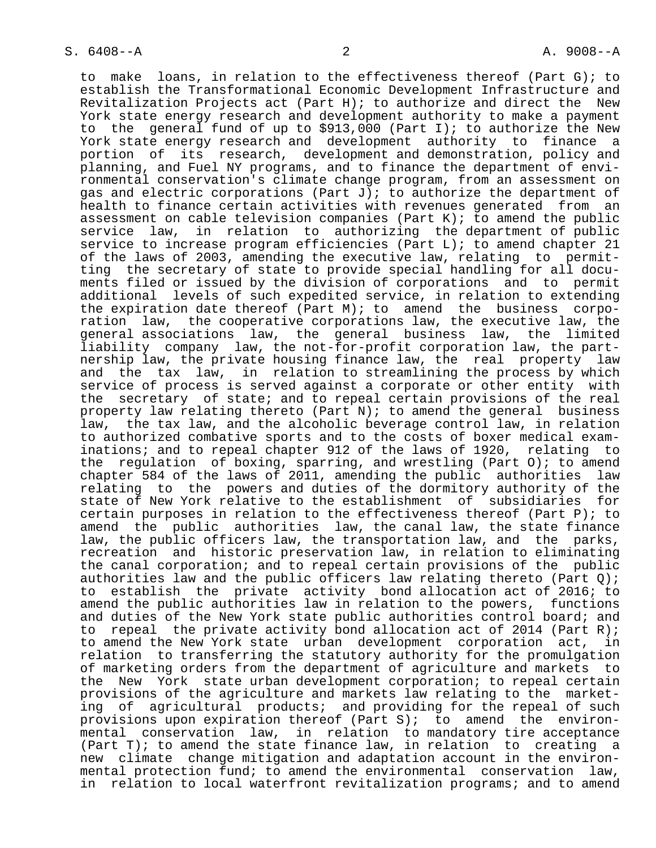to make loans, in relation to the effectiveness thereof (Part G); to establish the Transformational Economic Development Infrastructure and Revitalization Projects act (Part H); to authorize and direct the New York state energy research and development authority to make a payment to the general fund of up to \$913,000 (Part I); to authorize the New York state energy research and development authority to finance a portion of its research, development and demonstration, policy and planning, and Fuel NY programs, and to finance the department of envi ronmental conservation's climate change program, from an assessment on gas and electric corporations (Part J); to authorize the department of health to finance certain activities with revenues generated from an assessment on cable television companies (Part K); to amend the public service law, in relation to authorizing the department of public service to increase program efficiencies (Part L); to amend chapter 21 of the laws of 2003, amending the executive law, relating to permit ting the secretary of state to provide special handling for all docu ments filed or issued by the division of corporations and to permit additional levels of such expedited service, in relation to extending the expiration date thereof (Part M); to amend the business corpo ration law, the cooperative corporations law, the executive law, the general associations law, the general business law, the limited liability company law, the not-for-profit corporation law, the part nership law, the private housing finance law, the real property law and the tax law, in relation to streamlining the process by which service of process is served against a corporate or other entity with the secretary of state; and to repeal certain provisions of the real property law relating thereto (Part N); to amend the general business law, the tax law, and the alcoholic beverage control law, in relation to authorized combative sports and to the costs of boxer medical exam inations; and to repeal chapter 912 of the laws of 1920, relating to the regulation of boxing, sparring, and wrestling (Part  $0$ ); to amend chapter 584 of the laws of 2011, amending the public authorities law relating to the powers and duties of the dormitory authority of the state of New York relative to the establishment of subsidiaries for certain purposes in relation to the effectiveness thereof (Part P); to amend the public authorities law, the canal law, the state finance law, the public officers law, the transportation law, and the parks, recreation and historic preservation law, in relation to eliminating the canal corporation; and to repeal certain provisions of the public authorities law and the public officers law relating thereto (Part Q); to establish the private activity bond allocation act of 2016; to amend the public authorities law in relation to the powers, functions and duties of the New York state public authorities control board; and to repeal the private activity bond allocation act of 2014 (Part R); to amend the New York state urban development corporation act, in relation to transferring the statutory authority for the promulgation of marketing orders from the department of agriculture and markets to the New York state urban development corporation; to repeal certain provisions of the agriculture and markets law relating to the market ing of agricultural products; and providing for the repeal of such provisions upon expiration thereof (Part S); to amend the environ mental conservation law, in relation to mandatory tire acceptance (Part T); to amend the state finance law, in relation to creating a new climate change mitigation and adaptation account in the environ mental protection fund; to amend the environmental conservation law, in relation to local waterfront revitalization programs; and to amend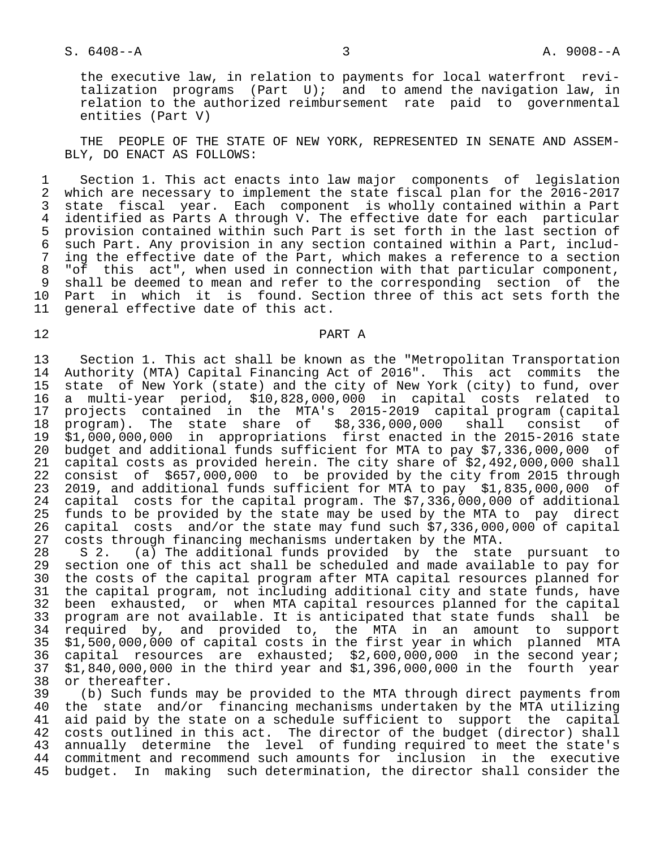## S. 6408--A 3 A. 9008--A

 the executive law, in relation to payments for local waterfront revi talization programs (Part U); and to amend the navigation law, in relation to the authorized reimbursement rate paid to governmental entities (Part V)

 THE PEOPLE OF THE STATE OF NEW YORK, REPRESENTED IN SENATE AND ASSEM- BLY, DO ENACT AS FOLLOWS:

1 Section 1. This act enacts into law major components of legislation<br>2 which are necessary to implement the state fiscal plan for the 2016-2017 2 which are necessary to implement the state fiscal plan for the 2016-2017<br>3 state fiscal year. Each component is wholly contained within a Part 3 state fiscal year. Each component is wholly contained within a Part<br>4 identified as Parts A through V. The effective date for each particular 4 identified as Parts A through V. The effective date for each particular<br>5 provision contained within such Part is set forth in the last section of 5 provision contained within such Part is set forth in the last section of<br>6 such Part. Any provision in any section contained within a Part, includ- 6 such Part. Any provision in any section contained within a Part, includ- 7 ing the effective date of the Part, which makes a reference to a section<br>8 "of this act", when used in connection with that particular component, 8 "of this act", when used in connection with that particular component,<br>8 shall be deemed to mean and refer to the corresponding section of the 9 shall be deemed to mean and refer to the corresponding section of the<br>10 Part in which it is found. Section three of this act sets forth the 10 Part in which it is found. Section three of this act sets forth the 11 general effective date of this act. general effective date of this act.

## 12 PART A

 13 Section 1. This act shall be known as the "Metropolitan Transportation 14 Authority (MTA) Capital Financing Act of 2016". This act commits the<br>15 state of New York (state) and the city of New York (city) to fund, over state of New York (state) and the city of New York (city) to fund, over 16 a multi-year period, \$10,828,000,000 in capital costs related to 17 projects contained in the MTA's 2015-2019 capital program (capital 18 program). The state share of \$8,336,000,000 shall consist of<br>19 \$1,000,000,000 in appropriations first enacted in the 2015-2016 state 19 \$1,000,000,000 in appropriations first enacted in the 2015-2016 state 20 budget and additional funds sufficient for MTA to pay \$7,336,000,000 of 21 capital costs as provided herein. The city share of \$2,492,000,000 shall<br>22 consist of \$657,000,000 to be provided by the city from 2015 through 22 consist of \$657,000,000 to be provided by the city from 2015 through<br>23 2019, and additional funds sufficient for MTA to pay \$1,835,000,000 of 23 2019, and additional funds sufficient for MTA to pay \$1,835,000,000 of<br>24 capital costs for the capital program. The \$7,336,000,000 of additional 24 capital costs for the capital program. The \$7,336,000,000 of additional<br>25 funds to be provided by the state may be used by the MTA to pay direct 25 funds to be provided by the state may be used by the MTA to pay direct<br>26 capital costs and/or the state may fund such \$7,336,000,000 of capital 26 capital costs and/or the state may fund such \$7,336,000,000 of capital 27 costs through financing mechanisms undertaken by the MTA.<br>28 S 2. (a) The additional funds provided by the stat

28 S 2. (a) The additional funds provided by the state pursuant to<br>29 section one of this act shall be scheduled and made available to pay for 29 section one of this act shall be scheduled and made available to pay for<br>30 the costs of the capital program after MTA capital resources planned for 30 the costs of the capital program after MTA capital resources planned for<br>31 the capital program, not including additional city and state funds, have 31 the capital program, not including additional city and state funds, have<br>32 been exhausted, or when MTA capital resources planned for the capital 32 been exhausted, or when MTA capital resources planned for the capital<br>33 program are not available. It is anticipated that state funds shall be 33 program are not available. It is anticipated that state funds shall be<br>34 required by, and provided to, the MTA in an amount to support 34 required by, and provided to, the MTA in an amount to support<br>35 \$1,500,000,000 of capital costs in the first year in which planned MTA 35 \$1,500,000,000 of capital costs in the first year in which planned MTA<br>36 capital resources are exhausted; \$2,600,000,000 in the second year; 36 capital resources are exhausted; \$2,600,000,000 in the second year;<br>37 \$1,840,000,000 in the third year and \$1,396,000,000 in the fourth year 37 \$1,840,000,000 in the third year and \$1,396,000,000 in the fourth year 38 or thereafter.<br>39 (b) Such fun

 39 (b) Such funds may be provided to the MTA through direct payments from 40 the state and/or financing mechanisms undertaken by the MTA utilizing<br>41 aid paid by the state on a schedule sufficient to support the capital aid paid by the state on a schedule sufficient to support the capital 42 costs outlined in this act. The director of the budget (director) shall<br>43 annually determine the level of funding required to meet the state's 43 annually determine the level of funding required to meet the state's<br>44 commitment and recommend such amounts for inclusion in the executive 44 commitment and recommend such amounts for inclusion in the executive<br>45 budget. In making such determination, the director shall consider the 45 budget. In making such determination, the director shall consider the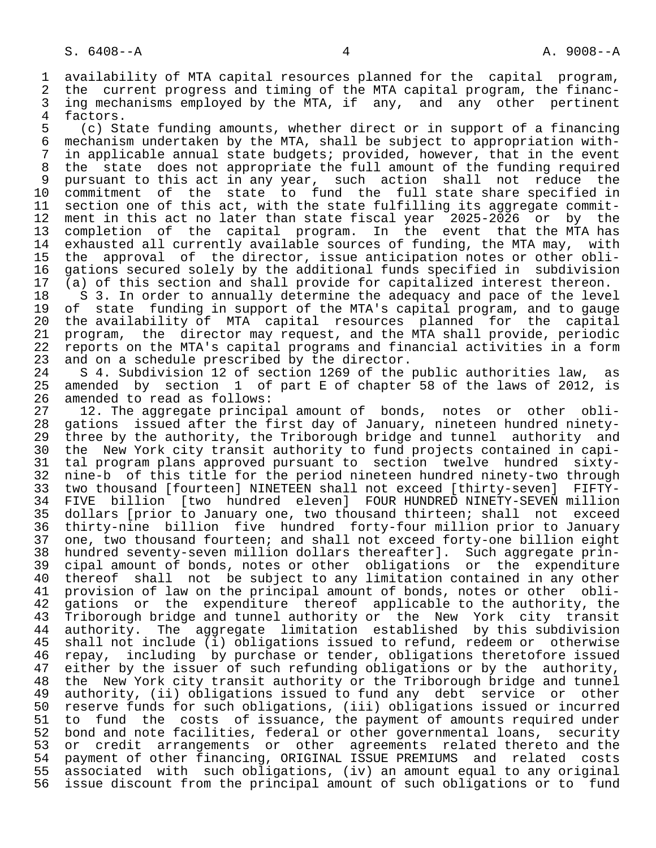1 availability of MTA capital resources planned for the capital program,<br>2 the current progress and timing of the MTA capital program, the financ-2 the current progress and timing of the MTA capital program, the financ-<br>3 ing mechanisms emploved by the MTA, if any, and any other pertinent 3 ing mechanisms employed by the MTA, if any, and any other pertinent<br>4 factors.

4 factors.<br>5 (c) St 5 (c) State funding amounts, whether direct or in support of a financing 6 mechanism undertaken by the MTA, shall be subject to appropriation with- 7 in applicable annual state budgets; provided, however, that in the event<br>8 the state does not appropriate the full amount of the funding required 8 the state does not appropriate the full amount of the funding required<br>9 pursuant to this act in any year, such action shall not reduce the 9 pursuant to this act in any year, such action shall not reduce the<br>10 commitment of the state to fund the full state share specified in 10 commitment of the state to fund the full state share specified in<br>11 section one of this act, with the state fulfilling its aggregate commit-11 section one of this act, with the state fulfilling its aggregate commit-<br>12 ment in this act no later than state fiscal year 2025-2026 or by the 12 ment in this act no later than state fiscal year 2025-2026 or by the<br>13 completion of the capital program. In the event that the MTA has 13 completion of the capital program. In the event that the MTA has<br>14 exhausted all currently available sources of funding, the MTA may, with exhausted all currently available sources of funding, the MTA may, with 15 the approval of the director, issue anticipation notes or other obli-<br>16 gations secured solely by the additional funds specified in subdivision 16 gations secured solely by the additional funds specified in subdivision<br>17 (a) of this section and shall provide for capitalized interest thereon. 17 (a) of this section and shall provide for capitalized interest thereon.<br>18 S 3. In order to annually determine the adequacy and pace of the leve

18 S 3. In order to annually determine the adequacy and pace of the level<br>19 of state funding in support of the MTA's capital program, and to gauge 19 of state funding in support of the MTA's capital program, and to gauge<br>20 the availability of MTA capital resources planned for the capital 20 the availability of MTA capital resources planned for the capital<br>21 program, the director may request, and the MTA shall provide, periodic 21 program, the director may request, and the MTA shall provide, periodic<br>22 reports on the MTA's capital programs and financial activities in a form 22 reports on the MTA's capital programs and financial activities in a form<br>23 and on a schedule prescribed by the director. 23 and on a schedule prescribed by the director.<br>24 S 4. Subdivision 12 of section 1269 of the

24 S 4. Subdivision 12 of section 1269 of the public authorities law, as<br>25 amended by section 1 of part E of chapter 58 of the laws of 2012, is 1 of part E of chapter 58 of the laws of 2012, is 26 amended to read as follows:<br>27 12. The aggregate princip

 27 12. The aggregate principal amount of bonds, notes or other obli- 28 gations issued after the first day of January, nineteen hundred ninety- 29 three by the authority, the Triborough bridge and tunnel authority and<br>20 the New York city transit authority to fund projects contained in capi- 30 the New York city transit authority to fund projects contained in capi- 31 tal program plans approved pursuant to section twelve hundred sixty- 32 nine-b of this title for the period nineteen hundred ninety-two through<br>33 two thousand [fourteen] NINETEEN shall not exceed [thirty-seven] FIFTY- 33 two thousand [fourteen] NINETEEN shall not exceed [thirty-seven] FIFTY- 34 FIVE billion [two hundred eleven] FOUR HUNDRED NINETY-SEVEN million<br>35 dollars [prior to January one, two thousand thirteen; shall not exceed 35 dollars [prior to January one, two thousand thirteen; shall not exceed<br>36 thirty-nine billion five hundred forty-four million prior to January 36 thirty-nine billion five hundred forty-four million prior to January 37 one, two thousand fourteen; and shall not exceed forty-one billion eight<br>38 hundred seventy-seven million dollars thereafter]. Such aggregate prin-38 hundred seventy-seven million dollars thereafter]. Such aggregate prin-<br>39 cipal amount of bonds, notes or other obligations or the expenditure 39 cipal amount of bonds, notes or other obligations or the expenditure<br>40 thereof shall not be subject to any limitation contained in any other 40 thereof shall not be subject to any limitation contained in any other<br>41 provision of law on the principal amount of bonds, notes or other obli-41 provision of law on the principal amount of bonds, notes or other obli-<br>42 gations or the expenditure thereof applicable to the authority, the 42 gations or the expenditure thereof applicable to the authority, the<br>43 Triborough bridge and tunnel authority or the New York city transit 43 Triborough bridge and tunnel authority or the New York city transit<br>44 authority. The aggregate limitation established by this subdivision 44 authority. The aggregate limitation established by this subdivision<br>45 shall not include (i) obligations issued to refund, redeem or otherwise shall not include (i) obligations issued to refund, redeem or otherwise 46 repay, including by purchase or tender, obligations theretofore issued<br>47 either by the issuer of such refunding obligations or by the authority. 47 either by the issuer of such refunding obligations or by the authority,<br>48 the New York city transit authority or the Triborough bridge and tunnel 48 the New York city transit authority or the Triborough bridge and tunnel<br>49 authority, (ii) obligations issued to fund any debt service or other 49 authority, (ii) obligations issued to fund any debt service or other<br>50 reserve funds for such obligations, (iii) obligations issued or incurred 50 reserve funds for such obligations, (iii) obligations issued or incurred<br>51 to fund the costs of issuance, the payment of amounts required under 51 to fund the costs of issuance, the payment of amounts required under<br>52 bond and note facilities, federal or other governmental loans, security 52 bond and note facilities, federal or other governmental loans, security<br>53 or credit arrangements or other agreements related thereto and the 53 or credit arrangements or other agreements related thereto and the 54 payment of other financing, ORIGINAL ISSUE PREMIUMS and related costs 55 associated with such obligations, (iv) an amount equal to any original<br>56 issue discount from the principal amount of such obligations or to fund issue discount from the principal amount of such obligations or to fund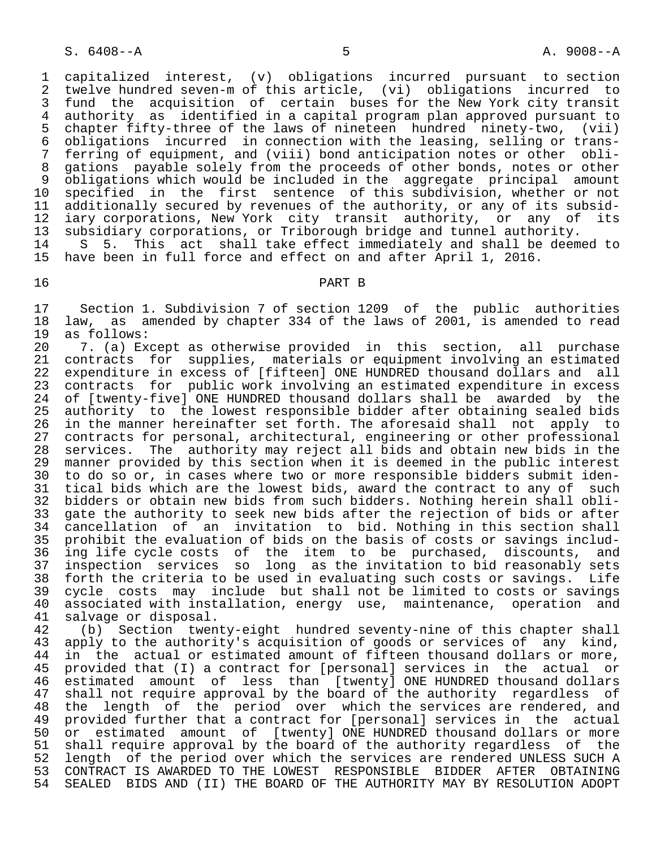1 capitalized interest, (v) obligations incurred pursuant to section 2 twelve hundred seven-m of this article, (vi) obligations incurred to<br>3 fund the acquisition of certain buses for the New York city transit 3 fund the acquisition of certain buses for the New York city transit<br>4 authority as identified in a capital program plan approved pursuant to 4 authority as identified in a capital program plan approved pursuant to<br>5 chapter fifty-three of the laws of nineteen hundred ninety-two, (vii) 5 chapter fifty-three of the laws of nineteen hundred ninety-two, (vii) 6 obligations incurred in connection with the leasing, selling or trans- 7 ferring of equipment, and (viii) bond anticipation notes or other obli-<br>8 gations, pavable solely from the proceeds of other bonds, notes or other 8 gations payable solely from the proceeds of other bonds, notes or other<br>8 obligations which would be included in the aggregate principal amount 9 obligations which would be included in the aggregate principal amount<br>10 specified in the first sentence of this subdivision, whether or not 10 specified in the first sentence of this subdivision, whether or not<br>11 additionally secured by revenues of the authority, or any of its subsid-11 additionally secured by revenues of the authority, or any of its subsid-<br>12 iary corporations, New York city transit authority, or any of its 12 iary corporations, New York city transit authority, or any of its 13 subsidiary corporations, or Triborough bridge and tunnel authority.

14 S 5. This act shall take effect immediately and shall be deemed to<br>15 have been in full force and effect on and after April 1, 2016. have been in full force and effect on and after April 1, 2016.

#### 16 PART B

17 Section 1. Subdivision 7 of section 1209 of the public authorities<br>18 law, as amended by chapter 334 of the laws of 2001, is amended to read 18 law, as amended by chapter 334 of the laws of 2001, is amended to read 19 as follows: 19 as follows:<br>20 7. (a) Ex

20 2. (a) Except as otherwise provided in this section, all purchase<br>21 contracts for supplies, materials or equipment involving an estimated 21 contracts for supplies, materials or equipment involving an estimated<br>22 expenditure in excess of [fifteen] ONE HUNDRED thousand dollars and all 22 expenditure in excess of [fifteen] ONE HUNDRED thousand dollars and all<br>23 contracts for public work involving an estimated expenditure in excess 23 contracts for public work involving an estimated expenditure in excess<br>24 of Itwenty-fivel ONE HUNDRED thousand dollars shall be awarded by the 24 of [twenty-five] ONE HUNDRED thousand dollars shall be awarded by the<br>25 authority to the lowest responsible bidder after obtaining sealed bids 25 authority to the lowest responsible bidder after obtaining sealed bids<br>26 in the manner hereinafter set forth. The aforesaid shall not apply to 26 in the manner hereinafter set forth. The aforesaid shall not apply to<br>27 contracts for personal, architectural, engineering or other professional 27 contracts for personal, architectural, engineering or other professional<br>28 services. The authority may reject all bids and obtain new bids in the 28 services. The authority may reject all bids and obtain new bids in the 29 manner provided by this section when it is deemed in the public interest<br>30 to do so or, in cases where two or more responsible bidders submit iden-30 to do so or, in cases where two or more responsible bidders submit iden-<br>31 tical bids which are the lowest bids, award the contract to any of such 31 tical bids which are the lowest bids, award the contract to any of such<br>32 bidders or obtain new bids from such bidders. Nothing herein shall obli-32 bidders or obtain new bids from such bidders. Nothing herein shall obli-<br>33 gate the authority to seek new bids after the rejection of bids or after 33 gate the authority to seek new bids after the rejection of bids or after<br>34 cancellation of an invitation to bid. Nothing in this section shall cancellation of an invitation to bid. Nothing in this section shall 35 prohibit the evaluation of bids on the basis of costs or savings includ-<br>36 ing life cycle costs of the item to be purchased, discounts, and 36 ing life cycle costs of the item to be purchased, discounts, and 37 inspection services so long as the invitation to bid reasonably sets 38 forth the criteria to be used in evaluating such costs or savings. Life<br>39 cycle costs may include but shall not be limited to costs or savings 39 cycle costs may include but shall not be limited to costs or savings<br>40 associated with installation, energy use, maintenance, operation and 40 associated with installation, energy use, maintenance, operation and<br>41 salvage or disposal. 41 salvage or disposal.<br>42 (b) Section twen

42 (b) Section twenty-eight hundred seventy-nine of this chapter shall<br>43 apply to the authority's acquisition of goods or services of any kind, 43 apply to the authority's acquisition of goods or services of any kind,<br>44 in the actual or estimated amount of fifteen thousand dollars or more, 44 in the actual or estimated amount of fifteen thousand dollars or more,<br>45 provided that (I) a contract for [personal] services in the actual or 45 provided that (I) a contract for [personal] services in the actual or 46 estimated amount of less than [twenty] ONE HUNDRED thousand dollars<br>47 shall not require approval by the board of the authority regardless of 47 shall not require approval by the board of the authority regardless of<br>48 the length of the period over which the services are rendered, and 48 the length of the period over which the services are rendered, and<br>49 provided further that a contract for [personal] services in the actual 49 provided further that a contract for [personal] services in the actual<br>50 or estimated amount of [twenty] ONE HUNDRED thousand dollars or more 50 or estimated amount of [twenty] ONE HUNDRED thousand dollars or more<br>51 shall require approval by the board of the authority regardless of the 51 shall require approval by the board of the authority regardless of the<br>52 length of the period over which the services are rendered UNLESS SUCH A 52 length of the period over which the services are rendered UNLESS SUCH A<br>53 CONTRACT IS AWARDED TO THE LOWEST RESPONSIBLE BIDDER AFTER OBTAINING 53 CONTRACT IS AWARDED TO THE LOWEST RESPONSIBLE BIDDER AFTER OBTAINING<br>54 SEALED BIDS AND (II) THE BOARD OF THE AUTHORITY MAY BY RESOLUTION ADOPT SEALED BIDS AND (II) THE BOARD OF THE AUTHORITY MAY BY RESOLUTION ADOPT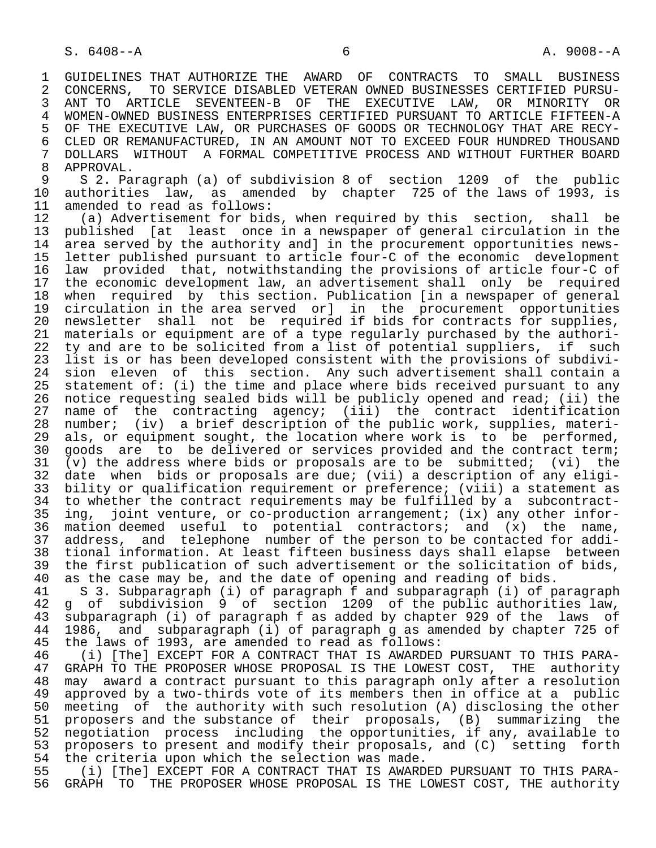1 GUIDELINES THAT AUTHORIZE THE AWARD OF CONTRACTS TO SMALL BUSINESS<br>2 CONCERNS, TO SERVICE DISABLED VETERAN OWNED BUSINESSES CERTIFIED PURSU-2 CONCERNS, TO SERVICE DISABLED VETERAN OWNED BUSINESSES CERTIFIED PURSU-<br>3 ANT TO ARTICLE SEVENTEEN-B OF THE EXECUTIVE LAW, OR MINORITY OR 3 ANT TO ARTICLE SEVENTEEN-B OF THE EXECUTIVE LAW, OR MINORITY OR 4 WOMEN-OWNED BUSINESS ENTERPRISES CERTIFIED PURSUANT TO ARTICLE FIFTEEN-A<br>5 OF THE EXECUTIVE LAW, OR PURCHASES OF GOODS OR TECHNOLOGY THAT ARE RECY-5 OF THE EXECUTIVE LAW, OR PURCHASES OF GOODS OR TECHNOLOGY THAT ARE RECY-<br>6 CLED OR REMANUFACTURED, IN AN AMOUNT NOT TO EXCEED FOUR HUNDRED THOUSAND 6 CLED OR REMANUFACTURED, IN AN AMOUNT NOT TO EXCEED FOUR HUNDRED THOUSAND<br>7 DOLLARS WITHOUT A FORMAL COMPETITIVE PROCESS AND WITHOUT FURTHER BOARD 7 DOLLARS WITHOUT A FORMAL COMPETITIVE PROCESS AND WITHOUT FURTHER BOARD<br>8 APPROVAL 8 APPROVAL.<br>9 S 2. Pa

9 S 2. Paragraph (a) of subdivision 8 of section 1209 of the public<br>10 authorities law, as amended by chapter 725 of the laws of 1993. is 10 authorities law, as amended by chapter 725 of the laws of 1993, is<br>11 amended to read as follows: 11 amended to read as follows:<br>12 (a) Advertisement for bid

 12 (a) Advertisement for bids, when required by this section, shall be 13 published [at least once in a newspaper of general circulation in the<br>14 area served by the authority and in the procurement opportunities newsarea served by the authority and] in the procurement opportunities news- 15 letter published pursuant to article four-C of the economic development 16 law provided that, notwithstanding the provisions of article four-C of 17 the economic development law, an advertisement shall only be required<br>18 when required by this section. Publication [in a newspaper of general 18 when required by this section. Publication [in a newspaper of general<br>19 circulation in the area served or] in the procurement opportunities 19 circulation in the area served or] in the procurement opportunities<br>20 newsletter shall not be required if bids for contracts for supplies. 20 newsletter shall not be required if bids for contracts for supplies,<br>21 materials or equipment are of a type reqularly purchased by the authori-21 materials or equipment are of a type regularly purchased by the authori-<br>22 ty and are to be solicited from a list of potential suppliers, if such 22 ty and are to be solicited from a list of potential suppliers, if such<br>23 list is or has been developed consistent with the provisions of subdivi-23 list is or has been developed consistent with the provisions of subdivi-<br>24 sion eleven of this section. Any such advertisement shall contain a 24 sion eleven of this section. Any such advertisement shall contain a<br>25 statement of: (i) the time and place where bids received pursuant to any statement of: (i) the time and place where bids received pursuant to any 26 notice requesting sealed bids will be publicly opened and read; (ii) the<br>27 name of the contracting agency; (iii) the contract identification 27 name of the contracting agency; (iii) the contract identification<br>28 number; (iv) a brief description of the public work, supplies, materi-28 number; (iv) a brief description of the public work, supplies, materi-<br>29 als, or equipment sought, the location where work is to be performed, 29 als, or equipment sought, the location where work is to be performed,<br>20 goods are to be delivered or services provided and the contract term; 30 goods are to be delivered or services provided and the contract term;<br>31 (v) the address where bids or proposals are to be submitted; (vi) the 31 (v) the address where bids or proposals are to be submitted; (vi) the 32 date when bids or proposals are due; (vii) a description of any eligi-32 date when bids or proposals are due; (vii) a description of any eligi-<br>33 bility or qualification requirement or preference; (viii) a statement as 33 bility or qualification requirement or preference; (viii) a statement as<br>34 to whether the contract requirements may be fulfilled by a subcontract-34 to whether the contract requirements may be fulfilled by a subcontract-<br>35 ing, joint venture, or co-production arrangement; (ix) any other infor-35 ing, joint venture, or co-production arrangement;  $(ix)$  any other infor-<br>36 mation deemed useful to potential contractors; and  $(x)$  the name, mation deemed useful to potential contractors; and  $(x)$  the name, 37 address, and telephone number of the person to be contacted for addi- 38 tional information. At least fifteen business days shall elapse between<br>39 the first publication of such advertisement or the solicitation of bids. 39 the first publication of such advertisement or the solicitation of bids,<br>40 as the case may be, and the date of opening and reading of bids.

40 as the case may be, and the date of opening and reading of bids.<br>41 S 3. Subparagraph (i) of paragraph f and subparagraph (i) of p 41 S 3. Subparagraph (i) of paragraph f and subparagraph (i) of paragraph 42 g of subdivision 9 of section 1209 of the public authorities law,<br>43 subparagraph (i) of paragraph f as added by chapter 929 of the laws of 43 subparagraph (i) of paragraph f as added by chapter 929 of the laws of 44 1986, and subparagraph (i) of paragraph g as amended by chapter 725 of 45 the laws of 1993, are amended to read as follows: 45 the laws of 1993, are amended to read as follows:<br>46 (i) [The] EXCEPT FOR A CONTRACT THAT IS AWARDED

46 (i) [The] EXCEPT FOR A CONTRACT THAT IS AWARDED PURSUANT TO THIS PARA-<br>47 GRAPH TO THE PROPOSER WHOSE PROPOSAL IS THE LOWEST COST. THE authority GRAPH TO THE PROPOSER WHOSE PROPOSAL IS THE LOWEST COST, THE authority 48 may award a contract pursuant to this paragraph only after a resolution<br>49 approved by a two-thirds vote of its members then in office at a public 49 approved by a two-thirds vote of its members then in office at a public<br>50 meeting of the authority with such resolution (A) disclosing the other 50 meeting of the authority with such resolution (A) disclosing the other<br>51 proposers and the substance of their proposals, (B) summarizing the 51 proposers and the substance of their proposals, (B) summarizing the<br>52 negotiation process including the opportunities, if any, available to 52 negotiation process including the opportunities, if any, available to<br>53 proposers to present and modify their proposals, and (C) setting forth 53 proposers to present and modify their proposals, and (C) setting forth<br>54 the criteria upon which the selection was made. 54 the criteria upon which the selection was made.<br>55 (i) [The] EXCEPT FOR A CONTRACT THAT IS AWARD

55 (i) [The] EXCEPT FOR A CONTRACT THAT IS AWARDED PURSUANT TO THIS PARA-<br>56 GRAPH TO THE PROPOSER WHOSE PROPOSAL IS THE LOWEST COST, THE authority 56 GRAPH TO THE PROPOSER WHOSE PROPOSAL IS THE LOWEST COST, THE authority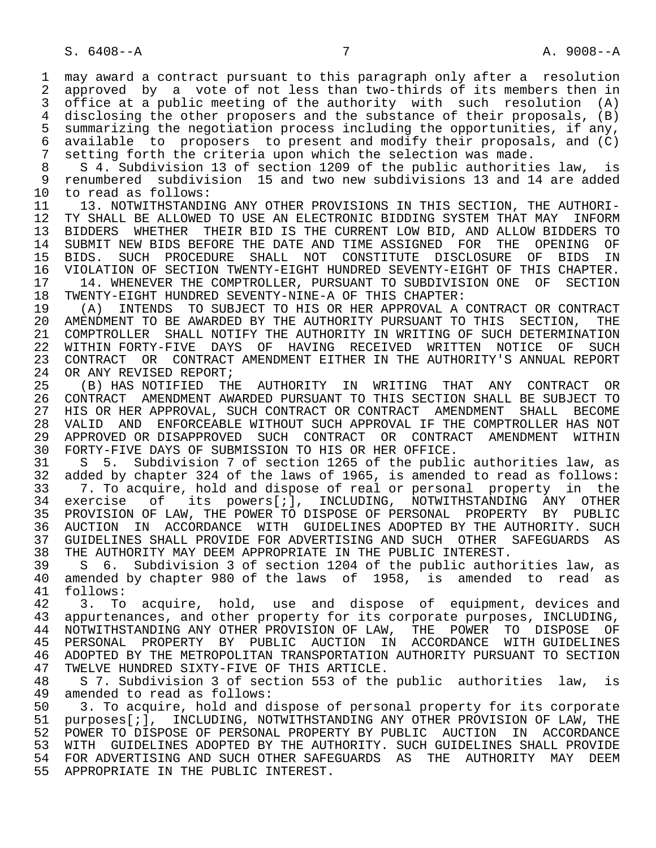1 may award a contract pursuant to this paragraph only after a resolution<br>2 approved by a vote of not less than two-thirds of its members then in 2 approved by a vote of not less than two-thirds of its members then in<br>3 office at a public meeting of the authority with such resolution (A) office at a public meeting of the authority with such resolution  $(A)$ 4 disclosing the other proposers and the substance of their proposals, (B)<br>5 summarizing the negotiation process including the opportunities, if any, 5 summarizing the negotiation process including the opportunities, if any, 6 available to proposers to present and modify their proposals, and (C)<br>7 setting forth the criteria upon which the selection was made. 7 setting forth the criteria upon which the selection was made.<br>8 5.4 Subdivision 13 of section 1209 of the public authoriti

8 S 4. Subdivision 13 of section 1209 of the public authorities law, is<br>9 renumbered subdivision 15 and two new subdivisions 13 and 14 are added 9 renumbered subdivision 15 and two new subdivisions 13 and 14 are added<br>10 to read as follows: 10 to read as follows:<br>11 13. NOTWITHSTANDI

11 13. NOTWITHSTANDING ANY OTHER PROVISIONS IN THIS SECTION, THE AUTHORI-<br>12 TY SHALL BE ALLOWED TO USE AN ELECTRONIC BIDDING SYSTEM THAT MAY INFORM 12 TY SHALL BE ALLOWED TO USE AN ELECTRONIC BIDDING SYSTEM THAT MAY INFORM<br>13 BIDDERS WHETHER THEIR BID IS THE CURRENT LOW BID, AND ALLOW BIDDERS TO 13 BIDDERS WHETHER THEIR BID IS THE CURRENT LOW BID, AND ALLOW BIDDERS TO<br>14 SUBMIT NEW BIDS BEFORE THE DATE AND TIME ASSIGNED. FOR THE OPENING OF 14 SUBMIT NEW BIDS BEFORE THE DATE AND TIME ASSIGNED FOR THE OPENING OF<br>15 BIDS, SUCH PROCEDURE SHALL NOT CONSTITUTE DISCLOSURE OF BIDS IN 15 BIDS. SUCH PROCEDURE SHALL NOT CONSTITUTE DISCLOSURE OF BIDS IN 16 VIOLATION OF SECTION TWENTY-EIGHT HUNDRED SEVENTY-EIGHT OF THIS CHAPTER.<br>17 14. WHENEVER THE COMPTROLLER, PURSUANT TO SUBDIVISION ONE OF SECTION 17 14. WHENEVER THE COMPTROLLER, PURSUANT TO SUBDIVISION ONE OF SECTION<br>18 TWENTY-EIGHT HUNDRED SEVENTY-NINE-A OF THIS CHAPTER:

18 TWENTY-EIGHT HUNDRED SEVENTY-NINE-A OF THIS CHAPTER:<br>19 (A) INTENDS TO SUBJECT TO HIS OR HER APPROVAL A 19 (A) INTENDS TO SUBJECT TO HIS OR HER APPROVAL A CONTRACT OR CONTRACT 20 AMENDMENT TO BE AWARDED BY THE AUTHORITY PURSUANT TO THIS SECTION, THE 21 COMPTROLLER SHALL NOTIFY THE AUTHORITY IN WRITING OF SUCH DETERMINATION 21 COMPTROLLER SHALL NOTIFY THE AUTHORITY IN WRITING OF SUCH DETERMINATION<br>22 WITHIN FORTY-FIVE DAYS OF HAVING RECEIVED WRITTEN NOTICE OF SUCH 22 WITHIN FORTY-FIVE DAYS OF HAVING RECEIVED WRITTEN NOTICE OF SUCH<br>23 CONTRACT OR CONTRACT AMENDMENT EITHER IN THE AUTHORITY'S ANNUAL REPORT 23 CONTRACT OR CONTRACT AMENDMENT EITHER IN THE AUTHORITY'S ANNUAL REPORT

24 OR ANY REVISED REPORT;<br>25 (B) HAS NOTIFIED TH 25 (B) HAS NOTIFIED THE AUTHORITY IN WRITING THAT ANY CONTRACT OR 26 CONTRACT AMENDMENT AWARDED PURSUANT TO THIS SECTION SHALL BE SUBJECT TO<br>27 HIS OR HER APPROVAL, SUCH CONTRACT OR CONTRACT AMENDMENT SHALL BECOME 27 HIS OR HER APPROVAL, SUCH CONTRACT OR CONTRACT AMENDMENT SHALL BECOME<br>28 VALID AND ENFORCEABLE WITHOUT SUCH APPROVAL IF THE COMPTROLLER HAS NOT 28 VALID AND ENFORCEABLE WITHOUT SUCH APPROVAL IF THE COMPTROLLER HAS NOT<br>29 APPROVED OR DISAPPROVED SUCH CONTRACT OR CONTRACT AMENDMENT WITHIN 29 APPROVED OR DISAPPROVED SUCH CONTRACT OR CONTRACT AMENDMENT<br>30 FORTY-FIVE DAYS OF SUBMISSION TO HIS OR HER OFFICE. 30 FORTY-FIVE DAYS OF SUBMISSION TO HIS OR HER OFFICE.

 31 S 5. Subdivision 7 of section 1265 of the public authorities law, as 32 added by chapter 324 of the laws of 1965, is amended to read as follows: 33 3. T. To acquire, hold and dispose of real or personal property in the 34 exercise of its powers[;], INCLUDING, NOTWITHSTANDING ANY OTHER 34 exercise of its powers[;], INCLUDING, NOTWITHSTANDING ANY OTHER<br>35 PROVISION\_OF\_LAW, THE\_POWER\_TO\_DISPOSE\_OF\_PERSONAL\_\_PROPERTY\_BY\_\_PUBLIC 35 PROVISION OF LAW, THE POWER TO DISPOSE OF PERSONAL PROPERTY BY PUBLIC<br>36 AUCTION IN ACCORDANCE WITH GUIDELINES ADOPTED BY THE AUTHORITY, SUCH 36 AUCTION IN ACCORDANCE WITH GUIDELINES ADOPTED BY THE AUTHORITY. SUCH 37 GUIDELINES SHALL PROVIDE FOR ADVERTISING AND SUCH OTHER SAFEGUARDS AS<br>38 THE AUTHORITY MAY DEEM APPROPRIATE IN THE PUBLIC INTEREST. 38 THE AUTHORITY MAY DEEM APPROPRIATE IN THE PUBLIC INTEREST.<br>39 S 6. Subdivision 3 of section 1204 of the public autho

 39 S 6. Subdivision 3 of section 1204 of the public authorities law, as 40 amended by chapter 980 of the laws of 1958, is amended to read as 41 follows: 41 follows:<br>42 3. To

42 3. To acquire, hold, use and dispose of equipment, devices and 43 appurtenances, and other property for its corporate purposes, INCLUDING, 43 appurtenances, and other property for its corporate purposes, INCLUDING,<br>44 NOTWITHSTANDING ANY OTHER PROVISION OF LAW. THE POWER TO DISPOSE OF 44 NOTWITHSTANDING ANY OTHER PROVISION OF LAW, THE POWER TO DISPOSE OF<br>45 PERSONAL PROPERTY BY PUBLIC AUCTION IN ACCORDANCE WITH-GUIDELINES PERSONAL PROPERTY BY PUBLIC AUCTION IN ACCORDANCE 46 ADOPTED BY THE METROPOLITAN TRANSPORTATION AUTHORITY PURSUANT TO SECTION<br>47 TWELVE HUNDRED SIXTY-FIVE OF THIS ARTICLE. 47 TWELVE HUNDRED SIXTY-FIVE OF THIS ARTICLE.<br>48 S 7. Subdivision 3 of section 553 of the

 48 S 7. Subdivision 3 of section 553 of the public authorities law, is 49 amended to read as follows:<br>50 3. To acquire, hold and d

50 3. To acquire, hold and dispose of personal property for its corporate<br>51 purposes[;], INCLUDING, NOTWITHSTANDING ANY OTHER PROVISION OF LAW, THE 51 purposes[;], INCLUDING, NOTWITHSTANDING ANY OTHER PROVISION OF LAW, THE<br>52 POWER TO DISPOSE OF PERSONAL PROPERTY BY PUBLIC AUCTION IN ACCORDANCE 52 POWER TO DISPOSE OF PERSONAL PROPERTY BY PUBLIC AUCTION IN ACCORDANCE<br>53 WITH GUIDELINES ADOPTED BY THE AUTHORITY, SUCH GUIDELINES SHALL PROVIDE 53 WITH GUIDELINES ADOPTED BY THE AUTHORITY. SUCH GUIDELINES SHALL PROVIDE<br>54 FOR ADVERTISING AND SUCH OTHER SAFEGUARDS AS THE AUTHORITY MAY DEEM 54 FOR ADVERTISING AND SUCH OTHER SAFEGUARDS AS THE AUTHORITY MAY DEEM<br>55 APPROPRIATE IN THE PUBLIC INTEREST. APPROPRIATE IN THE PUBLIC INTEREST.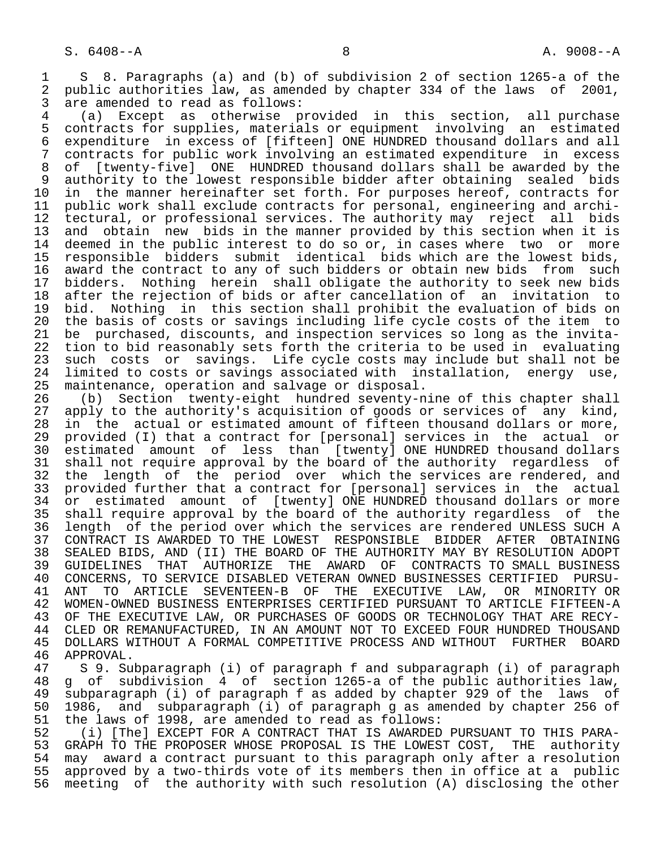1 S 8. Paragraphs (a) and (b) of subdivision 2 of section 1265-a of the<br>2 public authorities law, as amended by chapter 334 of the laws of 2001, 2 public authorities law, as amended by chapter 334 of the laws of 2001,<br>3 are amended to read as follows:

3 are amended to read as follows:<br>4 (a) Except as otherwise p 4 (a) Except as otherwise provided in this section, all purchase 5 contracts for supplies, materials or equipment involving an estimated<br>6 expenditure in excess of [fifteen] ONE HUNDRED thousand dollars and all 6 expenditure in excess of [fifteen] ONE HUNDRED thousand dollars and all<br>7 contracts for public work involving an estimated expenditure in excess 7 contracts for public work involving an estimated expenditure in excess<br>8 of [twenty-five] ONE HUNDRED thousand dollars shall be awarded by the 8 of [twenty-five] ONE HUNDRED thousand dollars shall be awarded by the<br>9 authority to the lowest responsible bidder after obtaining sealed bids 9 authority to the lowest responsible bidder after obtaining sealed bids<br>10 in the manner hereinafter set forth. For purposes hereof, contracts for 10 in the manner hereinafter set forth. For purposes hereof, contracts for<br>11 public work shall exclude contracts for personal, engineering and archi-11 public work shall exclude contracts for personal, engineering and archi-<br>12 tectural, or professional services. The authority may reject all bids 12 tectural, or professional services. The authority may reject all bids 13 and obtain new bids in the manner provided by this section when it is 14 deemed in the public interest to do so or, in cases where two or more 15 responsible bidders submit identical bids which are the lowest bids, 16 award the contract to any of such bidders or obtain new bids from such<br>17 bidders. Nothing herein shall obligate the authority to seek new bids 17 bidders. Nothing herein shall obligate the authority to seek new bids<br>18 after the rejection of bids or after cancellation of an invitation to 18 after the rejection of bids or after cancellation of an invitation to<br>19 bid. Nothing in this section shall prohibit the evaluation of bids on 19 bid. Nothing in this section shall prohibit the evaluation of bids on<br>20 the basis of costs or savings including life cycle costs of the item to 20 the basis of costs or savings including life cycle costs of the item to<br>21 be purchased, discounts, and inspection services so long as the invita-21 be purchased, discounts, and inspection services so long as the invita-<br>22 tion to bid reasonably sets forth the criteria to be used in evaluating 22 tion to bid reasonably sets forth the criteria to be used in evaluating<br>23 such costs or savings. Life cycle costs may include but shall not be 23 such costs or savings. Life cycle costs may include but shall not be<br>24 limited to costs or savings associated with installation, energy use, 24 limited to costs or savings associated with installation, energy use,<br>25 maintenance, operation and salvage or disposal. maintenance, operation and salvage or disposal.

26 (b) Section twenty-eight hundred seventy-nine of this chapter shall<br>27 apply to the authority's acquisition of goods or services of any kind, 27 apply to the authority's acquisition of goods or services of any kind,<br>28 in the actual or estimated amount of fifteen thousand dollars or more, 28 in the actual or estimated amount of fifteen thousand dollars or more,<br>29 provided (I) that a contract for [personal] services in the actual or 29 provided (I) that a contract for [personal] services in the actual or<br>30 estimated amount of less than [twenty] ONE HUNDRED thousand dollars 30 estimated amount of less than [twenty] ONE HUNDRED thousand dollars<br>31 shall not require approval by the board of the authority regardless of 31 shall not require approval by the board of the authority regardless of<br>32 the length of the period over which the services are rendered, and 32 the length of the period over which the services are rendered, and<br>33 provided further that a contract for [personal] services in the actual 33 provided further that a contract for [personal] services in the actual<br>34 or estimated amount of [twenty] ONE HUNDRED thousand dollars or more 34 or estimated amount of [twenty] ONE HUNDRED thousand dollars or more<br>35 shall require approval by the board of the authority regardless of the 31 SI SESIMMSSU SARGAIS IS THE RIGHT Of the authority regardless of the<br>35 shall require approval by the board of the authority regardless of the<br>36 length of the period over which the services are rendered UNLESS SUCH A length of the period over which the services are rendered UNLESS SUCH A 37 CONTRACT IS AWARDED TO THE LOWEST RESPONSIBLE BIDDER AFTER OBTAINING<br>38 SEALED BIDS, AND (II) THE BOARD OF THE AUTHORITY MAY BY RESOLUTION ADOPT 38 SEALED BIDS, AND (II) THE BOARD OF THE AUTHORITY MAY BY RESOLUTION ADOPT<br>39 GUIDELINES THAT AUTHORIZE THE AWARD OF CONTRACTS TO SMALL BUSINESS 39 GUIDELINES THAT AUTHORIZE THE AWARD OF CONTRACTS TO SMALL BUSINESS<br>40 CONCERNS, TO SERVICE DISABLED VETERAN OWNED BUSINESSES CERTIFIED PURSU-40 CONCERNS, TO SERVICE DISABLED VETERAN OWNED BUSINESSES CERTIFIED PURSU-<br>41 ANT TO ARTICLE SEVENTEEN-B OF THE EXECUTIVE LAW, OR MINORITY OR 41 ANT TO ARTICLE SEVENTEEN-B OF THE EXECUTIVE LAW, OR MINORITY OR<br>42 WOMEN-OWNED BUSINESS ENTERPRISES CERTIFIED PURSUANT TO ARTICLE FIFTEEN-A 42 WOMEN-OWNED BUSINESS ENTERPRISES CERTIFIED PURSUANT TO ARTICLE FIFTEEN-A<br>43 OF THE EXECUTIVE LAW, OR PURCHASES OF GOODS OR TECHNOLOGY THAT ARE RECY-43 OF THE EXECUTIVE LAW, OR PURCHASES OF GOODS OR TECHNOLOGY THAT ARE RECY-<br>44 CLED OR REMANUFACTURED, IN AN AMOUNT NOT TO EXCEED FOUR HUNDRED THOUSAND 44 CLED OR REMANUFACTURED, IN AN AMOUNT NOT TO EXCEED FOUR HUNDRED THOUSAND<br>45 DOLLARS WITHOUT A FORMAL COMPETITIVE PROCESS AND WITHOUT FURTHER BOARD 45 DOLLARS WITHOUT A FORMAL COMPETITIVE PROCESS AND WITHOUT FURTHER BOARD<br>46 APPROVAL.

46 APPROVAL.<br>47 S 9. Su 47 S 9. Subparagraph (i) of paragraph f and subparagraph (i) of paragraph 48 g of subdivision 4 of section 1265-a of the public authorities law,<br>49 subparagraph (i) of paragraph f as added by chapter 929 of the laws of 49 subparagraph (i) of paragraph f as added by chapter 929 of the laws of 50 1986, and subparagraph (i) of paragraph g as amended by chapter 256 of 51 the laws of 1998, are amended to read as follows: 51 the laws of 1998, are amended to read as follows:<br>52 (i) [The] EXCEPT FOR A CONTRACT THAT IS AWARDED

52 (i) [The] EXCEPT FOR A CONTRACT THAT IS AWARDED PURSUANT TO THIS PARA-<br>53 GRAPH TO THE PROPOSER WHOSE PROPOSAL IS THE LOWEST COST. THE authority 53 GRAPH TO THE PROPOSER WHOSE PROPOSAL IS THE LOWEST COST, THE authority<br>54 may award a contract pursuant to this paragraph only after a resolution 54 may award a contract pursuant to this paragraph only after a resolution<br>55 approved by a two-thirds vote of its members then in office at a public 55 approved by a two-thirds vote of its members then in office at a public<br>56 meeting of the authority with such resolution (A) disclosing the other meeting of the authority with such resolution (A) disclosing the other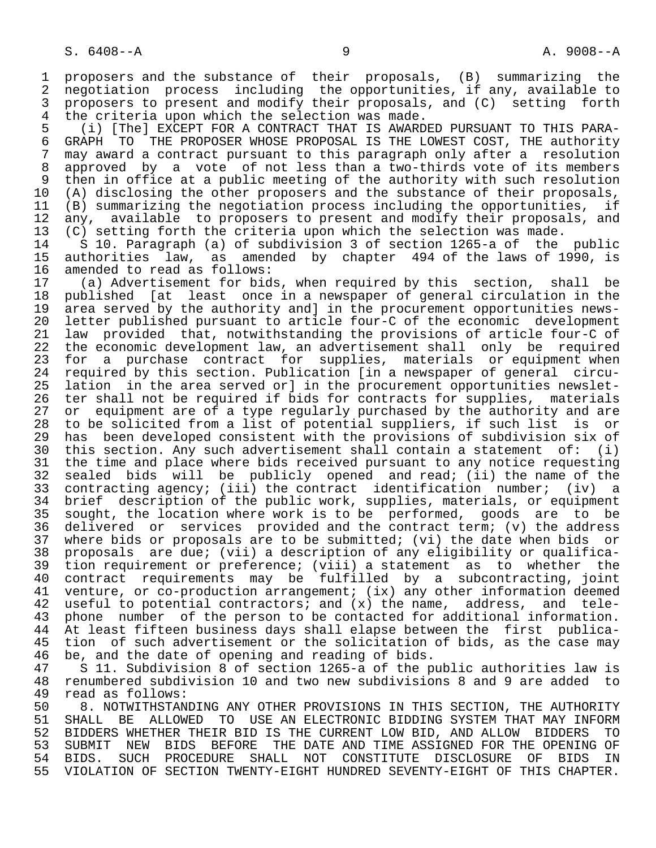1 proposers and the substance of their proposals, (B) summarizing the 2 negotiation process including the opportunities, if any, available to 3 proposers to present and modify their proposals, and (C) setting forth<br>4 the criteria upon which the selection was made. 4 the criteria upon which the selection was made.<br>5 (i) [The] EXCEPT FOR A CONTRACT THAT IS AWARD

 5 (i) [The] EXCEPT FOR A CONTRACT THAT IS AWARDED PURSUANT TO THIS PARA- 6 GRAPH TO THE PROPOSER WHOSE PROPOSAL IS THE LOWEST COST, THE authority<br>7 may award a contract pursuant to this paragraph only after a resolution 7 may award a contract pursuant to this paragraph only after a resolution 8 approved by a vote of not less than a two-thirds vote of its members<br>9 then in office at a public meeting of the authority with such resolution 9 then in office at a public meeting of the authority with such resolution<br>10 (A) disclosing the other proposers and the substance of their proposals. 10 (A) disclosing the other proposers and the substance of their proposals,<br>11 (B) summarizing the negotiation process including the opportunities, if 11 (B) summarizing the negotiation process including the opportunities, if<br>12 any, available to proposers to present and modify their proposals, and 12 any, available to proposers to present and modify their proposals, and<br>13 (C) setting forth the criteria upon which the selection was made. 13 (C) setting forth the criteria upon which the selection was made.<br>14 S 10. Paragraph (a) of subdivision 3 of section 1265-a of the

 14 S 10. Paragraph (a) of subdivision 3 of section 1265-a of the public 15 authorities law, as amended by chapter 494 of the laws of 1990, is 16 amended to read as follows:<br>17 (a) Advertisement for bid

 17 (a) Advertisement for bids, when required by this section, shall be 18 published [at least once in a newspaper of general circulation in the<br>19 area served by the authority and] in the procurement opportunities news-19 area served by the authority and] in the procurement opportunities news-<br>20 letter published pursuant to article four-C of the economic development 20 letter published pursuant to article four-C of the economic development<br>21 law provided that, notwithstanding the provisions of article four-C of 21 law provided that, notwithstanding the provisions of article four-C of<br>22 the economic development law, an advertisement shall only be required 22 the economic development law, an advertisement shall only be required<br>23 for a purchase contract for supplies, materials or equipment when 23 for a purchase contract for supplies, materials or equipment when<br>24 required by this section. Publication (in a newspaper of general circu-24 required by this section. Publication [in a newspaper of general circu-<br>25 lation in the area served orl in the procurement opportunities newsletlation in the area served or] in the procurement opportunities newslet-26 ter shall not be required if bids for contracts for supplies, materials<br>27 or equipment are of a type reqularly purchased by the authority and are 27 or equipment are of a type regularly purchased by the authority and are<br>28 to be solicited from a list of potential suppliers, if such list is or 28 to be solicited from a list of potential suppliers, if such list is or<br>29 has been developed consistent with the provisions of subdivision six of 29 has been developed consistent with the provisions of subdivision six of<br>20 this section, Any such advertisement shall contain a statement of: (i) 30 this section. Any such advertisement shall contain a statement of: (i)<br>31 the time and place where bids received pursuant to any notice requesting 31 the time and place where bids received pursuant to any notice requesting<br>32 sealed bids will be publicly opened and read; (ii) the name of the 32 sealed bids will be publicly opened and read; (ii) the name of the<br>33 contracting agency; (iii) the contract identification number; (iv) a 33 contracting agency; (iii) the contract identification number; (iv) a<br>34 brief description of the public work, supplies, materials, or equipment 34 brief description of the public work, supplies, materials, or equipment<br>35 sought, the location where work is to be performed, goods are to be 35 sought, the location where work is to be performed, goods are to be<br>36 delivered or services provided and the contract term; (v) the address delivered or services provided and the contract term; (v) the address 37 where bids or proposals are to be submitted; (vi) the date when bids or<br>38 proposals are due; (vii) a description of any eligibility or qualifica- 38 proposals are due; (vii) a description of any eligibility or qualifica- 39 tion requirement or preference; (viii) a statement as to whether the<br>40 contract requirements may be fulfilled by a subcontracting, joint 40 contract requirements may be fulfilled by a subcontracting, joint<br>41 venture, or co-production arrangement; (ix) any other information deemed 41 venture, or co-production arrangement; (ix) any other information deemed<br>42 useful to potential contractors; and (x) the name, address, and tele-42 useful to potential contractors; and (x) the name, address, and tele-<br>43 phone number of the person to be contacted for additional information. 43 phone number of the person to be contacted for additional information.<br>44 At least fifteen business days shall elapse between the first publica-44 At least fifteen business days shall elapse between the first publica-<br>45 tion of such advertisement or the solicitation of bids, as the case may tion of such advertisement or the solicitation of bids, as the case may

46 be, and the date of opening and reading of bids.<br>47 S 11. Subdivision 8 of section 1265-a of the p 47 S 11. Subdivision 8 of section 1265-a of the public authorities law is 48 renumbered subdivision 10 and two new subdivisions 8 and 9 are added to 49 read as follows:<br>50 8. NOTWITHSTAN

50 8. NOTWITHSTANDING ANY OTHER PROVISIONS IN THIS SECTION, THE AUTHORITY<br>51 SHALL BE ALLOWED TO USE AN ELECTRONIC BIDDING SYSTEM THAT MAY INFORM 51 SHALL BE ALLOWED TO USE AN ELECTRONIC BIDDING SYSTEM THAT MAY INFORM<br>52 BIDDERS WHETHER THEIR BID IS THE CURRENT LOW BID, AND ALLOW BIDDERS TO 52 BIDDERS WHETHER THEIR BID IS THE CURRENT LOW BID, AND ALLOW BIDDERS TO<br>53 SUBMIT NEW BIDS BEFORE THE DATE AND TIME ASSIGNED FOR THE OPENING OF 53 SUBMIT NEW BIDS BEFORE THE DATE AND TIME ASSIGNED FOR THE OPENING OF<br>54 BIDS. SUCH PROCEDURE SHALL NOT CONSTITUTE DISCLOSURE OF BIDS IN 54 BIDS. SUCH PROCEDURE SHALL NOT CONSTITUTE DISCLOSURE OF BIDS<br>55 VIOLATION OF SECTION TWENTY-EIGHT HUNDRED SEVENTY-EIGHT OF THIS CHAP 55 VIOLATION OF SECTION TWENTY-EIGHT HUNDRED SEVENTY-EIGHT OF THIS CHAPTER.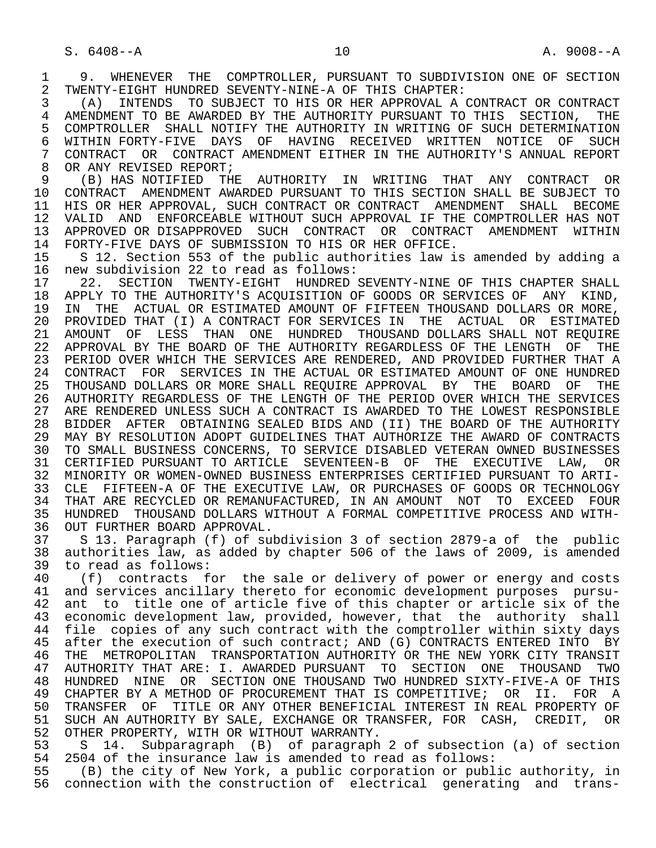1 9. WHENEVER THE COMPTROLLER, PURSUANT TO SUBDIVISION ONE OF SECTION<br>2 TWENTY-EIGHT HUNDRED SEVENTY-NINE-A OF THIS CHAPTER: 2 TWENTY-EIGHT HUNDRED SEVENTY-NINE-A OF THIS CHAPTER:<br>3 (A) INTENDS TO SUBJECT TO HIS OR HER APPROVAL A

 3 (A) INTENDS TO SUBJECT TO HIS OR HER APPROVAL A CONTRACT OR CONTRACT 4 AMENDMENT TO BE AWARDED BY THE AUTHORITY PURSUANT TO THIS SECTION, THE<br>5 COMPTROLLER SHALL NOTIFY THE AUTHORITY IN WRITING OF SUCH DETERMINATION 5 COMPTROLLER SHALL NOTIFY THE AUTHORITY IN WRITING OF SUCH DETERMINATION<br>6 WITHIN FORTY-FIVE DAYS OF HAVING RECEIVED WRITTEN NOTICE OF SUCH 6 WITHIN FORTY-FIVE DAYS OF HAVING RECEIVED WRITTEN NOTICE OF SUCH<br>7 CONTRACT OR CONTRACT AMENDMENT EITHER IN THE AUTHORITY'S ANNUAL REPORT 7 CONTRACT OR CONTRACT AMENDMENT EITHER IN THE AUTHORITY'S ANNUAL REPORT<br>8 OR ANY REVISED REPORT; 8 OR ANY REVISED REPORT;<br>9 (B) HAS NOTIFIED THE

 9 (B) HAS NOTIFIED THE AUTHORITY IN WRITING THAT ANY CONTRACT OR 10 CONTRACT AMENDMENT AWARDED PURSUANT TO THIS SECTION SHALL BE SUBJECT TO<br>11 HIS OR HER APPROVAL, SUCH CONTRACT OR CONTRACT AMENDMENT SHALL BECOME 11 HIS OR HER APPROVAL, SUCH CONTRACT OR CONTRACT AMENDMENT SHALL BECOME<br>12 VALID AND ENFORCEABLE WITHOUT SUCH APPROVAL IF THE COMPTROLLER HAS NOT 12 VALID AND ENFORCEABLE WITHOUT SUCH APPROVAL IF THE COMPTROLLER HAS NOT<br>13 APPROVED OR DISAPPROVED SUCH CONTRACT OR CONTRACT AMENDMENT WITHIN 13 APPROVED OR DISAPPROVED SUCH CONTRACT OR CONTRACT AMENDMENT WITHIN<br>14 FORTY-FIVE DAYS OF SUBMISSION TO HIS OR HER OFFICE. 14 FORTY-FIVE DAYS OF SUBMISSION TO HIS OR HER OFFICE.<br>15 S 12. Section 553 of the public authorities law i

15 S 12. Section 553 of the public authorities law is amended by adding a<br>16 new subdivision 22 to read as follows: 16 new subdivision 22 to read as follows:<br>17 22. SECTION TWENTY-EIGHT HUNDRED

17 22. SECTION TWENTY-EIGHT HUNDRED SEVENTY-NINE OF THIS CHAPTER SHALL<br>18 APPLY TO THE AUTHORITY'S ACOUISITION OF GOODS OR SERVICES OF ANY KIND, 18 APPLY TO THE AUTHORITY'S ACQUISITION OF GOODS OR SERVICES OF ANY KIND,<br>19 IN THE ACTUAL OR ESTIMATED AMOUNT OF FIFTEEN THOUSAND DOLLARS OR MORE. 19 IN THE ACTUAL OR ESTIMATED AMOUNT OF FIFTEEN THOUSAND DOLLARS OR MORE,<br>20 PROVIDED THAT (I) A CONTRACT FOR SERVICES IN THE ACTUAL OR ESTIMATED 20 PROVIDED THAT (I) A CONTRACT FOR SERVICES IN THE ACTUAL OR ESTIMATED 21 AMOUNT OF LESS THAN ONE HUNDRED THOUSAND DOLLARS SHALL NOT REQUIRE 22 APPROVAL BY THE BOARD OF THE AUTHORITY REGARDLESS OF THE LENGTH OF THE 23 PERIOD OVER WHICH THE SERVICES ARE RENDERED, AND PROVIDED FURTHER THAT A 24 CONTRACT FOR SERVICES IN THE ACTUAL OR ESTIMATED AMOUNT OF ONE HUNDRED 25 THOUSAND DOLLARS OR MORE SHALL REQUIRE APPROVAL BY THE BOARD OF THE 26 AUTHORITY REGARDLESS OF THE LENGTH OF THE PERIOD OVER WHICH THE SERVICES 27 ARE RENDERED UNLESS SUCH A CONTRACT IS AWARDED TO THE LOWEST RESPONSIBLE 28 BIDDER AFTER OBTAINING SEALED BIDS AND (II) THE BOARD OF THE AUTHORITY 29 MAY BY RESOLUTION ADOPT GUIDELINES THAT AUTHORIZE THE AWARD OF CONTRACTS 30 TO SMALL BUSINESS CONCERNS, TO SERVICE DISABLED VETERAN OWNED BUSINESSES 31 CERTIFIED PURSUANT TO ARTICLE SEVENTEEN-B OF THE EXECUTIVE LAW, OR 32 MINORITY OR WOMEN-OWNED BUSINESS ENTERPRISES CERTIFIED PURSUANT TO ARTI-<br>33 CLE FIFTEEN-A OF THE EXECUTIVE LAW, OR PURCHASES OF GOODS OR TECHNOLOGY 33 CLE FIFTEEN-A OF THE EXECUTIVE LAW, OR PURCHASES OF GOODS OR TECHNOLOGY<br>34 THAT ARE RECYCLED OR REMANUFACTURED, IN AN AMOUNT NOT TO EXCEED FOUR 34 THAT ARE RECYCLED OR REMANUFACTURED, IN AN AMOUNT NOT TO EXCEED FOUR<br>35 HUNDRED THOUSAND DOLLARS WITHOUT A FORMAL COMPETITIVE PROCESS AND WITH-35 HUNDRED THOUSAND DOLLARS WITHOUT A FORMAL COMPETITIVE PROCESS AND WITH-<br>36 OUT FURTHER BOARD APPROVAL. 36 OUT FURTHER BOARD APPROVAL.<br>37 S 13. Paragraph (f) of su

 37 S 13. Paragraph (f) of subdivision 3 of section 2879-a of the public 38 authorities law, as added by chapter 506 of the laws of 2009, is amended 39 to read as follows:<br>40 (f) contracts f

40 (f) contracts for the sale or delivery of power or energy and costs<br>41 and services ancillary thereto for economic development purposes pursu-41 and services ancillary thereto for economic development purposes pursu-<br>42 ant to title one of article five of this chapter or article six of the 42 ant to title one of article five of this chapter or article six of the<br>43 economic development law, provided, however, that the authority shall 43 economic development law, provided, however, that the authority shall<br>44 file copies of any such contract with the comptroller within sixty days 44 file copies of any such contract with the comptroller within sixty days<br>45 after the execution of such contract; AND (G) CONTRACTS ENTERED INTO BY after the execution of such contract; AND (G) CONTRACTS ENTERED INTO BY 46 THE METROPOLITAN TRANSPORTATION AUTHORITY OR THE NEW YORK CITY TRANSIT<br>47 AUTHORITY THAT ARE: I. AWARDED PURSUANT TO SECTION ONE THOUSAND TWO 47 AUTHORITY THAT ARE: I. AWARDED PURSUANT TO SECTION ONE THOUSAND TWO 48 HUNDRED NINE OR SECTION ONE THOUSAND TWO HUNDRED SIXTY-FIVE-A OF THIS 49 CHAPTER BY A METHOD OF PROCUREMENT THAT IS COMPETITIVE; OR II. FOR A 49 CHANSFER OF TITLE OR ANY OTHER BENEFICIAL INTEREST IN REAL PROPERTY OF TRANSFER OF TITLE OR ANY OTHER BENEFICIAL INTEREST IN REAL PROPERTY OF 51 SUCH AN AUTHORITY BY SALE, EXCHANGE OR TRANSFER, FOR CASH, CREDIT, OR 52 OTHER PROPERTY, WITH OR WITHOUT WARRANTY.<br>53 S. 14. Subparagraph (B) of paragraph

53 S 14. Subparagraph (B) of paragraph 2 of subsection (a) of section<br>54 2504 of the insurance law is amended to read as follows: 54 2504 of the insurance law is amended to read as follows:<br>55 (B) the city of New York, a public corporation or publ

(B) the city of New York, a public corporation or public authority, in 56 connection with the construction of electrical generating and trans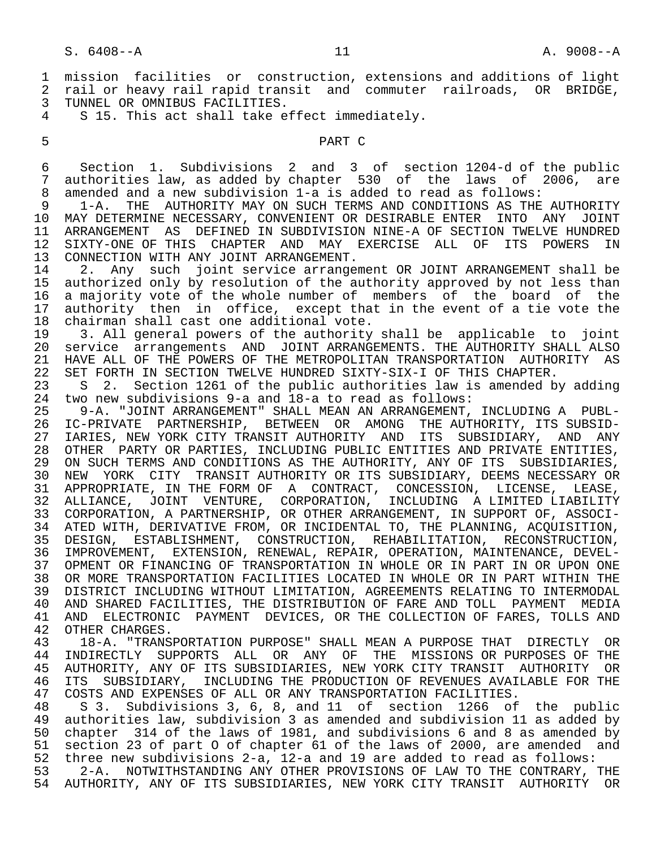1 mission facilities or construction, extensions and additions of light 2 rail or heavy rail rapid transit and commuter railroads, OR BRIDGE, 3 TUNNEL OR OMNIBUS FACILITIES.<br>4 S 15, This act shall take e

S 15. This act shall take effect immediately.

### 5 PART C

 6 Section 1. Subdivisions 2 and 3 of section 1204-d of the public 7 authorities law, as added by chapter 530 of the laws of 2006, are<br>8 amended and a new subdivision 1-a is added to read as follows: 8 amended and a new subdivision 1-a is added to read as follows:<br>9 1-A. THE AUTHORITY MAY ON SUCH TERMS AND CONDITIONS AS THE

9 1-A. THE AUTHORITY MAY ON SUCH TERMS AND CONDITIONS AS THE AUTHORITY<br>10 MAY DETERMINE NECESSARY, CONVENIENT OR DESIRABLE ENTER INTO ANY JOINT 10 MAY DETERMINE NECESSARY, CONVENIENT OR DESIRABLE ENTER INTO ANY JOINT<br>11 ARRANGEMENT AS DEFINED IN SUBDIVISION NINE-A OF SECTION TWELVE HUNDRED 11 ARRANGEMENT AS DEFINED IN SUBDIVISION NINE-A OF SECTION TWELVE HUNDRED<br>12 SIXTY-ONE OF THIS CHAPTER AND MAY EXERCISE ALL OF ITS POWERS IN 12 SIXTY-ONE OF THIS CHAPTER AND MAY EXERCISE ALL OF ITS POWERS IN<br>13 CONNECTION WITH ANY JOINT ARRANGEMENT. 13 CONNECTION WITH ANY JOINT ARRANGEMENT.<br>14 2. Any such joint service arrange

14 2. Any such joint service arrangement OR JOINT ARRANGEMENT shall be<br>15 authorized only by resolution of the authority approved by not less than 15 authorized only by resolution of the authority approved by not less than<br>16 a majority vote of the whole number of members of the board of the 16 a majority vote of the whole number of members of the board of the<br>17 authority then in office, except that in the event of a tie vote the 17 authority then in office, except that in the event of a tie vote the<br>18 chairman shall cast one additional vote. 18 chairman shall cast one additional vote.<br>19 3. All general powers of the authority

19 3. All general powers of the authority shall be applicable to joint<br>20 service arrangements AND JOINT ARRANGEMENTS. THE AUTHORITY SHALL ALSO 20 service arrangements AND JOINT ARRANGEMENTS. THE AUTHORITY SHALL ALSO<br>21 HAVE ALL OF THE POWERS OF THE METROPOLITAN TRANSPORTATION AUTHORITY AS 21 HAVE ALL OF THE POWERS OF THE METROPOLITAN TRANSPORTATION AUTHORITY AS<br>22 SET FORTH IN SECTION TWELVE HUNDRED SIXTY-SIX-I OF THIS CHAPTER. 22 SET FORTH IN SECTION TWELVE HUNDRED SIXTY-SIX-I OF THIS CHAPTER.<br>23 S 2. Section 1261 of the public authorities law is amended b

23 S 2. Section 1261 of the public authorities law is amended by adding<br>24 two new subdivisions 9-a and 18-a to read as follows: 24 two new subdivisions 9-a and 18-a to read as follows:

25 9-A. "JOINT ARRANGEMENT" SHALL MEAN AN ARRANGEMENT, INCLUDING A PUBL-<br>26 IC-PRIVATE PARTNERSHIP, BETWEEN OR AMONG THE AUTHORITY, ITS SUBSID-26 IC-PRIVATE PARTNERSHIP, BETWEEN OR AMONG THE AUTHORITY, ITS SUBSID-<br>27 IARIES, NEW YORK CITY TRANSIT AUTHORITY AND ITS SUBSIDIARY, AND ANY 27 IARIES, NEW YORK CITY TRANSIT AUTHORITY AND ITS SUBSIDIARY, AND ANY 28 OTHER PARTY OR PARTIES, INCLUDING PUBLIC ENTITIES AND PRIVATE ENTITIES, 29 ON SUCH TERMS AND CONDITIONS AS THE AUTHORITY, ANY OF ITS SUBSIDIARIES, 30 NEW YORK CITY TRANSIT AUTHORITY OR ITS SUBSIDIARY, DEEMS NECESSARY OR 31 APPROPRIATE, IN THE FORM OF A CONTRACT, CONCESSION, LICENSE, LEASE, 32 ALLIANCE, JOINT VENTURE, CORPORATION, INCLUDING A LIMITED LIABILITY 33 CORPORATION, A PARTNERSHIP, OR OTHER ARRANGEMENT, IN SUPPORT OF, ASSOCI- 34 ATED WITH, DERIVATIVE FROM, OR INCIDENTAL TO, THE PLANNING, ACQUISITION, 35 DESIGN, ESTABLISHMENT, CONSTRUCTION, REHABILITATION, RECONSTRUCTION, 36 IMPROVEMENT, EXTENSION, RENEWAL, REPAIR, OPERATION, MAINTENANCE, DEVEL- 37 OPMENT OR FINANCING OF TRANSPORTATION IN WHOLE OR IN PART IN OR UPON ONE 38 OR MORE TRANSPORTATION FACILITIES LOCATED IN WHOLE OR IN PART WITHIN THE 39 DISTRICT INCLUDING WITHOUT LIMITATION, AGREEMENTS RELATING TO INTERMODAL<br>40 AND SHARED FACILITIES, THE DISTRIBUTION OF FARE AND TOLL PAYMENT MEDIA 40 AND SHARED FACILITIES, THE DISTRIBUTION OF FARE AND TOLL PAYMENT MEDIA<br>41 AND ELECTRONIC PAYMENT DEVICES, OR THE COLLECTION OF FARES, TOLLS AND 41 AND ELECTRONIC PAYMENT DEVICES, OR THE COLLECTION OF FARES, TOLLS AND 42 OTHER CHARGES.

42 OTHER CHARGES.<br>43 18-A. "TRANS 43 18-A. "TRANSPORTATION PURPOSE" SHALL MEAN A PURPOSE THAT DIRECTLY OR<br>44 INDIRECTLY SUPPORTS ALL OR ANY OF THE MISSIONS OR PURPOSES OF THE 44 INDIRECTLY SUPPORTS ALL OR ANY OF THE MISSIONS OR PURPOSES OF THE 45 AUTHORITY, ANY OF ITS SUBSIDIARIES, NEW YORK CITY TRANSIT AUTHORITY OR 46 ITS SUBSIDIARY, INCLUDING THE PRODUCTION OF REVENUES AVAILABLE FOR THE 47 COSTS AND EXPENSES OF ALL OR ANY TRANSPORTATION FACILITIES. 47 COSTS AND EXPENSES OF ALL OR ANY TRANSPORTATION FACILITIES.<br>48 S 3. Subdivisions 3.6.8. and 11 of section 1266 of

48 S 3. Subdivisions 3, 6, 8, and 11 of section 1266 of the public<br>49 authorities law, subdivision 3 as amended and subdivision 11 as added by authorities law, subdivision 3 as amended and subdivision 11 as added by 50 chapter 314 of the laws of 1981, and subdivisions 6 and 8 as amended by 51 section 23 of part 0 of chapter 61 of the laws of 2000, are amended and<br>52 three new subdivisions 2-a, 12-a and 19 are added to read as follows: 52 three new subdivisions 2-a, 12-a and 19 are added to read as follows:

 53 2-A. NOTWITHSTANDING ANY OTHER PROVISIONS OF LAW TO THE CONTRARY, THE 54 AUTHORITY, ANY OF ITS SUBSIDIARIES, NEW YORK CITY TRANSIT AUTHORITY OR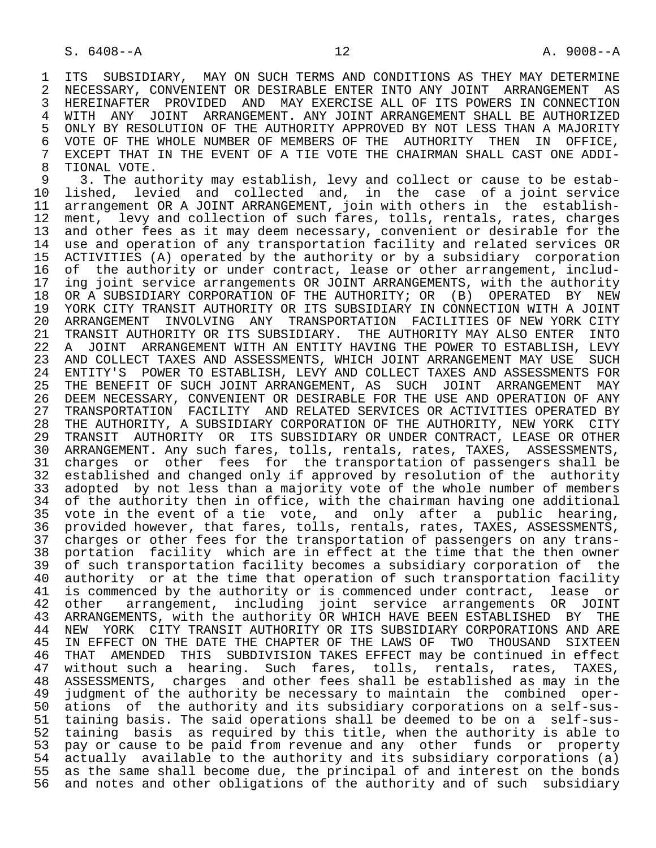1 ITS SUBSIDIARY, MAY ON SUCH TERMS AND CONDITIONS AS THEY MAY DETERMINE<br>2 NECESSARY, CONVENIENT OR DESIRABLE ENTER INTO ANY JOINT ARRANGEMENT AS 2 NECESSARY, CONVENIENT OR DESIRABLE ENTER INTO ANY JOINT ARRANGEMENT AS<br>3 HEREINAFTER PROVIDED AND MAY EXERCISE ALL OF ITS POWERS IN CONNECTION 3 HEREINAFTER PROVIDED AND MAY-EXERCISE ALL OF ITS POWERS IN CONNECTION<br>4 WITH ANY JOINT ARRANGEMENT, ANY JOINT-ARRANGEMENT-SHALL BE AUTHORIZED 4 WITH ANY JOINT ARRANGEMENT. ANY JOINT ARRANGEMENT SHALL BE AUTHORIZED<br>5 ONLY BY RESOLUTION OF THE AUTHORITY APPROVED BY NOT LESS THAN A MAJORITY 5 ONLY BY RESOLUTION OF THE AUTHORITY APPROVED BY NOT LESS THAN A MAJORITY<br>6 VOTE OF THE WHOLE NUMBER OF MEMBERS OF THE AUTHORITY THEN IN OFFICE, 6 VOTE OF THE WHOLE NUMBER OF MEMBERS OF THE AUTHORITY<br>7 EXCEPT THAT IN THE EVENT OF A TIE VOTE THE CHAIRMAN SH 7 EXCEPT THAT IN THE EVENT OF A TIE VOTE THE CHAIRMAN SHALL CAST ONE ADDI-<br>8 TIONAL VOTE 8 TIONAL VOTE.<br>9 3. The aut

9 3. The authority may establish, levy and collect or cause to be estab-<br>10 lished, levied and collected and, in the case of a joint service 10 lished, levied and collected and, in the case of a joint service 11 arrangement OR A JOINT ARRANGEMENT, join with others in the establish-<br>12 ment, levy and collection of such fares, tolls, rentals, rates, charges 12 ment, levy and collection of such fares, tolls, rentals, rates, charges<br>13 and other fees as it may deem necessary, convenient or desirable for the 13 and other fees as it may deem necessary, convenient or desirable for the<br>14 use and operation of any transportation facility and related services OR use and operation of any transportation facility and related services OR 15 ACTIVITIES (A) operated by the authority or by a subsidiary corporation<br>16 of the authority or under contract, lease or other arrangement, includ-16 of the authority or under contract, lease or other arrangement, includ-<br>17 ing joint service arrangements OR JOINT ARRANGEMENTS, with the authority 17 ing joint service arrangements OR JOINT ARRANGEMENTS, with the authority<br>18 OR A SUBSIDIARY CORPORATION OF THE AUTHORITY; OR (B) OPERATED BY NEW 18 OR A SUBSIDIARY CORPORATION OF THE AUTHORITY; OR (B) OPERATED BY NEW<br>19 YORK CITY TRANSIT AUTHORITY OR ITS SUBSIDIARY IN CONNECTION WITH A JOINT 19 YORK CITY TRANSIT AUTHORITY OR ITS SUBSIDIARY IN CONNECTION WITH A JOINT<br>20 ARRANGEMENT INVOLVING ANY TRANSPORTATION FACILITIES OF NEW YORK CITY 20 ARRANGEMENT INVOLVING ANY TRANSPORTATION FACILITIES OF NEW YORK CITY<br>21 TRANSIT AUTHORITY OR ITS SUBSIDIARY. THE AUTHORITY MAY ALSO ENTER INTO 21 TRANSIT AUTHORITY OR ITS SUBSIDIARY. THE AUTHORITY MAY ALSO ENTER<br>22 A JOINT ARRANGEMENT WITH AN ENTITY HAVING THE POWER TO ESTABLISH, 22 A JOINT ARRANGEMENT WITH AN ENTITY HAVING THE POWER TO ESTABLISH, LEVY<br>23 AND COLLECT TAXES AND ASSESSMENTS, WHICH JOINT ARRANGEMENT MAY USE SUCH AND COLLECT TAXES AND ASSESSMENTS, WHICH JOINT ARRANGEMENT MAY USE SUCH 24 ENTITY'S POWER TO ESTABLISH, LEVY AND COLLECT TAXES AND ASSESSMENTS FOR<br>25 THE BENEFIT OF SUCH JOINT ARRANGEMENT, AS SUCH JOINT ARRANGEMENT MAY THE BENEFIT OF SUCH JOINT ARRANGEMENT, AS SUCH JOINT ARRANGEMENT MAY 26 DEEM NECESSARY, CONVENIENT OR DESIRABLE FOR THE USE AND OPERATION OF ANY<br>27 TRANSPORTATION FACILITY AND RELATED SERVICES OR ACTIVITIES OPERATED BY 27 TRANSPORTATION FACILITY AND RELATED SERVICES OR ACTIVITIES OPERATED BY 28 THE AUTHORITY, A SUBSIDIARY CORPORATION OF THE AUTHORITY, NEW YORK CITY 29 TRANSIT AUTHORITY OR ITS SUBSIDIARY OR UNDER CONTRACT, LEASE OR OTHER 30 ARRANGEMENT. Any such fares, tolls, rentals, rates, TAXES, ASSESSMENTS, 31 charges or other fees for the transportation of passengers shall be 32 established and changed only if approved by resolution of the authority 33 adopted by not less than a majority vote of the whole number of members 34 of the authority then in office, with the chairman having one additional 35 vote in the event of a tie vote, and only after a public hearing, 36 provided however, that fares, tolls, rentals, rates, TAXES, ASSESSMENTS, 37 charges or other fees for the transportation of passengers on any trans- 38 portation facility which are in effect at the time that the then owner<br>39 of such transportation facility becomes a subsidiary corporation of the 39 of such transportation facility becomes a subsidiary corporation of the<br>40 authority or at the time that operation of such transportation facility 40 authority or at the time that operation of such transportation facility<br>41 is commenced by the authority or is commenced under contract, lease or 41 is commenced by the authority or is commenced under contract, lease or<br>42 other arrangement, including joint service arrangements OR JOINT 42 other arrangement, including joint service arrangements OR JOINT<br>43 ARRANGEMENTS, with the authority OR WHICH HAVE BEEN ESTABLISHED BY THE 43 ARRANGEMENTS, with the authority OR WHICH HAVE BEEN ESTABLISHED BY<br>44 NEW YORK CITY TRANSIT AUTHORITY OR ITS SUBSIDIARY CORPORATIONS AND 44 NEW YORK CITY TRANSIT AUTHORITY OR ITS SUBSIDIARY CORPORATIONS AND ARE<br>45 IN EFFECT ON THE DATE THE CHAPTER OF THE LAWS OF TWO THOUSAND SIXTEEN IN EFFECT ON THE DATE THE CHAPTER OF THE LAWS OF TWO THOUSAND SIXTEEN 46 THAT AMENDED THIS SUBDIVISION TAKES EFFECT may be continued in effect<br>47 without such a hearing. Such fares, tolls, rentals, rates, TAXES, 47 without such a hearing. Such fares, tolls, rentals, rates, TAXES,<br>48 ASSESSMENTS, charges and other fees shall be established as may in the 48 ASSESSMENTS, charges and other fees shall be established as may in the 49 judgment of the authority be necessary to maintain the combined oper- 50 ations of the authority and its subsidiary corporations on a self-sus-<br>51 taining basis. The said operations shall be deemed to be on a self-sustaining basis. The said operations shall be deemed to be on a self-sus- 52 taining basis as required by this title, when the authority is able to 53 pay or cause to be paid from revenue and any other funds or property 54 actually available to the authority and its subsidiary corporations (a) 55 as the same shall become due, the principal of and interest on the bonds 56 and notes and other obligations of the authority and of such subsidiary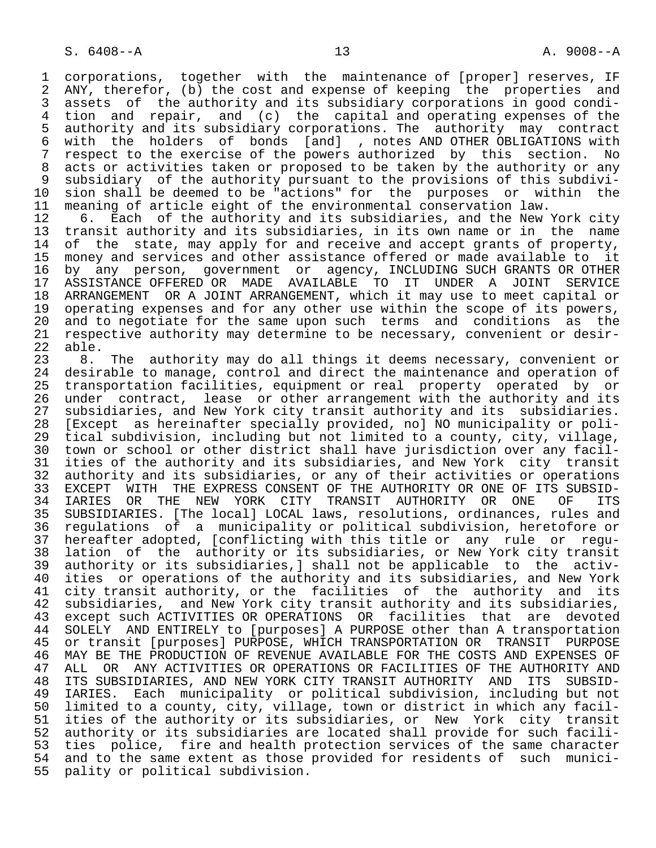1 corporations, together with the maintenance of [proper] reserves, IF<br>2 ANY, therefor, (b) the cost and expense of keeping the properties and 2 ANY, therefor, (b) the cost and expense of keeping the properties and<br>3 assets of the authority and its subsidiary corporations in good condi-3 assets of the authority and its subsidiary corporations in good condi-<br>4 tion and repair, and (c) the capital and operating expenses of the 4 tion and repair, and (c) the capital and operating expenses of the 5 authority and its subsidiary corporations. The authority may contract<br>6 with the holders of bonds [and] , notes AND OTHER OBLIGATIONS with 6 with the holders of bonds [and] , notes AND OTHER OBLIGATIONS with 7 respect to the exercise of the powers authorized by this section. No 8 acts or activities taken or proposed to be taken by the authority or any<br>9 subsidiary of the authority pursuant to the provisions of this subdivi-9 subsidiary of the authority pursuant to the provisions of this subdivi-<br>10 sion shall be deemed to be "actions" for the purposes or within the 10 sion shall be deemed to be "actions" for the purposes or within the<br>11 meaning of article eight of the environmental conservation law.

11 meaning of article eight of the environmental conservation law.<br>12 6. Each of the authority and its subsidiaries, and the New 12 6. Each of the authority and its subsidiaries, and the New York city<br>13 transit authority and its subsidiaries, in its own name or in the name 13 transit authority and its subsidiaries, in its own name or in the name<br>14 of the state, may apply for and receive and accept grants of property, of the state, may apply for and receive and accept grants of property, 15 money and services and other assistance offered or made available to it<br>16 by any person, government or agency, INCLUDING SUCH GRANTS OR OTHER 16 by any person, government or agency, INCLUDING SUCH GRANTS OR OTHER 17 ASSISTANCE OFFERED OR MADE AVAILABLE TO IT UNDER A JOINT SERVICE<br>18 ARRANGEMENT OR A JOINT ARRANGEMENT, which it may use to meet capital or 18 ARRANGEMENT OR A JOINT ARRANGEMENT, which it may use to meet capital or<br>19 operating expenses and for any other use within the scope of its powers. 19 operating expenses and for any other use within the scope of its powers,<br>20 and to negotiate for the same upon such terms and conditions as the 20 and to negotiate for the same upon such terms and conditions as the<br>21 respective authority may determine to be necessary, convenient or desir- 21 respective authority may determine to be necessary, convenient or desir- 22 able.<br>23 8.

23 8. The authority may do all things it deems necessary, convenient or<br>24 desirable to manage, control and direct the maintenance and operation of 24 desirable to manage, control and direct the maintenance and operation of<br>25 transportation facilities, equipment or real property operated by or 25 transportation facilities, equipment or real property operated by or 26 under contract, lease or other arrangement with the authority and its<br>27 subsidiaries, and New York city transit authority and its subsidiaries. 27 subsidiaries, and New York city transit authority and its subsidiaries.<br>28 [Except as hereinafter specially provided, no] NO municipality or poli-28 [Except as hereinafter specially provided, no] NO municipality or poli-<br>29 tical subdivision, including but not limited to a county, city, village, 29 tical subdivision, including but not limited to a county, city, village,<br>20 town or school or other district shall have jurisdiction over any facil-30 town or school or other district shall have jurisdiction over any facil-<br>31 ities of the authority and its subsidiaries, and New York city transit 31 ities of the authority and its subsidiaries, and New York city transit<br>32 authority and its subsidiaries, or any of their activities or operations 32 authority and its subsidiaries, or any of their activities or operations<br>33 EXCEPT WITH THE EXPRESS CONSENT OF THE AUTHORITY OR ONE OF ITS SUBSID-33 EXCEPT WITH THE EXPRESS CONSENT OF THE AUTHORITY OR ONE OF ITS SUBSID-<br>34 IARIES OR THE NEW YORK CITY TRANSIT AUTHORITY OR ONE OF ITS 34 IARIES OR THE NEW YORK CITY TRANSIT AUTHORITY OR ONE OF ITS<br>35 SUBSIDIARIES. [The local] LOCAL laws, resolutions, ordinances, rules and 35 SUBSIDIARIES. [The local] LOCAL laws, resolutions, ordinances, rules and 36 regulations of a municipality or political subdivision, heretofore or 37 hereafter adopted, [conflicting with this title or any rule or regu- 38 lation of the authority or its subsidiaries, or New York city transit 39 authority or its subsidiaries,] shall not be applicable to the activ- 40 ities or operations of the authority and its subsidiaries, and New York<br>41 city transit authority, or the facilities of the authority and its 41 city transit authority, or the facilities of the authority and its<br>42 subsidiaries, and New York city transit authority and its subsidiaries, 42 subsidiaries, and New York city transit authority and its subsidiaries,<br>43 except such ACTIVITIES OR OPERATIONS OR facilities that are devoted 43 except such ACTIVITIES OR OPERATIONS OR facilities that are devoted<br>44 SOLELY AND ENTIRELY to [purposes] A PURPOSE other than A transportation 44 SOLELY AND ENTIRELY to [purposes] A PURPOSE other than A transportation<br>45 or transit [purposes] PURPOSE, WHICH TRANSPORTATION OR TRANSIT PURPOSE 45 or transit [purposes] PURPOSE, WHICH TRANSPORTATION OR TRANSIT PURPOSE 46 MAY BE THE PRODUCTION OF REVENUE AVAILABLE FOR THE COSTS AND EXPENSES OF<br>47 ALL OR ANY ACTIVITIES OR OPERATIONS OR FACILITIES OF THE AUTHORITY AND ALL OR ANY ACTIVITIES OR OPERATIONS OR FACILITIES OF THE AUTHORITY AND 48 ITS SUBSIDIARIES, AND NEW YORK CITY TRANSIT AUTHORITY AND ITS SUBSID-<br>49 IARIES. Each municipality or political subdivision, including but not 49 IARIES. Each municipality or political subdivision, including but not 50 limited to a county, city, village, town or district in which any facil-<br>51 ities of the authority or its subsidiaries, or New York city transit 51 ities of the authority or its subsidiaries, or New York city transit<br>52 authority or its subsidiaries are located shall provide for such facili-52 authority or its subsidiaries are located shall provide for such facili-<br>53 ties police, fire and health protection services of the same character 53 ties police, fire and health protection services of the same character<br>54 and to the same extent as those provided for residents of such munici-54 and to the same extent as those provided for residents of such munici-<br>55 pality or political subdivision. pality or political subdivision.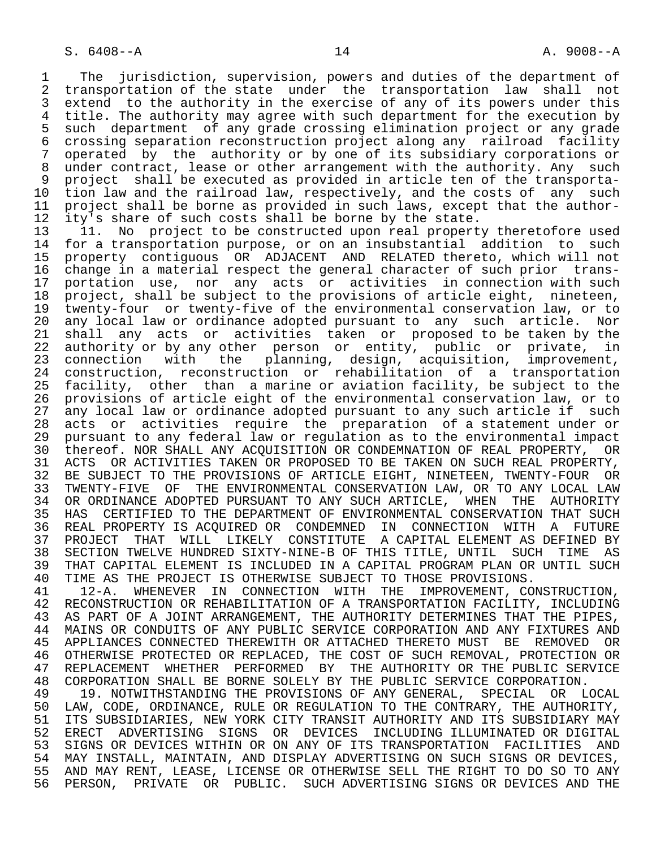1 The jurisdiction, supervision, powers and duties of the department of<br>2 transportation of the state under the transportation law shall not 2 transportation of the state under the transportation law shall not<br>3 extend to the authority in the exercise of any of its powers under this 3 extend to the authority in the exercise of any of its powers under this<br>4 title. The authority may agree with such department for the execution by 4 title. The authority may agree with such department for the execution by<br>5 such department of any grade crossing elimination project or any grade 5 such department of any grade crossing elimination project or any grade<br>6 crossing separation reconstruction project along any railroad facility 6 crossing separation reconstruction project along any railroad facility 7 operated by the authority or by one of its subsidiary corporations or 8 under contract, lease or other arrangement with the authority. Any such<br>9 project shall be executed as provided in article ten of the transporta-9 project shall be executed as provided in article ten of the transporta-<br>10 tion law and the railroad law, respectively, and the costs of any such 10 tion law and the railroad law, respectively, and the costs of any such<br>11 project shall be borne as provided in such laws, except that the author-11 project shall be borne as provided in such laws, except that the author-<br>12 ity's share of such costs shall be borne by the state. 12 ity's share of such costs shall be borne by the state.<br>13 11. No project to be constructed upon real propert

13 11. No project to be constructed upon real property theretofore used<br>14 for a transportation purpose, or on an insubstantial addition to such for a transportation purpose, or on an insubstantial addition to such 15 property contiguous OR ADJACENT AND RELATED thereto, which will not 16 change in a material respect the general character of such prior trans-<br>17 portation use, nor any acts or activities in connection with such 17 portation use, nor any acts or activities in connection with such<br>18 project, shall be subject to the provisions of article eight, nineteen, 18 project, shall be subject to the provisions of article eight, nineteen,<br>19 twenty-four or twenty-five of the environmental conservation law, or to 19 twenty-four or twenty-five of the environmental conservation law, or to<br>20 any local law or ordinance adopted pursuant to any such article. Nor 20 any local law or ordinance adopted pursuant to any such article. Nor<br>21 shall any acts or activities taken or proposed to be taken by the 21 shall any acts or activities taken or proposed to be taken by the<br>22 authority or by any other person or entity, public or private, in authority or by any other person or entity, public or private, in 23 connection with the planning, design, acquisition, improvement, 24 construction, reconstruction or rehabilitation of a transportation<br>25 facility, other than a-marine-or-aviation-facility, be-subject-to-the 25 facility, other than a marine or aviation facility, be subject to the 26 provisions of article eight of the environmental conservation law, or to 27 any local law or ordinance adopted pursuant to any such article if such<br>28 acts or activities require the preparation of a statement under or 28 acts or activities require the preparation of a statement under or<br>29 pursuant to any federal law or requlation as to the environmental impact 29 pursuant to any federal law or regulation as to the environmental impact 30 thereof. NOR SHALL ANY ACQUISITION OR CONDEMNATION OF REAL PROPERTY, OR<br>31 ACTS OR ACTIVITIES TAKEN OR PROPOSED TO BE TAKEN ON SUCH REAL PROPERTY. 31 ACTS OR ACTIVITIES TAKEN OR PROPOSED TO BE TAKEN ON SUCH REAL PROPERTY,<br>32 BE SUBJECT TO THE PROVISIONS OF ARTICLE EIGHT, NINETEEN, TWENTY-FOUR OR 32 BE SUBJECT TO THE PROVISIONS OF ARTICLE EIGHT, NINETEEN, TWENTY-FOUR OR<br>33 TWENTY-FIVE OF THE ENVIRONMENTAL CONSERVATION LAW, OR TO ANY LOCAL LAW 33 TWENTY-FIVE OF THE ENVIRONMENTAL CONSERVATION LAW, OR TO ANY LOCAL LAW<br>34 OR ORDINANCE ADOPTED PURSUANT TO ANY SUCH ARTICLE, WHEN THE AUTHORITY 34 OR ORDINANCE ADOPTED PURSUANT TO ANY SUCH ARTICLE, WHEN THE AUTHORITY<br>35 HAS CERTIFIED TO THE DEPARTMENT OF ENVIRONMENTAL CONSERVATION THAT SUCH 35 HAS CERTIFIED TO THE DEPARTMENT OF ENVIRONMENTAL CONSERVATION THAT SUCH<br>36 REAL PROPERTY IS ACOUIRED OR CONDEMNED IN CONNECTION WITH A FUTURE REAL PROPERTY IS ACQUIRED OR CONDEMNED IN CONNECTION WITH A FUTURE 37 PROJECT THAT WILL LIKELY CONSTITUTE A CAPITAL ELEMENT AS DEFINED BY<br>38 SECTION TWELVE HUNDRED SIXTY-NINE-B OF THIS TITLE, UNTIL SUCH TIME AS 38 SECTION TWELVE HUNDRED SIXTY-NINE-B OF THIS TITLE, UNTIL SUCH TIME AS 39 THAT CAPITAL ELEMENT IS INCLUDED IN A CAPITAL PROGRAM PLAN OR UNTIL SUCH<br>40 TIME AS THE PROJECT IS OTHERWISE SUBJECT TO THOSE PROVISIONS. 40 TIME AS THE PROJECT IS OTHERWISE SUBJECT TO THOSE PROVISIONS.<br>41 12-A. WHENEVER IN CONNECTION WITH THE IMPROVEMENT, CO

41 12-A. WHENEVER IN CONNECTION WITH THE IMPROVEMENT, CONSTRUCTION,<br>42 RECONSTRUCTION OR REHABILITATION OF A TRANSPORTATION FACILITY, INCLUDING 42 RECONSTRUCTION OR REHABILITATION OF A TRANSPORTATION FACILITY, INCLUDING<br>43 AS PART OF A JOINT ARRANGEMENT, THE AUTHORITY DETERMINES THAT THE PIPES, 43 AS PART OF A JOINT ARRANGEMENT, THE AUTHORITY DETERMINES THAT THE PIPES,<br>44 MAINS OR CONDUITS OF ANY PUBLIC SERVICE CORPORATION AND ANY FIXTURES AND 44 MAINS OR CONDUITS OF ANY PUBLIC SERVICE CORPORATION AND ANY FIXTURES AND<br>45 APPLIANCES CONNECTED THEREWITH OR ATTACHED THERETO MUST BE REMOVED OR 45 APPLIANCES CONNECTED THEREWITH OR ATTACHED THERETO MUST BE REMOVED OR 46 OTHERWISE PROTECTED OR REPLACED, THE COST OF SUCH REMOVAL, PROTECTION OR 47 REPLACEMENT WHETHER PERFORMED BY THE AUTHORITY OR THE PUBLIC SERVICE<br>48 CORPORATION SHALL BE BORNE SOLELY BY THE PUBLIC SERVICE CORPORATION. 48 CORPORATION SHALL BE BORNE SOLELY BY THE PUBLIC SERVICE CORPORATION.<br>49 19. NOTWITHSTANDING THE PROVISIONS OF ANY GENERAL, SPECIAL OR I

49 19. NOTWITHSTANDING THE PROVISIONS OF ANY GENERAL, SPECIAL OR LOCAL 49 (1997). 50 LAW, CODE, ORDINANCE, RULE OR REGULATION TO THE CONTRARY, THE AUTHORITY,<br>51 ITS SUBSIDIARIES, NEW YORK CITY TRANSIT AUTHORITY AND ITS SUBSIDIARY MAY 51 ITS SUBSIDIARIES, NEW YORK CITY TRANSIT AUTHORITY AND ITS SUBSIDIARY MAY<br>52 ERECT ADVERTISING SIGNS OR DEVICES INCLUDING ILLUMINATED OR DIGITAL 52 ERECT ADVERTISING SIGNS OR DEVICES INCLUDING-ILLUMINATED-OR-DIGITAL<br>53 SIGNS-OR-DEVICES-WITHIN-OR-ON-ANY-OF-ITS-TRANSPORTATION FACILITIES AND 53 SIGNS OR DEVICES WITHIN OR ON ANY OF ITS TRANSPORTATION FACILITIES AND 54 MAY INSTALL, MAINTAIN, AND DISPLAY ADVERTISING ON SUCH SIGNS OR DEVICES, 55 AND MAY RENT, LEASE, LICENSE OR OTHERWISE SELL THE RIGHT TO DO SO TO ANY<br>56 PERSON, PRIVATE OR PUBLIC. SUCH ADVERTISING SIGNS OR DEVICES AND THE 56 PERSON, PRIVATE OR PUBLIC. SUCH ADVERTISING SIGNS OR DEVICES AND THE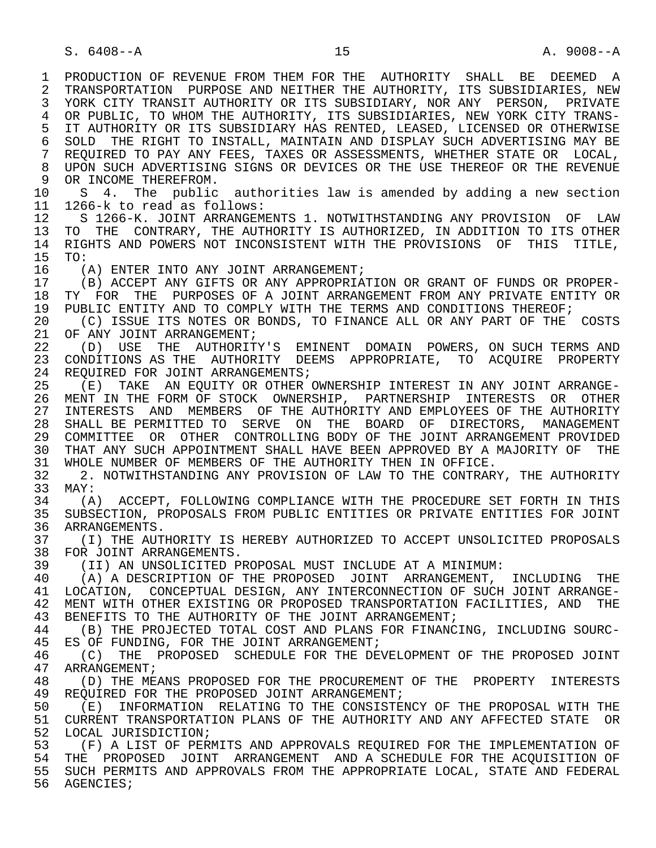1 PRODUCTION OF REVENUE FROM THEM FOR THE AUTHORITY SHALL BE DEEMED A<br>2 TRANSPORTATION PURPOSE AND NEITHER THE AUTHORITY, ITS SUBSIDIARIES, NEW 2 TRANSPORTATION PURPOSE AND NEITHER THE AUTHORITY, ITS SUBSIDIARIES, NEW<br>3 YORK CITY TRANSIT AUTHORITY OR ITS SUBSIDIARY, NOR ANY PERSON, PRIVATE 3 YORK CITY TRANSIT AUTHORITY OR ITS SUBSIDIARY, NOR ANY PERSON, PRIVATE 4 OR PUBLIC, TO WHOM THE AUTHORITY, ITS SUBSIDIARIES, NEW YORK CITY TRANS-<br>5 IT AUTHORITY OR ITS SUBSIDIARY HAS RENTED, LEASED, LICENSED OR OTHERWISE 5 IT AUTHORITY OR ITS SUBSIDIARY HAS RENTED, LEASED, LICENSED OR OTHERWISE<br>6 SOLD THE RIGHT TO INSTALL, MAINTAIN AND DISPLAY SUCH ADVERTISING MAY BE 6 SOLD THE RIGHT TO INSTALL, MAINTAIN AND DISPLAY SUCH ADVERTISING MAY BE 6 SOLD. THE RIGHT OF ANY FEES, TAXES OR ASSESSMENTS, WHETHER STATE OR LOCAL. REQUIRED TO PAY ANY FEES, TAXES OR ASSESSMENTS, WHETHER STATE OR LOCAL, 8 UPON SUCH ADVERTISING SIGNS OR DEVICES OR THE USE THEREOF OR THE REVENUE 9 OR INCOME THEREFROM.<br>10 S 4 The public 10 S 4. The public authorities law is amended by adding a new section<br>11 1266-k to read as follows: 11 1266-k to read as follows:<br>12 S 1266-K. JOINT ARRANGEM 12 S 1266-K. JOINT ARRANGEMENTS 1. NOTWITHSTANDING ANY PROVISION OF LAW<br>13 TO THE CONTRARY, THE AUTHORITY IS AUTHORIZED, IN ADDITION TO ITS OTHER 13 TO THE CONTRARY, THE AUTHORITY IS AUTHORIZED, IN ADDITION TO ITS OTHER<br>14 RIGHTS AND POWERS NOT INCONSISTENT WITH THE PROVISIONS OF THIS TITLE. 14 RIGHTS AND POWERS NOT INCONSISTENT WITH THE PROVISIONS OF THIS TITLE,<br>15 TO: 15 TO:<br>16 (1 16 (A) ENTER INTO ANY JOINT ARRANGEMENT;<br>17 (B) ACCEPT ANY GIFTS OR ANY APPROPRIA 17 (B) ACCEPT ANY GIFTS OR ANY APPROPRIATION OR GRANT OF FUNDS OR PROPER-<br>18 TY FOR THE PURPOSES OF A JOINT ARRANGEMENT FROM ANY PRIVATE ENTITY OR 18 TY FOR THE PURPOSES OF A JOINT ARRANGEMENT FROM ANY PRIVATE ENTITY OR<br>19 PUBLIC ENTITY AND TO COMPLY WITH THE TERMS AND CONDITIONS THEREOF; 19 PUBLIC ENTITY AND TO COMPLY WITH THE TERMS AND CONDITIONS THEREOF;<br>20 (C) ISSUE ITS NOTES OR BONDS, TO FINANCE ALL OR ANY PART OF THE 20 (C) ISSUE ITS NOTES OR BONDS, TO FINANCE ALL OR ANY PART OF THE COSTS<br>21 OF ANY JOINT ARRANGEMENT; 21 OF ANY JOINT ARRANGEMENT;<br>22 (D) USE THE AUTHORITY 22 (D) USE THE AUTHORITY'S EMINENT DOMAIN POWERS, ON SUCH TERMS AND<br>23 CONDITIONS AS THE AUTHORITY DEEMS APPROPRIATE, TO ACOUIRE PROPERTY 23 CONDITIONS AS THE AUTHORITY DEEMS APPROPRIATE, TO ACQUIRE PROPERTY 24 REQUIRED FOR JOINT ARRANGEMENTS;<br>25 (E) TAKE AN EOUITY OR OTHER O 25 (E) TAKE AN EQUITY OR OTHER OWNERSHIP INTEREST IN ANY JOINT ARRANGE- 26 MENT IN THE FORM OF STOCK OWNERSHIP, PARTNERSHIP INTERESTS OR OTHER<br>27 INTERESTS AND MEMBERS OF THE AUTHORITY AND EMPLOYEES OF THE AUTHORITY 27 INTERESTS AND MEMBERS OF THE AUTHORITY AND EMPLOYEES OF THE AUTHORITY<br>28 SHALL BE PERMITTED TO SERVE ON THE BOARD OF DIRECTORS, MANAGEMENT 28 SHALL BE PERMITTED TO SERVE ON THE BOARD OF DIRECTORS, MANAGEMENT<br>29 COMMITTEE OR OTHER CONTROLLING BODY OF THE JOINT ARRANGEMENT PROVIDED 29 COMMITTEE OR OTHER CONTROLLING BODY OF THE JOINT ARRANGEMENT PROVIDED 30 THAT ANY SUCH APPOINTMENT SHALL HAVE BEEN APPROVED BY A MAJORITY OF THE 31 WHOLE NUMBER OF MEMBERS OF THE AUTHORITY THEN IN OFFICE. 31 WHOLE NUMBER OF MEMBERS OF THE AUTHORITY THEN IN OFFICE.<br>32 32 NOTWITHSTANDING ANY PROVISION OF LAW TO THE CONTRARY 32 2. NOTWITHSTANDING ANY PROVISION OF LAW TO THE CONTRARY, THE AUTHORITY<br>33 MAY: 33 MAY:<br>34  $(A)$ 34 (A) ACCEPT, FOLLOWING COMPLIANCE WITH THE PROCEDURE SET FORTH IN THIS<br>35 SUBSECTION, PROPOSALS FROM PUBLIC ENTITIES OR PRIVATE ENTITIES FOR JOINT 35 SUBSECTION, PROPOSALS FROM PUBLIC ENTITIES OR PRIVATE ENTITIES FOR JOINT<br>36 ARRANGEMENTS. ARRANGEMENTS. 37 (I) THE AUTHORITY IS HEREBY AUTHORIZED TO ACCEPT UNSOLICITED PROPOSALS<br>38 FOR JOINT ARRANGEMENTS. 38 FOR JOINT ARRANGEMENTS.<br>39 (II) AN UNSOLICITED P 39 (II) AN UNSOLICITED PROPOSAL MUST INCLUDE AT A MINIMUM: 40 (A) A DESCRIPTION OF THE PROPOSED JOINT ARRANGEMENT, INCLUDING THE 41 LOCATION. CONCEPTUAL DESIGN. ANY INTERCONNECTION OF SUCH JOINT ARRANGE-41 LOCATION, CONCEPTUAL DESIGN, ANY INTERCONNECTION OF SUCH JOINT ARRANGE-<br>42 MENT WITH OTHER EXISTING OR PROPOSED TRANSPORTATION FACILITIES, AND THE 42 MENT WITH OTHER EXISTING OR PROPOSED TRANSPORTATION FACILITIES, AND THE 43 RENEFITS TO THE AUTHORITY OF THE JOINT ARRANGEMENT: 43 BENEFITS TO THE AUTHORITY OF THE JOINT ARRANGEMENT;<br>44 (B) THE PROJECTED TOTAL COST AND PLANS FOR FINANC 44 (B) THE PROJECTED TOTAL COST AND PLANS FOR FINANCING, INCLUDING SOURC-<br>45 ES OF FUNDING, FOR THE JOINT ARRANGEMENT; ES OF FUNDING, FOR THE JOINT ARRANGEMENT; 46 (C) THE PROPOSED SCHEDULE FOR THE DEVELOPMENT OF THE PROPOSED JOINT 47 ARRANGEMENT: 47 ARRANGEMENT;<br>48 (D) THE ME. 48 (D) THE MEANS PROPOSED FOR THE PROCUREMENT OF THE PROPERTY INTERESTS<br>49 REOUIRED FOR THE PROPOSED JOINT ARRANGEMENT; 49 REQUIRED FOR THE PROPOSED JOINT ARRANGEMENT;<br>50 (E) INFORMATION RELATING TO THE CONSISTE 50 (E) INFORMATION RELATING TO THE CONSISTENCY OF THE PROPOSAL WITH THE 51 CURRENT TRANSPORTATION PLANS OF THE AUTHORITY AND ANY AFFECTED STATE OR 51 CURRENT TRANSPORTATION PLANS OF THE AUTHORITY AND ANY AFFECTED STATE OR 52 LOCAL JURISDICTION;<br>53 (F) A LIST OF PERN 53 THE REPORT OF PERMITS AND APPROVALS REQUIRED FOR THE IMPLEMENTATION OF SALL THE PROPOSED JOINT ARRANGEMENT AND A SCHEDULE FOR THE ACOULSITION OF 54 THE PROPOSED JOINT ARRANGEMENT AND A SCHEDULE FOR THE ACQUISITION OF<br>55 SUCH PERMITS AND APPROVALS FROM THE APPROPRIATE LOCAL, STATE AND FEDERAL 55 SUCH PERMITS AND APPROVALS FROM THE APPROPRIATE LOCAL, STATE AND FEDERAL 56 AGENCIES;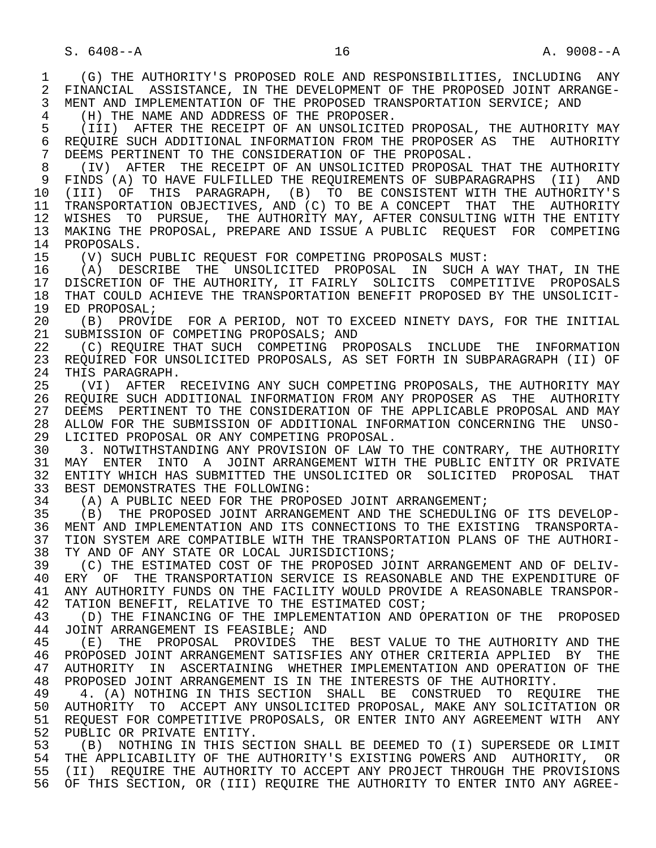1 (G) THE AUTHORITY'S PROPOSED ROLE AND RESPONSIBILITIES, INCLUDING ANY<br>2 FINANCIAL ASSISTANCE, IN THE DEVELOPMENT OF THE PROPOSED JOINT ARRANGE-2 FINANCIAL ASSISTANCE, IN THE DEVELOPMENT OF THE PROPOSED JOINT ARRANGE-<br>3 MENT AND IMPLEMENTATION OF THE PROPOSED TRANSPORTATION SERVICE; AND MENT AND IMPLEMENTATION OF THE PROPOSED TRANSPORTATION SERVICE; AND 4 (H) THE NAME AND ADDRESS OF THE PROPOSER.<br>5 (III) AFTER THE RECEIPT OF AN UNSOLICITE. 5 (III) AFTER THE RECEIPT OF AN UNSOLICITED PROPOSAL, THE AUTHORITY MAY<br>6 REOUIRE SUCH ADDITIONAL INFORMATION FROM THE PROPOSER AS THE AUTHORITY 6 REQUIRE SUCH ADDITIONAL INFORMATION FROM THE PROPOSER AS THE AUTHORITY<br>7 DEEMS PERTINENT TO THE CONSIDERATION OF THE PROPOSAL. 7 DEEMS PERTINENT TO THE CONSIDERATION OF THE PROPOSAL.<br>8 (IV) AFTER THE RECEIPT OF AN UNSOLICITED PROPOSAL

8 (IV) AFTER THE RECEIPT OF AN UNSOLICITED PROPOSAL THAT THE AUTHORITY<br>9 FINDS (A) TO HAVE FULFILLED THE REOUIREMENTS OF SUBPARAGRAPHS (II) AND 9 FINDS (A) TO HAVE FULFILLED THE REQUIREMENTS OF SUBPARAGRAPHS (II) AND<br>10 (III) OF THIS PARAGRAPH, (B) TO BE CONSISTENT WITH THE AUTHORITY'S 10 (III) OF THIS PARAGRAPH, (B) TO BE CONSISTENT WITH THE AUTHORITY'S<br>11 TRANSPORTATION OBJECTIVES, AND (C) TO BE A CONCEPT THAT THE AUTHORITY 11 TRANSPORTATION OBJECTIVES, AND (C) TO BE A CONCEPT THAT THE AUTHORITY<br>12 WISHES TO PURSUE, THE AUTHORITY MAY, AFTER CONSULTING WITH THE ENTITY 12 WISHES TO PURSUE, THE AUTHORITY MAY, AFTER CONSULTING WITH THE ENTITY 13 MAKING THE PROPOSAL, PREPARE AND ISSUE A PUBLIC REQUEST FOR COMPETING 14 PROPOSALS.

15 (V) SUCH PUBLIC REQUEST FOR COMPETING PROPOSALS MUST:<br>16 (A) DESCRIBE THE UNSOLICITED PROPOSAL IN SUCH A 16 (A) DESCRIBE THE UNSOLICITED PROPOSAL IN SUCH A WAY THAT, IN THE 17 DISCRETION OF THE AUTHORITY, IT FAIRLY SOLICITS COMPETITIVE PROPOSALS 17 DISCRETION OF THE AUTHORITY, IT FAIRLY SOLICITS COMPETITIVE PROPOSALS<br>18 THAT COULD ACHIEVE THE TRANSPORTATION BENEFIT PROPOSED BY THE UNSOLICIT-18 THAT COULD ACHIEVE THE TRANSPORTATION BENEFIT PROPOSED BY THE UNSOLICIT-<br>19 ED PROPOSAL: 19 ED PROPOSAL;<br>20 (B) PROVI

20 (B) PROVIDE FOR A PERIOD, NOT TO EXCEED NINETY DAYS, FOR THE INITIAL<br>21 SUBMISSION OF COMPETING PROPOSALS; AND 21 SUBMISSION OF COMPETING PROPOSALS; AND<br>22 (C) REOUIRE THAT SUCH COMPETING PRO

22 (C) REQUIRE THAT SUCH COMPETING PROPOSALS INCLUDE THE INFORMATION<br>23 REOUIRED FOR UNSOLICITED PROPOSALS, AS SET FORTH IN SUBPARAGRAPH (II) OF 23 REQUIRED FOR UNSOLICITED PROPOSALS, AS SET FORTH IN SUBPARAGRAPH (II) OF 24 THIS PARAGRAPH.<br>25 (VI) AFTER 1

 25 (VI) AFTER RECEIVING ANY SUCH COMPETING PROPOSALS, THE AUTHORITY MAY 26 REQUIRE SUCH ADDITIONAL INFORMATION FROM ANY PROPOSER AS THE AUTHORITY<br>27 DEEMS PERTINENT TO THE CONSIDERATION OF THE APPLICABLE PROPOSAL AND MAY 27 DEEMS PERTINENT TO THE CONSIDERATION OF THE APPLICABLE PROPOSAL AND MAY<br>28 ALLOW FOR THE SUBMISSION OF ADDITIONAL INFORMATION CONCERNING THE UNSO-28 ALLOW FOR THE SUBMISSION OF ADDITIONAL INFORMATION CONCERNING THE UNSO-<br>29 LICITED PROPOSAL OR ANY COMPETING PROPOSAL. 29 LICITED PROPOSAL OR ANY COMPETING PROPOSAL.<br>30 3. NOTWITHSTANDING ANY PROVISION OF LAW T

30 3. NOTWITHSTANDING ANY PROVISION OF LAW TO THE CONTRARY, THE AUTHORITY<br>31 MAY ENTER INTO A JOINT ARRANGEMENT WITH THE PUBLIC ENTITY OR PRIVATE 31 MAY ENTER INTO A JOINT-ARRANGEMENT-WITH-THE-PUBLIC-ENTITY-OR-PRIVATE<br>32 ENTITY-WHICH-HAS-SUBMITTED-THE-UNSOLICITED-OR-SOLICITED-PROPOSAL-THAT 32 ENTITY WHICH HAS SUBMITTED THE UNSOLICITED OR SOLICITED PROPOSAL THAT<br>33 BEST DEMONSTRATES THE FOLLOWING: 33 BEST DEMONSTRATES THE FOLLOWING:<br>34 (A) A PUBLIC NEED FOR THE PROP

34 (A) A PUBLIC NEED FOR THE PROPOSED JOINT ARRANGEMENT;<br>35 (B) THE PROPOSED JOINT ARRANGEMENT AND THE SCHEDULIN

35 (B) THE PROPOSED JOINT ARRANGEMENT AND THE SCHEDULING OF ITS DEVELOP-<br>36 MENT AND IMPLEMENTATION AND ITS CONNECTIONS TO THE EXISTING TRANSPORTA- 36 MENT AND IMPLEMENTATION AND ITS CONNECTIONS TO THE EXISTING TRANSPORTA- 37 TION SYSTEM ARE COMPATIBLE WITH THE TRANSPORTATION PLANS OF THE AUTHORI-<br>38 TY AND OF ANY STATE OR LOCAL JURISDICTIONS; 38 TY AND OF ANY STATE OR LOCAL JURISDICTIONS;<br>39 (C) THE ESTIMATED COST OF THE PROPOSED JOY

39 (C) THE ESTIMATED COST OF THE PROPOSED JOINT ARRANGEMENT AND OF DELIV-<br>40 ERY OF THE TRANSPORTATION SERVICE IS REASONABLE AND THE EXPENDITURE OF 40 ERY OF THE TRANSPORTATION SERVICE IS REASONABLE AND THE EXPENDITURE OF 41 ANY AUTHORTTY FUNDS ON THE FACTLITY WOULD PROVIDE A REASONABLE TRANSPOR-41 ANY AUTHORITY FUNDS ON THE FACILITY WOULD PROVIDE A REASONABLE TRANSPOR-<br>42 TATION BENEFIT, RELATIVE TO THE ESTIMATED COST; 42 TATION BENEFIT, RELATIVE TO THE ESTIMATED COST;<br>43 (D) THE FINANCING OF THE IMPLEMENTATION AND O

43 (D) THE FINANCING OF THE IMPLEMENTATION AND OPERATION OF THE PROPOSED<br>44 JOINT ARRANGEMENT IS FEASIBLE; AND 44 JOINT ARRANGEMENT IS FEASIBLE; AND<br>45 (E) THE PROPOSAL PROVIDES THE

 45 (E) THE PROPOSAL PROVIDES THE BEST VALUE TO THE AUTHORITY AND THE 46 PROPOSED JOINT ARRANGEMENT SATISFIES ANY OTHER CRITERIA APPLIED BY THE<br>47 AUTHORITY IN ASCERTAINING WHETHER IMPLEMENTATION AND OPERATION OF THE 47 AUTHORITY IN ASCERTAINING WHETHER IMPLEMENTATION AND OPERATION OF THE 48 PROPOSED JOINT ARRANGEMENT IS IN THE INTERESTS OF THE AUTHORITY. 48 PROPOSED JOINT ARRANGEMENT IS IN THE INTERESTS OF THE AUTHORITY.<br>49 4. (A) NOTHING IN THIS SECTION SHALL BE CONSTRUED TO REOU

49 4. (A) NOTHING IN THIS SECTION SHALL BE CONSTRUED TO REQUIRE THE 49 (A) NOTHING IN THIS SECTION SHALL BE CONSTRUED TO REQUIRE THE 50 AUTHORITY TO ACCEPT ANY UNSOLICITED PROPOSAL, MAKE ANY SOLICITATION OR<br>51 REOUEST FOR COMPETITIVE PROPOSALS, OR ENTER INTO ANY AGREEMENT WITH ANY 51 REQUEST FOR COMPETITIVE PROPOSALS, OR ENTER INTO ANY AGREEMENT WITH ANY 52 PUBLIC OR PRIVATE ENTITY. 52 PUBLIC OR PRIVATE ENTITY.<br>53 (B) NOTHING IN THIS SE

53 (B) NOTHING IN THIS SECTION SHALL BE DEEMED TO (I) SUPERSEDE OR LIMIT<br>54 THE APPLICABILITY OF THE AUTHORITY'S EXISTING POWERS AND AUTHORITY. OR 54 THE APPLICABILITY OF THE AUTHORITY'S EXISTING POWERS AND AUTHORITY, OR<br>55 (II) REOUIRE THE AUTHORITY TO ACCEPT ANY PROJECT THROUGH THE PROVISIONS (II) REQUIRE THE AUTHORITY TO ACCEPT ANY PROJECT THROUGH THE PROVISIONS 56 OF THIS SECTION, OR (III) REQUIRE THE AUTHORITY TO ENTER INTO ANY AGREE-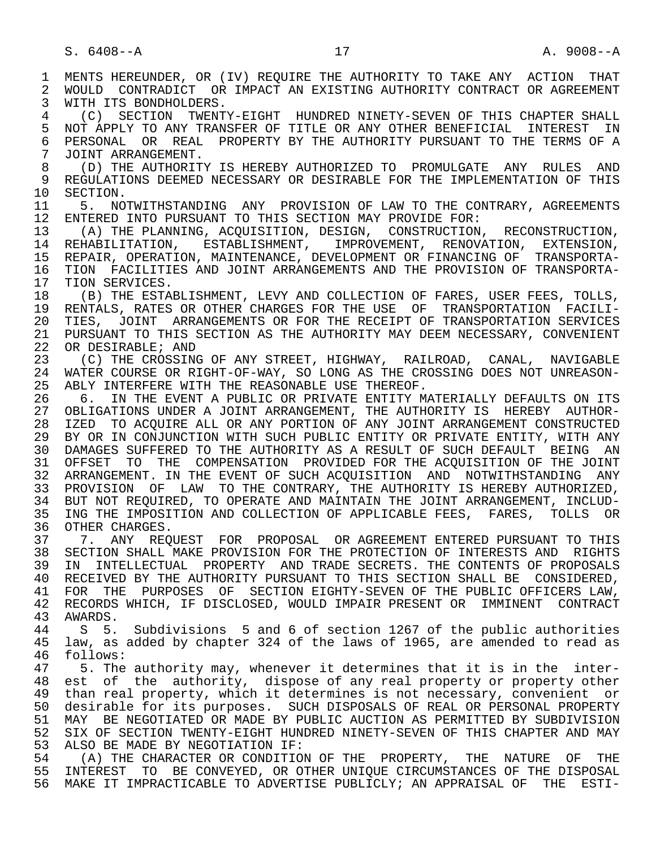1 MENTS HEREUNDER, OR (IV) REQUIRE THE AUTHORITY TO TAKE ANY ACTION THAT<br>2 WOULD CONTRADICT OR IMPACT AN EXISTING AUTHORITY CONTRACT OR AGREEMENT 2 WOULD CONTRADICT OR IMPACT AN EXISTING AUTHORITY CONTRACT OR AGREEMENT<br>3 WITH ITS BONDHOLDERS. WITH ITS BONDHOLDERS. 4 (C) SECTION TWENTY-EIGHT HUNDRED NINETY-SEVEN OF THIS CHAPTER SHALL<br>5 NOT APPLY TO ANY TRANSFER OF TITLE OR ANY OTHER BENEFICIAL INTEREST IN 5 NOT APPLY TO ANY TRANSFER OF TITLE OR ANY OTHER BENEFICIAL INTEREST IN<br>6 PERSONAL OR REAL PROPERTY BY THE AUTHORITY PURSUANT TO THE TERMS OF A 6 PERSONAL OR REAL PROPERTY BY THE AUTHORITY PURSUANT TO THE TERMS OF A<br>7 JOINT ARRANGEMENT. 7 JOINT ARRANGEMENT. 8 (D) THE AUTHORITY IS HEREBY AUTHORIZED TO PROMULGATE ANY RULES AND<br>9 REGULATIONS DEEMED NECESSARY OR DESIRABLE FOR THE IMPLEMENTATION OF THIS 9 REGULATIONS DEEMED NECESSARY OR DESIRABLE FOR THE IMPLEMENTATION OF THIS<br>10 SECTION. 10 SECTION.<br>11 5. NO 11 5. NOTWITHSTANDING ANY PROVISION OF LAW TO THE CONTRARY, AGREEMENTS<br>12 ENTERED INTO PURSUANT TO THIS SECTION MAY PROVIDE FOR: 12 ENTERED INTO PURSUANT TO THIS SECTION MAY PROVIDE FOR:<br>13 (A) THE PLANNING, ACOUISITION, DESIGN, CONSTRUCTION 13 (A) THE PLANNING, ACQUISITION, DESIGN, CONSTRUCTION, RECONSTRUCTION,<br>14 REHABILITATION, ESTABLISHMENT, IMPROVEMENT, RENOVATION, EXTENSION, REHABILITATION, ESTABLISHMENT, IMPROVEMENT, RENOVATION, EXTENSION, 15 REPAIR, OPERATION, MAINTENANCE, DEVELOPMENT OR FINANCING OF TRANSPORTA- 16 TION FACILITIES AND JOINT ARRANGEMENTS AND THE PROVISION OF TRANSPORTA- 17 TION SERVICES.<br>18 (B) THE ESTA 18 (B) THE ESTABLISHMENT, LEVY AND COLLECTION OF FARES, USER FEES, TOLLS, 19 RENTALS, RATES OR OTHER CHARGES FOR THE USE OF TRANSPORTATION FACILI-<br>20 TIES, JOINT ARRANGEMENTS OR FOR THE RECEIPT OF TRANSPORTATION SERVICES 20 TIES, JOINT ARRANGEMENTS OR FOR THE RECEIPT OF TRANSPORTATION SERVICES<br>21 PURSUANT TO THIS SECTION AS THE AUTHORITY MAY DEEM NECESSARY, CONVENIENT 21 PURSUANT TO THIS SECTION AS THE AUTHORITY MAY DEEM NECESSARY, CONVENIENT 22 OR DESIRABLE; AND 22 OR DESIRABLE; AND<br>23 (C) THE CROSSIN (C) THE CROSSING OF ANY STREET, HIGHWAY, RAILROAD, CANAL, NAVIGABLE 24 WATER COURSE OR RIGHT-OF-WAY, SO LONG AS THE CROSSING DOES NOT UNREASON-<br>25 ABLY INTERFERE WITH THE REASONABLE USE THEREOF. ABLY INTERFERE WITH THE REASONABLE USE THEREOF. 26 6. IN THE EVENT A PUBLIC OR PRIVATE ENTITY MATERIALLY DEFAULTS ON ITS 27 OBLIGATIONS UNDER A JOINT ARRANGEMENT, THE AUTHORITY IS HEREBY AUTHOR- 28 IZED TO ACQUIRE ALL OR ANY PORTION OF ANY JOINT ARRANGEMENT CONSTRUCTED 29 BY OR IN CONJUNCTION WITH SUCH PUBLIC ENTITY OR PRIVATE ENTITY, WITH ANY 30 DAMAGES SUFFERED TO THE AUTHORITY AS A RESULT OF SUCH DEFAULT BEING AN 31 OFFSET TO THE COMPENSATION PROVIDED FOR THE ACQUISITION OF THE JOINT 32 ARRANGEMENT. IN THE EVENT OF SUCH ACQUISITION AND NOTWITHSTANDING ANY 33 PROVISION OF LAW TO THE CONTRARY, THE AUTHORITY IS HEREBY AUTHORIZED, 34 BUT NOT REQUIRED, TO OPERATE AND MAINTAIN THE JOINT ARRANGEMENT, INCLUD- 35 ING THE IMPOSITION AND COLLECTION OF APPLICABLE FEES, FARES, TOLLS OR<br>36 OTHER CHARGES. OTHER CHARGES. 37 5. ANY REQUEST FOR PROPOSAL OR AGREEMENT ENTERED PURSUANT TO THIS<br>38 SECTION SHALL MAKE PROVISION FOR THE PROTECTION OF INTERESTS AND RIGHTS 38 SECTION SHALL MAKE PROVISION FOR THE PROTECTION OF INTERESTS AND RIGHTS<br>39 IN INTELLECTUAL PROPERTY AND TRADE SECRETS. THE CONTENTS OF PROPOSALS 39 IN INTELLECTUAL PROPERTY AND TRADE SECRETS. THE CONTENTS OF PROPOSALS 40 RECEIVED BY THE AUTHORITY PURSUANT TO THIS SECTION SHALL BE CONSIDERED, RECEIVED BY THE AUTHORITY PURSUANT TO THIS SECTION SHALL BE CONSIDERED, 41 FOR THE PURPOSES OF SECTION EIGHTY-SEVEN OF THE PUBLIC OFFICERS LAW, 42 RECORDS WHICH, IF DISCLOSED, WOULD IMPAIR PRESENT OR IMMINENT CONTRACT<br>43 AWARDS 43 AWARDS.<br>44 S 5. 44 S 5. Subdivisions 5 and 6 of section 1267 of the public authorities law, as added by chapter 324 of the laws of 1965, are amended to read as 46 follows:<br>47 5. The 5. The authority may, whenever it determines that it is in the inter- 48 est of the authority, dispose of any real property or property other 49 than real property, which it determines is not necessary, convenient or 50 desirable for its purposes. SUCH DISPOSALS OF REAL OR PERSONAL PROPERTY 51 MAY BE NEGOTIATED OR MADE BY PUBLIC AUCTION AS PERMITTED BY SUBDIVISION 52 SIX OF SECTION TWENTY-EIGHT HUNDRED NINETY-SEVEN OF THIS CHAPTER AND MAY 53 ALSO BE MADE BY NEGOTIATION IF:<br>54 (A) THE CHARACTER OR CONDITION (A) THE CHARACTER OR CONDITION OF THE PROPERTY, THE NATURE OF THE 55 INTEREST TO BE CONVEYED, OR OTHER UNIQUE CIRCUMSTANCES OF THE DISPOSAL 56 MAKE IT IMPRACTICABLE TO ADVERTISE PUBLICLY; AN APPRAISAL OF THE ESTI-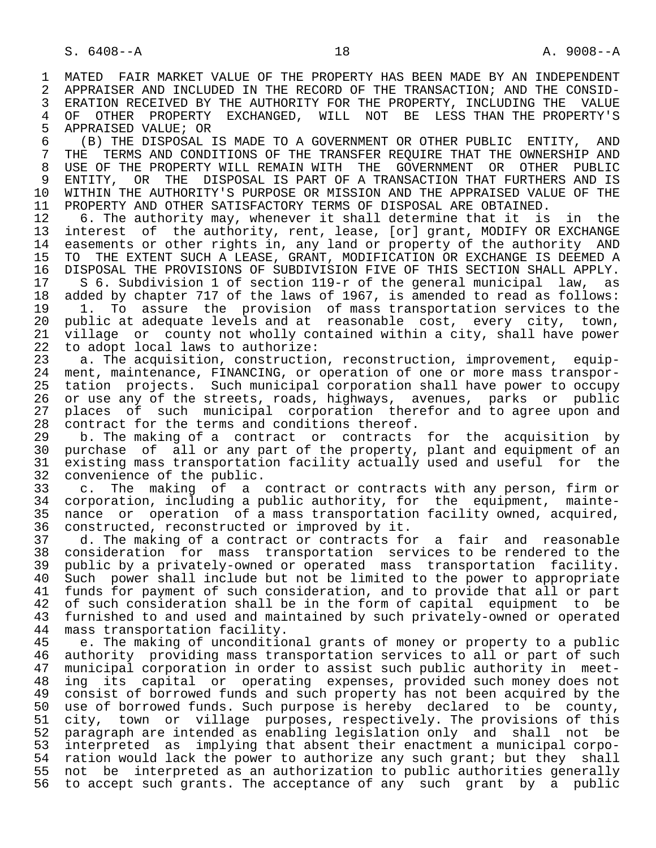1 MATED FAIR MARKET VALUE OF THE PROPERTY HAS BEEN MADE BY AN INDEPENDENT<br>2 APPRAISER AND INCLUDED IN THE RECORD OF THE TRANSACTION; AND THE CONSID-2 APPRAISER AND INCLUDED IN THE RECORD OF THE TRANSACTION; AND THE CONSID-<br>3 ERATION RECEIVED BY THE AUTHORITY FOR THE PROPERTY, INCLUDING THE VALUE ERATION RECEIVED BY THE AUTHORITY FOR THE PROPERTY, INCLUDING THE VALUE 4 OF OTHER PROPERTY EXCHANGED, WILL NOT BE LESS THAN THE PROPERTY'S<br>5 APPRAISED VALUE; OR 5 APPRAISED VALUE; OR<br>6 (B) THE DISPOSAL

 6 (B) THE DISPOSAL IS MADE TO A GOVERNMENT OR OTHER PUBLIC ENTITY, AND 7 THE TERMS AND CONDITIONS OF THE TRANSFER REQUIRE THAT THE OWNERSHIP AND 8 USE OF THE PROPERTY WILL REMAIN WITH THE GOVERNMENT OR OTHER PUBLIC<br>9 ENTITY, OR THE DISPOSAL IS PART OF A TRANSACTION THAT FURTHERS AND IS 9 ENTITY, OR THE DISPOSAL IS PART OF A TRANSACTION THAT FURTHERS AND IS<br>10 WITHIN THE AUTHORITY'S PURPOSE OR MISSION AND THE APPRAISED VALUE OF THE 10 WITHIN THE AUTHORITY'S PURPOSE OR MISSION AND THE APPRAISED VALUE OF THE 11 PROPERTY AND OTHER SATISFACTORY TERMS OF DISPOSAL ARE OBTAINED. 11 PROPERTY AND OTHER SATISFACTORY TERMS OF DISPOSAL ARE OBTAINED.<br>12 6. The authority may, whenever it shall determine that it is

12 6. The authority may, whenever it shall determine that it is in the<br>13 interest of the authority, rent, lease, [or] grant, MODIFY OR EXCHANGE 13 interest of the authority, rent, lease, [or] grant, MODIFY OR EXCHANGE<br>14 easements or other rights in, any land or property of the authority AND 14 easements or other rights in, any land or property of the authority AND<br>15 TO THE EXTENT SUCH A LEASE, GRANT, MODIFICATION OR EXCHANGE IS DEEMED A 15 TO THE EXTENT SUCH A LEASE, GRANT, MODIFICATION OR EXCHANGE IS DEEMED A<br>16 DISPOSAL THE PROVISIONS OF SUBDIVISION FIVE OF THIS SECTION SHALL APPLY. 16 DISPOSAL THE PROVISIONS OF SUBDIVISION FIVE OF THIS SECTION SHALL APPLY.<br>17 S 6. Subdivision 1 of section 119-r of the general municipal law, as 17 S 6. Subdivision 1 of section 119-r of the general municipal law, as<br>18 added by chapter 717 of the laws of 1967, is amended to read as follows:

18 added by chapter 717 of the laws of 1967, is amended to read as follows:<br>19 1. To assure the provision of mass transportation services to the 19 1. To assure the provision of mass transportation services to the<br>20 public at adequate levels and at reasonable cost, every city, town, 20 public at adequate levels and at reasonable cost, every city, town,<br>21 village or county not wholly contained within a city, shall have power 21 village or county not wholly contained within a city, shall have power<br>22 to adopt local laws to authorize: 22 to adopt local laws to authorize:<br>23 a. The acquisition, constructio

a. The acquisition, construction, reconstruction, improvement, equip-24 ment, maintenance, FINANCING, or operation of one or more mass transpor-<br>25 tation projects. Such municipal corporation shall have power to occupy 25 tation projects. Such municipal corporation shall have power to occupy 26 or use any of the streets, roads, highways, avenues, parks or public<br>27 places of such municipal corporation therefor and to agree upon and 27 places of such municipal corporation therefor and to agree upon and 28 contract for the terms and conditions thereof. 28 contract for the terms and conditions thereof.<br>29 b. The making of a contract or contracts

29 b. The making of a contract or contracts for the acquisition by<br>30 purchase of all or any part of the property, plant and equipment of an 30 purchase of all or any part of the property, plant and equipment of an<br>31 existing mass transportation facility actually used and useful for the 31 existing mass transportation facility actually used and useful for the<br>32 convenience of the public. 32 convenience of the public.<br>33 c. The making of a

33 c. The making of a contract or contracts with any person, firm or<br>34 corporation, including a public authority, for the equipment, mainte-34 corporation, including a public authority, for the equipment, mainte-<br>35 nance or operation of a mass transportation facility owned, acquired, 35 nance or operation of a mass transportation facility owned, acquired,<br>36 constructed, reconstructed or improved by it. constructed, reconstructed or improved by it.

 37 d. The making of a contract or contracts for a fair and reasonable 38 consideration for mass transportation services to be rendered to the<br>39 public by a privately-owned or operated mass transportation facility. 39 public by a privately-owned or operated mass transportation facility.<br>40 Such power shall include but not be limited to the power to appropriate Such power shall include but not be limited to the power to appropriate 41 funds for payment of such consideration, and to provide that all or part<br>42 of such consideration shall be in the form of capital equipment to be 42 of such consideration shall be in the form of capital equipment to be<br>43 furnished to and used and maintained by such privately-owned or operated 43 furnished to and used and maintained by such privately-owned or operated 44 mass transportation facility. 44 mass transportation facility.<br>45 e. The making of unconditio

e. The making of unconditional grants of money or property to a public 46 authority providing mass transportation services to all or part of such<br>47 municipal corporation in order to assist such public authority in meetmunicipal corporation in order to assist such public authority in meet-48 ing its capital or operating expenses, provided such money does not<br>49 consist of borrowed funds and such property has not been acquired by the 49 consist of borrowed funds and such property has not been acquired by the<br>50 use of borrowed funds. Such purpose is hereby declared to be county. 50 use of borrowed funds. Such purpose is hereby declared to be county,<br>51 city, town or village purposes, respectively. The provisions of this city, town or village purposes, respectively. The provisions of this 52 paragraph are intended as enabling legislation only and shall not be<br>53 interpreted as implying that absent their enactment a municipal corpo-53 interpreted as implying that absent their enactment a municipal corpo-<br>54 ration would lack the power to authorize any such grant; but they shall 54 ration would lack the power to authorize any such grant; but they shall<br>55 not be interpreted as an authorization to public authorities generally not be interpreted as an authorization to public authorities generally 56 to accept such grants. The acceptance of any such grant by a public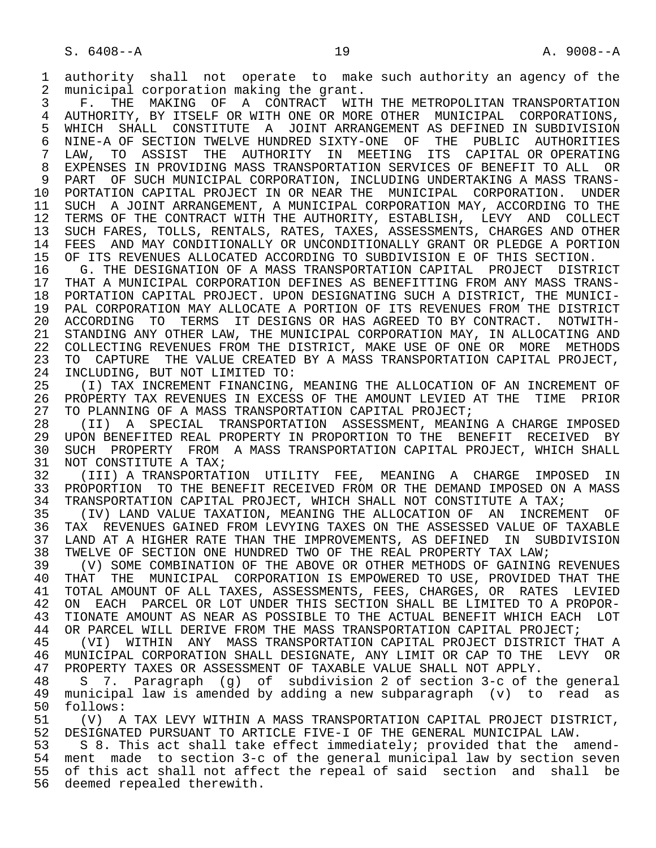1 authority shall not operate to make such authority an agency of the<br>2 municipal corporation making the grant. 2 municipal corporation making the grant.<br>3 F. THE MAKING OF A CONTRACT WITH

3 F. THE MAKING OF A CONTRACT WITH THE METROPOLITAN TRANSPORTATION<br>4 AUTHORITY, BY ITSELF OR WITH ONE OR MORE OTHER MUNICIPAL CORPORATIONS, 4 AUTHORITY, BY ITSELF OR WITH ONE OR MORE OTHER MUNICIPAL CORPORATIONS,<br>5 WHICH SHALL CONSTITUTE A JOINT ARRANGEMENT AS DEFINED IN SUBDIVISION 5 WHICH SHALL CONSTITUTE A JOINT-ARRANGEMENT AS DEFINED IN SUBDIVISION<br>6 NINE-A OF SECTION TWELVE HUNDRED SIXTY-ONE. OF THE PUBLIC AUTHORITIES 6 NINE-A OF SECTION TWELVE HUNDRED SIXTY-ONE OF THE PUBLIC AUTHORITIES LAW, TO ASSIST THE AUTHORITY IN MEETING ITS CAPITAL OR OPERATING 8 EXPENSES IN PROVIDING MASS TRANSPORTATION SERVICES OF BENEFIT TO ALL OR<br>9 PART OF SUCH MUNICIPAL CORPORATION, INCLUDING UNDERTAKING A MASS TRANS-9 PART OF SUCH MUNICIPAL CORPORATION, INCLUDING UNDERTAKING A MASS TRANS-<br>10 PORTATION CAPITAL PROJECT IN OR NEAR THE MUNICIPAL CORPORATION. UNDER 10 PORTATION CAPITAL PROJECT IN OR NEAR THE MUNICIPAL CORPORATION. UNDER<br>11 SUCH A JOINT ARRANGEMENT, A MUNICIPAL CORPORATION MAY, ACCORDING TO THE 11 SUCH A JOINT ARRANGEMENT, A MUNICIPAL CORPORATION MAY, ACCORDING TO THE 12 TERMS OF THE CONTRACT WITH THE AUTHORITY, ESTABLISH, LEVY AND COLLECT 12 TERMS OF THE CONTRACT WITH THE AUTHORITY, ESTABLISH, LEVY AND COLLECT<br>13 SUCH FARES, TOLLS, RENTALS, RATES, TAXES, ASSESSMENTS, CHARGES AND OTHER 13 SUCH FARES, TOLLS, RENTALS, RATES, TAXES, ASSESSMENTS, CHARGES AND OTHER<br>14 FEES AND MAY CONDITIONALLY OR UNCONDITIONALLY GRANT OR PLEDGE A PORTION FEES AND MAY CONDITIONALLY OR UNCONDITIONALLY GRANT OR PLEDGE A PORTION 15 OF ITS REVENUES ALLOCATED ACCORDING TO SUBDIVISION E OF THIS SECTION.<br>16 G. THE DESIGNATION OF A MASS TRANSPORTATION CAPITAL PROJECT DISTR

16 G. THE DESIGNATION OF A MASS TRANSPORTATION CAPITAL PROJECT DISTRICT<br>17 THAT A MUNICIPAL CORPORATION DEFINES AS BENEFITTING FROM ANY MASS TRANS-17 THAT A MUNICIPAL CORPORATION DEFINES AS BENEFITTING FROM ANY MASS TRANS-<br>18 PORTATION CAPITAL PROJECT. UPON DESIGNATING SUCH A DISTRICT, THE MUNICI-18 PORTATION CAPITAL PROJECT. UPON DESIGNATING SUCH A DISTRICT, THE MUNICI-<br>19 PAL CORPORATION MAY ALLOCATE A PORTION OF ITS REVENUES FROM THE DISTRICT 19 PAL CORPORATION MAY ALLOCATE A PORTION OF ITS REVENUES FROM THE DISTRICT 20 ACCORDING TO TERMS IT DESIGNS OR HAS AGREED TO BY CONTRACT. NOTWITH-<br>21 STANDING ANY OTHER LAW, THE MUNICIPAL CORPORATION MAY, IN ALLOCATING AND 21 STANDING ANY OTHER LAW, THE MUNICIPAL CORPORATION MAY, IN ALLOCATING AND<br>22 COLLECTING REVENUES FROM THE DISTRICT, MAKE USE OF ONE OR MORE METHODS 22 COLLECTING REVENUES FROM THE DISTRICT, MAKE USE OF ONE OR MORE METHODS<br>23 TO CAPTURE THE VALUE CREATED BY A MASS TRANSPORTATION CAPITAL PROJECT, 23 TO CAPTURE THE VALUE CREATED BY A MASS TRANSPORTATION CAPITAL PROJECT,<br>24 INCLUDING, BUT NOT LIMITED TO: 24 INCLUDING, BUT NOT LIMITED TO:<br>25 (I) TAX INCREMENT FINANCING.

(I) TAX INCREMENT FINANCING, MEANING THE ALLOCATION OF AN INCREMENT OF 26 PROPERTY TAX REVENUES IN EXCESS OF THE AMOUNT LEVIED AT THE TIME PRIOR<br>27 TO PLANNING OF A MASS TRANSPORTATION CAPITAL PROJECT; 27 TO PLANNING OF A MASS TRANSPORTATION CAPITAL PROJECT;<br>28 (II) A SPECIAL TRANSPORTATION ASSESSMENT, MEANI

 28 (II) A SPECIAL TRANSPORTATION ASSESSMENT, MEANING A CHARGE IMPOSED 29 UPON BENEFITED REAL PROPERTY IN PROPORTION TO THE BENEFIT RECEIVED BY<br>30 SUCH PROPERTY FROM A MASS TRANSPORTATION CAPITAL PROJECT, WHICH SHALL 30 SUCH PROPERTY FROM A MASS TRANSPORTATION CAPITAL PROJECT, WHICH SHALL 31 NOT CONSTITUTE A TAX; 31 NOT CONSTITUTE A TAX;<br>32 (III) A TRANSPORTAT

32 (III) A TRANSPORTATION UTILITY FEE, MEANING A CHARGE IMPOSED IN<br>33 PROPORTION TO THE BENEFIT RECEIVED FROM OR THE DEMAND IMPOSED ON A MASS 33 PROPORTION TO THE BENEFIT RECEIVED FROM OR THE DEMAND IMPOSED ON A MASS<br>34 TRANSPORTATION CAPITAL PROJECT, WHICH SHALL NOT CONSTITUTE A TAX; 34 TRANSPORTATION CAPITAL PROJECT, WHICH SHALL NOT CONSTITUTE A TAX;<br>35 (IV) LAND VALUE TAXATION, MEANING THE ALLOCATION OF AN INCREM

35 (IV) LAND VALUE TAXATION, MEANING THE ALLOCATION OF AN INCREMENT OF<br>36 TAX REVENUES GAINED FROM LEVYING TAXES ON THE ASSESSED VALUE OF TAXABLE 36 TAX REVENUES GAINED FROM LEVYING TAXES ON THE ASSESSED VALUE OF TAXABLE 37 LAND AT A HIGHER RATE THAN THE IMPROVEMENTS, AS DEFINED IN SUBDIVISION<br>38 TWELVE OF SECTION ONE HUNDRED TWO OF THE REAL PROPERTY TAX LAW; 38 TWELVE OF SECTION ONE HUNDRED TWO OF THE REAL PROPERTY TAX LAW;<br>39 (V) SOME COMBINATION OF THE ABOVE OR OTHER METHODS OF GAINING

39 (V) SOME COMBINATION OF THE ABOVE OR OTHER METHODS OF GAINING REVENUES<br>40 THAT THE MUNICIPAL CORPORATION IS EMPOWERED TO USE, PROVIDED THAT THE 40 THAT THE MUNICIPAL CORPORATION IS EMPOWERED TO USE, PROVIDED THAT THE 41 TOTAL AMOUNT OF ALL TAXES, ASSESSMENTS, FEES, CHARGES, OR RATES LEVIED 41 TOTAL AMOUNT OF ALL TAXES, ASSESSMENTS, FEES, CHARGES, OR RATES LEVIED<br>42 ON EACH PARCEL OR LOT UNDER THIS SECTION SHALL BE LIMITED TO A PROPOR-42 ON EACH PARCEL OR LOT UNDER THIS SECTION SHALL BE LIMITED TO A PROPOR-<br>43 TIONATE AMOUNT AS NEAR AS POSSIBLE TO THE ACTUAL BENEFIT WHICH EACH LOT 43 TIONATE AMOUNT AS NEAR AS POSSIBLE TO THE ACTUAL BENEFIT WHICH EACH LOT<br>44 OR PARCEL WILL DERIVE FROM THE MASS TRANSPORTATION CAPITAL PROJECT; 44 OR PARCEL WILL DERIVE FROM THE MASS TRANSPORTATION CAPITAL PROJECT;<br>45 (VI) WITHIN ANY MASS TRANSPORTATION CAPITAL PROJECT DISTRICT T

45 (VI) WITHIN ANY MASS TRANSPORTATION CAPITAL PROJECT DISTRICT THAT A<br>46 MUNICIPAL CORPORATION SHALL DESIGNATE, ANY LIMIT OR CAP TO THE TEVY OR 46 MUNICIPAL CORPORATION SHALL DESIGNATE, ANY LIMIT OR CAP TO THE LEVY OR<br>47 PROPERTY TAXES OR ASSESSMENT OF TAXABLE VALUE SHALL NOT APPLY. 47 PROPERTY TAXES OR ASSESSMENT OF TAXABLE VALUE SHALL NOT APPLY.<br>48 S 7. Paragraph (g) of subdivision 2 of section 3-c of t

48 S 7. Paragraph (g) of subdivision 2 of section 3-c of the general<br>49 municipal law is amended by adding a new subparagraph (v) to read as 49 municipal law is amended by adding a new subparagraph (v) to read as 50 follows:<br>51 (V) A

51 (V) A TAX LEVY WITHIN A MASS TRANSPORTATION CAPITAL PROJECT DISTRICT,<br>52 DESIGNATED PURSUANT TO ARTICLE FIVE-I OF THE GENERAL MUNICIPAL LAW. 52 DESIGNATED PURSUANT TO ARTICLE FIVE-I OF THE GENERAL MUNICIPAL LAW.<br>53 S 8. This act shall take effect immediately; provided that the a

53 S 8. This act shall take effect immediately; provided that the amend-<br>54 ment made to section 3-c of the general municipal law by section seven 54 ment made to section 3-c of the general municipal law by section seven<br>55 of this act shall not affect the repeal of said section and shall be of this act shall not affect the repeal of said section and shall be 56 deemed repealed therewith.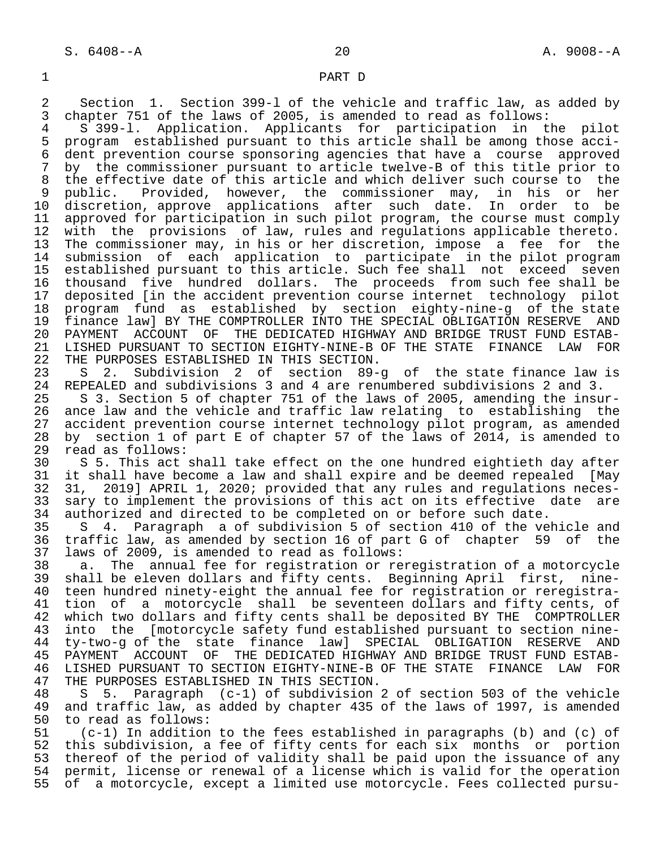### 1 PART D

2 Section 1. Section 399-1 of the vehicle and traffic law, as added by<br>3 chapter 751 of the laws of 2005, is amended to read as follows: 3 chapter 751 of the laws of 2005, is amended to read as follows:<br>4 5 399-1. Application. Applicants for participation in t

 4 S 399-l. Application. Applicants for participation in the pilot 5 program established pursuant to this article shall be among those acci- 6 dent prevention course sponsoring agencies that have a course approved<br>7 by the commissioner pursuant to article twelve-B of this title prior to by the commissioner pursuant to article twelve-B of this title prior to 8 the effective date of this article and which deliver such course to the<br>9 public. Provided, however, the commissioner may, in his or her 9 public. Provided, however, the commissioner may, in his or<br>10 discretion, approve applications after such date. In order to 10 discretion, approve applications after such date. In order to be<br>11 approved for participation in such pilot program, the course must comply 11 approved for participation in such pilot program, the course must comply<br>12 with the provisions of law, rules and regulations applicable thereto. 12 with the provisions of law, rules and regulations applicable thereto.<br>13 The commissioner may, in his or her discretion, impose a fee for the The commissioner may, in his or her discretion, impose a fee for the 14 submission of each application to participate in the pilot program 15 established pursuant to this article. Such fee shall not exceed seven<br>16 thousand five hundred dollars. The proceeds from such fee shall be 16 thousand five hundred dollars. The proceeds from such fee shall be<br>17 deposited [in the accident prevention course internet technology pilot 17 deposited [in the accident prevention course internet technology pilot<br>18 program fund as established by section eighty-nine-g of the state 18 program fund as established by section eighty-nine-g of the state 19 finance law] BY THE COMPTROLLER INTO THE SPECIAL OBLIGATION RESERVE AND<br>20 PAYMENT ACCOUNT OF THE DEDICATED HIGHWAY AND BRIDGE TRUST FUND ESTAB-20 PAYMENT ACCOUNT OF THE DEDICATED HIGHWAY AND BRIDGE TRUST FUND ESTAB-<br>21 LISHED PURSUANT TO SECTION EIGHTY-NINE-B OF THE STATE FINANCE LAW FOR 21 LISHED PURSUANT TO SECTION EIGHTY-NINE-B OF THE STATE FINANCE LAW FOR<br>22 THE PURPOSES ESTABLISHED IN THIS SECTION. 22 THE PURPOSES ESTABLISHED IN THIS SECTION.<br>23 S 2. Subdivision 2 of section 89-

23 S 2. Subdivision 2 of section 89-g of the state finance law is<br>24 REPEALED and subdivisions 3 and 4 are renumbered subdivisions 2 and 3. 24 REPEALED and subdivisions 3 and 4 are renumbered subdivisions 2 and 3.

25 S 3. Section 5 of chapter 751 of the laws of 2005, amending the insur-<br>26 ance law and the vehicle and traffic law relating to establishing the 26 ance law and the vehicle and traffic law relating to establishing the<br>27 accident prevention course internet technology pilot program, as amended 27 accident prevention course internet technology pilot program, as amended<br>28 by section 1 of part E of chapter 57 of the laws of 2014, is amended to 28 by section 1 of part E of chapter 57 of the laws of 2014, is amended to 29 read as follows: 29 read as follows:<br>30 S 5. This act

30 S 5. This act shall take effect on the one hundred eightieth day after<br>31 it shall have become a law and shall expire and be deemed repealed [May 31 it shall have become a law and shall expire and be deemed repealed [May<br>32 31, 2019] APRIL 1, 2020; provided that any rules and regulations neces- 32 31, 2019] APRIL 1, 2020; provided that any rules and regulations neces- 33 sary to implement the provisions of this act on its effective date are<br>34 authorized and directed to be completed on or before such date. 34 authorized and directed to be completed on or before such date.<br>35 S 4. Paragraph a of subdivision 5 of section 410 of the ve

S 4. Paragraph a of subdivision 5 of section 410 of the vehicle and 36 traffic law, as amended by section 16 of part G of chapter 59 of the 37 laws of 2009, is amended to read as follows:

38 a. The annual fee for registration or reregistration of a motorcycle<br>39 shall be eleven dollars and fifty cents. Beginning April first, nine- 39 shall be eleven dollars and fifty cents. Beginning April first, nine- 40 teen hundred ninety-eight the annual fee for registration or reregistra-<br>41 tion of a motorcycle shall be seventeen dollars and fifty cents, of 41 tion of a motorcycle shall be seventeen dollars and fifty cents, of<br>42 which two dollars and fifty cents shall be deposited BY THE COMPTROLLER 42 which two dollars and fifty cents shall be deposited BY THE COMPTROLLER<br>43 into the [motorcycle safety fund established pursuant to section nine-43 into the [motorcycle safety fund established pursuant to section nine-<br>44 ty-two-g of the state finance law] SPECIAL OBLIGATION RESERVE AND 44 ty-two-g of the state finance law] SPECIAL OBLIGATION RESERVE AND 45 PAYMENT ACCOUNT OF THE DEDICATED HIGHWAY AND BRIDGE TRUST FUND ESTAB-<br>46 LISHED PURSUANT TO SECTION EIGHTY-NINE-B OF THE STATE FINANCE LAW FOR 46 LISHED PURSUANT TO SECTION EIGHTY-NINE-B OF THE STATE FINANCE LAW FOR<br>47 THE PURPOSES ESTABLISHED IN THIS SECTION. 47 THE PURPOSES ESTABLISHED IN THIS SECTION.<br>48 S 5. Paragraph (c-1) of subdivision

 48 S 5. Paragraph (c-1) of subdivision 2 of section 503 of the vehicle 49 and traffic law, as added by chapter 435 of the laws of 1997, is amended 50 to read as follows: 50 to read as follows:<br>51 (c-1) In addition

 51 (c-1) In addition to the fees established in paragraphs (b) and (c) of 52 this subdivision, a fee of fifty cents for each six months or portion<br>53 thereof of the period of validity shall be paid upon the issuance of any 53 thereof of the period of validity shall be paid upon the issuance of any<br>54 permit, license or renewal of a license which is valid for the operation 54 permit, license or renewal of a license which is valid for the operation<br>55 of a motorcycle, except a limited use motorcycle. Fees collected pursu-55 of a motorcycle, except a limited use motorcycle. Fees collected pursu-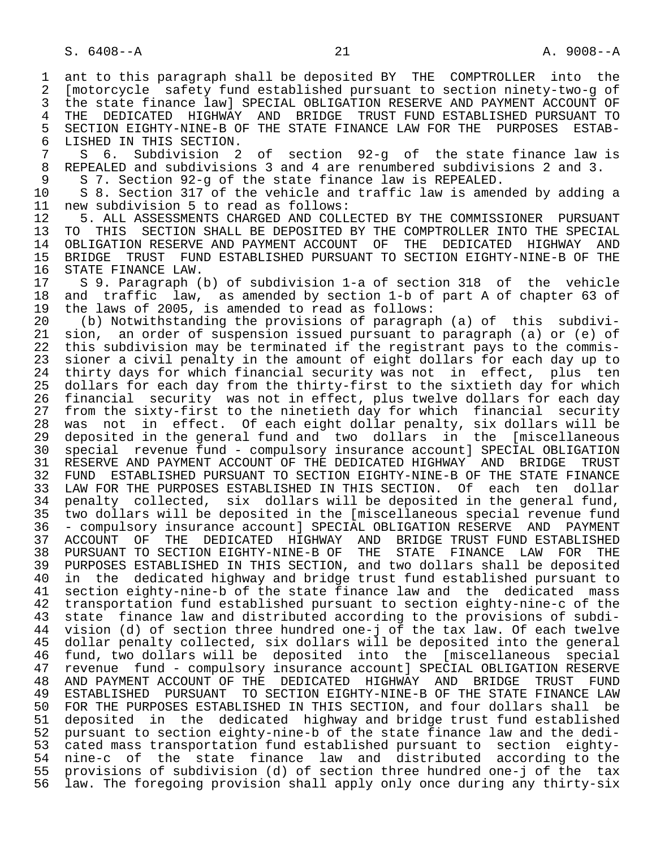1 ant to this paragraph shall be deposited BY THE COMPTROLLER into the<br>2 Imotorcycle safety fund established pursuant to section ninety-two-g of 2 [motorcycle safety fund established pursuant to section ninety-two-g of 3 the state finance law] SPECIAL OBLIGATION RESERVE AND PAYMENT ACCOUNT OF<br>4 THE DEDICATED HIGHWAY AND BRIDGE TRUST FUND ESTABLISHED PURSUANT TO 4 THE DEDICATED HIGHWAY AND BRIDGE TRUST\_FUND\_ESTABLISHED\_PURSUANT\_TO<br>5 SECTION\_EIGHTY-NINE-B\_OF\_THE\_STATE\_FINANCE\_LAW\_FOR\_THE\_\_PURPOSES\_\_ESTAB-5 SECTION EIGHTY-NINE-B OF THE STATE FINANCE LAW FOR THE PURPOSES ESTAB-<br>6 LISHED IN THIS SECTION. 6 LISHED IN THIS SECTION.<br>7 S 6. Subdivision 2 7 S 6. Subdivision 2 of section 92-g of the state finance law is<br>8 REPEALED and subdivisions 3 and 4 are renumbered subdivisions 2 and 3. 8 REPEALED and subdivisions 3 and 4 are renumbered subdivisions 2 and 3.<br>9 S 7. Section 92-g of the state finance law is REPEALED. 9 S 7. Section 92-g of the state finance law is REPEALED.<br>10 S 8. Section 317 of the vehicle and traffic law is amen 10 S 8. Section 317 of the vehicle and traffic law is amended by adding a<br>11 new subdivision 5 to read as follows: 11 new subdivision 5 to read as follows:<br>12 5. ALL ASSESSMENTS CHARGED AND COLL 12 5. ALL ASSESSMENTS CHARGED AND COLLECTED BY THE COMMISSIONER PURSUANT<br>13 TO THIS SECTION SHALL BE DEPOSITED BY THE COMPTROLLER INTO THE SPECIAL 13 TO THIS SECTION SHALL BE DEPOSITED BY THE COMPTROLLER INTO THE SPECIAL<br>14 OBLIGATION RESERVE AND PAYMENT ACCOUNT OF THE DEDICATED HIGHWAY AND 14 OBLIGATION RESERVE AND PAYMENT ACCOUNT OF THE DEDICATED HIGHWAY AND<br>15 BRIDGE TRUST FUND ESTABLISHED PURSUANT TO SECTION EIGHTY-NINE-B OF THE 15 BRIDGE TRUST FUND ESTABLISHED PURSUANT TO SECTION EIGHTY-NINE-B OF THE 16 STATE FINANCE LAW.<br>17 S 9. Paragraph ( 17 S 9. Paragraph (b) of subdivision 1-a of section 318 of the vehicle<br>18 and traffic law, as amended by section 1-b of part A of chapter 63 of 18 and traffic law, as amended by section 1-b of part A of chapter 63 of<br>19 the laws of 2005, is amended to read as follows: 19 the laws of 2005, is amended to read as follows:<br>20 (b) Notwithstanding the provisions of paragrap 20 (b) Notwithstanding the provisions of paragraph (a) of this subdivi-<br>21 sion, an order of suspension issued pursuant to paragraph (a) or (e) of 21 sion, an order of suspension issued pursuant to paragraph (a) or (e) of<br>22 this subdivision may be terminated if the registrant pays to the commis-22 this subdivision may be terminated if the registrant pays to the commis-<br>23 sioner a civil penalty in the amount of eight dollars for each day up to 23 sioner a civil penalty in the amount of eight dollars for each day up to<br>24 thirty days for which financial security was not in effect, plus ten 24 thirty days for which financial security was not in effect, plus ten<br>25 dollars for each day from the thirty-first to the sixtieth day for which dollars for each day from the thirty-first to the sixtieth day for which 26 financial security was not in effect, plus twelve dollars for each day 27 from the sixty-first to the ninetieth day for which financial security<br>28 was not in effect. Of each eight dollar penalty, six dollars will be 28 was not in effect. Of each eight dollar penalty, six dollars will be<br>29 deposited in the general fund and two dollars in the [miscellaneous 29 deposited in the general fund and two dollars in the [miscellaneous<br>30 special revenue fund - compulsory insurance accountl SPECIAL OBLIGATION 30 special revenue fund - compulsory insurance account] SPECIAL OBLIGATION 31 RESERVE AND PAYMENT ACCOUNT OF THE DEDICATED HIGHWAY AND BRIDGE TRUST<br>32 FUND ESTABLISHED PURSUANT TO SECTION EIGHTY-NINE-B OF THE STATE FINANCE 32 FUND ESTABLISHED PURSUANT TO SECTION EIGHTY-NINE-B OF THE STATE FINANCE<br>33 LAW FOR THE PURPOSES ESTABLISHED IN THIS SECTION. Of each ten dollar 33 LAW FOR THE PURPOSES ESTABLISHED IN THIS SECTION. Of each ten dollar<br>34 penalty collected, six dollars will be deposited in the general fund, 34 penalty collected, six dollars will be deposited in the general fund,<br>35 two dollars will be deposited in the [miscellaneous special revenue fund 35 two dollars will be deposited in the [miscellaneous special revenue fund - compulsory insurance account] SPECIAL OBLIGATION RESERVE AND PAYMENT 37 ACCOUNT OF THE DEDICATED HIGHWAY AND BRIDGE—TRUST—FUND—ESTABLISHED—<br>38 PURSUANT—TO SECTION—EIGHTY-NINE-B OF THE STATE—FINANCE—LAW—FOR—THE 38 PURSUANT TO SECTION EIGHTY-NINE-B OF<br>39 PURPOSES ESTABLISHED IN THIS SECTION. 39 PURPOSES ESTABLISHED IN THIS SECTION, and two dollars shall be deposited 40 in the dedicated highway and bridge trust fund established pursuant to<br>41 section eighty-nine-b of the state finance law and the dedicated mass 41 section eighty-nine-b of the state finance law and the dedicated mass<br>42 transportation fund established pursuant to section eighty-nine-c of the 42 transportation fund established pursuant to section eighty-nine-c of the<br>43 state finance law and distributed according to the provisions of subdi-43 state finance law and distributed according to the provisions of subdi-<br>44 vision (d) of section three hundred one-i of the tax law. Of each twelve 44 vision (d) of section three hundred one-j of the tax law. Of each twelve<br>45 dollar penalty collected, six dollars will be deposited into the general dollar penalty collected, six dollars will be deposited into the general 46 fund, two dollars will be deposited into the [miscellaneous special<br>47 revenue fund - compulsory insurance accountl SPECIAL OBLIGATION RESERVE 47 revenue fund - compulsory insurance account] SPECIAL OBLIGATION RESERVE 48 AND PAYMENT ACCOUNT OF THE DEDICATED HIGHWAY AND BRIDGE TRUST FUND<br>49 ESTABLISHED PURSUANT TO SECTION EIGHTY-NINE-B OF THE STATE FINANCE LAW 49 ESTABLISHED PURSUANT TO SECTION EIGHTY-NINE-B OF THE STATE FINANCE LAW<br>50 FOR THE PURPOSES ESTABLISHED IN THIS SECTION, and four dollars shall be 50 FOR THE PURPOSES ESTABLISHED IN THIS SECTION, and four dollars shall be<br>51 deposited in the dedicated highway and bridge trust fund established 51 deposited in the dedicated highway and bridge trust fund established<br>52 pursuant to section eighty-nine-b of the state finance law and the dedi- 52 pursuant to section eighty-nine-b of the state finance law and the dedi- 53 cated mass transportation fund established pursuant to section eighty-<br>54 nine-c of the state finance law and distributed according to the 54 nine-c of the state finance law and distributed according to the<br>55 provisions of subdivision (d) of section three hundred one-j of the tax 55 provisions of subdivision (d) of section three hundred one-j of the tax<br>56 law. The foregoing provision shall apply only once during any thirty-six law. The foregoing provision shall apply only once during any thirty-six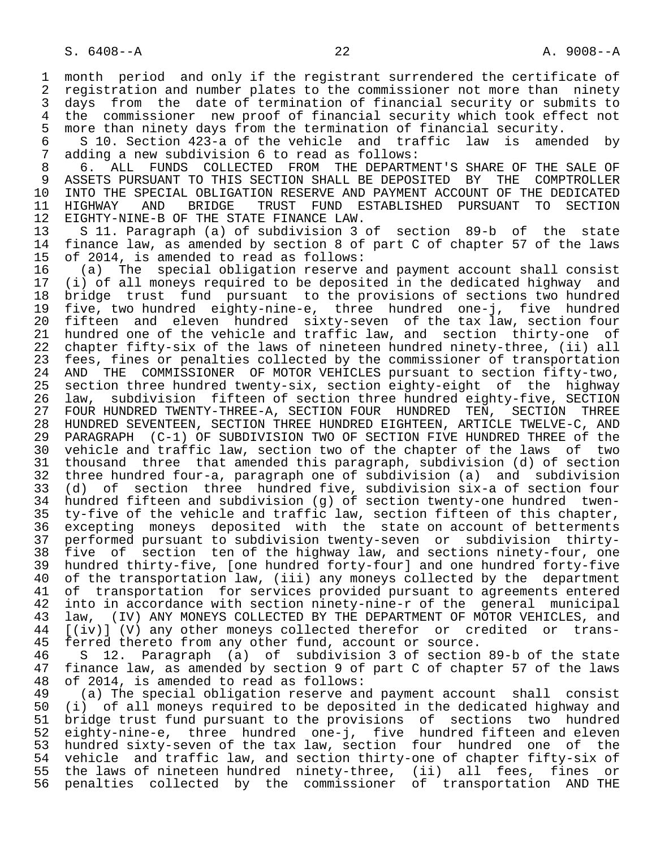1 month period and only if the registrant surrendered the certificate of<br>2 registration and number plates to the commissioner not more than ninety 2 registration and number plates to the commissioner not more than ninety<br>3 days from the date of termination of financial security or submits to 3 days from the date of termination of financial security or submits to<br>4 the commissioner new proof of financial security which took effect not 4 the commissioner new proof of financial security which took effect not<br>5 more than ninety days from the termination of financial security. 5 more than ninety days from the termination of financial security.<br>6 5 S 10. Section 423-a of the vehicle and traffic law is amen

 6 S 10. Section 423-a of the vehicle and traffic law is amended by 7 adding a new subdivision 6 to read as follows:<br>8 6 ALL, FUNDS COLLECTED FROM THE DEPARTM

 8 6. ALL FUNDS COLLECTED FROM THE DEPARTMENT'S SHARE OF THE SALE OF 9 ASSETS PURSUANT TO THIS SECTION SHALL BE DEPOSITED BY THE COMPTROLLER<br>10 INTO THE SPECIAL OBLIGATION RESERVE AND PAYMENT ACCOUNT OF THE DEDICATED 10 INTO THE SPECIAL OBLIGATION RESERVE AND PAYMENT ACCOUNT OF THE DEDICATED<br>11 HIGHWAY AND BRIDGE TRUST FUND ESTABLISHED PURSUANT TO SECTION 11 HIGHWAY AND BRIDGE TRUST FUND ESTABLISHED PURSUANT TO SECTION<br>12 EIGHTY-NINE-BOF THE STATE FINANCE LAW. 12 EIGHTY-NINE-B OF THE STATE FINANCE LAW.<br>13 S 11, Paragraph (a) of subdivision 3

 13 S 11. Paragraph (a) of subdivision 3 of section 89-b of the state finance law, as amended by section 8 of part C of chapter 57 of the laws

15 of 2014, is amended to read as follows:<br>16 (a) The special obligation reserve 16 (a) The special obligation reserve and payment account shall consist<br>17 (i) of all moneys required to be deposited in the dedicated highway and 17 (i) of all moneys required to be deposited in the dedicated highway and 18 bridge trust fund pursuant to the provisions of sections two hundred<br>19 five, two hundred eighty-nine-e, three hundred one-j, five hundred 19 five, two hundred eighty-nine-e, three hundred one-j, five hundred 20 fifteen and eleven hundred sixty-seven of the tax law, section four 21 hundred one of the vehicle and traffic law, and section thirty-one of 22 chapter fifty-six of the laws of nineteen hundred ninety-three, (ii) all<br>23 fees, fines or penalties collected by the commissioner of transportation 23 fees, fines or penalties collected by the commissioner of transportation<br>24 AND THE COMMISSIONER OF MOTOR VEHICLES pursuant to section fifty-two. 24 AND THE COMMISSIONER OF MOTOR VEHICLES pursuant to section fifty-two,<br>25 section three hundred twenty-six, section eighty-eight of the highway section three hundred twenty-six, section eighty-eight of the highway 26 law, subdivision fifteen of section three hundred eighty-five, SECTION 27 FOUR HUNDRED TWENTY-THREE-A, SECTION FOUR HUNDRED TEN, SECTION THREE<br>28 HUNDRED SEVENTEEN, SECTION THREE HUNDRED EIGHTEEN, ARTICLE TWELVE-C, AND 28 HUNDRED SEVENTEEN, SECTION THREE HUNDRED EIGHTEEN, ARTICLE TWELVE-C, AND<br>29 PARAGRAPH (C-1) OF SUBDIVISION TWO OF SECTION FIVE HUNDRED THREE of the 29 PARAGRAPH (C-1) OF SUBDIVISION TWO OF SECTION FIVE HUNDRED THREE of the<br>30 vehicle and traffic law, section two of the chapter of the laws of two 30 vehicle and traffic law, section two of the chapter of the laws of two<br>31 thousand three that amended this paragraph, subdivision (d) of section 31 thousand three that amended this paragraph, subdivision (d) of section<br>32 three hundred four-a, paragraph one of subdivision (a) and subdivision 32 three hundred four-a, paragraph one of subdivision (a) and subdivision<br>33 (d) of section three hundred five, subdivision six-a of section four 33 (d) of section three hundred five, subdivision six-a of section four 34 hundred fifteen and subdivision (g) of section twenty-one hundred twen-<br>35 ty-five of the vehicle and traffic law, section fifteen of this chapter, 35 ty-five of the vehicle and traffic law, section fifteen of this chapter, excepting moneys deposited with the state on account of betterments 37 performed pursuant to subdivision twenty-seven or subdivision thirty- 38 five of section ten of the highway law, and sections ninety-four, one 39 hundred thirty-five, [one hundred forty-four] and one hundred forty-five<br>40 of the transportation law, (iii) any moneys collected by the department 40 of the transportation law, (iii) any moneys collected by the department<br>41 of transportation for services provided pursuant to agreements entered 41 of transportation for services provided pursuant to agreements entered<br>42 into in accordance with section ninety-nine-r of the general municipal 42 into in accordance with section ninety-nine-r of the general municipal<br>43 law, (IV) ANY MONEYS COLLECTED BY THE DEPARTMENT OF MOTOR VEHICLES, and 43 law, (IV) ANY MONEYS COLLECTED BY THE DEPARTMENT OF MOTOR VEHICLES, and<br>44 [(iv)] (V) any other moneys collected therefor or credited or trans-44 [(iv)] (V) any other moneys collected therefor or credited or trans-<br>45 ferred thereto from any other fund, account or source.

45 ferred thereto from any other fund, account or source.<br>46 S 12. Paragraph (a) of subdivision 3 of section 46 S 12. Paragraph (a) of subdivision 3 of section 89-b of the state<br>47 finance law, as amended by section 9 of part C of chapter 57 of the laws 47 finance law, as amended by section 9 of part C of chapter 57 of the laws<br>48 of 2014, is amended to read as follows: 48 of 2014, is amended to read as follows:

 49 (a) The special obligation reserve and payment account shall consist 50 (i) of all moneys required to be deposited in the dedicated highway and<br>51 bridge trust fund pursuant to the provisions of sections two hundred 51 bridge trust fund pursuant to the provisions of sections two hundred<br>52 eighty-nine-e, three hundred one-j, five hundred fifteen and eleven 52 eighty-nine-e, three hundred one-j, five hundred fifteen and eleven<br>53 hundred sixty-seven of the tax law, section four hundred one of the 53 hundred sixty-seven of the tax law, section four hundred one of the<br>54 vehicle and traffic law, and section thirty-one of chapter fifty-six of 54 vehicle and traffic law, and section thirty-one of chapter fifty-six of<br>55 the laws of nineteen hundred ninety-three, (ii) all fees, fines or 55 the laws of nineteen hundred ninety-three, (ii) all fees, fines or<br>56 penalties collected by the commissioner of transportation AND THE penalties collected by the commissioner of transportation AND THE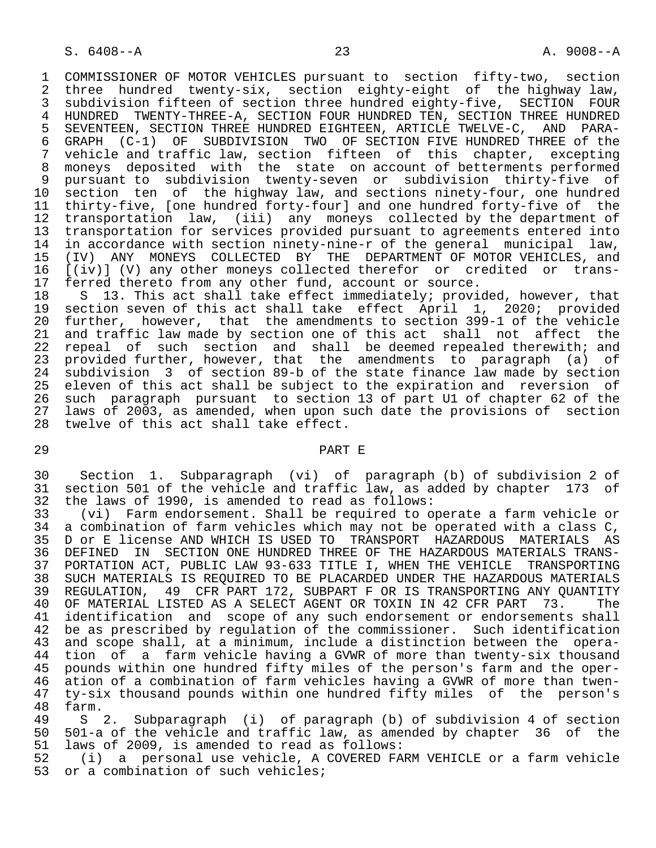1 COMMISSIONER OF MOTOR VEHICLES pursuant to section fifty-two, section<br>2 three hundred twenty-six, section eighty-eight of the highway law, 2 three hundred twenty-six, section eighty-eight of the highway law,<br>3 subdivision fifteen of section three hundred eighty-five, SECTION FOUR 3 subdivision fifteen of section three hundred eighty-five, SECTION FOUR 4 HUNDRED TWENTY-THREE-A, SECTION FOUR HUNDRED TEN, SECTION THREE HUNDRED<br>5 SEVENTEEN, SECTION THREE HUNDRED EIGHTEEN, ARTICLE TWELVE-C, AND PARA-5 SEVENTEEN, SECTION THREE HUNDRED EIGHTEEN, ARTICLE TWELVE-C, AND PARA-<br>6 GRAPH (C-1) OF SUBDIVISION TWO OF SECTION FIVE HUNDRED THREE of the 6 GRAPH (C-1) OF SUBDIVISION TWO OF SECTION FIVE HUNDRED THREE of the<br>7 vehicle and traffic law, section fifteen of this chapter, excepting 7 vehicle and traffic law, section fifteen of this chapter, excepting<br>8 moneys deposited with the state on account of betterments performed 8 moneys deposited with the state on account of betterments performed 9 pursuant to subdivision twenty-seven or subdivision thirty-five of 10 section ten of the highway law, and sections ninety-four, one hundred<br>11 thirty-five, [one hundred forty-four] and one hundred forty-five of the 11 thirty-five, [one hundred forty-four] and one hundred forty-five of the<br>12 transportation law, (iii) any moneys collected by the department of 12 transportation law, (iii) any moneys collected by the department of<br>13 transportation for services provided pursuant to agreements entered into 13 transportation for services provided pursuant to agreements entered into<br>14 in accordance with section ninety-nine-r of the general municipal law. in accordance with section ninety-nine-r of the general municipal law, 15 (IV) ANY MONEYS COLLECTED BY THE DEPARTMENT-OF-MOTOR-VEHICLES, and 16 (iv) any other-moneys collected therefor or credited or trans-16 [(iv)] (V) any other moneys collected therefor or credited or trans-<br>17 ferred thereto from any other fund, account or source. 17 ferred thereto from any other fund, account or source.<br>18 S 13. This act shall take effect immediately; provi

18 S 13. This act shall take effect immediately; provided, however, that<br>19 section seven of this act shall take effect April 1, 2020; provided 19 section seven of this act shall take effect April 1, 2020; provided<br>20 further, however, that the amendments to section 399-1 of the vehicle 20 further, however, that the amendments to section 399-1 of the vehicle<br>21 and traffic law made by section one of this act shall not affect the 21 and traffic law made by section one of this act shall not affect the<br>22 repeal of such section and shall be deemed repealed therewith; and 22 repeal of such section and shall be-deemed-repealed-therewith; and<br>23 provided-further, however, that the amendments to paragraph (a) of provided further, however, that the amendments to paragraph (a) of <sup>24</sup> subdivision 3 of section 89-b of the state finance law made by section<br>25 eleven of this act shall be subject to the expiration and reversion of eleven of this act shall be subject to the expiration and reversion of 26 such paragraph pursuant to section 13 of part U1 of chapter 62 of the<br>27 laws of 2003, as amended, when upon such date the provisions of section 27 laws of 2003, as amended, when upon such date the provisions of section<br>28 twelve of this act shall take effect. twelve of this act shall take effect.

#### 29 PART E

 30 Section 1. Subparagraph (vi) of paragraph (b) of subdivision 2 of 31 section 501 of the vehicle and traffic law, as added by chapter 173 of<br>32 the laws of 1990, is amended to read as follows: 32 the laws of 1990, is amended to read as follows:

33 (vi) Farm endorsement. Shall be required to operate a farm vehicle or<br>34 a combination of farm vehicles which may not be operated with a class C. a combination of farm vehicles which may not be operated with a class  $C$ , 35 D or E license AND WHICH IS USED TO TRANSPORT HAZARDOUS MATERIALS AS<br>36 DEFINED IN SECTION ONE HUNDRED THREE OF THE HAZARDOUS MATERIALS TRANS-36 DEFINED IN SECTION ONE HUNDRED THREE OF THE HAZARDOUS MATERIALS TRANS-<br>37 PORTATION ACT, PUBLIC LAW 93-633 TITLE I, WHEN THE VEHICLE TRANSPORTING 37 PORTATION ACT, PUBLIC LAW 93-633 TITLE I, WHEN THE VEHICLE TRANSPORTING 38 SUCH MATERIALS IS REQUIRED TO BE PLACARDED UNDER THE HAZARDOUS MATERIALS<br>39 REGULATION, 49 CFR PART 172, SUBPART F OR IS TRANSPORTING ANY OUANTITY 39 REGULATION, 49 CFR PART 172, SUBPART F OR IS TRANSPORTING ANY QUANTITY 40 OF MATERIAL LISTED AS A SELECT AGENT OR TOXIN IN 42 CFR PART 73. The<br>41 identification and scope of any such endorsement or endorsements shall 41 identification and scope of any such endorsement or endorsements shall<br>42 be as prescribed by requlation of the commissioner. Such identification 42 be as prescribed by regulation of the commissioner. Such identification<br>43 and scope shall, at a minimum, include a distinction between the operaand scope shall, at a minimum, include a distinction between the opera-44 tion of a farm vehicle having a GVWR of more than twenty-six thousand<br>45 pounds within one hundred fifty miles of the person's farm and the oper- 45 pounds within one hundred fifty miles of the person's farm and the oper- 46 ation of a combination of farm vehicles having a GVWR of more than twen- 47 ty-six thousand pounds within one hundred fifty miles of the person's 48 farm.

 49 S 2. Subparagraph (i) of paragraph (b) of subdivision 4 of section 50 501-a of the vehicle and traffic law, as amended by chapter 36 of the<br>51 laws of 2009, is amended to read as follows: 51 laws of 2009, is amended to read as follows:<br>52 (i) a personal use vehicle, A COVERED FA

52 (i) a personal use vehicle, A COVERED FARM VEHICLE or a farm vehicle<br>53 or a combination of such vehicles; or a combination of such vehicles;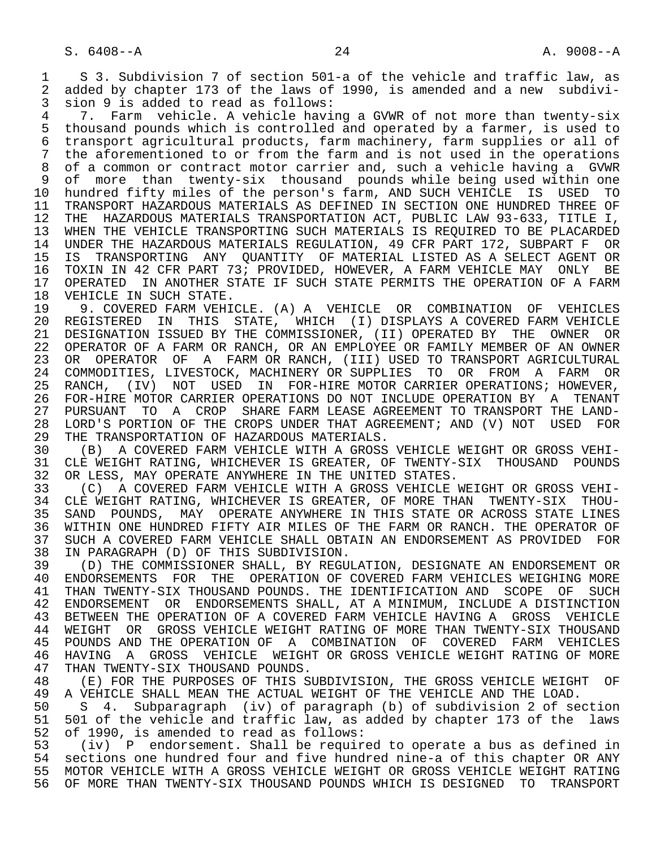1 S 3. Subdivision 7 of section 501-a of the vehicle and traffic law, as<br>2 added by chapter 173 of the laws of 1990, is amended and a new subdivi-2 added by chapter 173 of the laws of 1990, is amended and a new subdivi-<br>3 sion 9 is added to read as follows:

3 sion 9 is added to read as follows:<br>4 7. Farm vehicle, A vehicle havi 4 7. Farm vehicle. A vehicle having a GVWR of not more than twenty-six<br>5 thousand pounds which is controlled and operated by a farmer, is used to 5 thousand pounds which is controlled and operated by a farmer, is used to<br>6 transport agricultural products, farm machinery, farm supplies or all of 6 transport agricultural products, farm machinery, farm supplies or all of 7 the aforementioned to or from the farm and is not used in the operations<br>8 of a common or contract motor carrier and, such a vehicle having a GVWR 8 of a common or contract motor carrier and, such a vehicle having a GVWR<br>8 of more than twenty-six thousand pounds while being used within one 9 of more than twenty-six thousand pounds while being used within one<br>10 hundred fifty miles of the person's farm, AND SUCH VEHICLE IS USED TO 10 hundred fifty miles of the person's farm, AND SUCH VEHICLE IS USED TO<br>11 TRANSPORT HAZARDOUS MATERIALS AS DEFINED IN SECTION ONE HUNDRED THREE OF 11 TRANSPORT HAZARDOUS MATERIALS AS DEFINED IN SECTION ONE HUNDRED THREE OF<br>12 THE HAZARDOUS MATERIALS TRANSPORTATION ACT, PUBLIC LAW 93-633, TITLE I, 12 THE HAZARDOUS MATERIALS TRANSPORTATION ACT, PUBLIC LAW 93-633, TITLE I,<br>13 WHEN THE VEHICLE TRANSPORTING SUCH MATERIALS IS REOUIRED TO BE PLACARDED 13 WHEN THE VEHICLE TRANSPORTING SUCH MATERIALS IS REQUIRED TO BE PLACARDED<br>14 UNDER THE HAZARDOUS MATERIALS REGULATION, 49 CFR PART 172, SUBPART F OR 14 UNDER THE HAZARDOUS MATERIALS REGULATION, 49 CFR PART 172, SUBPART F OR 15 IS TRANSPORTING ANY QUANTITY OF MATERIAL LISTED AS A SELECT AGENT OR 16 TOXIN IN 42 CFR PART 73; PROVIDED, HOWEVER, A FARM VEHICLE MAY<br>17 OPERATED IN ANOTHER STATE IF SUCH STATE PERMITS THE OPERATION 17 OPERATED IN ANOTHER STATE IF SUCH STATE PERMITS THE OPERATION OF A FARM 18 VEHICLE IN SUCH STATE. 18 VEHICLE IN SUCH STATE.<br>19 9. COVERED FARM VEHI

19 9. COVERED FARM VEHICLE. (A) A VEHICLE OR COMBINATION OF VEHICLES<br>20 REGISTERED IN THIS STATE, WHICH (I) DISPLAYS A COVERED FARM VEHICLE 20 REGISTERED IN THIS STATE, WHICH (I) DISPLAYS A COVERED FARM VEHICLE<br>21 DESIGNATION ISSUED BY THE COMMISSIONER, (II) OPERATED BY THE OWNER OR 21 DESIGNATION ISSUED BY THE COMMISSIONER, (II) OPERATED BY THE OWNER OR<br>22 OPERATOR OF A FARM OR RANCH, OR AN EMPLOYEE OR FAMILY MEMBER OF AN OWNER 22 OPERATOR OF A FARM OR RANCH, OR AN EMPLOYEE OR FAMILY MEMBER OF AN OWNER<br>23 OR OPERATOR OF A FARM OR RANCH, (III) USED TO TRANSPORT AGRICULTURAL OR OPERATOR OF A FARM OR RANCH, (III) USED TO TRANSPORT AGRICULTURAL 24 COMMODITIES, LIVESTOCK, MACHINERY OR SUPPLIES TO OR FROM A FARM OR<br>25 RANCH, (IV) NOT USED IN FOR-HIRE-MOTOR-CARRIER-OPERATIONS; HOWEVER, RANCH, (IV) NOT USED IN FOR-HIRE MOTOR CARRIER OPERATIONS; HOWEVER,<br>FOR-HIRE MOTOR CARRIER OPERATIONS DO NOT INCLUDE OPERATION BY A TENANT 26 FOR-HIRE MOTOR CARRIER OPERATIONS DO NOT INCLUDE OPERATION BY A<br>27 PURSUANT TO A CROP SHARE FARM LEASE AGREEMENT TO TRANSPORT TH 27 PURSUANT TO A CROP SHARE FARM LEASE AGREEMENT TO TRANSPORT THE LAND-<br>28 LORD'S PORTION OF THE CROPS UNDER THAT AGREEMENT; AND (V) NOT USED FOR 28 LORD'S PORTION OF THE CROPS UNDER THAT AGREEMENT; AND (V) NOT USED FOR<br>29 THE TRANSPORTATION OF HAZARDOUS MATERIALS. 29 THE TRANSPORTATION OF HAZARDOUS MATERIALS.<br>30 (B) A COVERED FARM VEHICLE WITH A GROSS

30 (B) A COVERED FARM VEHICLE WITH A GROSS VEHICLE WEIGHT OR GROSS VEHI-<br>31 CLE WEIGHT RATING, WHICHEVER IS GREATER, OF TWENTY-SIX THOUSAND POUNDS 31 CLE WEIGHT RATING, WHICHEVER IS GREATER, OF TWENTY-SIX THOUSAND POUNDS<br>32 OR LESS, MAY OPERATE ANYWHERE IN THE UNITED STATES. 32 OR LESS, MAY OPERATE ANYWHERE IN THE UNITED STATES.<br>33 (C) A COVERED FARM VEHICLE WITH A GROSS VEHICLE

 33 (C) A COVERED FARM VEHICLE WITH A GROSS VEHICLE WEIGHT OR GROSS VEHI- 34 CLE WEIGHT RATING, WHICHEVER IS GREATER, OF MORE THAN<br>35 SAND POUNDS, MAY OPERATE ANYWHERE IN THIS STATE OR A 35 SAND POUNDS, MAY OPERATE ANYWHERE IN THIS STATE OR ACROSS STATE LINES<br>36 WITHIN ONE HUNDRED FIFTY AIR MILES OF THE FARM OR RANCH. THE OPERATOR OF 36 WITHIN ONE HUNDRED FIFTY AIR MILES OF THE FARM OR RANCH. THE OPERATOR OF 37 SUCH A COVERED FARM VEHICLE SHALL OBTAIN AN ENDORSEMENT AS PROVIDED FOR<br>38 IN PARAGRAPH (D) OF THIS SUBDIVISION. 38 IN PARAGRAPH (D) OF THIS SUBDIVISION.

39 (D) THE COMMISSIONER SHALL, BY REGULATION, DESIGNATE AN ENDORSEMENT OR<br>40 ENDORSEMENTS FOR THE OPERATION OF COVERED FARM VEHICLES WEIGHING MORE 40 ENDORSEMENTS FOR THE OPERATION OF COVERED FARM VEHICLES WEIGHING MORE<br>41 THAN TWENTY-SIX THOUSAND POUNDS. THE IDENTIFICATION AND SCOPE OF SUCH 41 THAN TWENTY-SIX THOUSAND POUNDS. THE IDENTIFICATION AND SCOPE OF SUCH<br>42 ENDORSEMENT OR ENDORSEMENTS SHALL, AT A MINIMUM, INCLUDE A DISTINCTION 42 ENDORSEMENT OR ENDORSEMENTS SHALL, AT A MINIMUM, INCLUDE A DISTINCTION<br>43 BETWEEN THE OPERATION OF A COVERED FARM VEHICLE HAVING A GROSS VEHICLE 43 BETWEEN THE OPERATION OF A COVERED FARM VEHICLE HAVING A GROSS VEHICLE<br>44 WEIGHT OR GROSS VEHICLE WEIGHT RATING OF MORE THAN TWENTY-SIX THOUSAND 44 WEIGHT OR GROSS VEHICLE WEIGHT RATING OF MORE THAN TWENTY-SIX THOUSAND<br>45 POUNDS AND THE OPERATION OF A COMBINATION OF COVERED FARM VEHICLES 45 POUNDS AND THE OPERATION OF A COMBINATION OF COVERED FARM VEHICLES 46 HAVING A GROSS VEHICLE WEIGHT OR GROSS VEHICLE WEIGHT RATING OF MORE<br>47 THAN TWENTY-SIX THOUSAND POUNDS. 47 THAN TWENTY-SIX THOUSAND POUNDS.<br>48 (E) FOR THE PURPOSES OF THIS S

48 (E) FOR THE PURPOSES OF THIS SUBDIVISION, THE GROSS VEHICLE WEIGHT OF<br>49 A VEHICLE SHALL MEAN THE ACTUAL WEIGHT OF THE VEHICLE AND THE LOAD. 49 A VEHICLE SHALL MEAN THE ACTUAL WEIGHT OF THE VEHICLE AND THE LOAD.<br>50 S. 4. Subparagraph (iv) of paragraph (b) of subdivision 2 of se

50 S 4. Subparagraph (iv) of paragraph (b) of subdivision 2 of section<br>51 501 of the vehicle and traffic law, as added by chapter 173 of the laws 51 501 of the vehicle and traffic law, as added by chapter 173 of the laws<br>52 of 1990, is amended to read as follows: 52 of 1990, is amended to read as follows:<br>53 (iv) P endorsement. Shall be require

 53 (iv) P endorsement. Shall be required to operate a bus as defined in 54 sections one hundred four and five hundred nine-a of this chapter OR ANY 55 MOTOR VEHICLE WITH A GROSS VEHICLE WEIGHT OR GROSS VEHICLE WEIGHT RATING<br>56 OF MORE THAN TWENTY-SIX THOUSAND POUNDS WHICH IS DESIGNED TO TRANSPORT 56 OF MORE THAN TWENTY-SIX THOUSAND POUNDS WHICH IS DESIGNED TO TRANSPORT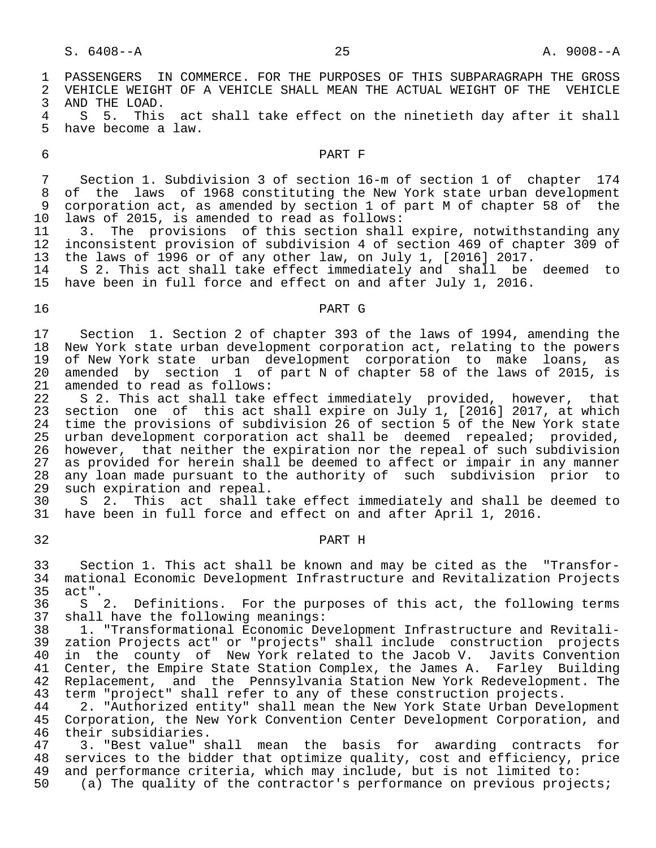1 PASSENGERS IN COMMERCE. FOR THE PURPOSES OF THIS SUBPARAGRAPH THE GROSS<br>2 VEHICLE WEIGHT OF A VEHICLE SHALL MEAN THE ACTUAL WEIGHT OF THE VEHICLE 2 VEHICLE WEIGHT OF A VEHICLE SHALL MEAN THE ACTUAL WEIGHT OF THE VEHICLE<br>3 AND THE LOAD. 3 AND THE LOAD. 4 S 5. This act shall take effect on the ninetieth day after it shall<br>5 have become a law. have become a law. 6 PART F 7 Section 1. Subdivision 3 of section 16-m of section 1 of chapter 174<br>8 of the laws of 1968 constituting the New York state urban development 8 of the laws of 1968 constituting the New York state urban development<br>9 corporation act, as amended by section 1 of part M of chapter 58 of the 9 corporation act, as amended by section 1 of part M of chapter 58 of the<br>10 laws of 2015, is amended to read as follows: 10 laws of 2015, is amended to read as follows:<br>11 3. The provisions of this section shall 11 3. The provisions of this section shall expire, notwithstanding any<br>12 inconsistent provision of subdivision 4 of section 469 of chapter 309 of inconsistent provision of subdivision 4 of section 469 of chapter 309 of 13 the laws of 1996 or of any other law, on July 1, [2016] 2017.<br>14 S 2. This act shall take effect immediately and shall be 14 S 2. This act shall take effect immediately and shall be deemed to<br>15 have been in full force and effect on and after July 1, 2016. have been in full force and effect on and after July 1, 2016. 16 PART G 17 Section 1. Section 2 of chapter 393 of the laws of 1994, amending the<br>18 New York state urban development corporation act, relating to the powers 18 New York state urban development corporation act, relating to the powers<br>19 of New York state urban development corporation to make loans, as 19 of New York state urban development corporation to make loans, as<br>20 amended by section 1 of part N of chapter 58 of the laws of 2015, is 20 amended by section 1 of part  $N$  of chapter 58 of the laws of 2015, is 21 amended to read as follows: 21 amended to read as follows:<br>22 S 2. This act shall take 22 S 2. This act shall take effect immediately provided, however, that<br>23 section one of this act shall expire on July 1, [2016] 2017, at which 23 section one of this act shall expire on July 1, [2016] 2017, at which<br>24 time the provisions of subdivision 26 of section 5 of the New York state 24 time the provisions of subdivision 26 of section 5 of the New York state<br>25 urban development corporation act shall be deemed repealed; provided, urban development corporation act shall be deemed repealed; provided, 26 however, that neither the expiration nor the repeal of such subdivision<br>27 as provided for herein shall be deemed to affect or impair in any manner 27 as provided for herein shall be deemed to affect or impair in any manner<br>28 any loan made pursuant to the authority of such subdivision prior to 28 any loan made pursuant to the authority of such subdivision prior to<br>29 such expiration and repeal. 29 such expiration and repeal.<br>30 S 2. This act shall t 30 S 2. This act shall take effect immediately and shall be deemed to<br>31 have been in full force and effect on and after April 1, 2016. have been in full force and effect on and after April 1, 2016. 32 PART H 33 Section 1. This act shall be known and may be cited as the "Transfor- 34 mational Economic Development Infrastructure and Revitalization Projects 35 act".<br>36 S : 36 S 2. Definitions. For the purposes of this act, the following terms<br>37 shall have the following meanings: 37 shall have the following meanings:<br>38 1. "Transformational Economic De 38 1. "Transformational Economic Development Infrastructure and Revitali- 39 zation Projects act" or "projects" shall include construction projects 40 in the county of New York related to the Jacob V. Javits Convention 41 Center, the Empire State Station Complex, the James A. Farley Building 42 Replacement, and the Pennsylvania Station New York Redevelopment. The 43 term "project" shall refer to any of these construction projects.

43 term "project" shall refer to any of these construction projects.<br>44 12. "Authorized entity" shall mean the New York State Urban Deve 44 2. "Authorized entity" shall mean the New York State Urban Development<br>45 Corporation, the New York Convention Center Development Corporation, and Corporation, the New York Convention Center Development Corporation, and

46 their subsidiaries.<br>47 3. "Best value" s 47 3. "Best value" shall mean the basis for awarding contracts for<br>48 services to the bidder that optimize quality, cost and efficiency, price 48 services to the bidder that optimize quality, cost and efficiency, price<br>49 and performance criteria, which may include, but is not limited to: 49 and performance criteria, which may include, but is not limited to:<br>50 (a) The quality of the contractor's performance on previous proje

(a) The quality of the contractor's performance on previous projects;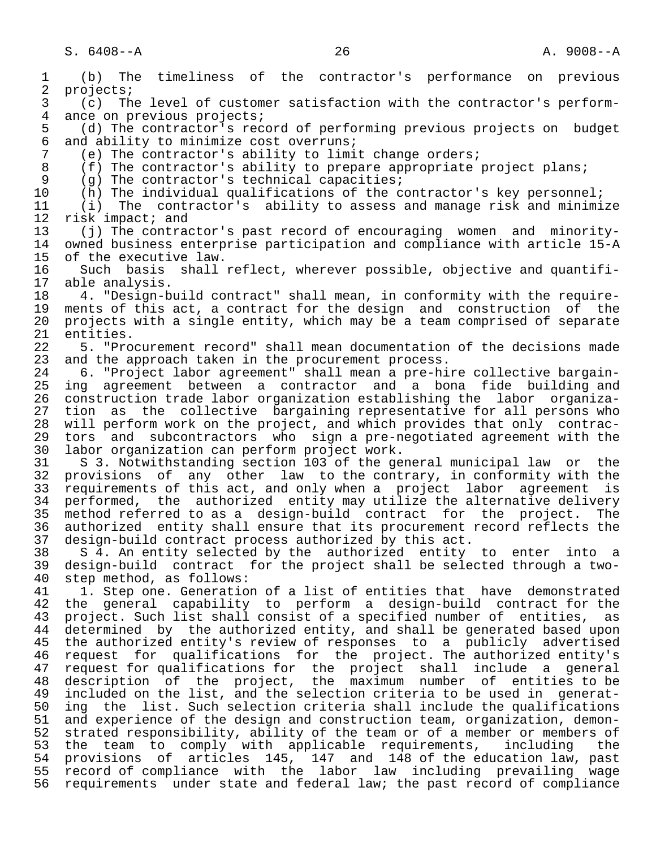1 (b) The timeliness of the contractor's performance on previous 2 projects;<br>3 (c) Th 3 (c) The level of customer satisfaction with the contractor's perform- 4 ance on previous projects;<br>5 (d) The contractor's rec 5 (d) The contractor's record of performing previous projects on budget<br>6 and ability to minimize cost overruns; 6 and ability to minimize cost overruns;<br>7 (e) The contractor's ability to limi 7 (e) The contractor's ability to limit change orders;<br>8 (f) The contractor's ability to prepare appropriate 1 8 (f) The contractor's ability to prepare appropriate project plans;<br>9 (g) The contractor's technical capacities; 9 (g) The contractor's technical capacities;<br>10 (h) The individual qualifications of the c 10 (h) The individual qualifications of the contractor's key personnel;<br>11 (i) The contractor's ability to assess and manage risk and minimi 11 (i) The contractor's ability to assess and manage risk and minimize 12 risk impact; and<br>13 (i) The contrad 13 (j) The contractor's past record of encouraging women and minority owned business enterprise participation and compliance with article 15-A 15 of the executive law.<br>16 Such basis shall 16 Such basis shall reflect, wherever possible, objective and quantifi-<br>17 able analysis. 17 able analysis.<br>18 4. "Design-b 18 4. "Design-build contract" shall mean, in conformity with the require- 19 ments of this act, a contract for the design and construction of the<br>20 projects with a single entity, which may be a team comprised of separate 20 projects with a single entity, which may be a team comprised of separate<br>21 entities. 21 entities.<br>22 5. "Pro 22 5. "Procurement record" shall mean documentation of the decisions made<br>23 and the approach taken in the procurement process. and the approach taken in the procurement process. 24 6. "Project labor agreement" shall mean a pre-hire collective bargain ing agreement between a contractor and a bona fide building and 26 construction trade labor organization establishing the labor organiza- 27 tion as the collective bargaining representative for all persons who<br>28 will perform work on the project, and which provides that only contrac-28 will perform work on the project, and which provides that only contrac-<br>29 tors and subcontractors who sign a pre-negotiated agreement with the 29 tors and subcontractors who sign a pre-negotiated agreement with the<br>30 labor organization can perform project work. 30 labor organization can perform project work. 31 S 3. Notwithstanding section 103 of the general municipal law or the 32 provisions of any other law to the contrary, in conformity with the<br>33 requirements of this act, and only when a project labor agreement is 33 requirements of this act, and only when a project labor agreement is<br>34 performed, the authorized entity may utilize the alternative delivery 34 performed, the authorized entity may utilize the alternative delivery<br>35 method referred to as a design-build contract for the project. The 35 method referred to as a design-build contract for the project. The<br>36 authorized entity shall ensure that its procurement record reflects the authorized entity shall ensure that its procurement record reflects the 37 design-build contract process authorized by this act.<br>38 S 4. An entity selected by the authorized entity 38 S 4. An entity selected by the authorized entity to enter into a<br>39 design-build contract for the project shall be selected through a two- 39 design-build contract for the project shall be selected through a two- 40 step method, as follows:<br>41 1. Step one. Generation 41 1. Step one. Generation of a list of entities that have demonstrated<br>42 the general capability to perform a design-build contract for the 42 the general capability to perform a design-build contract for the<br>43 project. Such list shall consist of a specified number of entities, as 43 project. Such list shall consist of a specified number of entities, as<br>44 determined by the authorized entity, and shall be generated based upon 44 determined by the authorized entity, and shall be generated based upon<br>45 the authorized entity's review of responses to a publicly advertised the authorized entity's review of responses to a publicly advertised 16 request for qualifications for the project. The authorized entity's<br>47 request for qualifications for the project shall include a general 47 request for qualifications for the project shall include a general 48 description of the project, the maximum number of entities to be 49 included on the list, and the selection criteria to be used in generat-<br>50 ing the list, Such selection criteria shall include the qualifications 50 ing the list. Such selection criteria shall include the qualifications<br>51 and experience of the design and construction team, organization, demonand experience of the design and construction team, organization, demon- 52 strated responsibility, ability of the team or of a member or members of 53 the team to comply with applicable requirements, including the 54 provisions of articles 145, 147 and 148 of the education law, past 55 record of compliance with the labor law including prevailing wage<br>56 requirements under state and federal law; the past record of compliance 56 requirements under state and federal law; the past record of compliance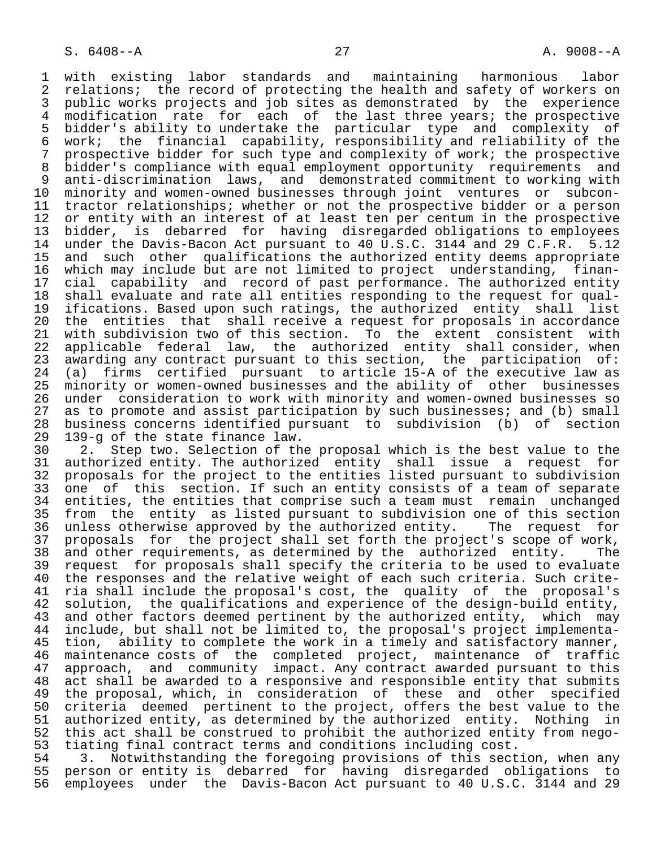1 with existing labor standards and maintaining harmonious labor<br>2 relations; the record of protecting the health and safety of workers on 2 relations; the record of protecting the health and safety of workers on<br>3 public works projects and job sites as demonstrated by the experience 3 public works projects and job sites as demonstrated by the experience<br>4 modification rate for each of the last three vears; the prospective 4 modification rate for each of the last three years; the prospective<br>5 bidder's ability to undertake the particular type and complexity of 5 bidder's ability to undertake the particular type and complexity of 6 work; the financial capability, responsibility and reliability of the 7 prospective bidder for such type and complexity of work; the prospective<br>8 bidder's compliance with equal employment opportunity requirements and 8 bidder's compliance with equal employment opportunity requirements and<br>9 anti-discrimination laws, and demonstrated commitment to working with anti-discrimination laws, and demonstrated commitment to working with 10 minority and women-owned businesses through joint ventures or subcon-<br>11 tractor relationships; whether or not the prospective bidder or a person 11 tractor relationships; whether or not the prospective bidder or a person<br>12 or entity with an interest of at least ten per centum in the prospective 12 or entity with an interest of at least ten per centum in the prospective<br>13 bidder, is debarred for having disregarded obligations to employees 13 bidder, is debarred for having disregarded obligations to employees<br>14 under the Davis-Bacon Act pursuant to 40 U.S.C. 3144 and 29 C.F.R. 5.12 14 under the Davis-Bacon Act pursuant to 40 U.S.C. 3144 and 29 C.F.R. 5.12<br>15 and such other qualifications the authorized entity deems appropriate 15 and such other qualifications the authorized entity deems appropriate<br>16 which may include but are not limited to project understanding, finan-16 which may include but are not limited to project understanding, finan-<br>17 cial capability and record of past performance. The authorized entity 17 cial capability and record of past performance. The authorized entity<br>18 shall evaluate and rate all entities responding to the request for qual-18 shall evaluate and rate all entities responding to the request for qual-<br>19 ifications, Based upon such ratings, the authorized entity shall list 19 ifications. Based upon such ratings, the authorized entity shall list<br>20 the entities that shall receive a request for proposals in accordance 20 the entities that shall receive a request for proposals in accordance<br>21 with subdivision two of this section. To the extent consistent with 21 with subdivision two of this section. To the extent consistent with<br>22 applicable federal law, the authorized entity shall consider, when 22 applicable federal law, the authorized entity shall consider, when<br>23 awarding any contract pursuant to this section, the participation of: 23 awarding any contract pursuant to this section, the participation of: 24 (a) firms certified pursuant to article 15-A of the executive law as 25 minority or women-owned businesses and the ability of other businesses 26 under consideration to work with minority and women-owned businesses so<br>27 as to promote and assist participation by such businesses; and (b) small 27 as to promote and assist participation by such businesses; and (b) small<br>28 business concerns identified pursuant to subdivision (b) of section 28 business concerns identified pursuant to subdivision (b) of section

29 139-g of the state finance law.<br>30 2. Step two. Selection of th 30 2. Step two. Selection of the proposal which is the best value to the<br>31 authorized entity. The authorized entity shall issue a request for 31 authorized entity. The authorized entity shall issue a request for 32 proposals for the project to the entities listed pursuant to subdivision 33 one of this section. If such an entity consists of a team of separate<br>34 entities, the entities that comprise such a team must remain unchanged 34 entities, the entities that comprise such a team must remain unchanged<br>35 from the entity as listed pursuant to subdivision one of this section 35 from the entity as listed pursuant to subdivision one of this section<br>36 unless otherwise approved by the authorized entity. The request for 36 unless otherwise approved by the authorized entity.<br>37 proposals for the project shall set forth the proje 37 proposals for the project shall set forth the project's scope of work,<br>38 and other requirements, as determined by the authorized entity. The 38 and other requirements, as determined by the authorized entity.<br>39 request for proposals shall specify the criteria to be used to ev 39 request for proposals shall specify the criteria to be used to evaluate<br>40 the responses and the relative weight of each such criteria. Such crite-40 the responses and the relative weight of each such criteria. Such crite-<br>41 ria shall include the proposal's cost, the quality of the proposal's 41 ria shall include the proposal's cost, the quality of the proposal's<br>42 solution, the qualifications and experience of the design-build entity, 42 solution, the qualifications and experience of the design-build entity,<br>43 and other factors deemed pertinent by the authorized entity, which may 43 and other factors deemed pertinent by the authorized entity, which may<br>44 include, but shall not be limited to, the proposal's project implementa-44 include, but shall not be limited to, the proposal's project implementa-<br>45 tion, ability to complete the work in a timely and satisfactory manner, 45 tion, ability to complete the work in a timely and satisfactory manner,<br>46 maintenance costs of the completed project, maintenance of traffic 46 maintenance costs of the completed project, maintenance of traffic<br>47 approach, and community impact, Any contract awarded pursuant to this 47 approach, and community impact. Any contract awarded pursuant to this<br>48 act shall be awarded to a responsive and responsible entity that submits 48 act shall be awarded to a responsive and responsible entity that submits<br>49 the proposal, which, in consideration of these and other specified 49 the proposal, which, in consideration of these and other specified 50 criteria deemed pertinent to the project, offers the best value to the 51 authorized entity, as determined by the authorized entity. Nothing in<br>52 this act shall be construed to prohibit the authorized entity from nego-52 this act shall be construed to prohibit the authorized entity from nego-<br>53 tiating final contract terms and conditions including cost. 53 tiating final contract terms and conditions including cost.

54 3. Notwithstanding the foregoing provisions of this section, when any<br>55 person or entity is debarred for having disregarded obligations to 55 person or entity is debarred for having disregarded obligations to<br>56 employees under the Davis-Bacon Act pursuant to 40 U.S.C. 3144 and 29 employees under the Davis-Bacon Act pursuant to 40 U.S.C. 3144 and 29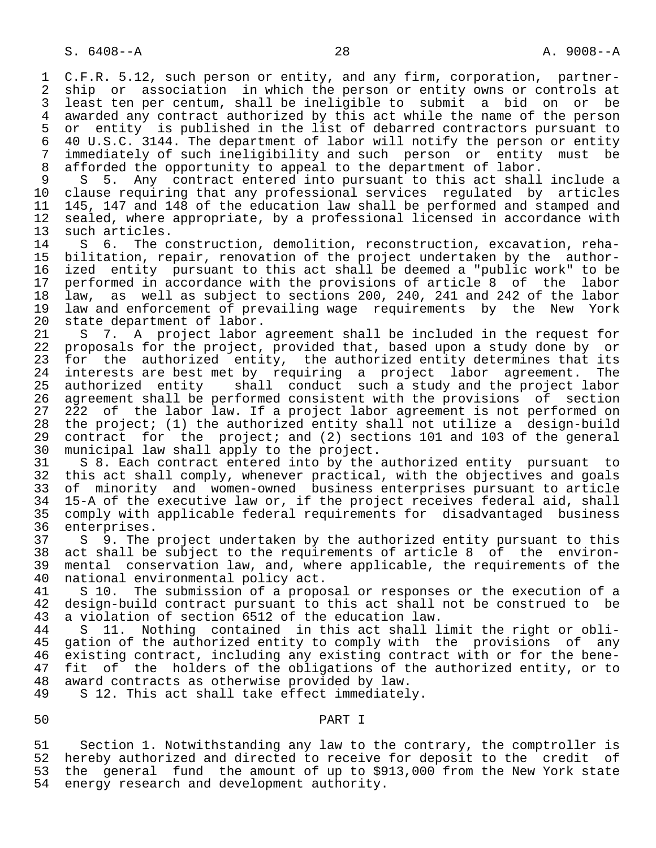1 C.F.R. 5.12, such person or entity, and any firm, corporation, partner-<br>2 ship or association in which the person or entity owns or controls at 2 ship or association in which the person or entity owns or controls at<br>3 least ten per centum, shall be ineligible to submit a bid on or be 3 least ten per centum, shall be ineligible to submit a bid on or be 4 awarded any contract authorized by this act while the name of the person<br>5 or entity is published in the list of debarred contractors pursuant to 5 or entity is published in the list of debarred contractors pursuant to<br>6 40 U.S.C. 3144. The department of labor will notify the person or entity 6 40 U.S.C. 3144. The department of labor will notify the person or entity<br>7 immediately of such ineligibility and such person or entity must be 7 immediately of such ineligibility and such person or entity must be<br>8 afforded the opportunity to appeal to the department of labor. 8 afforded the opportunity to appeal to the department of labor.<br>9 S 5. Any contract entered into pursuant to this act shall

9 S 5. Any contract entered into pursuant to this act shall include a<br>10 clause requiring that any professional services requlated by articles 10 clause requiring that any professional services regulated by<br>11 145, 147 and 148 of the education law shall be performed and sta 11 145, 147 and 148 of the education law shall be performed and stamped and<br>12 sealed, where appropriate, by a professional licensed in accordance with 12 sealed, where appropriate, by a professional licensed in accordance with<br>13 such articles.

13 such articles.<br>14 S 6. The c 14 S 6. The construction, demolition, reconstruction, excavation, reha-<br>15 bilitation, repair, renovation of the project undertaken by the author-15 bilitation, repair, renovation of the project undertaken by the author-<br>16 ized entity pursuant to this act shall be deemed a "public work" to be 16 ized entity pursuant to this act shall be deemed a "public work" to be<br>17 performed in accordance with the provisions of article 8 of the labor 17 performed in accordance with the provisions of article 8 of the labor<br>18 law, as well as subject to sections 200, 240, 241 and 242 of the labor 18 law, as well as subject to sections 200, 240, 241 and 242 of the labor 19 law and enforcement of prevailing wage requirements by the New York<br>20 state department of labor. 20 state department of labor.<br>21 S 7. A project labor.

21 S 7. A project labor agreement shall be included in the request for<br>22 proposals for the project, provided that, based upon a study done by or 22 proposals for the project, provided that, based upon a study done by or<br>23 for the authorized entity, the authorized entity determines that its for the authorized entity, the authorized entity determines that its 24 interests are best met by requiring a project labor agreement. The<br>25 authorized entity shall conduct such a study and the project labor authorized entity shall conduct such a study and the project labor 26 agreement shall be performed consistent with the provisions of section<br>27 222 of the labor law. If a project labor agreement is not performed on 27 222 of the labor law. If a project labor agreement is not performed on<br>28 the project; (1) the authorized entity shall not utilize a design-build 28 the project; (1) the authorized entity shall not utilize a design-build<br>29 contract for the project; and (2) sections 101 and 103 of the general 29 contract for the project; and (2) sections 101 and 103 of the general<br>30 municipal law shall apply to the project. 30 municipal law shall apply to the project.<br>31 S 8. Each contract entered into by the

31 S 8. Each contract entered into by the authorized entity pursuant to<br>32 this act shall comply, whenever practical, with the objectives and goals 32 this act shall comply, whenever practical, with the objectives and goals<br>33 of minority and women-owned business enterprises pursuant to article 33 of minority and women-owned business enterprises pursuant to article<br>34 15-A of the executive law or, if the project receives federal aid, shall 34 15-A of the executive law or, if the project receives federal aid, shall 35 comply with applicable federal requirements for disadvantaged business enterprises.

 37 S 9. The project undertaken by the authorized entity pursuant to this 38 act shall be subject to the requirements of article 8 of the environ-<br>39 mental conservation law, and, where applicable, the requirements of the 39 mental conservation law, and, where applicable, the requirements of the 40 national environmental policy act. 40 national environmental policy act.<br>41 S 10. The submission of a propo

41 S 10. The submission of a proposal or responses or the execution of a<br>42 design-build contract pursuant to this act shall not be construed to be 42 design-build contract pursuant to this act shall not be construed to be 43 a violation of section 6512 of the education law. 43 a violation of section 6512 of the education law.

44 S 11. Nothing contained in this act shall limit the right or obli-<br>45 gation of the authorized entity to comply with the provisions of any gation of the authorized entity to comply with the provisions of any 46 existing contract, including any existing contract with or for the bene-<br>47 fit of the holders of the obligations of the authorized entity, or to fit of the holders of the obligations of the authorized entity, or to 48 award contracts as otherwise provided by law.

S 12. This act shall take effect immediately.

# 50 PART I

51 Section 1. Notwithstanding any law to the contrary, the comptroller is<br>52 hereby authorized and directed to receive for deposit to the credit of 52 hereby authorized and directed to receive for deposit to the credit of<br>53 the general fund the amount of up to \$913,000 from the New York state 53 the general fund the amount of up to \$913,000 from the New York state<br>54 energy research and development authority. energy research and development authority.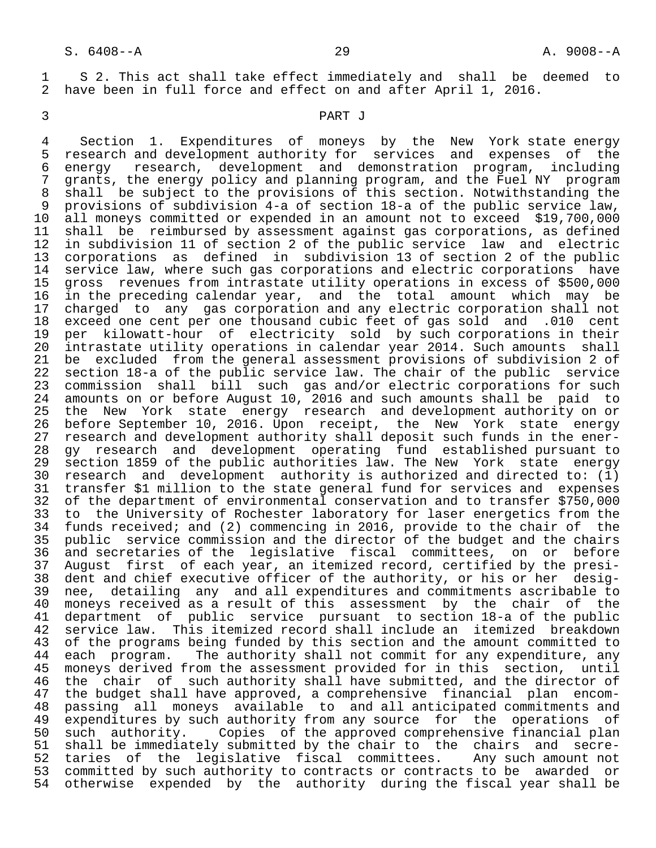1 S 2. This act shall take effect immediately and shall be deemed to<br>2 have been in full force and effect on and after April 1, 2016. have been in full force and effect on and after April 1, 2016.

### 3 PART J

4 Section 1. Expenditures of moneys by the New York state energy<br>5 research and development authority for services and expenses of the 5 research and development authority for services and expenses of the<br>6 energy research, development and demonstration program, including 6 energy research, development and demonstration program, including<br>7 grants, the energy policy and planning program, and the Fuel NY program 7 grants, the energy policy and planning program, and the Fuel NY program<br>8 shall be subject to the provisions of this section. Notwithstanding the 8 shall be subject to the provisions of this section. Notwithstanding the<br>9 provisions of subdivision 4-a of section 18-a of the public service law. 9 provisions of subdivision 4-a of section 18-a of the public service law,<br>10 all moneys committed or expended in an amount not to exceed \$19,700,000 10 all moneys committed or expended in an amount not to exceed \$19,700,000<br>11 shall be reimbursed by assessment against gas corporations, as defined 11 shall be reimbursed by assessment against gas corporations, as defined<br>12 in subdivision 11 of section 2 of the public service law and electric in subdivision 11 of section 2 of the public service law and electric 13 corporations as defined in subdivision 13 of section 2 of the public<br>14 service law, where such gas corporations and electric corporations have 14 service law, where such gas corporations and electric corporations have<br>15 gross revenues from intrastate utility operations in excess of \$500.000 15 gross revenues from intrastate utility operations in excess of \$500,000<br>16 in the preceding calendar year, and the total amount which may be 16 in the preceding calendar year, and the total amount which may be<br>17 charged to any gas corporation and any electric corporation shall not 17 charged to any gas corporation and any electric corporation shall not<br>18 exceed one cent per one thousand cubic feet of gas sold and .010 cent 18 exceed one cent per one thousand cubic feet of gas sold and .010 cent<br>19 per kilowatt-hour of electricity sold by such corporations in their 19 per kilowatt-hour of electricity sold by such corporations in their<br>20 intrastate utility operations in calendar year 2014. Such amounts shall 20 intrastate utility operations in calendar year 2014. Such amounts shall<br>21 be excluded from the general assessment provisions of subdivision 2 of 21 be excluded from the general assessment provisions of subdivision 2 of<br>22 section 18-a of the public service law. The chair of the public service 22 section 18-a of the public service law. The chair of the public service<br>23 commission shall bill such gas and/or electric corporations for such 23 commission shall bill such gas and/or electric corporations for such<br>24 amounts on or before August 10, 2016 and such amounts shall be paid to 24 amounts on or before August 10, 2016 and such amounts shall be paid to<br>25 the New York state energy research and development authority on or 25 the New York state energy research and development authority on or 26 before September 10, 2016. Upon receipt, the New York state energy 27 research and development authority shall deposit such funds in the ener-<br>28 gy research and development operating fund established pursuant to 28 gy research and development operating fund established pursuant to<br>29 section 1859 of the public authorities law. The New York state energy 29 section 1859 of the public authorities law. The New York state energy<br>30 research and development authority is authorized and directed to: (1) 30 research and development authority is authorized and directed to: (1)<br>31 transfer \$1 million to the state general fund for services and expenses 31 transfer \$1 million to the state general fund for services and expenses<br>32 of the department of environmental conservation and to transfer \$750,000 32 of the department of environmental conservation and to transfer \$750,000<br>33 to the University of Rochester laboratory for laser energetics from the 33 to the University of Rochester laboratory for laser energetics from the<br>34 funds received; and (2) commencing in 2016, provide to the chair of the funds received; and (2) commencing in 2016, provide to the chair of the 35 public service commission and the director of the budget and the chairs 36 and secretaries of the legislative fiscal committees, on or before<br>37 August first of each year, an itemized record, certified by the presi-37 August first of each year, an itemized record, certified by the presi-<br>38 dent and chief executive officer of the authority, or his or her desig-38 dent and chief executive officer of the authority, or his or her desig-<br>39 nee, detailing any and all expenditures and commitments ascribable to 39 nee, detailing any and all expenditures and commitments ascribable to 40 moneys received as a result of this assessment by the chair of the 41 department of public service pursuant to section 18-a of the public<br>42 service law. This itemized record shall include an itemized breakdown 42 service law. This itemized record shall include an itemized breakdown<br>43 of the programs being funded by this section and the amount committed to 43 of the programs being funded by this section and the amount committed to<br>44 each program. The authority shall not commit for any expenditure, any 44 each program. The authority shall not commit for any expenditure, any<br>45 moneys derived from the assessment provided for in this section, until moneys derived from the assessment provided for in this section, until 46 the chair of such authority shall have submitted, and the director of<br>47 the budget shall have approved, a comprehensive financial plan encom-47 the budget shall have approved, a comprehensive financial plan encom-<br>48 passing all moneys available to and all anticipated commitments and 48 passing all moneys available to and all-anticipated commitments and<br>49 expenditures by such authority from any source for the operations of 49 expenditures by such authority from any source for the operations of<br>50 such authority. Copies of the approved comprehensive financial plan such authority. Copies of the approved comprehensive financial plan 51 shall be immediately submitted by the chair to the chairs and secre-<br>52 taries of the legislative fiscal committees. Any such amount not taries of the legislative fiscal committees. 53 committed by such authority to contracts or contracts to be awarded or 54 otherwise expended by the authority during the fiscal year shall be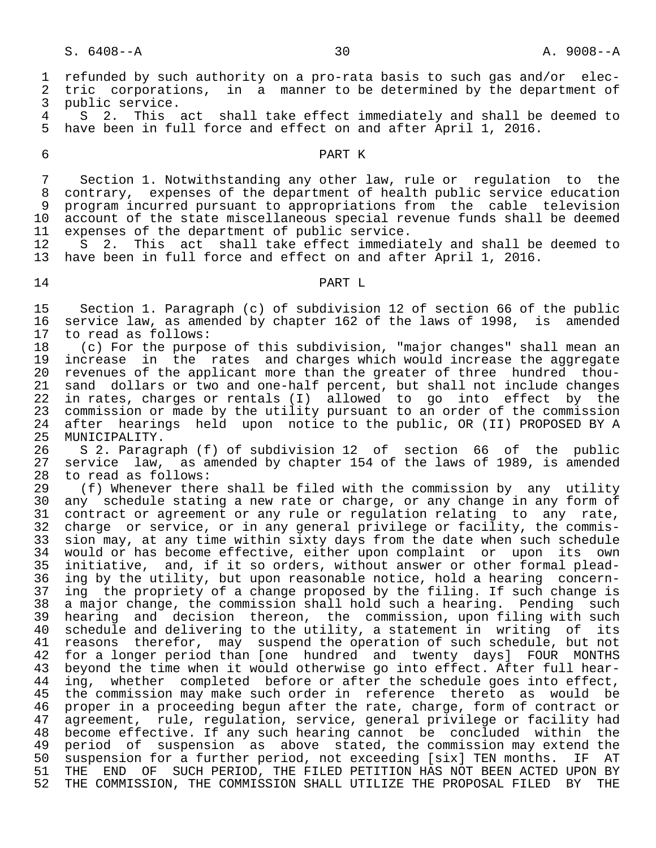1 refunded by such authority on a pro-rata basis to such gas and/or elec-<br>2 tric corporations, in a manner to be determined by the department of 2 tric corporations, in a manner to be determined by the department of<br>3 public service. 3 public service.<br>4 S 2 This 4 S 2. This act shall take effect immediately and shall be deemed to<br>5 have been in full force and effect on and after April 1, 2016. have been in full force and effect on and after April 1, 2016. 6 PART K 7 Section 1. Notwithstanding any other law, rule or regulation to the<br>8 contrary, expenses of the department of health public service education 8 contrary, expenses of the department of health public service education<br>9 program incurred pursuant to appropriations from the cable television 9 program incurred pursuant to appropriations from the cable television<br>10 account of the state miscellaneous special revenue funds shall be deemed account of the state miscellaneous special revenue funds shall be deemed 11 expenses of the department of public service.<br>12 S 2. This act shall take effect immedia 12 S 2. This act shall take effect immediately and shall be deemed to<br>13 have been in full force and effect on and after April 1, 2016. have been in full force and effect on and after April 1, 2016. 14 PART L 15 Section 1. Paragraph (c) of subdivision 12 of section 66 of the public<br>16 service law, as amended by chapter 162 of the laws of 1998, is amended 16 service law, as amended by chapter 162 of the laws of 1998, is amended<br>17 to read as follows: 17 to read as follows:<br>18 (c) For the purpo 18 (c) For the purpose of this subdivision, "major changes" shall mean an<br>19 increase in the rates and charges which would increase the aggregate 19 increase in the rates and charges which would increase the aggregate<br>20 revenues of the applicant more than the greater of three hundred thou-20 revenues of the applicant more than the greater of three hundred thou-<br>21 sand dollars or two and one-half percent, but shall not include changes 21 sand dollars or two and one-half percent, but shall not include changes<br>22 in rates, charges or rentals (I) allowed to go into effect by the 22 in rates, charges or rentals (I) allowed to go into effect by the<br>23 commission or made by the utility pursuant to an order of the commission 23 commission or made by the utility pursuant to an order of the commission<br>24 after hearings held upon notice to the public. OR (II) PROPOSED BY A 24 after hearings held upon notice to the public, OR (II) PROPOSED BY A 25 MUNICIPALITY. 25 MUNICIPALITY.<br>26 S 2. Paragr 26 S 2. Paragraph (f) of subdivision 12 of section 66 of the public 27 service law, as amended by chapter 154 of the laws of 1989, is amended 28 to read as follows: 28 to read as follows:<br>29 (f) Whenever ther 29 (f) Whenever there shall be filed with the commission by any utility<br>30 any schedule stating a new rate or charge, or any change in any form of 30 any schedule stating a new rate or charge, or any change in any form of 31 contract or agreement or any rule or regulation relating to any rate. 31 contract or agreement or any rule or regulation relating to any rate,<br>32 charge or service, or in any general privilege or facility, the commischarge or service, or in any general privilege or facility, the commis- 33 sion may, at any time within sixty days from the date when such schedule 34 would or has become effective, either upon complaint or upon its own<br>35 initiative, and, if it so orders, without answer or other formal plead-35 initiative, and, if it so orders, without answer or other formal plead-<br>36 ing by the utility, but upon reasonable notice, hold a hearing concern-36 ing by the utility, but upon reasonable notice, hold a hearing concern-<br>37 ing the propriety of a change proposed by the filing. If such change is 37 ing the propriety of a change proposed by the filing. If such change is<br>38 a major change, the commission shall hold such a hearing. Pending such 38 a major change, the commission shall hold such a hearing. Pending such<br>39 hearing and decision thereon, the commission, upon filing with such 39 hearing and decision thereon, the commission, upon filing with such<br>40 schedule and delivering to the utility, a statement in writing of its 40 schedule and delivering to the utility, a statement in writing of its<br>41 reasons therefor, may suspend the operation of such schedule, but not 41 reasons therefor, may suspend the operation of such schedule, but not 42 for a longer period than [one hundred and twenty days] FOUR MONTHS<br>43 bevond the time when it would otherwise go into effect. After full hearbeyond the time when it would otherwise go into effect. After full hear-44 ing, whether completed before or after the schedule goes into effect,<br>45 the commission may make such order in reference thereto as would be 45 the commission may make such order in reference thereto as would be<br>46 proper in a proceeding begun after the rate, charge, form of contract or 46 proper in a proceeding begun after the rate, charge, form of contract or<br>47 agreement, rule, regulation, service, general privilege or facility had agreement, rule, regulation, service, general privilege or facility had 48 become effective. If any such hearing cannot be concluded within the<br>49 period of suspension as above stated, the commission may extend the 49 period of suspension as above stated, the commission may extend the<br>50 suspension for a further period, not exceeding [six] TEN months. IF AT 50 suspension for a further period, not exceeding [six] TEN months.<br>51 THE END OF SUCH PERIOD, THE FILED PETITION HAS NOT BEEN ACTED 51 THE END OF SUCH PERIOD, THE FILED PETITION HAS NOT BEEN ACTED UPON BY<br>52 THE COMMISSION, THE COMMISSION SHALL UTILIZE THE PROPOSAL FILED BY THE THE COMMISSION, THE COMMISSION SHALL UTILIZE THE PROPOSAL FILED BY THE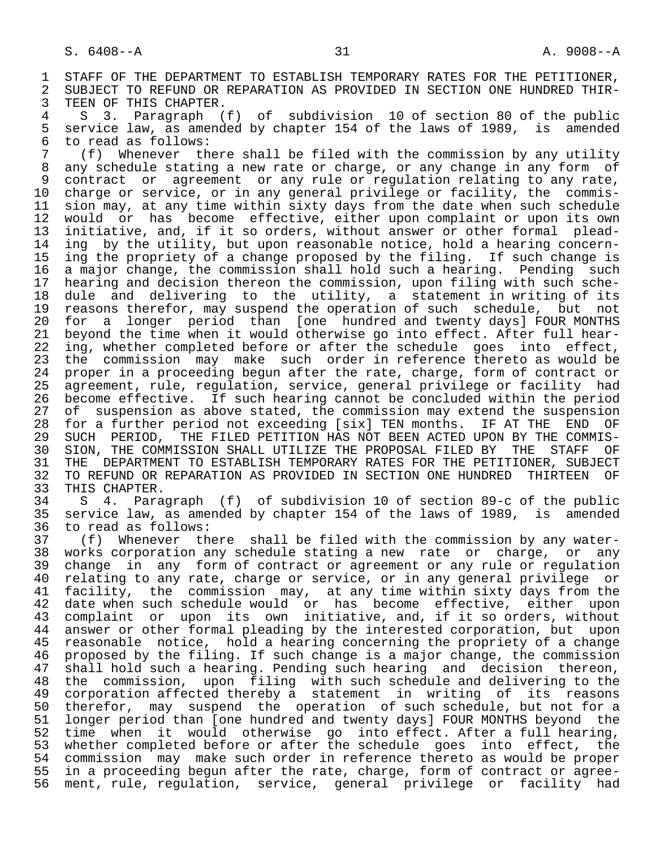1 STAFF OF THE DEPARTMENT TO ESTABLISH TEMPORARY RATES FOR THE PETITIONER,<br>2 SUBJECT TO REFUND OR REPARATION AS PROVIDED IN SECTION ONE HUNDRED THIR-2 SUBJECT TO REFUND OR REPARATION AS PROVIDED IN SECTION ONE HUNDRED THIR-<br>3 TEEN OF THIS CHAPTER. 3 TEEN OF THIS CHAPTER.<br>4 S 3. Paragraph (

 4 S 3. Paragraph (f) of subdivision 10 of section 80 of the public 5 service law, as amended by chapter 154 of the laws of 1989, is amended<br>6 to read as follows: 6 to read as follows:<br>7 (f) Whenever th

 7 (f) Whenever there shall be filed with the commission by any utility 8 any schedule stating a new rate or charge, or any change in any form of 8 contract or agreement or any rule or regulation relating to any rate. 9 contract or agreement or any rule or regulation relating to any rate,<br>10 charge or service, or in any general privilege or facility, the commis-10 charge or service, or in any general privilege or facility, the commis-<br>11 sion may, at any time within sixty days from the date when such schedule 11 sion may, at any time within sixty days from the date when such schedule<br>12 would or has become effective, either upon complaint or upon its own 12 would or has become effective, either upon complaint or upon its own<br>13 initiative, and, if it so orders, without answer or other formal plead-13 initiative, and, if it so orders, without answer or other formal plead-<br>14 ing by the utility, but upon reasonable notice, hold a hearing concerning by the utility, but upon reasonable notice, hold a hearing concern-15 ing the propriety of a change proposed by the filing. If such change is<br>16 a major change, the commission shall hold such a hearing. Pending such 16 a major change, the commission shall hold such a hearing. Pending such<br>17 hearing and decision thereon the commission, upon filing with such sche-17 hearing and decision thereon the commission, upon filing with such sche-<br>18 dule and delivering to the utility, a statement in writing of its 18 dule and delivering to the utility, a statement in writing of its<br>19 reasons therefor, may suspend the operation of such schedule, but not 19 reasons therefor, may suspend the operation of such schedule, but not<br>20 for a longer period than [one hundred and twenty days] FOUR MONTHS 20 for a longer period than [one hundred and twenty days] FOUR MONTHS 21 beyond the time when it would otherwise go into effect. After full hear- 22 ing, whether completed before or after the schedule goes into effect,<br>23 the commission may make such order in reference thereto as would be 23 the commission may make such order in reference thereto as would be<br>24 proper in a proceeding begun after the rate, charge, form of contract or 24 proper in a proceeding begun after the rate, charge, form of contract or agreement, rule, regulation, service, general privilege or facility had 26 become effective. If such hearing cannot be concluded within the period<br>27 of suspension as above stated, the commission may extend the suspension 27 of suspension as above stated, the commission may extend the suspension<br>28 for a further period not exceeding [six] TEN months. IF AT THE END OF 28 for a further period not exceeding [six] TEN months. IF AT THE END OF<br>29 SUCH PERIOD, THE FILED PETITION HAS NOT BEEN ACTED UPON BY THE COMMIS-29 SUCH PERIOD, THE FILED PETITION HAS NOT BEEN ACTED UPON BY THE COMMIS-<br>30 SION, THE COMMISSION SHALL UTILIZE THE PROPOSAL FILED BY THE STAFF OF 30 SION, THE COMMISSION SHALL UTILIZE THE PROPOSAL FILED BY THE STAFF OF<br>31 THE DEPARTMENT TO ESTABLISH TEMPORARY RATES FOR THE PETITIONER, SUBJECT 31 THE DEPARTMENT TO ESTABLISH TEMPORARY RATES FOR THE PETITIONER, SUBJECT<br>32 TO REFUND OR REPARATION AS PROVIDED IN SECTION ONE HUNDRED THIRTEEN OF 32 TO REFUND OR REPARATION AS PROVIDED IN SECTION ONE HUNDRED<br>33 THIS CHAPTER.

33 THIS CHAPTER.<br>34 S 4. Para 34 S 4. Paragraph (f) of subdivision 10 of section 89-c of the public 35 service law, as amended by chapter 154 of the laws of 1989, is amended<br>36 to read as follows: 36 to read as follows:<br>37 (f) Whenever th

 37 (f) Whenever there shall be filed with the commission by any water- 38 works corporation any schedule stating a new rate or charge, or any<br>39 change in any form of contract or agreement or any rule or regulation 39 change in any form of contract or agreement or any rule or regulation<br>40 relating to any rate, charge or service, or in any general privilege or 40 relating to any rate, charge or service, or in any general privilege or<br>41 facility, the commission may, at any time within sixty days from the 41 facility, the commission may, at any time within sixty days from the<br>42 date when such schedule would or has become effective, either upon 42 date when such schedule would or has become effective, either upon 43 complaint or upon its own initiative, and, if it so orders, without 44 answer or other formal pleading by the interested corporation, but upon<br>45 reasonable notice, hold a hearing concerning the propriety of a change 45 reasonable notice, hold a hearing concerning the propriety of a change 46 proposed by the filing. If such change is a major change, the commission<br>47 shall hold such a hearing. Pending such hearing and decision thereon, 47 shall hold such a hearing. Pending such hearing and decision thereon,<br>48 the commission, upon filing with such schedule and delivering to the 48 the commission, upon filing with such schedule and delivering to the<br>49 corporation affected thereby a statement in writing of its reasons 49 corporation affected thereby  $\overline{a}$  statement in writing of its reasons<br>50 therefor, may suspend the operation of such schedule, but not for a 50 therefor, may suspend the operation of such schedule, but not for a<br>51 longer period than [one hundred and twenty days] FOUR MONTHS beyond the 51 longer period than [one hundred and twenty days] FOUR MONTHS beyond the<br>52 time when it would otherwise go into effect. After a full hearing, 52 time when it would otherwise go into-effect. After a full hearing,<br>53 whether completed before or after the schedule goes into effect, the 53 whether completed before or after the schedule goes into effect, the<br>54 commission may make such order in reference thereto as would be proper 54 commission may make such order in reference thereto as would be proper<br>55 in a proceeding begun after the rate, charge, form of contract or agree-55 in a proceeding begun after the rate, charge, form of contract or agree-<br>56 ment, rule, regulation, service, general privilege or facility had ment, rule, regulation, service, general privilege or facility had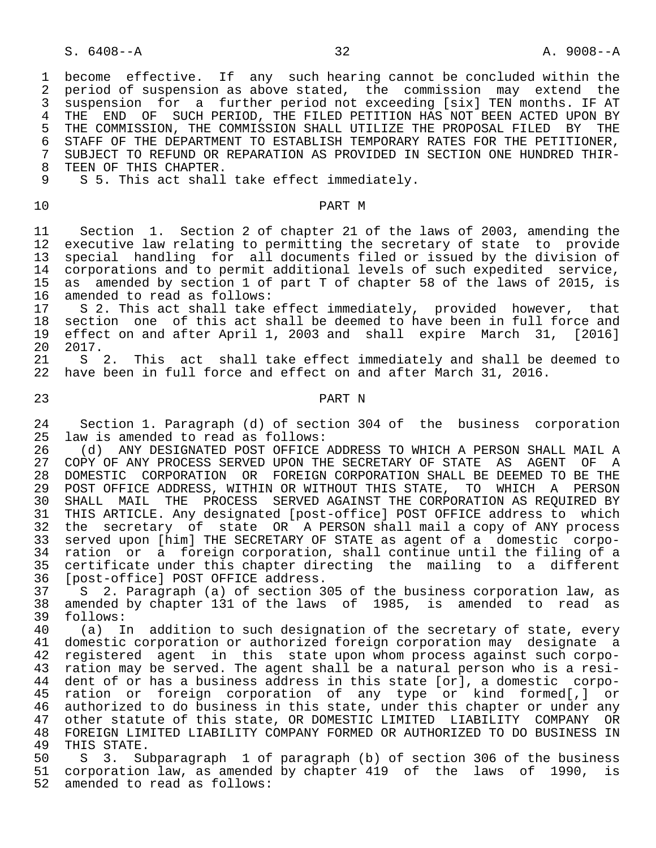1 become effective. If any such hearing cannot be concluded within the<br>2 period of suspension as above stated, the commission may extend the 2 period of suspension as above stated, the commission may extend the<br>3 suspension for a further period not exceeding [six] TEN months. IF AT 3 suspension for a further period not exceeding [six] TEN months. IF AT<br>4 THE END OF SUCH PERIOD, THE FILED PETITION HAS NOT BEEN ACTED UPON BY 4 THE END OF SUCH PERIOD, THE FILED PETITION HAS NOT BEEN ACTED UPON BY<br>5 THE COMMISSION, THE COMMISSION SHALL UTILIZE THE PROPOSAL FILED BY THE 5 THE COMMISSION, THE COMMISSION SHALL UTILIZE THE PROPOSAL FILED BY THE 6 STAFF OF THE DEPARTMENT TO ESTABLISH TEMPORARY RATES FOR THE PETITIONER. 6 STAFF OF THE DEPARTMENT TO ESTABLISH TEMPORARY RATES FOR THE PETITIONER,<br>7 SUBJECT TO REFUND OR REPARATION AS PROVIDED IN SECTION ONE HUNDRED THIR-7 SUBJECT TO REFUND OR REPARATION AS PROVIDED IN SECTION ONE HUNDRED THIR-<br>8 TEEN OF THIS CHAPTER 8 TEEN OF THIS CHAPTER.<br>9 S 5. This act shall S 5. This act shall take effect immediately. 10 PART M 11 Section 1. Section 2 of chapter 21 of the laws of 2003, amending the executive law relating to permitting the secretary of state to provide 13 special handling for all documents filed or issued by the division of<br>14 corporations and to permit additional levels of such expedited service, 14 corporations and to permit additional levels of such expedited service,<br>15 as amended by section 1 of part T of chapter 58 of the laws of 2015, is 15 as amended by section 1 of part T of chapter 58 of the laws of 2015, is<br>16 amended to read as follows: 16 amended to read as follows:<br>17 S 2. This act shall take 17 S 2. This act shall take effect immediately, provided however, that<br>18 section one of this act shall be deemed to have been in full force and 18 section one of this act shall be deemed to have been in full force and<br>19 effect on and after April 1, 2003 and shall expire March 31, [2016] 19 effect on and after April 1, 2003 and shall expire March 31, [2016] 20 2017.<br>21 S S 2. This act shall take effect immediately and shall be deemed to 22 have been in full force and effect on and after March 31, 2016. 23 PART N 24 Section 1. Paragraph (d) of section 304 of the business corporation<br>25 law is amended to read as follows: law is amended to read as follows: 26 (d) ANY DESIGNATED POST OFFICE ADDRESS TO WHICH A PERSON SHALL MAIL A<br>27 COPY OF ANY PROCESS SERVED UPON THE SECRETARY OF STATE AS AGENT OF A 27 COPY OF ANY PROCESS SERVED UPON THE SECRETARY OF STATE AS AGENT OF A<br>28 DOMESTIC CORPORATION OR FOREIGN CORPORATION SHALL BE DEEMED TO BE THE 28 DOMESTIC CORPORATION OR FOREIGN CORPORATION SHALL BE DEEMED TO BE THE 29 POST OFFICE ADDRESS, WITHIN OR WITHOUT THIS STATE, TO WHICH A PERSON 29 POST OFFICE ADDRESS, WITHIN OR WITHOUT THIS STATE, TO WHICH A PERSON<br>20 SHALL MAIL THE PROCESS SERVED AGAINST THE CORPORATION AS REOUIRED BY 30 SHALL MAIL THE PROCESS SERVED AGAINST THE CORPORATION AS REQUIRED BY<br>31 THIS ARTICLE, Any designated [post-office] POST OFFICE address to which THIS ARTICLE. Any designated [post-office] POST OFFICE address to which 32 the secretary of state OR A PERSON shall mail a copy of ANY process 33 served upon [him] THE SECRETARY OF STATE as agent of a domestic corpo- 34 ration or a foreign corporation, shall continue until the filing of a<br>35 certificate under this chapter directing the mailing to a different 35 certificate under this chapter directing the mailing to a different<br>36 [post-office] POST OFFICE address. 36 [post-office] POST OFFICE address.<br>37 S 2. Paragraph (a) of section 3 37 S 2. Paragraph (a) of section 305 of the business corporation law, as 38 amended by chapter 131 of the laws of 1985, is amended to read as 39 follows:<br>40 (a) I 40 (a) In addition to such designation of the secretary of state, every<br>41 domestic corporation or authorized foreign corporation may designate a 41 domestic corporation or authorized foreign corporation may designate a<br>42 registered agent in this state upon whom process against such corpo- 42 registered agent in this state upon whom process against such corpo ration may be served. The agent shall be a natural person who is a resi- 44 dent of or has a business address in this state [or], a domestic corpo- 45 ration or foreign corporation of any type or kind formed[,] or<br>46 authorized to do business in this state, under this chapter or under any 46 authorized to do business in this state, under this chapter or under any<br>47 other statute of this state, OR DOMESTIC LIMITED LIABILITY COMPANY OR 47 other statute of this state, OR DOMESTIC LIMITED LIABILITY COMPANY OR<br>48 FOREIGN LIMITED LIABILITY COMPANY FORMED OR AUTHORIZED TO DO BUSINESS IN 48 FOREIGN LIMITED LIABILITY COMPANY FORMED OR AUTHORIZED TO DO BUSINESS IN<br>49 THIS STATE. 49 THIS STATE.<br>50 S 3. Su 3. Subparagraph 1 of paragraph (b) of section 306 of the business 51 corporation law, as amended by chapter 419 of the laws of 1990, is 52 amended to read as follows: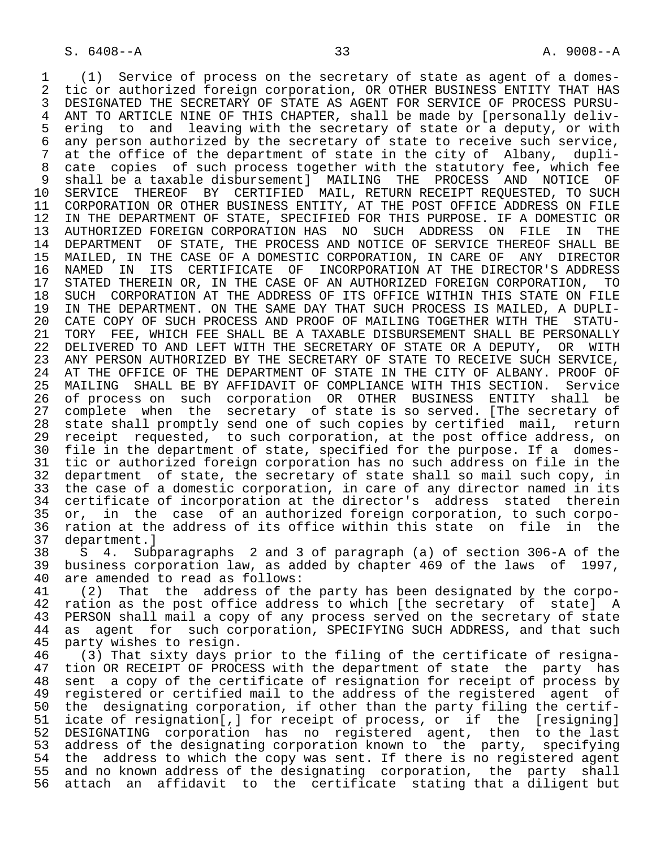1 (1) Service of process on the secretary of state as agent of a domes-<br>2 tic or authorized foreign corporation, OR OTHER BUSINESS ENTITY THAT HAS 2 tic or authorized foreign corporation, OR OTHER BUSINESS ENTITY THAT HAS<br>3 DESIGNATED THE SECRETARY OF STATE AS AGENT FOR SERVICE OF PROCESS PURSU-3 DESIGNATED THE SECRETARY OF STATE AS AGENT FOR SERVICE OF PROCESS PURSU-<br>4 ANT TO ARTICLE NINE OF THIS CHAPTER, shall be made by [personally deliv-4 ANT TO ARTICLE NINE OF THIS CHAPTER, shall be made by [personally deliv-<br>5 ering to and leaving with the secretary of state or a deputy, or with 5 ering to and leaving with the secretary of state or a deputy, or with<br>6 any person authorized by the secretary of state to receive such service. 6 any person authorized by the secretary of state to receive such service,<br>7 at the office of the department of state in the city of Albany, dupli-7 at the office of the department of state in the city of Albany, dupli-<br>8 cate, copies, of such process together with the statutory fee, which fee 8 cate copies of such process together with the statutory fee, which fee<br>9 shall be a taxable disbursementl MAILING THE PROCESS AND NOTICE OF 9 shall be a taxable disbursement] MAILING THE PROCESS AND NOTICE OF<br>10 SERVICE THEREOF BY CERTIFIED MAIL, RETURN RECEIPT REOUESTED, TO SUCH 10 SERVICE THEREOF BY CERTIFIED MAIL, RETURN RECEIPT REQUESTED, TO SUCH<br>11 CORPORATION OR OTHER BUSINESS ENTITY, AT THE POST OFFICE ADDRESS ON FILE 11 CORPORATION OR OTHER BUSINESS ENTITY, AT THE POST OFFICE ADDRESS ON FILE<br>12 IN THE DEPARTMENT OF STATE, SPECIFIED FOR THIS PURPOSE. IF A DOMESTIC OR 12 IN THE DEPARTMENT OF STATE, SPECIFIED FOR THIS PURPOSE. IF A DOMESTIC OR<br>13 AUTHORIZED FOREIGN CORPORATION HAS NO SUCH ADDRESS ON FILE IN THE 13 AUTHORIZED FOREIGN CORPORATION HAS NO SUCH ADDRESS ON FILE IN THE<br>14 DEPARTMENT OF STATE, THE PROCESS AND NOTICE OF SERVICE THEREOF SHALL BE DEPARTMENT OF STATE, THE PROCESS AND NOTICE OF SERVICE THEREOF SHALL BE 15 MAILED, IN THE CASE OF A DOMESTIC CORPORATION, IN CARE OF ANY DIRECTOR<br>16 NAMED IN ITS CERTIFICATE OF INCORPORATION AT THE DIRECTOR'S ADDRESS 16 NAMED IN ITS CERTIFICATE OF INCORPORATION AT THE DIRECTOR'S ADDRESS<br>17 STATED THEREIN OR, IN THE CASE OF AN AUTHORIZED FOREIGN CORPORATION, TO 17 STATED THEREIN OR, IN THE CASE OF AN AUTHORIZED FOREIGN CORPORATION, TO<br>18 SUCH CORPORATION AT THE ADDRESS OF ITS OFFICE WITHIN THIS STATE ON FILE 18 SUCH CORPORATION AT THE ADDRESS OF ITS OFFICE WITHIN THIS STATE ON FILE<br>19 IN THE DEPARTMENT. ON THE SAME DAY THAT SUCH PROCESS IS MAILED, A DUPLI-19 IN THE DEPARTMENT. ON THE SAME DAY THAT SUCH PROCESS IS MAILED, A DUPLI-<br>20 CATE COPY OF SUCH PROCESS AND PROOF OF MAILING TOGETHER WITH THE STATU-20 CATE COPY OF SUCH PROCESS AND PROOF OF MAILING TOGETHER WITH THE STATU-<br>21 TORY FEE, WHICH FEE SHALL BE A TAXABLE DISBURSEMENT SHALL BE PERSONALLY 21 TORY FEE, WHICH FEE SHALL BE A TAXABLE DISBURSEMENT SHALL BE PERSONALLY<br>22 DELIVERED TO AND LEFT WITH THE SECRETARY OF STATE OR A DEPUTY, OR WITH 22 DELIVERED TO AND LEFT WITH THE SECRETARY OF STATE OR A DEPUTY, OR WITH 23 ANY PERSON AUTHORIZED BY THE SECRETARY OF STATE TO RECEIVE SUCH SERVICE, 23 ANY PERSON AUTHORIZED BY THE SECRETARY OF STATE TO RECEIVE SUCH SERVICE,<br>24 AT THE OFFICE OF THE DEPARTMENT OF STATE IN THE CITY OF ALBANY. PROOF OF 24 AT THE OFFICE OF THE DEPARTMENT OF STATE IN THE CITY OF ALBANY. PROOF OF<br>25 MAILING SHALL BE BY AFFIDAVIT OF COMPLIANCE WITH THIS SECTION. Service 25 MAILING SHALL BE BY AFFIDAVIT OF COMPLIANCE WITH THIS SECTION. Service 26 of process on such corporation OR OTHER BUSINESS ENTITY shall be<br>27 complete when the secretary of state is so-served. [The secretary of 27 complete when the secretary of state is so served. [The secretary of<br>28 state shall promptly send one of such copies by certified mail, return state shall promptly send one of such copies by certified mail, return 29 receipt requested, to such corporation, at the post office address, on 30 file in the department of state, specified for the purpose. If a domes- 31 tic or authorized foreign corporation has no such address on file in the 32 department of state, the secretary of state shall so mail such copy, in<br>33 the case of a domestic corporation, in care of any director named in its the case of a domestic corporation, in care of any director named in its 34 certificate of incorporation at the director's address stated therein<br>35 or, in the case of an authorized foreign corporation, to such corpo-35 or, in the case of an authorized foreign corporation, to such corpo-<br>36 ration at the address of its office within this state on file in the 36 ration at the address of its office within this state on file in the 37 department. 37 department.]<br>38 S 4. Sub

 38 S 4. Subparagraphs 2 and 3 of paragraph (a) of section 306-A of the 39 business corporation law, as added by chapter 469 of the laws of 1997,<br>40 are amended to read as follows: 40 are amended to read as follows:<br>41 (2) That the address of th

41 (2) That the address of the party has been designated by the corpo-<br>42 ration as the post office address to which [the secretary of state] A 42 ration as the post office address to which [the secretary of state] A<br>43 PERSON shall mail a copy of any process served on the secretary of state 43 PERSON shall mail a copy of any process served on the secretary of state<br>44 as agent for such corporation, SPECIFYING SUCH ADDRESS, and that such 44 as agent for such corporation, SPECIFYING SUCH ADDRESS, and that such 45 party wishes to resign. party wishes to resign.

46 (3) That sixty days prior to the filing of the certificate of resigna-<br>47 tion OR RECEIPT OF PROCESS with the department of state the party has 47 tion OR RECEIPT OF PROCESS with the department of state the party has<br>48 sent a copy of the certificate of resignation for receipt of process by 48 sent a copy of the certificate of resignation for receipt of process by<br>49 registered or certified mail to the address of the registered agent of 49 registered or certified mail to the address of the registered agent of<br>50 the designating corporation, if other than the party filing the certif-50 the designating corporation, if other than the party filing the certif-<br>51 icate of resignation[,] for receipt of process, or if the [resigning] icate of resignation[, ] for receipt of process, or if the [resigning] 52 DESIGNATING corporation has no registered agent, then to the last 53 address of the designating corporation known to the party, specifying<br>54 the address to which the copy was sent. If there is no registered agent 54 the address to which the copy was sent. If there is no registered agent<br>55 and no known address of the designating corporation, the party shall 55 and no known address of the designating corporation, the party shall<br>56 attach an affidavit to the certificate stating that a diligent but attach an affidavit to the certificate stating that a diligent but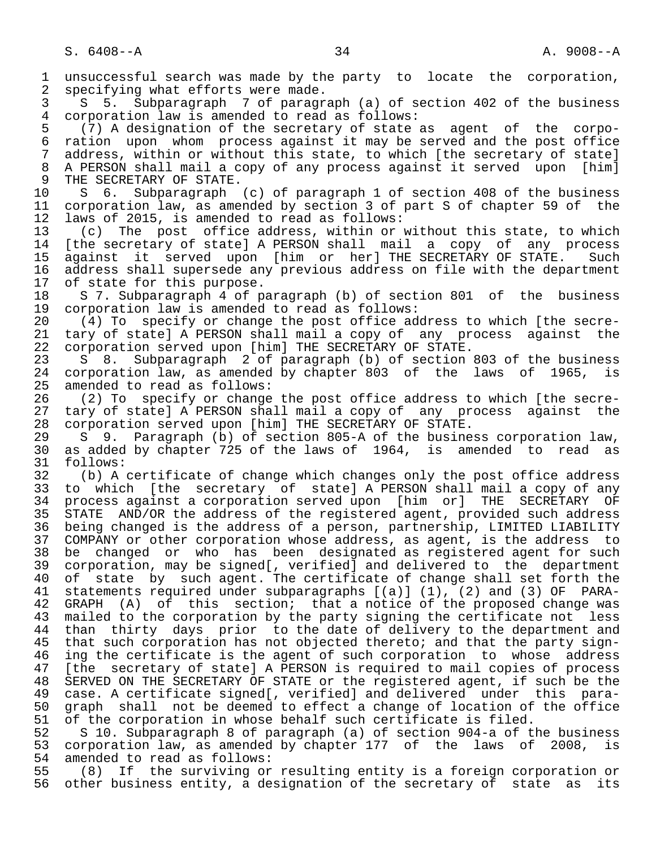1 unsuccessful search was made by the party to locate the corporation,<br>2 specifying what efforts were made. 2 specifying what efforts were made.<br>3 S 5. Subparagraph 7 of paragr 3 S 5. Subparagraph 7 of paragraph (a) of section 402 of the business<br>4 corporation law is amended to read as follows: 4 corporation law is amended to read as follows:<br>5 (7) A designation of the secretary of state 5 (7) A designation of the secretary of state as agent of the corpo- 6 ration upon whom process against it may be served and the post office 7 address, within or without this state, to which [the secretary of state]<br>8 A PERSON shall mail a copy of any process against it served upon [him] 8 A PERSON shall mail a copy of any process against it served upon [him]<br>9 THE SECRETARY OF STATE. 9 THE SECRETARY OF STATE.<br>10 S 6. Subparagraph 10 S 6. Subparagraph (c) of paragraph 1 of section 408 of the business<br>11 corporation law, as amended by section 3 of part S of chapter 59 of the 11 corporation law, as amended by section 3 of part S of chapter 59 of the<br>12 laws of 2015, is amended to read as follows: 12 laws of 2015, is amended to read as follows:<br>13 (c) The post office address, within or 13 (c) The post office address, within or without this state, to which<br>14 (the secretary of statel A PERSON shall mail a copy of any process [the secretary of state] A PERSON shall mail a copy of any process 15 against it served upon [him or her] THE SECRETARY OF STATE. Such<br>16 address shall supersede any previous address on file with the department 16 address shall supersede any previous address on file with the department<br>17 of state for this purpose. 17 of state for this purpose.<br>18 S 7. Subparagraph 4 of p. 18 S 7. Subparagraph 4 of paragraph (b) of section 801 of the business<br>19 corporation law is amended to read as follows: 19 corporation law is amended to read as follows:<br>20 (4) To specify or change the post office ad 20 (4) To specify or change the post office address to which [the secre- 21 tary of state] A PERSON shall mail a copy of any process against the<br>22 corporation served upon [him] THE SECRETARY OF STATE. 22 corporation served upon [him] THE SECRETARY OF STATE.<br>23 S 8. Subparagraph 2 of paragraph (b) of section 23 S 8. Subparagraph 2 of paragraph (b) of section 803 of the business<br>24 corporation law, as amended by chapter 803 of the laws of 1965, is 24 corporation law, as amended by chapter 803 of the laws of 1965, is<br>25 amended to read as follows: amended to read as follows: 26 (2) To specify or change the post office address to which [the secre-<br>27 tary of state] A PERSON shall mail a copy of any process against the 27 tary of state] A PERSON shall mail a copy of any process against the<br>28 corporation served upon [him] THE SECRETARY OF STATE. 28 corporation served upon [him] THE SECRETARY OF STATE.<br>29 S 9. Paragraph (b) of section 805-A of the busine 29 S 9. Paragraph (b) of section 805-A of the business corporation law,<br>30 as added by chapter 725 of the laws of 1964, is amended to read as 30 as added by chapter 725 of the laws of 1964, is amended to read as 31 follows: 31 follows:<br>32 (b) A 32 (b) A certificate of change which changes only the post office address<br>33 to which [the secretary of state] A PERSON shall mail a copy of any 33 to which [the secretary of state] A PERSON shall mail a copy of any<br>34 process against a corporation served upon [him or] THE SECRETARY OF 34 process against a corporation served upon [him or] THE SECRETARY OF<br>35 STATE AND/OR the address of the registered agent, provided such address 35 STATE AND/OR the address of the registered agent, provided such address<br>36 being changed is the address of a person, partnership, LIMITED LIABILITY being changed is the address of a person, partnership, LIMITED LIABILITY 37 COMPANY or other corporation whose address, as agent, is the address to 38 be changed or who has been designated as registered agent for such<br>39 corporation, may be signed[, verified] and delivered to the department 39 corporation, may be signed[, verified] and delivered to the department<br>40 of state by such agent. The certificate of change shall set forth the 40 of state by such agent. The certificate of change shall set forth the 41 statements required under subparagraphs [(a)] (1), (2) and (3) OF PARA-<br>42 GRAPH (A) of this section; that a notice of the proposed change was 42 GRAPH (A) of this section; that a notice of the proposed change was<br>43 mailed to the corporation by the party signing the certificate not less 43 mailed to the corporation by the party signing the certificate not less<br>44 than thirty days prior to the date of delivery to the department and 44 than thirty days prior to the date of delivery to the department and<br>45 that such corporation has not objected thereto; and that the party signthat such corporation has not objected thereto; and that the party sign-46 ing the certificate is the agent of such corporation to whose address<br>47 Ithe secretary of statel A PERSON is required to mail copies of process [the secretary of state] A PERSON is required to mail copies of process 48 SERVED ON THE SECRETARY OF STATE or the registered agent, if such be the<br>49 case. A certificate signed[, verified] and delivered under this para- 49 case. A certificate signed[, verified] and delivered under this para- 50 graph shall not be deemed to effect a change of location of the office<br>51 of the corporation in whose behalf such certificate is filed. 51 of the corporation in whose behalf such certificate is filed.<br>52 S 10. Subparagraph 8 of paragraph (a) of section 904-a of t 52 S 10. Subparagraph 8 of paragraph (a) of section 904-a of the business<br>53 corporation law, as amended by chapter 177 of the laws of 2008, is 53 corporation law, as amended by chapter 177 of the laws of 2008, is<br>54 amended to read as follows: 54 amended to read as follows:<br>55 (8) If the surviving or

55 (8) If the surviving or resulting entity is a foreign corporation or<br>56 other business entity, a designation of the secretary of state as its other business entity, a designation of the secretary of state as its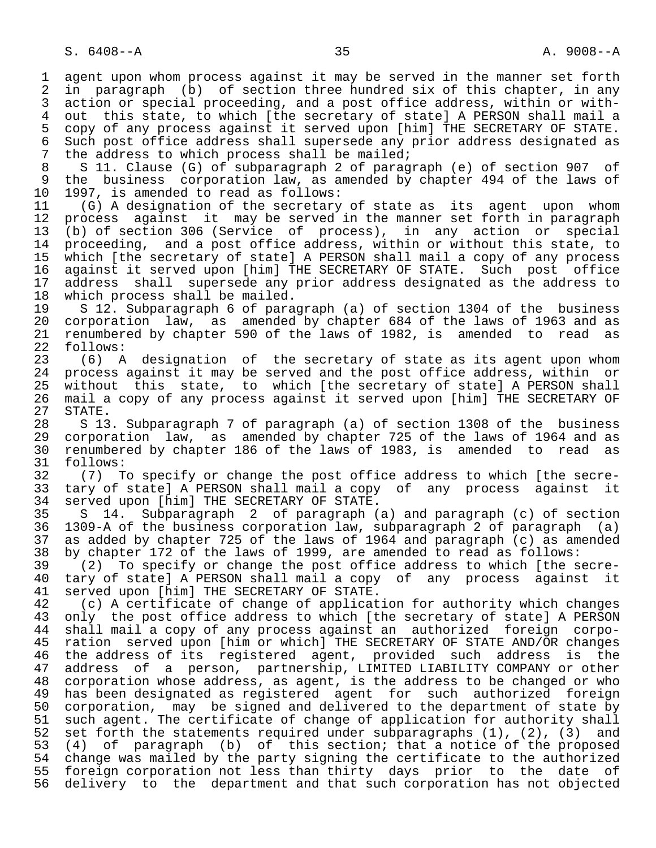1 agent upon whom process against it may be served in the manner set forth<br>2 in paragraph (b) of section three hundred six of this chapter, in any 2 in paragraph (b) of section three hundred six of this chapter, in any<br>3 action or special proceeding, and a post office address, within or with-3 action or special proceeding, and a post office address, within or with-<br>4 out this state, to which (the secretary of state) A PERSON shall mail a 4 out this state, to which [the secretary of state] A PERSON shall mail a<br>5 copy of any process against it served upon [him] THE SECRETARY OF STATE. 5 copy of any process against it served upon [him] THE SECRETARY OF STATE.<br>6 Such post office address shall supersede any prior address designated as 6 Such post office address shall supersede any prior address designated as<br>7 the address to which process shall be mailed; 7 the address to which process shall be mailed;<br>8 S 11. Clause (G) of subparagraph 2 of parag

8 S 11. Clause (G) of subparagraph 2 of paragraph (e) of section 907 of<br>9 the business corporation law, as amended by chapter 494 of the laws of 9 the business corporation law, as amended by chapter 494 of the laws of 10 1997, is amended to read as follows: 10 1997, is amended to read as follows:<br>11 (G) A designation of the secretary

11 (G) A designation of the secretary of state as its agent upon whom<br>12 process against it may be served in the manner set forth in paragraph 12 process against it may be served in the manner set forth in paragraph<br>13 (b) of section 306 (Service of process), in any action or special 13 (b) of section 306 (Service of process), in any action or special<br>14 proceeding, and a post office address, within or without this state, to proceeding, and a post office address, within or without this state, to 15 which [the secretary of state] A PERSON shall mail a copy of any process<br>16 against it served upon [him] THE SECRETARY OF STATE. Such post office 16 against it served upon [him] THE SECRETARY OF STATE.<br>17 address shall supersede any prior address designate 17 address shall supersede any prior address designated as the address to<br>18 which process shall be mailed. 18 which process shall be mailed.<br>19 S 12. Subparagraph 6 of para

19 S 12. Subparagraph 6 of paragraph (a) of section 1304 of the business<br>20 corporation law, as amended by chapter 684 of the laws of 1963 and as 20 corporation law, as amended by chapter 684 of the laws of 1963 and as<br>21 renumbered by chapter 590 of the laws of 1982, is amended to read as 21 renumbered by chapter 590 of the laws of 1982, is amended to read as 22 follows:<br>23 (6) A

 $(6)$  A designation of the secretary of state as its agent upon whom 24 process against it may be served and the post office address, within or<br>25 without this state, to which (the secretary of state) A PERSON shall without this state, to which [the secretary of state] A PERSON shall 26 mail a copy of any process against it served upon [him] THE SECRETARY OF 27 STATE.<br>28 S 13

28 S 13. Subparagraph 7 of paragraph (a) of section 1308 of the business<br>29 corporation law, as amended by chapter 725 of the laws of 1964 and as 29 corporation law, as amended by chapter 725 of the laws of 1964 and as<br>30 renumbered by chapter 186 of the laws of 1983, is amended to read as 30 renumbered by chapter 186 of the laws of 1983, is amended to read as 31 follows:<br>32 (7) T

32 (7) To specify or change the post office address to which [the secre-<br>33 tary of state] A PERSON shall mail a copy of any process against it 33 tary of state] A PERSON shall mail a copy of any process against it<br>34 served upon [him] THE SECRETARY OF STATE. 34 served upon [him] THE SECRETARY OF STATE.<br>35 S 14. Subparagraph 2 of paragraph (

35 S 14. Subparagraph 2 of paragraph (a) and paragraph (c) of section<br>36 1309-A of the business corporation law, subparagraph 2 of paragraph (a) 36 1309-A of the business corporation law, subparagraph 2 of paragraph (a) 37 as added by chapter 725 of the laws of 1964 and paragraph (c) as amended<br>38 by chapter 172 of the laws of 1999, are amended to read as follows:

 38 by chapter 172 of the laws of 1999, are amended to read as follows: 39 (2) To specify or change the post office address to which [the secre-<br>40 tary of state] A PERSON shall mail a copy of any process against it 40 tary of state] A PERSON shall mail a copy of any process against it<br>41 served upon [him] THE SECRETARY OF STATE. 41 served upon [him] THE SECRETARY OF STATE.<br>42 (c) A certificate of change of applicat

42 (c) A certificate of change of application for authority which changes<br>43 only the post office address to which [the secretary of state] A PERSON 43 only the post office address to which [the secretary of state] A PERSON<br>44 shall mail a copy of any process against an authorized foreign corpo-44 shall mail a copy of any process against an authorized foreign corpo-<br>45 ration served upon [him or which] THE SECRETARY OF STATE AND/OR changes ration served upon [him or which] THE SECRETARY OF STATE AND/OR changes 46 the address of its registered agent, provided such address is the<br>47 address of a person, partnership, LIMITED LIABILITY COMPANY or other address of a person, partnership, LIMITED LIABILITY COMPANY or other 48 corporation whose address, as agent, is the address to be changed or who<br>49 has been designated as registered agent for such authorized foreign 49 has been designated as registered agent for such authorized foreign<br>50 corporation, may be signed and delivered to the department of state by 50 corporation, may be signed and delivered to the department of state by<br>51 such agent. The certificate of change of application for authority shall 51 such agent. The certificate of change of application for authority shall<br>52 set forth the statements required under subparagraphs (1), (2), (3) and 52 set forth the statements required under subparagraphs (1), (2), (3) and<br>53 (4) of paragraph (b) of this section; that a notice of the proposed 53 (4) of paragraph (b) of this section; that a notice of the proposed 54 change was mailed by the party signing the certificate to the authorized<br>55 foreign corporation not less than thirty days prior to the date of 55 foreign corporation not less than thirty days prior to the date of<br>56 delivery to the department and that such corporation has not objected 56 delivery to the department and that such corporation has not objected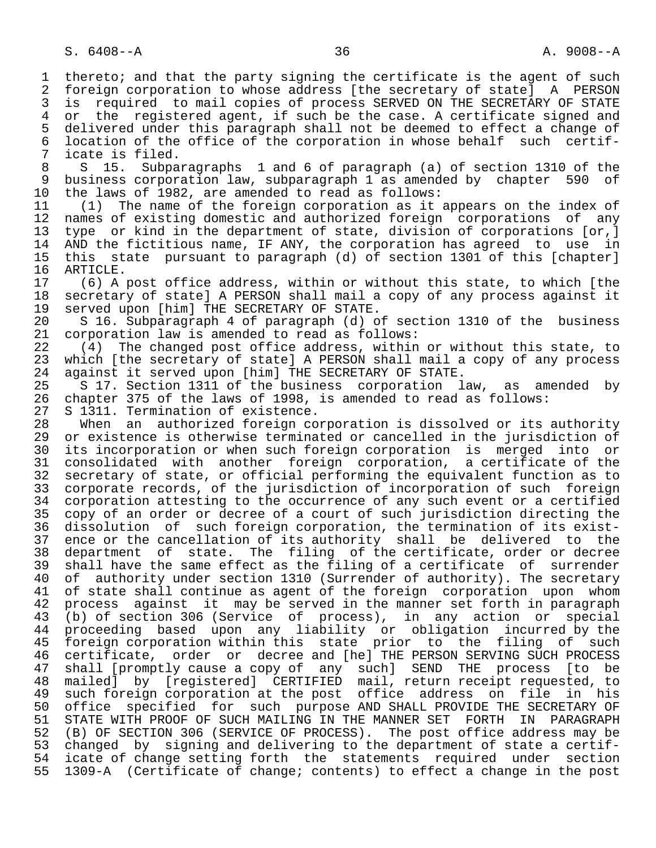1 thereto; and that the party signing the certificate is the agent of such<br>2 foreign corporation to whose address [the secretary of state] A PERSON 2 foreign corporation to whose address [the secretary of state] A PERSON<br>3 is required to mail copies of process SERVED ON THE SECRETARY OF STATE 3 is required to mail copies of process SERVED ON THE SECRETARY OF STATE<br>4 or the registered agent, if such be the case. A certificate signed and 4 or the registered agent, if such be the case. A certificate signed and<br>5 delivered under this paragraph shall not be deemed to effect a change of 5 delivered under this paragraph shall not be deemed to effect a change of<br>6 location of the office of the corporation in whose behalf such certif-6 location of the office of the corporation in whose behalf such certif-<br>7 icate is filed. 7 icate is filed.<br>8 S 15. Subpa 8 S 15. Subparagraphs 1 and 6 of paragraph (a) of section 1310 of the<br>9 business corporation law, subparagraph 1 as amended by chapter 590 of 9 business corporation law, subparagraph 1 as amended by chapter 590 of<br>10 the laws of 1982, are amended to read as follows: 10 the laws of 1982, are amended to read as follows:<br>11 (1) The name of the foreign corporation as it. 11 (1) The name of the foreign corporation as it appears on the index of<br>12 names of existing domestic and authorized foreign corporations of any 12 names of existing domestic and authorized foreign corporations of any<br>13 type or kind in the department of state, division of corporations [or,] 13 type or kind in the department of state, division of corporations [or,]<br>14 AND the fictitious name, IF ANY, the corporation has agreed to use in AND the fictitious name, IF ANY, the corporation has agreed to use in 15 this state pursuant to paragraph (d) of section 1301 of this [chapter] 16 ARTICLE.<br>17 (6) A 17 (6) A post office address, within or without this state, to which [the 18 secretary of state] A PERSON shall mail a copy of any process against it 18 secretary of state] A PERSON shall mail a copy of any process against it<br>19 served upon [him] THE SECRETARY OF STATE. 19 served upon [him] THE SECRETARY OF STATE.<br>20 S 16. Subparagraph 4 of paragraph (d) o 20 S 16. Subparagraph 4 of paragraph (d) of section 1310 of the business<br>21 corporation law is amended to read as follows: 21 corporation law is amended to read as follows:<br>22 (4) The changed post office address, within 22 (4) The changed post office address, within or without this state, to<br>23 which [the secretary of state] A PERSON shall mail a copy of any process which [the secretary of state] A PERSON shall mail a copy of any process 24 against it served upon [him] THE SECRETARY OF STATE.<br>25 S 17. Section 1311 of the business corporation 1 S 17. Section 1311 of the business corporation law, as amended by 26 chapter 375 of the laws of 1998, is amended to read as follows: 27 S 1311. Termination of existence.<br>28 When an authorized foreign co 28 When an authorized foreign corporation is dissolved or its authority<br>29 or existence is otherwise terminated or cancelled in the jurisdiction of 29 or existence is otherwise terminated or cancelled in the jurisdiction of<br>30 its incorporation or when such foreign corporation is merged into or 30 its incorporation or when such foreign corporation is merged into or<br>31 consolidated with another foreign corporation, a certificate of the 31 consolidated with another foreign corporation, a certificate of the<br>32 secretary of state, or official performing the equivalent function as to 32 secretary of state, or official performing the equivalent function as to<br>33 corporate records, of the jurisdiction of incorporation of such foreign 33 corporate records, of the jurisdiction of incorporation of such foreign<br>34 corporation attesting to the occurrence of any such event or a certified 34 corporation attesting to the occurrence of any such event or a certified<br>35 copy of an order or decree of a court of such jurisdiction directing the 35 copy of an order or decree of a court of such jurisdiction directing the<br>36 dissolution of such foreign corporation, the termination of its existdissolution of such foreign corporation, the termination of its exist- 37 ence or the cancellation of its authority shall be delivered to the 38 department of state. The filing of the certificate, order or decree<br>39 shall have the same effect as the filing of a certificate of surrender 39 shall have the same effect as the filing of a certificate of surrender<br>40 of authority under section 1310 (Surrender of authority). The secretary 40 of authority under section 1310 (Surrender of authority). The secretary<br>41 of state shall continue as agent of the foreign corporation upon whom 41 of state shall continue as agent of the foreign corporation upon whom<br>42 process against it may be served in the manner set forth in paragraph 42 process against it may be served in the manner set forth in paragraph<br>43 (b) of section 306 (Service of process), in any action or special 43 (b) of section 306 (Service of process), in any action or special<br>44 proceeding based upon any liability or obligation incurred by the 44 proceeding based upon any liability or obligation incurred by the<br>45 foreign corporation within this state prior to the filing of such foreign corporation within this state prior to the 46 certificate, order or decree and [he] THE PERSON SERVING SUCH PROCESS<br>47 shall [promptly cause a copy of any such] SEND THE process [to be 47 shall [promptly cause a copy of any such] SEND THE process [to be<br>48 mailed] by [reqistered] CERTIFIED mail, return receipt requested, to 48 mailed] by [registered] CERTIFIED mail, return receipt requested, to 49 such foreign corporation at the post office address on file in his 50 office specified for such purpose AND SHALL PROVIDE THE SECRETARY OF 51 STATE WITH PROOF OF SUCH MAILING IN THE MANNER SET FORTH IN PARAGRAPH<br>52 (B) OF SECTION 306 (SERVICE OF PROCESS). The post office address may be 52 (B) OF SECTION 306 (SERVICE OF PROCESS). The post office address may be 53 changed by signing and delivering to the department of state a certif-53 changed by signing and delivering to the department of state a certif-<br>54 icate of change setting forth the statements required under section 54 icate of change setting forth the statements required under section<br>55 1309-A (Certificate of change; contents) to effect a change in the post 55 1309-A (Certificate of change; contents) to effect a change in the post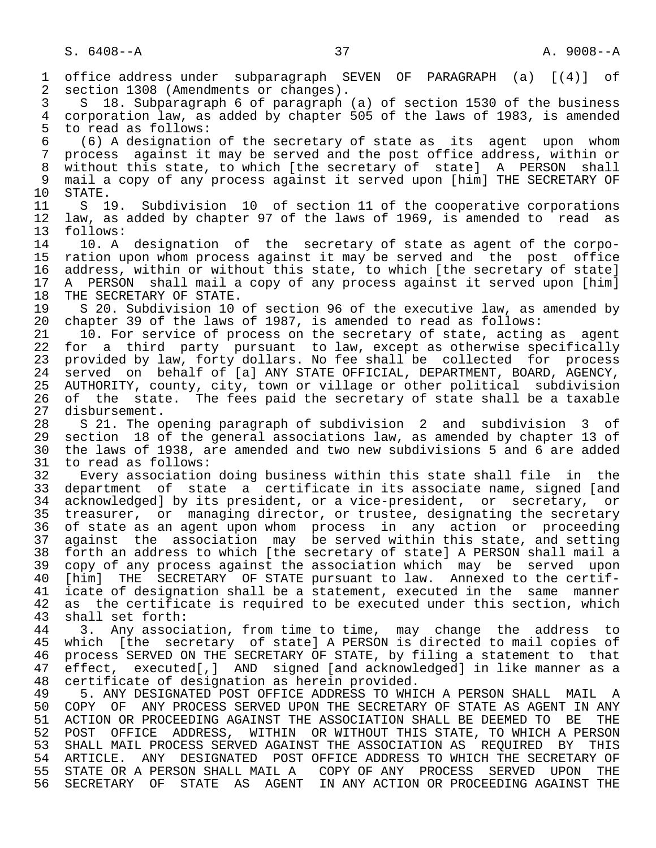1 office address under subparagraph SEVEN OF PARAGRAPH (a) [(4)] of 2 section 1308 (Amendments or changes). 3 S 18. Subparagraph 6 of paragraph (a) of section 1530 of the business 4 corporation law, as added by chapter 505 of the laws of 1983, is amended 5 to read as follows:<br>6 (6) A designation 6 (6) A designation of the secretary of state as its agent upon whom 7 process against it may be served and the post office address, within or 8 without this state, to which [the secretary of state] A PERSON shall<br>9 mail a copy of any process against it served upon [him] THE SECRETARY OF 9 mail a copy of any process against it served upon [him] THE SECRETARY OF 10 STATE. 10 STATE.<br>11 S 1 11 S 19. Subdivision 10 of section 11 of the cooperative corporations<br>12 law, as added by chapter 97 of the laws of 1969, is amended to read as 12 law, as added by chapter 97 of the laws of 1969, is amended to read as 13 follows:<br>14 10. A 14 10. A designation of the secretary of state as agent of the corpo-<br>15 ration upon whom process against it may be served and the post office 15 ration upon whom process against it may be served and the post office 16 address, within or without this state, to which [the secretary of state]<br>17 A PERSON shall mail a copy of any process against it served upon [him] 17 A PERSON shall mail a copy of any process against it served upon [him]<br>18 THE SECRETARY OF STATE. 18 THE SECRETARY OF STATE.<br>19 S 20. Subdivision 10 19 S 20. Subdivision 10 of section 96 of the executive law, as amended by<br>20 chapter 39 of the laws of 1987, is amended to read as follows: 20 chapter 39 of the laws of 1987, is amended to read as follows:<br>21 10. For service of process on the secretary of state, acting 21 10. For service of process on the secretary of state, acting as agent<br>22 for a third party pursuant to law, except as otherwise specifically 22 for a third party pursuant to law, except as otherwise specifically<br>23 provided by law, forty dollars. No fee shall be collected for process provided by law, forty dollars. No fee shall be collected for process 24 served on behalf of [a] ANY STATE OFFICIAL, DEPARTMENT, BOARD, AGENCY,<br>25 AUTHORITY, county, city, town or village or other political subdivision 25 AUTHORITY, county, city, town or village or other political subdivision 26 of the state. The fees paid the secretary of state shall be a taxable<br>27 disbursement. 27 disbursement.<br>28 S 21. The o 28 S 21. The opening paragraph of subdivision 2 and subdivision 3 of 29 section 18 of the general associations law, as amended by chapter 13 of<br>20 the laws of 1938, are amended and two new subdivisions 5 and 6 are added 30 the laws of 1938, are amended and two new subdivisions 5 and 6 are added 31 to read as follows:<br>32 Every association 32 Every association doing business within this state shall file in the<br>33 department of state a certificate in its associate name, signed [and 33 department of state a certificate in its associate name, signed [and<br>34 acknowledged] by its president, or a vice-president, or secretary, or 34 acknowledged] by its president, or a vice-president, or secretary, or<br>35 treasurer, or managing director, or trustee, designating the secretary 35 treasurer, or managing director, or trustee, designating the secretary<br>36 of state as an agent upon whom process in any action or proceeding of state as an agent upon whom process in any action or proceeding 37 against the association may be served within this state, and setting<br>38 forth an address to which [the secretary of state] A PERSON shall mail a 38 forth an address to which [the secretary of state] A PERSON shall mail a<br>39 copy of any process against the association which may be served upon 39 copy of any process against the association which may be served upon<br>40 [him] THE SECRETARY OF STATE pursuant to law. Annexed to the certif-40 [him] THE SECRETARY OF STATE pursuant to law. Annexed to the certif-<br>41 icate of designation shall be a statement, executed in the same manner 41 icate of designation shall be a statement, executed in the same manner<br>42 as the certificate is required to be executed under this section, which 42 as the certificate is required to be executed under this section, which<br>43 shall set forth: 43 shall set forth:<br>44 3. Any associ 44 3. Any association, from time to time, may change the address to<br>45 which [the secretary of state] A PERSON is directed to mail copies of which [the secretary of state] A PERSON is directed to mail copies of 46 process SERVED ON THE SECRETARY OF STATE, by filing a statement to that<br>47 effect, executed[,] AND signed [and acknowledged] in like manner as a effect, executed[,] AND signed [and acknowledged] in like manner as a 48 certificate of designation as herein provided. 49 5. ANY DESIGNATED POST OFFICE ADDRESS TO WHICH A PERSON SHALL MAIL A 1999 ANY PROCESS SERVED UPON THE SECRETARY OF STATE AS AGENT IN ANY 50 COPY OF ANY PROCESS SERVED UPON THE SECRETARY OF STATE AS AGENT IN ANY<br>51 ACTION OR PROCEEDING AGAINST THE ASSOCIATION SHALL BE DEEMED TO BE THE 51 ACTION OR PROCEEDING AGAINST THE ASSOCIATION SHALL BE DEEMED TO BE THE<br>52 POST OFFICE ADDRESS, WITHIN OR WITHOUT THIS STATE, TO WHICH A PERSON 52 POST OFFICE ADDRESS, WITHIN OR WITHOUT THIS STATE, TO WHICH A PERSON 53 SHALL MAIL PROCESS SERVED AGAINST THE ASSOCIATION AS REQUIRED BY THIS<br>54 ARTICLE. ANY DESIGNATED POST OFFICE ADDRESS TO WHICH THE SECRETARY OF 54 ARTICLE. ANY DESIGNATED POST OFFICE ADDRESS TO WHICH THE SECRETARY OF<br>55 STATE OR A PERSON SHALL MAIL A COPY OF ANY PROCESS SERVED UPON THE 55 STATE OR A PERSON SHALL MAIL A COPY OF ANY PROCESS SERVED UPON THE 56 SECRETARY OF STATE AS AGENT IN ANY ACTION OR PROCEEDING AGAINST THE IN ANY ACTION OR PROCEEDING AGAINST THE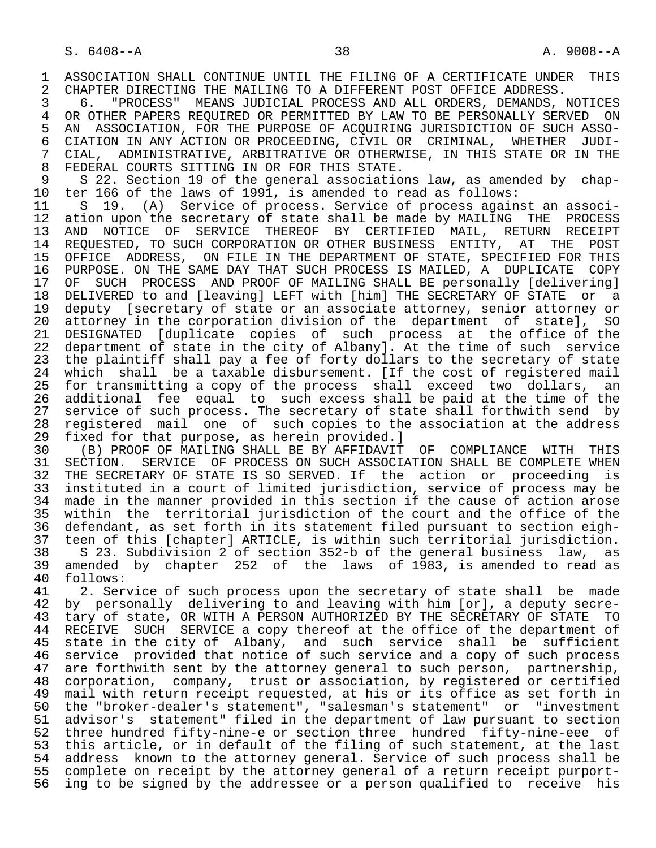1 ASSOCIATION SHALL CONTINUE UNTIL THE FILING OF A CERTIFICATE UNDER THIS<br>2 CHAPTER DIRECTING THE MAILING TO A DIFFERENT POST OFFICE ADDRESS. 2 CHAPTER DIRECTING THE MAILING TO A DIFFERENT POST OFFICE ADDRESS.<br>3 6. "PROCESS" MEANS JUDICIAL PROCESS AND ALL ORDERS, DEMANDS,

 3 6. "PROCESS" MEANS JUDICIAL PROCESS AND ALL ORDERS, DEMANDS, NOTICES 4 OR OTHER PAPERS REQUIRED OR PERMITTED BY LAW TO BE PERSONALLY SERVED ON<br>5 AN ASSOCIATION, FOR THE PURPOSE OF ACOUIRING JURISDICTION OF SUCH ASSO-5 AN ASSOCIATION, FOR THE PURPOSE OF ACQUIRING JURISDICTION OF SUCH ASSO-<br>6 CIATION IN ANY ACTION OR PROCEEDING, CIVIL OR CRIMINAL, WHETHER JUDI-6 CIATION IN ANY ACTION OR PROCEEDING, CIVIL OR CRIMINAL, WHETHER JUDI-<br>7 CIAL, ADMINISTRATIVE, ARBITRATIVE OR OTHERWISE, IN THIS STATE OR IN THE 7 CIAL, ADMINISTRATIVE, ARBITRATIVE OR OTHERWISE, IN THIS STATE OR IN THE 31 STATE OR IN THE 8 FEDERAL COURTS SITTING IN OR FOR THIS STATE.<br>9 S 22. Section 19 of the general association

9 S 22. Section 19 of the general associations law, as amended by chap-<br>10 ter 166 of the laws of 1991, is amended to read as follows: 10 ter 166 of the laws of 1991, is amended to read as follows:<br>11 S 19. (A) Service of process. Service of process again

11 S 19. (A) Service of process. Service of process against an associ-<br>12 ation upon the secretary of state shall be made by MAILING THE PROCESS 12 ation upon the secretary of state shall be made by MAILING THE PROCESS<br>13 AND NOTICE OF SERVICE THEREOF BY CERTIFIED MAIL, RETURN RECEIPT THE TRID NOTICE OF SERVICE THEREOF BY CERTIFIED MAIL, RETURN RECEIPT<br>14 REQUESTED, TO SUCH CORPORATION OR OTHER BUSINESS ENTITY, AT THE POST 14 REQUESTED, TO SUCH CORPORATION OR OTHER BUSINESS ENTITY, AT THE POST 15 OFFICE ADDRESS, ON FILE IN THE DEPARTMENT OF STATE, SPECIFIED FOR THIS<br>16 PURPOSE. ON THE SAME DAY THAT SUCH PROCESS IS MAILED, A DUPLICATE COPY 16 PURPOSE. ON THE SAME DAY THAT SUCH PROCESS IS MAILED, A DUPLICATE COPY<br>17 OF SUCH PROCESS AND PROOF OF MAILING SHALL BE personally [delivering] 17 OF SUCH PROCESS AND PROOF OF MAILING SHALL BE personally [delivering]<br>18 DELIVERED to and [leaving] LEFT with [him] THE SECRETARY OF STATE or a 18 DELIVERED to and [leaving] LEFT with [him] THE SECRETARY OF STATE or a<br>19 deputy [secretary of state or an associate attorney, senior attorney or 19 deputy [secretary of state or an associate attorney, senior attorney or<br>20 attorney in the corporation division of the department of statel, SO 20 attorney in the corporation division of the department of state], SO<br>21 DESIGNATED [duplicate copies of such process at the office of the 21 DESIGNATED [duplicate copies of such process at the office of the<br>22 department of state in the city of Albany]. At the time of such service 22 department of state in the city of Albany]. At the time of such service<br>23 the plaintiff shall pay a fee of forty dollars to the secretary of state 23 the plaintiff shall pay a fee of forty dollars to the secretary of state<br>24 which shall be a taxable disbursement. Iff the cost of registered mail 24 which shall be a taxable disbursement. [If the cost of registered mail<br>25 for transmitting a copy of the process shall exceed two dollars, an for transmitting a copy of the process shall exceed two dollars, an 26 additional fee equal to such excess shall be paid at the time of the<br>27 service of such process. The secretary of state shall forthwith send by 27 service of such process. The secretary of state shall forthwith send by<br>28 registered mail one of such copies to the association at the address 28 registered mail one of such copies to the association at the address<br>29 fixed for that purpose, as herein provided.]

29 fixed for that purpose, as herein provided.]<br>30 (B) PROOF OF MAILING SHALL BE BY AFFIDAVIT 30 (B) PROOF OF MAILING SHALL BE BY AFFIDAVIT OF COMPLIANCE WITH THIS<br>31 SECTION. SERVICE OF PROCESS ON SUCH ASSOCIATION SHALL BE COMPLETE WHEN 31 SECTION. SERVICE OF PROCESS ON SUCH ASSOCIATION SHALL BE COMPLETE WHEN<br>32 THE SECRETARY OF STATE IS SO SERVED. If the action or proceeding is 32 THE SECRETARY OF STATE IS SO SERVED. If the action or proceeding is<br>33 instituted in a court of limited jurisdiction, service of process may be 33 instituted in a court of limited jurisdiction, service of process may be 34 made in the manner provided in this section if the cause of action arose<br>35 within the territorial jurisdiction of the court and the office of the 35 within the territorial jurisdiction of the court and the office of the<br>36 defendant, as set forth in its statement filed pursuant to section eighdefendant, as set forth in its statement filed pursuant to section eigh- 37 teen of this [chapter] ARTICLE, is within such territorial jurisdiction. 38 S 23. Subdivision 2 of section 352-b of the general business law, as 39 amended by chapter 252 of the laws of 1983, is amended to read as 40 follows:<br>41 2. Ser

41 2. Service of such process upon the secretary of state shall be made<br>42 by personally delivering to and leaving with him [or], a deputy secre-42 by personally delivering to and leaving with him [or], a deputy secre-<br>43 tary of state, OR WITH A PERSON AUTHORIZED BY THE SECRETARY OF STATE TO 43 tary of state, OR WITH A PERSON AUTHORIZED BY THE SECRETARY OF STATE TO 44 RECEIVE SUCH SERVICE a copy thereof at the office of the department of 44 RECEIVE SUCH SERVICE a copy thereof at the office of the department of<br>45 state in the city of Albany, and such service shall be sufficient state in the city of Albany, and such service shall be sufficient 46 service provided that notice of such service and a copy of such process<br>47 are forthwith sent by the attorney general to such person, partnership, 47 are forthwith sent by the attorney general to such person, partnership,<br>48 corporation, company, trust or association, by registered or certified 48 corporation, company, trust or association, by registered or certified<br>49 mail with return receipt requested, at his or its office as set forth in 49 mail with return receipt requested, at his or its office as set forth in<br>50 the "broker-dealer's statement", "salesman's statement" or "investment 50 the "broker-dealer's statement", "salesman's statement" or "investment<br>51 advisor's statement" filed in the department of law pursuant to section advisor's statement" filed in the department of law pursuant to section 52 three hundred fifty-nine-e or section three hundred fifty-nine-eee of 53 this article, or in default of the filing of such statement, at the last 54 address known to the attorney general. Service of such process shall be 55 complete on receipt by the attorney general of a return receipt purport-<br>56 ing to be signed by the addressee or a person qualified to receive his ing to be signed by the addressee or a person qualified to receive his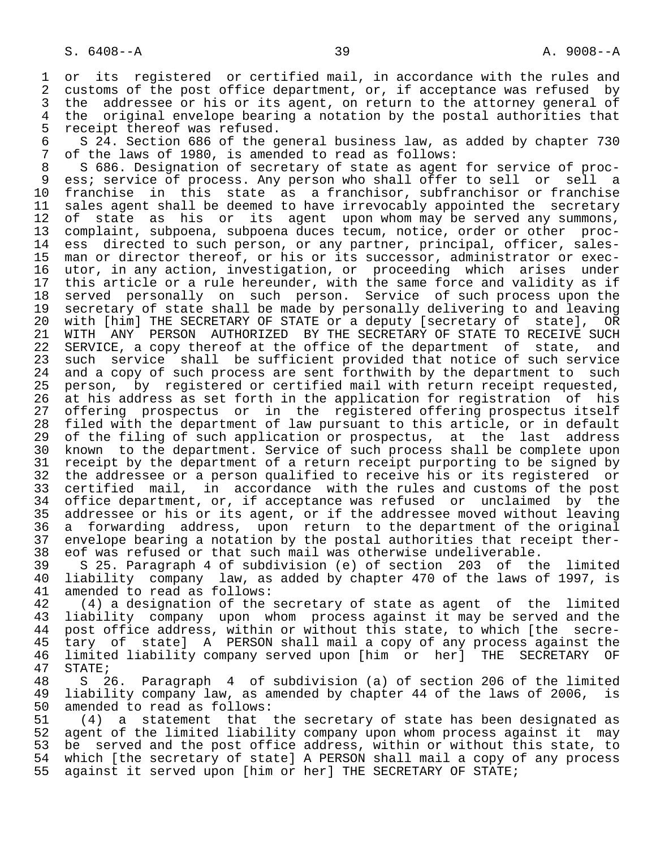1 or its registered or certified mail, in accordance with the rules and<br>2 customs of the post office department, or, if acceptance was refused by 2 customs of the post office department, or, if acceptance was refused by<br>3 the addressee or his or its agent, on return to the attorney general of 3 the addressee or his or its agent, on return to the attorney general of<br>4 the original envelope bearing a notation by the postal authorities that 4 the original envelope bearing a notation by the postal authorities that<br>5 receipt thereof was refused. 5 receipt thereof was refused.<br>6 S 24. Section 686 of the q

6 S 24. Section 686 of the general business law, as added by chapter 730<br>7 of the laws of 1980, is amended to read as follows: 7 of the laws of 1980, is amended to read as follows:

8 S 686. Designation of secretary of state as agent for service of proc-<br>8 ess; service of process. Any person who shall offer to sell or sell a 9 ess; service of process. Any person who shall offer to sell or sell a<br>10 franchise in this state as a franchisor, subfranchisor or franchise 10 franchise in this state as a franchisor, subfranchisor or franchise<br>11 sales agent shall be deemed to have irrevocably appointed the secretary 11 sales agent shall be deemed to have irrevocably appointed the secretary<br>12 of state as his or its agent upon whom may be served any summons, 12 of state as his or its agent upon whom may be served any summons, 13 complaint, subpoena, subpoena duces tecum, notice, order or other proc- 14 ess directed to such person, or any partner, principal, officer, sales- 15 man or director thereof, or his or its successor, administrator or exec- 16 utor, in any action, investigation, or proceeding which arises under<br>17 this article or a rule hereunder, with the same force and validity as if 17 this article or a rule hereunder, with the same force and validity as if<br>18 served personally on such person. Service of such process upon the 18 served personally on such person. Service of such process upon the<br>19 secretary of state shall be made by personally delivering to and leaving 19 secretary of state shall be made by personally delivering to and leaving<br>20 with [him] THE SECRETARY OF STATE or a deputy [secretary of state], OR 20 with [him] THE SECRETARY OF STATE or a deputy [secretary of state], OR<br>21 WITH ANY PERSON AUTHORIZED BY THE SECRETARY OF STATE TO RECEIVE SUCH 21 WITH ANY PERSON AUTHORIZED BY THE SECRETARY OF STATE TO RECEIVE SUCH<br>22 SERVICE, a copy thereof at the office of the department of state, and 22 SERVICE, a copy thereof at the office of the department of state, and<br>23 such service shall be sufficient provided that notice of such service 23 such service shall be sufficient provided that notice of such service<br>24 and a copy of such process are sent forthwith by the department to such 24 and a copy of such process are sent forthwith by the department to such<br>25 person, by registered or certified mail with return receipt requested, 25 person, by registered or certified mail with return receipt requested, 26 at his address as set forth in the application for registration of his<br>27 offering prospectus or in the registered offering prospectus itself 27 offering prospectus or in the registered offering prospectus itself<br>28 filed with the department of law pursuant to this article, or in default 28 filed with the department of law pursuant to this article, or in default<br>29 of the filing of such application or prospectus, at the last address 29 of the filing of such application or prospectus, at the last address<br>30 known to the department. Service of such process shall be complete upon 30 known to the department. Service of such process shall be complete upon<br>31 receipt by the department of a return receipt purporting to be signed by 31 receipt by the department of a return receipt purporting to be signed by<br>32 the addressee or a person qualified to receive his or its registered or 32 the addressee or a person qualified to receive his or its registered or<br>33 certified mail, in accordance with the rules and customs of the post 33 certified mail, in accordance with the rules and customs of the post<br>34 office department, or, if acceptance was refused or unclaimed by the 34 office department, or, if acceptance was refused or unclaimed by the<br>35 addressee or his or its agent, or if the addressee moved without leaving 35 addressee or his or its agent, or if the addressee moved without leaving<br>36 a forwarding address, upon return to the department of the original a forwarding address, upon return to the department of the original 37 envelope bearing a notation by the postal authorities that receipt ther-<br>38 eof was refused or that such mail was otherwise undeliverable.

 38 eof was refused or that such mail was otherwise undeliverable. 39 S 25. Paragraph 4 of subdivision (e) of section 203 of the limited 40 liability company law, as added by chapter 470 of the laws of 1997, is<br>41 amended to read as follows: 41 amended to read as follows:<br>42 (4) a designation of the

42 (4) a designation of the secretary of state as agent of the limited<br>43 liability company upon whom process against it may be served and the 43 liability company upon whom process against it may be served and the<br>44 post office address, within or without this state, to which [the secre-44 post office address, within or without this state, to which [the secre-<br>45 tary of state] A PERSON shall mail a copy of any process against the tary of state] A PERSON shall mail a copy of any process against the<br>limited liability company served upon [him or her] THE SECRETARY OF 46 limited liability company served upon [him or her] THE SECRETARY OF 47 STATE;<br>48 S 2

 48 S 26. Paragraph 4 of subdivision (a) of section 206 of the limited 49 liability company law, as amended by chapter 44 of the laws of 2006, is<br>50 amended to read as follows: 50 amended to read as follows:<br>51 (4) a statement that

51 (4) a statement that the secretary of state has been designated as<br>52 agent of the limited liability company upon whom process against it may 52 agent of the limited liability company upon whom process against it may<br>53 be served and the post office address, within or without this state, to 53 be served and the post office address, within or without this state, to<br>54 which [the secretary of state] A PERSON shall mail a copy of any process 54 which [the secretary of state] A PERSON shall mail a copy of any process<br>55 against it served upon [him or her] THE SECRETARY OF STATE; against it served upon [him or her] THE SECRETARY OF STATE;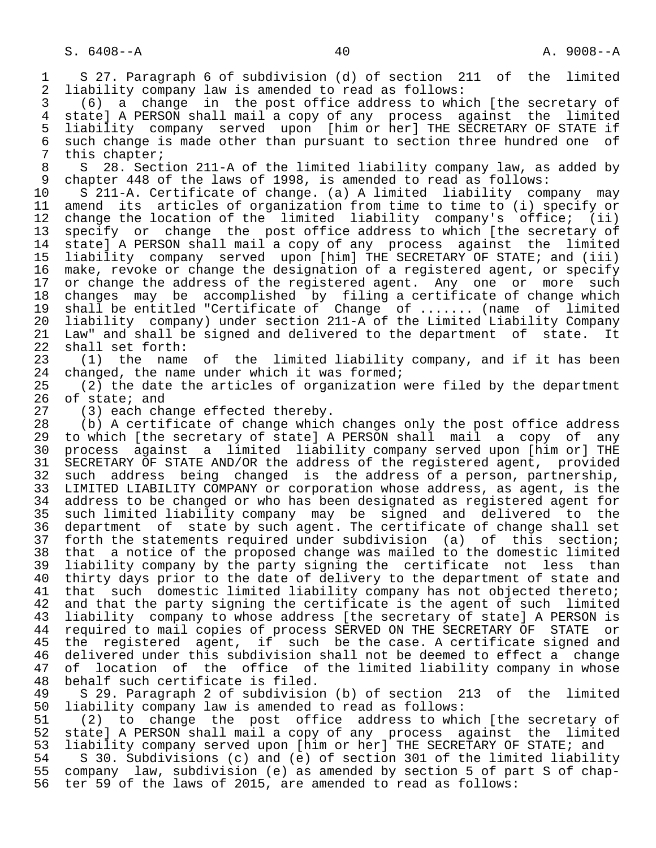1 S 27. Paragraph 6 of subdivision (d) of section 211 of the limited<br>2 liability company law is amended to read as follows: 2 liability company law is amended to read as follows:<br>3 (6) a change in the post office address to whi

 3 (6) a change in the post office address to which [the secretary of 4 state] A PERSON shall mail a copy of any process against the limited 5 liability company served upon [him or her] THE SECRETARY OF STATE if 6 such change is made other than pursuant to section three hundred one of<br>7 this chapter; 7 this chapter;<br>8 S 28. Sect

8 S 28. Section 211-A of the limited liability company law, as added by<br>9 chapter 448 of the laws of 1998, is amended to read as follows: 9 chapter 448 of the laws of 1998, is amended to read as follows:<br>10 S 211-A. Certificate of change. (a) A limited liability com

10 S 211-A. Certificate of change. (a) A limited liability company may<br>11 amend its articles of organization from time to time to (i) specify or 11 amend its articles of organization from time to time to (i) specify or<br>12 change the location of the limited liability company's office; (ii) 12 change the location of the limited liability company's office; (ii)<br>13 specify or change the post office address to which (the secretary of 13 specify or change the post office address to which [the secretary of<br>14 statel A PERSON shall mail a copy of any process against the limited state] A PERSON shall mail a copy of any process against the limited 15 liability company served upon [him] THE SECRETARY OF STATE; and (iii) 16 make, revoke or change the designation of a registered agent, or specify<br>17 or change the address of the registered agent. Any one or more such 17 or change the address of the registered agent. Any one or more such<br>18 changes may be accomplished by filing a certificate of change which 18 changes may be accomplished by filing a certificate of change which<br>19 shall be entitled "Certificate of Change of ....... (name of limited 19 shall be entitled "Certificate of Change of ....... (name of limited<br>20 liability company) under section 211-A of the Limited Liability Company 20 liability company) under section 211-A of the Limited Liability Company 21 Law" and shall be signed and delivered to the department of state. It<br>22 shall set forth: 22 shall set forth:<br>23 (1) the name

23 (1) the name of the limited liability company, and if it has been<br>24 changed, the name under which it was formed; 24 changed, the name under which it was formed;<br>25 (2) the date the articles of organization

 $(2)$  the date the articles of organization were filed by the department 26 of state; and<br>27 (3) each cha

27 (3) each change effected thereby.<br>28 (b) A certificate of change which

28 (b) A certificate of change which changes only the post office address<br>29 to which [the secretary of state] A PERSON shall mail a copy of any 29 to which [the secretary of state] A PERSON shall mail a copy of any<br>30 process against a limited liability company served upon [him or] THE 30 process against a limited liability company served upon [him or] THE<br>31 SECRETARY OF STATE AND/OR the address of the registered agent, provided 31 SECRETARY OF STATE AND/OR the address of the registered agent, provided<br>32 such address being changed is the address of a person, partnership, 32 such address being changed is the address of a person, partnership,<br>33 LIMITED LIABILITY COMPANY or corporation whose address, as agent, is the 33 LIMITED LIABILITY COMPANY or corporation whose address, as agent, is the 34 address to be changed or who has been designated as registered agent for<br>35 such limited liability company may be signed and delivered to the 35 such limited liability company may be signed and delivered to the 36 department of state by such agent. The certificate of change shall set 37 forth the statements required under subdivision (a) of this section;<br>38 that a notice of the proposed change was mailed to the domestic limited 38 that a notice of the proposed change was mailed to the domestic limited<br>39 liability company by the party signing the certificate not less than 39 liability company by the party signing the certificate not less than<br>40 thirty days prior to the date of delivery to the department of state and 40 thirty days prior to the date of delivery to the department of state and<br>41 that such domestic limited liability company has not objected thereto; 41 that such domestic limited liability company has not objected thereto;<br>42 and that the party signing the certificate is the agent of such limited 42 and that the party signing the certificate is the agent of such limited<br>43 liability company to whose address [the secretary of state] A PERSON is 43 liability company to whose address [the secretary of state] A PERSON is<br>44 required to mail copies of process SERVED ON THE SECRETARY OF STATE or 44 required to mail copies of process SERVED ON THE SECRETARY OF STATE or<br>45 the registered agent, if such be the case. A certificate signed and the registered agent, if such be the case. A certificate signed and 46 delivered under this subdivision shall not be deemed to effect a change<br>47 of location of the office of the limited liability company in whose 47 of location of the office of the limited liability company in whose<br>48 behalf such certificate is filed. 48 behalf such certificate is filed.<br>49 S 29. Paragraph 2 of subdivisio

49 S 29. Paragraph 2 of subdivision (b) of section 213 of the limited

50 liability company law is amended to read as follows:<br>51 (2) to change the post office address to whi 51 (2) to change the post office address to which [the secretary of<br>52 state] A PERSON shall mail a copy of any process against the limited 52 state] A PERSON shall mail a copy of any process against the limited<br>53 liability company served upon [him or her] THE SECRETARY OF STATE; and 53 liability company served upon [him or her] THE SECRETARY OF STATE; and<br>54 S 30. Subdivisions (c) and (e) of section 301 of the limited liabilit

54 S 30. Subdivisions (c) and (e) of section 301 of the limited liability<br>55 company law, subdivision (e) as amended by section 5 of part S of chap-55 company law, subdivision (e) as amended by section 5 of part S of chap-<br>56 ter 59 of the laws of 2015, are amended to read as follows: ter 59 of the laws of 2015, are amended to read as follows: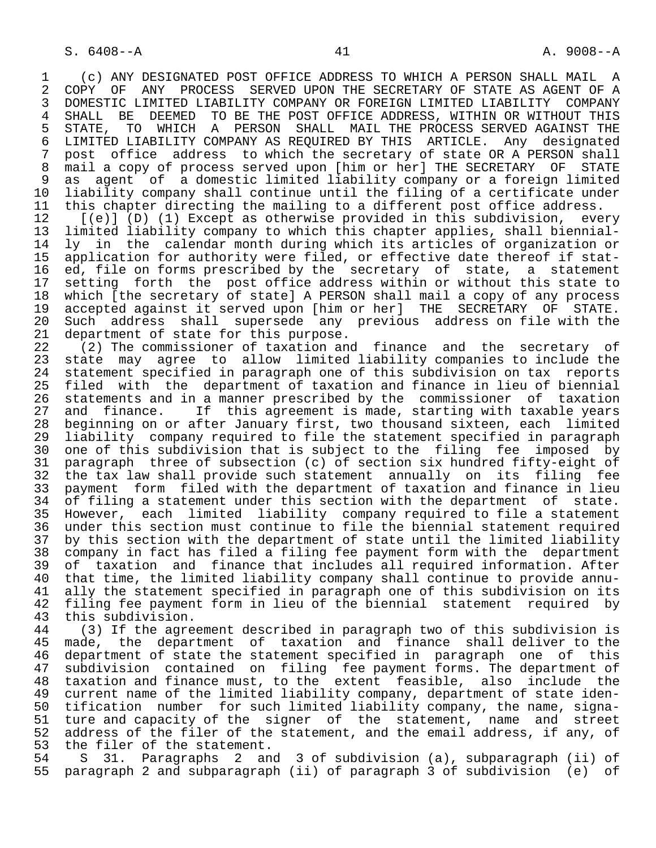1 (c) ANY DESIGNATED POST OFFICE ADDRESS TO WHICH A PERSON SHALL MAIL A<br>2 COPY OF ANY PROCESS SERVED UPON THE SECRETARY OF STATE AS AGENT OF A 2 COPY OF ANY PROCESS SERVED UPON THE SECRETARY OF STATE AS AGENT OF A<br>3 DOMESTIC LIMITED LIABILITY COMPANY OR FOREIGN LIMITED LIABILITY COMPANY 3 DOMESTIC LIMITED LIABILITY COMPANY OR FOREIGN LIMITED LIABILITY<br>4 SHALL BE DEEMED TO BE THE POST OFFICE ADDRESS, WITHIN OR WITH 4 SHALL BE DEEMED TO BE THE POST OFFICE ADDRESS, WITHIN OR WITHOUT THIS<br>5 STATE, TO WHICH A PERSON SHALL MAIL THE PROCESS SERVED AGAINST THE 5 STATE, TO WHICH A PERSON SHALL MAIL THE PROCESS SERVED AGAINST THE<br>6 LIMITED LIABILITY COMPANY AS REOUIRED BY THIS ARTICLE. Any designated 6 LIMITED LIABILITY COMPANY AS REQUIRED BY THIS ARTICLE. Any designated<br>7 post office address to which the secretary of state OR A PERSON shall 7 post office address to which the secretary of state OR A PERSON shall<br>8 mail a copy of process served upon [him or her] THE SECRETARY OF STATE 8 mail a copy of process served upon [him or her] THE SECRETARY<br>9 as agent of a domestic limited liability company or a forei 9 as agent of a domestic limited liability company or a foreign limited<br>10 liability company shall continue until the filing of a certificate under 10 liability company shall continue until the filing of a certificate under<br>11 this chapter directing the mailing to a different post office address. 11 this chapter directing the mailing to a different post office address.<br>12 [(e)] (D) (1) Except as otherwise provided in this subdivision, eve

12 [(e)] (D) (1) Except as otherwise provided in this subdivision, every<br>13 limited liability company to which this chapter applies, shall biennial-13 limited liability company to which this chapter applies, shall biennial-<br>14 ly in the calendar month during which its articles of organization or 14 ly in the calendar month during which its articles of organization or 15 application for authority were filed, or effective date thereof if stat-<br>16 ed, file on forms prescribed by the secretary of state, a statement 16 ed, file on forms prescribed by the secretary of state, a statement<br>17 setting forth the post office address within or without this state to 17 setting forth the post office address within or without this state to<br>18 which [the secretary of state] A PERSON shall mail a copy of any process 18 which [the secretary of state] A PERSON shall mail a copy of any process<br>19 accepted against it served upon [him or her] THE SECRETARY OF STATE. 19 accepted against it served upon [him or her] THE SECRETARY OF STATE. 20 Such address shall supersede any previous address on file with the 21 department of state for this purpose. 21 department of state for this purpose.<br>22 (2) The commissioner of taxation and

22 (2) The commissioner of taxation and finance and the secretary of<br>23 state may agree to allow limited liability companies to include the state may agree to allow limited liability companies to include the 24 statement specified in paragraph one of this subdivision on tax reports<br>25 filed with the department of taxation and finance in lieu of biennial filed with the department of taxation and finance in lieu of biennial 26 statements and in a manner prescribed by the commissioner of taxation<br>27 and finance. If this agreement is made, starting with taxable years 27 and finance. If this agreement is made, starting with taxable years<br>28 beginning on or after January first, two thousand sixteen, each limited 28 beginning on or after January first, two thousand sixteen, each limited<br>29 liability company required to file the statement specified in paragraph 29 liability company required to file the statement specified in paragraph<br>20 one of this subdivision that is subject to the filing fee imposed by 30 one of this subdivision that is subject to the filing fee imposed by<br>31 paragraph three of subsection (c) of section six hundred fifty-eight of 31 paragraph three of subsection (c) of section six hundred fifty-eight of<br>32 the tax law shall provide such statement annually on its filing fee 32 the tax law shall provide such statement annually on its filing fee<br>33 payment form filed with the department of taxation and finance in lieu 33 payment form filed with the department of taxation and finance in lieu<br>34 of filing a statement under this section with the department of state. 34 of filing a statement under this section with the department of state.<br>35 However, each limited liability company required to file a statement 35 However, each limited liability company required to file a statement under this section must continue to file the biennial statement required 37 by this section with the department of state until the limited liability 38 company in fact has filed a filing fee payment form with the department<br>39 of taxation and finance that includes all required information. After 39 of taxation and finance that includes all required information. After<br>40 that time, the limited liability company shall continue to provide annu-40 that time, the limited liability company shall continue to provide annu-<br>41 ally the statement specified in paragraph one of this subdivision on its 41 ally the statement specified in paragraph one of this subdivision on its<br>42 filing fee payment form in lieu of the biennial statement reguired by 42 filing fee payment form in lieu of the biennial statement required by<br>43 this subdivision. 43 this subdivision.<br>44 (3) If the agre

44 (3) If the agreement described in paragraph two of this subdivision is<br>45 made, the department of taxation and finance shall deliver to the made, the department of taxation and finance shall deliver to the 46 department of state the statement specified in paragraph one of this<br>47 subdivision contained on filing fee payment forms. The department of 47 subdivision contained on filing fee payment forms. The department of<br>48 taxation and finance must, to the extent feasible, also include the 48 taxation and finance must, to the extent feasible, also include the 49 current name of the limited liability company, department of state iden-<br>50 tification number for such limited liability company, the name, signa-50 tification number for such limited liability company, the name, signa-<br>51 ture and capacity of the signer of the statement, name and street 51 ture and capacity of the signer of the statement, name and street<br>52 address of the filer of the statement, and the email address, if any, of 52 address of the filer of the statement, and the email address, if any, of 53 the filer of the statement. 53 the filer of the statement.<br>54 S 31. Paragraphs 2 an

 54 S 31. Paragraphs 2 and 3 of subdivision (a), subparagraph (ii) of 55 paragraph 2 and subparagraph (ii) of paragraph 3 of subdivision (e) of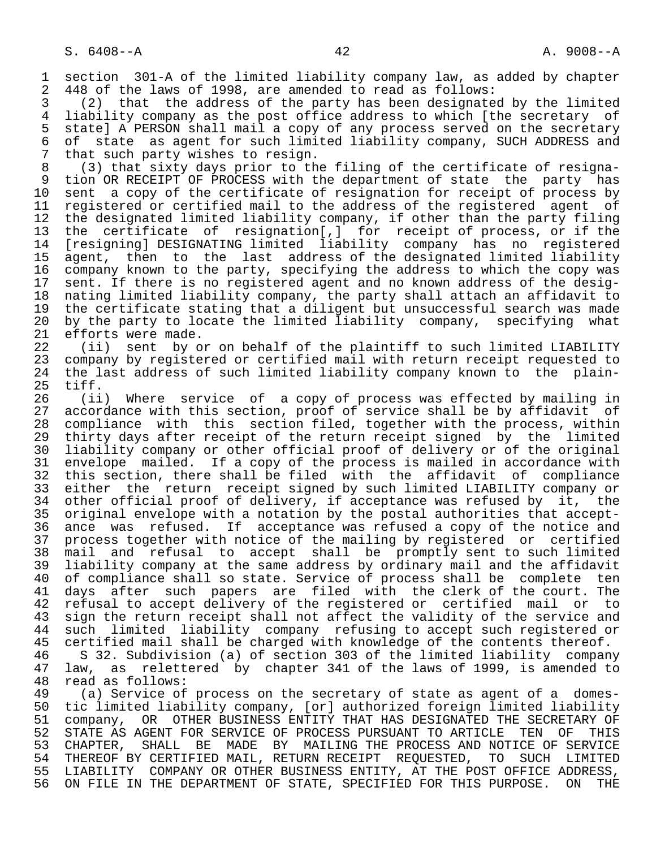1 section 301-A of the limited liability company law, as added by chapter<br>2 448 of the laws of 1998, are amended to read as follows: 2 448 of the laws of 1998, are amended to read as follows:<br>3 (2) that the address of the party has been designate

 3 (2) that the address of the party has been designated by the limited 4 liability company as the post office address to which [the secretary of<br>5 state] A PERSON shall mail a copy of any process served on the secretary 5 state] A PERSON shall mail a copy of any process served on the secretary<br>6 of state as agent for such limited liability company, SUCH ADDRESS and 6 of state as agent for such limited liability company, SUCH ADDRESS and  $\overline{7}$  that such party wishes to resign. 7 that such party wishes to resign.<br>8 (3) that sixty days prior to th

8 (3) that sixty days prior to the filing of the certificate of resigna-<br>9 tion OR RECEIPT OF PROCESS with the department of state the party has 9 tion OR RECEIPT OF PROCESS with the department of state the party has<br>10 sent a copy of the certificate of resignation for receipt of process by 10 sent a copy of the certificate of resignation for receipt of process by<br>11 registered or certified mail to the address of the registered agent of 11 registered or certified mail to the address of the registered agent of<br>12 the designated limited liability company, if other than the party filing 12 the designated limited liability company, if other than the party filing<br>13 the certificate of resignation[,] for receipt of process, or if the 13 the certificate of resignation[,] for receipt of process, or if the [resigning] DESIGNATING limited liability company has no registered 15 agent, then to the last address of the designated limited liability<br>16 company known to the party, specifying the address to which the copy was 16 company known to the party, specifying the address to which the copy was<br>17 sent. If there is no registered agent and no known address of the desig-17 sent. If there is no registered agent and no known address of the desig-<br>18 nating limited liability company, the party shall attach an affidavit to 18 nating limited liability company, the party shall attach an affidavit to 19 the certificate stating that a diligent but unsuccessful search was made<br>20 by the party to locate the limited liability company, specifying what 20 by the party to locate the limited liability company, specifying what<br>21 efforts were made. 21 efforts were made.<br>22 (ii) sent by o

 22 (ii) sent by or on behalf of the plaintiff to such limited LIABILITY company by registered or certified mail with return receipt requested to 24 the last address of such limited liability company known to the plain-<br>25 tiff. tiff.

 26 (ii) Where service of a copy of process was effected by mailing in 27 accordance with this section, proof of service shall be by affidavit of<br>28 compliance with this section filed, together with the process, within 28 compliance with this section filed, together with the process, within<br>29 thirty days after receipt of the return receipt signed by the limited 29 thirty days after receipt of the return receipt signed by the limited<br>20 liability company or other official proof of delivery or of the original 30 liability company or other official proof of delivery or of the original<br>31 envelope mailed. If a copy of the process is mailed in accordance with 31 envelope mailed. If a copy of the process is mailed in accordance with<br>32 this section, there shall be filed with the affidavit of compliance 32 this section, there shall be filed with the affidavit<br>33 either the return receipt signed by such limited LIABI 33 either the return receipt signed by such limited LIABILITY company or<br>34 other official proof of delivery, if acceptance was refused by it, the 34 other official proof of delivery, if acceptance was refused by it, the<br>35 original envelope with a notation by the postal authorities that accept-31 original envelope with a notation by the postal authorities that accept-<br>36 ance was refused. If acceptance was refused a copy of the notice and ance was refused. If acceptance was refused a copy of the notice and<br>process together with notice of the mailing by registered or certified 37 process together with notice of the mailing by registered or<br>38 mail and refusal to accept shall be promptly sent to su 38 mail and refusal to accept shall be promptly sent to such limited<br>39 liability company at the same address by ordinary mail and the affidavit 39 liability company at the same address by ordinary mail and the affidavit<br>40 of compliance shall so state. Service of process shall be complete ten 40 of compliance shall so state. Service of process shall be complete ten<br>41 days after such papers are filed with the clerk of the court. The 41 days after such papers are filed with the clerk of the court. The<br>42 refusal to accept delivery of the registered or certified mail or to 42 refusal to accept delivery of the registered or certified mail or to<br>43 sign the return receipt shall not affect the validity of the service and 43 sign the return receipt shall not affect the validity of the service and<br>44 such limited liability company refusing to accept such registered or 44 such limited liability company refusing to accept such registered or<br>45 certified mail shall be charged with knowledge of the contents thereof. certified mail shall be charged with knowledge of the contents thereof.

46 S 32. Subdivision (a) of section 303 of the limited liability company<br>47 law, as relettered by chapter 341 of the laws of 1999, is amended to 47 law, as relettered by chapter 341 of the laws of 1999, is amended to 48 read as follows: 48 read as follows:<br>49 (a) Service of

 49 (a) Service of process on the secretary of state as agent of a domes- 50 tic limited liability company, [or] authorized foreign limited liability<br>51 company, OR OTHER BUSINESS ENTITY THAT HAS DESIGNATED THE SECRETARY OF 51 company, OR OTHER BUSINESS ENTITY THAT HAS DESIGNATED THE SECRETARY OF<br>52 STATE AS AGENT FOR SERVICE OF PROCESS PURSUANT TO ARTICLE TEN OF THIS 52 STATE AS AGENT FOR SERVICE OF PROCESS PURSUANT TO ARTICLE TEN OF THIS<br>53 CHAPTER, SHALL BE MADE BY MAILING THE PROCESS AND NOTICE OF SERVICE 53 CHAPTER, SHALL BE MADE BY MAILING THE PROCESS AND NOTICE OF SERVICE<br>54 THEREOF BY CERTIFIED MAIL, RETURN RECEIPT REOUESTED, TO SUCH LIMITED 54 THEREOF BY CERTIFIED MAIL, RETURN RECEIPT REQUESTED, TO SUCH LIMITED<br>55 LIABILITY COMPANY OR OTHER BUSINESS ENTITY, AT THE POST OFFICE ADDRESS, 55 LIABILITY COMPANY OR OTHER BUSINESS ENTITY, AT THE POST OFFICE ADDRESS,<br>56 ON FILE IN THE DEPARTMENT OF STATE, SPECIFIED FOR THIS PURPOSE. ON THE ON FILE IN THE DEPARTMENT OF STATE, SPECIFIED FOR THIS PURPOSE. ON THE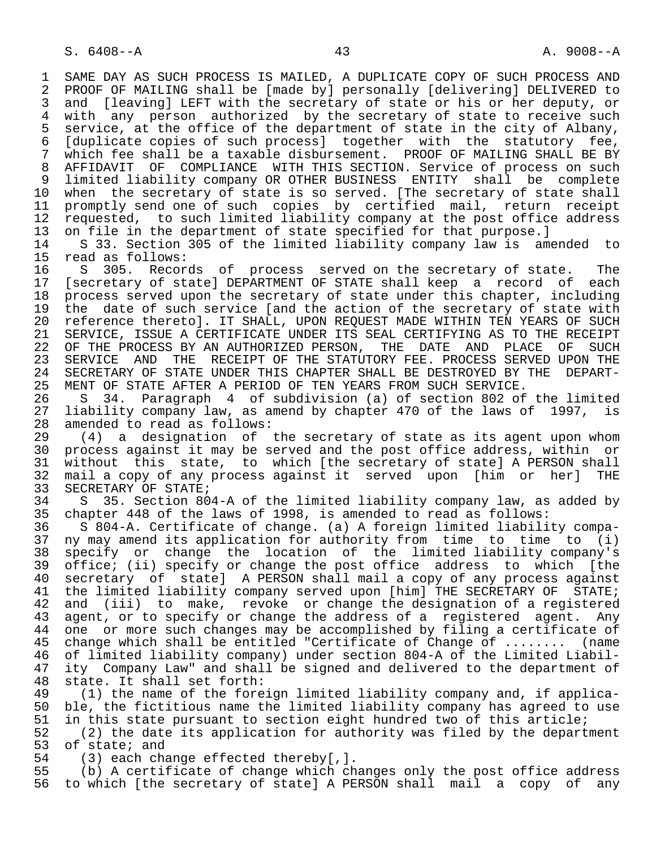1 SAME DAY AS SUCH PROCESS IS MAILED, A DUPLICATE COPY OF SUCH PROCESS AND<br>2 PROOF OF MAILING shall be [made by] personally [delivering] DELIVERED to 2 PROOF OF MAILING shall be [made by] personally [delivering] DELIVERED to<br>3 and [leaving] LEFT with the secretary of state or his or her deputy, or and [leaving] LEFT with the secretary of state or his or her deputy, or 4 with any person authorized by the secretary of state to receive such<br>5 service, at the office of the department of state in the city of Albany, 5 service, at the office of the department of state in the city of Albany,<br>6 Iduplicate copies of such processl together with the statutory fee, 6 [duplicate copies of such process] together with the statutory fee, 7 which fee shall be a taxable disbursement. PROOF OF MAILING SHALL BE BY 8 AFFIDAVIT OF COMPLIANCE WITH THIS SECTION. Service of process on such 9 limited liability company OR OTHER BUSINESS ENTITY shall be complete<br>10 when the secretary of state is so served. The secretary of state shall 10 when the secretary of state is so served. [The secretary of state shall<br>11 promptly send one of such copies by certified mail, return receipt 11 promptly send one of such copies by certified mail, return receipt<br>12 requested, to such limited liability company at the post office address 12 requested, to such limited liability company at the post office address<br>13 on file in the department of state specified for that purpose. 13 on file in the department of state specified for that purpose.]<br>14 S 33. Section 305 of the limited liability company law is am

14 S 33. Section 305 of the limited liability company law is amended to 15 read as follows: 15 read as follows:<br>16 S 305. Recor

16 S 305. Records of process served on the secretary of state. The<br>17 [secretary of state] DEPARTMENT OF STATE shall keep a record of each 17 [secretary of state] DEPARTMENT OF STATE shall keep a record of each<br>18 process served upon the secretary of state under this chapter, including 18 process served upon the secretary of state under this chapter, including<br>19 the date of such service [and the action of the secretary of state with 19 the date of such service [and the action of the secretary of state with<br>20 reference thereto]. IT SHALL, UPON REOUEST MADE WITHIN TEN YEARS OF SUCH 20 reference thereto]. IT SHALL, UPON REQUEST MADE WITHIN TEN YEARS OF SUCH<br>21 SERVICE, ISSUE A CERTIFICATE UNDER ITS SEAL CERTIFYING AS TO THE RECEIPT 21 SERVICE, ISSUE A CERTIFICATE UNDER ITS SEAL CERTIFYING AS TO THE RECEIPT<br>22 OF THE PROCESS BY AN AUTHORIZED PERSON, THE DATE AND PLACE OF SUCH 22 OF THE PROCESS BY AN AUTHORIZED PERSON, THE DATE AND PLACE OF SUCH 23 SERVICE AND THE RECEIPT OF THE STATUTORY FEE. PROCESS SERVED UPON THE 23 SERVICE AND THE RECEIPT OF THE STATUTORY FEE. PROCESS SERVED UPON THE 24 SECRETARY OF STATE UNDER THIS CHAPTER SHALL BE DESTROYED BY THE DEPART-24 SECRETARY OF STATE UNDER THIS CHAPTER SHALL BE DESTROYED BY THE DEPART-<br>25 MENT OF STATE AFTER A PERIOD OF TEN YEARS FROM SUCH SERVICE. 25 MENT OF STATE AFTER A PERIOD OF TEN YEARS FROM SUCH SERVICE.

 26 S 34. Paragraph 4 of subdivision (a) of section 802 of the limited 27 liability company law, as amend by chapter 470 of the laws of 1997, is<br>28 amended to read as follows: 28 amended to read as follows:<br>29 (4) a designation of

29 (4) a designation of the secretary of state as its agent upon whom<br>30 process against it may be served and the post office address, within or 30 process against it may be served and the post office address, within or<br>31 without this state, to which (the secretary of state) A PERSON shall 31 without this state, to which [the secretary of state] A PERSON shall<br>32 mail a copy of any process against it served upon [him or her] THE 32 mail a copy of any process against it served upon [him or her] THE<br>33 SECRETARY OF STATE; 33 SECRETARY OF STATE;<br>34 S 35. Section 80

 34 S 35. Section 804-A of the limited liability company law, as added by 35 chapter 448 of the laws of 1998, is amended to read as follows:

 36 S 804-A. Certificate of change. (a) A foreign limited liability compa- 37 ny may amend its application for authority from time to time to (i) 38 specify or change the location of the limited liability company's<br>39 office; (ii) specify or change the post office address to which [the 39 office; (ii) specify or change the post office address to which [the<br>40 secretary of state] A PERSON shall mail a copy of any process against 40 secretary of state] A PERSON shall mail a copy of any process against<br>41 the limited liability company served upon [him] THE SECRETARY OF STATE; 41 the limited liability company served upon [him] THE SECRETARY OF STATE;<br>42 and (iii) to make, revoke or change the designation of a registered 42 and (iii) to make, revoke or change the designation of a registered<br>43 agent, or to specify or change the address of a registered agent. Any 43 agent, or to specify or change the address of a registered agent. Any<br>44 one or more such changes may be accomplished by filing a certificate of 44 one or more such changes may be accomplished by filing a certificate of<br>45 change which shall be entitled "Certificate of Change of ........ (name change which shall be entitled "Certificate of Change of ........ (name 46 of limited liability company) under section 804-A of the Limited Liabil-<br>47 ity Company Law" and shall be signed and delivered to the department of 47 ity Company Law" and shall be signed and delivered to the department of 48 state. It shall set forth:

 48 state. It shall set forth: 49 (1) the name of the foreign limited liability company and, if applica-<br>50 ble, the fictitious name the limited liability company has agreed to use 50 ble, the fictitious name the limited liability company has agreed to use<br>51 in this state pursuant to section eight hundred two of this article;

51 in this state pursuant to section eight hundred two of this article;<br>52 (2) the date its application for authority was filed by the depart 52 (2) the date its application for authority was filed by the department<br>53 of state; and 53 of state; and<br>54 (3) each cha

54 (3) each change effected thereby[,].<br>55 (b) A certificate of change which ch

55 (b) A certificate of change which changes only the post office address<br>56 to which [the secretary of state] A PERSON shall mail a copy of any to which [the secretary of state] A PERSON shall mail a copy of any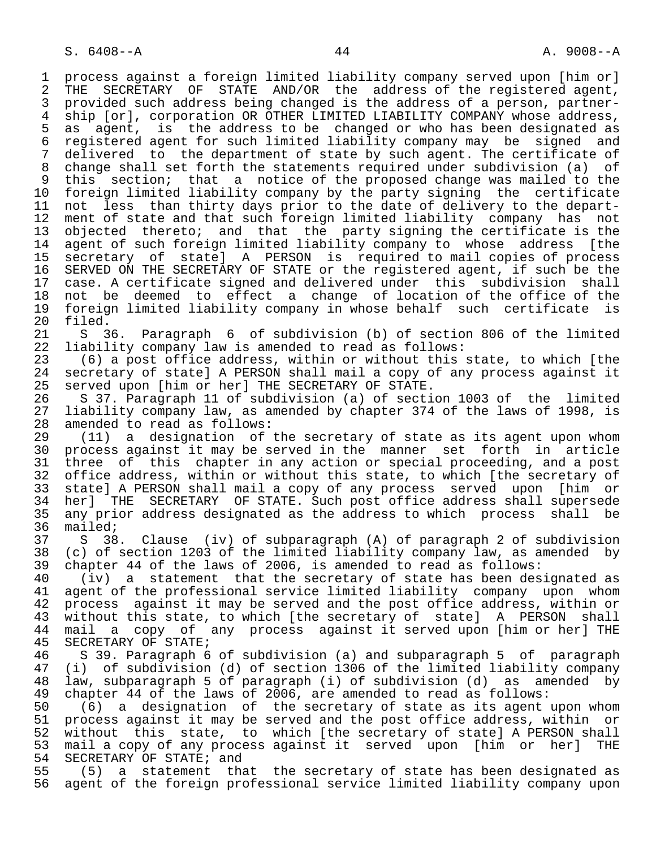1 process against a foreign limited liability company served upon [him or]<br>2 THE SECRETARY OF STATE AND/OR the address of the registered agent. 2 THE SECRETARY OF STATE AND/OR the address of the registered agent,<br>3 provided such address being changed is the address of a person, partner- 3 provided such address being changed is the address of a person, partner- 4 ship [or], corporation OR OTHER LIMITED LIABILITY COMPANY whose address,<br>5 as agent, is the address to be changed or who has been designated as 5 as agent, is the address to be changed or who has been designated as 6 registered agent for such limited liability company may be signed and 7 delivered to the department of state by such agent. The certificate of 8 change shall set forth the statements required under subdivision (a) of 9 this section; that a notice of the proposed change was mailed to the<br>10 foreign limited liability company by the party signing the certificate 10 foreign limited liability company by the party signing the certificate<br>11 not less than thirty days prior to the date of delivery to the depart-11 not less than thirty days prior to the date of delivery to the depart-<br>12 ment of state and that such foreign limited liability company has not 12 ment of state and that such foreign limited liability company has not 13 objected thereto; and that the party signing the certificate is the 14 agent of such foreign limited liability company to whose address [the 15 secretary of state] A PERSON is required to mail copies of process 16 SERVED ON THE SECRETARY OF STATE or the registered agent, if such be the<br>17 case. A certificate signed and delivered under this subdivision shall 17 case. A certificate signed and delivered under this subdivision shall<br>18 not be deemed to effect a change of location of the office of the 18 not be deemed to effect a change of location of the office of the<br>19 foreign limited liability company in whose behalf such certificate is 19 foreign limited liability company in whose behalf such certificate is 20 filed.<br>21 S 3

21 S 36. Paragraph 6 of subdivision (b) of section 806 of the limited<br>22 liability company law is amended to read as follows: 22 liability company law is amended to read as follows:<br>23 (6) a post office address, within or without this

 23 (6) a post office address, within or without this state, to which [the 24 secretary of state] A PERSON shall mail a copy of any process against it<br>25 served upon [him or her] THE SECRETARY OF STATE. served upon [him or her] THE SECRETARY OF STATE.

26 S 37. Paragraph 11 of subdivision (a) of section 1003 of the limited<br>27 liability company law, as amended by chapter 374 of the laws of 1998, is 27 liability company law, as amended by chapter 374 of the laws of 1998, is<br>28 amended to read as follows: 28 amended to read as follows:<br>29 (11) a designation of

29 (11) a designation of the secretary of state as its agent upon whom<br>30 process against it may be served in the manner set forth in article 30 process against it may be served in the manner set forth in article<br>31 three of this chapter in any action or special proceeding, and a post 31 three of this chapter in any action or special proceeding, and a post<br>32 office address, within or without this state, to which [the secretary of 32 office address, within or without this state, to which [the secretary of<br>33 state] A PERSON shall mail a copy of any process served upon [him or 33 state] A PERSON shall mail a copy of any process served upon [him or<br>34 her] THE SECRETARY OF STATE. Such post office address shall supersede 34 her] THE SECRETARY OF STATE. Such post office address shall supersede<br>35 any prior address designated as the address to which process shall be 35 any prior address designated as the address to which process shall be 36 mailed; mailed;

 37 S 38. Clause (iv) of subparagraph (A) of paragraph 2 of subdivision 38 (c) of section 1203 of the limited liability company law, as amended by<br>39 chapter 44 of the laws of 2006, is amended to read as follows: 39 chapter 44 of the laws of 2006, is amended to read as follows:<br>40 (iv) a statement that the secretary of state has been des

 40 (iv) a statement that the secretary of state has been designated as 41 agent of the professional service limited liability company upon whom<br>42 process against it may be served and the post office address, within or 42 process against it may be served and the post office address, within or<br>43 without this state, to which [the secretary of state] A PERSON shall 43 without this state, to which [the secretary of state] A PERSON shall<br>44 mail a copy of any process against it served upon [him or her] THE 44 mail a copy of any process against it served upon [him or her] THE 45 SECRETARY OF STATE; SECRETARY OF STATE;

 46 S 39. Paragraph 6 of subdivision (a) and subparagraph 5 of paragraph 47 (i) of subdivision (d) of section 1306 of the limited liability company 48 law, subparagraph 5 of paragraph (i) of subdivision (d) as amended by<br>49 chapter 44 of the laws of 2006, are amended to read as follows: 49 chapter 44 of the laws of 2006, are amended to read as follows:

50 (6) a designation of the secretary of state as its agent upon whom<br>51 process against it may be served and the post office address, within or 51 process against it may be served and the post office address, within or<br>52 without this state, to which [the secretary of state] A PERSON shall 52 without this state, to which [the secretary of state] A PERSON shall<br>53 mail a copy of any process against it served upon [him or her] THE 53 mail a copy of any process against it served upon [him or her] THE<br>54 SECRETARY OF STATE; and 54 SECRETARY OF STATE; and<br>55 (5) a statement tha

 55 (5) a statement that the secretary of state has been designated as agent of the foreign professional service limited liability company upon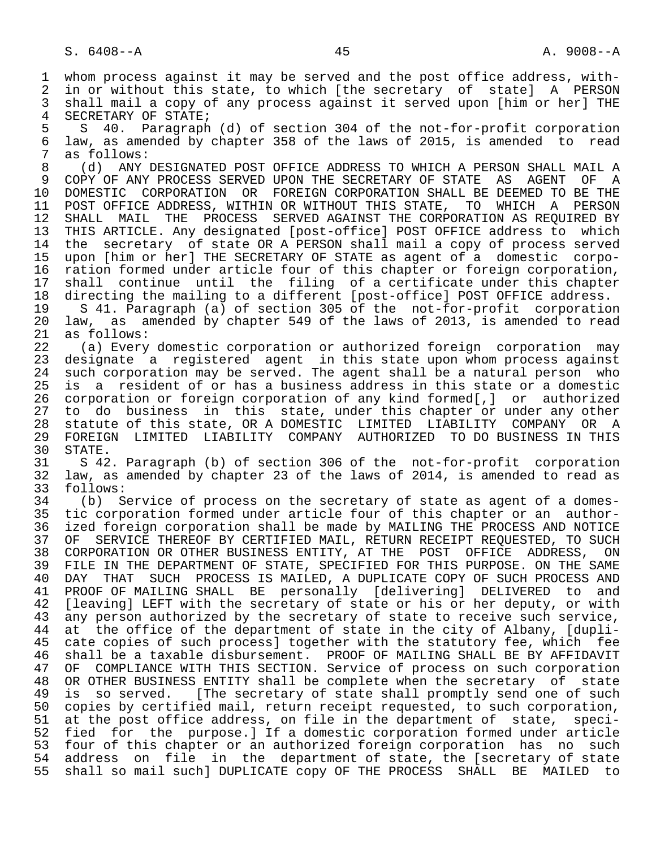1 whom process against it may be served and the post office address, with-<br>2 in or without this state, to which [the secretary of state] A PERSON 2 in or without this state, to which [the secretary of state] A PERSON<br>3 shall mail a copy of any process against it served upon [him or her] THE shall mail a copy of any process against it served upon [him or her] THE

4 SECRETARY OF STATE;<br>5 S 40. Paragraph 5 S 40. Paragraph (d) of section 304 of the not-for-profit corporation<br>6 law, as amended by chapter 358 of the laws of 2015, is amended to read 6 law, as amended by chapter 358 of the laws of 2015, is amended to read 7 as follows:<br>8 (d) ANY

 8 (d) ANY DESIGNATED POST OFFICE ADDRESS TO WHICH A PERSON SHALL MAIL A 9 COPY OF ANY PROCESS SERVED UPON THE SECRETARY OF STATE AS AGENT OF A<br>10 DOMESTIC CORPORATION OR FOREIGN CORPORATION SHALL BE DEEMED TO BE THE 10 DOMESTIC CORPORATION OR FOREIGN CORPORATION SHALL BE DEEMED TO BE THE 11 POST OFFICE ADDRESS, WITHIN OR WITHOUT THIS STATE, TO WHICH A PERSON 11 POST OFFICE ADDRESS, WITHIN OR WITHOUT THIS STATE, TO WHICH A PERSON<br>12 SHALL MAIL THE PROCESS SERVED AGAINST THE CORPORATION AS REOUIRED BY SHALL MAIL THE PROCESS SERVED AGAINST THE CORPORATION AS REQUIRED BY 13 THIS ARTICLE. Any designated [post-office] POST OFFICE address to which<br>14 the secretary of state OR A PERSON shall mail a copy of process served the secretary of state OR A PERSON shall mail a copy of process served 15 upon [him or her] THE SECRETARY OF STATE as agent of a domestic corpo- 16 ration formed under article four of this chapter or foreign corporation,<br>17 shall continue until the filing of a certificate under this chapter 17 shall continue until the filing of a certificate under this chapter<br>18 directing the mailing to a different [post-office] POST OFFICE address.

18 directing the mailing to a different [post-office] POST OFFICE address.<br>19 S 41. Paragraph (a) of section 305 of the not-for-profit corporation 19 S 41. Paragraph (a) of section 305 of the not-for-profit corporation<br>20 law, as amended by chapter 549 of the laws of 2013, is amended to read 20 law, as amended by chapter 549 of the laws of 2013, is amended to read<br>21 as follows: 21 as follows:<br>22 (a) Every

22 (a) Every domestic corporation or authorized foreign corporation may<br>23 designate a registered agent in this state upon whom process against designate a registered agent in this state upon whom process against 24 such corporation may be served. The agent shall be a natural person who<br>25 is a resident of or has a business address in this state or a domestic is a resident of or has a business address in this state or a domestic 26 corporation or foreign corporation of any kind formed[,] or authorized 27 to do business in this state, under this chapter or under any other<br>28 statute of this state, OR A DOMESTIC LIMITED LIABILITY COMPANY OR A 28 statute of this state, OR A DOMESTIC LIMITED LIABILITY COMPANY OR A<br>29 FOREIGN LIMITED LIABILITY COMPANY AUTHORIZED TO DO BUSINESS IN THIS 29 FOREIGN LIMITED LIABILITY COMPANY AUTHORIZED TO DO-BUSINESS IN-THIS<br>30 STATE.

30 STATE.<br>31 S 42 31 S 42. Paragraph (b) of section 306 of the not-for-profit corporation 32 law, as amended by chapter 23 of the laws of 2014, is amended to read as 33 follows:<br>34 (b) S

34 (b) Service of process on the secretary of state as agent of a domes-<br>35 tic corporation formed under article four of this chapter or an author-35 tic corporation formed under article four of this chapter or an author-<br>36 ized foreign corporation shall be made by MAILING THE PROCESS AND NOTICE ized foreign corporation shall be made by MAILING THE PROCESS AND NOTICE 37 OF SERVICE THEREOF BY CERTIFIED MAIL, RETURN RECEIPT REQUESTED, TO SUCH<br>38 CORPORATION OR OTHER BUSINESS ENTITY, AT THE POST OFFICE ADDRESS, ON 38 CORPORATION OR OTHER BUSINESS ENTITY, AT THE POST OFFICE ADDRESS, ON THE SAME<br>39 FILE IN THE DEPARTMENT OF STATE, SPECIFIED FOR THIS PURPOSE, ON THE SAME 39 FILE IN THE DEPARTMENT OF STATE, SPECIFIED FOR THIS PURPOSE. ON THE SAME<br>40 DAY THAT SUCH PROCESS IS MAILED, A DUPLICATE COPY OF SUCH PROCESS AND 40 DAY THAT SUCH PROCESS IS MAILED, A DUPLICATE COPY OF SUCH PROCESS AND<br>41 PROOF OF MAILING SHALL BE personally [delivering] DELIVERED to and 41 PROOF OF MAILING SHALL BE personally [delivering] DELIVERED to and<br>42 [leaving] LEFT with the secretary of state or his or her deputy, or with 42 [leaving] LEFT with the secretary of state or his or her deputy, or with 43 any person authorized by the secretary of state to receive such service. 43 any person authorized by the secretary of state to receive such service,<br>44 at the office of the department of state in the city of Albany, [dupli-44 at the office of the department of state in the city of Albany, [dupli-<br>45 cate copies of such process] together with the statutory fee, which fee cate copies of such process] together with the statutory fee, which fee 46 shall be a taxable disbursement. PROOF OF MAILING SHALL BE BY AFFIDAVIT<br>47 OF COMPLIANCE WITH THIS SECTION. Service of process on such corporation OF COMPLIANCE WITH THIS SECTION. Service of process on such corporation 48 OR OTHER BUSINESS ENTITY shall be complete when the secretary of state<br>49 is so served. [The secretary of state shall promptly send one of such 49 is so served. [The secretary of state shall promptly send one of such<br>50 copies by certified mail, return receipt requested, to such corporation, 50 copies by certified mail, return receipt requested, to such corporation,<br>51 at the post office address, on file in the department of state, speci-51 at the post office address, on file in the department of state, speci-<br>52 fied for the purpose.] If a domestic corporation formed under article 52 fied for the purpose.] If a domestic corporation formed under article<br>53 four of this chapter or an authorized foreign corporation has no such 53 four of this chapter or an authorized foreign corporation has no such<br>54 address on file in the department of state, the [secretary of state 54 address on file in the department of state, the [secretary of state<br>55 shall so mail such] DUPLICATE copy OF THE PROCESS SHALL BE MAILED to 55 shall so mail such] DUPLICATE copy OF THE PROCESS SHALL BE MAILED to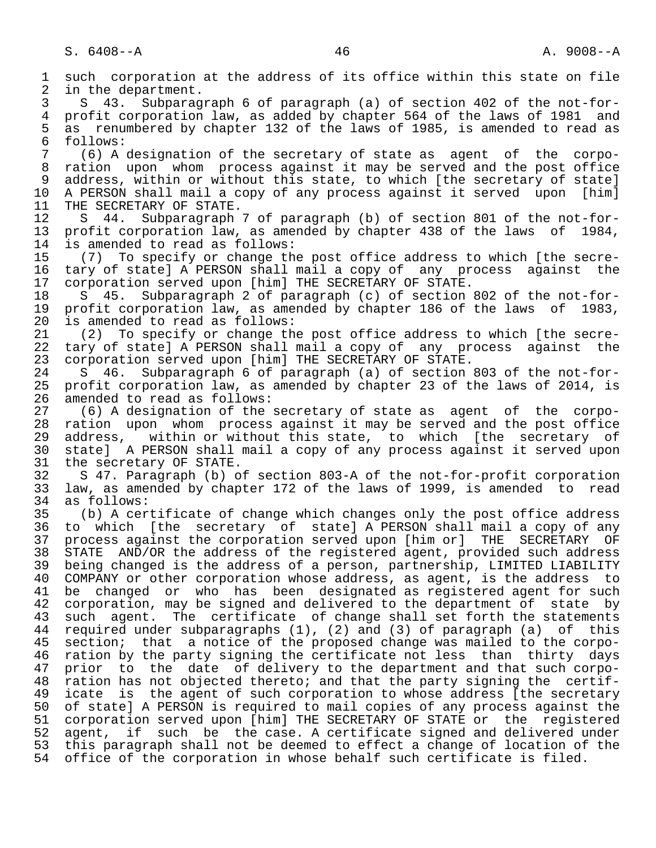1 such corporation at the address of its office within this state on file<br>2 in the department. 2 in the department.<br>3 S 43. Subparag 3 S 43. Subparagraph 6 of paragraph (a) of section 402 of the not-for- 4 profit corporation law, as added by chapter 564 of the laws of 1981 and<br>5 as renumbered by chapter 132 of the laws of 1985, is amended to read as 5 as renumbered by chapter 132 of the laws of 1985, is amended to read as<br>6 follows: 6 follows:<br>7 (6) A  $(6)$  A designation of the secretary of state as agent of the corpo- 8 ration upon whom process against it may be served and the post office 9 address, within or without this state, to which [the secretary of state]<br>10 A PERSON shall mail a copy of any process against it served upon [him] 10 A PERSON shall mail a copy of any process against it served upon [him]<br>11 THE SECRETARY OF STATE. 11 THE SECRETARY OF STATE.<br>12 S 44. Subparagraph 12 S 44. Subparagraph 7 of paragraph (b) of section 801 of the not-for-<br>13 profit corporation law, as amended by chapter 438 of the laws of 1984, 13 profit corporation law, as amended by chapter 438 of the laws of 1984,<br>14 is amended to read as follows: is amended to read as follows: 15 (7) To specify or change the post office address to which [the secre-<br>16 tary of state] A PERSON shall mail a copy of any process against the 16 tary of state] A PERSON shall mail a copy of any process against the<br>17 corporation served upon [him] THE SECRETARY OF STATE. 17 corporation served upon [him] THE SECRETARY OF STATE.<br>18 S 45. Subparagraph 2 of paragraph (c) of section 18 S 45. Subparagraph 2 of paragraph (c) of section 802 of the not-for-<br>19 profit corporation law, as amended by chapter 186 of the laws of 1983, 19 profit corporation law, as amended by chapter 186 of the laws of 1983,<br>20 is amended to read as follows: 20 is amended to read as follows:<br>21 (2) To specify or change th 21 (2) To specify or change the post office address to which [the secre-<br>22 tary of state] A PERSON shall mail a copy of any process against the 22 tary of state] A PERSON shall mail a copy of any process against the<br>23 corporation served upon [him] THE SECRETARY OF STATE. 23 corporation served upon [him] THE SECRETARY OF STATE.<br>24 S 46. Subparagraph 6 of paragraph (a) of section 24 S 46. Subparagraph 6 of paragraph (a) of section 803 of the not-for- 25 profit corporation law, as amended by chapter 23 of the laws of 2014, is 26 amended to read as follows:<br>27 (6) A designation of the: 27 (6) A designation of the secretary of state as agent of the corpo-<br>28 ration upon whom process against it may be served and the post office 28 ration upon whom process against it may be served and the post office<br>29 address, within or without this state, to which [the secretary of 29 address, within or without this state, to which [the secretary of<br>20 statel A PERSON shall mail a copy of any process against it served upon 30 state] A PERSON shall mail a copy of any process against it served upon<br>31 the secretary OF STATE. 31 the secretary OF STATE.<br>32 S 47. Paragraph (b) o 32 S 47. Paragraph (b) of section 803-A of the not-for-profit corporation<br>33 law, as amended by chapter 172 of the laws of 1999, is amended to read 33 law, as amended by chapter 172 of the laws of 1999, is amended to read 34 as follows:<br>35 (b) A cer 35 (b) A certificate of change which changes only the post office address<br>36 to which [the secretary of state] A PERSON shall mail a copy of any 36 to which [the secretary of state] A PERSON shall mail a copy of any 37 process against the corporation served upon [him or] THE SECRETARY OF<br>38 STATE AND/OR the address of the registered agent, provided such address 38 STATE AND/OR the address of the registered agent, provided such address<br>39 being changed is the address of a person, partnership, LIMITED LIABILITY 39 being changed is the address of a person, partnership, LIMITED LIABILITY<br>40 COMPANY or other corporation whose address, as agent, is the address to 40 COMPANY or other corporation whose address, as agent, is the address to<br>41 be changed or who has been designated as registered agent for such 41 be changed or who has been designated as registered agent for such<br>42 corporation, may be signed and delivered to the department of state by 42 corporation, may be signed and delivered to the department of state by<br>43 such agent. The certificate of change shall set forth the statements 43 such agent. The certificate of change shall set forth the statements<br>44 required under subparagraphs (1), (2) and (3) of paragraph (a) of this 44 required under subparagraphs (1), (2) and (3) of paragraph (a) of this<br>45 section; that a notice of the proposed change was mailed to the corposection; that a notice of the proposed change was mailed to the corpo-46 ration by the party signing the certificate not less than thirty days<br>47 prior to the date of delivery to the department and that such corpo- 47 prior to the date of delivery to the department and that such corpo- 48 ration has not objected thereto; and that the party signing the certif-<br>49 icate is the agent of such corporation to whose address [the secretary 49 icate is the agent of such corporation to whose address [the secretary<br>50 of state] A PERSON is required to mail copies of any process against the 50 of state] A PERSON is required to mail copies of any process against the<br>51 corporation served upon [him] THE SECRETARY OF STATE or the registered 51 corporation served upon [him] THE SECRETARY OF STATE or the registered<br>52 agent, if such be the case. A certificate signed and delivered under 52 agent, if such be the case. A certificate signed and delivered under<br>53 this paragraph shall not be deemed to effect a change of location of the 53 this paragraph shall not be deemed to effect a change of location of the<br>54 office of the corporation in whose behalf such certificate is filed. office of the corporation in whose behalf such certificate is filed.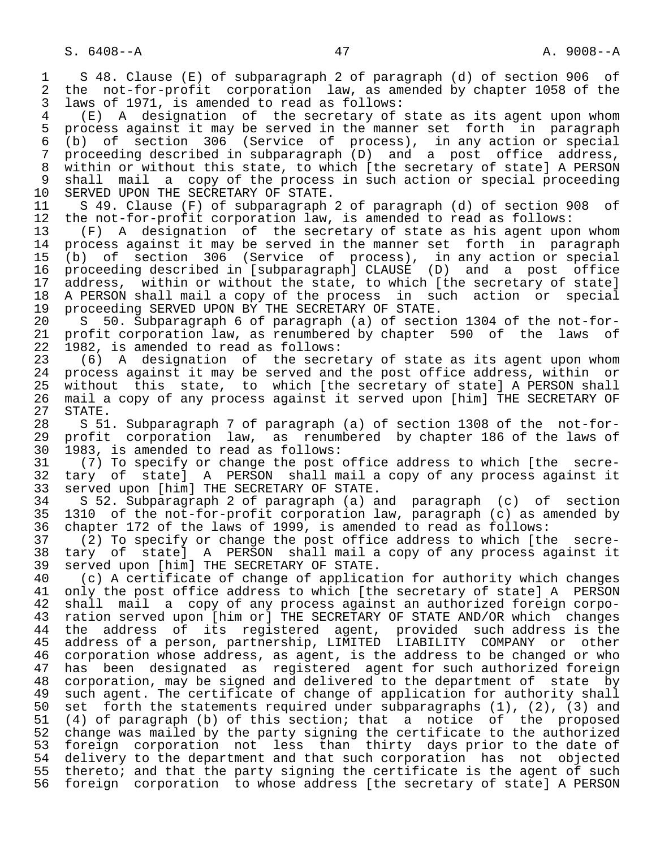1 S 48. Clause (E) of subparagraph 2 of paragraph (d) of section 906 of<br>2 the not-for-profit corporation law, as amended by chapter 1058 of the 2 the not-for-profit corporation law, as amended by chapter 1058 of the<br>3 laws of 1971, is amended to read as follows: 3 laws of 1971, is amended to read as follows:<br>4 (F) A designation of the secretary of

4 (E) A designation of the secretary of state as its agent upon whom<br>5 process against it may be served in the manner set forth in paragraph 5 process against it may be served in the manner set forth in paragraph<br>6 (b) of section 306 (Service of process), in any action or special 6 (b) of section 306 (Service of process), in any action or special proceeding described in subparagraph (D) and a post office address, 8 within or without this state, to which [the secretary of state] A PERSON<br>9 shall mail a copy of the process in such action or special proceeding 9 shall mail a copy of the process in such action or special proceeding<br>10 SERVED UPON THE SECRETARY OF STATE. 10 SERVED UPON THE SECRETARY OF STATE.<br>11 S 49. Clause (F) of subparagraph

11 S 49. Clause (F) of subparagraph 2 of paragraph (d) of section 908 of<br>12 the not-for-profit corporation law, is amended to read as follows: 12 the not-for-profit corporation law, is amended to read as follows:<br>13 (F) A designation of the secretary of state as his agent upo

13 (F) A designation of the secretary of state as his agent upon whom<br>14 process against it may be served in the manner set forth in paragraph process against it may be served in the manner set forth in paragraph 15 (b) of section 306 (Service of process), in any action or special 16 proceeding described in [subparagraph] CLAUSE (D) and a post office<br>17 address, within or without the state, to which [the secretary of state] 17 address, within or without the state, to which [the secretary of state]<br>18 A PERSON shall mail a copy of the process in such action or special 18 A PERSON shall mail a copy of the process in such action or special<br>19 proceeding SERVED UPON BY THE SECRETARY OF STATE. 19 proceeding SERVED UPON BY THE SECRETARY OF STATE.<br>20 S 50. Subparagraph 6 of paragraph (a) of secti

20 S 50. Subparagraph 6 of paragraph (a) of section 1304 of the not-for-<br>21 profit corporation law, as renumbered by chapter 590 of the laws of 21 profit corporation law, as renumbered by chapter 590 of the laws of<br>22 1982, is amended to read as follows: 22 1982, is amended to read as follows:<br>23 (6) A designation of the secre

 $(6)$  A designation of the secretary of state as its agent upon whom 24 process against it may be served and the post office address, within or<br>25 without this state, to which [the secretary of state] A PERSON shall without this state, to which [the secretary of state] A PERSON shall 26 mail a copy of any process against it served upon [him] THE SECRETARY OF 27 STATE.<br>28 S 51

28 S 51. Subparagraph 7 of paragraph (a) of section 1308 of the not-for-<br>29 profit corporation law, as renumbered by chapter 186 of the laws of 29 profit corporation law, as renumbered by chapter 186 of the laws of 30 1983, is amended to read as follows: 30 1983, is amended to read as follows:<br>31 (7) To specify or change the post

31 (7) To specify or change the post office address to which [the secre-<br>32 tary of state] A PERSON shall mail a copy of any process against it 32 tary of state] A PERSON shall mail a copy of any process against it<br>33 served upon [him] THE SECRETARY OF STATE. 33 served upon [him] THE SECRETARY OF STATE.<br>34 S 52. Subparagraph 2 of paragraph (a) a

 34 S 52. Subparagraph 2 of paragraph (a) and paragraph (c) of section 35 1310 of the not-for-profit corporation law, paragraph (c) as amended by<br>36 chapter 172 of the laws of 1999, is amended to read as follows: chapter 172 of the laws of 1999, is amended to read as follows:

37 (2) To specify or change the post office address to which [the secre-<br>38 tary of state] A PERSON shall mail a copy of any process against it 38 tary of state] A PERSON shall mail a copy of any process against it<br>39 served upon [him] THE SECRETARY OF STATE. 39 served upon [him] THE SECRETARY OF STATE.<br>40 (c) A certificate of change of applicat

40 (c) A certificate of change of application for authority which changes<br>41 only the post office address to which [the secretary of state] A PERSON 41 only the post office address to which [the secretary of state] A PERSON<br>42 shall mail a copy of any process against an authorized foreign corpo- 42 shall mail a copy of any process against an authorized foreign corpo- 43 ration served upon [him or] THE SECRETARY OF STATE AND/OR which changes 44 the address of its registered agent, provided such address is the<br>45 address of a person, partnership, LIMITED LIABILITY COMPANY or other address of a person, partnership, LIMITED LIABILITY COMPANY or other 46 corporation whose address, as agent, is the address to be changed or who<br>47 has been designated as registered agent for such authorized foreign has been designated as registered agent for such authorized foreign 48 corporation, may be signed and delivered to the department of state by<br>49 such agent. The certificate of change of application for authority shall 49 such agent. The certificate of change of application for authority shall<br>50 set forth the statements required under subparagraphs (1), (2), (3) and 50 set forth the statements required under subparagraphs (1), (2), (3) and<br>51 (4) of paragraph (b) of this section; that a notice of the proposed 51 (4) of paragraph (b) of this section; that a notice of the proposed<br>52 change was mailed by the party signing the certificate to the authorized 52 change was mailed by the party signing the certificate to the authorized<br>53 foreign corporation not less than thirty days prior to the date of 53 foreign corporation not less than thirty days prior to the date of<br>54 delivery to the department and that such corporation has not objected 54 delivery to the department and that such corporation has not objected<br>55 thereto; and that the party signing the certificate is the agent of such 55 thereto; and that the party signing the certificate is the agent of such<br>56 foreign corporation to whose address [the secretary of state] A PERSON 56 foreign corporation to whose address [the secretary of state] A PERSON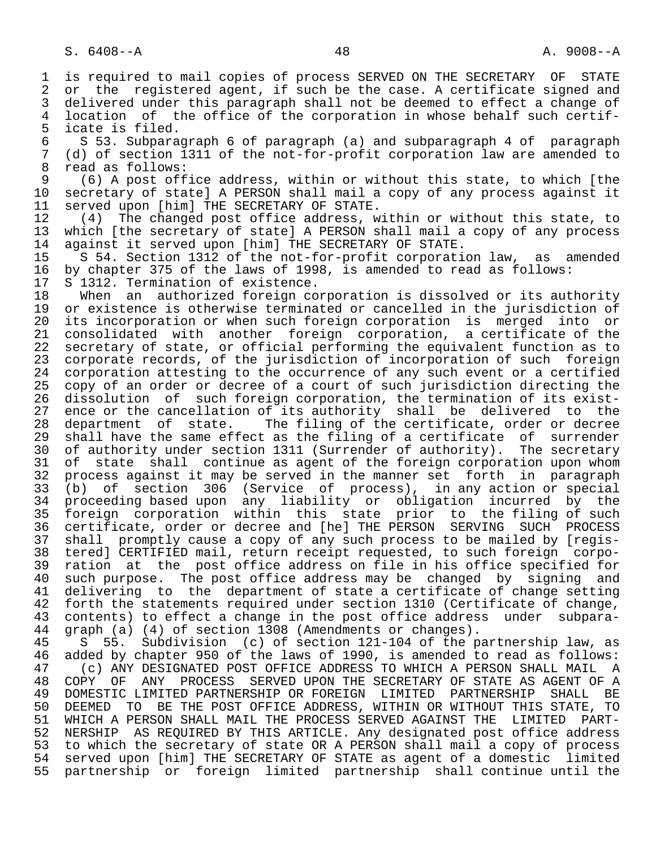1 is required to mail copies of process SERVED ON THE SECRETARY OF STATE<br>2 or the registered agent, if such be the case. A certificate signed and 2 or the registered agent, if such be the case. A certificate signed and<br>3 delivered under this paragraph shall not be deemed to effect a change of 3 delivered under this paragraph shall not be deemed to effect a change of<br>4 location of the office of the corporation in whose behalf such certif-4 location of the office of the corporation in whose behalf such certif-<br>5 icate is filed. 5 icate is filed.<br>6 S 53. Subpara 6 S 53. Subparagraph 6 of paragraph (a) and subparagraph 4 of paragraph 7 (d) of section 1311 of the not-for-profit corporation law are amended to<br>8 read as follows: 8 read as follows:<br>9 (6) A post off 9 (6) A post office address, within or without this state, to which [the 10 secretary of state] A PERSON shall mail a copy of any process against it<br>11 served upon [him] THE SECRETARY OF STATE. 11 served upon [him] THE SECRETARY OF STATE.<br>12 (4) The changed post office address, w 12 (4) The changed post office address, within or without this state, to<br>13 which (the secretary of state) A PERSON shall mail a copy of any process 13 which [the secretary of state] A PERSON shall mail a copy of any process<br>14 against it served upon [him] THE SECRETARY OF STATE. 14 against it served upon [him] THE SECRETARY OF STATE.<br>15 S 54. Section 1312 of the not-for-profit corporati 15 S 54. Section 1312 of the not-for-profit corporation law, as amended<br>16 by chapter 375 of the laws of 1998, is amended to read as follows: 16 by chapter 375 of the laws of 1998, is amended to read as follows:<br>17 S 1312. Termination of existence. 17 S 1312. Termination of existence.<br>18 When an authorized foreign co 18 When an authorized foreign corporation is dissolved or its authority<br>19 or existence is otherwise terminated or cancelled in the jurisdiction of 19 or existence is otherwise terminated or cancelled in the jurisdiction of<br>20 its incorporation or when such foreign corporation is merged into or 20 its incorporation or when such foreign corporation is merged into or<br>21 consolidated with another foreign corporation, a certificate of the 21 consolidated with another foreign corporation, a certificate of the<br>22 secretary of state, or official performing the equivalent function as to 22 secretary of state, or official performing the equivalent function as to<br>23 corporate records, of the jurisdiction of incorporation of such foreign 23 corporate records, of the jurisdiction of incorporation of such foreign<br>24 corporation attesting to the occurrence of any such event or a certified 24 corporation attesting to the occurrence of any such event or a certified<br>25 copy of an order or decree of a court of such jurisdiction directing the copy of an order or decree of a court of such jurisdiction directing the 26 dissolution of such foreign corporation, the termination of its exist- 27 ence or the cancellation of its authority shall be delivered to the<br>28 department of state. The filing of the certificate, order or decree 28 department of state. The filing of the certificate, order or decree<br>29 shall have the same effect as the filing of a certificate of surrender 29 shall have the same effect as the filing of a certificate of surrender<br>20 of authority under section 1311 (Surrender of authority). The secretary 30 of authority under section 1311 (Surrender of authority). The secretary<br>31 of state shall continue as agent of the foreign corporation upon whom 31 of state shall continue as agent of the foreign corporation upon whom<br>32 process against it may be served in the manner set forth in paragraph 32 process against it may be served in the manner set forth in paragraph<br>33 (b) of section 306 (Service of process), in any action or special 33 (b) of section 306 (Service of process), in any action or special 34 proceeding based upon any liability or obligation incurred by the<br>35 foreign corporation within this state prior to the filing of such 35 foreign corporation within this state prior to the filing of such<br>36 certificate, order or decree and [he] THE PERSON SERVING SUCH PROCESS 36 certificate, order or decree and [he] THE PERSON SERVING SUCH PROCESS 37 shall promptly cause a copy of any such process to be mailed by [regis-<br>38 tered] CERTIFIED mail, return receipt requested, to such foreign corpo- 38 tered] CERTIFIED mail, return receipt requested, to such foreign corpo- 39 ration at the post office address on file in his office specified for<br>40 such purpose. The post office address may be changed by signing and 40 such purpose. The post office address may be changed by signing and<br>41 delivering to the department of state a certificate of change setting 41 delivering to the department of state a certificate of change setting<br>42 forth the statements required under section 1310 (Certificate of change, 42 forth the statements required under section 1310 (Certificate of change,<br>43 contents) to effect a change in the post office address under subpara-43 contents) to effect a change in the post office address under subpara-<br>44 graph (a) (4) of section 1308 (Amendments or changes). 44 graph (a) (4) of section 1308 (Amendments or changes).<br>45 S 55. Subdivision (c) of section 121-104 of the p 55. Subdivision (c) of section 121-104 of the partnership law, as 46 added by chapter 950 of the laws of 1990, is amended to read as follows:<br>47 (c) ANY DESIGNATED POST OFFICE ADDRESS TO WHICH A PERSON SHALL MAIL A 47 (c) ANY DESIGNATED POST OFFICE ADDRESS TO WHICH A PERSON SHALL MAIL A<br>48 COPY OF ANY PROCESS SERVED UPON THE SECRETARY OF STATE AS AGENT OF A 48 COPY OF ANY PROCESS SERVED UPON THE SECRETARY OF STATE AS AGENT OF A<br>49 DOMESTIC LIMITED PARTNERSHIP OR FOREIGN LIMITED PARTNERSHIP SHALL BE 49 DOMESTIC LIMITED PARTNERSHIP OR FOREIGN LIMITED PARTNERSHIP SHALL BE<br>50 DEEMED TO BE THE POST OFFICE ADDRESS, WITHIN OR WITHOUT THIS STATE, TO 50 DEEMED TO BE THE POST OFFICE ADDRESS, WITHIN OR WITHOUT THIS STATE, TO<br>51 WHICH A PERSON SHALL MAIL THE PROCESS SERVED AGAINST THE LIMITED PART-WHICH A PERSON SHALL MAIL THE PROCESS SERVED AGAINST THE LIMITED PART-52 NERSHIP AS REQUIRED BY THIS ARTICLE. Any designated post office address<br>53 to which the secretary of state OR A PERSON shall mail a copy of process to which the secretary of state OR A PERSON shall mail a copy of process

54 served upon [him] THE SECRETARY OF STATE as agent of a domestic limited<br>55 partnership or foreign limited partnership shall continue until the 55 partnership or foreign limited partnership shall continue until the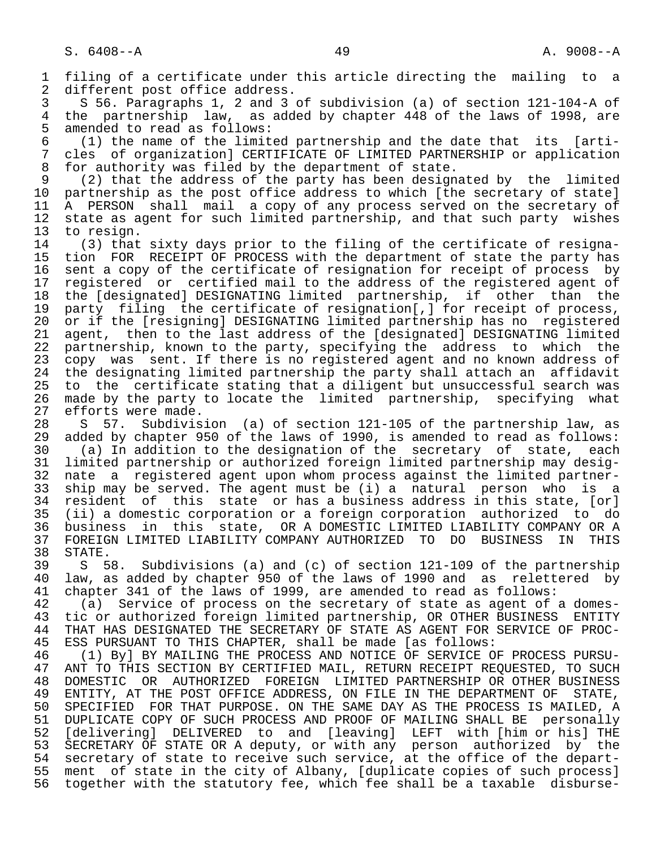1 filing of a certificate under this article directing the mailing to a<br>2 different post office address. 2 different post office address.<br>3 S 56. Paragraphs 1, 2 and 3 3 S 56. Paragraphs 1, 2 and 3 of subdivision (a) of section 121-104-A of 4 the partnership law, as added by chapter 448 of the laws of 1998, are<br>5 amended to read as follows: 5 amended to read as follows:<br>6 (1) the name of the limit 6 (1) the name of the limited partnership and the date that its [arti- 7 cles of organization] CERTIFICATE OF LIMITED PARTNERSHIP or application<br>8 for authority was filed by the department of state. 8 for authority was filed by the department of state.<br>9 (2) that the address of the party has been design 9 (2) that the address of the party has been designated by the limited<br>10 partnership as the post office address to which [the secretary of state] 10 partnership as the post office address to which [the secretary of state]<br>11 A PERSON shall mail a copy of any process served on the secretary of 11 A PERSON shall mail a copy of any process served on the secretary of<br>12 state as agent for such limited partnership, and that such party wishes 12 state as agent for such limited partnership, and that such party wishes<br>13 to resign. 13 to resign.<br>14 (3) that 14 (3) that sixty days prior to the filing of the certificate of resigna-<br>15 tion FOR RECEIPT OF PROCESS with the department of state the party has 15 tion FOR RECEIPT OF PROCESS with the department of state the party has<br>16 sent a copy of the certificate of resignation for receipt of process by 16 sent a copy of the certificate of resignation for receipt of process by<br>17 registered or certified mail to the address of the registered agent of 17 registered or certified mail to the address of the registered agent of<br>18 the [designated] DESIGNATING limited partnership, if other than the 18 the [designated] DESIGNATING limited partnership, if other than the<br>19 party filing the certificate of resignation[,] for receipt of process, 19 party filing the certificate of resignation[,] for receipt of process,<br>20 or if the [resigning] DESIGNATING limited partnership has no registered 20 or if the [resigning] DESIGNATING limited partnership has no registered<br>21 agent, then to the last address of the [designated] DESIGNATING limited 21 agent, then to the last address of the [designated] DESIGNATING limited<br>22 partnership, known to the party, specifying the address to which the 22 partnership, known to the party, specifying the address to which the<br>23 copy was sent. If there is no registered agent and no known address of copy was sent. If there is no registered agent and no known address of 24 the designating limited partnership the party shall attach an affidavit<br>25 to the certificate stating that a diligent but unsuccessful search was 25 to the certificate stating that a diligent but unsuccessful search was 26 made by the party to locate the limited partnership, specifying what<br>27 efforts were made. 27 efforts were made.<br>28 S 57. Subdivis 28 S 57. Subdivision (a) of section 121-105 of the partnership law, as<br>29 added by chapter 950 of the laws of 1990, is amended to read as follows: 29 added by chapter 950 of the laws of 1990, is amended to read as follows:<br>30 (a) In addition to the designation of the secretary of state, each 30 (a) In addition to the designation of the secretary of state, each 31 limited partnership or authorized foreign limited partnership may desig- 32 nate a registered agent upon whom process against the limited partner-<br>33 ship may be served. The agent must be (i) a natural person who is a 33 ship may be served. The agent must be (i) a natural person who is a<br>34 resident of this state or has a business address in this state, [or] 34 resident of this state or has a business address in this state, [or]<br>35 (ii) a domestic corporation or a foreign corporation authorized to do 35 (ii) a domestic corporation or a foreign corporation authorized to do 36 business in this state, OR A DOMESTIC LIMITED LIABILITY COMPANY OR A 37 FOREIGN LIMITED LIABILITY COMPANY AUTHORIZED TO DO BUSINESS IN THIS 38 STATE.<br>39 S 5 39 S 58. Subdivisions (a) and (c) of section 121-109 of the partnership<br>40 law, as added by chapter 950 of the laws of 1990 and as relettered by 40 law, as added by chapter 950 of the laws of 1990 and as relettered by<br>41 chapter 341 of the laws of 1999, are amended to read as follows: 41 chapter 341 of the laws of 1999, are amended to read as follows:<br>42 (a) Service of process on the secretary of state as agent of 42 (a) Service of process on the secretary of state as agent of a domes-<br>43 tic or authorized foreign limited partnership, OR OTHER BUSINESS ENTITY 43 tic or authorized foreign limited partnership, OR OTHER BUSINESS ENTITY<br>44 THAT HAS DESIGNATED THE SECRETARY OF STATE AS AGENT FOR SERVICE OF PROC-44 THAT HAS DESIGNATED THE SECRETARY OF STATE AS AGENT FOR SERVICE OF PROC-<br>45 ESS PURSUANT TO THIS CHAPTER, shall be made [as follows: ESS PURSUANT TO THIS CHAPTER, shall be made [as follows: 46 (1) By] BY MAILING THE PROCESS AND NOTICE OF SERVICE OF PROCESS PURSU-<br>47 ANT TO THIS SECTION BY CERTIFIED MAIL, RETURN RECEIPT REOUESTED, TO SUCH 47 ANT TO THIS SECTION BY CERTIFIED MAIL, RETURN RECEIPT REQUESTED, TO SUCH<br>48 DOMESTIC OR AUTHORIZED FOREIGN LIMITED PARTNERSHIP OR OTHER BUSINESS 48 DOMESTIC OR AUTHORIZED FOREIGN LIMITED-PARTNERSHIP OR OTHER BUSINESS<br>49 ENTITY, AT THE POST OFFICE ADDRESS, ON FILE IN THE DEPARTMENT OF STATE, 49 ENTITY, AT THE POST OFFICE ADDRESS, ON FILE IN THE DEPARTMENT OF STATE,<br>50 SPECIFIED FOR THAT PURPOSE, ON THE SAME DAY AS THE PROCESS IS MAILED, A 50 SPECIFIED FOR THAT PURPOSE. ON THE SAME DAY AS THE PROCESS IS MAILED, A<br>51 DUPLICATE COPY OF SUCH PROCESS AND PROOF OF MAILING SHALL BE personally 51 DUPLICATE COPY OF SUCH PROCESS AND PROOF OF MAILING SHALL BE personally<br>52 [delivering] DELIVERED to and [leaving] LEFT with [him or his] THE [delivering] DELIVERED to and [leaving] LEFT with [him or his] THE 53 SECRETARY OF STATE OR A deputy, or with any person authorized by the 54 secretary of state to receive such service, at the office of the depart- 55 ment of state in the city of Albany, [duplicate copies of such process]<br>56 together with the statutory fee, which fee shall be a taxable disburse-56 together with the statutory fee, which fee shall be a taxable disburse-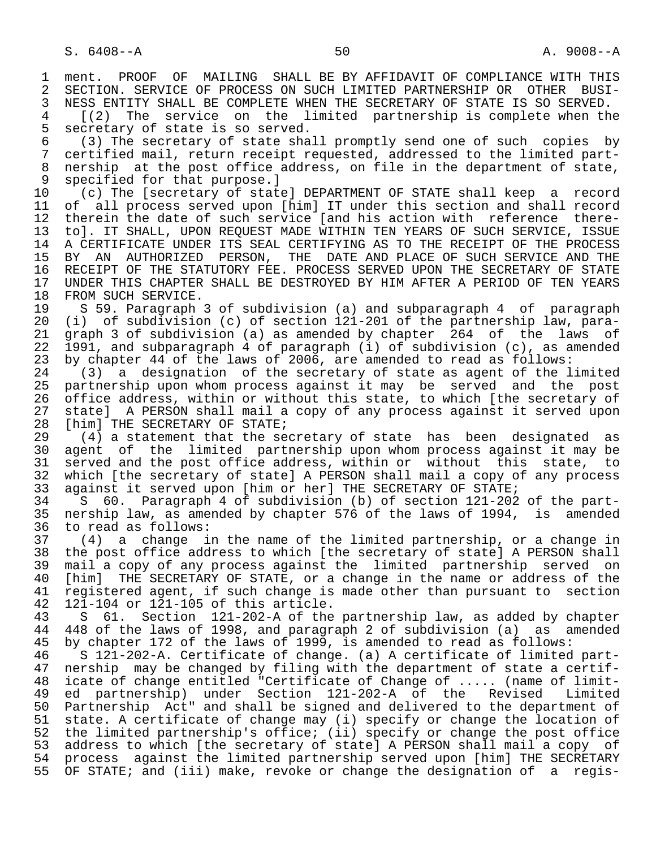1 ment. PROOF OF MAILING SHALL BE BY AFFIDAVIT OF COMPLIANCE WITH THIS<br>2 SECTION. SERVICE OF PROCESS ON SUCH LIMITED PARTNERSHIP OR OTHER BUSI-2 SECTION. SERVICE OF PROCESS ON SUCH LIMITED PARTNERSHIP OR OTHER BUSI-<br>3 NESS ENTITY SHALL BE COMPLETE WHEN THE SECRETARY OF STATE IS SO SERVED. 3 NESS ENTITY SHALL BE COMPLETE WHEN THE SECRETARY OF STATE IS SO SERVED.<br>4 [(2) The service on the limited partnership is complete when the 4 [(2) The service on the limited partnership is complete when the 5 secretary of state is so served.<br>6 (3) The secretary of state sha 6 (3) The secretary of state shall promptly send one of such copies by<br>7 certified mail, return receipt requested, addressed to the limited part-7 certified mail, return receipt requested, addressed to the limited part-<br>8 nership, at the post office address, on file in the department of state. 8 nership at the post office address, on file in the department of state,<br>9 specified for that purpose. 1 9 specified for that purpose.]<br>10 (c) The [secretary of state 10 (c) The [secretary of state] DEPARTMENT OF STATE shall keep a record<br>11 of all process served upon [him] IT under this section and shall record 11 of all process served upon [him] IT under this section and shall record<br>12 therein the date of such service [and his action with reference there-12 therein the date of such service [and his action with reference there-<br>13 tol. IT SHALL, UPON REOUEST MADE WITHIN TEN YEARS OF SUCH SERVICE, ISSUE 13 to]. IT SHALL, UPON REQUEST MADE WITHIN TEN YEARS OF SUCH SERVICE, ISSUE<br>14 A CERTIFICATE UNDER ITS SEAL CERTIFYING AS TO THE RECEIPT OF THE PROCESS 14 A CERTIFICATE UNDER ITS SEAL CERTIFYING AS TO THE RECEIPT OF THE PROCESS 15 BY AN AUTHORIZED PERSON, THE DATE—AND—PLACE OF SUCH SERVICE AND THE<br>16 RECEIPT OF THE STATUTORY FEE. PROCESS SERVED UPON THE SECRETARY OF STATE 16 RECEIPT OF THE STATUTORY FEE. PROCESS SERVED UPON THE SECRETARY OF STATE<br>17 UNDER THIS CHAPTER SHALL BE DESTROYED BY HIM AFTER A PERIOD OF TEN YEARS 17 UNDER THIS CHAPTER SHALL BE DESTROYED BY HIM AFTER A PERIOD OF TEN YEARS 18 FROM SUCH SERVICE.<br>19 S 59. Paragraph 19 S 59. Paragraph 3 of subdivision (a) and subparagraph 4 of paragraph<br>20 (i) of subdivision (c) of section 121-201 of the partnership law, para-20 (i) of subdivision (c) of section 121-201 of the partnership law, para-<br>21 graph 3 of subdivision (a) as amended by chapter 264 of the laws of 21 graph 3 of subdivision (a) as amended by chapter 264 of the laws of<br>22 1991, and subparagraph 4 of paragraph (i) of subdivision (c), as amended 22 1991, and subparagraph 4 of paragraph (i) of subdivision (c), as amended<br>23 by chapter 44 of the laws of 2006, are amended to read as follows: 23 by chapter 44 of the laws of 2006, are amended to read as follows:<br>24 (3) a designation of the secretary of state as agent of the l 24 (3) a designation of the secretary of state as agent of the limited<br>25 partnership upon whom process against it may be served and the post 25 partnership upon whom process against it may be served and the post 26 office address, within or without this state, to which [the secretary of<br>27 state] A PERSON shall mail a copy of any process against it served upon 27 state] A PERSON shall mail a copy of any process against it served upon<br>28 [him] THE SECRETARY OF STATE; 28 [him] THE SECRETARY OF STATE;<br>29 (4) a statement that the se 29 (4) a statement that the secretary of state has been designated as<br>30 agent of the limited partnership upon whom process against it may be 30 agent of the limited partnership upon whom process against it may be<br>31 served and the post office address, within or without this state, to 31 served and the post office address, within or without this state, to<br>32 which [the secretary of state] A PERSON shall mail a copy of any process 32 which [the secretary of state] A PERSON shall mail a copy of any process<br>33 against it served upon [him or her] THE SECRETARY OF STATE; 33 against it served upon [him or her] THE SECRETARY OF STATE;<br>34 S 60. Paragraph 4 of subdivision (b) of section 121-202 34 S 60. Paragraph 4 of subdivision (b) of section 121-202 of the part- 35 nership law, as amended by chapter 576 of the laws of 1994, is amended<br>36 to read as follows: to read as follows: 37 (4) a change in the name of the limited partnership, or a change in 38 the post office address to which [the secretary of state] A PERSON shall<br>39 mail a copy of any process against the limited partnership served on 39 mail a copy of any process against the limited partnership served on<br>40 [him] THE SECRETARY OF STATE, or a change in the name or address of the 40 [him] THE SECRETARY OF STATE, or a change in the name or address of the<br>41 registered agent, if such change is made other than pursuant to section 41 registered agent, if such change is made other than pursuant to section<br>42 121-104 or 121-105 of this article. 42  $12\overline{1}$ -104 or 121-105 of this article.<br>43 S 61. Section 121-202-A of the 43 S 61. Section 121-202-A of the partnership law, as added by chapter<br>44 448 of the laws of 1998, and paragraph 2 of subdivision (a) as amended 44 448 of the laws of 1998, and paragraph 2 of subdivision (a) as amended<br>45 by chapter 172 of the laws of 1999, is amended to read as follows: by chapter 172 of the laws of 1999, is amended to read as follows: 46 <sup>1</sup>S 121-202-A. Certificate of change. (a) A certificate of limited part-<br>47 nership may be changed by filing with the department of state a certifnership may be changed by filing with the department of state a certif- 48 icate of change entitled "Certificate of Change of ..... (name of limit- 49 ed partnership) under Section 121-202-A of the Revised<br>50 Partnership Act" and shall be signed and delivered to the depa 50 Partnership Act" and shall be signed and delivered to the department of<br>51 state. A certificate of change may (i) specify or change the location of 51 state. A certificate of change may (i) specify or change the location of<br>52 the limited partnership's office; (ii) specify or change the post office the limited partnership's office; (ii) specify or change the post office 53 address to which [the secretary of state] A PERSON shall mail a copy of<br>54 process against the limited partnership served upon [him] THE SECRETARY 54 process against the limited partnership served upon [him] THE SECRETARY<br>55 OF STATE; and (iii) make, revoke or change the designation of a regis-OF STATE; and (iii) make, revoke or change the designation of a regis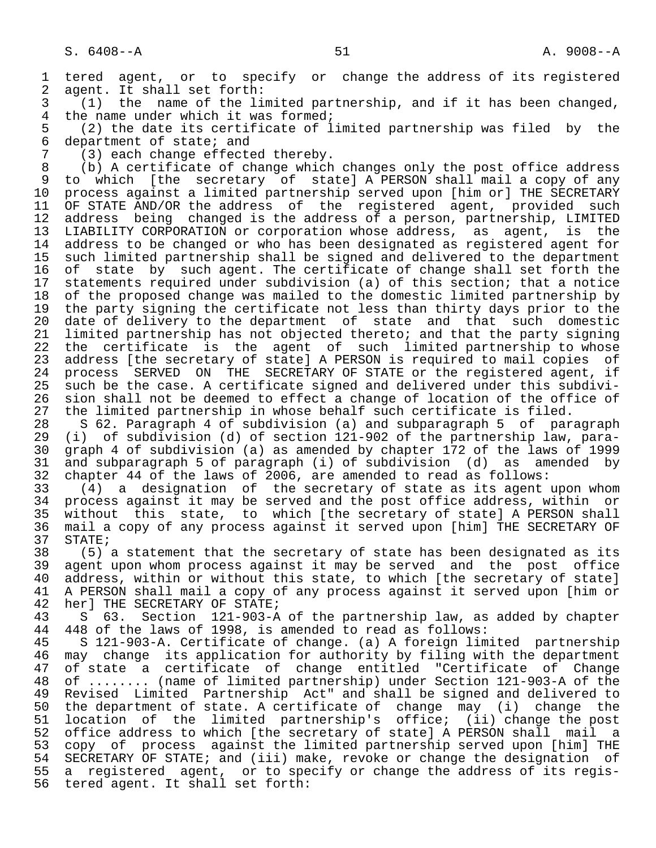1 tered agent, or to specify or change the address of its registered<br>2 agent. It shall set forth: 2 agent. It shall set forth:<br>3 (1) the name of the li

 3 (1) the name of the limited partnership, and if it has been changed, 4 the name under which it was formed;<br>5 (2) the date its certificate of 1

5 (2) the date its certificate of limited partnership was filed by the<br>6 department of state; and 6 department of state; and<br> $7$   $(3)$  each change effect.

7 (3) each change effected thereby.<br>8 (b) A certificate of change which 8 (b) A certificate of change which changes only the post office address<br>9 to which [the secretary of state] A PERSON shall mail a copy of any 9 to which [the secretary of state] A PERSON shall mail a copy of any<br>10 process against a limited partnership served upon [him or] THE SECRETARY 10 process against a limited partnership served upon [him or] THE SECRETARY<br>11 OF STATE AND/OR the address of the registered agent, provided such 11 OF STATE AND/OR the address of the registered agent, provided such<br>12 address being changed is the address of a person, partnership, LIMITED 12 address being changed is the address of a person, partnership, LIMITED<br>13 LIABILITY CORPORATION or corporation whose address, as agent, is the 13 LIABILITY CORPORATION or corporation whose address, as agent, is the<br>14 address to be changed or who has been designated as registered agent for address to be changed or who has been designated as registered agent for 15 such limited partnership shall be signed and delivered to the department<br>16 of state by such agent. The certificate of change shall set forth the 16 of state by such agent. The certificate of change shall set forth the<br>17 statements required under subdivision (a) of this section; that a notice 17 statements required under subdivision (a) of this section; that a notice<br>18 of the proposed change was mailed to the domestic limited partnership by 18 of the proposed change was mailed to the domestic limited partnership by<br>19 the party signing the certificate not less than thirty days prior to the 19 the party signing the certificate not less than thirty days prior to the<br>20 date of delivery to the department of state and that such domestic 20 date of delivery to the department of state and that such domestic<br>21 limited partnership has not objected thereto; and that the party signing 21 limited partnership has not objected thereto; and that the party signing<br>22 the certificate is the agent of such limited partnership to whose 22 the certificate is the agent of such limited partnership to whose<br>23 address [the secretary of state] A PERSON is required to mail copies of 23 address [the secretary of state] A PERSON is required to mail copies of<br>24 process SERVED ON THE SECRETARY OF STATE or the registered agent, if 24 process SERVED ON THE SECRETARY OF STATE or the registered agent, if<br>25 such be the case. A certificate signed and delivered under this subdivisuch be the case. A certificate signed and delivered under this subdivi-26 sion shall not be deemed to effect a change of location of the office of<br>27 the limited partnership in whose behalf such certificate is filed.

27 the limited partnership in whose behalf such certificate is filed.<br>28 S 62. Paragraph 4 of subdivision (a) and subparagraph 5 of par 28 S 62. Paragraph 4 of subdivision (a) and subparagraph 5 of paragraph<br>29 (i) of subdivision (d) of section 121-902 of the partnership law, para-29 (i) of subdivision (d) of section  $121-902$  of the partnership law, para-<br>30 graph 4 of subdivision (a) as amended by chapter 172 of the laws of 1999 30 graph 4 of subdivision (a) as amended by chapter 172 of the laws of 1999 31 and subparagraph 5 of paragraph (i) of subdivision (d) as amended by<br>32 chapter 44 of the laws of 2006, are amended to read as follows:

32 chapter 44 of the laws of 2006, are amended to read as follows:<br>33 (4) a designation of the secretary of state as its agent 33 (4) a designation of the secretary of state as its agent upon whom 34 process against it may be served and the post office address, within or<br>35 without this state, to which (the secretary of state) A PERSON shall 35 without this state, to which [the secretary of state] A PERSON shall<br>36 mail a copy of any process against it served upon [him] THE SECRETARY OF mail a copy of any process against it served upon [him] THE SECRETARY OF 37 STATE;<br>38 (5);

38 (5) a statement that the secretary of state has been designated as its<br>39 agent upon whom process against it may be served and the post office 39 agent upon whom process against it may be served and the post office<br>40 address, within or without this state, to which [the secretary of state] 40 address, within or without this state, to which [the secretary of state]<br>41 A PERSON shall mail a copy of any process against it served upon [him or 41 A PERSON shall mail a copy of any process against it served upon [him or 42 her] THE SECRETARY OF STATE; 42 her] THE SECRETARY OF STATE;<br>43 S 63. Section 121-903-A

43 S 63. Section 121-903-A of the partnership law, as added by chapter<br>44 448 of the laws of 1998, is amended to read as follows:

 44 448 of the laws of 1998, is amended to read as follows: 45 S 121-903-A. Certificate of change. (a) A foreign limited partnership 46 may change its application for authority by filing with the department<br>47 of state a certificate of change entitled "Certificate of Change 47 of state a certificate of change entitled "Certificate of Change 48 of ........ (name of limited partnership) under Section 121-903-A of the 49 Revised Limited Partnership Act" and shall be signed and delivered to<br>50 the department of state. A certificate of change may (i) change the 50 the department of state. A certificate of change may (i) change the<br>51 location of the limited partnership's office; (ii) change the post 51 location of the limited partnership's office; (ii) change the post<br>52 office address to which [the secretary of state] A PERSON shall mail a 52 office address to which [the secretary of state] A PERSON shall mail a<br>53 copy of process against the limited partnership served upon [him] THE 53 copy of process against the limited partnership served upon [him] THE<br>54 SECRETARY OF STATE; and (iii) make, revoke or change the designation of 54 SECRETARY OF STATE; and (iii) make, revoke or change the designation of<br>55 a registered agent, or to specify or change the address of its regis-55 a registered agent, or to specify or change the address of its regis-<br>56 tered agent. It shall set forth: tered agent. It shall set forth: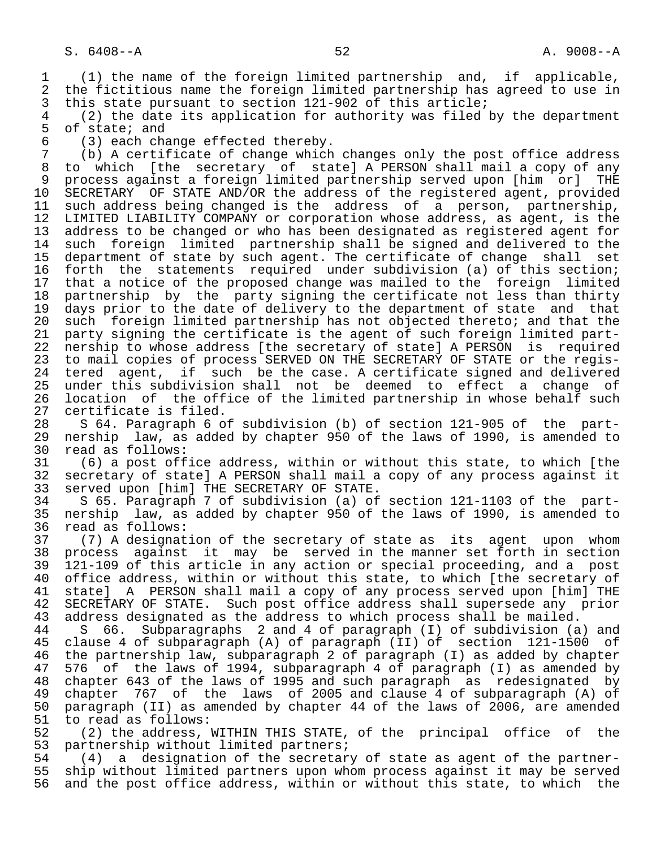1 (1) the name of the foreign limited partnership and, if applicable, 2 the fictitious name the foreign limited partnership has agreed to use in<br>3 this state pursuant to section 121-902 of this article;

3 this state pursuant to section 121-902 of this article;<br>4 (2) the date its application for authority was filed 4 (2) the date its application for authority was filed by the department 5 of state; and<br>6 (3) each cha

6 (3) each change effected thereby.

 7 (b) A certificate of change which changes only the post office address to which [the secretary of state] A PERSON shall mail a copy of any 9 process against a foreign limited partnership served upon [him or] THE<br>10 SECRETARY OF STATE AND/OR the address of the registered agent, provided 10 SECRETARY OF STATE AND/OR the address of the registered agent, provided<br>11 such address being changed is the address of a person, partnership, 11 such address being changed is the address of a person, partnership,<br>12 LIMITED LIABILITY COMPANY or corporation whose address, as agent, is the LIMITED LIABILITY COMPANY or corporation whose address, as agent, is the 13 address to be changed or who has been designated as registered agent for<br>14 such foreign limited partnership shall be signed and delivered to the such foreign limited partnership shall be signed and delivered to the 15 department of state by such agent. The certificate of change shall set<br>16 forth the statements required under subdivision (a) of this section; 16 forth the statements required under subdivision (a) of this section;<br>17 that a notice of the proposed change was mailed to the foreign limited 17 that a notice of the proposed change was mailed to the foreign limited<br>18 partnership by the party signing the certificate not less than thirty 18 partnership by the party signing the certificate not less than thirty<br>19 days prior to the date of delivery to the department of state and that 19 days prior to the date of delivery to the department of state and that<br>20 such foreign limited partnership has not objected thereto; and that the 20 such foreign limited partnership has not objected thereto; and that the<br>21 party signing the certificate is the agent of such foreign limited part-21 party signing the certificate is the agent of such foreign limited part-<br>22 nership to whose address [the secretary of state] A PERSON is required 22 nership to whose address [the secretary of state] A PERSON is required<br>23 to mail copies of process SERVED ON THE SECRETARY OF STATE or the registo mail copies of process SERVED ON THE SECRETARY OF STATE or the regis-24 tered agent, if such be the case. A certificate signed and delivered<br>25 under this subdivision shall not be deemed to effect a change of under this subdivision shall not be deemed to effect a change of 26 location of the office of the limited partnership in whose behalf such<br>27 certificate is filed.

27 certificate is filed.<br>28 S 64. Paragraph 6 o 28 S 64. Paragraph 6 of subdivision (b) of section 121-905 of the part-<br>29 nership law, as added by chapter 950 of the laws of 1990, is amended to 29 nership law, as added by chapter 950 of the laws of 1990, is amended to 30 read as follows:<br>31 (6) a post off

 31 (6) a post office address, within or without this state, to which [the 32 secretary of state] A PERSON shall mail a copy of any process against it<br>33 served upon [him] THE SECRETARY OF STATE. 33 served upon [him] THE SECRETARY OF STATE.<br>34 S 65. Paragraph 7 of subdivision (a) of

 34 S 65. Paragraph 7 of subdivision (a) of section 121-1103 of the part- 35 nership law, as added by chapter 950 of the laws of 1990, is amended to read as follows:

 37 (7) A designation of the secretary of state as its agent upon whom 38 process against it may be served in the manner set forth in section<br>39 121-109 of this article in any action or special proceeding, and a post 39 121-109 of this article in any action or special proceeding, and a post 40 office address, within or without this state, to which [the secretary of<br>41 state] A PERSON shall mail a copy of any process served upon [him] THE 41 state] A PERSON shall mail a copy of any process served upon [him] THE<br>42 SECRETARY OF STATE. Such post office address shall supersede any prior 42 SECRETARY OF STATE. Such post office address shall supersede any prior<br>43 address designated as the address to which process shall be mailed.

43 address designated as the address to which process shall be mailed.<br>44 S 66. Subparagraphs 2 and 4 of paragraph (I) of subdivision (a 44 S 66. Subparagraphs 2 and 4 of paragraph (I) of subdivision (a) and<br>45 clause 4 of subparagraph (A) of paragraph (II) of section 121-1500 of clause 4 of subparagraph (A) of paragraph (II) of section 121-1500 of 46 the partnership law, subparagraph 2 of paragraph (I) as added by chapter<br>47 576 of the laws of 1994, subparagraph 4 of paragraph (I) as amended by 576 of the laws of 1994, subparagraph 4 of paragraph (I) as amended by 48 chapter 643 of the laws of 1995 and such paragraph as redesignated by<br>49 chapter 767 of the laws of 2005 and clause 4 of subparagraph (A) of 49 chapter 767 of the laws of 2005 and clause 4 of subparagraph (A) of 40 state 100 and the 100 state and 41 of the laws of 2006, are amended 50 paragraph (II) as amended by chapter 44 of the laws of 2006, are amended 51 to read as follows:

51 to read as follows:<br>52 (2) the address, 1 (2) the address, WITHIN THIS STATE, of the principal office of the 53 partnership without limited partners;<br>54 (4) a designation of the secretar

54 (4) a designation of the secretary of state as agent of the partner-<br>55 ship without limited partners upon whom process against it may be served 55 ship without limited partners upon whom process against it may be served<br>56 and the post office address, within or without this state, to which the and the post office address, within or without this state, to which the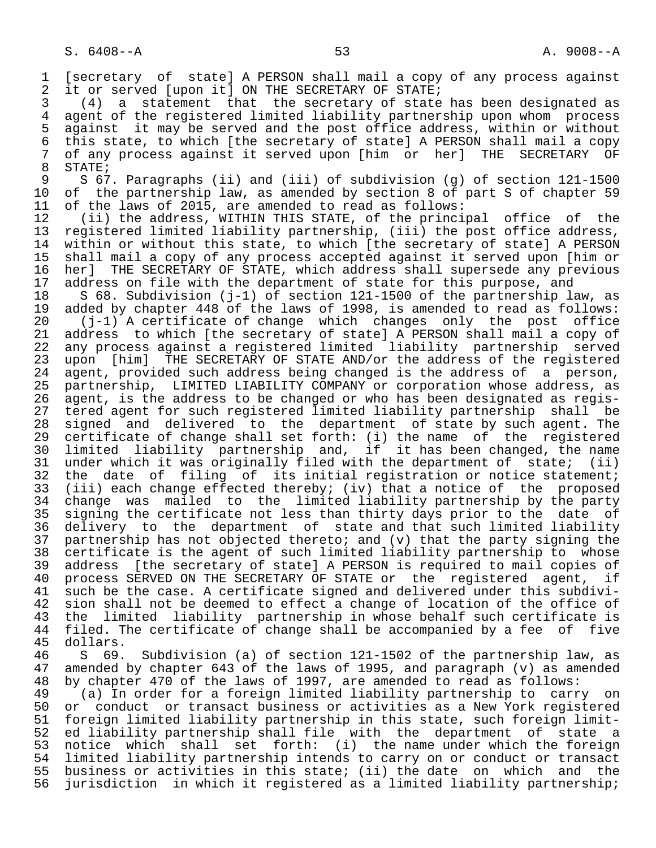1 [secretary of state] A PERSON shall mail a copy of any process against<br>2 it or served [upon it] ON THE SECRETARY OF STATE; 2 it or served [upon it] ON THE SECRETARY OF STATE;<br>3 (4) a statement that the secretary of state

 3 (4) a statement that the secretary of state has been designated as 4 agent of the registered limited liability partnership upon whom process<br>5 against it may be served and the post office address, within or without 5 against it may be served and the post office address, within or without<br>6 this state, to which [the secretary of state] A PERSON shall mail a copy 6 this state, to which [the secretary of state] A PERSON shall mail a copy<br>7 of any process against it served upon [him or her] THE SECRETARY OF 7 of any process against it served upon [him or her] THE SECRETARY OF

8 STATE;<br>9 S 67 9 S 67. Paragraphs (ii) and (iii) of subdivision (g) of section 121-1500<br>10 of the partnership law, as amended by section 8 of part S of chapter 59 10 of the partnership law, as amended by section 8 of part S of chapter 59<br>11 of the laws of 2015, are amended to read as follows: 11 of the laws of 2015, are amended to read as follows:<br>12 (ii) the address, WITHIN THIS STATE, of the princi

12 (ii) the address, WITHIN THIS STATE, of the principal office of the<br>13 registered limited liability partnership, (iii) the post office address, 13 registered limited liability partnership, (iii) the post office address,<br>14 within or without this state, to which [the secretary of state] A PERSON within or without this state, to which [the secretary of state] A PERSON 15 shall mail a copy of any process accepted against it served upon [him or 16 her] THE SECRETARY OF STATE, which address shall supersede any previous<br>17 address on file with the department of state for this purpose, and 17 address on file with the department of state for this purpose, and<br>18 S 68. Subdivision (j-1) of section 121-1500 of the partnership la

18 S 68. Subdivision (j-1) of section 121-1500 of the partnership law, as<br>19 added by chapter 448 of the laws of 1998, is amended to read as follows: 19 added by chapter 448 of the laws of 1998, is amended to read as follows:<br>20 (j-1) A certificate of change which changes only the post office

 20 (j-1) A certificate of change which changes only the post office 21 address to which [the secretary of state] A PERSON shall mail a copy of<br>22 any process against a registered limited liability partnership served 22 any process against a registered limited liability partnership served<br>23 upon [him] THE SECRETARY OF STATE AND/or the address of the registered 23 upon [him] THE SECRETARY OF STATE AND/or the address of the registered<br>24 agent, provided such address being changed is the address of a person, 24 agent, provided such address being changed is the address of a person,<br>25 partnership, LIMITED LIABILITY COMPANY or corporation whose address, as 25 partnership, LIMITED LIABILITY COMPANY or corporation whose address, as 26 agent, is the address to be changed or who has been designated as regis- 27 tered agent for such registered limited liability partnership shall be<br>28 signed and delivered to the department of state by such agent. The 28 signed and delivered to the department of state by such agent. The<br>29 certificate of change shall set forth: (i) the name of the registered 29 certificate of change shall set forth: (i) the name of the registered<br>30 limited liability partnership and, if it has been changed, the name 30 limited liability partnership and, if it has been changed, the name<br>31 under which it was originally filed with the department of state; (ii) 31 under which it was originally filed with the department of state; (ii)<br>32 the date of filing of its initial registration or notice statement; 32 the date of filing of its initial registration or notice statement;<br>33 (iii) each change effected thereby; (iv) that a notice of the proposed 33 (iii) each change effected thereby; (iv) that a notice of the proposed<br>34 change was mailed to the limited liability partnership by the party 34 change was mailed to the limited liability partnership by the party<br>35 signing the certificate not less than thirty days prior to the date of 35 signing the certificate not less than thirty days prior to the date of<br>36 delivery to the department of state and that such limited liability delivery to the department of state and that such limited liability 37 partnership has not objected thereto; and (v) that the party signing the<br>38 certificate is the agent of such limited liability partnership to whose 38 certificate is the agent of such limited liability partnership to whose<br>39 address (the secretary of state) A PERSON is required to mail copies of 39 address [the secretary of state] A PERSON is required to mail copies of<br>40 process SERVED ON THE SECRETARY OF STATE or the registered agent, if 40 process SERVED ON THE SECRETARY OF STATE or the registered agent,<br>41 such be the case. A certificate signed and delivered under this subdi-41 such be the case. A certificate signed and delivered under this subdivi-<br>42 sion shall not be deemed to effect a change of location of the office of 42 sion shall not be deemed to effect a change of location of the office of<br>43 the limited liability partnership in whose behalf such certificate is 43 the limited liability partnership in whose behalf such certificate is<br>44 filed. The certificate of change shall be accompanied by a fee of five 44 filed. The certificate of change shall be accompanied by a fee of five<br>45 dollars.

45 dollars.<br>46 S 69. 46 S 69. Subdivision (a) of section 121-1502 of the partnership law, as amended by chapter 643 of the laws of 1995, and paragraph (v) as amended 48 by chapter 470 of the laws of 1997, are amended to read as follows:

49 (a) In order for a foreign limited liability partnership to carry on<br>50 or conduct or transact business or activities as a New York registered 50 or conduct or transact business or activities as a New York registered<br>51 foreign limited liability partnership in this state, such foreign limit-51 foreign limited liability partnership in this state, such foreign limit-<br>52 ed liability partnership shall file with the department of state a 52 ed liability partnership shall file with the department of state a<br>53 notice which shall set forth: (i) the name under which the foreign 53 notice which shall set forth: (i) the name under which the foreign<br>54 limited liability partnership intends to carry on or conduct or transact 54 limited liability partnership intends to carry on or conduct or transact<br>55 business or activities in this state; (ii) the date on which and the 55 business or activities in this state; (ii) the date on which and the<br>56 jurisdiction in which it registered as a limited liability partnership; jurisdiction in which it registered as a limited liability partnership;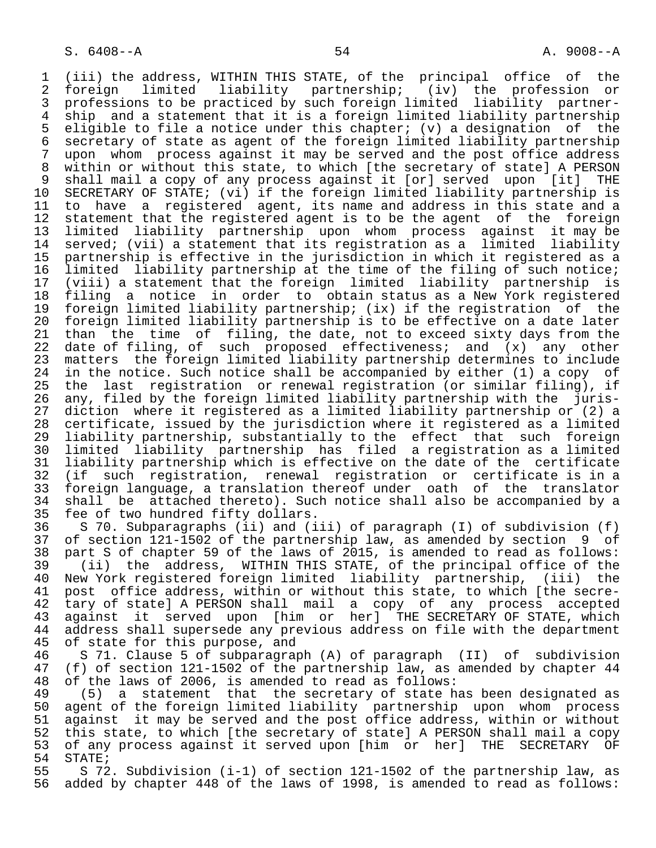1 (iii) the address, WITHIN THIS STATE, of the principal office of the 2 foreign limited liability partnership;<br>3 professions to be practiced by such foreign l 3 professions to be practiced by such foreign limited liability partner-<br>4 ship and a statement that it is a foreign limited liability partnership 4 ship and a statement that it is a foreign limited liability partnership<br>5 eligible to file a notice under this chapter; (v) a designation of the 5 eligible to file a notice under this chapter; (v) a designation of the 6 secretary of state as agent of the foreign limited liability partnership<br>7 upon whom process against it may be served and the post office address 7 upon whom process against it may be served and the post office address 8 within or without this state, to which [the secretary of state] A PERSON 9 shall mail a copy of any process against it [or] served upon [it] THE 10 SECRETARY OF STATE; (vi) if the foreign limited liability partnership is<br>11 to have a registered agent, its name and address in this state and a 11 to have a registered agent, its name and address in this state and a<br>12 statement that the registered agent is to be the agent of the foreign 12 statement that the registered agent is to be the agent of the foreign<br>13 limited liability partnership upon whom process against it may be 13 limited liability partnership upon whom process against it may be 14 served; (vii) a statement that its registration as a limited liability 15 partnership is effective in the jurisdiction in which it registered as a<br>16 limited liability partnership at the time of the filing of such notice; 16 limited liability partnership at the time of the filing of such notice; 17 (viii) a statement that the foreign limited liability partnership is 18 filing a notice in order to obtain status as a New York registered<br>19 foreign limited liability partnership; (ix) if the registration of the 19 foreign limited liability partnership; (ix) if the registration of the<br>20 foreign limited liability partnership is to be effective on a date later 20 foreign limited liability partnership is to be effective on a date later<br>21 than the time of filing, the date, not to exceed sixty days from the 21 than the time of filing, the date, not to exceed sixty days from the<br>22 date of filing, of such proposed effectiveness; and (x) any other 22 date of filing, of such proposed effectiveness; and (x) any other<br>23 matters the foreign limited liability partnership determines to include 23 matters the foreign limited liability partnership determines to include<br>24 in the notice. Such notice shall be accompanied by either (1) a copy of 24 in the notice. Such notice shall be accompanied by either (1) a copy of<br>25 the last registration or renewal registration (or similar filing), if the last registration or renewal registration (or similar filing), if 26 any, filed by the foreign limited liability partnership with the juris-<br>27 diction where it registered as a limited liability partnership or (2) a 27 diction where it registered as a limited liability partnership or (2) a<br>28 certificate, issued by the jurisdiction where it registered as a limited 28 certificate, issued by the jurisdiction where it registered as a limited<br>29 liability partnership, substantially to the effect that such foreign 29 liability partnership, substantially to the effect that such foreign<br>30 limited liability partnership has filed a registration as a limited 30 limited liability partnership has filed a registration as a limited 31 liability partnership which is effective on the date of the certificate<br>32 (if such registration, renewal registration or certificate is in a 32 (if such registration, renewal registration or certificate is in a 33 foreign language, a translation thereof under oath of the translator<br>34 shall be attached thereto). Such notice shall also be accompanied by a 34 shall be attached thereto). Such notice shall also be accompanied by a<br>35 fee of two hundred fifty dollars. 35 fee of two hundred fifty dollars.<br>36 S 70. Subparagraphs (ii) and (i

 36 S 70. Subparagraphs (ii) and (iii) of paragraph (I) of subdivision (f) 37 of section 121-1502 of the partnership law, as amended by section 9 of 38 part S of chapter 59 of the laws of 2015, is amended to read as follows: 39 (ii) the address, WITHIN THIS STATE, of the principal office of the 40 New York registered foreign limited liability partnership, (iii) the<br>41 post office address, within or without this state, to which [the secre-41 post office address, within or without this state, to which [the secre-<br>42 tary of state] A PERSON shall mail a copy of any process accepted 42 tary of state] A PERSON shall mail a copy of any process accepted 43 against it served upon [him or her] THE SECRETARY OF STATE, which 44 address shall supersede any previous address on file with the department<br>45 of state for this purpose, and of state for this purpose, and

 46 S 71. Clause 5 of subparagraph (A) of paragraph (II) of subdivision 47 (f) of section 121-1502 of the partnership law, as amended by chapter 44<br>48 of the laws of 2006, is amended to read as follows: 48 of the laws of 2006, is amended to read as follows:

 49 (5) a statement that the secretary of state has been designated as 50 agent of the foreign limited liability partnership upon whom process 51 against it may be served and the post office address, within or without<br>52 this state, to which [the secretary of state] A PERSON shall mail a copy 52 this state, to which [the secretary of state] A PERSON shall mail a copy<br>53 of any process against it served upon [him or her] THE SECRETARY OF 53 of any process against it served upon [him or her] THE SECRETARY OF<br>54 STATE; 54 STATE;<br>55 S 72

55 S 572. Subdivision (i-1) of section 121-1502 of the partnership law, as<br>56 added by chapter 448 of the laws of 1998, is amended to read as follows: added by chapter 448 of the laws of 1998, is amended to read as follows: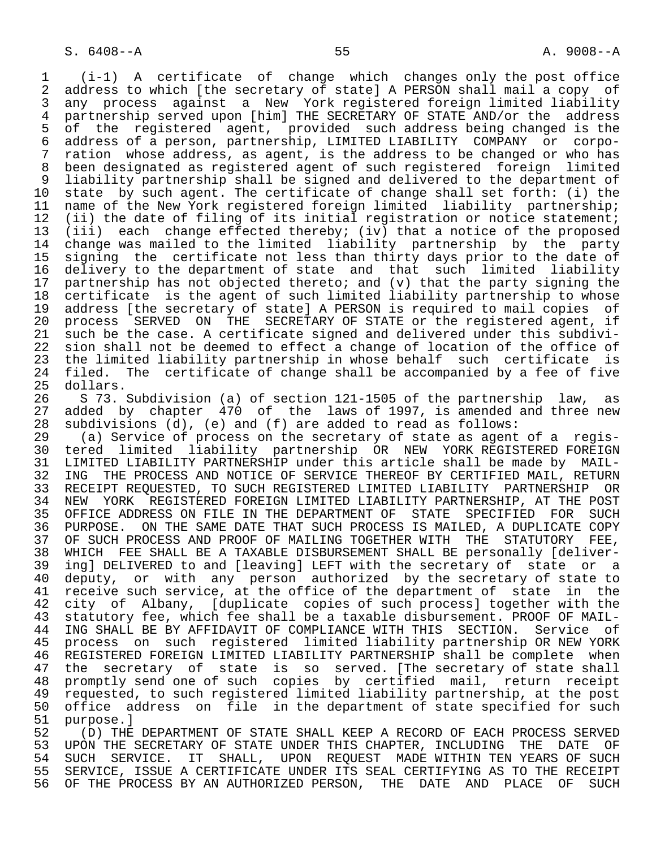1 (i-1) A certificate of change which changes only the post office 2 address to which [the secretary of state] A PERSON shall mail a copy of<br>3 any process against a New York registered foreign limited liability 3 any process against a New York registered foreign limited liability 4 partnership served upon [him] THE SECRETARY OF STATE AND/or the address<br>5 of the registered agent, provided such address being changed is the 5 of the registered agent, provided such address being changed is the<br>6 address of a person, partnership, LIMITED LIABILITY COMPANY or corpo- 6 address of a person, partnership, LIMITED LIABILITY COMPANY or corpo ration whose address, as agent, is the address to be changed or who has 8 been designated as registered agent of such registered foreign limited 9 liability partnership shall be signed and delivered to the department of<br>10 state by such agent. The certificate of change shall set forth: (i) the 10 state by such agent. The certificate of change shall set forth: (i) the<br>11 name of the New York registered foreign limited liability partnership; 11 name of the New York registered foreign limited liability partnership;<br>12 (ii) the date of filing of its initial registration or notice statement; 12 (ii) the date of filing of its initial registration or notice statement;<br>13 (iii) each change effected thereby; (iy) that a notice of the proposed 13 (iii) each change effected thereby; (iv) that a notice of the proposed change was mailed to the limited liability partnership by the party 15 signing the certificate not less than thirty days prior to the date of<br>16 delivery to the department of state and that such limited liability 16 delivery to the department of state and that such limited liability<br>17 partnership has not objected thereto; and (y) that the party signing the 17 partnership has not objected thereto; and (v) that the party signing the<br>18 certificate is the agent of such limited liability partnership to whose 18 certificate is the agent of such limited liability partnership to whose<br>19 address [the secretary of state] A PERSON is required to mail copies of 19 address [the secretary of state] A PERSON is required to mail copies of<br>20 process SERVED ON THE SECRETARY OF STATE or the registered agent, if 20 process SERVED ON THE SECRETARY OF STATE or the registered agent, if<br>21 such be the case. A certificate signed and delivered under this subdivi-21 such be the case. A certificate signed and delivered under this subdivi-<br>22 sion shall not be deemed to effect a change of location of the office of 22 sion shall not be deemed to effect a change of location of the office of<br>23 the limited liability partnership in whose behalf such certificate is 23 the limited liability partnership in whose behalf such certificate is<br>24 filed. The certificate of change shall be accompanied by a fee of five 24 filed. The certificate of change shall be accompanied by a fee of five<br>25 dollars. dollars.

26 S 73. Subdivision (a) of section 121-1505 of the partnership law, as<br>27 added by chapter 470 of the laws of 1997, is amended and three new 27 added by chapter 470 of the laws of 1997, is amended and three new<br>28 subdivisions (d), (e) and (f) are added to read as follows: 28 subdivisions  $(d)$ ,  $(e)$  and  $(f)$  are added to read as follows:<br>29 (a) Service of process on the secretary of state as agent

 29 (a) Service of process on the secretary of state as agent of a regis- 30 tered limited liability partnership OR NEW YORK\_REGISTERED\_FOREIGN<br>31 LIMITED\_LIABILITY\_PARTNERSHIP\_under\_this\_article\_shall\_be\_made\_by\_\_MAIL-31 LIMITED LIABILITY PARTNERSHIP under this article shall be made by MAIL-<br>32 ING THE PROCESS AND NOTICE OF SERVICE THEREOF BY CERTIFIED MAIL, RETURN 32 ING THE PROCESS AND NOTICE OF SERVICE THEREOF BY CERTIFIED MAIL, RETURN<br>33 RECEIPT REOUESTED, TO SUCH REGISTERED LIMITED LIABILITY PARTNERSHIP OR 33 RECEIPT REQUESTED, TO SUCH REGISTERED LIMITED LIABILITY PARTNERSHIP OR<br>34 NEW YORK REGISTERED FOREIGN LIMITED LIABILITY PARTNERSHIP, AT THE POST 34 NEW YORK REGISTERED FOREIGN LIMITED LIABILITY PARTNERSHIP, AT THE POST<br>35 OFFICE ADDRESS ON FILE IN THE DEPARTMENT OF STATE SPECIFIED FOR SUCH 35 OFFICE ADDRESS ON FILE IN THE DEPARTMENT OF STATE SPECIFIED FOR SUCH<br>36 PURPOSE. ON THE SAME DATE THAT SUCH PROCESS IS MAILED, A DUPLICATE COPY PURPOSE. ON THE SAME DATE THAT SUCH PROCESS IS MAILED, A DUPLICATE COPY 37 OF SUCH PROCESS AND PROOF OF MAILING TOGETHER WITH THE STATUTORY FEE,<br>38 WHICH FEE SHALL BE A TAXABLE DISBURSEMENT SHALL BE personally [deliver- 38 WHICH FEE SHALL BE A TAXABLE DISBURSEMENT SHALL BE personally [deliver- 39 ing] DELIVERED to and [leaving] LEFT with the secretary of state or a<br>40 deputy, or with any person authorized by the secretary of state to 40 deputy, or with any person authorized by the secretary of state to<br>41 receive such service, at the office of the department of state in the 41 receive such service, at the office of the department of state in the<br>42 city of Albany. Iduplicate copies of such processl together with the 42 city of Albany, [duplicate copies of such process] together with the 43 statutory fee, which fee shall be a taxable disbursement. PROOF OF MAIL- 44 ING SHALL BE BY AFFIDAVIT OF COMPLIANCE WITH THIS SECTION. Service of<br>45 process on such registered limited liability partnership OR NEW YORK 45 process on such registered limited liability partnership OR NEW YORK 46 REGISTERED FOREIGN LIMITED LIABILITY PARTNERSHIP shall be complete when<br>47 the secretary of state is so served. The secretary of state shall the secretary of state is so served. [The secretary of state shall 48 promptly send one of such copies by certified mail, return receipt<br>49 requested, to such registered limited liability partnership, at the post 40 promptry send one or such topics to the contract of the post<br>49 requested, to such registered limited liability partnership, at the post<br>50 office address on file in the department of state specified for such 50 office address on file in the department of state specified for such<br>51 purpose.] 51 purpose.]<br>52 (D) THE

52 (D) THE DEPARTMENT OF STATE SHALL KEEP A RECORD OF EACH PROCESS SERVED<br>53 UPON THE SECRETARY OF STATE UNDER THIS CHAPTER, INCLUDING THE DATE OF 53 UPON THE SECRETARY OF STATE UNDER THIS CHAPTER, INCLUDING THE DATE OF<br>54 SUCH SERVICE. IT SHALL, UPON REOUEST MADE WITHIN TEN YEARS OF SUCH 54 SUCH SERVICE. IT SHALL, UPON REQUEST MADE WITHIN TEN YEARS OF SUCH<br>55 SERVICE, ISSUE A CERTIFICATE UNDER ITS SEAL CERTIFYING AS TO THE RECEIPT 55 SERVICE, ISSUE A CERTIFICATE UNDER ITS SEAL CERTIFYING AS TO THE RECEIPT<br>56 OF THE PROCESS BY AN AUTHORIZED PERSON, THE DATE AND PLACE OF SUCH OF THE PROCESS BY AN AUTHORIZED PERSON, THE DATE AND PLACE OF SUCH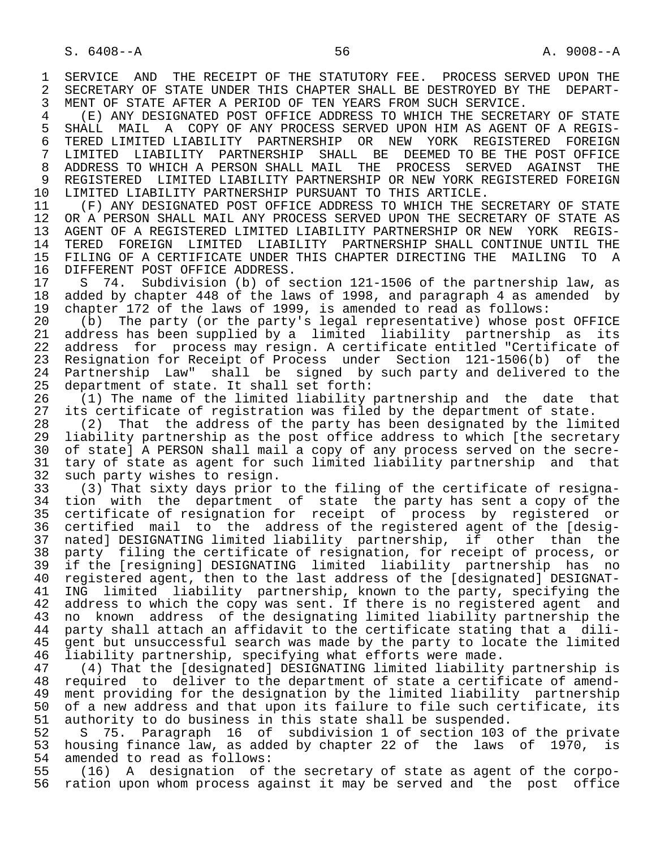1 SERVICE AND THE RECEIPT OF THE STATUTORY FEE. PROCESS SERVED UPON THE 2 SECRETARY OF STATE UNDER THIS CHAPTER SHALL BE DESTROYED BY THE DEPART-2 SECRETARY OF STATE UNDER THIS CHAPTER SHALL BE DESTROYED BY THE DEPART-<br>3 MENT OF STATE AFTER A PERIOD OF TEN YEARS FROM SUCH SERVICE. MENT OF STATE AFTER A PERIOD OF TEN YEARS FROM SUCH SERVICE.

 4 (E) ANY DESIGNATED POST OFFICE ADDRESS TO WHICH THE SECRETARY OF STATE 5 SHALL MAIL A COPY OF ANY PROCESS SERVED UPON HIM AS AGENT OF A REGIS-<br>6 TERED LIMITED LIABILITY PARTNERSHIP OR NEW YORK REGISTERED FOREIGN 6 TERED LIMITED LIABILITY PARTNERSHIP OR NEW YORK REGISTERED FOREIGN<br>7 LIMITED LIABILITY PARTNERSHIP SHALL BE DEEMED-TO-BE-THE-POST-OFFICE 7 LIMITED LIABILITY PARTNERSHIP SHALL BE DEEMED—TO—BE THE POST OFFICE 7 (1999) 7 AGAINST THE 8 ADDRESS TO WHICH A PERSON SHALL MAIL THE PROCESS SERVED AGAINST THE 8 ADDRESS TO WHICH A PERSON SHALL MAIL THE PROCESS SERVED AGAINST THE 9 REGISTERED LIMITED LIABILITY PARTNERSHIP OR NEW YORK REGISTERED FOREIGN<br>10 LIMITED LIABILITY PARTNERSHIP PURSUANT TO THIS ARTICLE. 10 LIMITED LIABILITY PARTNERSHIP PURSUANT TO THIS ARTICLE.<br>11 (F) ANY DESIGNATED POST OFFICE ADDRESS TO WHICH THE S

11 (F) ANY DESIGNATED POST OFFICE ADDRESS TO WHICH THE SECRETARY OF STATE<br>12 OR A PERSON SHALL MAIL ANY PROCESS SERVED UPON THE SECRETARY OF STATE AS 12 OR A PERSON SHALL MAIL ANY PROCESS SERVED UPON THE SECRETARY OF STATE AS<br>13 AGENT OF A REGISTERED LIMITED LIABILITY PARTNERSHIP OR NEW YORK REGIS- 13 AGENT OF A REGISTERED LIMITED LIABILITY PARTNERSHIP OR NEW YORK REGIS- 14 TERED FOREIGN LIMITED LIABILITY PARTNERSHIP SHALL CONTINUE UNTIL THE 15 FILING OF A CERTIFICATE UNDER THIS CHAPTER DIRECTING THE MAILING TO A<br>16 DIFFERENT POST OFFICE ADDRESS. 16 DIFFERENT POST OFFICE ADDRESS.<br>17 S. 74. Subdivision (b) of s.

17 S 74. Subdivision (b) of section 121-1506 of the partnership law, as<br>18 added by chapter 448 of the laws of 1998, and paragraph 4 as amended by 18 added by chapter 448 of the laws of 1998, and paragraph 4 as amended by<br>19 chapter 172 of the laws of 1999, is amended to read as follows: 19 chapter 172 of the laws of 1999, is amended to read as follows:<br>20 (b) The party (or the party's legal representative) whose po

20 (b) The party (or the party's legal representative) whose post OFFICE<br>21 address has been supplied by a limited liability partnership as its 21 address has been supplied by a limited liability partnership as its<br>22 address for process may resign. A certificate entitled "Certificate of 22 address for process may resign. A certificate entitled "Certificate of<br>23 Resignation for Receipt of Process under Section 121-1506(b) of the 23 Resignation for Receipt of Process under Section 121-1506(b) of the<br>24 Partnership Law" shall be signed by such party and delivered to the 24 Partnership Law" shall be signed by such party and delivered to the<br>25 department of state. It shall set forth: department of state. It shall set forth:

26 (1) The name of the limited liability partnership and the date that<br>27 its certificate of registration was filed by the department of state. 27 its certificate of registration was filed by the department of state.<br>28 (2) That the address of the party has been designated by the limi

28 (2) That the address of the party has been designated by the limited<br>29 liability partnership as the post office address to which [the secretary 29 liability partnership as the post office address to which [the secretary<br>20 of statel A PERSON shall mail a copy of any process served on the secre-30 of state] A PERSON shall mail a copy of any process served on the secre-<br>31 tary of state as agent for such limited liability partnership and that 31 tary of state as agent for such limited liability partnership and that<br>32 such party wishes to resign. 32 such party wishes to resign.<br>33 (3) That sixty days prior

 33 (3) That sixty days prior to the filing of the certificate of resigna- 34 tion with the department of state the party has sent a copy of the 35 certificate of resignation for receipt of process by registered or 36 certified mail to the address of the registered agent of the [desig- 37 nated] DESIGNATING limited liability partnership, if other than the<br>38 party filing the certificate of resignation, for receipt of process, or 38 party filing the certificate of resignation, for receipt of process, or<br>39 if the [resigning] DESIGNATING limited liability partnership has no 39 if the [resigning] DESIGNATING limited liability partnership has no<br>40 registered agent, then to the last address of the [designated] DESIGNAT-40 registered agent, then to the last address of the [designated] DESIGNAT-<br>41 ING limited liability partnership, known to the party, specifying the 41 ING limited liability partnership, known to the party, specifying the<br>42 address to which the copy was sent. If there is no registered agent and 42 address to which the copy was sent. If there is no registered agent and<br>43 no known address of the designating limited liability partnership the 43 no known address of the designating limited liability partnership the<br>44 party shall attach an affidavit to the certificate stating that a dili-44 party shall attach an affidavit to the certificate stating that a dili-<br>45 gent but unsuccessful search was made by the party to locate the limited gent but unsuccessful search was made by the party to locate the limited 46 liability partnership, specifying what efforts were made.<br>47 (4) That the [designated] DESIGNATING limited liability

 47 (4) That the [designated] DESIGNATING limited liability partnership is 48 required to deliver to the department of state a certificate of amend- 49 ment providing for the designation by the limited liability partnership<br>50 of a new address and that upon its failure to file such certificate, its 50 of a new address and that upon its failure to file such certificate, its<br>51 authority to do business in this state shall be suspended. 51 authority to do business in this state shall be suspended.<br>52 5 55. Paragraph 16 of subdivision 1 of section 103

52 S 75. Paragraph 16 of subdivision 1 of section 103 of the private<br>53 housing finance law, as added by chapter 22 of the laws of 1970, is 53 housing finance law, as added by chapter 22 of the laws of  $1970$ , is<br>54 amended to read as follows: 54 amended to read as follows:<br>55 (16) A designation of

 55 (16) A designation of the secretary of state as agent of the corpo ration upon whom process against it may be served and the post office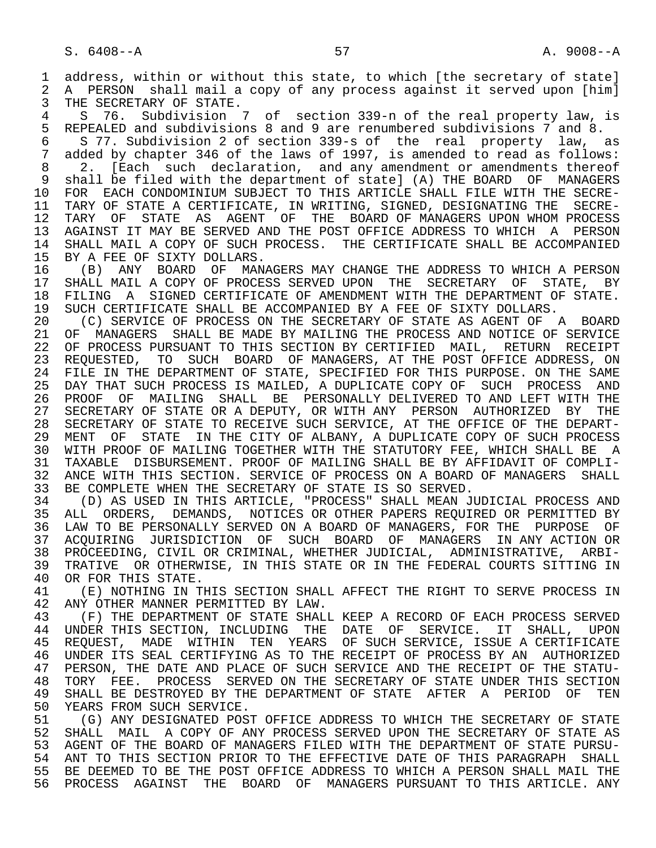1 address, within or without this state, to which [the secretary of state]<br>2 A PERSON shall mail a copy of any process against it served upon [him] 2 A PERSON shall mail a copy of any process against it served upon [him]<br>3 THE SECRETARY OF STATE. 3 THE SECRETARY OF STATE.<br>4 S. 76. Subdivision

4 S 76. Subdivision 7 of section 339-n of the real property law, is<br>5 REPEALED and subdivisions 8 and 9 are renumbered subdivisions 7 and 8. 5 REPEALED and subdivisions 8 and 9 are renumbered subdivisions 7 and 8.<br>6 5 77. Subdivision 2 of section 339-s of the real property law.

of the many discussives of the section 339-s of the real property law, as<br>7 added by chapter 346 of the laws of 1997, is amended to read as follows: 7 added by chapter 346 of the laws of 1997, is amended to read as follows:<br>8 2. [Each such declaration, and any amendment or amendments thereof

8 2. [Each such declaration, and any amendment or amendments thereof<br>9 shall be filed with the department of statel (A) THE BOARD OF MANAGERS 9 shall be filed with the department of state] (A) THE BOARD OF MANAGERS<br>10 FOR EACH CONDOMINIUM SUBJECT TO THIS ARTICLE SHALL FILE WITH THE SECRE-10 FOR EACH CONDOMINIUM SUBJECT TO THIS ARTICLE SHALL FILE WITH THE SECRE-<br>11 TARY OF STATE A CERTIFICATE, IN WRITING, SIGNED, DESIGNATING THE SECRE-11 TARY OF STATE A CERTIFICATE, IN WRITING, SIGNED, DESIGNATING THE SECRE-<br>12 TARY OF STATE AS AGENT OF THE BOARD OF MANAGERS UPON WHOM PROCESS 12 TARY OF STATE AS AGENT OF THE BOARD OF MANAGERS UPON WHOM PROCESS<br>13 AGAINST IT MAY BE SERVED AND THE POST OFFICE ADDRESS TO WHICH A PERSON 13 AGAINST IT MAY BE SERVED AND THE POST OFFICE ADDRESS TO WHICH A PERSON<br>14 SHALL MAIL A COPY OF SUCH PROCESS. THE CERTIFICATE SHALL BE ACCOMPANIED 14 SHALL MAIL A COPY OF SUCH PROCESS. THE CERTIFICATE SHALL BE ACCOMPANIED<br>15 BY A FEE OF SIXTY DOLLARS.

15 BY A FEE OF SIXTY DOLLARS.<br>16 (B) ANY BOARD OF MAN. 16 (B) ANY BOARD OF MANAGERS MAY CHANGE THE ADDRESS TO WHICH A PERSON<br>17 SHALL MAIL A COPY OF PROCESS SERVED UPON THE SECRETARY OF STATE . BY 17 SHALL MAIL A COPY OF PROCESS SERVED UPON THE SECRETARY OF STATE, BY<br>18 FILING A SIGNED CERTIFICATE OF AMENDMENT WITH THE DEPARTMENT OF STATE. 18 FILING A SIGNED CERTIFICATE OF AMENDMENT WITH THE DEPARTMENT OF STATE.<br>19 SUCH CERTIFICATE SHALL BE ACCOMPANIED BY A FEE OF SIXTY DOLLARS. 19 SUCH CERTIFICATE SHALL BE ACCOMPANIED BY A FEE OF SIXTY DOLLARS.<br>20 (C) SERVICE OF PROCESS ON THE SECRETARY OF STATE AS AGENT OF

20 (C) SERVICE OF PROCESS ON THE SECRETARY OF STATE AS AGENT OF A BOARD<br>21 OF MANAGERS SHALL BE MADE BY MAILING THE PROCESS AND NOTICE OF SERVICE 21 OF MANAGERS SHALL BE MADE BY MAILING THE PROCESS AND NOTICE OF SERVICE<br>22 OF PROCESS PURSUANT TO THIS SECTION BY CERTIFIED MAIL, RETURN RECEIPT 22 OF PROCESS PURSUANT TO THIS SECTION BY CERTIFIED MAIL, RETURN RECEIPT<br>23 REOUESTED, TO SUCH BOARD OF MANAGERS, AT THE POST OFFICE ADDRESS, ON 23 REQUESTED, TO SUCH BOARD OF MANAGERS, AT THE POST OFFICE ADDRESS, ON 24 FILE IN THE DEPARTMENT OF STATE, SPECIFIED FOR THIS PURPOSE. ON THE SAME<br>25 DAY THAT SUCH PROCESS IS MAILED, A DUPLICATE COPY OF SUCH PROCESS AND 25 DAY THAT SUCH PROCESS IS MAILED, A DUPLICATE COPY OF SUCH PROCESS AND 26 PROOF OF MAILING SHALL BE PERSONALLY DELIVERED TO AND LEFT WITH THE<br>27 SECRETARY OF STATE OR A DEPUTY,OR WITH ANY PERSON AUTHORIZED BY THE 27 SECRETARY OF STATE OR A DEPUTY, OR WITH ANY PERSON AUTHORIZED BY THE 28 SECRETARY OF STATE TO RECEIVE SUCH SERVICE, AT THE OFFICE OF THE DEPART- 28 SECRETARY OF STATE TO RECEIVE SUCH SERVICE, AT THE OFFICE OF THE DEPART- 29 MENT OF STATE IN THE CITY OF ALBANY, A DUPLICATE COPY OF SUCH PROCESS<br>30 WITH PROOF OF MAILING TOGETHER WITH THE STATUTORY FEE, WHICH SHALL BE A 30 WITH PROOF OF MAILING TOGETHER WITH THE STATUTORY FEE, WHICH SHALL BE A<br>31 TAXABLE DISBURSEMENT, PROOF OF MAILING SHALL BE BY AFFIDAVIT OF COMPLI-31 TAXABLE DISBURSEMENT. PROOF OF MAILING SHALL BE BY AFFIDAVIT OF COMPLI-<br>32 ANCE WITH THIS SECTION. SERVICE OF PROCESS ON A BOARD OF MANAGERS SHALL 32 ANCE WITH THIS SECTION. SERVICE OF PROCESS ON A BOARD OF MANAGERS SHALL<br>33 BE COMPLETE WHEN THE SECRETARY OF STATE IS SO SERVED. 33 BE COMPLETE WHEN THE SECRETARY OF STATE IS SO SERVED.<br>34 (D) AS USED IN THIS ARTICLE, "PROCESS" SHALL MEAN J

34 (D) AS USED IN THIS ARTICLE, "PROCESS" SHALL MEAN JUDICIAL PROCESS AND<br>35 ALL ORDERS. DEMANDS. NOTICES OR OTHER PAPERS REOUIRED OR PERMITTED BY 35 ALL ORDERS, DEMANDS, NOTICES OR OTHER PAPERS REQUIRED OR PERMITTED BY<br>36 LAW TO BE PERSONALLY SERVED ON A BOARD OF MANAGERS, FOR THE PURPOSE OF LAW TO BE PERSONALLY SERVED ON A BOARD OF MANAGERS, FOR THE PURPOSE OF 37 ACQUIRING JURISDICTION OF SUCH BOARD OF MANAGERS IN ANY ACTION OR<br>38 PROCEEDING, CIVIL OR CRIMINAL, WHETHER JUDICIAL, ADMINISTRATIVE, ARBI-38 PROCEEDING, CIVIL OR CRIMINAL, WHETHER JUDICIAL, ADMINISTRATIVE, ARBI-<br>39 TRATIVE OR OTHERWISE, IN THIS STATE OR IN THE FEDERAL COURTS SITTING IN 39 TRATIVE OR OTHERWISE, IN THIS STATE OR IN THE FEDERAL COURTS SITTING IN 40 OR FOR THIS STATE. 40 OR FOR THIS STATE.<br>41 (E) NOTHING IN T

41 (E) NOTHING IN THIS SECTION SHALL AFFECT THE RIGHT TO SERVE PROCESS IN 42 ANY OTHER MANNER PERMITTED BY LAW. 42 ANY OTHER MANNER PERMITTED BY LAW.

43 (F) THE DEPARTMENT OF STATE SHALL KEEP A RECORD OF EACH PROCESS SERVED<br>44 UNDER THIS SECTION, INCLUDING THE DATE OF SERVICE. IT SHALL, UPON 44 UNDER THIS SECTION, INCLUDING THE DATE OF SERVICE. IT SHALL, UPON<br>45 REOUEST, MADE WITHIN TEN YEARS OF SUCH SERVICE, ISSUE A CERTIFICATE REQUEST, MADE WITHIN TEN YEARS OF SUCH SERVICE, ISSUE A CERTIFICATE 46 UNDER ITS SEAL CERTIFYING AS TO THE RECEIPT OF PROCESS BY AN AUTHORIZED<br>47 PERSON, THE DATE AND PLACE OF SUCH SERVICE AND THE RECEIPT OF THE STATU-47 PERSON, THE DATE AND PLACE OF SUCH SERVICE AND THE RECEIPT OF THE STATU-<br>48 TORY FEE. PROCESS SERVED ON THE SECRETARY OF STATE UNDER THIS SECTION 48 TORY FEE. PROCESS SERVED ON THE SECRETARY OF STATE UNDER THIS SECTION<br>49 SHALL BE DESTROYED BY THE DEPARTMENT OF STATE AFTER A PERIOD OF TEN 49 SHALL BE DESTROYED BY THE DEPARTMENT OF STATE AFTER A PERIOD OF TEN<br>50 YEARS FROM SUCH SERVICE. 50 YEARS FROM SUCH SERVICE.<br>51 (G) ANY DESIGNATED POS

51 (G) ANY DESIGNATED POST OFFICE ADDRESS TO WHICH THE SECRETARY OF STATE<br>52 SHALL MAIL A COPY OF ANY PROCESS SERVED UPON THE SECRETARY OF STATE AS 52 SHALL MAIL A COPY OF ANY PROCESS SERVED UPON THE SECRETARY OF STATE AS<br>53 AGENT OF THE BOARD OF MANAGERS FILED WITH THE DEPARTMENT OF STATE PURSU-53 AGENT OF THE BOARD OF MANAGERS FILED WITH THE DEPARTMENT OF STATE PURSU-<br>54 ANT TO THIS SECTION PRIOR TO THE EFFECTIVE DATE OF THIS PARAGRAPH SHALL 54 ANT TO THIS SECTION PRIOR TO THE EFFECTIVE DATE OF THIS PARAGRAPH SHALL<br>55 BE DEEMED TO BE THE POST OFFICE ADDRESS TO WHICH A PERSON SHALL MAIL THE 55 BE DEEMED TO BE THE POST OFFICE ADDRESS TO WHICH A PERSON SHALL MAIL THE<br>56 PROCESS AGAINST THE BOARD OF MANAGERS PURSUANT TO THIS ARTICLE. ANY 56 PROCESS AGAINST THE BOARD OF MANAGERS PURSUANT TO THIS ARTICLE. ANY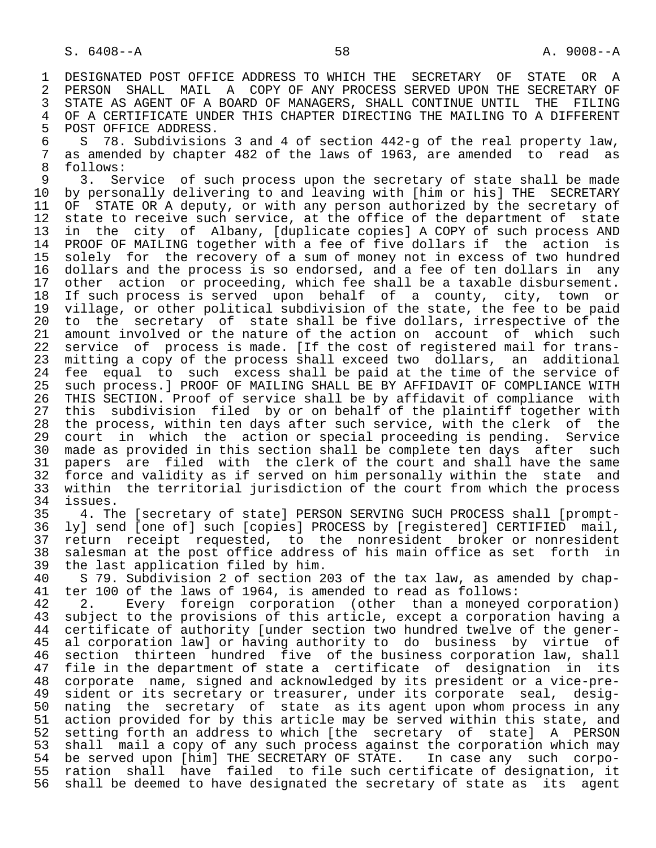1 DESIGNATED POST OFFICE ADDRESS TO WHICH THE SECRETARY OF STATE OR A<br>2 PERSON SHALL MAIL A COPY OF ANY PROCESS SERVED UPON THE SECRETARY OF 2 PERSON SHALL MAIL A COPY OF ANY PROCESS SERVED UPON THE SECRETARY OF<br>3 STATE AS AGENT OF A BOARD OF MANAGERS, SHALL CONTINUE UNTIL THE FILING 3 STATE AS AGENT OF A BOARD OF MANAGERS, SHALL CONTINUE UNTIL THE FILING<br>4 OF A CERTIFICATE UNDER THIS CHAPTER DIRECTING THE MAILING TO A DIFFERENT 4 OF A CERTIFICATE UNDER THIS CHAPTER DIRECTING THE MAILING TO A DIFFERENT<br>5 POST OFFICE ADDRESS.

5 POST OFFICE ADDRESS.<br>6 S 78. Subdivision 6 S 78. Subdivisions 3 and 4 of section 442-g of the real property law,<br>7 as amended by chapter 482 of the laws of 1963, are amended to read as 7 as amended by chapter 482 of the laws of 1963, are amended to read as  $\beta$ 8 follows:<br>9 3. Se

9 3. Service of such process upon the secretary of state shall be made<br>10 by personally delivering to and leaving with [him or his] THE SECRETARY 10 by personally delivering to and leaving with [him or his] THE SECRETARY<br>11 OF STATE OR A deputy, or with any person authorized by the secretary of 11 OF STATE OR A deputy, or with any person authorized by the secretary of<br>12 state to receive such service, at the office of the department of state 12 state to receive such service, at the office of the department of state<br>13 in the city of Albany, [duplicate copies] A COPY of such process AND 13 in the city of Albany, [duplicate copies] A COPY of such process AND<br>14 PROOF OF MAILING together with a fee of five dollars if the action is PROOF OF MAILING together with a fee of five dollars if the action is 15 solely for the recovery of a sum of money not in excess of two hundred<br>16 dollars and the process is so endorsed, and a fee of ten dollars in any 16 dollars and the process is so endorsed, and a fee of ten dollars in any<br>17 other action or proceeding, which fee shall be a taxable disbursement. 17 other action or proceeding, which fee shall be a taxable disbursement.<br>18 If such process is served upon behalf of a county, city, town or 18 If such process is served upon behalf of a county, city, town or<br>19 village, or other political subdivision of the state, the fee to be paid 19 village, or other political subdivision of the state, the fee to be paid<br>20 to the secretary of state shall be five dollars, irrespective of the 20 to the secretary of state shall be five dollars, irrespective of the<br>21 amount involved or the nature of the action on account of which such 21 amount involved or the nature of the action on account of which such<br>22 service of process is made. [If the cost of registered mail for trans-22 service of process is made. [If the cost of registered mail for trans-<br>23 mitting a copy of the process shall exceed two dollars, an additional mitting a copy of the process shall exceed two dollars, an additional 24 fee equal to such excess shall be paid at the time of the service of<br>25 such process. PROOF OF MAILING SHALL BE BY AFFIDAVIT OF COMPLIANCE WITH such process.] PROOF OF MAILING SHALL BE BY AFFIDAVIT OF COMPLIANCE WITH 26 THIS SECTION. Proof of service shall be by affidavit of compliance with<br>27 this subdivision filed by or on behalf of the plaintiff together with 27 this subdivision filed by or on behalf of the plaintiff together with<br>28 the process, within ten days after such service, with the clerk of the 28 the process, within ten days after such service, with the clerk of the<br>29 court in which the action or special proceeding is pending. Service 29 court in which the action or special proceeding is pending. Service<br>30 made as provided in this section shall be complete ten days after such 30 made as provided in this section shall be complete ten days after such<br>31 papers are filed with the clerk of the court and shall have the same 31 papers are filed with the clerk of the court and shall have the same<br>32 force and validity as if served on him personally within the state and 32 force and validity as if served on him personally within the state and<br>33 within the territorial jurisdiction of the court from which the process 33 within the territorial jurisdiction of the court from which the process<br>34 issues.

34 issues.<br>35 4. Th 35 4. The [secretary of state] PERSON SERVING SUCH PROCESS shall [prompt-<br>36 lyl send [one of] such [copies] PROCESS by [registered] CERTIFIED mail, ly] send [one of] such [copies] PROCESS by [registered] CERTIFIED mail, 37 return receipt requested, to the nonresident broker or nonresident 38 salesman at the post office address of his main office as set forth in<br>39 the last application filed by him. 39 the last application filed by him.<br>40 S 79. Subdivision 2 of section 2

40 S 79. Subdivision 2 of section 203 of the tax law, as amended by chap-<br>41 ter 100 of the laws of 1964, is amended to read as follows: 41 ter 100 of the laws of 1964, is amended to read as follows:<br>42 2. Every foreign corporation (other than a moneved

42 2. Every foreign corporation (other than a moneyed corporation)<br>43 subject to the provisions of this article, except a corporation having a 43 subject to the provisions of this article, except a corporation having a<br>44 certificate of authority [under section two hundred twelve of the gener-44 certificate of authority [under section two hundred twelve of the gener-<br>45 al corporation law] or having authority to do business by virtue of al corporation law] or having authority to do business by virtue of 46 section thirteen hundred five of the business corporation law, shall<br>47 file in the department of state a certificate of designation in its file in the department of state a certificate of designation in its 48 corporate name, signed and acknowledged by its president or a vice-pre- 49 sident or its secretary or treasurer, under its corporate seal, desig-<br>50 nating the secretary of state as its agent upon whom process in any 50 nating the secretary of state as its agent upon whom process in any<br>51 action provided for by this article may be served within this state, and 51 action provided for by this article may be served within this state, and<br>52 setting forth an address to which [the secretary of state] A PERSON 52 setting forth an address to which [the secretary of state] A PERSON<br>53 shall mail a copy of any such process against the corporation which may 53 shall mail a copy of any such process against the corporation which may<br>54 be served upon [him] THE SECRETARY OF STATE. In case any such corpo-54 be served upon [him] THE SECRETARY OF STATE.<br>55 ration shall have failed to file such cer 55 ration shall have failed to file such certificate of designation, it<br>56 shall be deemed to have designated the secretary of state as its agent shall be deemed to have designated the secretary of state as its agent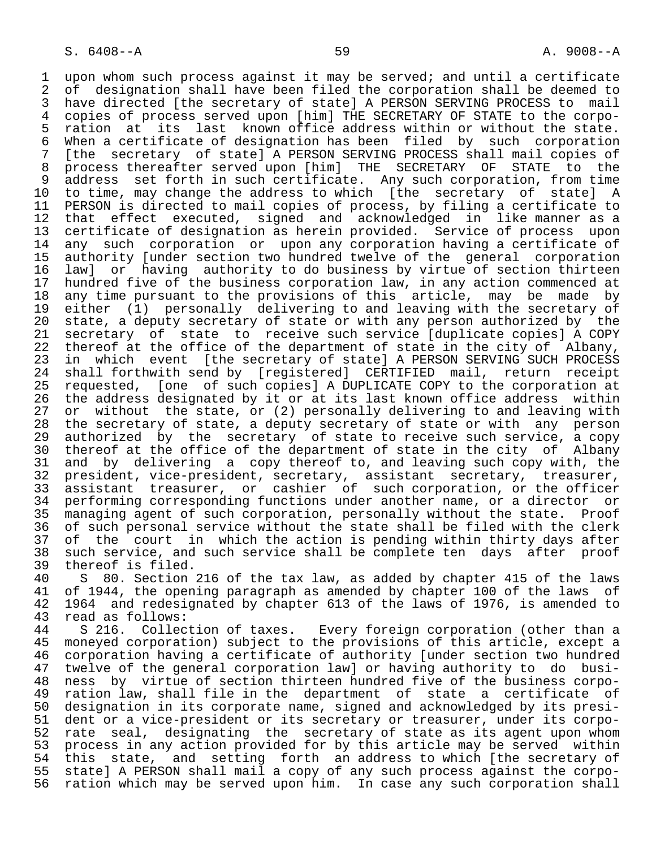1 upon whom such process against it may be served; and until a certificate<br>2 of designation shall have been filed the corporation shall be deemed to 2 of designation shall have been filed the corporation shall be deemed to<br>3 have directed [the secretary of state] A PERSON SERVING PROCESS to mail 3 have directed [the secretary of state] A PERSON SERVING PROCESS to mail<br>4 copies of process served upon [him] THE SECRETARY OF STATE to the corpo-4 copies of process served upon [him] THE SECRETARY OF STATE to the corpo-<br>5 ration at its last known office address within or without the state. 5 ration at its last known office address within or without the state.<br>6 When a certificate of designation has been filed by such corporation 6 When a certificate of designation has been filed by such corporation<br>7 Ithe secretary of statel A PERSON SERVING PROCESS shall mail copies of 7 [the secretary of state] A PERSON SERVING PROCESS shall mail copies of<br>8 process thereafter served upon [him] THE SECRETARY OF STATE to the 8 process thereafter served upon [him] THE SECRETARY OF STATE to the<br>9 address set forth in such certificate. Any such corporation, from time 9 address set forth in such certificate. Any such corporation, from time<br>10 to time, may change the address to which [the secretary of state] A 10 to time, may change the address to which [the secretary of state] A<br>11 PERSON is directed to mail copies of process, by filing a certificate to 11 PERSON is directed to mail copies of process, by filing a certificate to<br>12 that effect executed, signed and acknowledged in like manner as a 12 that effect executed, signed and acknowledged in like manner as a<br>13 certificate of designation as herein provided. Service of process upon 13 certificate of designation as herein provided. Service of process upon<br>14 any such corporation or upon any corporation having a certificate of any such corporation or upon any corporation having a certificate of 15 authority [under section two hundred twelve of the general corporation<br>16 law] or having authority to do business by virtue of section thirteen 16 law] or having authority to do business by virtue of section thirteen<br>17 hundred five of the business corporation law, in any action commenced at 17 hundred five of the business corporation law, in any action commenced at<br>18 any time pursuant to the provisions of this article, may be made by 18 any time pursuant to the provisions of this article, may be made by<br>19 either (1) personally delivering to and leaving with the secretary of 19 either (1) personally delivering to and leaving with the secretary of<br>20 state, a deputy secretary of state or with any person authorized by the 20 state, a deputy secretary of state or with any person authorized by the<br>21 secretary of state to receive such service [duplicate copies] A COPY 21 secretary of state to receive such service [duplicate copies] A COPY<br>22 thereof at the office of the department of state in the city of Albany, 22 thereof at the office of the department of state in the city of Albany,<br>23 in which event [the secretary of state] A PERSON SERVING SUCH PROCESS 23 in which event [the secretary of state] A PERSON SERVING SUCH PROCESS<br>24 shall forthwith send by [registered] CERTIFIED mail, return receipt 24 shall forthwith send by [registered] CERTIFIED mail, return receipt<br>25 requested, [one of such copies] A DUPLICATE COPY to the corporation at 25 requested, [one of such copies] A DUPLICATE COPY to the corporation at 26 the address designated by it or at its last known office address within<br>27 or without the state, or (2) personally delivering to and leaving with 27 or without the state, or (2) personally delivering to and leaving with<br>28 the secretary of state, a deputy secretary of state or with any person 28 the secretary of state, a deputy secretary of state or with any person<br>29 authorized by the secretary of state to receive such service, a copy 29 authorized by the secretary of state to receive such service, a copy<br>30 thereof at the office of the department of state in the city of Albany 30 thereof at the office of the department of state in the city of Albany<br>31 and by delivering a copy thereof to, and leaving such copy with, the 31 and by delivering a copy thereof to, and leaving such copy with, the<br>32 president, vice-president, secretary, assistant secretary, treasurer, 32 president, vice-president, secretary, assistant secretary, treasurer,<br>33 assistant treasurer, or cashier of such corporation, or the officer 33 assistant treasurer, or cashier of such corporation, or the officer<br>34 performing corresponding functions under another name, or a director or 34 performing corresponding functions under another name, or a director or<br>35 managing agent of such corporation, personally without the state. Proof 35 managing agent of such corporation, personally without the state. Proof<br>36 of such personal service without the state shall be filed with the clerk of such personal service without the state shall be filed with the clerk 37 of the court in which the action is pending within thirty days after<br>38 such service, and such service shall be complete ten days after proof 38 such service, and such service shall be complete ten days after proof<br>39 thereof is filed. 39 thereof is filed.<br>40 S 80. Section

40 S 80. Section 216 of the tax law, as added by chapter 415 of the laws<br>41 of 1944, the opening paragraph as amended by chapter 100 of the laws of 41 of 1944, the opening paragraph as amended by chapter 100 of the laws of<br>42 1964 and redesignated by chapter 613 of the laws of 1976, is amended to 42 1964 and redesignated by chapter 613 of the laws of 1976, is amended to 43 read as follows: 43 read as follows:<br>44 S 216. Collection of taxes.

44 S 216. Collection of taxes. Every foreign corporation (other than a<br>45 moneyed corporation) subject to the provisions of this article, except a moneyed corporation) subject to the provisions of this article, except a 46 corporation having a certificate of authority [under section two hundred<br>47 twelve of the general corporation lawl or having authority to do busitwelve of the general corporation law] or having authority to do busi- 48 ness by virtue of section thirteen hundred five of the business corpo- 49 ration law, shall file in the department of state a certificate of 50 designation in its corporate name, signed and acknowledged by its presi- 51 dent or a vice-president or its secretary or treasurer, under its corpo-<br>52 rate seal, designating the secretary of state as its agent upon whom 52 rate seal, designating the secretary of state as its agent upon whom<br>53 process in any action provided for by this article may be served within 53 process in any action provided for by this article may be served within<br>54 this state, and setting forth an address to which [the secretary of 54 this state, and setting forth an address to which [the secretary of<br>55 state] A PERSON shall mail a copy of any such process against the corpo-55 state] A PERSON shall mail a copy of any such process against the corpo-<br>56 ration which may be served upon him. In case any such corporation shall ration which may be served upon him. In case any such corporation shall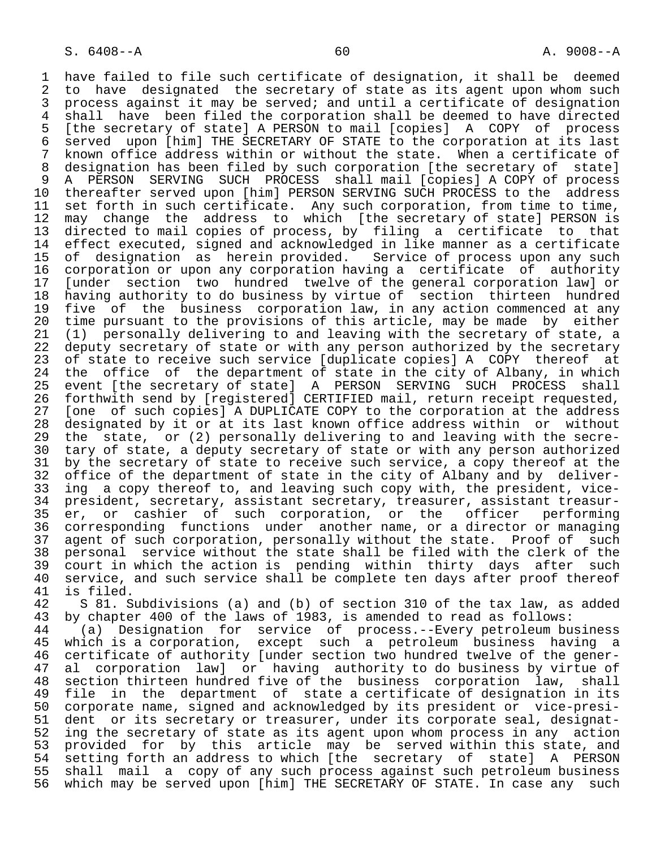1 have failed to file such certificate of designation, it shall be deemed<br>2 to have designated the secretary of state as its agent upon whom such 2 to have designated the secretary of state as its agent upon whom such<br>3 process against it may be served; and until a certificate of designation 3 process against it may be served; and until a certificate of designation<br>4 shall have been filed the corporation shall be deemed to have directed 4 shall have been filed the corporation shall be deemed to have directed<br>5 [the secretary of state] A PERSON to mail [copies] A COPY of process 5 [the secretary of state] A PERSON to mail [copies] A COPY of process 6 served upon [him] THE SECRETARY OF STATE to the corporation at its last<br>7 known office address within or without the state. When a certificate of 7 known office address within or without the state. When a certificate of<br>8 designation has been filed by such corporation [the secretary of state] 8 designation has been filed by such corporation [the secretary of state]<br>9 A PERSON SERVING SUCH PROCESS shall mail [copies] A COPY of process 9 A PERSON SERVING SUCH PROCESS shall mail [copies] A COPY of process<br>10 thereafter served upon [him] PERSON SERVING SUCH PROCESS to the address 10 thereafter served upon [him] PERSON SERVING SUCH PROCESS to the address<br>11 set forth in such certificate. Any such corporation, from time to time, 11 set forth in such certificate. Any such corporation, from time to time,<br>12 may change the address to which [the secretary of state] PERSON is 12 may change the address to which [the secretary of state] PERSON is 13 directed to mail copies of process, by filing a certificate to that 14 effect executed, signed and acknowledged in like manner as a certificate<br>15 of designation as herein provided. Service of process upon any such 15 of designation as herein provided. Service of process upon any such 16 corporation or upon any corporation having a certificate of authority<br>17 [under section two hundred twelve of the general corporation law] or 17 [under section two hundred twelve of the general corporation law] or<br>18 having authority to do business by virtue of section thirteen hundred 18 having authority to do business by virtue of section thirteen hundred<br>19 five of the business corporation law, in any action commenced at any 19 five of the business corporation law, in any action commenced at any<br>20 time pursuant to the provisions of this article, may be made by either 20 time pursuant to the provisions of this article, may be made by either<br>21 (1) personally delivering to and leaving with the secretary of state, a 21 (1) personally delivering to and leaving with the secretary of state, a<br>22 deputy secretary of state or with any person authorized by the secretary 22 deputy secretary of state or with any person authorized by the secretary<br>23 of state to receive such service [duplicate copies] A COPY thereof at 23 of state to receive such service [duplicate copies] A COPY thereof at<br>24 the office of the department of state in the city of Albany, in which 24 the office of the department of state in the city of Albany, in which<br>25 event [the secretary of state] A PERSON SERVING SUCH PROCESS shall 25 event [the secretary of state] A PERSON SERVING SUCH PROCESS shall 26 forthwith send by [registered] CERTIFIED mail, return receipt requested,<br>27 [one of such copies] A DUPLICATE COPY to the corporation at the address 27 [one of such copies] A DUPLICATE COPY to the corporation at the address<br>28 designated by it or at its last known office address within or without 28 designated by it or at its last known office address within or without<br>29 the state, or (2) personally delivering to and leaving with the secre-29 the state, or (2) personally delivering to and leaving with the secre-<br>20 tary of state, a deputy secretary of state or with any person authorized 30 tary of state, a deputy secretary of state or with any person authorized<br>31 by the secretary of state to receive such service, a copy thereof at the 31 by the secretary of state to receive such service, a copy thereof at the<br>32 office of the department of state in the city of Albany and by deliver-32 office of the department of state in the city of Albany and by deliver-<br>33 ing a copy thereof to, and leaving such copy with, the president, vice-33 ing a copy thereof to, and leaving such copy with, the president, vice-<br>34 president, secretary, assistant secretary, treasurer, assistant treasur- 34 president, secretary, assistant secretary, treasurer, assistant treasur- 35 er, or cashier of such corporation, or the officer performing<br>36 corresponding functions under another name, or a director or managing 36 corresponding functions under another name, or a director or managing 37 agent of such corporation, personally without the state. Proof of such<br>38 personal service without the state shall be filed with the clerk of the 38 personal service without the state shall be filed with the clerk of the<br>39 court in which the action is pending within thirty days after such 39 court in which the action is pending within thirty days after such<br>40 service, and such service shall be complete ten days after proof thereof 40 service, and such service shall be complete ten days after proof thereof<br>41 is filed. 41 is filed.<br>42 S 81. S

42 S 81. Subdivisions (a) and (b) of section 310 of the tax law, as added<br>43 by chapter 400 of the laws of 1983, is amended to read as follows:

43 by chapter 400 of the laws of 1983, is amended to read as follows:<br>44 (a) Designation for service of process.--Every petroleum bu 44 (a) Designation for service of process.--Every petroleum business<br>45 which is a corporation, except such a petroleum business having a which is a corporation, except such a petroleum business having a 46 certificate of authority [under section two hundred twelve of the gener-<br>47 al corporation lawl or having authority to do business by virtue of al corporation law] or having authority to do business by virtue of 48 section thirteen hundred five of the business corporation law, shall<br>49 file in the department of state a certificate of designation in its 49 file in the department of state a certificate of designation in its<br>50 corporate name, signed and acknowledged by its president or vice-presi-50 corporate name, signed and acknowledged by its president or vice-presi-<br>51 dent or its secretary or treasurer, under its corporate seal, designat-51 dent or its secretary or treasurer, under its corporate seal, designat-<br>52 ing the secretary of state as its agent upon whom process in any action 52 ing the secretary of state as its agent upon whom process in any action<br>53 provided for by this article may be served within this state, and 53 provided for by this article may be served within this state, and<br>54 setting forth an address to which [the secretary of state] A PERSON 54 setting forth an address to which [the secretary of state]<br>55 shall mail a copy of any such process against such petroley 55 shall mail a copy of any such process against such petroleum business<br>56 which may be served upon [him] THE SECRETARY OF STATE. In case any such which may be served upon [him] THE SECRETARY OF STATE. In case any such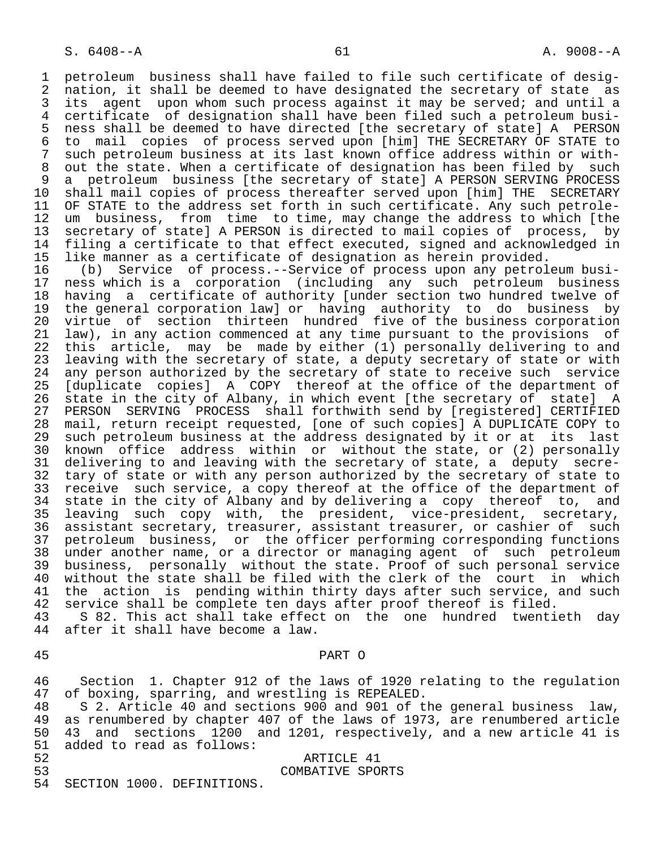1 petroleum business shall have failed to file such certificate of desig-<br>2 nation, it shall be deemed to have designated the secretary of state as 2 nation, it shall be deemed to have designated the secretary of state as<br>3 its agent upon whom such process against it may be served; and until a 3 its agent upon whom such process against it may be served; and until a<br>4 certificate of designation shall have been filed such a petroleum busi-4 certificate of designation shall have been filed such a petroleum busi-<br>5 ness shall be deemed to have directed [the secretary of state] A PERSON 5 ness shall be deemed to have directed [the secretary of state] A PERSON<br>6 to mail copies of process served upon [him] THE SECRETARY OF STATE to 6 to mail copies of process served upon [him] THE SECRETARY OF STATE to 7 such petroleum business at its last known office address within or with-<br>8 out the state. When a certificate of designation has been filed by such 8 out the state. When a certificate of designation has been filed by such<br>9 a petroleum business [the secretary of state] A PERSON SERVING PROCESS 9 a petroleum business [the secretary of state] A PERSON SERVING PROCESS<br>10 shall mail copies of process thereafter served upon [him] THE SECRETARY 10 shall mail copies of process thereafter served upon [him] THE SECRETARY<br>11 OF STATE to the address set forth in such certificate. Any such petrole-11 OF STATE to the address set forth in such certificate. Any such petrole-<br>12 um business, from time to time, may change the address to which [the 12 um business, from time to time, may change the address to which [the<br>13 secretary of statel A PERSON is directed to mail copies of process, by 13 secretary of state] A PERSON is directed to mail copies of process, by<br>14 filing a certificate to that effect executed, signed and acknowledged in filing a certificate to that effect executed, signed and acknowledged in

15 like manner as a certificate of designation as herein provided.<br>16 (b) Service of process.--Service of process upon any petrol 16 (b) Service of process.--Service of process upon any petroleum busi-<br>17 ness which is a corporation (including any such petroleum business 17 ness which is a corporation (including any such petroleum business<br>18 having a certificate of authority [under section two hundred twelve of 18 having a certificate of authority [under section two hundred twelve of<br>19 the general corporation law] or having authority to do business by 19 the general corporation law] or having authority to do business by<br>20 virtue of section thirteen hundred five of the business corporation 20 virtue of section thirteen hundred five of the business corporation<br>21 law), in any action commenced at any time pursuant to the provisions of 21 law), in any action commenced at any time pursuant to the provisions of<br>22 this article, may be made by either (1) personally delivering to and 22 this article, may be made by either (1) personally delivering to and<br>23 leaving with the secretary of state, a deputy secretary of state or with 23 leaving with the secretary of state, a deputy secretary of state or with<br>24 any person authorized by the secretary of state to receive such service 24 any person authorized by the secretary of state to receive such service<br>25 Iduplicate copiesl A COPY thereof at the office of the department of [duplicate copies] A COPY thereof at the office of the department of 26 state in the city of Albany, in which event [the secretary of state] A<br>27 PERSON SERVING PROCESS shall forthwith send by [registered] CERTIFIED 27 PERSON SERVING PROCESS shall forthwith send by [registered] CERTIFIED<br>28 mail, return receipt requested, [one of such copies] A DUPLICATE COPY to 28 mail, return receipt requested, [one of such copies] A DUPLICATE COPY to 29 such petroleum business at the address designated by it or at its last<br>30 known office address within or without the state, or (2) personally 30 known office address within or without the state, or (2) personally<br>31 delivering to and leaving with the secretary of state, a deputy secre-31 delivering to and leaving with the secretary of state, a deputy secre-<br>32 tary of state or with any person authorized by the secretary of state to 32 tary of state or with any person authorized by the secretary of state to<br>33 receive such service, a copy thereof at the office of the department of 33 receive such service, a copy thereof at the office of the department of<br>34 state in the city of Albany and by delivering a copy thereof to, and 34 state in the city of Albany and by delivering a copy thereof to, and<br>35 leaving such copy with, the president, vice-president, secretary, 35 leaving such copy with, the president, vice-president, secretary,<br>36 assistant-secretary, treasurer, assistant-treasurer, or-cashier-of-such assistant secretary, treasurer, assistant treasurer, or cashier of such 37 petroleum business, or the officer performing corresponding functions 38 under another name, or a director or managing agent of such petroleum<br>39 business, personally without the state. Proof of such personal service 39 business, personally without the state. Proof of such personal service 40 without the state shall be filed with the clerk of the court in which<br>41 the action is pending within thirty days after such service, and such 41 the action is pending within thirty days after such service, and such<br>42 service shall be complete ten days after proof thereof is filed. 42 service shall be complete ten days after proof thereof is filed.<br>43 S 82. This act shall take effect on the one hundred twenti

43 S 82. This act shall take effect on the one hundred twentieth day<br>44 after it shall have become a law. after it shall have become a law.

45 PART O

46 Section 1. Chapter 912 of the laws of 1920 relating to the regulation<br>47 of boxing, sparring, and wrestling is REPEALED. 47 of boxing, sparring, and wrestling is REPEALED.<br>48 S 2. Article 40 and sections 900 and 901 of t

48 S 2. Article 40 and sections 900 and 901 of the general business law,<br>49 as renumbered by chapter 407 of the laws of 1973, are renumbered article 49 as renumbered by chapter 407 of the laws of 1973, are renumbered article<br>50 43 and sections 1200 and 1201, respectively, and a new article 41 is 50 43 and sections 1200 and 1201, respectively, and a new article 41 is<br>51 added to read as follows: 51 added to read as follows:<br>52

52 ARTICLE 41

53 COMBATIVE SPORTS<br>54 SECTION 1000. DEFINITIONS. SECTION 1000. DEFINITIONS.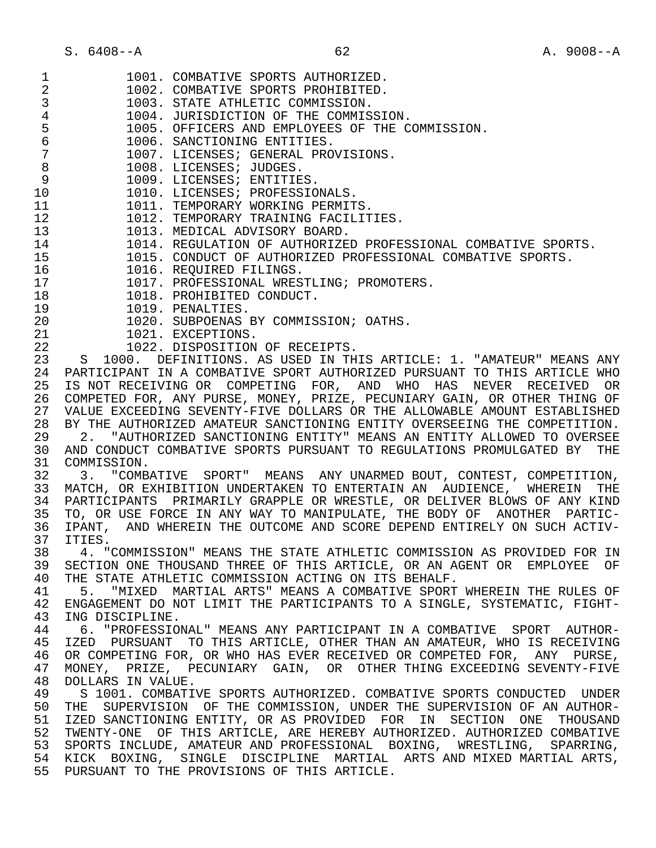S. 6408--A 62 A. 9008--A

| $\mathbf 1$    | 1001. COMBATIVE SPORTS AUTHORIZED.                                       |
|----------------|--------------------------------------------------------------------------|
| 2              | 1002. COMBATIVE SPORTS PROHIBITED.                                       |
| 3              | 1003. STATE ATHLETIC COMMISSION.                                         |
| $\overline{4}$ | 1004. JURISDICTION OF THE COMMISSION.                                    |
|                | 1005. OFFICERS AND EMPLOYEES OF THE COMMISSION.                          |
| $\frac{5}{6}$  | 1006. SANCTIONING ENTITIES.                                              |
| $\sqrt{ }$     | 1007. LICENSES; GENERAL PROVISIONS.                                      |
|                |                                                                          |
| 8              | 1008. LICENSES; JUDGES.                                                  |
| $\mathsf 9$    | 1009. LICENSES; ENTITIES.                                                |
| 10             | 1010. LICENSES; PROFESSIONALS.                                           |
| 11             | 1011. TEMPORARY WORKING PERMITS.                                         |
| 12             | 1012. TEMPORARY TRAINING FACILITIES.                                     |
| 13             | 1013. MEDICAL ADVISORY BOARD.                                            |
| 14             | 1014. REGULATION OF AUTHORIZED PROFESSIONAL COMBATIVE SPORTS.            |
| 15             | 1015. CONDUCT OF AUTHORIZED PROFESSIONAL COMBATIVE SPORTS.               |
|                |                                                                          |
| 16             | 1016. REQUIRED FILINGS.                                                  |
| 17             | 1017. PROFESSIONAL WRESTLING; PROMOTERS.                                 |
| 18             | 1018. PROHIBITED CONDUCT.                                                |
| 19             | 1019. PENALTIES.                                                         |
| 20             | 1020. SUBPOENAS BY COMMISSION; OATHS.                                    |
| 21             | 1021. EXCEPTIONS.                                                        |
| 22             | 1022. DISPOSITION OF RECEIPTS.                                           |
| 23             | S 1000. DEFINITIONS. AS USED IN THIS ARTICLE: 1. "AMATEUR" MEANS ANY     |
| 24             | PARTICIPANT IN A COMBATIVE SPORT AUTHORIZED PURSUANT TO THIS ARTICLE WHO |
| 25             | IS NOT RECEIVING OR COMPETING FOR, AND WHO HAS NEVER RECEIVED OR         |
|                |                                                                          |
| 26             | COMPETED FOR, ANY PURSE, MONEY, PRIZE, PECUNIARY GAIN, OR OTHER THING OF |
| 27             | VALUE EXCEEDING SEVENTY-FIVE DOLLARS OR THE ALLOWABLE AMOUNT ESTABLISHED |
| 28             | BY THE AUTHORIZED AMATEUR SANCTIONING ENTITY OVERSEEING THE COMPETITION. |
| 29             | 2. "AUTHORIZED SANCTIONING ENTITY" MEANS AN ENTITY ALLOWED TO OVERSEE    |
|                |                                                                          |
| 30             | AND CONDUCT COMBATIVE SPORTS PURSUANT TO REGULATIONS PROMULGATED BY THE  |
| 31             | COMMISSION.                                                              |
|                |                                                                          |
| 32             | 3. "COMBATIVE SPORT" MEANS ANY UNARMED BOUT, CONTEST, COMPETITION,       |
| 33             | MATCH, OR EXHIBITION UNDERTAKEN TO ENTERTAIN AN AUDIENCE, WHEREIN<br>THE |
| 34             | PARTICIPANTS PRIMARILY GRAPPLE OR WRESTLE, OR DELIVER BLOWS OF ANY KIND  |
| 35             | TO, OR USE FORCE IN ANY WAY TO MANIPULATE, THE BODY OF ANOTHER PARTIC-   |
| 36             | IPANT, AND WHEREIN THE OUTCOME AND SCORE DEPEND ENTIRELY ON SUCH ACTIV-  |
| 37             | ITIES.                                                                   |
| 38             | 4. "COMMISSION" MEANS THE STATE ATHLETIC COMMISSION AS PROVIDED FOR IN   |
| 39             | SECTION ONE THOUSAND THREE OF THIS ARTICLE, OR AN AGENT OR EMPLOYEE OF   |
| 40             | THE STATE ATHLETIC COMMISSION ACTING ON ITS BEHALF.                      |
| 41             | 5. "MIXED MARTIAL ARTS" MEANS A COMBATIVE SPORT WHEREIN THE RULES OF     |
| 42             | ENGAGEMENT DO NOT LIMIT THE PARTICIPANTS TO A SINGLE, SYSTEMATIC, FIGHT- |
| 43             | ING DISCIPLINE.                                                          |
|                |                                                                          |
| 44             | 6. "PROFESSIONAL" MEANS ANY PARTICIPANT IN A COMBATIVE SPORT AUTHOR-     |
| 45             | IZED PURSUANT TO THIS ARTICLE, OTHER THAN AN AMATEUR, WHO IS RECEIVING   |
| 46             | OR COMPETING FOR, OR WHO HAS EVER RECEIVED OR COMPETED FOR, ANY PURSE,   |
| 47             | MONEY, PRIZE, PECUNIARY GAIN, OR OTHER THING EXCEEDING SEVENTY-FIVE      |
| 48             | DOLLARS IN VALUE.                                                        |
| 49             | S 1001. COMBATIVE SPORTS AUTHORIZED. COMBATIVE SPORTS CONDUCTED UNDER    |
| 50             | THE SUPERVISION OF THE COMMISSION, UNDER THE SUPERVISION OF AN AUTHOR-   |
| 51             | IZED SANCTIONING ENTITY, OR AS PROVIDED FOR IN SECTION ONE THOUSAND      |
| 52             | TWENTY-ONE OF THIS ARTICLE, ARE HEREBY AUTHORIZED. AUTHORIZED COMBATIVE  |
| 53             | SPORTS INCLUDE, AMATEUR AND PROFESSIONAL BOXING, WRESTLING, SPARRING,    |
| 54             | KICK BOXING, SINGLE DISCIPLINE MARTIAL ARTS AND MIXED MARTIAL ARTS,      |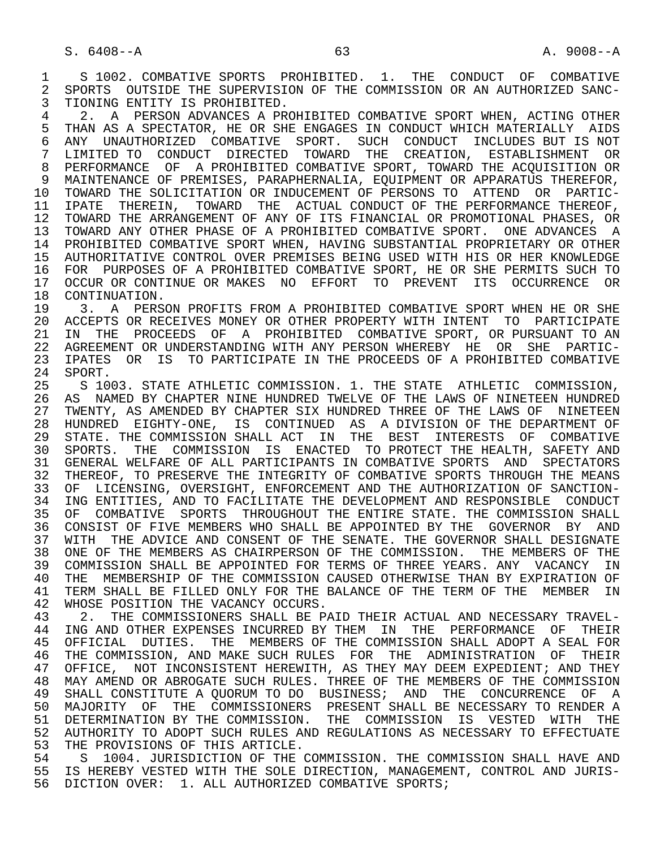1 S 1002. COMBATIVE SPORTS PROHIBITED. 1. THE CONDUCT OF COMBATIVE<br>2 SPORTS OUTSIDE THE SUPERVISION OF THE COMMISSION OR AN AUTHORIZED SANC-2 SPORTS OUTSIDE THE SUPERVISION OF THE COMMISSION OR AN AUTHORIZED SANC-<br>3 TIONING ENTITY IS PROHIBITED. TIONING ENTITY IS PROHIBITED.

4 2. A PERSON ADVANCES A PROHIBITED COMBATIVE SPORT WHEN, ACTING OTHER<br>5 THAN AS A SPECTATOR, HE OR SHE ENGAGES IN CONDUCT WHICH MATERIALLY AIDS 5 THAN AS A SPECTATOR, HE OR SHE ENGAGES IN CONDUCT WHICH MATERIALLY AIDS<br>6 ANY UNAUTHORIZED COMBATIVE SPORT. SUCH CONDUCT INCLUDES BUT IS NOT 6 ANY UNAUTHORIZED COMBATIVE SPORT. SUCH CONDUCT INCLUDES BUT IS NOT<br>7 LIMITED TO CONDUCT DIRECTED TOWARD THE CREATION, ESTABLISHMENT OR 7 LIMITED TO CONDUCT DIRECTED TOWARD THE CREATION, ESTABLISHMENT OR<br>8 PEREORMANCE OF A PROHIBITED COMBATIVE SPORT, TOWARD THE ACOUISITION OR 8 PERFORMANCE OF A PROHIBITED COMBATIVE SPORT, TOWARD THE ACQUISITION OR 9 MAINTENANCE OF PREMISES, PARAPHERNALIA, EQUIPMENT OR APPARATUS THEREFOR,<br>10 TOWARD THE SOLICITATION OR INDUCEMENT OF PERSONS TO ATTEND OR PARTIC-10 TOWARD THE SOLICITATION OR INDUCEMENT OF PERSONS TO ATTEND OR PARTIC-<br>11 IPATE THEREIN, TOWARD THE ACTUAL CONDUCT OF THE PERFORMANCE THEREOF, 11 IPATE THEREIN, TOWARD THE ACTUAL CONDUCT OF THE PERFORMANCE THEREOF,<br>12 TOWARD THE ARRANGEMENT OF ANY OF ITS FINANCIAL OR PROMOTIONAL PHASES, OR 12 TOWARD THE ARRANGEMENT OF ANY OF ITS FINANCIAL OR PROMOTIONAL PHASES, OR<br>13 TOWARD ANY OTHER PHASE OF A PROHIBITED COMBATIVE SPORT. ONE ADVANCES A 13 TOWARD ANY OTHER PHASE OF A PROHIBITED COMBATIVE SPORT. ONE ADVANCES A 14 PROHIBITED COMBATIVE SPORT WHEN, HAVING SUBSTANTIAL PROPRIETARY OR OTHER 15 AUTHORITATIVE CONTROL OVER PREMISES BEING USED WITH HIS OR HER KNOWLEDGE 16 FOR PURPOSES OF A PROHIBITED COMBATIVE SPORT, HE OR SHE PERMITS SUCH TO 17 OCCUR OR CONTINUE OR MAKES NO EFFORT TO PREVENT ITS OCCURRENCE OR

18 CONTINUATION.<br>19 3 A PERS 19 13. A PERSON PROFITS FROM A PROHIBITED COMBATIVE SPORT WHEN HE OR SHE<br>20 ACCEPTS OR RECEIVES MONEY OR OTHER PROPERTY WITH INTENT TO PARTICIPATE 20 ACCEPTS OR RECEIVES MONEY OR OTHER PROPERTY WITH INTENT TO PARTICIPATE<br>21 IN THE PROCEEDS OF A PROHIBITED COMBATIVE SPORT, OR PURSUANT TO AN 21 IN THE PROCEEDS OF A PROHIBITED COMBATIVE SPORT, OR PURSUANT TO AN 22 AGREEMENT OR UNDERSTANDING WITH ANY PERSON WHEREBY HE OR SHE PARTIC-22 AGREEMENT OR UNDERSTANDING WITH ANY PERSON WHEREBY HE OR SHE PARTIC-<br>23 IPATES OR IS TO PARTICIPATE IN THE PROCEEDS OF A PROHIBITED COMBATIVE 23 IPATES OR IS TO PARTICIPATE IN THE PROCEEDS OF A PROHIBITED COMBATIVE 24 SPORT. 24 SPORT.<br>25 S 100

 25 S 1003. STATE ATHLETIC COMMISSION. 1. THE STATE ATHLETIC COMMISSION, 26 AS NAMED BY CHAPTER NINE HUNDRED TWELVE OF THE LAWS OF NINETEEN HUNDRED<br>27 TWENTY, AS AMENDED BY CHAPTER SIX HUNDRED THREE OF THE LAWS OF NINETEEN 27 TWENTY, AS AMENDED BY CHAPTER SIX HUNDRED THREE OF THE LAWS OF NINETEEN<br>28 HUNDRED EIGHTY-ONE, IS CONTINUED AS A DIVISION OF THE DEPARTMENT OF 28 HUNDRED EIGHTY-ONE, IS CONTINUED AS A DIVISION OF THE DEPARTMENT OF 29 STATE. THE COMMISSION SHALL ACT IN THE BEST INTERESTS OF COMBATIVE 30 SPORTS. THE COMMISSION IS ENACTED TO PROTECT THE HEALTH, SAFETY AND 31 GENERAL WELFARE OF ALL PARTICIPANTS IN COMBATIVE SPORTS AND SPECTATORS<br>32 THEREOF, TO PRESERVE THE INTEGRITY OF COMBATIVE SPORTS THROUGH THE MEANS 32 THEREOF, TO PRESERVE THE INTEGRITY OF COMBATIVE SPORTS THROUGH THE MEANS<br>33 OF LICENSING, OVERSIGHT, ENFORCEMENT AND THE AUTHORIZATION OF SANCTION-33 OF LICENSING, OVERSIGHT, ENFORCEMENT AND THE AUTHORIZATION OF SANCTION-<br>34 ING ENTITIES, AND TO FACILITATE THE DEVELOPMENT AND RESPONSIBLE CONDUCT 34 ING ENTITIES, AND TO FACILITATE THE DEVELOPMENT AND RESPONSIBLE CONDUCT<br>35 OF COMBATIVE SPORTS THROUGHOUT THE ENTIRE STATE. THE COMMISSION SHALL 35 OF COMBATIVE SPORTS THROUGHOUT THE ENTIRE STATE. THE COMMISSION SHALL<br>36 CONSIST OF FIVE MEMBERS WHO SHALL BE APPOINTED BY THE GOVERNOR BY AND 36 CONSIST OF FIVE MEMBERS WHO SHALL BE APPOINTED BY THE GOVERNOR BY AND 37 WITH THE ADVICE AND CONSENT OF THE SENATE. THE GOVERNOR SHALL DESIGNATE 38 ONE OF THE MEMBERS AS CHAIRPERSON OF THE COMMISSION. THE MEMBERS OF THE<br>39 COMMISSION SHALL BE APPOINTED FOR TERMS OF THREE YEARS. ANY VACANCY IN 39 COMMISSION SHALL BE APPOINTED FOR TERMS OF THREE YEARS. ANY VACANCY IN<br>40 THE MEMBERSHIP OF THE COMMISSION CAUSED OTHERWISE THAN BY EXPIRATION OF 40 THE MEMBERSHIP OF THE COMMISSION CAUSED OTHERWISE THAN BY EXPIRATION OF 41 TERM SHALL BE FILLED ONLY FOR THE BALANCE OF THE TERM OF THE MEMBER IN 41 TERM SHALL BE FILLED ONLY FOR THE BALANCE OF THE TERM OF THE MEMBER IN 42 WHOSE POSITION THE VACANCY OCCURS. 42 WHOSE POSITION THE VACANCY OCCURS.<br>43 2. THE COMMISSIONERS SHALL BE PA

43 2. THE COMMISSIONERS SHALL BE PAID THEIR ACTUAL AND NECESSARY TRAVEL-<br>44 ING AND OTHER EXPENSES INCURRED BY THEM IN THE PERFORMANCE OF THEIR 44 ING AND OTHER EXPENSES INCURRED BY THEM IN THE PERFORMANCE OF THEIR<br>45 OFFICIAL DUTIES. THE MEMBERS OF THE COMMISSION SHALL ADOPT A SEAL FOR 45 OFFICIAL DUTIES. THE MEMBERS OF THE COMMISSION SHALL ADOPT A SEAL FOR 46 THE COMMISSION, AND MAKE SUCH RULES FOR THE ADMINISTRATION OF THEIR<br>47 OFFICE, NOT INCONSISTENT HEREWITH, AS THEY MAY DEEM EXPEDIENT; AND THEY OFFICE, NOT INCONSISTENT HEREWITH, AS THEY MAY DEEM EXPEDIENT; AND THEY 48 MAY AMEND OR ABROGATE SUCH RULES. THREE OF THE MEMBERS OF THE COMMISSION<br>49 SHALL CONSTITUTE A OUORUM TO DO BUSINESS; AND THE CONCURRENCE OF A SHALL CONSTITUTE A QUORUM TO DO BUSINESS; AND THE CONCURRENCE OF A 50 MAJORITY OF THE COMMISSIONERS PRESENT SHALL BE NECESSARY TO RENDER A 51 DETERMINATION BY THE COMMISSION. THE COMMISSION IS VESTED WITH THE 52 AUTHORITY TO ADOPT SUCH RULES AND REGULATIONS AS NECESSARY TO EFFECTUATE<br>53 THE PROVISIONS OF THIS ARTICLE. 53 THE PROVISIONS OF THIS ARTICLE.<br>54 S 1004, JURISDICTION OF THE

54 S 1004. JURISDICTION OF THE COMMISSION. THE COMMISSION SHALL HAVE AND<br>55 IS HEREBY VESTED WITH THE SOLE DIRECTION, MANAGEMENT, CONTROL AND JURIS-IS HEREBY VESTED WITH THE SOLE DIRECTION, MANAGEMENT, CONTROL AND JURIS-56 DICTION OVER: 1. ALL AUTHORIZED COMBATIVE SPORTS;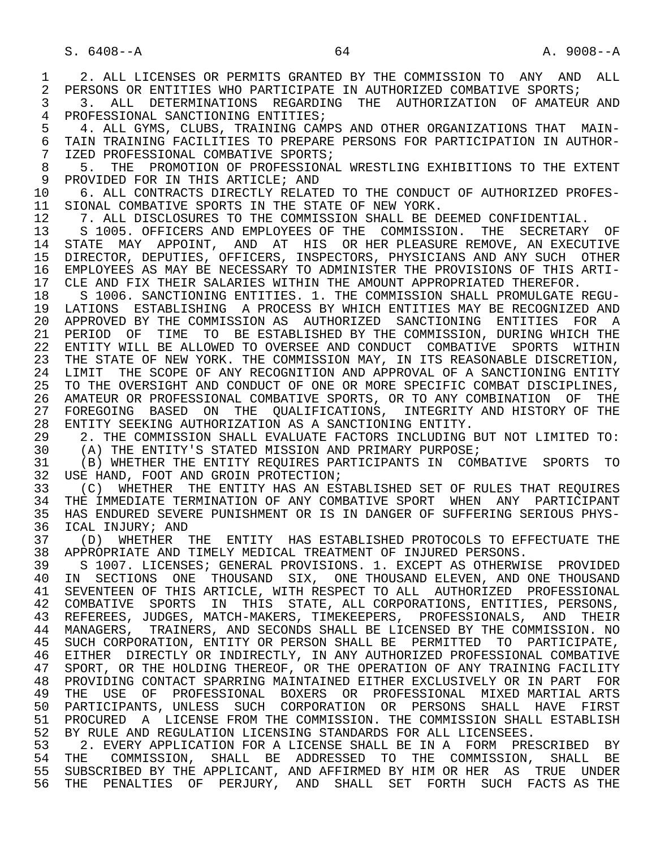1 2. ALL LICENSES OR PERMITS GRANTED BY THE COMMISSION TO ANY AND ALL<br>2 PERSONS OR ENTITIES WHO PARTICIPATE IN AUTHORIZED COMBATIVE SPORTS; 2 PERSONS OR ENTITIES WHO PARTICIPATE IN AUTHORIZED COMBATIVE SPORTS;<br>3 3. ALL DETERMINATIONS REGARDING THE AUTHORIZATION OF AMATEUR 3 3. ALL DETERMINATIONS REGARDING THE AUTHORIZATION OF AMATEURAND<br>4 PROFESSIONAL SANCTIONING ENTITIES; 4 PROFESSIONAL SANCTIONING ENTITIES;<br>5 4. ALL GYMS, CLUBS, TRAINING CAMI 5 4. ALL GYMS, CLUBS, TRAINING CAMPS AND OTHER ORGANIZATIONS THAT MAIN-<br>6 TAIN TRAINING FACILITIES TO PREPARE PERSONS FOR PARTICIPATION IN AUTHOR-6 TAIN TRAINING FACILITIES TO PREPARE PERSONS FOR PARTICIPATION IN AUTHOR-<br>7 IZED PROFESSIONAL COMBATIVE SPORTS; 7 IZED PROFESSIONAL COMBATIVE SPORTS;<br>8 5. THE PROMOTION OF PROFESSIONAL 8 5. THE PROMOTION OF PROFESSIONAL WRESTLING EXHIBITIONS TO THE EXTENT<br>9 PROVIDED FOR IN THIS ARTICLE; AND 9 PROVIDED FOR IN THIS ARTICLE; AND<br>10 6. ALL CONTRACTS DIRECTLY RELATE 10 6. ALL CONTRACTS DIRECTLY RELATED TO THE CONDUCT OF AUTHORIZED PROFES-<br>11 SIONAL COMBATIVE SPORTS IN THE STATE OF NEW YORK. 11 SIONAL COMBATIVE SPORTS IN THE STATE OF NEW YORK.<br>12 7. ALL DISCLOSURES TO THE COMMISSION SHALL BE D 12 1. ALL DISCLOSURES TO THE COMMISSION SHALL BE DEEMED CONFIDENTIAL.<br>13 5 1005. OFFICERS AND EMPLOYEES OF THE COMMISSION. THE SECRETARY 13 S 1005. OFFICERS AND EMPLOYEES OF THE COMMISSION. THE SECRETARY OF 14 STATE MAY APPOINT. AND AT HIS OR HER PLEASURE REMOVE. AN EXECUTIVE STATE MAY APPOINT, AND AT HIS OR HER PLEASURE REMOVE, AN EXECUTIVE 15 DIRECTOR, DEPUTIES, OFFICERS, INSPECTORS, PHYSICIANS AND ANY SUCH OTHER 16 EMPLOYEES AS MAY BE NECESSARY TO ADMINISTER THE PROVISIONS OF THIS ARTI-<br>17 CLE AND FIX THEIR SALARIES WITHIN THE AMOUNT APPROPRIATED THEREFOR. 17 CLE AND FIX THEIR SALARIES WITHIN THE AMOUNT APPROPRIATED THEREFOR.<br>18 S 1006. SANCTIONING ENTITIES. 1. THE COMMISSION SHALL PROMULGATE I S 1006. SANCTIONING ENTITIES. 1. THE COMMISSION SHALL PROMULGATE REGU- 19 LATIONS ESTABLISHING A PROCESS BY WHICH ENTITIES MAY BE RECOGNIZED AND 20 APPROVED BY THE COMMISSION AS AUTHORIZED SANCTIONING ENTITIES FOR A<br>21 PERIOD OF TIME TO BE ESTABLISHED BY THE COMMISSION, DURING WHICH THE PERIOD OF TIME TO BE ESTABLISHED BY THE COMMISSION, DURING WHICH THE 22 ENTITY WILL BE ALLOWED TO OVERSEE AND CONDUCT COMBATIVE SPORTS WITHIN 23 THE STATE OF NEW YORK. THE COMMISSION MAY, IN ITS REASONABLE DISCRETION, 24 LIMIT THE SCOPE OF ANY RECOGNITION AND APPROVAL OF A SANCTIONING ENTITY<br>25 TO THE OVERSIGHT AND CONDUCT OF ONE OR MORE SPECIFIC COMBAT DISCIPLINES. 25 TO THE OVERSIGHT AND CONDUCT OF ONE OR MORE SPECIFIC COMBAT DISCIPLINES, 26 AMATEUR OR PROFESSIONAL COMBATIVE SPORTS, OR TO ANY COMBINATION OF THE 27 FOREGOING BASED ON THE QUALIFICATIONS, INTEGRITY AND HISTORY OF THE 28 ENTITY SEEKING AUTHORIZATION AS A SANCTIONING ENTITY. 28 ENTITY SEEKING AUTHORIZATION AS A SANCTIONING ENTITY.<br>29 2. THE COMMISSION SHALL EVALUATE FACTORS INCLUDING 29 2. THE COMMISSION SHALL EVALUATE FACTORS INCLUDING BUT NOT LIMITED TO:<br>30 (A) THE ENTITY'S STATED MISSION AND PRIMARY PURPOSE; 30 (A) THE ENTITY'S STATED MISSION AND PRIMARY PURPOSE;<br>31 (B) WHETHER THE ENTITY REOUIRES PARTICIPANTS IN COMP 31 (B) WHETHER THE ENTITY REQUIRES PARTICIPANTS IN COMBATIVE SPORTS TO 32 USE HAND. FOOT AND GROIN PROTECTION; 32 USE HAND, FOOT AND GROIN PROTECTION;<br>33 (C) WHETHER THE ENTITY HAS AN ES 33 (C) WHETHER THE ENTITY HAS AN ESTABLISHED SET OF RULES THAT REQUIRES<br>34 THE IMMEDIATE TERMINATION OF ANY COMBATIVE SPORT WHEN ANY PARTICIPANT 34 THE IMMEDIATE TERMINATION OF ANY COMBATIVE SPORT WHEN ANY PARTICIPANT<br>35 HAS ENDURED SEVERE PUNISHMENT OR IS IN DANGER OF SUFFERING SERIOUS PHYS-35 HAS ENDURED SEVERE PUNISHMENT OR IS IN DANGER OF SUFFERING SERIOUS PHYS-<br>36 ICAL INJURY; AND 36 ICAL INJURY; AND<br>37 (D) WHETHER 37 (D) WHETHER THE ENTITY HAS ESTABLISHED PROTOCOLS TO EFFECTUATE THE 38 APPROPRIATE AND TIMELY MEDICAL TREATMENT OF INJURED PERSONS. 38 APPROPRIATE AND TIMELY MEDICAL TREATMENT OF INJURED PERSONS.<br>39 S 1007, LICENSES; GENERAL PROVISIONS, 1, EXCEPT AS OTHERWIS 39 S 1007. LICENSES; GENERAL PROVISIONS. 1. EXCEPT AS OTHERWISE PROVIDED<br>40 IN SECTIONS ONE THOUSAND SIX, ONE THOUSAND ELEVEN, AND ONE THOUSAND 40 IN SECTIONS ONE THOUSAND SIX, ONE THOUSAND ELEVEN, AND ONE THOUSAND<br>41 SEVENTEEN OF THIS ARTICLE, WITH RESPECT TO ALL AUTHORIZED PROFESSIONAL 41 SEVENTEEN OF THIS ARTICLE, WITH RESPECT TO ALL AUTHORIZED PROFESSIONAL 42 COMBATIVE SPORTS IN THIS STATE, ALL CORPORATIONS, ENTITIES, PERSONS, 43 REFEREES, JUDGES, MATCH-MAKERS, TIMEKEEPERS, PROFESSIONALS, AND THEIR 43 REFEREES, JUDGES, MATCH-MAKERS, TIMEKEEPERS, PROFESSIONALS, AND THEIR 44 MANAGERS, TRAINERS, AND SECONDS SHALL BE LICENSED BY THE COMMISSION. NO 45 SUCH CORPORATION, ENTITY OR PERSON SHALL BE PERMITTED TO PARTICIPATE, 46 EITHER DIRECTLY OR INDIRECTLY, IN ANY AUTHORIZED PROFESSIONAL COMBATIVE<br>47 SPORT, OR THE HOLDING THEREOF, OR THE OPERATION OF ANY TRAINING FACILITY 47 SPORT, OR THE HOLDING THEREOF, OR THE OPERATION OF ANY TRAINING FACILITY<br>48 PROVIDING CONTACT SPARRING MAINTAINED EITHER EXCLUSIVELY OR IN PART FOR 48 PROVIDING CONTACT SPARRING MAINTAINED EITHER EXCLUSIVELY OR IN PART FOR<br>49 THE USE OF PROFESSIONAL BOXERS OR PROFESSIONAL MIXED MARTIAL ARTS 49 THE USE OF PROFESSIONAL BOXERS OR PROFESSIONAL MIXED-MARTIAL-ARTS<br>50 PARTICIPANTS, UNLESS SUCH CORPORATION OR PERSONS SHALL HAVE FIRST 50 PARTICIPANTS, UNLESS SUCH CORPORATION OR PERSONS SHALL HAVE FIRST<br>51 PROCURED A LICENSE FROM THE COMMISSION. THE COMMISSION SHALL ESTABLISH 51 PROCURED A LICENSE FROM THE COMMISSION. THE COMMISSION SHALL ESTABLISH<br>52 BY RULE AND REGULATION LICENSING STANDARDS FOR ALL LICENSEES. 52 BY RULE AND REGULATION LICENSING STANDARDS FOR ALL LICENSEES.<br>53 12. EVERY APPLICATION FOR A LICENSE SHALL BE IN A FORM PRES 53 2. EVERY APPLICATION FOR A LICENSE SHALL BE IN A FORM PRESCRIBED BY 54 THE COMMISSION, SHALL BE ADDRESSED TO THE COMMISSION, SHALL BE<br>55 SUBSCRIBED BY THE APPLICANT, AND AFFIRMED BY HIM OR HER AS TRUE UNDER 55 SUBSCRIBED BY THE APPLICANT, AND AFFIRMED BY HIM OR HER AS TRUE UNDER<br>56 THE PENALTIES OF PERJURY, AND SHALL SET FORTH SUCH FACTS AS THE THE PENALTIES OF PERJURY, AND SHALL SET FORTH SUCH FACTS AS THE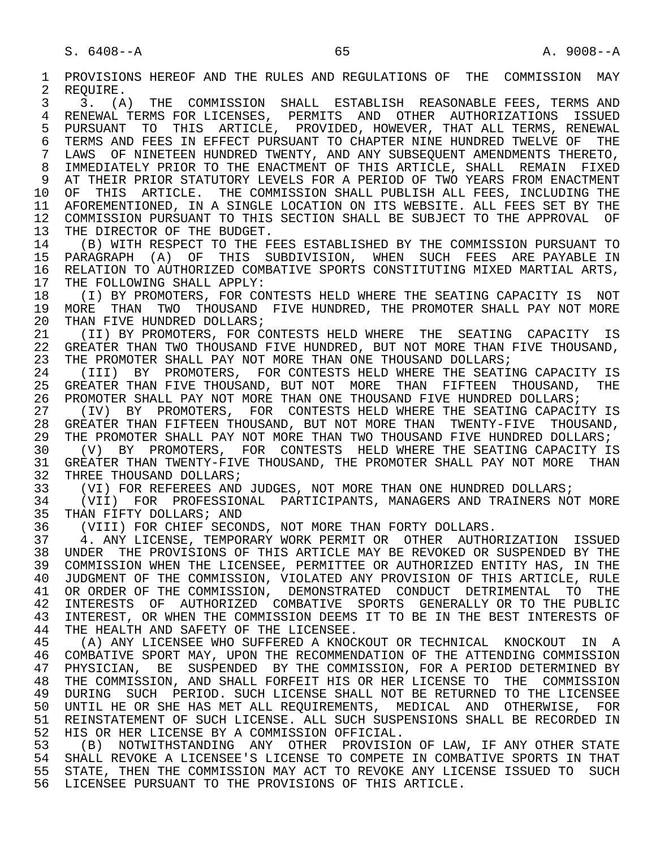1 PROVISIONS HEREOF AND THE RULES AND REGULATIONS OF THE COMMISSION MAY<br>2 REOUIRE. 2 REQUIRE.<br>3 3. (A 3 3. (A) THE COMMISSION SHALL ESTABLISH REASONABLE FEES, TERMS AND 4 RENEWAL TERMS FOR LICENSES, PERMITS AND OTHER AUTHORIZATIONS ISSUED<br>5 PURSUANT TO THIS ARTICLE, PROVIDED, HOWEVER, THAT-ALL-TERMS, RENEWAL 5 PURSUANT TO THIS ARTICLE, PROVIDED, HOWEVER, THAT ALL TERMS, RENEWAL<br>6 TERMS AND FEES IN EFFECT PURSUANT TO CHAPTER NINE HUNDRED TWELVE OF THE 6 TERMS AND FEES IN EFFECT PURSUANT TO CHAPTER NINE HUNDRED TWELVE OF THE 7 LAWS OF NINETEEN HUNDRED TWENTY, AND ANY SUBSEOUENT AMENDMENTS THERETO, LAWS OF NINETEEN HUNDRED TWENTY, AND ANY SUBSEQUENT AMENDMENTS THERETO, 8 IMMEDIATELY PRIOR TO THE ENACTMENT OF THIS ARTICLE, SHALL REMAIN FIXED<br>9 AT THEIR PRIOR STATUTORY LEVELS FOR A PERIOD OF TWO YEARS FROM ENACTMENT 9 AT THEIR PRIOR STATUTORY LEVELS FOR A PERIOD OF TWO YEARS FROM ENACTMENT<br>10 OF THIS ARTICLE. THE COMMISSION SHALL PUBLISH ALL FEES, INCLUDING THE 10 OF THIS ARTICLE. THE COMMISSION SHALL PUBLISH ALL FEES, INCLUDING THE<br>11 AFOREMENTIONED, IN A SINGLE LOCATION ON ITS WEBSITE. ALL FEES SET BY THE 11 AFOREMENTIONED, IN A SINGLE LOCATION ON ITS WEBSITE. ALL FEES SET BY THE 12 COMMISSION PURSUANT TO THIS SECTION SHALL BE SUBJECT TO THE APPROVAL OF 13 THE DIRECTOR OF THE BUDGET. 13 THE DIRECTOR OF THE BUDGET.<br>14 (B) WITH RESPECT TO THE F 14 (B) WITH RESPECT TO THE FEES ESTABLISHED BY THE COMMISSION PURSUANT TO 15 PARAGRAPH (A) OF THIS SUBDIVISION, WHEN SUCH FEES ARE-PAYABLE IN<br>16 RELATION TO AUTHORIZED COMBATIVE SPORTS CONSTITUTING MIXED MARTIAL ARTS, 16 RELATION TO AUTHORIZED COMBATIVE SPORTS CONSTITUTING MIXED MARTIAL ARTS,<br>17 THE FOLLOWING SHALL APPLY: 17 THE FOLLOWING SHALL APPLY:<br>18 (I) BY PROMOTERS, FOR CO 18 THE PROMOTERS, FOR CONTESTS HELD WHERE THE SEATING CAPACITY IS NOT AND THOUS AND THE PROMOTER SHALL PAY NOT MORE 19 MORE THAN TWO THOUSAND FIVE HUNDRED, THE PROMOTER SHALL PAY NOT MORE 20 THAN FIVE HUNDRED DOLLARS; 20 THAN FIVE HUNDRED DOLLARS;<br>21 (II) BY PROMOTERS, FOR C 21 (II) BY PROMOTERS, FOR CONTESTS HELD WHERE THE SEATING CAPACITY IS<br>22 GREATER THAN TWO THOUSAND FIVE HUNDRED, BUT NOT MORE THAN FIVE THOUSAND, 22 GREATER THAN TWO THOUSAND FIVE HUNDRED, BUT NOT MORE THAN FIVE THOUSAND,<br>23 THE PROMOTER SHALL PAY NOT MORE THAN ONE THOUSAND DOLLARS; THE PROMOTER SHALL PAY NOT MORE THAN ONE THOUSAND DOLLARS; 24 (III) BY PROMOTERS, FOR CONTESTS HELD WHERE THE SEATING CAPACITY IS<br>25 GREATER THAN FIVE THOUSAND, BUT NOT MORE THAN FIFTEEN THOUSAND, THE 25 GREATER THAN FIVE THOUSAND, BUT NOT MORE THAN FIFTEEN THOUSAND, THE 26 PROMOTER SHALL PAY NOT MORE THAN ONE THOUSAND FIVE HUNDRED DOLLARS;<br>27 (IV) BY PROMOTERS, FOR CONTESTS HELD WHERE THE SEATING CAPACIT 27 (IV) BY PROMOTERS, FOR CONTESTS HELD WHERE THE SEATING CAPACITY IS<br>28 GREATER THAN FIFTEEN THOUSAND, BUT NOT MORE THAN TWENTY-FIVE THOUSAND, 28 GREATER THAN FIFTEEN THOUSAND, BUT NOT MORE THAN TWENTY-FIVE THOUSAND,<br>29 THE PROMOTER SHALL PAY NOT MORE THAN TWO THOUSAND FIVE HUNDRED DOLLARS; 29 THE PROMOTER SHALL PAY NOT MORE THAN TWO THOUSAND FIVE HUNDRED DOLLARS;<br>30 (V) BY PROMOTERS, FOR CONTESTS HELD WHERE THE SEATING CAPACITY IS 30 (V) BY PROMOTERS, FOR CONTESTS HELD WHERE THE SEATING CAPACITY IS 31 GREATER THAN TWENTY-FIVE THOUSAND, THE PROMOTER SHALL PAY NOT MORE THAN<br>32 THREE THOUSAND DOLLARS; 32 THREE THOUSAND DOLLARS;<br>33 (VI) FOR REFEREES AND 33 (VI) FOR REFEREES AND JUDGES, NOT MORE THAN ONE HUNDRED DOLLARS;<br>34 (VII) FOR PROFESSIONAL PARTICIPANTS, MANAGERS AND TRAINERS NOT 34 (VII) FOR PROFESSIONAL PARTICIPANTS, MANAGERS AND TRAINERS NOT MORE<br>35 THAN FIFTY DOLLARS; AND 35 THAN FIFTY DOLLARS; AND<br>36 (VIII) FOR CHIEF SECON (VIII) FOR CHIEF SECONDS, NOT MORE THAN FORTY DOLLARS. 37 4. ANY LICENSE, TEMPORARY WORK PERMIT OR OTHER AUTHORIZATION ISSUED<br>38 UNDER THE PROVISIONS OF THIS ARTICLE MAY BE REVOKED OR SUSPENDED BY THE 38 UNDER THE PROVISIONS OF THIS ARTICLE MAY BE REVOKED OR SUSPENDED BY THE 39 COMMISSION WHEN THE LICENSEE, PERMITTEE OR AUTHORIZED ENTITY HAS, IN THE 39 COMMISSION WHEN THE LICENSEE, PERMITTEE OR AUTHORIZED ENTITY HAS, IN THE<br>40 JUDGMENT OF THE COMMISSION, VIOLATED ANY PROVISION OF THIS ARTICLE, RULE 40 JUDGMENT OF THE COMMISSION, VIOLATED ANY PROVISION OF THIS ARTICLE, RULE 41 OR ORDER OF THE COMMISSION, DEMONSTRATED CONDUCT DETRIMENTAL TO THE PUBLIC<br>42 INTERESTS OF AUTHORIZED COMBATIVE SPORTS GENERALLY OR TO THE PUBLIC 42 INTERESTS OF AUTHORIZED COMBATIVE SPORTS GENERALLY OR TO THE PUBLIC<br>43 INTEREST, OR WHEN THE COMMISSION DEEMS IT TO BE IN THE BEST INTERESTS OF 43 INTEREST, OR WHEN THE COMMISSION DEEMS IT TO BE IN THE BEST INTERESTS OF 44 THE HEALTH AND SAFETY OF THE LICENSEE. 44 THE HEALTH AND SAFETY OF THE LICENSEE.<br>45 (A) ANY LICENSEE WHO SUFFERED A KNOCI 45 (A) ANY LICENSEE WHO SUFFERED A KNOCKOUT OR TECHNICAL KNOCKOUT IN A 46 COMBATIVE SPORT MAY, UPON THE RECOMMENDATION OF THE ATTENDING COMMISSION<br>47 PHYSICIAN, BE SUSPENDED BY THE COMMISSION, FOR A PERIOD DETERMINED BY 47 PHYSICIAN, BE SUSPENDED BY THE COMMISSION, FOR A PERIOD DETERMINED BY<br>48 THE COMMISSION, AND SHALL FORFEIT HIS OR HER LICENSE TO THE COMMISSION 48 THE COMMISSION, AND SHALL FORFEIT HIS OR HER LICENSE TO THE COMMISSION<br>49 DURING SUCH PERIOD. SUCH LICENSE SHALL NOT BE RETURNED TO THE LICENSEE 49 DURING SUCH PERIOD. SUCH LICENSE SHALL NOT BE RETURNED TO THE LICENSEE<br>50 UNTIL HE OR SHE HAS MET ALL REOUIREMENTS, MEDICAL, AND OTHERWISE, FOR 50 UNTIL HE OR SHE HAS MET ALL REQUIREMENTS, MEDICAL AND OTHERWISE, FOR<br>51 REINSTATEMENT OF SUCH LICENSE. ALL SUCH SUSPENSIONS SHALL BE RECORDED IN 51 REINSTATEMENT OF SUCH LICENSE. ALL SUCH SUSPENSIONS SHALL BE RECORDED IN<br>52 HIS OR HER LICENSE BY A COMMISSION OFFICIAL. 52 HIS OR HER LICENSE BY A COMMISSION OFFICIAL.<br>53 (B) NOTWITHSTANDING ANY OTHER PROVISIO 53 (B) NOTWITHSTANDING ANY OTHER PROVISION OF LAW, IF ANY OTHER STATE<br>54 SHALL REVOKE A LICENSEE'S LICENSE TO COMPETE IN COMBATIVE SPORTS IN THAT 54 SHALL REVOKE A LICENSEE'S LICENSE TO COMPETE IN COMBATIVE SPORTS IN THAT<br>55 STATE, THEN THE COMMISSION MAY ACT TO REVOKE ANY LICENSE ISSUED TO SUCH 55 STATE, THEN THE COMMISSION MAY ACT TO REVOKE ANY LICENSE ISSUED TO SUCH 56 LICENSEE PURSUANT TO THE PROVISIONS OF THIS ARTICLE.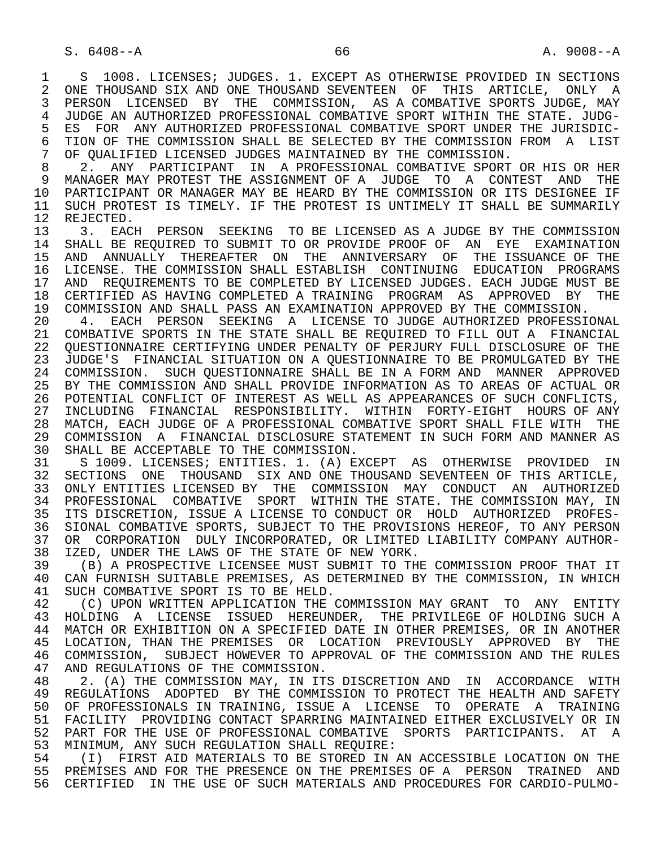1 S 1008. LICENSES; JUDGES. 1. EXCEPT AS OTHERWISE PROVIDED IN SECTIONS<br>2 ONE THOUSAND SIX AND ONE THOUSAND SEVENTEEN OF THIS ARTICLE, ONLY A 2 ONE THOUSAND SIX AND ONE THOUSAND SEVENTEEN OF THIS ARTICLE, ONLY A<br>3 PERSON LICENSED BY THE COMMISSION, AS A COMBATIVE SPORTS JUDGE, MAY 3 PERSON LICENSED BY THE COMMISSION, AS A COMBATIVE SPORTS JUDGE, MAY 4 JUDGE AN AUTHORIZED PROFESSIONAL COMBATIVE SPORT WITHIN THE STATE. JUDG-<br>5 ES FOR ANY AUTHORIZED PROFESSIONAL COMBATIVE SPORT UNDER THE JURISDIC-5 ES FOR ANY AUTHORIZED PROFESSIONAL COMBATIVE SPORT UNDER THE JURISDIC-<br>6 TION OF THE COMMISSION SHALL BE SELECTED BY THE COMMISSION FROM A LIST 6 TION OF THE COMMISSION SHALL BE SELECTED BY THE COMMISSION FROM A LIST<br>7 OF OUALIFIED LICENSED JUDGES MAINTAINED BY THE COMMISSION. 7 OF QUALIFIED LICENSED JUDGES MAINTAINED BY THE COMMISSION.<br>8 2. ANY PARTICIPANT IN A PROFESSIONAL COMBATIVE SPORT

8 2. ANY PARTICIPANT IN A PROFESSIONAL COMBATIVE SPORT OR HIS OR HER<br>9 MANAGER MAY PROTEST THE ASSIGNMENT OF A JUDGE TO A CONTEST AND THE 9 MANAGER MAY PROTEST THE ASSIGNMENT OF A JUDGE TO A CONTEST AND THE<br>10 PARTICIPANT OR MANAGER MAY BE HEARD BY THE COMMISSION OR ITS DESIGNEE IF 10 PARTICIPANT OR MANAGER MAY BE HEARD BY THE COMMISSION OR ITS DESIGNEE IF<br>11 SUCH PROTEST IS TIMELY. IF THE PROTEST IS UNTIMELY IT SHALL BE SUMMARILY 11 SUCH PROTEST IS TIMELY. IF THE PROTEST IS UNTIMELY IT SHALL BE SUMMARILY 12 REJECTED. 12 REJECTED.<br>13 3. EACI

13 13. EACH PERSON SEEKING TO BE LICENSED AS A JUDGE BY THE COMMISSION 14 SHALL RE REQUIRED TO SUBMIT TO OR PROVIDE PROOF OF AN EYE EXAMINATION SHALL BE REQUIRED TO SUBMIT TO OR PROVIDE PROOF OF AN EYE EXAMINATION 15 AND ANNUALLY THEREAFTER ON THE ANNIVERSARY OF THE ISSUANCE OF THE<br>16 LICENSE. THE COMMISSION SHALL ESTABLISH CONTINUING EDUCATION PROGRAMS 16 LICENSE. THE COMMISSION SHALL ESTABLISH CONTINUING EDUCATION PROGRAMS<br>17 AND REOUIREMENTS TO BE COMPLETED BY LICENSED JUDGES. EACH JUDGE MUST BE 17 AND REQUIREMENTS TO BE COMPLETED BY LICENSED JUDGES. EACH JUDGE MUST BE<br>18 CERTIFIED AS HAVING COMPLETED A TRAINING PROGRAM AS APPROVED BY THE 18 CERTIFIED AS HAVING COMPLETED A TRAINING PROGRAM AS APPROVED BY THE 19 COMMISSION 19 COMMISSION AND SHALL PASS AN EXAMINATION APPROVED BY THE COMMISSION.<br>20 4. EACH PERSON SEEKING A LICENSE TO JUDGE AUTHORIZED PROFESSI

20 4. EACH PERSON SEEKING A LICENSE TO JUDGE AUTHORIZED PROFESSIONAL<br>21 COMBATIVE SPORTS IN THE STATE SHALL BE REOUIRED TO FILL OUT A FINANCIAL 21 COMBATIVE SPORTS IN THE STATE SHALL BE REQUIRED TO FILL OUT A FINANCIAL<br>22 OUESTIONNAIRE CERTIFYING UNDER PENALTY OF PERJURY FULL DISCLOSURE OF THE 22 QUESTIONNAIRE CERTIFYING UNDER PENALTY OF PERJURY FULL DISCLOSURE OF THE<br>23 JUDGE'S FINANCIAL SITUATION ON A OUESTIONNAIRE TO BE PROMULGATED BY THE JUDGE'S FINANCIAL SITUATION ON A OUESTIONNAIRE TO BE PROMULGATED BY THE 24 COMMISSION. SUCH QUESTIONNAIRE SHALL BE IN A FORM AND MANNER APPROVED<br>25 BY THE COMMISSION AND SHALL PROVIDE INFORMATION AS TO AREAS OF ACTUAL OR BY THE COMMISSION AND SHALL PROVIDE INFORMATION AS TO AREAS OF ACTUAL OR 26 POTENTIAL CONFLICT OF INTEREST AS WELL AS APPEARANCES OF SUCH CONFLICTS,<br>27 INCLUDING FINANCIAL RESPONSIBILITY. WITHIN FORTY-EIGHT HOURS OF ANY 27 INCLUDING FINANCIAL RESPONSIBILITY. WITHIN FORTY-EIGHT HOURS OF ANY<br>28 MATCH, EACH JUDGE OF A PROFESSIONAL COMBATIVE SPORT SHALL FILE WITH THE 28 MATCH, EACH JUDGE OF A PROFESSIONAL COMBATIVE SPORT SHALL FILE WITH THE<br>29 COMMISSION A FINANCIAL DISCLOSURE STATEMENT IN SUCH FORM AND MANNER AS 29 COMMISSION A FINANCIAL DISCLOSURE STATEMENT IN SUCH FORM AND MANNER AS<br>30 SHALL BE ACCEPTABLE TO THE COMMISSION 30 SHALL BE ACCEPTABLE TO THE COMMISSION.<br>31 S 1009. LICENSES; ENTITIES. 1. (A) E

31 S 1009. LICENSES; ENTITIES. 1. (A) EXCEPT AS OTHERWISE PROVIDED IN<br>32 SECTIONS ONE THOUSAND SIX AND ONE THOUSAND SEVENTEEN OF THIS ARTICLE. 32 SECTIONS ONE THOUSAND SIXAND ONE THOUSAND SEVENTEEN OF THIS ARTICLE,<br>33 ONLY ENTITIES LICENSED BY THE COMMISSION MAY CONDUCT AN AUTHORIZED 33 ONLY ENTITIES LICENSED BY THE COMMISSION MAY CONDUCT AN AUTHORIZED<br>34 PROFESSIONAL COMBATIVE SPORT WITHIN THE STATE. THE COMMISSION MAY, IN 34 PROFESSIONAL COMBATIVE SPORT WITHIN THE STATE. THE COMMISSION MAY, IN<br>35 ITS DISCRETION, ISSUE A LICENSE TO CONDUCT OR HOLD AUTHORIZED PROFES-35 ITS DISCRETION, ISSUE A LICENSE TO CONDUCT OR HOLD AUTHORIZED PROFES-<br>36 SIONAL COMBATIVE SPORTS, SUBJECT TO THE PROVISIONS HEREOF, TO ANY PERSON SIONAL COMBATIVE SPORTS, SUBJECT TO THE PROVISIONS HEREOF, TO ANY PERSON 37 OR CORPORATION DULY INCORPORATED, OR LIMITED LIABILITY COMPANY AUTHOR-<br>38 IZED, UNDER THE LAWS OF THE STATE OF NEW YORK. 38 IZED, UNDER THE LAWS OF THE STATE OF NEW YORK.<br>39 (B) A PROSPECTIVE LICENSEE MUST SUBMIT TO THE

39 (B) A PROSPECTIVE LICENSEE MUST SUBMIT TO THE COMMISSION PROOF THAT IT<br>40 CAN FURNISH SUITABLE PREMISES, AS DETERMINED BY THE COMMISSION, IN WHICH 40 CAN FURNISH SUITABLE PREMISES, AS DETERMINED BY THE COMMISSION, IN WHICH<br>41 SUCH COMBATIVE SPORT IS TO BE HELD. 41 SUCH COMBATIVE SPORT IS TO BE HELD.<br>42 (C) UPON WRITTEN APPLICATION THE

42 (C) UPON WRITTEN APPLICATION THE COMMISSION MAY GRANT TO ANY ENTITY<br>43 HOLDING A LICENSE ISSUED HEREUNDER. THE PRIVILEGE OF HOLDING SUCH A 43 HOLDING A LICENSE ISSUED HEREUNDER, THE PRIVILEGE OF HOLDING SUCH A<br>44 MATCH OR EXHIBITION ON A SPECIFIED DATE IN OTHER PREMISES, OR IN ANOTHER 44 MATCH OR EXHIBITION ON A SPECIFIED DATE IN OTHER PREMISES, OR IN ANOTHER<br>45 LOCATION, THAN THE PREMISES OR LOCATION PREVIOUSLY APPROVED BY THE 45 LOCATION, THAN THE PREMISES OR LOCATION PREVIOUSLY APPROVED BY THE 46 COMMISSION, SUBJECT HOWEVER TO APPROVAL OF THE COMMISSION AND THE RULES<br>47 AND REGULATIONS OF THE COMMISSION. 47 AND REGULATIONS OF THE COMMISSION.<br>48 2. (A) THE COMMISSION MAY, IN IT!

48 2. (A) THE COMMISSION MAY, IN ITS DISCRETION AND IN ACCORDANCE WITH<br>49 REGULATIONS ADOPTED BY THE COMMISSION TO PROTECT THE HEALTH AND SAFETY 49 REGULATIONS ADOPTED BY THE COMMISSION TO PROTECT THE HEALTH AND SAFETY<br>50 OF PROFESSIONALS IN TRAINING, ISSUE A LICENSE TO OPERATE A TRAINING 50 OF PROFESSIONALS IN TRAINING, ISSUE A LICENSE TO OPERATE A TRAINING<br>51 FACILITY PROVIDING CONTACT SPARRING MAINTAINED EITHER EXCLUSIVELY OR IN 51 FACILITY PROVIDING CONTACT SPARRING MAINTAINED EITHER EXCLUSIVELY OR IN<br>52 PART FOR THE USE OF PROFESSIONAL COMBATIVE SPORTS PARTICIPANTS. AT A 52 PART FOR THE USE OF PROFESSIONAL COMBATIVE SPORTS PARTICIPANTS. AT A 53 MINIMUM, ANY SUCH REGULATION SHALL REQUIRE: 53 MINIMUM, ANY SUCH REGULATION SHALL REQUIRE:<br>54 (I) FIRST AID MATERIALS TO BE STORED IN ;

54 THE REST AND MATERIALS TO BE STORED IN AN ACCESSIBLE LOCATION ON THE STORE AND THE PRESENCE ON THE PREMISES OF A PERSON TRAINED AND 55 PREMISES AND FOR THE PRESENCE ON THE PREMISES OF A PERSON TRAINED AND 56 CERTIFIED IN THE USE OF SUCH MATERIALS AND PROCEDURES FOR CARDIO-PULMO-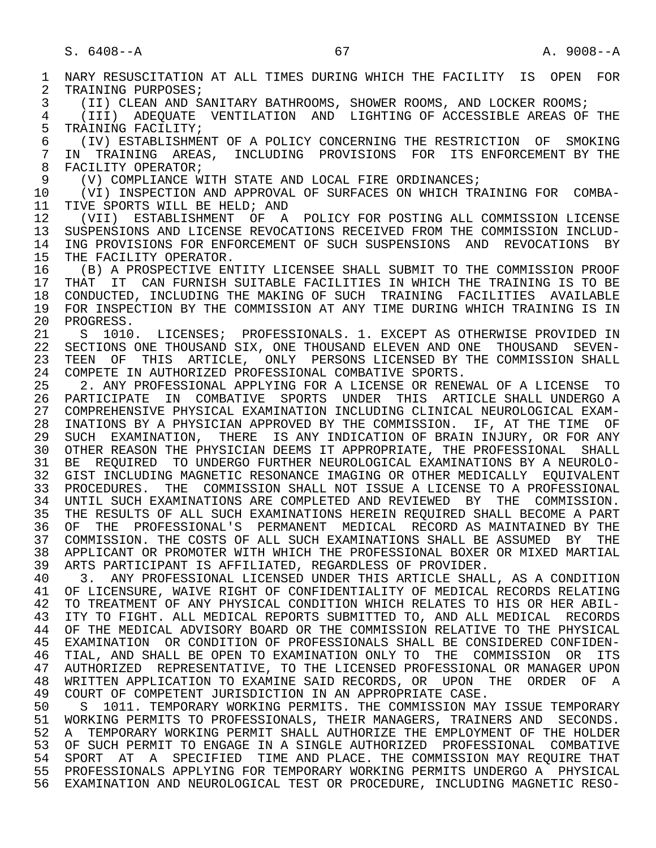1 NARY RESUSCITATION AT ALL TIMES DURING WHICH THE FACILITY IS OPEN FOR<br>2 TRAINING PURPOSES; 2 TRAINING PURPOSES;<br>3 (II) CLEAN AND SI 3 (II) CLEAN AND SANITARY BATHROOMS, SHOWER ROOMS, AND LOCKER ROOMS;<br>4 (TTT) ADEOUATE VENTILATION AND LIGHTING OF ACCESSIBLE AREAS OF 4 (III) ADEQUATE VENTILATION AND LIGHTING OF ACCESSIBLE AREAS OF THE 5 TRAINING FACILITY;<br>6 (IV) ESTABLISHME 6 (IV) ESTABLISHMENT OF A POLICY CONCERNING THE RESTRICTION OF SMOKING 7 IN TRAINING AREAS, INCLUDING PROVISIONS FOR ITS-ENFORCEMENT-BY-THE-<br>8 FACTLITY-OPERATOR: 8 FACILITY OPERATOR;<br>9 (V) COMPLIANCE W 9 (V) COMPLIANCE WITH STATE AND LOCAL FIRE ORDINANCES;<br>10 (VI) INSPECTION AND APPROVAL OF SURFACES ON WHICH TR 10 (VI) INSPECTION AND APPROVAL OF SURFACES ON WHICH TRAINING FOR COMBA-<br>11 TIVE SPORTS WILL BE HELD; AND 11 TIVE SPORTS WILL BE HELD; AND<br>12 (VII) ESTABLISHMENT OF A 12 (VII) ESTABLISHMENT OF A POLICY FOR POSTING ALL COMMISSION LICENSE<br>13 SUSPENSIONS AND LICENSE REVOCATIONS RECEIVED FROM THE COMMISSION INCLUD-13 SUSPENSIONS AND LICENSE REVOCATIONS RECEIVED FROM THE COMMISSION INCLUD-<br>14 ING PROVISIONS FOR ENFORCEMENT OF SUCH SUSPENSIONS AND REVOCATIONS BY 14 ING PROVISIONS FOR ENFORCEMENT OF SUCH SUSPENSIONS AND REVOCATIONS BY<br>15 THE FACILITY OPERATOR. 15 THE FACILITY OPERATOR.<br>16 (B) A PROSPECTIVE ENT 16 (B) A PROSPECTIVE ENTITY LICENSEE SHALL SUBMIT TO THE COMMISSION PROOF<br>17 THAT IT CAN FURNISH SUITABLE FACILITIES IN WHICH THE TRAINING IS TO BE 17 THAT IT CAN FURNISH SUITABLE FACILITIES IN WHICH THE TRAINING IS TO BE 18 CONDUCTED, INCLUDING THE MAKING OF SUCH TRAINING FACILITIES AVAILABLE 18 CONDUCTED, INCLUDING THE MAKING OF SUCH TRAINING FACILITIES AVAILABLE<br>19 FOR INSPECTION BY THE COMMISSION AT ANY TIME DURING WHICH TRAINING IS IN 19 FOR INSPECTION BY THE COMMISSION AT ANY TIME DURING WHICH TRAINING IS IN 20 PROGRESS. 20 PROGRESS.<br>21 S 1010 21 S 1010. LICENSES; PROFESSIONALS. 1. EXCEPT AS OTHERWISE PROVIDED IN 22 SECTIONS ONE THOUSAND SIX. ONE THOUSAND ELEVEN-22 SECTIONS ONE THOUSAND SIX, ONE THOUSAND ELEVEN AND ONE THOUSAND SEVEN-<br>23 TEEN OF THIS ARTICLE, ONLY PERSONS LICENSED BY THE COMMISSION SHALL TEEN OF THIS ARTICLE, ONLY PERSONS LICENSED BY THE COMMISSION SHALL 24 COMPETE IN AUTHORIZED PROFESSIONAL COMBATIVE SPORTS. 2. ANY PROFESSIONAL APPLYING FOR A LICENSE OR RENEWAL OF A LICENSE TO 26 PARTICIPATE IN COMBATIVE SPORTS UNDER THIS ARTICLE SHALL UNDERGO A<br>27 COMPREHENSIVE PHYSICAL EXAMINATION INCLUDING CLINICAL NEUROLOGICAL EXAM-27 COMPREHENSIVE PHYSICAL EXAMINATION INCLUDING CLINICAL NEUROLOGICAL EXAM-<br>28 INATIONS BY A PHYSICIAN APPROVED BY THE COMMISSION. IF, AT THE TIME OF 28 INATIONS BY A PHYSICIAN APPROVED BY THE COMMISSION. IF, AT THE TIME OF<br>29 SUCH EXAMINATION, THERE IS ANY INDICATION OF BRAIN INJURY, OR FOR ANY SUCH EXAMINATION, THERE IS ANY INDICATION OF BRAIN INJURY, OR FOR ANY 30 OTHER REASON THE PHYSICIAN DEEMS IT APPROPRIATE, THE PROFESSIONAL SHALL 31 BE REQUIRED TO UNDERGO FURTHER NEUROLOGICAL EXAMINATIONS BY A NEUROLO- 32 GIST INCLUDING MAGNETIC RESONANCE IMAGING OR OTHER MEDICALLY EQUIVALENT<br>33 PROCEDURES. THE COMMISSION SHALL NOT ISSUE A LICENSE TO A PROFESSIONAL PROCEDURES. THE COMMISSION SHALL NOT ISSUE A LICENSE TO A PROFESSIONAL 34 UNTIL SUCH EXAMINATIONS ARE COMPLETED AND REVIEWED BY THE COMMISSION.<br>35 THE RESULTS OF ALL SUCH EXAMINATIONS HEREIN REOUIRED SHALL BECOME A PART THE RESULTS OF ALL SUCH EXAMINATIONS HEREIN REQUIRED SHALL BECOME A PART 36 OF THE PROFESSIONAL'S PERMANENT MEDICAL RECORD AS MAINTAINED BY THE 37 COMMISSION. THE COSTS OF ALL SUCH EXAMINATIONS SHALL BE ASSUMED BY THE 38 APPLICANT OR PROMOTER WITH WHICH THE PROFESSIONAL BOXER OR MIXED MARTIAL<br>39 ARTS PARTICIPANT IS AFFILIATED, REGARDLESS OF PROVIDER. 39 ARTS PARTICIPANT IS AFFILIATED, REGARDLESS OF PROVIDER.<br>40 3. ANY PROFESSIONAL LICENSED UNDER THIS ARTICLE SHAL 40 3. ANY PROFESSIONAL LICENSED UNDER THIS ARTICLE SHALL, AS A CONDITION<br>41 OF LICENSURE, WAIVE RIGHT OF CONFIDENTIALITY OF MEDICAL RECORDS RELATING 41 OF LICENSURE, WAIVE RIGHT OF CONFIDENTIALITY OF MEDICAL RECORDS RELATING<br>42 TO TREATMENT OF ANY PHYSICAL CONDITION WHICH RELATES TO HIS OR HER ABIL-42 TO TREATMENT OF ANY PHYSICAL CONDITION WHICH RELATES TO HIS OR HER ABIL-<br>43 TTY TO FIGHT, ALL MEDICAL REPORTS SUBMITTED TO, AND ALL MEDICAL, RECORDS 43 ITY TO FIGHT. ALL MEDICAL REPORTS SUBMITTED TO, AND ALL MEDICAL RECORDS<br>44 OF THE MEDICAL ADVISORY BOARD OR THE COMMISSION RELATIVE TO THE PHYSICAL 44 OF THE MEDICAL ADVISORY BOARD OR THE COMMISSION RELATIVE TO THE PHYSICAL<br>45 EXAMINATION OR CONDITION OF PROFESSIONALS SHALL BE CONSIDERED CONFIDEN- 45 EXAMINATION OR CONDITION OF PROFESSIONALS SHALL BE CONSIDERED CONFIDEN- 46 TIAL, AND SHALL BE OPEN TO EXAMINATION ONLY TO THE COMMISSION OR ITS<br>47 AUTHORIZED REPRESENTATIVE, TO THE LICENSED PROFESSIONAL OR MANAGER UPON 47 AUTHORIZED REPRESENTATIVE, TO THE LICENSED PROFESSIONAL OR MANAGER UPON<br>48 WRITTEN APPLICATION TO EXAMINE SAID RECORDS, OR UPON THE ORDER OF A 48 WRITTEN APPLICATION TO EXAMINE SAID RECORDS, OR UPON THE ORDER OF A<br>49 COURT OF COMPETENT JURISDICTION IN AN APPROPRIATE CASE. 49 COURT OF COMPETENT JURISDICTION IN AN APPROPRIATE CASE.<br>50 S 1011. TEMPORARY WORKING PERMITS. THE COMMISSION MA 50 S 1011. TEMPORARY WORKING PERMITS. THE COMMISSION MAY ISSUE TEMPORARY<br>51 WORKING PERMITS TO PROFESSIONALS, THEIR MANAGERS, TRAINERS AND SECONDS. 51 WORKING PERMITS TO PROFESSIONALS, THEIR MANAGERS, TRAINERS AND SECONDS.<br>52 A TEMPORARY WORKING PERMIT SHALL AUTHORIZE THE EMPLOYMENT OF THE HOLDER 52 A TEMPORARY WORKING PERMIT SHALL AUTHORIZE THE EMPLOYMENT OF THE HOLDER<br>53 OF SUCH PERMIT TO ENGAGE IN A SINGLE AUTHORIZED PROFESSIONAL COMBATIVE 53 OF SUCH PERMIT TO ENGAGE IN A SINGLE AUTHORIZED PROFESSIONAL COMBATIVE<br>54 SPORT AT A SPECIFIED TIME AND PLACE. THE COMMISSION MAY REQUIRE THAT 54 SPORT AT A SPECIFIED TIME AND PLACE. THE COMMISSION MAY REQUIRE THAT<br>55 PROFESSIONALS APPLYING FOR TEMPORARY WORKING PERMITS UNDERGO A PHYSICAL 55 PROFESSIONALS APPLYING FOR TEMPORARY WORKING PERMITS UNDERGO A PHYSICAL 56 EXAMINATION AND NEUROLOGICAL TEST OR PROCEDURE, INCLUDING MAGNETIC RESO-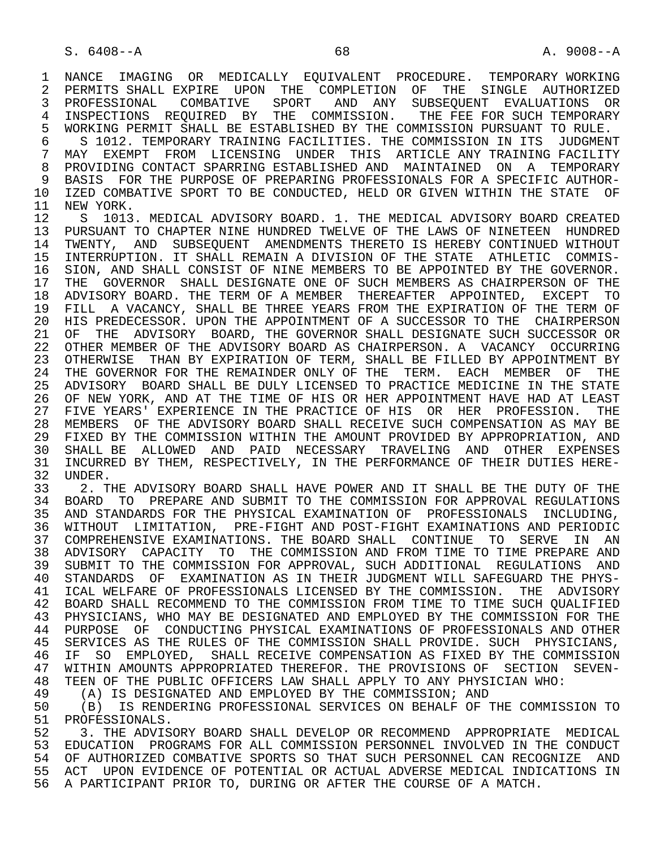1 NANCE IMAGING OR MEDICALLY EQUIVALENT PROCEDURE. TEMPORARY\_WORKING<br>2 PERMITS SHALL\_EXPIRE UPON THE COMPLETION OF THE SINGLE AUTHORIZED 2 PERMITS SHALL EXPIRE UPON THE COMPLETION OF THE SINGLE AUTHORIZED<br>3 PROFESSIONAL COMBATIVE SPORT AND ANY SUBSEOUENT EVALUATIONS OR 3 PROFESSIONAL COMBATIVE SPORT AND ANY SUBSEQUENT EVALUATIONS OR 4 INSPECTIONS REQUIRED BY THE COMMISSION. THE FEE FOR SUCH TEMPORARY<br>5 WORKING PERMIT SHALL BE ESTABLISHED BY THE COMMISSION PURSUANT TO RULE. 5 WORKING PERMIT SHALL BE ESTABLISHED BY THE COMMISSION PURSUANT TO RULE.<br>6 S 1012, TEMPORARY TRAINING FACILITIES, THE COMMISSION IN ITS JUDGMENT 6 S 1012. TEMPORARY TRAINING FACILITIES. THE COMMISSION IN ITS JUDGMENT<br>7 MAY EXEMPT FROM LICENSING UNDER THIS ARTICLE ANY TRAINING FACILITY 7 MAY EXEMPT FROM LICENSING UNDER THIS ARTICLE<sup>NY</sup> TRAININGFACILITY<br>8 PROVIDINGCONTACT SPARRINGFSTABLISHED AND MAINTAINED ON A TEMPORARY 8 PROVIDING CONTACT SPARRING ESTABLISHED AND MAINTAINED ON A TEMPORARY<br>9 BASIS FOR THE PURPOSE OF PREPARING PROFESSIONALS FOR A SPECIFIC AUTHOR-9 BASIS FOR THE PURPOSE OF PREPARING PROFESSIONALS FOR A SPECIFIC AUTHOR-<br>10 IZED COMBATIVE SPORT TO BE CONDUCTED, HELD OR GIVEN WITHIN THE STATE OF 10 IZED COMBATIVE SPORT TO BE CONDUCTED, HELD OR GIVEN WITHIN THE STATE OF 11 NEW YORK. 11 NEW YORK.<br>12 S 1013 S 1013. MEDICAL ADVISORY BOARD. 1. THE MEDICAL ADVISORY BOARD CREATED 13 PURSUANT TO CHAPTER NINE HUNDRED TWELVE OF THE LAWS OF NINETEEN HUNDRED 14 TWENTY, AND SUBSEQUENT AMENDMENTS THERETO IS HEREBY CONTINUED WITHOUT 15 INTERRUPTION. IT SHALL REMAIN A DIVISION OF THE STATE ATHLETIC COMMIS-<br>16 SION, AND SHALL CONSIST OF NINE MEMBERS TO BE APPOINTED BY THE GOVERNOR. 16 SION, AND SHALL CONSIST OF NINE MEMBERS TO BE APPOINTED BY THE GOVERNOR.<br>17 THE GOVERNOR SHALL DESIGNATE ONE OF SUCH MEMBERS AS CHAIRPERSON OF THE THE GOVERNOR SHALL DESIGNATE ONE OF SUCH MEMBERS AS CHAIRPERSON OF THE 18 ADVISORY BOARD. THE TERM OF A MEMBER THEREAFTER APPOINTED, EXCEPT TO 19 FILL A VACANCY, SHALL BE THREE YEARS FROM THE EXPIRATION OF THE TERM OF 20 HIS PREDECESSOR. UPON THE APPOINTMENT OF A SUCCESSOR TO THE CHAIRPERSON 21 OF THE ADVISORY BOARD, THE GOVERNOR SHALL DESIGNATE SUCH SUCCESSOR OR 22 OTHER MEMBER OF THE ADVISORY BOARD AS CHAIRPERSON. A VACANCY OCCURRING 23 OTHERWISE THAN BY EXPIRATION OF TERM, SHALL BE FILLED BY APPOINTMENT BY 24 THE GOVERNOR FOR THE REMAINDER ONLY OF THE TERM. EACH MEMBER OF THE THE STATE 25 ADVISORY BOARD SHALL BE DULY LICENSED TO PRACTICE MEDICINE IN THE STATE 26 OF NEW YORK, AND AT THE TIME OF HIS OR HER APPOINTMENT HAVE HAD AT LEAST 27 FIVE YEARS' EXPERIENCE IN THE PRACTICE OF HIS OR HER PROFESSION. THE 28 MEMBERS OF THE ADVISORY BOARD SHALL RECEIVE SUCH COMPENSATION AS MAY BE 29 FIXED BY THE COMMISSION WITHIN THE AMOUNT PROVIDED BY APPROPRIATION, AND 30 SHALL BE ALLOWED AND PAID NECESSARY TRAVELING AND OTHER EXPENSES<br>31 INCURRED BY THEM, RESPECTIVELY, IN THE PERFORMANCE OF THEIR DUTIES HERE-31 INCURRED BY THEM, RESPECTIVELY, IN THE PERFORMANCE OF THEIR DUTIES HERE-<br>32 UNDER. 32 UNDER.<br>33 2. T

 33 2. THE ADVISORY BOARD SHALL HAVE POWER AND IT SHALL BE THE DUTY OF THE 34 BOARD TO PREPARE AND SUBMIT TO THE COMMISSION FOR APPROVAL REGULATIONS 35 AND STANDARDS FOR THE PHYSICAL EXAMINATION OF PROFESSIONALS INCLUDING, 36 WITHOUT LIMITATION, PRE-FIGHT AND POST-FIGHT EXAMINATIONS AND PERIODIC 37 COMPREHENSIVE EXAMINATIONS. THE BOARD SHALL CONTINUE TO SERVE IN AN 38 ADVISORY CAPACITY TO THE COMMISSION AND FROM TIME TO TIME PREPARE AND SUBMIT TO THE COMMISSION FOR APPROVAL, SUCH ADDITIONAL REGULATIONS AND 40 STANDARDS OF EXAMINATION AS IN THEIR JUDGMENT WILL SAFEGUARD THE PHYS- 41 ICAL WELFARE OF PROFESSIONALS LICENSED BY THE COMMISSION. THE ADVISORY 42 BOARD SHALL RECOMMEND TO THE COMMISSION FROM TIME TO TIME SUCH QUALIFIED<br>43 PHYSICIANS, WHO MAY BE DESIGNATED AND EMPLOYED BY THE COMMISSION FOR THE 43 PHYSICIANS, WHO MAY BE DESIGNATED AND EMPLOYED BY THE COMMISSION FOR THE 44 PURPOSE OF CONDUCTING PHYSICAL EXAMINATIONS OF PROFESSIONALS AND OTHER 44 PURPOSE OF CONDUCTING PHYSICAL EXAMINATIONS OF PROFESSIONALS AND OTHER<br>45 SERVICES AS THE RULES OF THE COMMISSION SHALL PROVIDE. SUCH PHYSICIANS, SERVICES AS THE RULES OF THE COMMISSION SHALL PROVIDE. SUCH PHYSICIANS, 46 IF SO EMPLOYED, SHALL RECEIVE COMPENSATION AS FIXED BY THE COMMISSION<br>47 WITHIN AMOUNTS APPROPRIATED THEREFOR, THE PROVISIONS OF SECTION SEVEN-47 WITHIN AMOUNTS APPROPRIATED THEREFOR. THE PROVISIONS OF SECTION SEVEN-<br>48 TEEN OF THE PUBLIC OFFICERS LAW SHALL APPLY TO ANY PHYSICIAN WHO: 48 TEEN OF THE PUBLIC OFFICERS LAW SHALL APPLY TO ANY PHYSICIAN WHO:<br>49 (A) IS DESIGNATED AND EMPLOYED BY THE COMMISSION; AND

49 (A) IS DESIGNATED AND EMPLOYED BY THE COMMISSION; AND<br>50 (B) IS RENDERING PROFESSIONAL SERVICES ON BEHALF OF T

 50 (B) IS RENDERING PROFESSIONAL SERVICES ON BEHALF OF THE COMMISSION TO 51 PROFESSIONALS.<br>52 3. THE ADVIS

52 3. THE ADVISORY BOARD SHALL DEVELOP OR RECOMMEND APPROPRIATE MEDICAL<br>53 EDUCATION PROGRAMS FOR ALL COMMISSION PERSONNEL INVOLVED IN THE CONDUCT 53 EDUCATION PROGRAMS FOR ALL COMMISSION PERSONNEL INVOLVED IN THE CONDUCT<br>54 OF AUTHORIZED COMBATIVE SPORTS SO THAT SUCH PERSONNEL CAN RECOGNIZE AND 54 OF AUTHORIZED COMBATIVE SPORTS SO THAT SUCH PERSONNEL CAN RECOGNIZE AND<br>55 ACT UPON EVIDENCE OF POTENTIAL OR ACTUAL ADVERSE MEDICAL INDICATIONS IN ACT UPON EVIDENCE OF POTENTIAL OR ACTUAL ADVERSE MEDICAL INDICATIONS IN 56 A PARTICIPANT PRIOR TO, DURING OR AFTER THE COURSE OF A MATCH.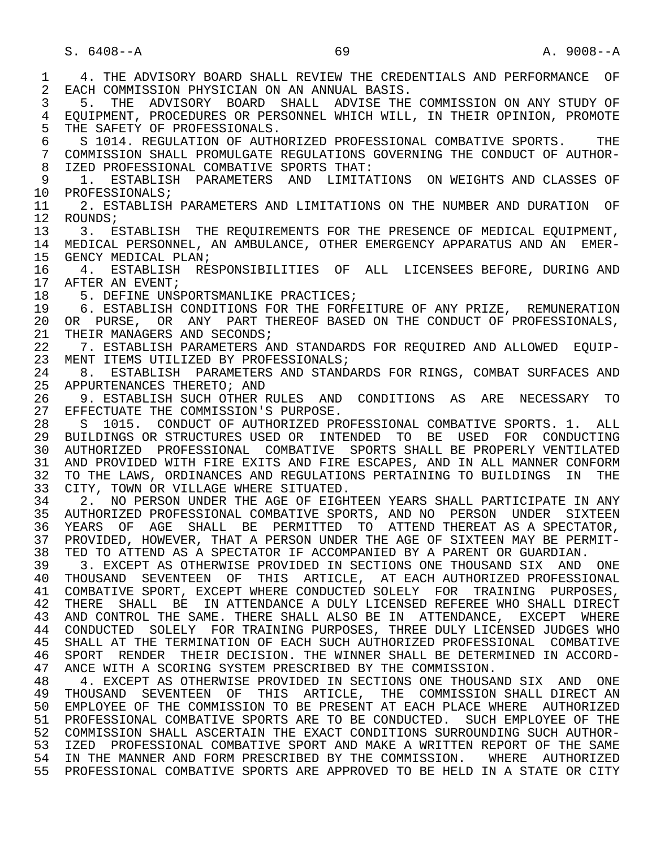1 4. THE ADVISORY BOARD SHALL REVIEW THE CREDENTIALS AND PERFORMANCE OF<br>2 EACH COMMISSION PHYSICIAN ON AN ANNUAL BASIS. 2 EACH COMMISSION PHYSICIAN ON AN ANNUAL BASIS.<br>3 5. THE ADVISORY BOARD SHALL ADVISE THE 3 5. THE ADVISORY BOARD SHALL ADVISE THE COMMISSION ON ANY STUDY OF 4 EQUIPMENT, PROCEDURES OR PERSONNEL WHICH WILL, IN THEIR OPINION, PROMOTE<br>5 THE SAFETY OF PROFESSIONALS. 5 THE SAFETY OF PROFESSIONALS.<br>6 S 1014, REGULATION OF AUTH 6 S 1014. REGULATION OF AUTHORIZED PROFESSIONAL COMBATIVE SPORTS. THE SOONLISSION SHALL PROMULGATE REGULATIONS GOVERNING THE CONDUCT OF AUTHOR-7 COMMISSION SHALL PROMULGATE REGULATIONS GOVERNING THE CONDUCT OF AUTHOR-<br>8 IZED PROFESSIONAL COMBATIVE SPORTS THAT: 8 IZED PROFESSIONAL COMBATIVE SPORTS THAT:<br>9 1. ESTABLISH PARAMETERS AND LIMITAT 9 1. ESTABLISH PARAMETERS AND LIMITATIONS ON WEIGHTS AND CLASSES OF 10 PROFESSIONALS; 10 PROFESSIONALS;<br>11 2. ESTABLISH 11 2. ESTABLISH PARAMETERS AND LIMITATIONS ON THE NUMBER AND DURATION OF 12 ROUNDS; 12 ROUNDS;<br>13 3. E 13 3. ESTABLISH THE REQUIREMENTS FOR THE PRESENCE OF MEDICAL EQUIPMENT,<br>14 MEDICAL PERSONNEL, AN AMBULANCE, OTHER EMERGENCY APPARATUS AND AN EMER- 14 MEDICAL PERSONNEL, AN AMBULANCE, OTHER EMERGENCY APPARATUS AND AN EMER- 15 GENCY MEDICAL PLAN;<br>16 4. ESTABLISH RE 16 4. ESTABLISH RESPONSIBILITIES OF ALL LICENSEES BEFORE, DURING AND 17 AFTER AN EVENT; 17 AFTER AN EVENT;<br>18 5. DEFINE UNS 18 5. DEFINE UNSPORTSMANLIKE PRACTICES;<br>19 6. ESTABLISH CONDITIONS FOR THE FORE 19 6. ESTABLISH CONDITIONS FOR THE FORFEITURE OF ANY PRIZE, REMUNERATION<br>20 OR PURSE, OR ANY PART THEREOF BASED ON THE CONDUCT OF PROFESSIONALS, 20 OR PURSE, OR ANY PART THEREOF BASED ON THE CONDUCT OF PROFESSIONALS,<br>21 THEIR MANAGERS AND SECONDS; 21 THEIR MANAGERS AND SECONDS;<br>22 7. ESTABLISH PARAMETERS A 22 7. ESTABLISH PARAMETERS AND STANDARDS FOR REQUIRED AND ALLOWED EQUIP-<br>23 MENT ITEMS UTILIZED BY PROFESSIONALS; MENT ITEMS UTILIZED BY PROFESSIONALS; 24 8. ESTABLISH PARAMETERS AND STANDARDS FOR RINGS, COMBAT SURFACES AND 25 APPURTENANCES THERETO; AND 25 APPURTENANCES THERETO; AND 26 9. ESTABLISH SUCH OTHER RULES AND CONDITIONS AS ARE NECESSARY TO<br>27 EFFECTUATE THE COMMISSION'S PURPOSE. 27 EFFECTUATE THE COMMISSION'S PURPOSE.<br>28 S 1015. CONDUCT OF AUTHORIZED PR 28 S 1015. CONDUCT OF AUTHORIZED PROFESSIONAL COMBATIVE SPORTS. 1. ALL<br>29 BUILDINGS OR STRUCTURES USED OR INTENDED TO BE USED FOR CONDUCTING 29 BUILDINGS OR STRUCTURES USED OR INTENDED TO BE USED FOR CONDUCTING<br>30 AUTHORIZED PROFESSIONAL COMBATIVE SPORTS SHALL BE PROPERLY VENTILATED 30 AUTHORIZED PROFESSIONAL COMBATIVE SPORTS-SHALL BE PROPERLY VENTILATED<br>31 AND PROVIDED WITH FIRE EXITS AND FIRE ESCAPES, AND IN ALL MANNER CONFORM 31 AND PROVIDED WITH FIRE EXITS AND FIRE ESCAPES, AND IN ALL MANNER CONFORM<br>32 TO THE LAWS, ORDINANCES AND REGULATIONS PERTAINING TO BUILDINGS IN THE 32 TO THE LAWS, ORDINANCES AND REGULATIONS PERTAINING TO BUILDINGS IN THE 33 CITY, TOWN OR VILLAGE WHERE SITUATED. 33 CITY, TOWN OR VILLAGE WHERE SITUATED.<br>34 2. NO PERSON UNDER THE AGE OF EIGHT 34 2. NO PERSON UNDER THE AGE OF EIGHTEEN YEARS SHALL PARTICIPATE IN ANY<br>35 AUTHORIZED PROFESSIONAL COMBATIVE SPORTS, AND NO PERSON UNDER SIXTEEN 35 AUTHORIZED PROFESSIONAL COMBATIVE SPORTS, AND NO PERSON UNDER SIXTEEN<br>36 YEARS OF AGE SHALL BE PERMITTED TO ATTEND THEREAT AS A SPECTATOR, YEARS OF AGE SHALL BE PERMITTED TO ATTEND THEREAT AS A SPECTATOR, 37 PROVIDED, HOWEVER, THAT A PERSON UNDER THE AGE OF SIXTEEN MAY BE PERMIT-<br>38 TED TO ATTEND AS A SPECTATOR IF ACCOMPANIED BY A PARENT OR GUARDIAN. 38 TED TO ATTEND AS A SPECTATOR IF ACCOMPANIED BY A PARENT OR GUARDIAN.<br>39 3. EXCEPT AS OTHERWISE PROVIDED IN SECTIONS ONE THOUSAND SIX AND 39 3. EXCEPT AS OTHERWISE PROVIDED IN SECTIONS ONE THOUSAND SIX AND ONE 40 THOUSAND SEVENTEEN OF THIS ARTICLE, AT EACH AUTHORIZED PROFESSIONAL 40 THOUSAND SEVENTEEN OF THIS ARTICLE, AT EACH-AUTHORIZED-PROFESSIONAL 41 COMBATIVE SPORT, EXCEPT WHERE CONDUCTED SOLELY FOR TRAINING PURPOSES, 41 COMBATIVE SPORT, EXCEPT WHERE CONDUCTED SOLELY FOR TRAINING PURPOSES,<br>42 THERE SHALL BE IN ATTENDANCE A DULY LICENSED REFEREE WHO SHALL DIRECT 42 THERE SHALL BE IN ATTENDANCE A DULY LICENSED REFEREE WHO SHALL DIRECT<br>43 AND CONTROL THE SAME, THERE SHALL ALSO BE IN ATTENDANCE, EXCEPT WHERE 43 AND CONTROL THE SAME. THERE SHALL ALSO BE IN ATTENDANCE, EXCEPT WHERE<br>44 CONDUCTED SOLELY FOR TRAINING PURPOSES. THREE DULY LICENSED JUDGES WHO 44 CONDUCTED SOLELY FOR TRAINING PURPOSES, THREE DULY LICENSED JUDGES WHO<br>45 SHALL AT THE TERMINATION OF EACH SUCH AUTHORIZED PROFESSIONAL COMBATIVE SHALL AT THE TERMINATION OF EACH SUCH AUTHORIZED PROFESSIONAL COMBATIVE 46 SPORT RENDER THEIR DECISION. THE WINNER SHALL BE DETERMINED IN ACCORD-<br>47 ANCE WITH A SCORING SYSTEM PRESCRIBED BY THE COMMISSION. ANCE WITH A SCORING SYSTEM PRESCRIBED BY THE COMMISSION. 48 4. EXCEPT AS OTHERWISE PROVIDED IN SECTIONS ONE THOUSAND SIX AND ONE 49 THOUSAND SEVENTEEN OF THIS ARTICLE, THE COMMISSION SHALL DIRECT AN 49 THOUSAND SEVENTEEN OF THIS ARTICLE, THE COMMISSION SHALL DIRECT AN 50 EMPLOYEE OF THE COMMISSION TO BE PRESENT AT EACH PLACE WHERE AUTHORIZED 51 PROFESSIONAL COMBATIVE SPORTS ARE TO BE CONDUCTED. SUCH EMPLOYEE OF THE 52 COMMISSION SHALL ASCERTAIN THE EXACT CONDITIONS SURROUNDING SUCH AUTHOR-<br>53 IZED PROFESSIONAL COMBATIVE SPORT AND MAKE A WRITTEN REPORT OF THE SAME 53 IZED PROFESSIONAL COMBATIVE SPORT AND MAKE A WRITTEN REPORT OF THE SAME<br>54 IN THE MANNER AND FORM PRESCRIBED BY THE COMMISSION. WHERE AUTHORIZED IN THE MANNER AND FORM PRESCRIBED BY THE COMMISSION. WHERE AUTHORIZED 55 PROFESSIONAL COMBATIVE SPORTS ARE APPROVED TO BE HELD IN A STATE OR CITY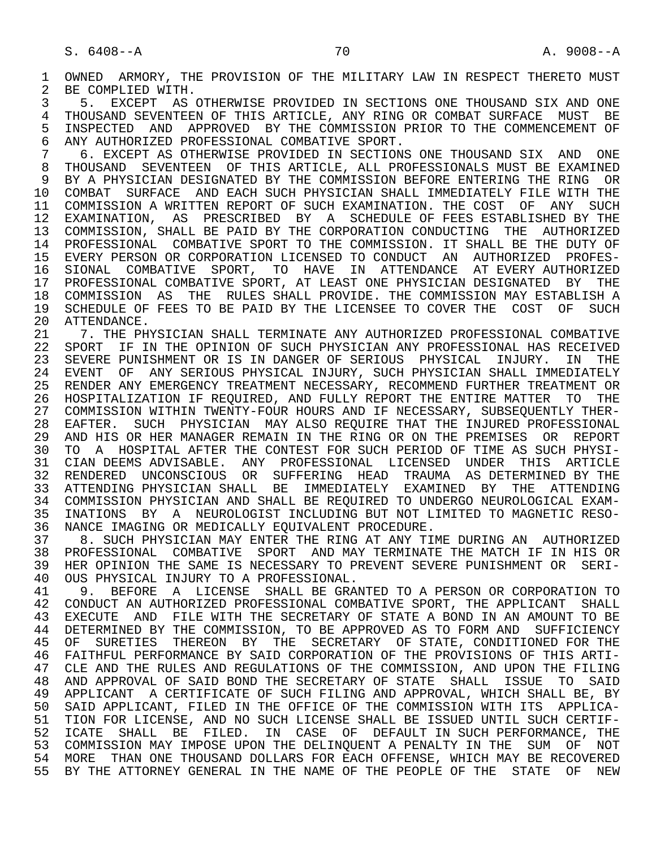1 OWNED ARMORY, THE PROVISION OF THE MILITARY LAW IN RESPECT THERETO MUST<br>2 BE COMPLIED WITH. 2 BE COMPLIED WITH.<br>3 5. EXCEPT AS

 3 5. EXCEPT AS OTHERWISE PROVIDED IN SECTIONS ONE THOUSAND SIX AND ONE 4 THOUSAND SEVENTEEN OF THIS ARTICLE, ANY RING OR COMBAT SURFACE MUST BE<br>5 INSPECTED AND APPROVED BY THE COMMISSION PRIOR TO THE COMMENCEMENT OF 5 INSPECTED AND APPROVED BY THE COMMISSION PRIOR TO THE COMMENCEMENT OF<br>6 ANY AUTHORIZED PROFESSIONAL COMBATIVE SPORT. 6 ANY AUTHORIZED PROFESSIONAL COMBATIVE SPORT.

 7 6. EXCEPT AS OTHERWISE PROVIDED IN SECTIONS ONE THOUSAND SIX AND ONE 8 THOUSAND SEVENTEEN OF THIS ARTICLE, ALL PROFESSIONALS MUST BE EXAMINED<br>9 BY A PHYSICIAN DESIGNATED BY THE COMMISSION BEFORE ENTERING THE RING OR 9 BY A PHYSICIAN DESIGNATED BY THE COMMISSION BEFORE ENTERING THE RING OR<br>10 COMBAT SURFACE AND EACH SUCH PHYSICIAN SHALL IMMEDIATELY FILE WITH THE 10 COMBAT SURFACE AND EACH SUCH PHYSICIAN SHALL IMMEDIATELY FILE WITH THE<br>11 COMMISSION A WRITTEN REPORT OF SUCH EXAMINATION. THE COST OF ANY SUCH 11 COMMISSION A WRITTEN REPORT OF SUCH EXAMINATION. THE COST OF ANY SUCH 12 EXAMINATION, AS PRESCRIBED BY A SCHEDULE OF FEES ESTABLISHED BY THE 13 COMMISSION, SHALL BE PAID BY THE CORPORATION CONDUCTING THE AUTHORIZED 14 PROFESSIONAL COMBATIVE SPORT TO THE COMMISSION. IT SHALL BE THE DUTY OF 15 EVERY PERSON OR CORPORATION LICENSED TO CONDUCT AN AUTHORIZED PROFES- 16 SIONAL COMBATIVE SPORT, TO HAVE IN ATTENDANCE AT EVERY AUTHORIZED<br>17 PROFESSIONAL COMBATIVE SPORT, AT LEAST ONE PHYSICIAN DESIGNATED BY THE 17 PROFESSIONAL COMBATIVE SPORT, AT LEAST ONE PHYSICIAN DESIGNATED BY THE 18 COMMISSION AS THE RULES SHALL PROVIDE. THE COMMISSION MAY ESTABLISH A<br>19 SCHEDULE OF FEES TO BE PAID BY THE LICENSEE TO COVER THE COST OF SUCH 19 SCHEDULE OF FEES TO BE PAID BY THE LICENSEE TO COVER THE COST OF SUCH 20 ATTENDANCE. 20 ATTENDANCE.<br>21 7. THE PH

21 21 7. THE PHYSICIAN SHALL TERMINATE ANY AUTHORIZED PROFESSIONAL COMBATIVE<br>22 SPORT IF IN THE OPINION OF SUCH PHYSICIAN ANY PROFESSIONAL HAS RECEIVED 22 SPORT IF IN THE OPINION OF SUCH PHYSICIAN ANY PROFESSIONAL HAS RECEIVED<br>23 SEVERE PUNISHMENT OR IS IN DANGER OF SERIOUS PHYSICAL INJURY. IN THE 23 SEVERE PUNISHMENT OR IS IN DANGER OF SERIOUS PHYSICAL INJURY. IN THE<br>24 EVENT OF ANY SERIOUS PHYSICAL INJURY, SUCH PHYSICIAN SHALL IMMEDIATELY 24 EVENT OF ANY SERIOUS PHYSICAL INJURY, SUCH PHYSICIAN SHALL IMMEDIATELY<br>25 RENDER ANY EMERGENCY TREATMENT NECESSARY, RECOMMEND FURTHER TREATMENT OR 25 RENDER ANY EMERGENCY TREATMENT NECESSARY, RECOMMEND FURTHER TREATMENT OR 26 HOSPITALIZATION IF REQUIRED, AND FULLY REPORT THE ENTIRE MATTER TO THE 27 COMMISSION WITHIN TWENTY-FOUR HOURS AND IF NECESSARY, SUBSEQUENTLY THER-<br>28 EAFTER. SUCH PHYSICIAN MAY ALSO REOUIRE THAT THE INJURED PROFESSIONAL 28 EAFTER. SUCH PHYSICIAN MAY ALSO REQUIRE THAT THE INJURED PROFESSIONAL<br>29 AND HIS OR HER MANAGER REMAIN IN THE RING OR ON THE PREMISES OR REPORT 29 AND HIS OR HER MANAGER REMAIN IN THE RING OR ON THE PREMISES OR REPORT<br>30 TO A HOSPITAL AFTER THE CONTEST FOR SUCH PERIOD OF TIME AS SUCH PHYSI-30 TO A HOSPITAL AFTER THE CONTEST FOR SUCH PERIOD OF TIME AS SUCH PHYSI-<br>31 CIAN DEEMS ADVISABLE, ANY PROFESSIONAL LICENSED UNDER THIS ARTICLE 31 CIAN DEEMS ADVISABLE. ANY PROFESSIONAL LICENSED UNDER THIS ARTICLE<br>32 RENDERED UNCONSCIOUS OR SUFFERING HEAD TRAUMA AS DETERMINED BY THE 32 RENDERED UNCONSCIOUS OR SUFFERING HEAD TRAUMA AS DETERMINED BY THE THE STORE SALL BE IMMEDIATELY EXAMINED BY THE ATTENDING 33 ATTENDING PHYSICIAN SHALL BE IMMEDIATELY EXAMINED BY THE ATTENDING 34 COMMISSION PHYSICIAN AND SHALL BE REQUIRED TO UNDERGO NEUROLOGICAL EXAM-<br>35 INATIONS BY A NEUROLOGIST INCLUDING BUT NOT LIMITED TO MAGNETIC RESO-35 INATIONS BY A NEUROLOGIST INCLUDING BUT NOT LIMITED TO MAGNETIC RESO-<br>36 NANCE IMAGING OR MEDICALLY EOUIVALENT PROCEDURE. 36 NANCE IMAGING OR MEDICALLY EQUIVALENT PROCEDURE.<br>37 8. SUCH PHYSICIAN MAY ENTER THE RING AT ANY TIP

 37 8. SUCH PHYSICIAN MAY ENTER THE RING AT ANY TIME DURING AN AUTHORIZED 38 PROFESSIONAL COMBATIVE SPORT AND MAY TERMINATE THE MATCH IF IN HIS OR<br>39 HER OPINION THE SAME IS NECESSARY TO PREVENT SEVERE PUNISHMENT OR SERI-39 HER OPINION THE SAME IS NECESSARY TO PREVENT SEVERE PUNISHMENT OR SERI-<br>40 OUS PHYSICAL INJURY TO A PROFESSIONAL. 40 OUS PHYSICAL INJURY TO A PROFESSIONAL.<br>41 9. BEFORE A LICENSE, SHALL BE GRAI

41 9. BEFORE A LICENSE SHALL BE GRANTED TO A PERSON OR CORPORATION TO 42 CONDUCT AN AUTHORIZED PROFESSIONAL COMBATIVE SPORT, THE APPLICANT SHALL 42 CONDUCT AN AUTHORIZED PROFESSIONAL COMBATIVE SPORT, THE APPLICANT SHALL<br>43 EXECUTE AND FILE WITH THE SECRETARY OF STATE A BOND IN AN AMOUNT TO BE 43 EXECUTE AND FILE WITH THE SECRETARY OF STATE A BOND IN AN AMOUNT TO BE 44 DETERMINED BY THE COMMISSION. TO BE APPROVED AS TO FORM AND SUFFICIENCY 44 DETERMINED BY THE COMMISSION, TO BE APPROVED AS TO FORM AND SUFFICIENCY<br>45 OF SURETIES THEREON BY THE SECRETARY OF STATE, CONDITIONED FOR THE OF SURETIES THEREON BY THE SECRETARY OF STATE, CONDITIONED FOR THE 46 FAITHFUL PERFORMANCE BY SAID CORPORATION OF THE PROVISIONS OF THIS ARTI-<br>47 CLE AND THE RULES AND REGULATIONS OF THE COMMISSION, AND UPON THE FILING 47 CLE AND THE RULES AND REGULATIONS OF THE COMMISSION, AND UPON THE FILING<br>48 AND APPROVAL OF SAID BOND THE SECRETARY OF STATE SHALL ISSUE TO SAID 48 AND APPROVAL OF SAID BOND THE SECRETARY OF STATE SHALL ISSUE TO SAID<br>49 APPLICANT A CERTIFICATE OF SUCH FILING AND APPROVAL, WHICH SHALL BE, BY 49 APPLICANT A CERTIFICATE OF SUCH FILING AND APPROVAL, WHICH SHALL BE, BY<br>50 SAID APPLICANT, FILED IN THE OFFICE OF THE COMMISSION WITH ITS APPLICA-50 SAID APPLICANT, FILED IN THE OFFICE OF THE COMMISSION WITH ITS APPLICA-<br>51 TION FOR LICENSE, AND NO SUCH LICENSE SHALL BE ISSUED UNTIL SUCH CERTIF-51 TION FOR LICENSE, AND NO SUCH LICENSE SHALL BE ISSUED UNTIL SUCH CERTIF-<br>52 ICATE SHALL BE FILED. IN CASE OF DEFAULT IN SUCH PERFORMANCE, THE 52 ICATE SHALL BE FILED. IN CASE OF DEFAULT IN SUCH PERFORMANCE, THE 53 COMMISSION MAY IMPOSE UPON THE DELINQUENT A PENALTY IN THE SUM OF NOT 54 MORE THAN ONE THOUSAND DOLLARS FOR EACH OFFENSE, WHICH MAY BE RECOVERED 55 BY THE ATTORNEY GENERAL IN THE NAME OF THE PEOPLE OF THE STATE OF NEW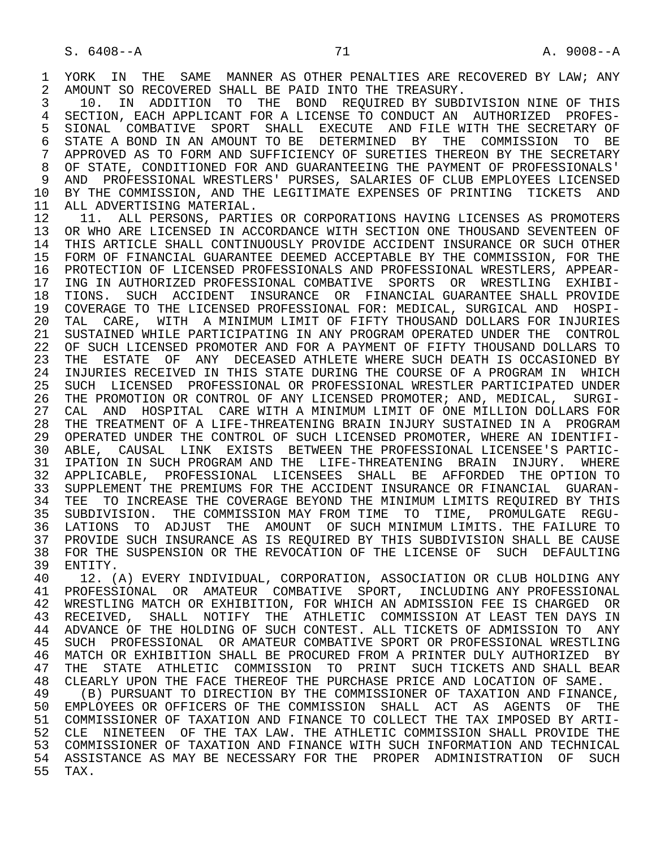1 YORK IN THE SAME MANNER AS OTHER PENALTIES ARE RECOVERED BY LAW; ANY 2 AMOUNT SO RECOVERED SHALL BE PAID INTO THE TREASURY. 2 AMOUNT SO RECOVERED SHALL BE PAID INTO THE TREASURY.<br>3 10. IN ADDITION TO THE BOND REOUIRED BY SUBD.

3 10. IN ADDITION TO THE BOND REQUIRED BY SUBDIVISION NINE OF THIS<br>4 SECTION, EACH APPLICANT FOR A LICENSE TO CONDUCT AN AUTHORIZED PROFES-4 SECTION, EACH APPLICANT FOR A LICENSE TO CONDUCT AN AUTHORIZED PROFES-<br>5 SIONAL COMBATIVE SPORT SHALL EXECUTE AND FILE WITH THE SECRETARY OF 5 SIONAL COMBATIVE SPORT SHALL EXECUTE AND FILE WITH THE SECRETARY OF 6 STATE A BOND IN AN AMOUNT TO BE DETERMINED BY THE COMMISSION TO BE 7 APPROVED AS TO FORM AND SUFFICIENCY OF SURETIES THEREON BY THE SECRETARY<br>8 OF STATE, CONDITIONED FOR AND GUARANTEEING THE PAYMENT OF PROFESSIONALS' 8 OF STATE, CONDITIONED FOR AND GUARANTEEING THE PAYMENT OF PROFESSIONALS'<br>9 AND PROFESSIONAL WRESTLERS' PURSES, SALARIES OF CLUB EMPLOYEES LICENSED 9 AND PROFESSIONAL WRESTLERS' PURSES, SALARIES OF CLUB EMPLOYEES LICENSED<br>10 BY THE COMMISSION, AND THE LEGITIMATE EXPENSES OF PRINTING TICKETS AND 10 BY THE COMMISSION, AND THE LEGITIMATE EXPENSES OF PRINTING TICKETS AND<br>11 ALL ADVERTISING MATERIAL. 11 ALL ADVERTISING MATERIAL.<br>12 11. ALL PERSONS, PARTI

12 11. ALL PERSONS, PARTIES OR CORPORATIONS HAVING LICENSES AS PROMOTERS<br>13 OR WHO ARE LICENSED IN ACCORDANCE WITH SECTION ONE THOUSAND SEVENTEEN OF 13 OR WHO ARE LICENSED IN ACCORDANCE WITH SECTION ONE THOUSAND SEVENTEEN OF 14 THIS ARTICLE SHALL CONTINUOUSLY PROVIDE ACCIDENT INSURANCE OR SUCH OTHER THIS ARTICLE SHALL CONTINUOUSLY PROVIDE ACCIDENT INSURANCE OR SUCH OTHER 15 FORM OF FINANCIAL GUARANTEE DEEMED ACCEPTABLE BY THE COMMISSION, FOR THE<br>16 PROTECTION OF LICENSED PROFESSIONALS AND PROFESSIONAL WRESTLERS, APPEAR- 16 PROTECTION OF LICENSED PROFESSIONALS AND PROFESSIONAL WRESTLERS, APPEAR- 17 ING IN AUTHORIZED PROFESSIONAL COMBATIVE SPORTS OR WRESTLING EXHIBI-<br>18 TIONS. SUCH ACCIDENT INSURANCE OR FINANCIAL GUARANTEE SHALL PROVIDE 18 TIONS. SUCH ACCIDENT INSURANCE OR FINANCIAL GUARANTEE SHALL PROVIDE 19 COVERAGE TO THE LICENSED PROFESSIONAL FOR: MEDICAL, SURGICAL AND HOSPI-<br>20 TAL CARE, WITH A MINIMUM LIMIT OF FIFTY THOUSAND DOLLARS FOR INJURIES 20 TAL CARE, WITH A MINIMUM LIMIT OF FIFTY THOUSAND DOLLARS FOR INJURIES<br>21 SUSTAINED WHILE PARTICIPATING IN ANY PROGRAM OPERATED UNDER THE CONTROL 21 SUSTAINED WHILE PARTICIPATING IN ANY PROGRAM OPERATED UNDER THE CONTROL<br>22 OF SUCH LICENSED PROMOTER AND FOR A PAYMENT OF FIFTY THOUSAND DOLLARS TO 22 OF SUCH LICENSED PROMOTER AND FOR A PAYMENT OF FIFTY THOUSAND DOLLARS TO<br>23 THE ESTATE OF ANY DECEASED ATHLETE WHERE SUCH DEATH IS OCCASIONED BY 23 THE ESTATE OF ANY DECEASED ATHLETE WHERE SUCH DEATH IS OCCASIONED BY 24 INJURIES RECEIVED IN THIS STATE DURING THE COURSE OF A PROGRAM IN WHICH<br>25 SUCH LICENSED PROFESSIONAL OR PROFESSIONAL WRESTLER PARTICIPATED UNDER 25 SUCH LICENSED PROFESSIONAL OR PROFESSIONAL WRESTLER PARTICIPATED UNDER 26 THE PROMOTION OR CONTROL OF ANY LICENSED PROMOTER; AND, MEDICAL, SURGI- 27 CAL AND HOSPITAL CARE WITH A MINIMUM LIMIT OF ONE MILLION DOLLARS FOR 28 THE TREATMENT OF A LIFE-THREATENING BRAIN INJURY SUSTAINED IN A PROGRAM 29 OPERATED UNDER THE CONTROL OF SUCH LICENSED PROMOTER, WHERE AN IDENTIFI- 30 ABLE, CAUSAL LINK EXISTS BETWEEN THE PROFESSIONAL LICENSEE'S PARTIC-<br>31 IPATION IN SUCH PROGRAM AND THE LIFE-THREATENING BRAIN INJURY. WHERE 31 IPATION IN SUCH PROGRAM AND THE LIFE-THREATENING BRAIN INJURY. WHERE<br>32 APPLICABLE, PROFESSIONAL LICENSEES SHALL BE AFFORDED THE OPTION TO 32 APPLICABLE, PROFESSIONAL LICENSEES SHALL BE AFFORDED THE OPTION TO 33 SUPPLEMENT THE PREMIUMS FOR THE ACCIDENT INSURANCE OR FINANCIAL GUARAN- 34 TEE TO INCREASE THE COVERAGE BEYOND THE MINIMUM LIMITS REQUIRED BY THIS 35 SUBDIVISION. THE COMMISSION MAY FROM TIME TO TIME, PROMULGATE REGU- 36 LATIONS TO ADJUST THE AMOUNT OF SUCH MINIMUM LIMITS. THE FAILURE TO 37 PROVIDE SUCH INSURANCE AS IS REQUIRED BY THIS SUBDIVISION SHALL BE CAUSE 38 FOR THE SUSPENSION OR THE REVOCATION OF THE LICENSE OF SUCH DEFAULTING<br>39 ENTITY. 39 ENTITY.<br>40 12. (1)

12. (A) EVERY INDIVIDUAL, CORPORATION, ASSOCIATION OR CLUB HOLDING ANY 41 PROFESSIONAL OR AMATEUR COMBATIVE SPORT, INCLUDING ANY PROFESSIONAL 42 WRESTLING MATCH OR EXHIBITION, FOR WHICH AN ADMISSION FEE IS CHARGED OR<br>43 RECEIVED, SHALL NOTIFY THE ATHLETIC COMMISSION AT LEAST TEN DAYS IN RECEIVED, SHALL NOTIFY THE ATHLETIC COMMISSION<sup>AT LEAST</sup> TEN DAYS IN 44 ADVANCE OF THE HOLDING OF SUCH CONTEST. ALL TICKETS OF ADMISSION TO ANY<br>45 SUCH PROFESSIONAL OR AMATEUR COMBATIVE SPORT OR PROFESSIONAL WRESTLING 45 SUCH PROFESSIONAL OR AMATEUR COMBATIVE SPORT OR PROFESSIONAL WRESTLING 46 MATCH OR EXHIBITION SHALL BE PROCURED FROM A PRINTER DULY AUTHORIZED BY<br>47 THE STATE ATHLETIC COMMISSION TO PRINT SUCH TICKETS AND SHALL BEAR 47 THE STATE ATHLETIC COMMISSION TO PRINT SUCH-TICKETS AND SHALL BEAR 48 CLEARLY UPON THE FACE THEREOF THE PURCHASE PRICE AND LOCATION OF SAME. 48 CLEARLY UPON THE FACE THEREOF THE PURCHASE PRICE AND LOCATION OF SAME.<br>49 (B) PURSUANT TO DIRECTION BY THE COMMISSIONER OF TAXATION AND FINANCE

 49 (B) PURSUANT TO DIRECTION BY THE COMMISSIONER OF TAXATION AND FINANCE, 50 EMPLOYEES OR OFFICERS OF THE COMMISSION SHALL ACT AS AGENTS OF THE 51 COMMISSIONER OF TAXATION AND FINANCE TO COLLECT THE TAX IMPOSED BY ARTI- 52 CLE NINETEEN OF THE TAX LAW. THE ATHLETIC COMMISSION SHALL PROVIDE THE 53 COMMISSIONER OF TAXATION AND FINANCE WITH SUCH INFORMATION AND TECHNICAL 54 ASSISTANCE AS MAY BE NECESSARY FOR THE PROPER ADMINISTRATION OF SUCH 55 TAX.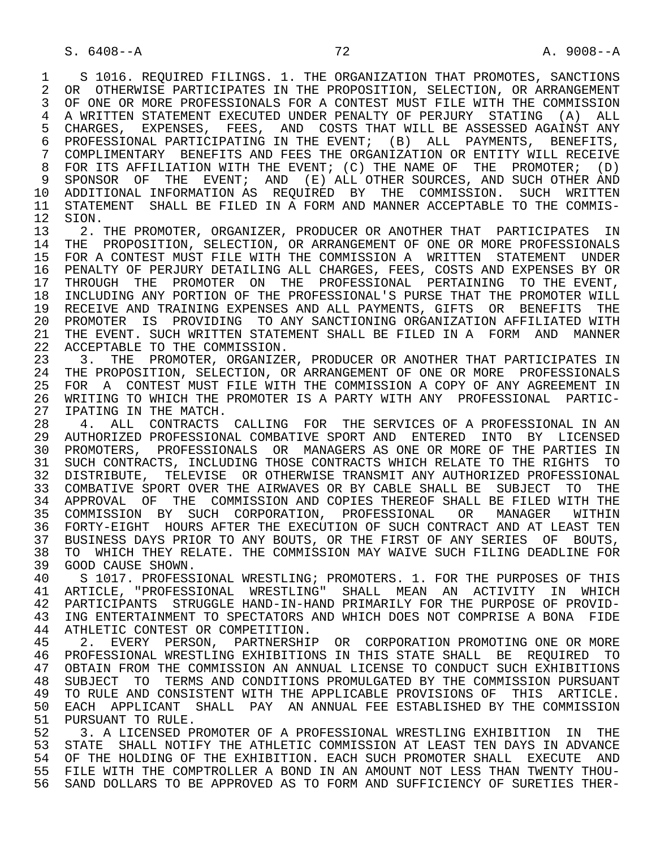1 S 1016. REQUIRED FILINGS. 1. THE ORGANIZATION THAT PROMOTES, SANCTIONS<br>2 OR OTHERWISE PARTICIPATES IN THE PROPOSITION, SELECTION, OR ARRANGEMENT 2 OR OTHERWISE PARTICIPATES IN THE PROPOSITION, SELECTION, OR ARRANGEMENT<br>3 OF ONE OR MORE PROFESSIONALS FOR A CONTEST MUST FILE WITH THE COMMISSION OF ONE OR MORE PROFESSIONALS FOR A CONTEST MUST FILE WITH THE COMMISSION 4 A WRITTEN STATEMENT EXECUTED UNDER PENALTY OF PERJURY STATING (A) ALL<br>5 CHARGES, EXPENSES, FEES, AND COSTS THAT WILL BE ASSESSED AGAINST ANY 5 CHARGES, EXPENSES, FEES, AND COSTS THAT WILL BE ASSESSED AGAINST ANY<br>6 PROFESSIONAL PARTICIPATING IN THE EVENT; (B) ALL PAYMENTS, BENEFITS, 6 PROFESSIONAL PARTICIPATING IN THE EVENT; (B) ALL PAYMENTS, BENEFITS,<br>7 COMPLIMENTARY BENEFITS AND FEES THE ORGANIZATION OR ENTITY WILL RECEIVE 7 COMPLIMENTARY BENEFITS AND FEES THE ORGANIZATION OR ENTITY WILL RECEIVE<br>8 FOR ITS AFFILIATION WITH THE EVENT: (C) THE NAME OF THE PROMOTER: (D) 8 FOR ITS AFFILIATION WITH THE EVENT; (C) THE NAME OF THE PROMOTER; (D)<br>9 SPONSOR OF THE EVENT; AND (E) ALL OTHER SOURCES, AND SUCH OTHER AND 9 SPONSOR OF THE EVENT; AND (E) ALL OTHER SOURCES, AND SUCH OTHER AND<br>10 ADDITIONAL INFORMATION AS REOUIRED BY THE COMMISSION. SUCH WRITTEN 10 ADDITIONAL INFORMATION AS REQUIRED BY THE COMMISSION. SUCH WRITTEN<br>11 STATEMENT SHALL BE FILED IN A FORM AND MANNER ACCEPTABLE TO THE COMMIS-11 STATEMENT SHALL BE FILED IN A FORM AND MANNER ACCEPTABLE TO THE COMMIS-<br>12 SION. 12 SION.<br>13 2.

13 2. THE PROMOTER, ORGANIZER, PRODUCER OR ANOTHER THAT PARTICIPATES IN<br>14 THE PROPOSITION, SELECTION, OR ARRANGEMENT OF ONE OR MORE PROFESSIONALS THE PROPOSITION, SELECTION, OR ARRANGEMENT OF ONE OR MORE PROFESSIONALS 15 FOR A CONTEST MUST FILE WITH THE COMMISSION A WRITTEN STATEMENT UNDER<br>16 PENALTY OF PERJURY DETAILING ALL CHARGES, FEES, COSTS AND EXPENSES BY OR 16 PENALTY OF PERJURY DETAILING ALL CHARGES, FEES, COSTS AND EXPENSES BY OR<br>17 THROUGH THE PROMOTER ON THE PROFESSIONAL PERTAINING TO THE EVENT. 17 THROUGH THE PROMOTER ON THE PROFESSIONAL PERTAINING TO THE EVENT,<br>18 INCLUDING ANY PORTION OF THE PROFESSIONAL'S PURSE THAT THE PROMOTER WILL 18 INCLUDING ANY PORTION OF THE PROFESSIONAL'S PURSE THAT THE PROMOTER WILL 19 RECEIVE AND TRAINING EXPENSES AND ALL PAYMENTS, GIFTS OR BENEFITS THE<br>20 PROMOTER IS PROVIDING TO ANY SANCTIONING ORGANIZATION AFFILIATED WITH 20 PROMOTER IS PROVIDING TO ANY SANCTIONING ORGANIZATION AFFILIATED WITH<br>21 THE EVENT, SUCH WRITTEN STATEMENT SHALL BE FILED IN A FORM AND MANNER 21 THE EVENT. SUCH WRITTEN STATEMENT SHALL BE FILED IN A FORM AND MANNER<br>22 ACCEPTABLE TO THE COMMISSION. 22 ACCEPTABLE TO THE COMMISSION.<br>23 3. THE PROMOTER, ORGANIZE

23 3. THE PROMOTER, ORGANIZER, PRODUCER OR ANOTHER THAT PARTICIPATES IN<br>24 THE PROPOSITION, SELECTION, OR ARRANGEMENT OF ONE OR MORE PROFESSIONALS 24 THE PROPOSITION, SELECTION, OR ARRANGEMENT OF ONE OR MORE PROFESSIONALS<br>25 FOR A CONTEST MUST FILE WITH THE COMMISSION A COPY OF ANY AGREEMENT IN 25 FOR A CONTEST MUST FILE WITH THE COMMISSION A COPY OF ANY AGREEMENT IN 26 WRITING TO WHICH THE PROMOTER IS A PARTY WITH ANY PROFESSIONAL PARTIC- 27 IPATING IN THE MATCH.<br>28 4. ALL CONTRACTS

28 4. ALL CONTRACTS CALLING FOR THE SERVICES OF A PROFESSIONAL IN AN<br>29 AUTHORIZED PROFESSIONAL COMBATIVE SPORT AND ENTERED INTO BY LICENSED 29 AUTHORIZED PROFESSIONAL COMBATIVE SPORT AND ENTERED INTO BY LICENSED<br>30 PROMOTERS, PROFESSIONALS OR MANAGERS AS ONE OR MORE OF THE PARTIES IN 30 PROMOTERS, PROFESSIONALS OR MANAGERS AS ONE OR MORE OF THE PARTIES IN<br>31 SUCH CONTRACTS, INCLUDING THOSE CONTRACTS WHICH RELATE TO THE RIGHTS TO 31 SUCH CONTRACTS, INCLUDING THOSE CONTRACTS WHICH RELATE TO THE RIGHTS TO 32 DISTRIBUTE, TELEVISE OR OTHERWISE TRANSMIT ANY AUTHORIZED PROFESSIONAL 32 DISTRIBUTE, TELEVISE OR OTHERWISE TRANSMIT ANY AUTHORIZED PROFESSIONAL<br>33 COMBATIVE SPORT OVER THE AIRWAVES OR BY CABLE SHALL BE SUBJECT TO THE 33 COMBATIVE SPORT OVER THE AIRWAVES OR BY CABLE SHALL BE SUBJECT TO THE 34 APPROVAL OF THE COMMISSION AND COPIES THEREOF SHALL BE FILED WITH THE 35 COMMISSION BY SUCH CORPORATION, PROFESSIONAL OR MANAGER WITHIN 35 COMMISSION BY SUCH CORPORATION, PROFESSIONAL OR MANAGER WITHIN<br>36 FORTY-EIGHT HOURS-AFTER-THE-EXECUTION-OF-SUCH-CONTRACT-AND-AT-LEAST-TEN 36 FORTY-EIGHT HOURS AFTER THE EXECUTION OF SUCH CONTRACT AND AT LEAST TEN 37 BUSINESS DAYS PRIOR TO ANY BOUTS, OR THE FIRST OF ANY SERIES OF BOUTS, 38 TO WHICH THEY RELATE. THE COMMISSION MAY WAIVE SUCH FILING DEADLINE FOR 38 TO WHICH THEY RELATE. THE COMMISSION MAY WAIVE SUCH FILING DEADLINE FOR<br>39 GOOD CAUSE SHOWN. 39 GOOD CAUSE SHOWN.<br>40 S 1017. PROFESS

40 S 1017. PROFESSIONAL WRESTLING; PROMOTERS. 1. FOR THE PURPOSES OF THIS<br>41 ARTICLE, "PROFESSIONAL WRESTLING" SHALL MEAN AN ACTIVITY IN WHICH 41 ARTICLE, "PROFESSIONAL WRESTLING" SHALL MEAN AN ACTIVITY IN WHICH<br>42 PARTICIPANTS STRUGGLE-HAND-IN-HAND-PRIMARILY-FOR-THE-PURPOSE-OF-PROVID- 42 PARTICIPANTS STRUGGLE HAND-IN-HAND PRIMARILY FOR THE PURPOSE OF PROVID- 43 ING ENTERTAINMENT TO SPECTATORS AND WHICH DOES NOT COMPRISE A BONA FIDE<br>44 ATHLETIC CONTEST OR COMPETITION. 44 ATHLETIC CONTEST OR COMPETITION.<br>45 2. EVERY PERSON, PARTNERSHIP

 45 2. EVERY PERSON, PARTNERSHIP OR CORPORATION PROMOTING ONE OR MORE 46 PROFESSIONAL WRESTLING EXHIBITIONS IN THIS STATE SHALL BE REQUIRED TO<br>47 OBTAIN FROM THE COMMISSION AN ANNUAL LICENSE TO CONDUCT SUCH EXHIBITIONS 47 OBTAIN FROM THE COMMISSION AN ANNUAL LICENSE TO CONDUCT SUCH EXHIBITIONS<br>48 SUBJECT TO TERMS AND CONDITIONS PROMULGATED BY THE COMMISSION PURSUANT 48 SUBJECT TO TERMS AND CONDITIONS PROMULGATED BY THE COMMISSION PURSUANT 49 TO RULE AND CONSISTENT WITH THE APPLICABLE PROVISIONS OF THIS ARTICLE. 49 TO RULE AND CONSISTENT WITH THE APPLICABLE PROVISIONS OF THIS ARTICLE.<br>50 EACH APPLICANT SHALL PAY AN ANNUAL FEE ESTABLISHED BY THE COMMISSION 50 EACH APPLICANT SHALL PAY AN ANNUAL FEE ESTABLISHED BY THE COMMISSION<br>51 PURSUANT TO RULE. 51 PURSUANT TO RULE.<br>52 3. A LICENSED PI

52 5. A LICENSED PROMOTER OF A PROFESSIONAL WRESTLING EXHIBITION IN THE 53 STATE SHALL NOTIFY THE ATHLETIC COMMISSION AT LEAST TEN DAYS IN ADVANCE 53 STATE SHALL NOTIFY THE ATHLETIC COMMISSION AT LEAST TEN DAYS IN ADVANCE<br>54 OF THE HOLDING OF THE EXHIBITION. EACH SUCH PROMOTER SHALL, EXECUTE, AND 54 OF THE HOLDING OF THE EXHIBITION. EACH SUCH PROMOTER SHALL EXECUTE AND<br>55 FILE WITH THE COMPTROLLER A BOND IN AN AMOUNT NOT LESS THAN TWENTY THOU-55 FILE WITH THE COMPTROLLER A BOND IN AN AMOUNT NOT LESS THAN TWENTY THOU-<br>56 SAND DOLLARS TO BE APPROVED AS TO FORM AND SUFFICIENCY OF SURETIES THER-56 SAND DOLLARS TO BE APPROVED AS TO FORM AND SUFFICIENCY OF SURETIES THER-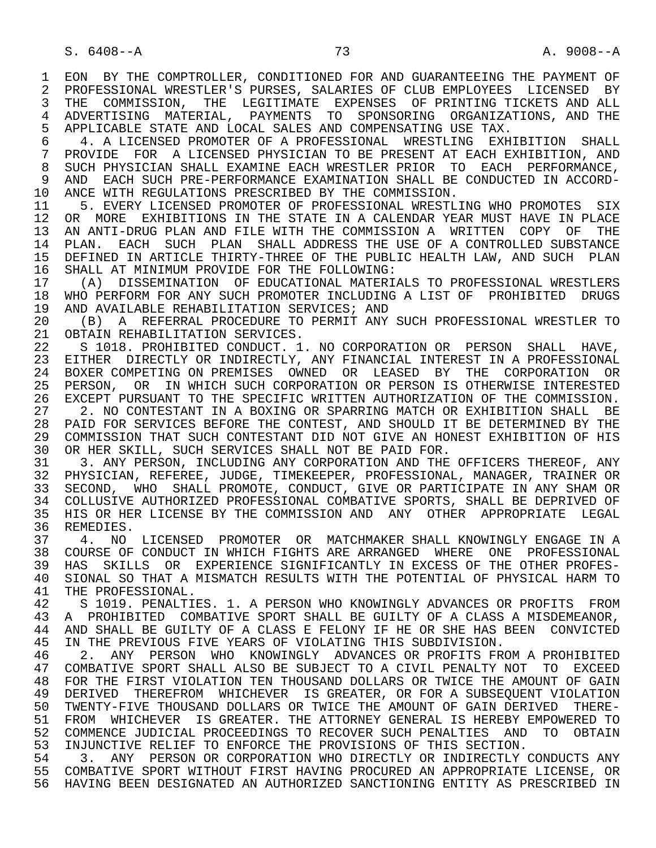1 EON BY THE COMPTROLLER, CONDITIONED FOR AND GUARANTEEING THE PAYMENT OF<br>2 PROFESSIONAL WRESTLER'S PURSES, SALARIES OF CLUB EMPLOYEES LICENSED BY 2 PROFESSIONAL WRESTLER'S PURSES, SALARIES OF CLUB EMPLOYEES LICENSED BY<br>3 THE COMMISSION, THE LEGITIMATE EXPENSES OF PRINTING TICKETS AND ALL 3 THE COMMISSION, THE LEGITIMATE EXPENSES OF PRINTING TICKETS AND ALL<br>4 ADVERTISING MATERIAL, PAYMENTS TO SPONSORING ORGANIZATIONS, AND THE 4 ADVERTISING MATERIAL, PAYMENTS TO SPONSORING ORGANIZATIONS, AND THE 41 APPLICABLE STATE AND LOCAL SALES AND COMPENSATING USE TAX. 5 APPLICABLE STATE AND LOCAL SALES AND COMPENSATING USE TAX.<br>6 4. A LICENSED PROMOTER OF A PROFESSIONAL WRESTLING EXH

6 4. A LICENSED PROMOTER OF A PROFESSIONAL WRESTLING EXHIBITION SHALL<br>7 PROVIDE FOR A LICENSED PHYSICIAN TO BE PRESENT AT EACH EXHIBITION, AND 7 PROVIDE FOR A LICENSED PHYSICIAN TO BE PRESENT AT EACH EXHIBITION, AND<br>8 SUCH PHYSICIAN SHALL EXAMINE EACH WRESTLER PRIOR TO FACH PERFORMANCE. 8 SUCH PHYSICIAN SHALL EXAMINE EACH WRESTLER PRIOR TO EACH PERFORMANCE,<br>9 AND EACH SUCH PRE-PERFORMANCE EXAMINATION SHALL BE CONDUCTED IN ACCORD-9 AND EACH SUCH PRE-PERFORMANCE EXAMINATION SHALL BE CONDUCTED IN ACCORD-<br>10 ANCE WITH REGULATIONS PRESCRIBED BY THE COMMISSION 10 ANCE WITH REGULATIONS PRESCRIBED BY THE COMMISSION.<br>11 5. EVERY LICENSED PROMOTER OF PROFESSIONAL WRESTL

11 5. EVERY LICENSED PROMOTER OF PROFESSIONAL WRESTLING WHO PROMOTES SIX<br>12 OR MORE EXHIBITIONS IN THE STATE IN A CALENDAR YEAR MUST HAVE IN PLACE 12 OR MORE EXHIBITIONS IN THE STATE IN A CALENDAR YEAR MUST HAVE IN PLACE<br>13 AN ANTI-DRUG PLAN AND FILE WITH THE COMMISSION A WRITTEN COPY OF THE 13 AN ANTI-DRUG PLAN AND FILE WITH THE COMMISSION A WRITTEN COPY OF THE 14 PLAN. EACH SUCH PLAN SHALL, ADDRESS THE USE OF A CONTROLLED SUBSTANCE PLAN. EACH SUCH PLAN SHALL ADDRESS THE USE OF A CONTROLLED SUBSTANCE 15 DEFINED IN ARTICLE THIRTY-THREE OF THE PUBLIC HEALTH LAW, AND SUCH PLAN<br>16 SHALL AT MINIMUM PROVIDE FOR THE FOLLOWING: 16 SHALL AT MINIMUM PROVIDE FOR THE FOLLOWING:<br>17 (A) DISSEMINATION OF EDUCATIONAL MATERI.

 17 (A) DISSEMINATION OF EDUCATIONAL MATERIALS TO PROFESSIONAL WRESTLERS 18 WHO PERFORM FOR ANY SUCH PROMOTER INCLUDING A LIST OF PROHIBITED DRUGS<br>19 AND AVAILABLE REHABILITATION SERVICES; AND 19 AND AVAILABLE REHABILITATION SERVICES; AND 20 (B) A REFERRAL PROCEDURE TO PERMIT ANY

 20 (B) A REFERRAL PROCEDURE TO PERMIT ANY SUCH PROFESSIONAL WRESTLER TO 21 OBTAIN REHABILITATION SERVICES.<br>22 S 1018. PROHIBITED CONDUCT. 1

22 S 1018. PROHIBITED CONDUCT. 1. NO CORPORATION OR PERSON SHALL HAVE,<br>23 EITHER DIRECTLY OR INDIRECTLY, ANY FINANCIAL INTEREST IN A PROFESSIONAL EITHER DIRECTLY OR INDIRECTLY, ANY FINANCIAL INTEREST IN A PROFESSIONAL 24 BOXER COMPETING ON PREMISES OWNED OR LEASED BY THE CORPORATION OR<br>25 PERSON, OR IN WHICH SUCH CORPORATION OR PERSON IS OTHERWISE INTERESTED 25 PERSON, OR IN WHICH SUCH CORPORATION OR PERSON IS OTHERWISE INTERESTED 26 EXCEPT PURSUANT TO THE SPECIFIC WRITTEN AUTHORIZATION OF THE COMMISSION.<br>27 . 2. NO CONTESTANT IN A BOXING OR SPARRING MATCH OR EXHIBITION SHALL BE 27 2. NO CONTESTANT IN A BOXING OR SPARRING MATCH OR EXHIBITION SHALL BE<br>28 PAID FOR SERVICES BEFORE THE CONTEST, AND SHOULD IT BE DETERMINED BY THE 28 PAID FOR SERVICES BEFORE THE CONTEST, AND SHOULD IT BE DETERMINED BY THE 29 COMMISSION THAT SUCH CONTESTANT DID NOT GIVE AN HONEST EXHIBITION OF HIS 29 COMMISSION THAT SUCH CONTESTANT DID NOT GIVE AN HONEST EXHIBITION OF HIS<br>30 OR HER SKILL, SUCH SERVICES SHALL NOT BE PAID FOR. 30 OR HER SKILL, SUCH SERVICES SHALL NOT BE PAID FOR.<br>31 3. ANY PERSON, INCLUDING ANY CORPORATION AND THE

31 3. ANY PERSON, INCLUDING ANY CORPORATION AND THE OFFICERS THEREOF, ANY 32 PHYSICIAN. REFEREE, JUDGE, TIMEKEEPER, PROFESSIONAL, MANAGER, TRAINER OR 32 PHYSICIAN, REFEREE, JUDGE, TIMEKEEPER, PROFESSIONAL, MANAGER, TRAINER OR<br>33 SECOND, WHO SHALL PROMOTE, CONDUCT, GIVE OR PARTICIPATE IN ANY SHAM OR 33 SECOND, WHO SHALL PROMOTE, CONDUCT, GIVE OR PARTICIPATE IN ANY SHAM OR<br>34 COLLUSIVE AUTHORIZED PROFESSIONAL COMBATIVE SPORTS, SHALL BE DEPRIVED OF 34 COLLUSIVE AUTHORIZED PROFESSIONAL COMBATIVE SPORTS, SHALL BE DEPRIVED OF<br>35 HIS OR HER LICENSE BY THE COMMISSION AND ANY OTHER APPROPRIATE LEGAL 35 HIS OR HER LICENSE BY THE COMMISSION AND ANY OTHER APPROPRIATE LEGAL<br>36 REMEDIES. REMEDIES.

37 4. NO LICENSED PROMOTER OR MATCHMAKER SHALL KNOWINGLY ENGAGE IN A<br>38 COURSE OF CONDUCT IN WHICH FIGHTS ARE ARRANGED WHERE ONE PROFESSIONAL 38 COURSE OF CONDUCT IN WHICH FIGHTS ARE ARRANGED WHERE ONE PROFESSIONAL<br>39 HAS SKILLS OR EXPERIENCE SIGNIFICANTLY IN EXCESS OF THE OTHER PROFES-39 HAS SKILLS OR EXPERIENCE SIGNIFICANTLY IN EXCESS OF THE OTHER PROFES-<br>40 SIONAL SO THAT A MISMATCH RESULTS WITH THE POTENTIAL OF PHYSICAL HARM TO 40 SIONAL SO THAT A MISMATCH RESULTS WITH THE POTENTIAL OF PHYSICAL HARM TO 41 THE PROFESSIONAL. 41 THE PROFESSIONAL.<br>42 S 1019. PENALTI

42 S 1019. PENALTIES. 1. A PERSON WHO KNOWINGLY ADVANCES OR PROFITS FROM<br>43 A PROHIBITED COMBATIVE SPORT SHALL BE GUILTY OF A CLASS A MISDEMEANOR. 43 A PROHIBITED COMBATIVE SPORT SHALL BE GUILTY OF A CLASS A MISDEMEANOR,<br>44 AND SHALL BE GUILTY OF A CLASS E FELONY IF HE OR SHE HAS BEEN CONVICTED 44 AND SHALL BE GUILTY OF A CLASS E FELONY IF HE OR SHE HAS BEEN CONVICTED<br>45 IN THE PREVIOUS FIVE YEARS OF VIOLATING THIS SUBDIVISION. IN THE PREVIOUS FIVE YEARS OF VIOLATING THIS SUBDIVISION.

46 2. ANY PERSON WHO KNOWINGLY ADVANCES OR PROFITS FROM A PROHIBITED<br>47 COMBATIVE SPORT SHALL ALSO BE SUBJECT TO A CIVIL PENALTY NOT TO EXCEED 47 COMBATIVE SPORT SHALL ALSO BE SUBJECT TO A CIVIL PENALTY NOT TO EXCEED<br>48 FOR THE FIRST VIOLATION TEN THOUSAND DOLLARS OR TWICE THE AMOUNT OF GAIN 48 FOR THE FIRST VIOLATION TEN THOUSAND DOLLARS OR TWICE THE AMOUNT OF GAIN<br>49 DERIVED THEREFROM WHICHEVER IS GREATER, OR FOR A SUBSEQUENT VIOLATION 49 DERIVED THEREFROM WHICHEVER IS GREATER, OR FOR A SUBSEQUENT VIOLATION<br>50 TWENTY-FIVE THOUSAND DOLLARS OR TWICE THE AMOUNT OF GAIN DERIVED THERE-50 TWENTY-FIVE THOUSAND DOLLARS OR TWICE THE AMOUNT OF GAIN DERIVED THERE-<br>51 FROM WHICHEVER IS GREATER. THE ATTORNEY GENERAL IS HEREBY EMPOWERED TO 51 FROM WHICHEVER IS GREATER. THE ATTORNEY GENERAL IS HEREBY EMPOWERED TO 52 COMMENCE JUDICIAL PROCEEDINGS TO RECOVER SUCH PENALTIES AND TO OBTAIN<br>53 INJUNCTIVE RELIEF TO ENFORCE THE PROVISIONS OF THIS SECTION. 53 INJUNCTIVE RELIEF TO ENFORCE THE PROVISIONS OF THIS SECTION.<br>54 3. ANY PERSON OR CORPORATION WHO DIRECTLY OR INDIRECTLY

54 3. ANY PERSON OR CORPORATION WHO DIRECTLY OR INDIRECTLY CONDUCTS ANY<br>55 COMBATIVE SPORT WITHOUT FIRST HAVING PROCURED AN APPROPRIATE LICENSE, OR 55 COMBATIVE SPORT WITHOUT FIRST HAVING PROCURED AN APPROPRIATE LICENSE, OR 56 HAVING BEEN DESIGNATED AN AUTHORIZED SANCTIONING ENTITY AS PRESCRIBED IN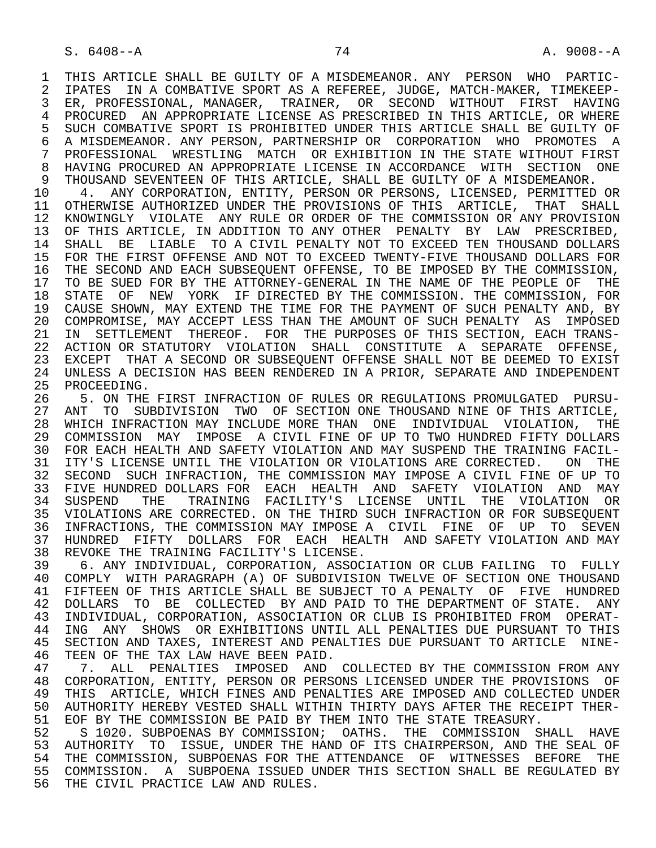1 THIS ARTICLE SHALL BE GUILTY OF A MISDEMEANOR. ANY PERSON WHO PARTIC-<br>2 IPATES IN A COMBATIVE SPORT AS A REFEREE, JUDGE, MATCH-MAKER, TIMEKEEP-2 IPATES IN A COMBATIVE SPORT AS A REFEREE, JUDGE, MATCH-MAKER, TIMEKEEP-<br>3 ER. PROFESSIONAL. MANAGER. TRAINER. OR SECOND WITHOUT FIRST HAVING 3 ER, PROFESSIONAL, MANAGER, TRAINER, OR SECOND WITHOUT FIRST HAVING 4 PROCURED AN APPROPRIATE LICENSE AS PRESCRIBED IN THIS ARTICLE, OR WHERE<br>5 SUCH COMBATIVE SPORT IS PROHIBITED UNDER THIS ARTICLE SHALL BE GUILTY OF 5 SUCH COMBATIVE SPORT IS PROHIBITED UNDER THIS ARTICLE SHALL BE GUILTY OF<br>6 A MISDEMEANOR, ANY PERSON, PARTNERSHIP OR CORPORATION WHO PROMOTES A 6 A MISDEMEANOR. ANY PERSON, PARTNERSHIP OR CORPORATION WHO PROMOTES A<br>7 PROFESSIONAL WRESTLING MATCH OR EXHIBITION IN THE STATE WITHOUT FIRST 7 PROFESSIONAL WRESTLING MATCH OR EXHIBITION IN THE STATE WITHOUT FIRST<br>8 HAVING PROCURED AN APPROPRIATE LICENSE IN ACCORDANCE WITH SECTION ONE 8 HAVING PROCURED AN APPROPRIATE LICENSE IN ACCORDANCE WITH SECTION ONE<br>9 THOUSAND SEVENTEEN OF THIS ARTICLE, SHALL BE GUILTY OF A MISDEMEANOR.

9 THOUSAND SEVENTEEN OF THIS ARTICLE, SHALL BE GUILTY OF A MISDEMEANOR.<br>10 4. ANY CORPORATION, ENTITY, PERSON OR PERSONS, LICENSED, PERMITTED 10 4. ANY CORPORATION, ENTITY, PERSON OR PERSONS, LICENSED, PERMITTED OR<br>11 OTHERWISE AUTHORIZED UNDER THE PROVISIONS OF THIS ARTICLE. THAT SHALL 11 OTHERWISE AUTHORIZED UNDER THE PROVISIONS OF THIS ARTICLE, THAT SHALL<br>12 KNOWINGLY VIOLATE ANY RULE OR ORDER OF THE COMMISSION OR ANY PROVISION 12 KNOWINGLY VIOLATE ANY RULE OR ORDER OF THE COMMISSION OR ANY PROVISION<br>13 OF THIS ARTICLE, IN ADDITION TO ANY OTHER PENALTY BY LAW PRESCRIBED, 13 OF THIS ARTICLE, IN ADDITION TO ANY OTHER PENALTY BY LAW PRESCRIBED,<br>14 SHALL, BE LIABLE, TO A CIVIL PENALTY NOT TO EXCEED TEN THOUSAND DOLLARS SHALL BE LIABLE TO A CIVIL PENALTY NOT TO EXCEED TEN THOUSAND DOLLARS 15 FOR THE FIRST OFFENSE AND NOT TO EXCEED TWENTY-FIVE THOUSAND DOLLARS FOR<br>16 THE SECOND AND EACH SUBSEOUENT OFFENSE, TO BE IMPOSED BY THE COMMISSION, 16 THE SECOND AND EACH SUBSEQUENT OFFENSE, TO BE IMPOSED BY THE COMMISSION,<br>17 TO BE SUED FOR BY THE ATTORNEY-GENERAL IN THE NAME OF THE PEOPLE OF THE 17 TO BE SUED FOR BY THE ATTORNEY-GENERAL IN THE NAME OF THE PEOPLE OF THE THE STATE OF THE LIRECTED BY THE COMMISSION, FOR 18 STATE OF NEW YORK IF DIRECTED BY THE COMMISSION. THE COMMISSION, FOR<br>19 CAUSE SHOWN, MAY EXTEND THE TIME FOR THE PAYMENT OF SUCH PENALTY AND, BY 19 CAUSE SHOWN, MAY EXTEND THE TIME FOR THE PAYMENT OF SUCH PENALTY AND, BY<br>20 COMPROMISE, MAY ACCEPT LESS THAN THE AMOUNT OF SUCH PENALTY AS IMPOSED 20 COMPROMISE, MAY ACCEPT LESS THAN THE AMOUNT OF SUCH PENALTY AS IMPOSED<br>21 IN SETTLEMENT THEREOF. FOR THE PURPOSES OF THIS SECTION, EACH TRANS-21 IN SETTLEMENT THEREOF. FOR THE PURPOSES OF THIS SECTION, EACH TRANS-<br>22 ACTION OR STATUTORY VIOLATION SHALL CONSTITUTE A SEPARATE OFFENSE. 22 ACTION OR STATUTORY VIOLATION SHALL CONSTITUTE A SEPARATE OFFENSE,<br>23 EXCEPT THAT A SECOND OR SUBSEOUENT OFFENSE SHALL NOT BE DEEMED TO EXIST 23 EXCEPT THAT A SECOND OR SUBSEQUENT OFFENSE SHALL NOT BE DEEMED TO EXIST<br>24 UNLESS A DECISION HAS BEEN RENDERED IN A PRIOR, SEPARATE AND INDEPENDENT 24 UNLESS A DECISION HAS BEEN RENDERED IN A PRIOR, SEPARATE AND INDEPENDENT<br>25 PROCEEDING. 25 PROCEEDING.

26 5. ON THE FIRST INFRACTION OF RULES OR REGULATIONS PROMULGATED PURSU-<br>27 ANT TO SUBDIVISION TWO OF SECTION ONE THOUSAND NINE OF THIS ARTICLE, 27 ANT TO SUBDIVISION TWO OF SECTION ONE THOUSAND NINE OF THIS ARTICLE,<br>28 WHICH INFRACTION MAY INCLUDE MORE THAN ONE INDIVIDUAL VIOLATION, THE 28 WHICH INFRACTION MAY INCLUDE MORE THAN ONE INDIVIDUAL VIOLATION, THE<br>29 COMMISSION MAY IMPOSE A CIVIL FINE OF UP TO TWO HUNDRED FIFTY DOLLARS 29 COMMISSION MAY IMPOSE A CIVIL FINE OF UP TO TWO HUNDRED FIFTY DOLLARS 30 FOR EACH HEALTH AND SAFETY VIOLATION AND MAY SUSPEND THE TRAINING FACIL-<br>31 ITY'S LICENSE UNTIL THE VIOLATION OR VIOLATIONS ARE CORRECTED. ON THE 31 ITY'S LICENSE UNTIL THE VIOLATION OR VIOLATIONS ARE CORRECTED. ON THE 32 SECOND SUCH INFRACTION, THE COMMISSION MAY IMPOSE A CIVIL FINE OF UP TO 32 SECOND SUCH INFRACTION, THE COMMISSION MAY IMPOSE A CIVIL FINE OF UP TO 33 FIVE HUNDRED DOLLARS FOR EACH HEALTH AND SAFETY VIOLATION AND MAY<br>34 SUSPEND THE TRAINING FACILITY'S LICENSE UNTIL THE VIOLATION OR THE TRAINING FACILITY'S LICENSE UNTIL THE VIOLATION OR 35 VIOLATIONS ARE CORRECTED. ON THE THIRD SUCH INFRACTION OR FOR SUBSEQUENT 36 INFRACTIONS, THE COMMISSION MAY IMPOSE A CIVIL FINE OF UP TO SEVEN 37 HUNDRED FIFTY DOLLARS FOR EACH HEALTH AND SAFETY VIOLATION AND MAY 38 REVOKE THE TRAINING FACILITY'S LICENSE.<br>39 6. ANY INDIVIDUAL. CORPORATION. ASSOC.

 39 6. ANY INDIVIDUAL, CORPORATION, ASSOCIATION OR CLUB FAILING TO FULLY 40 COMPLY WITH PARAGRAPH (A) OF SUBDIVISION TWELVE OF SECTION ONE THOUSAND<br>41 FIFTEEN OF THIS ARTICLE SHALL BE SUBJECT TO A PENALTY OF FIVE HUNDRED 41 FIFTEEN OF THIS ARTICLE SHALL BE SUBJECT TO A PENALTY OF FIVE HUNDRED 42 DOLLARS TO BE COLLECTED BY AND PAID TO THE DEPARTMENT OF STATE. ANY 43 INDIVIDUAL, CORPORATION, ASSOCIATION OR CLUB IS PROHIBITED FROM OPERAT- 43 INDIVIDUAL, CORPORATION, ASSOCIATION OR CLUB IS PROHIBITED FROM OPERAT- 44 ING ANY SHOWS OR EXHIBITIONS UNTIL ALL PENALTIES DUE PURSUANT TO THIS<br>45 SECTION AND TAXES, INTEREST AND PENALTIES DUE PURSUANT TO ARTICLE NINE- 45 SECTION AND TAXES, INTEREST AND PENALTIES DUE PURSUANT TO ARTICLE NINE- 46 TEEN OF THE TAX LAW HAVE BEEN PAID.<br>47 17. ALL PENALTIES IMPOSED AND

47 T. ALL PENALTIES IMPOSED AND COLLECTED BY THE COMMISSION FROM ANY 48 CORPORATION. ENTITY, PERSON OR PERSONS LICENSED UNDER THE PROVISIONS OF 48 CORPORATION, ENTITY, PERSON OR PERSONS LICENSED UNDER THE PROVISIONS OF<br>49 THIS ARTICLE, WHICH FINES AND PENALTIES ARE IMPOSED AND COLLECTED UNDER 49 THIS ARTICLE, WHICH FINES AND PENALTIES ARE IMPOSED AND COLLECTED UNDER<br>50 AUTHORITY HEREBY VESTED SHALL WITHIN THIRTY DAYS AFTER THE RECEIPT THER-50 AUTHORITY HEREBY VESTED SHALL WITHIN THIRTY DAYS AFTER THE RECEIPT THER-<br>51 EOF BY THE COMMISSION BE PAID BY THEM INTO THE STATE TREASURY. 51 EOF BY THE COMMISSION BE PAID BY THEM INTO THE STATE TREASURY.<br>52 S 1020. SUBPOENAS BY COMMISSION; OATHS. THE COMMISSION S

52 S 1020. SUBPOENAS BY COMMISSION; OATHS. THE COMMISSION SHALL HAVE<br>53 AUTHORITY TO ISSUE, UNDER THE HAND OF ITS CHAIRPERSON, AND THE SEAL OF 53 AUTHORITY TO ISSUE, UNDER THE HAND OF ITS CHAIRPERSON, AND THE SEAL OF<br>54 THE COMMISSION, SUBPOENAS FOR THE ATTENDANCE OF WITNESSES BEFORE THE 54 THE COMMISSION, SUBPOENAS FOR THE ATTENDANCE OF WITNESSES BEFORE THE<br>55 COMMISSION. A SUBPOENA ISSUED UNDER THIS SECTION SHALL BE REGULATED BY 55 COMMISSION. A SUBPOENA ISSUED UNDER THIS SECTION SHALL BE REGULATED BY 56 THE CIVIL PRACTICE LAW AND RULES.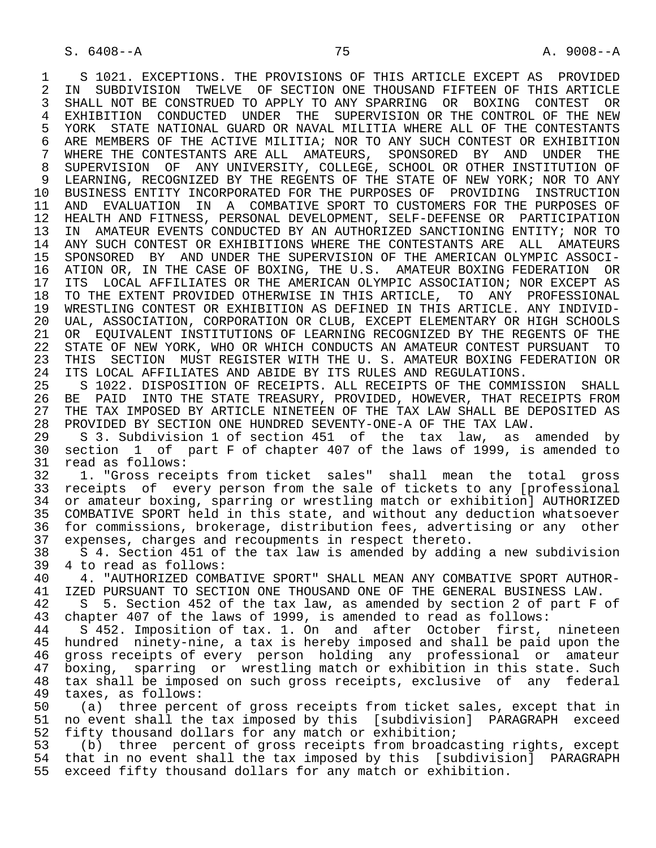1 S 1021. EXCEPTIONS. THE PROVISIONS OF THIS ARTICLE EXCEPT AS PROVIDED<br>2 IN SUBDIVISION TWELVE OF SECTION ONE THOUSAND FIFTEEN OF THIS ARTICLE 2 IN SUBDIVISION TWELVE OF SECTION ONE THOUSAND FIFTEEN OF THIS ARTICLE<br>3 SHALL NOT BE CONSTRUED TO APPLY TO ANY SPARRING OR BOXING CONTEST OR 3 SHALL NOT BE CONSTRUED TO APPLY TO ANY SPARRING OR BOXING CONTEST OR 4 EXHIBITION CONDUCTED UNDER THE SUPERVISION OR THE CONTROL OF THE NEW<br>5 YORK STATE NATIONAL GUARD OR NAVAL MILITIA WHERE ALL OF THE CONTESTANTS 5 YORK STATE NATIONAL GUARD OR NAVAL MILITIA WHERE ALL OF THE CONTESTANTS<br>6 ARE MEMBERS OF THE ACTIVE MILITIA; NOR TO ANY SUCH CONTEST OR EXHIBITION 6 ARE MEMBERS OF THE ACTIVE MILITIA; NOR TO ANY SUCH CONTEST OR EXHIBITION<br>7 WHERE THE CONTESTANTS ARE ALL AMATEURS, SPONSORED BY AND UNDER THE 7 WHERE THE CONTESTANTS ARE ALL AMATEURS, SPONSORED BY AND UNDER THE 8 SUPERVISION OF ANY UNIVERSITY, COLLEGE, SCHOOL OR OTHER INSTITUTION OF 3 LEARNING, RECOGNIZED BY THE REGENTS OF THE STATE OF NEW YORK; NOR TO ANY 9 LEARNING, RECOGNIZED BY THE REGENTS OF THE STATE OF NEW YORK; NOR TO ANY<br>10 BUSINESS ENTITY INCORPORATED FOR THE PURPOSES OF PROVIDING INSTRUCTION 10 BUSINESS ENTITY INCORPORATED FOR THE PURPOSES OF PROVIDING INSTRUCTION<br>11 AND EVALUATION IN A COMBATIVE SPORT TO CUSTOMERS FOR THE PURPOSES OF 11 AND EVALUATION IN A COMBATIVE SPORT TO CUSTOMERS FOR THE PURPOSES OF<br>12 HEALTH AND FITNESS, PERSONAL DEVELOPMENT, SELF-DEFENSE OR PARTICIPATION 12 HEALTH AND FITNESS, PERSONAL DEVELOPMENT, SELF-DEFENSE OR PARTICIPATION<br>13 IN AMATEUR EVENTS CONDUCTED BY AN AUTHORIZED SANCTIONING ENTITY; NOR TO 13 IN AMATEUR EVENTS CONDUCTED BY AN AUTHORIZED SANCTIONING ENTITY; NOR TO<br>14 ANY SUCH CONTEST OR EXHIBITIONS WHERE THE CONTESTANTS ARE ALL AMATEURS 14 ANY SUCH CONTEST OR EXHIBITIONS WHERE THE CONTESTANTS ARE ALL AMATEURS 15 SPONSORED BY AND UNDER THE SUPERVISION OF THE AMERICAN OLYMPIC ASSOCI- 16 ATION OR, IN THE CASE OF BOXING, THE U.S. AMATEUR BOXING FEDERATION OR<br>17 ITS LOCAL AFFILIATES OR THE AMERICAN OLYMPIC ASSOCIATION; NOR EXCEPT AS 17 ITS LOCAL AFFILIATES OR THE AMERICAN OLYMPIC ASSOCIATION; NOR EXCEPT AS<br>18 TO THE EXTENT PROVIDED OTHERWISE IN THIS ARTICLE, TO ANY PROFESSIONAL 18 TO THE EXTENT PROVIDED OTHERWISE IN THIS ARTICLE, TO ANY PROFESSIONAL<br>19 WRESTLING CONTEST OR EXHIBITION AS DEFINED IN THIS ARTICLE. ANY INDIVID-19 WRESTLING CONTEST OR EXHIBITION AS DEFINED IN THIS ARTICLE. ANY INDIVID-<br>20 UAL, ASSOCIATION, CORPORATION OR CLUB, EXCEPT ELEMENTARY OR HIGH SCHOOLS 20 UAL, ASSOCIATION, CORPORATION OR CLUB, EXCEPT ELEMENTARY OR HIGH SCHOOLS<br>21 OR EOUIVALENT INSTITUTIONS OF LEARNING RECOGNIZED BY THE REGENTS OF THE 21 OR EQUIVALENT INSTITUTIONS OF LEARNING RECOGNIZED BY THE REGENTS OF THE<br>22 STATE OF NEW YORK, WHO OR WHICH CONDUCTS AN AMATEUR CONTEST PURSUANT TO 22 STATE OF NEW YORK, WHO OR WHICH CONDUCTS AN AMATEUR CONTEST PURSUANT TO<br>23 THIS SECTION MUST REGISTER WITH THE U. S. AMATEUR BOXING FEDERATION OR THIS SECTION MUST REGISTER WITH THE U. S. AMATEUR BOXING FEDERATION OR 24 ITS LOCAL AFFILIATES AND ABIDE BY ITS RULES AND REGULATIONS.<br>25 S 1022. DISPOSITION OF RECEIPTS. ALL RECEIPTS OF THE COMMI 25 S 1022. DISPOSITION OF RECEIPTS. ALL RECEIPTS OF THE COMMISSION SHALL

26 BE PAID INTO THE STATE TREASURY, PROVIDED, HOWEVER, THAT RECEIPTS FROM<br>27 THE TAX IMPOSED BY ARTICLE NINETEEN OF THE TAX LAW SHALL BE DEPOSITED AS 27 THE TAX IMPOSED BY ARTICLE NINETEEN OF THE TAX LAW SHALL BE DEPOSITED AS<br>28 PROVIDED BY SECTION ONE HUNDRED SEVENTY-ONE-A OF THE TAX LAW. 28 PROVIDED BY SECTION ONE HUNDRED SEVENTY-ONE-A OF THE TAX LAW.<br>29 S 3. Subdivision 1 of section 451 of the tax law, as

29 S 3. Subdivision 1 of section 451 of the tax law, as amended by<br>30 section 1 of part F of chapter 407 of the laws of 1999, is amended to 30 section 1 of part F of chapter 407 of the laws of 1999, is amended to 31 read as follows:<br>32 1. "Gross rece

 32 1. "Gross receipts from ticket sales" shall mean the total gross 33 receipts of every person from the sale of tickets to any [professional<br>34 or amateur boxing, sparring or wrestling match or exhibition] AUTHORIZED 34 or amateur boxing, sparring or wrestling match or exhibition] AUTHORIZED<br>35 COMBATIVE SPORT held in this state, and without any deduction whatsoever 35 COMBATIVE SPORT held in this state, and without any deduction whatsoever<br>36 for commissions, brokerage, distribution fees, advertising or any other for commissions, brokerage, distribution fees, advertising or any other 37 expenses, charges and recoupments in respect thereto.

38 S 4. Section 451 of the tax law is amended by adding a new subdivision<br>39 4 to read as follows: 39 4 to read as follows:<br>40 4. "AUTHORIZED COMB

40 4. "AUTHORIZED COMBATIVE SPORT" SHALL MEAN ANY COMBATIVE SPORT AUTHOR-<br>41 IZED PURSUANT TO SECTION ONE THOUSAND ONE OF THE GENERAL BUSINESS LAW. 41 IZED PURSUANT TO SECTION ONE THOUSAND ONE OF THE GENERAL BUSINESS LAW.<br>42 S 5. Section 452 of the tax law, as amended by section 2 of part F

42 S 5. Section 452 of the tax law, as amended by section 2 of part F of 43 chapter 407 of the laws of 1999, is amended to read as follows: 43 chapter 407 of the laws of 1999, is amended to read as follows:<br>44 S 452. Imposition of tax. 1. On and after October first.

44 S 452. Imposition of tax. 1. On and after October first, nineteen<br>45 hundred ninety-nine, a tax is hereby imposed and shall be paid upon the hundred ninety-nine, a tax is hereby imposed and shall be paid upon the 46 gross receipts of every person holding any professional or amateur<br>47 boxing, sparring or wrestling match or exhibition in this state. Such 47 boxing, sparring or wrestling match or exhibition in this state. Such<br>48 tax shall be imposed on such gross receipts, exclusive of any federal 48 tax shall be imposed on such gross receipts, exclusive of any federal<br>49 taxes, as follows: 49 taxes, as follows:<br>50 (a) three perce

50 (a) three percent of gross receipts from ticket sales, except that in<br>51 no event shall the tax imposed by this [subdivision] PARAGRAPH exceed 51 no event shall the tax imposed by this [subdivision] PARAGRAPH exceed<br>52 fifty thousand dollars for any match or exhibition; 52 fifty thousand dollars for any match or exhibition;<br>53 (b) three percent of gross receipts from broadc

 53 (b) three percent of gross receipts from broadcasting rights, except that in no event shall the tax imposed by this [subdivision] PARAGRAPH 55 exceed fifty thousand dollars for any match or exhibition.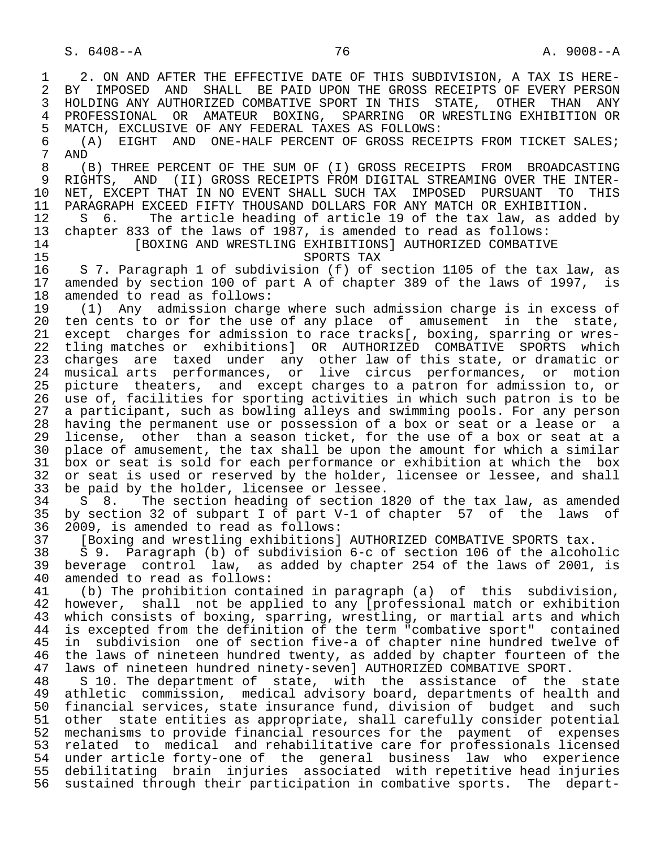1 2. ON AND AFTER THE EFFECTIVE DATE OF THIS SUBDIVISION, A TAX IS HERE-<br>2 BY IMPOSED AND SHALL BE PAID UPON THE GROSS RECEIPTS OF EVERY PERSON 2 BY IMPOSED AND SHALL BE PAID UPON THE GROSS RECEIPTS OF EVERY PERSON<br>3 HOLDING ANY AUTHORIZED COMBATIVE SPORT IN THIS STATE, OTHER THAN ANY 3 HOLDING ANY AUTHORIZED COMBATIVE SPORT IN THIS STATE, OTHER THAN ANY<br>4 PROFESSIONAL OR AMATEUR BOXING. SPARRING OR WRESTLING EXHIBITION OR 4 PROFESSIONAL OR AMATEUR BOXING, SPARRING ORWRESTLINGEXHIBITION OR<br>5 MATCH, EXCLUSIVE OF ANYFEDERAL TAXES ASFOLLOWS: 5 MATCH, EXCLUSIVE OF ANY FEDERAL TAXES AS FOLLOWS: 6 (A) EIGHT AND ONE-HALF PERCENT OF GROSS RECEIPTS FROM TICKET SALES;<br>7 AND 7 AND<br>8 (1 8 (B) THREE PERCENT OF THE SUM OF (I) GROSS RECEIPTS FROM BROADCASTING<br>9 RIGHTS, AND (II) GROSS RECEIPTS FROM DIGITAL STREAMING OVER THE INTER-9 RIGHTS, AND (II) GROSS RECEIPTS FROM DIGITAL STREAMING OVER THE INTER-<br>10 NET, EXCEPT THAT IN NO EVENT SHALL SUCH TAX IMPOSED PURSUANT TO THIS 10 NET, EXCEPT THAT IN NO EVENT SHALL SUCH TAX IMPOSED PURSUANT TO THIS<br>11 PARAGRAPH EXCEED FIFTY THOUSAND DOLLARS FOR ANY MATCH OR EXHIBITION. 11 PARAGRAPH EXCEED FIFTY THOUSAND DOLLARS FOR ANY MATCH OR EXHIBITION.<br>12 S 6. The article heading of article 19 of the tax law, as adde 12 S 6. The article heading of article 19 of the tax law, as added by<br>13 chapter 833 of the laws of 1987, is amended to read as follows: 13 chapter 833 of the laws of 1987, is amended to read as follows: 14 [BOXING AND WRESTLING EXHIBITIONS] AUTHORIZED COMBATIVE<br>SPORTS TAX 15 SPORTS TAX<br>16 S 7. Paragraph 1 of subdivision (f) of : 16 S 7. Paragraph 1 of subdivision (f) of section 1105 of the tax law, as<br>17 amended by section 100 of part A of chapter 389 of the laws of 1997, is 17 amended by section 100 of part A of chapter 389 of the laws of 1997, is<br>18 amended to read as follows: 18 amended to read as follows:<br>19 (1) Any admission charg 19 (1) Any admission charge where such admission charge is in excess of 20 ten cents to or for the use of any place of amusement in the state. 20 ten cents to or for the use of any place of amusement in the state, 21 except charges for admission to race tracks[, boxing, sparring or wres- 22 tling matches or exhibitions] OR AUTHORIZED COMBATIVE SPORTS which<br>23 charges are taxed under any other law of this state, or dramatic or 23 charges are taxed under any other law of this state, or dramatic or 24 musical arts performances, or live circus performances, or motion 25 picture theaters, and except charges to a patron for admission to, or 26 use of, facilities for sporting activities in which such patron is to be<br>27 a participant, such as bowling alleys and swimming pools. For any person 27 a participant, such as bowling alleys and swimming pools. For any person<br>28 having the permanent use or possession of a box or seat or a lease or a 28 having the permanent use or possession of a box or seat or a lease or a<br>29 license, other than a season ticket, for the use of a box or seat at a 29 license, other than a season ticket, for the use of a box or seat at a<br>20 place of amusement, the tax shall be upon the amount for which a similar 30 place of amusement, the tax shall be upon the amount for which a similar<br>31 box or seat is sold for each performance or exhibition at which the box 31 box or seat is sold for each performance or exhibition at which the box<br>32 or seat is used or reserved by the holder, licensee or lessee, and shall 32 or seat is used or reserved by the holder, licensee or lessee, and shall<br>33 be paid by the holder, licensee or lessee. 33 be paid by the holder, licensee or lessee.<br>34 S 8. The section heading of section 18 34 S 8. The section heading of section 1820 of the tax law, as amended<br>35 by section 32 of subpart I of part V-1 of chapter 57 of the laws of 35 by section 32 of subpart I of part V-1 of chapter 57 of the laws of 36 2009, is amended to read as follows: 37 [Boxing and wrestling exhibitions] AUTHORIZED COMBATIVE SPORTS tax.<br>38 S 9. Paragraph (b) of subdivision 6-c of section 106 of the alcoho 38 S 9. Paragraph (b) of subdivision 6-c of section 106 of the alcoholic 39 beverage control law, as added by chapter 254 of the laws of 2001, is 40 amended to read as follows:<br>41 (b) The prohibition conta 41 (b) The prohibition contained in paragraph (a) of this subdivision,<br>42 however, shall not be applied to any [professional match or exhibition 42 however, shall not be applied to any  $\overline{p}$  professional match or exhibition<br>43 which consists of boxing, sparring, wrestling, or martial arts and which 43 which consists of boxing, sparring, wrestling, or martial arts and which<br>44 is excepted from the definition of the term "combative sport" contained 44 is excepted from the definition of the term "combative sport" contained<br>45 in subdivision one of section five-a of chapter nine hundred twelve of in subdivision one of section five-a of chapter nine hundred twelve of 46 the laws of nineteen hundred twenty, as added by chapter fourteen of the<br>47 laws of nineteen hundred ninety-sevenl AUTHORIZED COMBATIVE SPORT. 47 laws of nineteen hundred ninety-seven] AUTHORIZED COMBATIVE SPORT.<br>48 S 10. The department of state, with the assistance of the 48 S 10. The department of state, with the assistance of the state<br>49 athletic commission, medical advisory board, departments of health and 49 athletic commission, medical advisory board, departments of health and<br>50 financial services, state insurance fund, division of budget and such 50 financial services, state insurance fund, division of budget and such<br>51 other state entities as appropriate, shall carefully consider potential other state entities as appropriate, shall carefully consider potential 52 mechanisms to provide financial resources for the payment of expenses 53 related to medical and rehabilitative care for professionals licensed 54 under article forty-one of the general business law who experience 55 debilitating brain injuries associated with repetitive head injuries 56 sustained through their participation in combative sports. The depart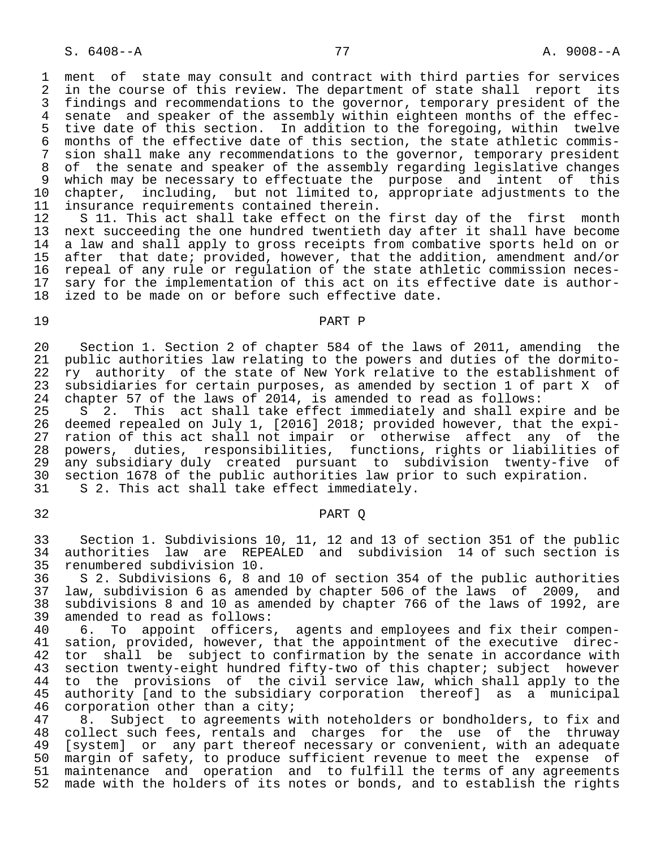S. 6408--A 77 A. 9008--A

1 ment of state may consult and contract with third parties for services<br>2 in the course of this review. The department of state shall report its 2 in the course of this review. The department of state shall report its<br>3 findings and recommendations to the governor, temporary president of the 3 findings and recommendations to the governor, temporary president of the<br>4 senate and speaker of the assembly within eighteen months of the effec-4 senate and speaker of the assembly within eighteen months of the effec-<br>5 tive date of this section. In addition to the foregoing, within twelve 5 tive date of this section. In addition to the foregoing, within twelve<br>6 months of the effective date of this section, the state athletic commis-6 months of the effective date of this section, the state athletic commis-<br>7 sion shall make any recommendations to the governor, temporary president 7 sion shall make any recommendations to the governor, temporary president<br>8 of the senate and speaker of the assembly regarding legislative changes 8 of the senate and speaker of the assembly regarding legislative changes<br>8 which may be necessary to effectuate the purpose and intent of this 9 which may be necessary to effectuate the purpose and intent of this 10 chapter, including, but not limited to, appropriate adjustments to the 11 insurance requirements contained therein.<br>12 S 11. This act shall take effect on the

12 S 11. This act shall take effect on the first day of the first month<br>13 next succeeding the one hundred twentieth day after it shall have become 13 next succeeding the one hundred twentieth day after it shall have become<br>14 a law and shall apply to gross receipts from combative sports held on or a law and shall apply to gross receipts from combative sports held on or 15 after that date; provided, however, that the addition, amendment and/or<br>16 repeal of any rule or regulation of the state athletic commission neces-16 repeal of any rule or regulation of the state athletic commission neces-<br>17 sary for the implementation of this act on its effective date is author-17 sary for the implementation of this act on its effective date is author-<br>18 ized to be made on or before such effective date. ized to be made on or before such effective date.

## 19 PART P

20 Section 1. Section 2 of chapter 584 of the laws of 2011, amending the<br>21 public authorities law relating to the powers and duties of the dormitopublic authorities law relating to the powers and duties of the dormito-22 ry authority of the state of New York relative to the establishment of<br>23 subsidiaries for certain purposes, as amended by section 1 of part X of 23 subsidiaries for certain purposes, as amended by section 1 of part X of 24 chapter 57 of the laws of 2014, is amended to read as follows: 24 chapter 57 of the laws of 2014, is amended to read as follows:

25 S 2. This act shall take effect immediately and shall expire and be<br>26 deemed repealed on July 1, [2016] 2018; provided however, that the expi-26 deemed repealed on July 1, [2016] 2018; provided however, that the expi-<br>27 ration of this act shall not impair or otherwise affect any of the 27 ration of this act shall not impair or otherwise affect any of the<br>28 powers, duties, responsibilities, functions, rights or liabilities of 28 powers, duties, responsibilities, functions, rights or liabilities of 29 any subsidiary duly created pursuant to subdivision twenty-five of<br>30 section 1678 of the public authorities law prior to such expiration. 30 section 1678 of the public authorities law prior to such expiration.<br>31 S 2. This act shall take effect immediately. S 2. This act shall take effect immediately.

## 32 PART Q

 33 Section 1. Subdivisions 10, 11, 12 and 13 of section 351 of the public 34 authorities law are REPEALED and subdivision 14 of such section is 35 renumbered subdivision 10.<br>36 S 2. Subdivisions 6, 8 a

36 S 2. Subdivisions 6, 8 and 10 of section 354 of the public authorities<br>37 law, subdivision 6 as amended by chapter 506 of the laws of 2009, and 37 law, subdivision 6 as amended by chapter 506 of the laws of 2009, and 38 subdivisions 8 and 10 as amended by chapter 766 of the laws of 1992, are 39 amended to read as follows:<br>40 6. To appoint officers

40 6. To appoint officers, agents and employees and fix their compen-<br>41 sation, provided, however, that the appointment of the executive direc-41 sation, provided, however, that the appointment of the executive direc-<br>42 tor shall be subject to confirmation by the senate in accordance with 42 tor shall be subject to confirmation by the senate in accordance with<br>43 section twenty-eight hundred fifty-two of this chapter; subject however 43 section twenty-eight hundred fifty-two of this chapter; subject however<br>44 to the provisions of the civil service law, which shall apply to the 44 to the provisions of the civil service law, which shall apply to the<br>45 authority [and to the subsidiary corporation thereof] as a municipal 45 authority [and to the subsidiary corporation thereof] as a municipal<br>46 corporation other than a city; 46 corporation other than a city;<br>47 8. Subject to agreements w

47 8. Subject to agreements with noteholders or bondholders, to fix and<br>48 collect such fees, rentals and charges for the use of the thruway 48 collect such fees, rentals and charges for the use of the thruway<br>49 [system] or any part thereof necessary or convenient, with an adequate 49 [system] or any part thereof necessary or convenient, with an adequate<br>50 margin of safety, to produce sufficient revenue to meet the expense of 50 margin of safety, to produce sufficient revenue to meet the expense of<br>51 maintenance and operation and to fulfill the terms of any agreements 51 maintenance and operation and to fulfill the terms of any agreements<br>52 made with the holders of its notes or bonds, and to establish the rights made with the holders of its notes or bonds, and to establish the rights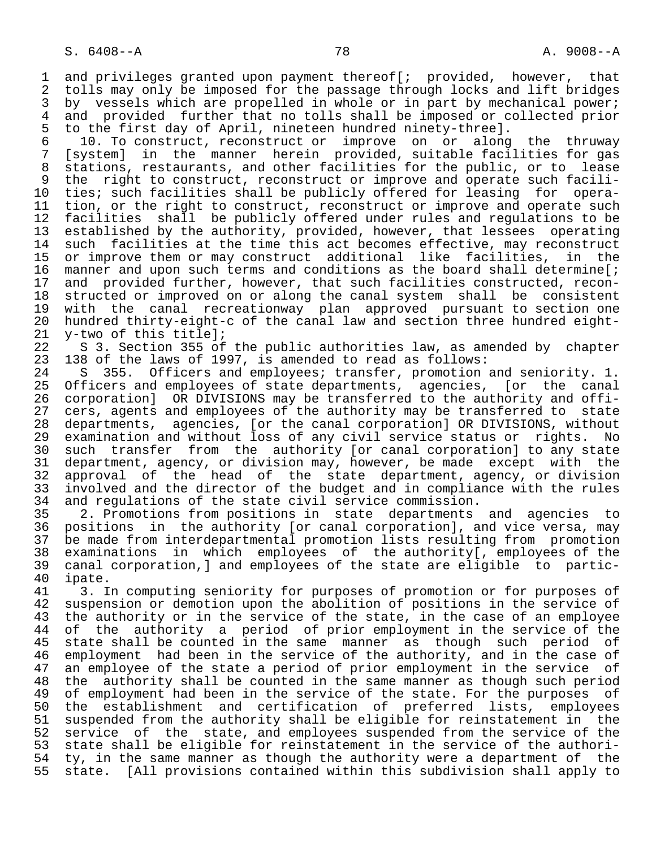1 and privileges granted upon payment thereof[; provided, however, that<br>2 tolls may only be imposed for the passage through locks and lift bridges 2 tolls may only be imposed for the passage through locks and lift bridges<br>3 by vessels which are propelled in whole or in part by mechanical power; 3 by vessels which are propelled in whole or in part by mechanical power;<br>4 and provided further that no tolls shall be imposed or collected prior 4 and provided further that no tolls shall be imposed or collected prior<br>5 to the first day of April, nineteen hundred ninety-three]. 5 to the first day of April, nineteen hundred ninety-three].

 6 10. To construct, reconstruct or improve on or along the thruway 7 [system] in the manner herein provided, suitable facilities for gas<br>8 stations, restaurants, and other facilities for the public, or to lease 8 stations, restaurants, and other facilities for the public, or to lease<br>8 the right to construct, reconstruct or improve and operate such facili-9 the right to construct, reconstruct or improve and operate such facili-<br>10 ties; such facilities shall be publicly offered for leasing for opera-10 ties; such facilities shall be publicly offered for leasing for opera-<br>11 tion, or the right to construct, reconstruct or improve and operate such 11 tion, or the right to construct, reconstruct or improve and operate such<br>12 facilities shall be publicly offered under rules and regulations to be 12 facilities shall be publicly offered under rules and regulations to be<br>13 established by the authority, provided, however, that lessees operating 13 established by the authority, provided, however, that lessees operating<br>14 such facilities at the time this act becomes effective, may reconstruct such facilities at the time this act becomes effective, may reconstruct 15 or improve them or may construct additional like facilities, in the<br>16 manner and upon such terms and conditions as the board shall determine[; 16 manner and upon such terms and conditions as the board shall determine[;<br>17 and provided further, however, that such facilities constructed, recon-17 and provided further, however, that such facilities constructed, recon-<br>18 structed or improved on or along the canal system shall be consistent 18 structed or improved on or along the canal system shall be consistent<br>19 with the canal recreationway plan approved pursuant to section one 19 with the canal recreationway plan approved pursuant to section one 20 hundred thirty-eight-c of the canal law and section three hundred eight-<br>21 y-two of this title]; 21 y-two of this title];<br>22 S 3. Section 355 of

22 S 3. Section 355 of the public authorities law, as amended by chapter<br>23 138 of the laws of 1997, is amended to read as follows: 138 of the laws of 1997, is amended to read as follows:

24 S 355. Officers and employees; transfer, promotion and seniority. 1.<br>25 Officers and employees of state departments, agencies, for the canal 25 Officers and employees of state departments, agencies, [or the canal 26 corporation] OR DIVISIONS may be transferred to the authority and offi- 27 cers, agents and employees of the authority may be transferred to state<br>28 departments, agencies, [or the canal corporation] OR DIVISIONS, without 28 departments, agencies, [or the canal corporation] OR DIVISIONS, without<br>29 examination and without loss of any civil service status or rights. No 29 examination and without loss of any civil service status or rights. No<br>20 such transfer from the authority (or canal corporation) to any state 30 such transfer from the authority [or canal corporation] to any state<br>31 department, agency, or division may, howeyer, be made except with the 31 department, agency, or division may, however, be made except with the<br>32 approval of the head of the state department, agency, or division 32 approval of the head of the state department, agency, or division<br>33 involved and the director of the budget and in compliance with the rules 33 involved and the director of the budget and in compliance with the rules<br>34 and requlations of the state civil service commission. 34 and regulations of the state civil service commission.<br>35 2. Promotions from positions in state departments

35 2. Promotions from positions in state departments and agencies to<br>36 positions in the authority [or canal corporation], and vice versa, may positions in the authority [or canal corporation], and vice versa, may 37 be made from interdepartmental promotion lists resulting from promotion<br>38 examinations in which employees of the authority[, employees of the 38 examinations in which employees of the authority[, employees of the 39 canal corporation,] and employees of the state are eligible to partic- 40 ipate.<br>41 3. I

41 3. In computing seniority for purposes of promotion or for purposes of<br>42 suspension or demotion upon the abolition of positions in the service of 42 suspension or demotion upon the abolition of positions in the service of<br>43 the authority or in the service of the state, in the case of an employee 43 the authority or in the service of the state, in the case of an employee<br>44 of the authority a period of prior employment in the service of the 44 of the authority a period of prior employment in the service of the<br>45 state shall be counted in the same manner as though such period of state shall be counted in the same manner as though such period of 46 employment had been in the service of the authority, and in the case of<br>47 an employee of the state a period of prior employment in the service of 47 an employee of the state a period of prior employment in the service of<br>48 the authority shall be counted in the same manner as though such period 48 the authority shall be counted in the same manner as though such period<br>49 of employment had been in the service of the state. For the purposes of 49 of employment had been in the service of the state. For the purposes of<br>50 the establishment and certification of preferred lists, employees 50 the establishment and certification of preferred lists, employees<br>51 suspended from the authority shall be eligible for reinstatement in the 51 suspended from the authority shall be eligible for reinstatement in the<br>52 service of the state, and employees suspended from the service of the 52 service of the state, and employees suspended from the service of the<br>53 state shall be eligible for reinstatement in the service of the authori-53 state shall be eligible for reinstatement in the service of the authori-<br>54 ty, in the same manner as though the authority were a department of the 54 ty, in the same manner as though the authority were a department of the<br>55 state. [All provisions contained within this subdivision shall apply to state. [All provisions contained within this subdivision shall apply to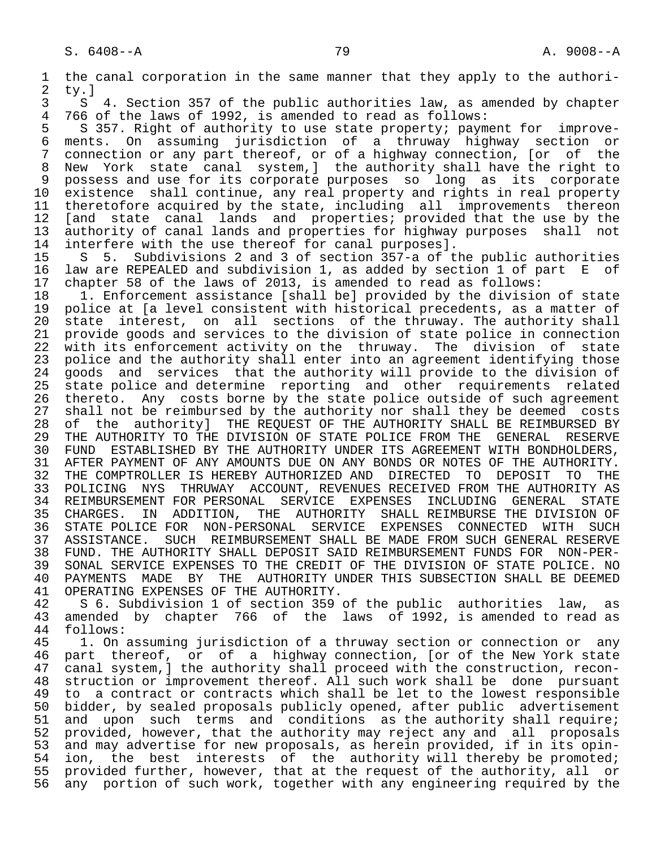1 the canal corporation in the same manner that they apply to the authori-<br>2 tv.l 2 ty.]<br>3 S

3 S 4. Section 357 of the public authorities law, as amended by chapter<br>4 766 of the laws of 1992, is amended to read as follows: 4 766 of the laws of 1992, is amended to read as follows:<br>5 S 357. Right of authority to use state property; paym

5 S 357. Right of authority to use state property; payment for improve-<br>6 ments. On assuming jurisdiction of a thruway highway section or 6 ments. On assuming jurisdiction of a thruway highway section or 7 connection or any part thereof, or of a highway connection, [or of the<br>8 New York state canal system, I the authority shall have the right to New York state canal system, ] the authority shall have the right to 9 possess and use for its corporate purposes so long as its corporate<br>10 existence shall continue, any real property and rights in real property 10 existence shall continue, any real property and rights in real property<br>11 theretofore acquired by the state, including all improvements thereon 11 theretofore acquired by the state, including all improvements thereon<br>12 [and state canal lands and properties; provided that the use by the 12 [and state canal lands and properties; provided that the use by the 13 authority of canal lands and properties for highway purposes shall not 14 interfere with the use thereof for canal purposes].<br>15 S 5. Subdivisions 2 and 3 of section 357-a of the

15 S 5. Subdivisions 2 and 3 of section 357-a of the public authorities<br>16 law are REPEALED and subdivision 1, as added by section 1 of part E of 16 law are REPEALED and subdivision 1, as added by section 1 of part E of<br>17 chapter 58 of the laws of 2013, is amended to read as follows: 17 chapter 58 of the laws of 2013, is amended to read as follows:<br>18 1. Enforcement assistance [shall be] provided by the divisio

18 1. Enforcement assistance [shall be] provided by the division of state<br>19 police at [a level consistent with historical precedents, as a matter of 19 police at [a level consistent with historical precedents, as a matter of<br>20 state interest, on all sections of the thruway. The authority shall 20 state interest, on all sections of the thruway. The authority shall<br>21 provide goods and services to the division of state police in connection 21 provide goods and services to the division of state police in connection<br>22 with its enforcement activity on the thruway. The division of state 22 with its enforcement activity on the thruway. The division of state<br>23 police and the authority shall enter into an agreement identifying those 23 police and the authority shall enter into an agreement identifying those<br>24 goods, and services, that the authority will provide to the division of 24 goods and services that the authority will provide to the division of<br>25 state police and determine reporting and other requirements related state police and determine reporting and other requirements related 26 thereto. Any costs borne by the state police outside of such agreement<br>27 shall not be reimbursed by the authority nor shall they be deemed costs 27 shall not be reimbursed by the authority nor shall they be deemed costs<br>28 of the authority] THE REOUEST OF THE AUTHORITY SHALL BE REIMBURSED BY 28 of the authority] THE REQUEST OF THE AUTHORITY SHALL BE REIMBURSED BY<br>29 THE AUTHORITY TO THE DIVISION OF STATE POLICE FROM THE GENERAL RESERVE 29 THE AUTHORITY TO THE DIVISION OF STATE POLICE FROM THE GENERAL RESERVE<br>30 FUND ESTABLISHED BY THE AUTHORITY UNDER ITS AGREEMENT WITH BONDHOLDERS. 30 FUND ESTABLISHED BY THE AUTHORITY UNDER ITS AGREEMENT WITH BONDHOLDERS,<br>31 AFTER PAYMENT OF ANY AMOUNTS DUE ON ANY BONDS OR NOTES OF THE AUTHORITY. 31 AFTER PAYMENT OF ANY AMOUNTS DUE ON ANY BONDS OR NOTES OF THE AUTHORITY.<br>32 THE COMPTROLLER IS HEREBY AUTHORIZED AND DIRECTED TO DEPOSIT TO THE 32 THE COMPTROLLER IS HEREBY AUTHORIZED AND DIRECTED TO DEPOSIT<br>33 POLICING NYS THRUWAY ACCOUNT, REVENUES RECEIVED FROM THE AUTI THRUWAY ACCOUNT, REVENUES RECEIVED FROM THE AUTHORITY AS<br>FOR PERSONAL SERVICE EXPENSES INCLUDING GENERAL STATE 34 REIMBURSEMENT FOR PERSONAL SERVICE EXPENSES INCLUDING GENERAL<br>35 CHARGES, IN ADDITION, THE AUTHORITY SHALL-REIMBURSE-THE-DIVIS CHARGES. IN ADDITION, THE AUTHORITY SHALL REIMBURSE THE DIVISION OF 36 STATE POLICE FOR NON-PERSONAL SERVICE EXPENSES CONNECTED WITH SUCH 37 ASSISTANCE. SUCH REIMBURSEMENT SHALL BE MADE FROM SUCH GENERAL RESERVE<br>38 FUND. THE AUTHORITY SHALL DEPOSIT SAID REIMBURSEMENT FUNDS FOR NON-PER- 38 FUND. THE AUTHORITY SHALL DEPOSIT SAID REIMBURSEMENT FUNDS FOR NON-PER- 39 SONAL SERVICE EXPENSES TO THE CREDIT OF THE DIVISION OF STATE POLICE. NO<br>40 PAYMENTS MADE BY THE AUTHORITY UNDER THIS SUBSECTION SHALL BE DEEMED 40 PAYMENTS MADE BY THE AUTHORITY UNDER THIS SUBSECTION SHALL BE DEEMED<br>41 OPERATING EXPENSES OF THE AUTHORITY.

41 OPERATING EXPENSES OF THE AUTHORITY.<br>42 S 6. Subdivision 1 of section 359 42 S 6. Subdivision 1 of section 359 of the public authorities law, as<br>43 amended by chapter 766 of the laws of 1992, is amended to read as 43 amended by chapter 766 of the laws of 1992, is amended to read as 44 follows: 44 follows:<br>45 1. On

1. On assuming jurisdiction of a thruway section or connection or any 46 part thereof, or of a highway connection, [or of the New York state<br>47 canal system, I the authority shall proceed with the construction, recon-47 canal system,] the authority shall proceed with the construction, recon-<br>48 struction or improvement thereof. All such work shall be done pursuant 48 struction or improvement thereof. All such work shall be done pursuant<br>49 to a contract or contracts which shall be let to the lowest responsible 49 to a contract or contracts which shall be let to the lowest responsible<br>50 bidder, by sealed proposals publicly opened, after public advertisement 50 bidder, by sealed proposals publicly opened, after public advertisement<br>51 and upon such terms and conditions as the authority shall require; 51 and upon such terms and conditions as the authority shall require;<br>52 provided, however, that the authority may reject any and all proposals 52 provided, however, that the authority may reject any and all proposals<br>53 and may advertise for new proposals, as herein provided, if in its opin-53 and may advertise for new proposals, as herein provided, if in its opin-<br>54 ion, the best interests of the authority will thereby be promoted; ion, the best interests of the authority will thereby be promoted; 55 provided further, however, that at the request of the authority, all or 56 any portion of such work, together with any engineering required by the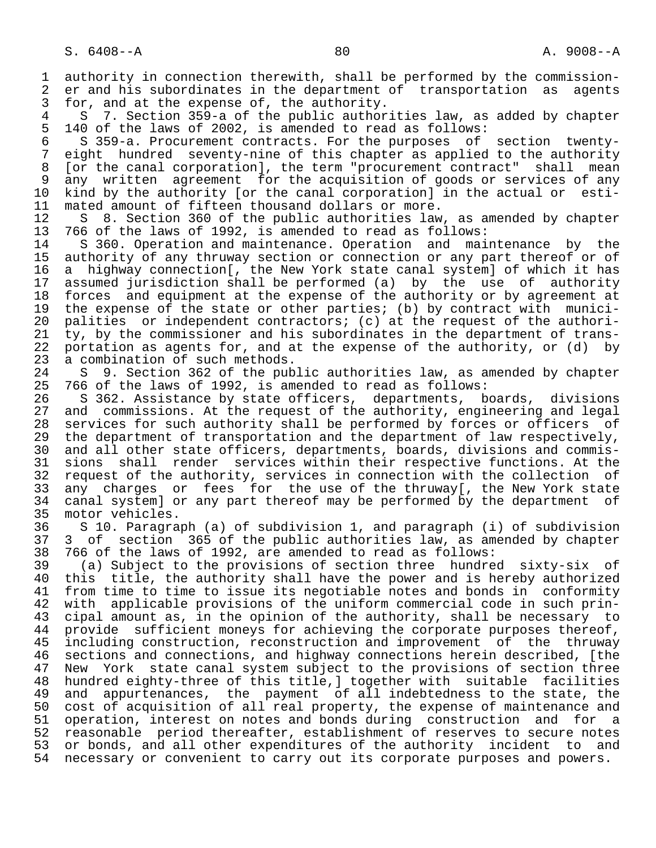1 authority in connection therewith, shall be performed by the commission-<br>2 er and his subordinates in the department of transportation as agents 2 er and his subordinates in the department of transportation as agents<br>3 for, and at the expense of, the authority. 3 for, and at the expense of, the authority.<br>4 S 7. Section 359-a of the public author

4 S 7. Section 359-a of the public authorities law, as added by chapter<br>5 140 of the laws of 2002, is amended to read as follows: 5 140 of the laws of 2002, is amended to read as follows:

6 S 359-a. Procurement contracts. For the purposes of section twenty-<br>7 eight hundred seventy-nine of this chapter as applied to the authority eight hundred seventy-nine of this chapter as applied to the authority 8 [or the canal corporation], the term "procurement contract" shall mean 9 any written agreement for the acquisition of goods or services of any<br>10 kind by the authority for the canal corporationl in the actual or esti-10 kind by the authority [or the canal corporation] in the actual or esti-<br>11 mated amount of fifteen thousand dollars or more. 11 mated amount of fifteen thousand dollars or more.<br>12 S 8. Section 360 of the public authorities law

12 S 8. Section 360 of the public authorities law, as amended by chapter<br>13 766 of the laws of 1992, is amended to read as follows: 13 766 of the laws of 1992, is amended to read as follows:

S 360. Operation and maintenance. Operation and maintenance by the 15 authority of any thruway section or connection or any part thereof or of<br>16 a highway connection[, the New York state canal system] of which it has 16 a highway connection[, the New York state canal system] of which it has<br>17 assumed jurisdiction shall be performed (a) by the use of authority 17 assumed jurisdiction shall be performed (a) by the use of authority<br>18 forces and equipment at the expense of the authority or by agreement at 18 forces and equipment at the expense of the authority or by agreement at<br>19 the expense of the state or other parties; (b) by contract with munici-19 the expense of the state or other parties; (b) by contract with munici-<br>20 palities or independent contractors; (c) at the request of the authori-20 palities or independent contractors; (c) at the request of the authori-<br>21 ty, by the commissioner and his subordinates in the department of trans-21 ty, by the commissioner and his subordinates in the department of trans-<br>22 portation as agents for, and at the expense of the authority, or (d) by 22 portation as agents for, and at the expense of the authority, or (d) by 23 a combination of such methods. 23 a combination of such methods.<br>24 S 9. Section 362 of the pub

24 S 9. Section 362 of the public authorities law, as amended by chapter<br>25 766 of the laws of 1992, is amended to read as follows: 25 766 of the laws of 1992, is amended to read as follows:

26 S 362. Assistance by state officers, departments, boards, divisions<br>27 and commissions. At the request of the authority, engineering and legal 27 and commissions. At the request of the authority, engineering and legal<br>28 services for such authority shall be performed by forces or officers of 28 services for such authority shall be performed by forces or officers of<br>29 the department of transportation and the department of law respectively, 29 the department of transportation and the department of law respectively,<br>20 and all other state officers, departments, boards, divisions and commis-30 and all other state officers, departments, boards, divisions and commis-<br>31 sions shall render services within their respective functions. At the 31 sions shall render services within their respective functions. At the<br>32 request of the authority, services in connection with the collection of 32 request of the authority, services in connection with the collection of<br>33 any charges or fees for the use of the thruway[, the New York state 33 any charges or fees for the use of the thruway[, the New York state<br>34 canal system] or any part thereof may be performed by the department of 34 canal system] or any part thereof may be performed by the department of 35 motor vehicles.

35 motor vehicles.<br>36 S 10. Paragra 36 S 10. Paragraph (a) of subdivision 1, and paragraph (i) of subdivision 37 3 of section 365 of the public authorities law, as amended by chapter<br>38 766 of the laws of 1992, are amended to read as follows: 38 766 of the laws of 1992, are amended to read as follows:

 39 (a) Subject to the provisions of section three hundred sixty-six of 40 this title, the authority shall have the power and is hereby authorized<br>41 from time to time to issue its negotiable notes and bonds in conformity 41 from time to time to issue its negotiable notes and bonds in conformity<br>42 with applicable provisions of the uniform commercial code in such prin-42 with applicable provisions of the uniform commercial code in such prin-<br>43 cipal amount as, in the opinion of the authority, shall be necessary to 43 cipal amount as, in the opinion of the authority, shall be necessary to<br>44 provide sufficient moneys for achieving the corporate purposes thereof, 44 provide sufficient moneys for achieving the corporate purposes thereof,<br>45 including construction, reconstruction and improvement of the thruway including construction, reconstruction and improvement of the thruway 46 sections and connections, and highway connections herein described, [the<br>47 New York state canal system subject to the provisions of section three New York state canal system subject to the provisions of section three 48 hundred eighty-three of this title,] together with suitable facilities 49 and appurtenances, the payment of all indebtedness to the state, the<br>50 cost of acquisition of all real property, the expense of maintenance and 50 cost of acquisition of all real property, the expense of maintenance and<br>51 operation, interest on notes and bonds during construction and for a 51 operation, interest on notes and bonds during construction and for a 52 reasonable period thereafter, establishment of reserves to secure notes 53 or bonds, and all other expenditures of the authority incident to and 54 necessary or convenient to carry out its corporate purposes and powers.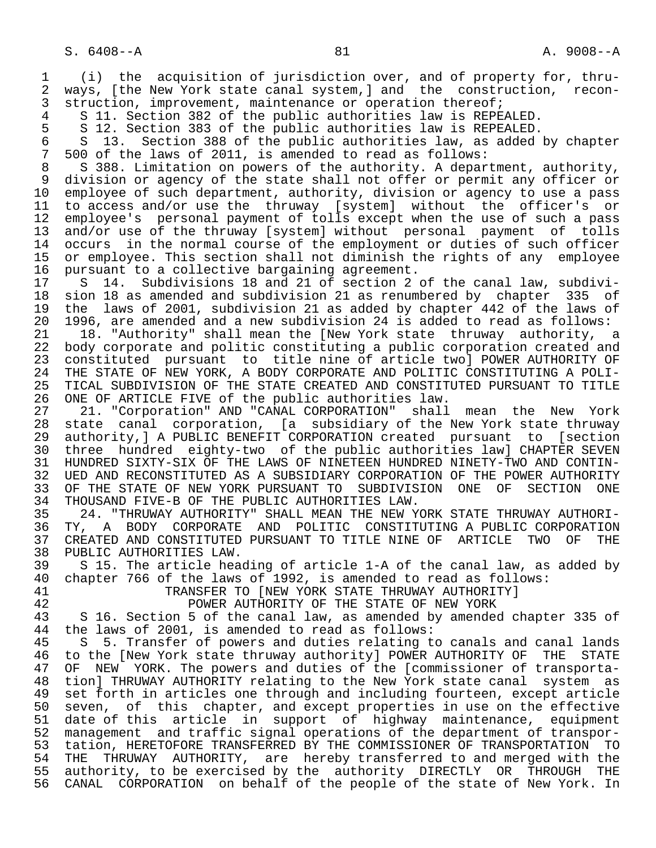1 (i) the acquisition of jurisdiction over, and of property for, thru- 2 ways, [the New York state canal system,] and the construction, recon-<br>3 struction, improvement, maintenance or operation thereof; 3 struction, improvement, maintenance or operation thereof;<br>4 S 11. Section 382 of the public authorities law is REPE

4 S 11. Section 382 of the public authorities law is REPEALED.<br>5 S 12. Section 383 of the public authorities law is REPEALED.

5 S 12. Section 383 of the public authorities law is REPEALED.<br>5 S 13. Section 388 of the public authorities law, as added 6 S 13. Section 388 of the public authorities law, as added by chapter<br>7 500 of the laws of 2011, is amended to read as follows:

 7 500 of the laws of 2011, is amended to read as follows: 8 S 388. Limitation on powers of the authority. A department, authority,<br>8 division or agency of the state shall not offer or permit any officer or 9 division or agency of the state shall not offer or permit any officer or<br>10 employee of such department, authority, division or agency to use a pass 10 employee of such department, authority, division or agency to use a pass<br>11 to access and/or use the thruway [system] without the officer's or 11 to access and/or use the thruway [system] without the officer's or<br>12 employee's personal payment of tolls except when the use of such a pass 12 employee's personal payment of tolls except when the use of such a pass<br>13 and/or use of the thruway [system] without personal payment of tolls 13 and/or use of the thruway [system] without personal payment of tolls<br>14 occurs in the normal course of the employment or duties of such officer occurs in the normal course of the employment or duties of such officer 15 or employee. This section shall not diminish the rights of any employee<br>16 pursuant to a collective bargaining agreement. 16 pursuant to a collective bargaining agreement.<br>17 S 14. Subdivisions 18 and 21 of section 2

17 S 14. Subdivisions 18 and 21 of section 2 of the canal law, subdivi-<br>18 sion 18 as amended and subdivision 21 as renumbered by chapter 335 of 18 sion 18 as amended and subdivision 21 as renumbered by chapter 335 of 19 the laws of 2001, subdivision 21 as added by chapter 442 of the laws of<br>20 1996, are amended and a new subdivision 24 is added to read as follows: 20 1996, are amended and a new subdivision 24 is added to read as follows:<br>21 18. "Authority" shall mean the [New York state thruway authority,

21 18. "Authority" shall mean the [New York state thruway authority, a<br>22 body corporate and politic constituting a public corporation created and 22 body corporate and politic constituting a public corporation created and<br>23 constituted pursuant to title nine of article twol POWER AUTHORITY OF 23 constituted pursuant to title nine of article two] POWER AUTHORITY OF 24 THE STATE OF NEW YORK, A BODY CORPORATE AND POLITIC CONSTITUTING A POLI- 25 TICAL SUBDIVISION OF THE STATE CREATED AND CONSTITUTED PURSUANT TO TITLE

26 ONE OF ARTICLE FIVE of the public authorities law.<br>27 21. "Corporation" AND "CANAL CORPORATION" shall 27 21. "Corporation" AND "CANAL CORPORATION" shall mean the New York<br>28 state canal corporation, [a subsidiary of the New York state thruway 28 state canal corporation, [a subsidiary of the New York state thruway<br>29 authority,] A PUBLIC BENEFIT CORPORATION created pursuant to [section 29 authority, ] A PUBLIC BENEFIT CORPORATION created pursuant to [section<br>30 three hundred eighty-two of the public authorities lawl CHAPTER SEVEN 30 three hundred eighty-two of the public authorities law] CHAPTER SEVEN 31 HUNDRED SIXTY-SIX OF THE LAWS OF NINETEEN HUNDRED NINETY-TWO AND CONTIN-<br>32 UED AND RECONSTITUTED AS A SUBSIDIARY CORPORATION OF THE POWER AUTHORITY 32 UED AND RECONSTITUTED AS A SUBSIDIARY CORPORATION OF THE POWER AUTHORITY<br>33 OF THE STATE OF NEW YORK PURSUANT TO SUBDIVISION ONE OF SECTION ONE 33 OF THE STATE OF NEW YORK PURSUANT TO SUBDIVISION ONE OF SECTION ONE 34 THOUSAND FIVE-B OF THE PUBLIC AUTHORITIES LAW. 34 THOUSAND FIVE-B OF THE PUBLIC AUTHORITIES LAW.<br>35 24. "THRUWAY AUTHORITY" SHALL MEAN THE NEW Y

35 24. "THRUWAY AUTHORITY" SHALL MEAN THE NEW YORK STATE THRUWAY AUTHORI-<br>36 TY, A BODY CORPORATE AND POLITIC CONSTITUTING A PUBLIC CORPORATION 36 TY, A BODY CORPORATE AND POLITIC CONSTITUTING A PUBLIC CORPORATION 37 CREATED AND CONSTITUTED PURSUANT TO TITLE NINE OF ARTICLE TWO OF THE 38 PUBLIC AUTHORITIES LAW. 38 PUBLIC AUTHORITIES LAW.<br>39 S 15. The article hea

39 S 15. The article heading of article 1-A of the canal law, as added by<br>40 chapter 766 of the laws of 1992, is amended to read as follows: 40 chapter 766 of the laws of 1992, is amended to read as follows:

41 TRANSFER TO [NEW YORK STATE THRUWAY AUTHORITY]

42 **POWER AUTHORITY OF THE STATE OF NEW YORK**<br>43 S 16. Section 5 of the canal law, as amended by amended 43 S 16. Section 5 of the canal law, as amended by amended chapter 335 of 44 the laws of 2001, is amended to read as follows: 44 the laws of 2001, is amended to read as follows:<br>45 S 5. Transfer of powers and duties relating t

5 5. Transfer of powers and duties relating to canals and canal lands 46 to the [New York state thruway authority] POWER AUTHORITY OF THE STATE<br>47 OF NEW YORK. The powers and duties of the [commissioner of transporta-OF NEW YORK. The powers and duties of the [commissioner of transporta- 48 tion] THRUWAY AUTHORITY relating to the New York state canal system as 49 set forth in articles one through and including fourteen, except article<br>50 seven, of this chapter, and except properties in use on the effective 50 seven, of this chapter, and except properties in use on the effective<br>51 date of this article in support of highway maintenance, equipment 51 date of this article in support of highway maintenance, equipment<br>52 management and traffic signal operations of the department of transpor- 52 management and traffic signal operations of the department of transpor- 53 tation, HERETOFORE TRANSFERRED BY THE COMMISSIONER OF TRANSPORTATION TO<br>54 THE THRUWAY AUTHORITY, are hereby transferred to and merged with the 54 THE THRUWAY AUTHORITY, are hereby transferred to and merged with the<br>55 authority, to be exercised by the authority DIRECTLY OR THROUGH THE 55 authority, to be exercised by the authority DIRECTLY OR THROUGH THE<br>56 CANAL CORPORATION on behalf of the people of the state of New York. In CANAL CORPORATION on behalf of the people of the state of New York. In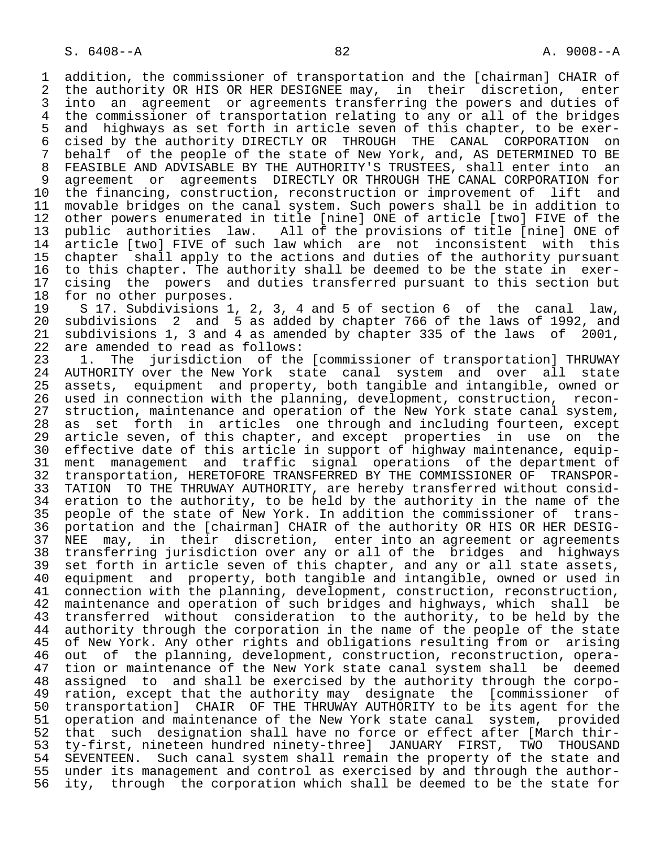1 addition, the commissioner of transportation and the [chairman] CHAIR of<br>2 the authority OR HIS OR HER DESIGNEE may, in their discretion, enter 2 the authority OR HIS OR HER DESIGNEE may, in their discretion, enter<br>3 into an agreement or agreements transferring the powers and duties of 3 into an agreement or agreements transferring the powers and duties of<br>4 the commissioner of transportation relating to any or all of the bridges 4 the commissioner of transportation relating to any or all of the bridges<br>5 and highways as set forth in article seven of this chapter, to be exer-5 and highways as set forth in article seven of this chapter, to be exer-<br>6 cised by the authority DIRECTLY OR THROUGH THE CANAL CORPORATION on 6 cised by the authority DIRECTLY OR THROUGH THE CANAL CORPORATION on<br>7 behalf of the people of the state of New York, and, AS DETERMINED TO BE 7 behalf of the people of the state of New York, and, AS DETERMINED TO BE<br>8 FEASIBLE AND ADVISABLE BY THE AUTHORITY'S TRUSTEES, shall enter into an 8 FEASIBLE AND ADVISABLE BY THE AUTHORITY'S TRUSTEES, shall enter into an<br>9 agreement or agreements DIRECTLY OR THROUGH THE CANAL CORPORATION for 9 agreement or agreements DIRECTLY OR THROUGH THE CANAL CORPORATION for<br>10 the financing, construction, reconstruction or improvement of lift and 10 the financing, construction, reconstruction or improvement of lift and<br>11 movable bridges on the canal system. Such powers shall be in addition to 11 movable bridges on the canal system. Such powers shall be in addition to<br>12 other powers enumerated in title [nine] ONE of article [two] FIVE of the 12 other powers enumerated in title [nine] ONE of article [two] FIVE of the<br>13 public authorities law. All of the provisions of title [nine] ONE of 13 public authorities law. All of the provisions of title [nine] ONE of<br>14 article [two] FIVE of such law which are not inconsistent with this article [two] FIVE of such law which are not inconsistent with this 15 chapter shall apply to the actions and duties of the authority pursuant<br>16 to this chapter. The authority shall be deemed to be the state in exer-16 to this chapter. The authority shall be deemed to be the state in exer-<br>17 cising the powers and duties transferred pursuant to this section but 17 cising the powers and duties transferred pursuant to this section but<br>18 for no other purposes.

18 for no other purposes.<br>19 S 17. Subdivisions 1 19 S 17. Subdivisions 1, 2, 3, 4 and 5 of section 6 of the canal law,<br>20 subdivisions 2 and 5 as added by chapter 766 of the laws of 1992, and 20 subdivisions 2 and 5 as added by chapter 766 of the laws of 1992, and 21 subdivisions 1, 3 and 4 as amended by chapter 335 of the laws of 2001,<br>22 are amended to read as follows: 22 are amended to read as follows:<br>23 1. The jurisdiction of the

23 1. The jurisdiction of the [commissioner of transportation] THRUWAY<br>24 AUTHORITY over the New York state canal system and over all state 24 AUTHORITY over the New York state canal system and over all state<br>25 assets, equipment and property, both tangible and intangible, owned or assets, equipment and property, both tangible and intangible, owned or 26 used in connection with the planning, development, construction, recon- 27 struction, maintenance and operation of the New York state canal system,<br>28 as set forth in articles one through and including fourteen, except 28 as set forth in articles one through and including fourteen, except<br>29 article seven, of this chapter, and except properties in use on the 29 article seven, of this chapter, and except properties in use on the<br>30 effective date of this article in support of highway maintenance, equip- 30 effective date of this article in support of highway maintenance, equip- 31 ment management and traffic signal operations of the department of<br>32 transportation, HERETOFORE TRANSFERRED BY THE COMMISSIONER OF TRANSPOR-32 transportation, HERETOFORE TRANSFERRED BY THE COMMISSIONER OF TRANSPOR-<br>33 TATION TO THE THRUWAY AUTHORITY, are hereby transferred without consid-33 TATION TO THE THRUWAY AUTHORITY, are hereby transferred without consid-<br>34 eration to the authority, to be held by the authority in the name of the 34 eration to the authority, to be held by the authority in the name of the<br>35 people of the state of New York. In addition the commissioner of trans-35 people of the state of New York. In addition the commissioner of trans-<br>36 portation and the [chairman] CHAIR of the authority OR HIS OR HER DESIG- 36 portation and the [chairman] CHAIR of the authority OR HIS OR HER DESIG- 37 NEE may, in their discretion, enter into an agreement or agreements<br>38 transferring jurisdiction over any or all of the bridges and highways 38 transferring jurisdiction over any or all of the bridges and highways<br>39 set forth in article seven of this chapter, and any or all state assets, 39 set forth in article seven of this chapter, and any or all state assets,<br>40 equipment and property, both tangible and intangible, owned or used in 40 equipment and property, both tangible and intangible, owned or used in<br>41 connection with the planning, development, construction, reconstruction, 41 connection with the planning, development, construction, reconstruction,<br>42 maintenance and operation of such bridges and highways, which shall be 42 maintenance and operation of such bridges and highways, which shall be<br>43 transferred without consideration to the authority, to be held by the 43 transferred without consideration to the authority, to be held by the<br>44 authority through the corporation in the name of the people of the state 44 authority through the corporation in the name of the people of the state<br>45 of New York. Any other rights and obligations resulting from or arising of New York. Any other rights and obligations resulting from or arising 46 out of the planning, development, construction, reconstruction, opera-<br>47 tion or maintenance of the New York state canal system shall be deemed 47 tion or maintenance of the New York state canal system shall be deemed<br>48 assigned to and shall be exercised by the authority through the corpo- 48 assigned to and shall be exercised by the authority through the corpo- 49 ration, except that the authority may designate the [commissioner of 50 transportation] CHAIR OF THE THRUWAY AUTHORITY to be its agent for the 51 operation and maintenance of the New York state canal system, provided<br>52 that such designation shall have no force or effect after [March thir-52 that such designation shall have no force or effect after [March thir-<br>53 ty-first, nineteen hundred ninety-three] JANUARY FIRST, TWO THOUSAND 53 ty-first, nineteen hundred ninety-three] JANUARY FIRST, TWO THOUSAND 54 SEVENTEEN. Such canal system shall remain the property of the state and<br>55 under its management and control as exercised by and through the author-55 under its management and control as exercised by and through the author-<br>56 ity, through the corporation which shall be deemed to be the state for ity, through the corporation which shall be deemed to be the state for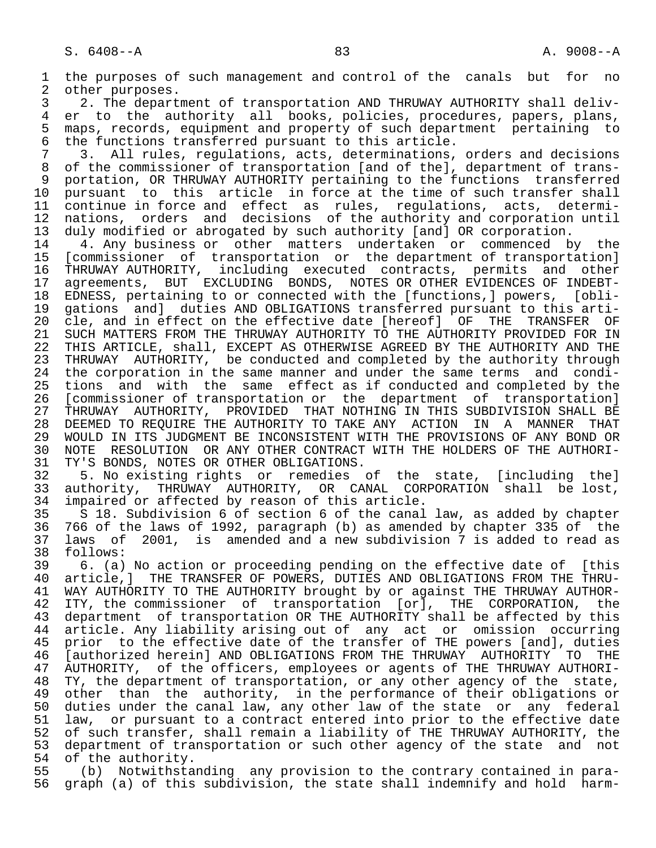1 the purposes of such management and control of the canals but for no<br>2 other purposes. 2 other purposes.<br>3 2. The depart 3 2. The department of transportation AND THRUWAY AUTHORITY shall deliv-<br>4 er to the authority all books, policies, procedures, papers, plans, 4 er to the authority all books, policies, procedures, papers, plans,<br>5 maps, records, equipment and property of such department pertaining to 5 maps, records, equipment and property of such department pertaining to<br>6 the functions transferred pursuant to this article. 6 the functions transferred pursuant to this article.<br>7 3. All rules, regulations, acts, determinations, 7 3. All rules, regulations, acts, determinations, orders and decisions<br>8 of the commissioner of transportation [and of the], department of transof the commissioner of transportation [and of the], department of trans-9 portation, OR THRUWAY AUTHORITY pertaining to the functions transferred<br>10 pursuant to this article in force at the time of such transfer shall 10 pursuant to this article in force at the time of such transfer shall<br>11 continue in force and effect as rules, regulations, acts, determi-11 continue in force and effect as rules, regulations, acts, determi-<br>12 nations, orders and decisions of the authority and corporation until 12 nations, orders and decisions of the authority and corporation until<br>13 duly modified or abrogated by such authority [and] OR corporation. 13 duly modified or abrogated by such authority [and] OR corporation.<br>14 14. Any business or other matters undertaken or commenced b 14 4. Any business or other matters undertaken or commenced by the<br>15 [commissioner of transportation or the department of transportation] 15 [commissioner of transportation or the department of transportation] 16 THRUWAY AUTHORITY, including executed contracts, permits and other 17 agreements, BUT EXCLUDING BONDS, NOTES OR OTHER EVIDENCES OF INDEBT-<br>18 EDNESS, pertaining to or connected with the [functions,] powers, [obli-18 EDNESS, pertaining to or connected with the [functions,] powers, [obli-<br>19 gations and] duties AND OBLIGATIONS transferred pursuant to this arti-19 gations and] duties AND OBLIGATIONS transferred pursuant to this arti-<br>20 cle, and in effect on the effective date [hereof] OF THE TRANSFER OF 20 cle, and in effect on the effective date [hereof] OF THE TRANSFER OF<br>21 SUCH MATTERS FROM THE THRUWAY AUTHORITY TO THE AUTHORITY PROVIDED FOR IN 21 SUCH MATTERS FROM THE THRUWAY AUTHORITY TO THE AUTHORITY PROVIDED FOR IN<br>22 THIS ARTICLE, shall, EXCEPT AS OTHERWISE AGREED BY THE AUTHORITY AND THE 22 THIS ARTICLE, shall, EXCEPT AS OTHERWISE AGREED BY THE AUTHORITY AND THE<br>23 THRUWAY AUTHORITY, be conducted and completed by the authority through THRUWAY AUTHORITY, be conducted and completed by the authority through 24 the corporation in the same manner and under the same terms and condi-<br>25 tions and with the same effect as if conducted and completed by the 25 tions and with the same effect as if conducted and completed by the 26 [commissioner of transportation or the department of transportation] 27 THRUWAY AUTHORITY, PROVIDED THAT NOTHING IN THIS SUBDIVISION SHALL BE<br>28 DEEMED TO REOUIRE THE AUTHORITY TO TAKE ANY ACTION IN A MANNER THAT 28 DEEMED TO REQUIRE THE AUTHORITY TO TAKE ANY ACTION IN A MANNER THAT<br>29 WOULD IN ITS JUDGMENT BE INCONSISTENT WITH THE PROVISIONS OF ANY BOND OR 29 WOULD IN ITS JUDGMENT BE INCONSISTENT WITH THE PROVISIONS OF ANY BOND OR<br>30 NOTE RESOLUTION OR ANY OTHER CONTRACT WITH THE HOLDERS OF THE AUTHORI-30 NOTE RESOLUTION OR ANY OTHER CONTRACT WITH THE HOLDERS OF THE AUTHORI-<br>31 TY'S BONDS, NOTES OR OTHER OBLIGATIONS. 31 TY'S BONDS, NOTES OR OTHER OBLIGATIONS.<br>32 5. No existing rights or remedies 32 5. No existing rights or remedies of the state, [including the]<br>33 authority, THRUWAY AUTHORITY, OR CANAL CORPORATION shall be lost, 33 authority, THRUWAY AUTHORITY, OR CANAL CORPORATION shall be lost,<br>34 impaired or affected by reason of this article. 34 impaired or affected by reason of this article.<br>35 S 18. Subdivision 6 of section 6 of the canal 35 S 18. Subdivision 6 of section 6 of the canal law, as added by chapter<br>36 766 of the laws of 1992, paragraph (b) as amended by chapter 335 of the 36 766 of the laws of 1992, paragraph (b) as amended by chapter 335 of the 37 laws of 2001, is amended and a new subdivision 7 is added to read as 38 follows:<br>39 6. (a) 39 6. (a) No action or proceeding pending on the effective date of [this<br>40 article,] THE TRANSFER OF POWERS, DUTIES AND OBLIGATIONS FROM THE THRU-40 article, THE TRANSFER OF POWERS, DUTIES AND OBLIGATIONS FROM THE THRU-<br>41 WAY AUTHORITY TO THE AUTHORITY brought by or against THE THRUWAY AUTHOR-41 WAY AUTHORITY TO THE AUTHORITY brought by or against THE THRUWAY AUTHOR-<br>42 ITY, the commissioner of transportation [or], THE CORPORATION, the 42 ITY, the commissioner of transportation [or], THE CORPORATION, the<br>43 department of transportation OR THE AUTHORITY shall be affected by this 43 department of transportation OR THE AUTHORITY shall be affected by this<br>44 article, Any liability arising out of any act or omission occurring 44 article. Any liability arising out of any act or omission occurring<br>45 prior to the effective date of the transfer of THE powers [and], duties prior to the effective date of the transfer of THE powers [and], duties 46 [authorized herein] AND OBLIGATIONS FROM THE THRUWAY AUTHORITY TO THE<br>47 AUTHORITY, of the officers, employees or agents of THE THRUWAY AUTHORI- 47 AUTHORITY, of the officers, employees or agents of THE THRUWAY AUTHORI- 48 TY, the department of transportation, or any other agency of the state,<br>49 other than the authority, in the performance of their obligations or 49 other than the authority, in the performance of their obligations or<br>50 duties under the canal law, any other law of the state or any federal 50 duties under the canal law, any other law of the state or any federal<br>51 law, or pursuant to a contract entered into prior to the effective date 51 law, or pursuant to a contract entered into prior to the effective date<br>52 of such transfer, shall remain a liability of THE THRUWAY AUTHORITY, the 52 of such transfer, shall remain a liability of THE THRUWAY AUTHORITY, the<br>53 department of transportation or such other agency of the state and not 53 department of transportation or such other agency of the state and not<br>54 of the authority. 54 of the authority.<br>55 (b) Notwithsta 55 (b) Notwithstanding any provision to the contrary contained in para-<br>56 graph (a) of this subdivision, the state shall indemnify and hold harmgraph (a) of this subdivision, the state shall indemnify and hold harm-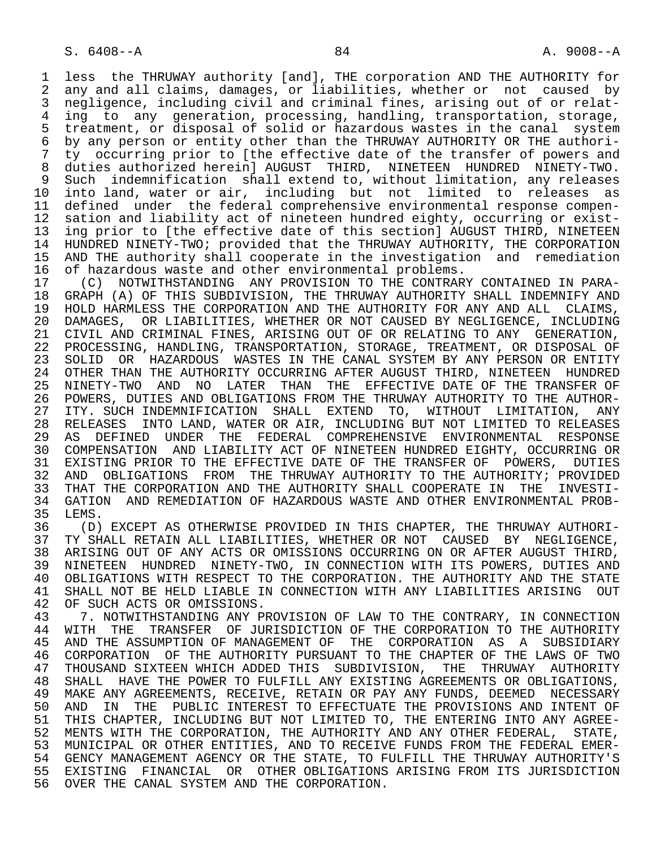1 less the THRUWAY authority [and], THE corporation AND THE AUTHORITY for<br>2 any and all claims, damages, or liabilities, whether or not caused by 2 any and all claims, damages, or liabilities, whether or not caused by<br>3 negligence, including civil and criminal fines, arising out of or relatnegligence, including civil and criminal fines, arising out of or relat-4 ing to any generation, processing, handling, transportation, storage,<br>5 treatment, or disposal of solid or hazardous wastes in the canal system 5 treatment, or disposal of solid or hazardous wastes in the canal system<br>6 by any person or entity other than the THRUWAY AUTHORITY OR THE authori-6 by any person or entity other than the THRUWAY AUTHORITY OR THE authori-<br>7 ty occurring prior to Ithe effective date of the transfer of powers and ty occurring prior to [the effective date of the transfer of powers and 8 duties authorized herein] AUGUST THIRD, NINETEEN HUNDRED NINETY-TWO. 9 Such indemnification shall extend to, without limitation, any releases<br>10 into land, water or air, including but not limited to releases as 10 into land, water or air, including but not limited to releases as<br>11 defined under the federal comprehensive environmental response compen-11 defined under the federal comprehensive environmental response compen-<br>12 sation and liability act of nineteen hundred eighty, occurring or exist-12 sation and liability act of nineteen hundred eighty, occurring or exist-<br>13 ing prior to Ithe effective date of this sectionl AUGUST THIRD, NINETEEN 13 ing prior to [the effective date of this section] AUGUST THIRD, NINETEEN<br>14 HUNDRED NINETY-TWO; provided that the THRUWAY AUTHORITY, THE CORPORATION 14 HUNDRED NINETY-TWO; provided that the THRUWAY AUTHORITY, THE CORPORATION 15 AND THE authority shall cooperate in the investigation and remediation<br>16 of hazardous waste and other environmental problems. 16 of hazardous waste and other environmental problems.<br>17 (C) NOTWITHSTANDING ANY PROVISION TO THE CONTRAR

17 (C) NOTWITHSTANDING ANY PROVISION TO THE CONTRARY CONTAINED IN PARA-<br>18 GRAPH (A) OF THIS SUBDIVISION, THE THRUWAY AUTHORITY SHALL INDEMNIFY AND 18 GRAPH (A) OF THIS SUBDIVISION, THE THRUWAY AUTHORITY SHALL INDEMNIFY AND 19 HOLD HARMLESS THE CORPORATION AND THE AUTHORITY FOR ANY AND ALL CLAIMS. 19 HOLD HARMLESS THE CORPORATION AND THE AUTHORITY FOR ANY AND ALL CLAIMS,<br>20 DAMAGES, OR LIABILITIES, WHETHER OR NOT CAUSED BY NEGLIGENCE, INCLUDING 20 DAMAGES, OR LIABILITIES, WHETHER OR NOT CAUSED BY NEGLIGENCE, INCLUDING<br>21 CIVIL AND CRIMINAL FINES, ARISING OUT OF OR RELATING TO ANY GENERATION, 21 CIVIL AND CRIMINAL FINES, ARISING OUT OF OR RELATING TO ANY GENERATION,<br>22 PROCESSING, HANDLING, TRANSPORTATION, STORAGE, TREATMENT, OR DISPOSAL OF 22 PROCESSING, HANDLING, TRANSPORTATION, STORAGE, TREATMENT, OR DISPOSAL OF<br>23 SOLID OR HAZARDOUS WASTES IN THE CANAL SYSTEM BY ANY PERSON OR ENTITY 23 SOLID OR HAZARDOUS WASTES IN THE CANAL SYSTEM BY ANY PERSON OR ENTITY<br>24 OTHER THAN THE AUTHORITY OCCURRING AFTER AUGUST THIRD, NINETEEN HUNDRED 24 OTHER THAN THE AUTHORITY OCCURRING AFTER AUGUST THIRD, NINETEEN HUNDRED<br>25 NINETY-TWO AND NO LATER THAN THE EFFECTIVE DATE OF THE TRANSFER OF 25 NINETY-TWO AND NO LATER THAN THE EFFECTIVE DATE OF THE TRANSFER OF 26 POWERS, DUTIES AND OBLIGATIONS FROM THE THRUWAY AUTHORITY TO THE AUTHOR-<br>27 ITY. SUCH INDEMNIFICATION SHALL EXTEND TO, WITHOUT LIMITATION, ANY 27 ITY. SUCH INDEMNIFICATION SHALL EXTEND TO, WITHOUT LIMITATION, ANY<br>28 RELEASES INTO LAND, WATER OR AIR, INCLUDING BUT NOT LIMITED TO RELEASES 28 RELEASES INTO LAND, WATER OR AIR, INCLUDING BUT NOT LIMITED TO RELEASES<br>29 AS DEFINED UNDER THE FEDERAL COMPREHENSIVE ENVIRONMENTAL RESPONSE 29 AS DEFINED UNDER THE FEDERAL COMPREHENSIVE ENVIRONMENTAL RESPONSE<br>30 COMPENSATION AND LIABILITY ACT OF NINETEEN HUNDRED EIGHTY, OCCURRING OR 30 COMPENSATION AND LIABILITY ACT OF NINETEEN HUNDRED EIGHTY, OCCURRING OR<br>31 EXISTING PRIOR TO THE EFFECTIVE DATE OF THE TRANSFER OF POWERS. DUTIES 31 EXISTING PRIOR TO THE EFFECTIVE DATE OF THE TRANSFER OF POWERS, DUTIES<br>32 AND OBLIGATIONS FROM THE THRUWAY AUTHORITY TO THE AUTHORITY; PROVIDED 32 AND OBLIGATIONS FROM THE THRUWAY AUTHORITY TO THE AUTHORITY; PROVIDED<br>33 THAT THE CORPORATION AND THE AUTHORITY SHALL COOPERATE IN THE INVESTI-33 THAT THE CORPORATION AND THE AUTHORITY SHALL COOPERATE IN THE INVESTI-<br>34 GATION AND REMEDIATION OF HAZARDOUS WASTE AND OTHER ENVIRONMENTAL PROB-34 GATION AND REMEDIATION OF HAZARDOUS WASTE AND OTHER ENVIRONMENTAL PROB-<br>35 LEMS. 35 LEMS.<br>36 (D)

36 (D) EXCEPT AS OTHERWISE PROVIDED IN THIS CHAPTER, THE THRUWAY AUTHORI-<br>37 TY SHALL RETAIN ALL LIABILITIES, WHETHER OR NOT CAUSED BY NEGLIGENCE, 37 TY SHALL RETAIN ALL LIABILITIES, WHETHER OR NOT CAUSED BY NEGLIGENCE,<br>38 ARISING OUT OF ANY ACTS OR OMISSIONS OCCURRING ON OR AFTER AUGUST THIRD, 38 ARISING OUT OF ANY ACTS OR OMISSIONS OCCURRING ON OR AFTER AUGUST THIRD,<br>39 NINETEEN HUNDRED NINETY-TWO, IN CONNECTION WITH ITS POWERS, DUTIES AND 39 NINETEEN HUNDRED NINETY-TWO, IN CONNECTION WITH ITS POWERS, DUTIES AND<br>40 OBLIGATIONS WITH RESPECT TO THE CORPORATION. THE AUTHORITY AND THE STATE 40 OBLIGATIONS WITH RESPECT TO THE CORPORATION. THE AUTHORITY AND THE STATE<br>41 SHALL NOT BE HELD LIABLE IN CONNECTION WITH ANY LIABILITIES ARISING OUT 41 SHALL NOT BE HELD LIABLE IN CONNECTION WITH ANY LIABILITIES ARISING OUT 42 OF SUCH ACTS OR OMISSIONS. 42 OF SUCH ACTS OR OMISSIONS.<br>43 7. NOTWITHSTANDING ANY P

43 T. NOTWITHSTANDING ANY PROVISION OF LAW TO THE CONTRARY, IN CONNECTION<br>44 WITH THE TRANSFER OF JURISDICTION OF THE CORPORATION TO THE AUTHORITY 44 WITH THE TRANSFER OF JURISDICTION OF THE CORPORATION TO THE AUTHORITY<br>45 AND THE ASSUMPTION OF MANAGEMENT OF THE CORPORATION AS A SUBSIDIARY 45 AND THE ASSUMPTION OF MANAGEMENT OF THE CORPORATION AS A SUBSIDIARY 46 CORPORATION OF THE AUTHORITY PURSUANT TO THE CHAPTER OF THE LAWS OF TWO<br>47 THOUSAND SIXTEEN WHICH ADDED THIS SUBDIVISION, THE THRUWAY AUTHORITY 47 THOUSAND SIXTEEN WHICH ADDED THIS SUBDIVISION, THE THRUWAY AUTHORITY<br>48 SHALL HAVE THE POWER TO FULFILL ANY EXISTING AGREEMENTS OR OBLIGATIONS. 48 SHALL HAVE THE POWER TO FULFILL ANY EXISTING AGREEMENTS OR OBLIGATIONS, 49 MAKE ANY AGREEMENTS, RECEIVE, RETAIN OR PAY ANY FUNDS, DEEMED NECESSARY<br>50 AND IN THE PUBLIC INTEREST TO EFFECTUATE THE PROVISIONS AND INTENT OF 50 AND IN THE PUBLIC INTEREST TO EFFECTUATE THE PROVISIONS AND INTENT OF<br>51 THIS CHAPTER, INCLUDING BUT NOT LIMITED TO, THE ENTERING INTO ANY AGREE-THIS CHAPTER, INCLUDING BUT NOT LIMITED TO, THE ENTERING INTO ANY AGREE- 52 MENTS WITH THE CORPORATION, THE AUTHORITY AND ANY OTHER FEDERAL, STATE, 53 MUNICIPAL OR OTHER ENTITIES, AND TO RECEIVE FUNDS FROM THE FEDERAL EMER-<br>54 GENCY MANAGEMENT AGENCY OR THE STATE, TO FULFILL THE THRUWAY AUTHORITY'S 54 GENCY MANAGEMENT AGENCY OR THE STATE, TO FULFILL THE THRUWAY AUTHORITY'S<br>55 EXISTING FINANCIAL OR OTHER OBLIGATIONS ARISING FROM ITS JURISDICTION 55 EXISTING FINANCIAL OR OTHER-OBLIGATIONS ARISING FROM ITS JURISDICTION<br>56 OVER THE CANAL SYSTEM AND THE CORPORATION. OVER THE CANAL SYSTEM AND THE CORPORATION.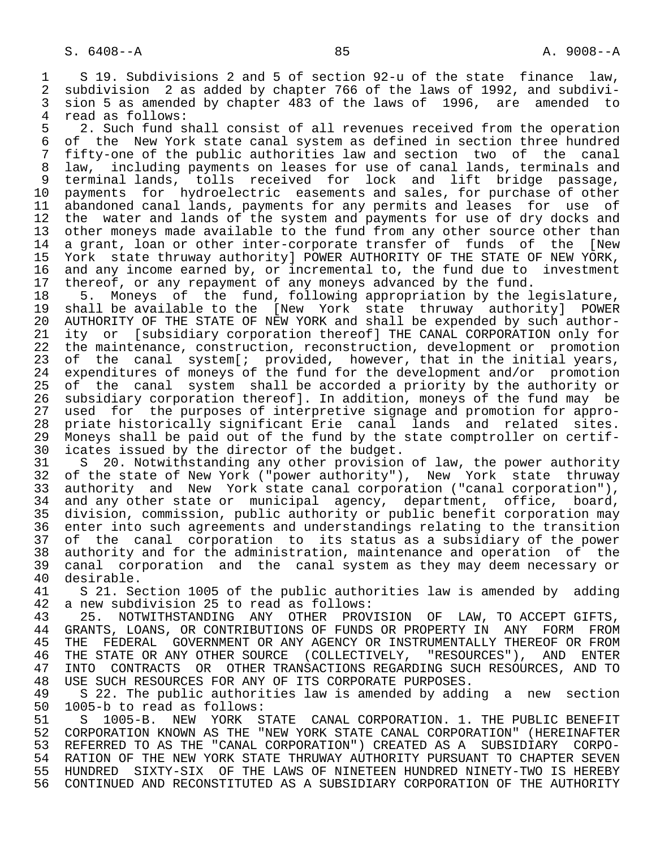1 S 19. Subdivisions 2 and 5 of section 92-u of the state finance law,<br>2 subdivision 2 as added by chapter 766 of the laws of 1992, and subdivi-2 subdivision 2 as added by chapter 766 of the laws of 1992, and subdivi-<br>3 sion 5 as amended by chapter 483 of the laws of 1996, are amended to 3 sion 5 as amended by chapter 483 of the laws of 1996, are amended to<br>4 read as follows:

4 read as follows:<br>5 2. Such fund s 5 2. Such fund shall consist of all revenues received from the operation<br>6 of the New York state canal system as defined in section three hundred 6 of the New York state canal system as defined in section three hundred<br>7 fifty-one of the public authorities law and section two of the canal 7 fifty-one of the public authorities law and section two of the canal 8 law, including payments on leases for use of canal lands, terminals and 9 terminal lands, tolls received for lock and lift bridge passage, 10 payments for hydroelectric easements and sales, for purchase of other 11 abandoned canal lands, payments for any permits and leases for use of<br>12 the water and lands of the system and payments for use of dry docks and 12 the water and lands of the system and payments for use of dry docks and<br>13 other moneys made available to the fund from any other source other than 13 other moneys made available to the fund from any other source other than<br>14 a grant, loan or other inter-corporate transfer of funds of the INew a grant, loan or other inter-corporate transfer of funds of the [New 15 York state thruway authority] POWER AUTHORITY OF THE STATE OF NEW YORK,<br>16 and any income earned by, or incremental to, the fund due to investment 16 and any income earned by, or incremental to, the fund due to investment 17 thereof, or any repayment of any moneys advanced by the fund.

18 5. Moneys of the fund, following appropriation by the legislature,<br>19 shall be available to the [New York state thruway authority] POWER 19 shall be available to the [New York state thruway authority] POWER 20 AUTHORITY OF THE STATE OF NEW YORK and shall be expended by such author-<br>21 ity or [subsidiary corporation thereof] THE CANAL CORPORATION only for 21 ity or [subsidiary corporation thereof] THE CANAL CORPORATION only for<br>22 the maintenance, construction, reconstruction, development or promotion 22 the maintenance, construction, reconstruction, development or promotion<br>23 of the canal system[; provided, however, that in the initial years, 23 of the canal system[; provided, however, that in the initial years,<br>24 expenditures of moneys of the fund for the development and/or promotion 23 of the canar system, presence,<br>24 expenditures of moneys of the fund for the development and/or promotion<br>25 of the canal system shall be accorded a priority by the authority or 25 of the canal system shall be accorded a priority by the authority or 26 subsidiary corporation thereof]. In addition, moneys of the fund may be 27 used for the purposes of interpretive signage and promotion for appro-<br>28 priate historically significant Erie canal lands and related sites. 28 priate historically significant Erie canal lands and related sites.<br>29 Moneys shall be paid out of the fund by the state comptroller on certif-29 Moneys shall be paid out of the fund by the state comptroller on certif-<br>30 icates issued by the director of the budget. 30 icates issued by the director of the budget.<br>31 S 20. Notwithstanding any other provision

31 S 20. Notwithstanding any other provision of law, the power authority<br>32 of the state of New York ("power authority"), New York state thruway 32 of the state of New York ("power authority"), New York state thruway<br>33 authority and New York state canal corporation ("canal corporation"), 33 authority and New York state canal corporation ("canal corporation"),<br>34 and any other state or municipal agency, department, office, board, 34 and any other state or municipal agency, department, office, board, 35 division, commission, public authority or public benefit corporation may 36 enter into such agreements and understandings relating to the transition 37 of the canal corporation to its status as a subsidiary of the power<br>38 authority and for the administration, maintenance and operation of the 38 authority and for the administration, maintenance and operation of the<br>39 canal corporation and the canal system as they may deem necessary or 39 canal corporation and the canal system as they may deem necessary or 40 desirable.<br>41 S 21. Se

41 S 21. Section 1005 of the public authorities law is amended by adding<br>42 a new subdivision 25 to read as follows: 42 a new subdivision 25 to read as follows:<br>43 25. NOTWITHSTANDING ANY OTHER PROV

43 25. NOTWITHSTANDING ANY OTHER PROVISION OF LAW, TO ACCEPT GIFTS,<br>44 GRANTS, LOANS, OR CONTRIBUTIONS OF FUNDS OR PROPERTY IN ANY FORM FROM 44 GRANTS, LOANS, OR CONTRIBUTIONS OF FUNDS OR PROPERTY IN ANY FORM FROM<br>45 THE FEDERAL GOVERNMENT OR ANY AGENCY OR INSTRUMENTALLY THEREOF OR FROM THE FEDERAL GOVERNMENT OR ANY AGENCY OR INSTRUMENTALLY THEREOF OR FROM 46 THE STATE OR ANY OTHER SOURCE (COLLECTIVELY, "RESOURCES"), AND ENTER<br>47 INTO CONTRACTS OR OTHER TRANSACTIONS REGARDING SUCH RESOURCES, AND TO 47 INTO CONTRACTS OR OTHER TRANSACTIONS REGARDING SUCH RESOURCES, AND TO 48 USE SUCH RESOURCES FOR ANY OF ITS CORPORATE PURPOSES. 48 USE SUCH RESOURCES FOR ANY OF ITS CORPORATE PURPOSES.<br>49 S 22. The public authorities law is amended by addi

49 S 22. The public authorities law is amended by adding a new section<br>50 1005-b to read as follows: 50 1005-b to read as follows:<br>51 S 1005-B. NEW YORK S

51 S 1005-B. NEW YORK STATE CANAL CORPORATION. 1. THE PUBLIC BENEFIT<br>52 CORPORATION KNOWN AS THE "NEW YORK STATE CANAL CORPORATION" (HEREINAFTER 52 CORPORATION KNOWN AS THE "NEW YORK STATE CANAL CORPORATION" (HEREINAFTER<br>53 REFERRED TO AS THE "CANAL CORPORATION") CREATED AS A SUBSIDIARY CORPO-53 REFERRED TO AS THE "CANAL CORPORATION") CREATED AS A SUBSIDIARY CORPO-<br>54 RATION OF THE NEW YORK STATE THRUWAY AUTHORITY PURSUANT TO CHAPTER SEVEN 54 RATION OF THE NEW YORK STATE THRUWAY AUTHORITY PURSUANT TO CHAPTER SEVEN<br>55 HUNDRED SIXTY-SIX OF THE LAWS OF NINETEEN HUNDRED NINETY-TWO IS HEREBY 55 HUNDRED SIXTY-SIX OF THE LAWS OF NINETEEN HUNDRED NINETY-TWO IS HEREBY<br>56 CONTINUED AND RECONSTITUTED AS A SUBSIDIARY CORPORATION OF THE AUTHORITY 56 CONTINUED AND RECONSTITUTED AS A SUBSIDIARY CORPORATION OF THE AUTHORITY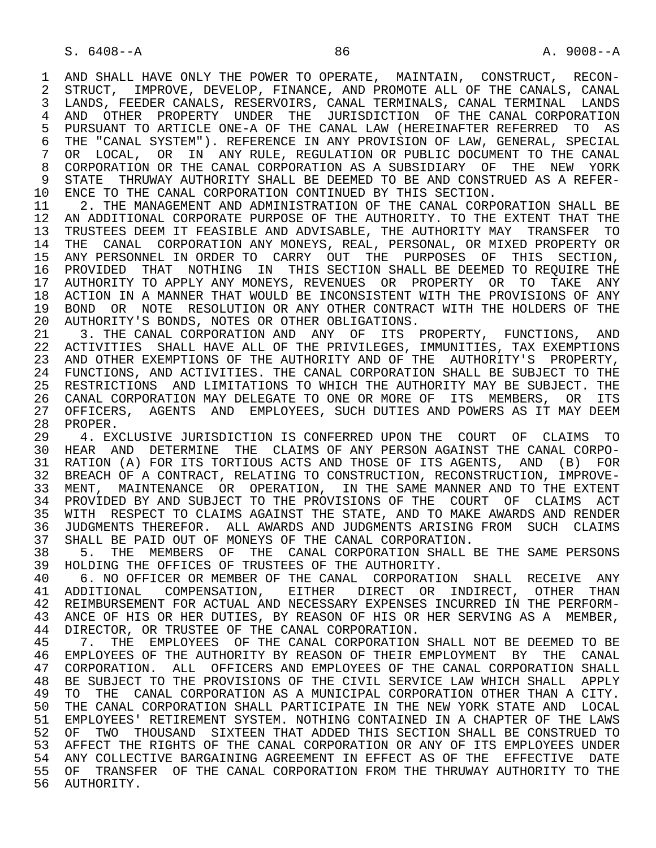1 AND SHALL HAVE ONLY THE POWER TO OPERATE, MAINTAIN, CONSTRUCT, RECON-<br>2 STRUCT, IMPROVE, DEVELOP, FINANCE, AND PROMOTE ALL OF THE CANALS, CANAL 2 STRUCT, IMPROVE, DEVELOP, FINANCE, AND PROMOTE ALL OF THE CANALS, CANAL<br>3 LANDS, FEEDER CANALS, RESERVOIRS, CANAL TERMINALS, CANAL TERMINAL LANDS LANDS, FEEDER CANALS, RESERVOIRS, CANAL TERMINALS, CANAL TERMINAL LANDS 4 AND OTHER PROPERTY UNDER THE JURISDICTION OF THE CANAL CORPORATION<br>5 PURSUANT TO ARTICLE ONE-A OF THE CANAL LAW (HEREINAFTER REFERRED TO AS 5 PURSUANT TO ARTICLE ONE-A OF THE CANAL LAW (HEREINAFTER REFERRED TO AS<br>6 THE "CANAL SYSTEM"), REFERENCE IN ANY PROVISION OF LAW, GENERAL, SPECIAL 6 THE "CANAL SYSTEM"). REFERENCE IN ANY PROVISION OF LAW, GENERAL, SPECIAL<br>7 OR LOCAL, OR IN ANY RULE, REGULATION OR PUBLIC DOCUMENT TO THE CANAL 7 OR LOCAL, OR IN ANY RULE, REGULATION OR PUBLIC DOCUMENT TO THE CANAL 8 CORPORATION OR THE CANAL CORPORATION AS A SUBSIDIARY OF THE NEW YORK<br>9 STATE THRUWAY AUTHORITY SHALL BE DEEMED TO BE AND CONSTRUED AS A REFER-9 STATE THRUWAY AUTHORITY SHALL BE DEEMED TO BE AND CONSTRUED AS A REFER-<br>10 ENCE TO THE CANAL CORPORATION CONTINUED BY THIS SECTION. 10 ENCE TO THE CANAL CORPORATION CONTINUED BY THIS SECTION.<br>11 2. THE MANAGEMENT AND ADMINISTRATION OF THE CANAL CORP

2. THE MANAGEMENT AND ADMINISTRATION OF THE CANAL CORPORATION SHALL BE 12 AN ADDITIONAL CORPORATE PURPOSE OF THE AUTHORITY. TO THE EXTENT THAT THE 13 TRUSTEES DEEM IT FEASIBLE AND ADVISABLE, THE AUTHORITY MAY TRANSFER TO 13 TRUSTEES DEEM IT FEASIBLE AND ADVISABLE, THE AUTHORITY MAY TRANSFER TO<br>14 THE CANAL, CORPORATION ANY MONEYS, REAL, PERSONAL, OR MIXED PROPERTY OR 14 THE CANAL CORPORATION ANY MONEYS, REAL, PERSONAL, OR MIXED PROPERTY OR 15 ANY PERSONNEL IN ORDER TO CARRY OUT THE PURPOSES OF THIS SECTION, 16 PROVIDED THAT NOTHING IN THIS SECTION SHALL BE DEEMED TO REQUIRE THE 17 AUTHORITY TO APPLY ANY MONEYS, REVENUES OR PROPERTY OR TO TAKE ANY 18 ACTION IN A MANNER THAT WOULD BE INCONSISTENT WITH THE PROVISIONS OF ANY 19 BOND OR NOTE RESOLUTION OR ANY OTHER CONTRACT WITH THE HOLDERS OF THE 20 AUTHORITY'S BONDS. NOTES OR OTHER OBLIGATIONS. 20 AUTHORITY'S BONDS, NOTES OR OTHER OBLIGATIONS.<br>21 3. THE CANAL CORPORATION AND ANY OF ITS

3. THE CANAL CORPORATION AND ANY OF ITS PROPERTY, FUNCTIONS, AND 22 ACTIVITIES SHALL HAVE ALL OF THE PRIVILEGES, IMMUNITIES, TAX EXEMPTIONS 23 AND OTHER EXEMPTIONS OF THE AUTHORITY AND OF THE AUTHORITY'S PROPERTY, 24 FUNCTIONS, AND ACTIVITIES. THE CANAL CORPORATION SHALL BE SUBJECT TO THE 25 RESTRICTIONS AND LIMITATIONS TO WHICH THE AUTHORITY MAY BE SUBJECT. THE 25 RESTRICTIONS AND LIMITATIONS TO WHICH THE AUTHORITY MAY BE SUBJECT. THE 26 CANAL CORPORATION MAY DELEGATE TO ONE OR MORE OF ITS MEMBERS, OR ITS<br>27 OFFICERS, AGENTS AND EMPLOYEES, SUCH DUTIES AND POWERS AS IT MAY DEEM 27 OFFICERS, AGENTS AND EMPLOYEES, SUCH DUTIES AND POWERS AS IT MAY DEEM<br>28 PROPER. 28 PROPER.<br>29 4. EX

29 4. EXCLUSIVE JURISDICTION IS CONFERRED UPON THE COURT OF CLAIMS TO<br>30 HEAR AND DETERMINE THE CLAIMS OF ANY PERSON AGAINST THE CANAL CORPO-30 HEAR AND DETERMINE THE CLAIMS OF ANY PERSON AGAINST THE CANAL CORPO-<br>31 RATION (A) FOR ITS TORTIOUS ACTS AND THOSE OF ITS AGENTS, AND (B) FOR 31 RATION (A) FOR ITS TORTIOUS ACTS AND THOSE OF ITS AGENTS, AND (B) FOR<br>32 BREACH OF A CONTRACT, RELATING TO CONSTRUCTION, RECONSTRUCTION, IMPROVE-32 BREACH OF A CONTRACT, RELATING TO CONSTRUCTION, RECONSTRUCTION, IMPROVE-<br>33 MENT, MAINTENANCE OR OPERATION, IN THE SAME MANNER AND TO THE EXTENT 33 MENT, MAINTENANCE OR OPERATION, IN THE SAME MANNER AND TO THE EXTENT<br>34 PROVIDED BY AND SUBJECT TO THE PROVISIONS OF THE COURT OF CLAIMS ACT 34 PROVIDED BY AND SUBJECT TO THE PROVISIONS OF THE COURT OF CLAIMS ACT<br>35 WITH RESPECT TO CLAIMS AGAINST THE STATE, AND TO MAKE AWARDS AND RENDER 35 WITH RESPECT TO CLAIMS AGAINST THE STATE, AND TO MAKE AWARDS AND RENDER<br>36 JUDGMENTS THEREFOR. ALL AWARDS AND JUDGMENTS ARISING FROM SUCH CLAIMS 36 JUDGMENTS THEREFOR. ALL AWARDS AND JUDGMENTS ARISING FROM SUCH CLAIMS 37 SHALL BE PAID OUT OF MONEYS OF THE CANAL CORPORATION.<br>38 5. THE MEMBERS OF THE CANAL CORPORATION SHALL I

38 5. THE MEMBERS OF THE CANAL CORPORATION SHALL BE THE SAME PERSONS<br>39 HOLDING THE OFFICES OF TRUSTEES OF THE AUTHORITY. 39 HOLDING THE OFFICES OF TRUSTEES OF THE AUTHORITY.<br>40 6. NO OFFICER OR MEMBER OF THE CANAL CORPORATI

 40 6. NO OFFICER OR MEMBER OF THE CANAL CORPORATION SHALL RECEIVE ANY 41 ADDITIONAL COMPENSATION, EITHER DIRECT OR INDIRECT, OTHER THAN<br>42 REIMBURSEMENT\_FOR\_ACTUAL\_AND\_NECESSARY\_EXPENSES\_INCURRED\_IN\_THE\_PERFORM-42 REIMBURSEMENT FOR ACTUAL AND NECESSARY EXPENSES INCURRED IN THE PERFORM-<br>43 ANCE OF HIS OR HER DUTIES, BY REASON OF HIS OR HER SERVING AS A MEMBER. 43 ANCE OF HIS OR HER DUTIES, BY REASON OF HIS OR HER SERVING AS A MEMBER, 44 DIRECTOR, OR TRUSTEE OF THE CANAL CORPORATION. 44 DIRECTOR, OR TRUSTEE OF THE CANAL CORPORATION.<br>45 7. THE EMPLOYEES OF THE CANAL CORPORATION

 45 7. THE EMPLOYEES OF THE CANAL CORPORATION SHALL NOT BE DEEMED TO BE 46 EMPLOYEES OF THE AUTHORITY BY REASON OF THEIR EMPLOYMENT BY THE CANAL<br>47 CORPORATION. ALL OFFICERS AND EMPLOYEES OF THE CANAL CORPORATION SHALL 47 CORPORATION. ALL OFFICERS AND EMPLOYEES OF THE CANAL CORPORATION SHALL 48 BE SUBJECT TO THE PROVISIONS OF THE CIVIL SERVICE LAW WHICH SHALL APPLY 48 BE SUBJECT TO THE PROVISIONS OF THE CIVIL SERVICE LAW WHICH SHALL APPLY<br>49 TO THE CANAL CORPORATION AS A MUNICIPAL CORPORATION OTHER THAN A CITY. 49 TO THE CANAL CORPORATION AS A MUNICIPAL CORPORATION OTHER THAN A CITY.<br>50 THE CANAL CORPORATION SHALL PARTICIPATE IN THE NEW YORK STATE AND LOCAL 50 THE CANAL CORPORATION SHALL PARTICIPATE IN THE NEW YORK STATE AND LOCAL<br>51 EMPLOYEES' RETIREMENT SYSTEM. NOTHING CONTAINED IN A CHAPTER OF THE LAWS 51 EMPLOYEES' RETIREMENT SYSTEM. NOTHING CONTAINED IN A CHAPTER OF THE LAWS 52 OF TWO THOUSAND SIXTEEN THAT ADDED THIS SECTION SHALL BE CONSTRUED TO 53 AFFECT THE RIGHTS OF THE CANAL CORPORATION OR ANY OF ITS EMPLOYEES UNDER 54 ANY COLLECTIVE BARGAINING AGREEMENT IN EFFECT AS OF THE EFFECTIVE DATE 55 OF TRANSFER OF THE CANAL CORPORATION FROM THE THRUWAY AUTHORITY TO THE 56 AUTHORITY.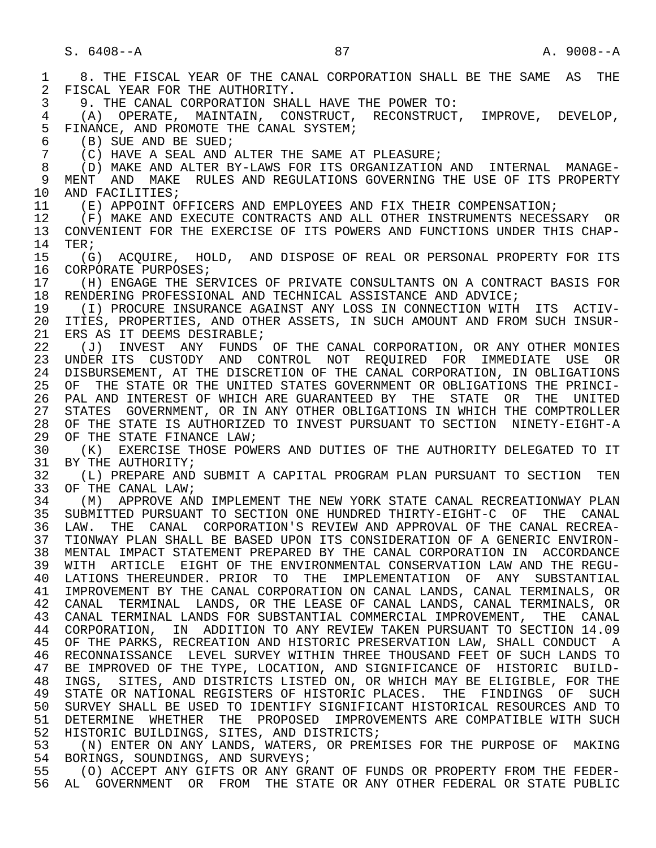1 8. THE FISCAL YEAR OF THE CANAL CORPORATION SHALL BE THE SAME AS THE 2 FISCAL YEAR FOR THE AUTHORITY. 2 FISCAL YEAR FOR THE AUTHORITY.<br>3 9. THE CANAL CORPORATION SHA 3 9. THE CANAL CORPORATION SHALL HAVE THE POWER TO: 4 (A) OPERATE, MAINTAIN, CONSTRUCT, RECONSTRUCT, IMPROVE, DEVELOP, 5 FINANCE, AND PROMOTE THE CANAL SYSTEM;<br>6 (B) SUE AND BE SUED; 6 (B) SUE AND BE SUED;<br>7 (C) HAVE A SEAL AND. 7 (C) HAVE A SEAL AND ALTER THE SAME AT PLEASURE;<br>8 (D) MAKE AND ALTER BY-LAWS FOR TTS ORGANIZATION 8 (D) MAKE AND ALTER BY-LAWS FOR ITS ORGANIZATION AND INTERNAL MANAGE- 9 MENT AND MAKE RULES AND REGULATIONS GOVERNING THE USE OF ITS PROPERTY<br>10 AND FACILITIES: 10 AND FACILITIES;<br>11 (E) APPOINT OF 11 (E) APPOINT OFFICERS AND EMPLOYEES AND FIX THEIR COMPENSATION;<br>12 (F) MAKE AND EXECUTE CONTRACTS AND ALL OTHER INSTRUMENTS NECES 12 (F) MAKE AND EXECUTE CONTRACTS AND ALL OTHER INSTRUMENTS NECESSARY OR<br>13 CONVENIENT FOR THE EXERCISE OF ITS POWERS AND FUNCTIONS UNDER THIS CHAP-13 CONVENIENT FOR THE EXERCISE OF ITS POWERS AND FUNCTIONS UNDER THIS CHAP-<br>14 TER: TER; 15 (G) ACQUIRE, HOLD, AND DISPOSE OF REAL OR PERSONAL PROPERTY FOR ITS<br>16 CORPORATE PURPOSES; 16 CORPORATE PURPOSES;<br>17 (H) ENGAGE THE SE 17 (H) ENGAGE THE SERVICES OF PRIVATE CONSULTANTS ON A CONTRACT BASIS FOR<br>18 RENDERING PROFESSIONAL AND TECHNICAL ASSISTANCE AND ADVICE; 18 RENDERING PROFESSIONAL AND TECHNICAL ASSISTANCE AND ADVICE;<br>19 (I) PROCURE INSURANCE AGAINST ANY LOSS IN CONNECTION WITH 19 (I) PROCURE INSURANCE AGAINST ANY LOSS IN CONNECTION WITH ITS ACTIV- 20 ITIES, PROPERTIES, AND OTHER ASSETS, IN SUCH AMOUNT AND FROM SUCH INSUR-<br>21 ERS AS IT DEEMS DESIRABLE; 21 ERS AS IT DEEMS DESIRABLE;<br>22 (J) INVEST ANY FUNDS 22 (J) INVEST ANY FUNDS OF THE CANAL CORPORATION, OR ANY OTHER MONIES<br>23 UNDER ITS CUSTODY AND CONTROL NOT REOUIRED FOR IMMEDIATE USE OR 23 UNDER ITS CUSTODY AND CONTROL NOT REQUIRED FOR IMMEDIATE USE OR 24 DISBURSEMENT, AT THE DISCRETION OF THE CANAL CORPORATION, IN OBLIGATIONS<br>25 OF THE STATE OR THE UNITED STATES GOVERNMENT OR OBLIGATIONS THE PRINCI- 25 OF THE STATE OR THE UNITED STATES GOVERNMENT OR OBLIGATIONS THE PRINCI- 26 PAL AND INTEREST OF WHICH ARE GUARANTEED BY THE STATE OR THE UNITED<br>27 STATES GOVERNMENT, OR IN ANY OTHER OBLIGATIONS IN WHICH THE COMPTROLLER 27 STATES GOVERNMENT, OR IN ANY OTHER OBLIGATIONS IN WHICH THE COMPTROLLER<br>28 OF THE STATE IS AUTHORIZED TO INVEST PURSUANT TO SECTION NINETY-EIGHT-A 28 OF THE STATE IS AUTHORIZED TO INVEST PURSUANT TO SECTION NINETY-EIGHT-A<br>29 OF THE STATE FINANCE LAW; 29 OF THE STATE FINANCE LAW;<br>30 (K) EXERCISE THOSE POW 30 (K) EXERCISE THOSE POWERS AND DUTIES OF THE AUTHORITY DELEGATED TO IT 31 BY THE AUTHORITY; 31 BY THE AUTHORITY;<br>32 (L) PREPARE AND 32 (L) PREPARE AND SUBMIT A CAPITAL PROGRAM PLAN PURSUANT TO SECTION TEN 33 OF THE CANAL LAW;<br>34 (M) APPROVE ANI 34 TM (M) APPROVE AND IMPLEMENT THE NEW YORK STATE CANAL RECREATIONWAY PLAN<br>35 SUBMITTED PURSUANT TO SECTION ONE HUNDRED THIRTY-EIGHT-C OF THE CANAL 35 SUBMITTED PURSUANT TO SECTION ONE HUNDRED THIRTY-EIGHT-C OF THE CANAL<br>36 LAW, THE CANAL CORPORATION'S REVIEW AND APPROVAL OF THE CANAL RECREA-LAW. THE CANAL CORPORATION'S REVIEW AND APPROVAL OF THE CANAL RECREA- 37 TIONWAY PLAN SHALL BE BASED UPON ITS CONSIDERATION OF A GENERIC ENVIRON- 38 MENTAL IMPACT STATEMENT PREPARED BY THE CANAL CORPORATION IN ACCORDANCE<br>39 WITH ARTICLE EIGHT OF THE ENVIRONMENTAL CONSERVATION LAW AND THE REGU- 39 WITH ARTICLE EIGHT OF THE ENVIRONMENTAL CONSERVATION LAW AND THE REGU- 40 LATIONS THEREUNDER. PRIOR TO THE IMPLEMENTATION OF ANY SUBSTANTIAL 41 IMPROVEMENT BY THE CANAL CORPORATION ON CANAL LANDS, CANAL TERMINALS, OR 42 CANAL TERMINAL LANDS, OR THE LEASE OF CANAL LANDS, CANAL TERMINALS, OR 43 CANAL TERMINAL LANDS FOR SUBSTANTIAL COMMERCIAL IMPROVEMENT, THE CANAL 44 CORPORATION, IN ADDITION TO ANY REVIEW TAKEN PURSUANT TO SECTION 14.09<br>45 OF THE PARKS, RECREATION AND HISTORIC PRESERVATION LAW, SHALL CONDUCT A OF THE PARKS, RECREATION AND HISTORIC PRESERVATION LAW, SHALL CONDUCT A 46 RECONNAISSANCE LEVEL SURVEY WITHIN THREE THOUSAND FEET OF SUCH LANDS TO<br>47 BE IMPROVED OF THE TYPE, LOCATION, AND SIGNIFICANCE OF HISTORIC BUILD-BE IMPROVED OF THE TYPE, LOCATION, AND SIGNIFICANCE OF HISTORIC BUILD- 48 INGS, SITES, AND DISTRICTS LISTED ON, OR WHICH MAY BE ELIGIBLE, FOR THE 49 STATE OR NATIONAL REGISTERS OF HISTORIC PLACES. THE FINDINGS OF SUCH<br>50 SURVEY SHALL BE USED TO IDENTIFY SIGNIFICANT HISTORICAL RESOURCES AND TO 50 SURVEY SHALL BE USED TO IDENTIFY SIGNIFICANT HISTORICAL RESOURCES AND TO<br>51 DETERMINE WHETHER THE PROPOSED IMPROVEMENTS ARE COMPATIBLE WITH SUCH 51 DETERMINE WHETHER THE PROPOSED IMPROVEMENTS ARE COMPATIBLE WITH SUCH 52 HISTORIC BUILDINGS, SITES, AND DISTRICTS;<br>53 (N) ENTER ON ANY LANDS, WATERS, OR PREM 53 (N) ENTER ON ANY LANDS, WATERS, OR PREMISES FOR THE PURPOSE OF MAKING<br>54 RORINGS, SOUNDINGS, AND SURVEYS; 54 BORINGS, SOUNDINGS, AND SURVEYS;<br>55 (O) ACCEPT ANY GIFTS OR ANY GR 55 (O) ACCEPT ANY GIFTS OR ANY GRANT OF FUNDS OR PROPERTY FROM THE FEDER-<br>56 AL GOVERNMENT OR FROM THE STATE OR ANY OTHER FEDERAL OR STATE PUBLIC 56 AL GOVERNMENT OR FROM THE STATE OR ANY OTHER FEDERAL OR STATE PUBLIC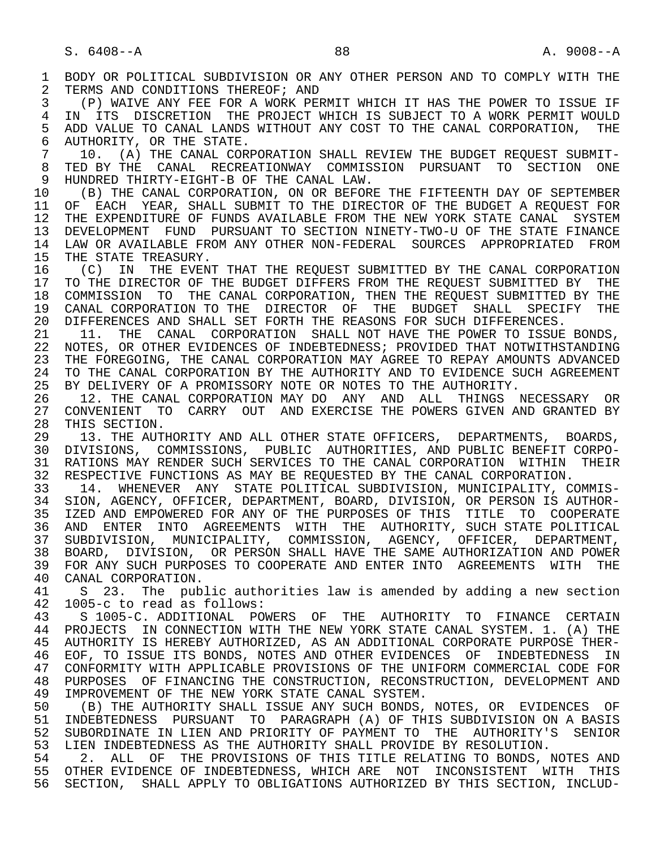1 BODY OR POLITICAL SUBDIVISION OR ANY OTHER PERSON AND TO COMPLY WITH THE 2 TERMS AND CONDITIONS THEREOF; AND 2 TERMS AND CONDITIONS THEREOF; AND<br>3 (P) WAIVE ANY FEE FOR A WORK PEE 3 (P) WAIVE ANY FEE FOR A WORK PERMIT WHICH IT HAS THE POWER TO ISSUE IF 4 IN ITS DISCRETION THE PROJECT WHICH IS SUBJECT TO A WORK PERMIT WOULD<br>5 ADD VALUE TO CANAL LANDS WITHOUT ANY COST TO THE CANAL CORPORATION, THE 5 ADD VALUE TO CANAL LANDS WITHOUT ANY COST TO THE CANAL CORPORATION, THE 5TATE. 6 AUTHORITY, OR THE STATE.<br>7 10. (A) THE CANAL COR 7 10. (A) THE CANAL CORPORATION SHALL REVIEW THE BUDGET REQUEST SUBMIT- 8 TED BY THE CANAL RECREATIONWAY COMMISSION PURSUANT TO SECTION ONE<br>9 HUNDRED THIRTY-EIGHT-B OF THE CANAL LAW. 9 HUNDRED THIRTY-EIGHT-B OF THE CANAL LAW.<br>10 (B) THE CANAL CORPORATION, ON OR BEFOR 10 (B) THE CANAL CORPORATION, ON OR BEFORE THE FIFTEENTH DAY OF SEPTEMBER<br>11 OF EACH YEAR, SHALL SUBMIT TO THE DIRECTOR OF THE BUDGET A REOUEST FOR 11 OF EACH YEAR, SHALL SUBMIT TO THE DIRECTOR OF THE BUDGET A REQUEST FOR<br>12 THE EXPENDITURE OF FUNDS AVAILABLE FROM THE NEW YORK STATE CANAL SYSTEM THE EXPENDITURE OF FUNDS AVAILABLE FROM THE NEW YORK STATE CANAL SYSTEM 13 DEVELOPMENT FUND PURSUANT TO SECTION NINETY-TWO-U OF THE STATE FINANCE<br>14 LAW OR AVAILABLE FROM ANY OTHER NON-FEDERAL, SOURCES, APPROPRIATED, FROM 14 LAW OR AVAILABLE FROM ANY OTHER NON-FEDERAL SOURCES APPROPRIATED FROM<br>15 THE STATE TREASURY. 15 THE STATE TREASURY.<br>16 (C) IN THE EVENT 16 (C) IN THE EVENT THAT THE REQUEST SUBMITTED BY THE CANAL CORPORATION<br>17 TO THE DIRECTOR OF THE BUDGET DIFFERS FROM THE REOUEST SUBMITTED BY THE 17 TO THE DIRECTOR OF THE BUDGET DIFFERS FROM THE REQUEST SUBMITTED BY THE 18 COMMISSION TO THE CANAL CORPORATION, THEN THE REOUEST SUBMITTED BY THE 18 COMMISSION TO THE CANAL CORPORATION, THEN THE REQUEST SUBMITTED BY THE 19 CANAL CORPORATION TO THE DIRECTOR OF THE BUDGET SHALL SPECIFY THE 19 CANAL CORPORATION TO THE DIRECTOR OF THE BUDGET SHALL SPECIFY THE 20 DIFFERENCES. 20 DIFFERENCES AND SHALL SET FORTH THE REASONS FOR SUCH DIFFERENCES.<br>21 11. THE CANAL CORPORATION SHALL NOT HAVE THE POWER TO ISSUE 21 11. THE CANAL CORPORATION SHALL NOT HAVE THE POWER TO ISSUE BONDS,<br>22 NOTES, OR OTHER EVIDENCES OF INDEBTEDNESS; PROVIDED THAT NOTWITHSTANDING 22 NOTES, OR OTHER EVIDENCES OF INDEBTEDNESS; PROVIDED THAT NOTWITHSTANDING<br>23 THE FOREGOING, THE CANAL CORPORATION MAY AGREE TO REPAY AMOUNTS ADVANCED THE FOREGOING, THE CANAL CORPORATION MAY AGREE TO REPAY AMOUNTS ADVANCED 24 TO THE CANAL CORPORATION BY THE AUTHORITY AND TO EVIDENCE SUCH AGREEMENT<br>25 BY DELIVERY OF A PROMISSORY NOTE OR NOTES TO THE AUTHORITY. BY DELIVERY OF A PROMISSORY NOTE OR NOTES TO THE AUTHORITY. 26 12. THE CANAL CORPORATION MAY DO ANY AND ALL THINGS NECESSARY OR 27 CONVENIENT TO CARRY OUT AND EXERCISE THE POWERS GIVEN AND GRANTED BY 28 THIS SECTION. 28 THIS SECTION.<br>29 13. THE AUT 29 13. THE AUTHORITY AND ALL OTHER STATE OFFICERS, DEPARTMENTS, BOARDS,<br>20 DIVISIONS, COMMISSIONS, PUBLIC AUTHORITIES, AND PUBLIC BENEFIT CORPO-30 DIVISIONS, COMMISSIONS, PUBLIC AUTHORITIES, AND PUBLIC BENEFIT CORPO-<br>31 RATIONS MAY RENDER SUCH SERVICES TO THE CANAL CORPORATION WITHIN THEIR 31 RATIONS MAY RENDER SUCH SERVICES TO THE CANAL CORPORATION WITHIN THEIR<br>32 RESPECTIVE FUNCTIONS AS MAY BE REOUESTED BY THE CANAL CORPORATION. 32 RESPECTIVE FUNCTIONS AS MAY BE REQUESTED BY THE CANAL CORPORATION.<br>33 14. WHENEVER ANY STATE POLITICAL SUBDIVISION, MUNICIPALITY, CO 33 14. WHENEVER ANY STATE POLITICAL SUBDIVISION, MUNICIPALITY, COMMIS-<br>34 SION, AGENCY, OFFICER, DEPARTMENT, BOARD, DIVISION, OR PERSON IS AUTHOR-34 SION, AGENCY, OFFICER, DEPARTMENT, BOARD, DIVISION, OR PERSON IS AUTHOR-<br>35 IZED AND EMPOWERED FOR ANY OF THE PURPOSES OF THIS TITLE TO COOPERATE 35 IZED AND EMPOWERED FOR ANY OF THE PURPOSES OF THIS TITLE TO COOPERATE<br>36 AND ENTER INTO AGREEMENTS WITH THE AUTHORITY, SUCH STATE POLITICAL 36 AND ENTER INTO AGREEMENTS WITH THE AUTHORITY, SUCH STATE POLITICAL 37 SUBDIVISION, MUNICIPALITY, COMMISSION, AGENCY, OFFICER, DEPARTMENT,<br>38 BOARD, DIVISION, OR PERSON SHALL HAVE THE SAME AUTHORIZATION AND POWER 38 BOARD, DIVISION, OR PERSON SHALL HAVE THE SAME AUTHORIZATION AND POWER<br>39 FOR ANY SUCH PURPOSES TO COOPERATE AND ENTER INTO AGREEMENTS WITH THE 39 FOR ANY SUCH PURPOSES TO COOPERATE AND ENTER INTO AGREEMENTS WITH THE 30 CANAL CORPORATION. 40 CANAL CORPORATION.<br>41 S 23, The pub 41 S 23. The public authorities law is amended by adding a new section<br>42 1005-c to read as follows: 42 1005-c to read as follows: 43 S 1005-C. ADDITIONAL POWERS OF THE AUTHORITY TO FINANCE CERTAIN<br>44 PROJECTS IN CONNECTION WITH THE NEW YORK STATE CANAL SYSTEM. 1. (A) THE 44 PROJECTS IN CONNECTION WITH THE NEW YORK STATE CANAL SYSTEM. 1. (A) THE 45 AUTHORITY IS HEREBY AUTHORIZED. AS AN ADDITIONAL CORPORATE PURPOSE THER- 45 AUTHORITY IS HEREBY AUTHORIZED, AS AN ADDITIONAL CORPORATE PURPOSE THER- 46 EOF, TO ISSUE ITS BONDS, NOTES AND OTHER EVIDENCES OF INDEBTEDNESS IN<br>47 CONFORMITY WITH APPLICABLE PROVISIONS OF THE UNIFORM COMMERCIAL CODE FOR 47 CONFORMITY WITH APPLICABLE PROVISIONS OF THE UNIFORM COMMERCIAL CODE FOR<br>48 PURPOSES OF FINANCING THE CONSTRUCTION, RECONSTRUCTION, DEVELOPMENT AND 48 PURPOSES OF FINANCING THE CONSTRUCTION, RECONSTRUCTION, DEVELOPMENT AND<br>49 IMPROVEMENT OF THE NEW YORK STATE CANAL SYSTEM. 49 IMPROVEMENT OF THE NEW YORK STATE CANAL SYSTEM.<br>50 (B) THE AUTHORITY SHALL ISSUE ANY SUCH BONDS. 50 (B) THE AUTHORITY SHALL ISSUE ANY SUCH BONDS, NOTES, OR EVIDENCES OF<br>51 INDEBTEDNESS PURSUANT TO PARAGRAPH (A) OF THIS SUBDIVISION ON A BASIS 51 INDEBTEDNESS PURSUANT TO PARAGRAPH (A) OF THIS SUBDIVISION ON A BASIS<br>52 SUBORDINATE IN LIEN AND PRIORITY OF PAYMENT TO THE AUTHORITY'S SENIOR 52 SUBORDINATE IN LIEN AND PRIORITY OF PAYMENT TO THE AUTHORITY'S SENIOR<br>53 LIEN INDEBTEDNESS AS THE AUTHORITY SHALL PROVIDE BY RESOLUTION. 53 LIEN INDEBTEDNESS AS THE AUTHORITY SHALL PROVIDE BY RESOLUTION.<br>54 The ALL OF THE PROVISIONS OF THIS TITLE RELATING TO BONDS. 54 2. ALL OF THE PROVISIONS OF THIS TITLE RELATING TO BONDS, NOTES AND<br>55 OTHER EVIDENCE OF INDEBTEDNESS, WHICH ARE NOT INCONSISTENT WITH THIS 55 OTHER EVIDENCE OF INDEBTEDNESS, WHICH ARE NOT INCONSISTENT WITH THIS 56 SECTION, SHALL APPLY TO OBLIGATIONS AUTHORIZED BY THIS SECTION, INCLUD-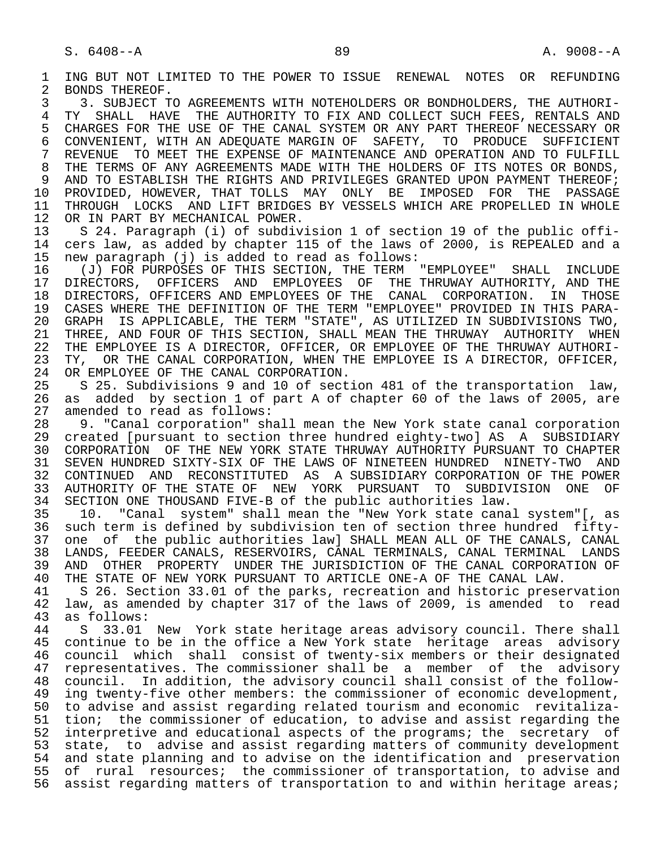1 ING BUT NOT LIMITED TO THE POWER TO ISSUE RENEWAL NOTES OR REFUNDING<br>2 BONDS THEREOF. 2 BONDS THEREOF.<br>3 3. SUBJECT T

3 3. SUBJECT TO AGREEMENTS WITH NOTEHOLDERS OR BONDHOLDERS, THE AUTHORI-<br>4 TY SHALL HAVE THE AUTHORITY TO FIX AND COLLECT SUCH FEES, RENTALS AND 4 TY SHALL HAVE THE AUTHORITY TO FIX AND COLLECT SUCH FEES, RENTALS AND 5 CHARGES FOR THE USE OF THE CANAL SYSTEM OR ANY PART THEREOF NECESSARY OR 5 CHARGES FOR THE USE OF THE CANAL SYSTEM OR ANY PART THEREOF NECESSARY OR<br>6 CONVENIENT, WITH AN ADEOUATE MARGIN OF SAFETY, TO PRODUCE SUFFICIENT 6 CONVENIENT, WITH AN ADEQUATE MARGIN OF SAFETY, TO PRODUCE SUFFICIENT<br>7 REVENUE TO MEET THE EXPENSE OF MAINTENANCE AND OPERATION AND TO FULFILL 7 REVENUE TO MEET THE EXPENSE OF MAINTENANCE AND OPERATION AND TO FULFILL<br>8 THE TERMS OF ANY AGREEMENTS MADE WITH THE HOLDERS OF ITS NOTES OR BONDS. 8 THE TERMS OF ANY AGREEMENTS MADE WITH THE HOLDERS OF ITS NOTES OR BONDS,<br>9 AND TO ESTABLISH THE RIGHTS AND PRIVILEGES GRANTED UPON PAYMENT THEREOF; 9 AND TO ESTABLISH THE RIGHTS AND PRIVILEGES GRANTED UPON PAYMENT THEREOF;<br>10 PROVIDED, HOWEVER, THAT TOLLS MAY ONLY BE IMPOSED FOR THE PASSAGE 10 PROVIDED, HOWEVER, THAT TOLLS MAY ONLY BE IMPOSED FOR THE 11 THROUGH LOCKS AND LIFT BRIDGES BY VESSELS WHICH ARE PROPELLED 11 THROUGH LOCKS AND LIFT BRIDGES BY VESSELS WHICH ARE PROPELLED IN WHOLE 12 OR IN PART BY MECHANICAL POWER. 12 OR IN PART BY MECHANICAL POWER.<br>13 S 24, Paragraph (i) of subdiv.

13 S 24. Paragraph (i) of subdivision 1 of section 19 of the public offi-<br>14 cers law, as added by chapter 115 of the laws of 2000, is REPEALED and a 14 cers law, as added by chapter 115 of the laws of 2000, is REPEALED and a<br>15 new paragraph (i) is added to read as follows: 15 new paragraph (j) is added to read as follows:

 16 (J) FOR PURPOSES OF THIS SECTION, THE TERM "EMPLOYEE" SHALL INCLUDE 17 DIRECTORS, OFFICERS AND EMPLOYEES OF THE THRUWAY AUTHORITY, AND THE 18 DIRECTORS, OFFICERS AND EMPLOYEES OF THE CANAL CORPORATION. IN THOSE<br>19 CASES WHERE THE DEFINITION OF THE TERM "EMPLOYEE" PROVIDED IN THIS PARA-19 CASES WHERE THE DEFINITION OF THE TERM "EMPLOYEE" PROVIDED IN THIS PARA-<br>20 GRAPH IS APPLICABLE, THE TERM "STATE", AS UTILIZED IN SUBDIVISIONS TWO, 20 GRAPH IS APPLICABLE, THE TERM "STATE", AS UTILIZED IN SUBDIVISIONS TWO, 21 THREE, AND FOUR OF THIS SECTION, SHALL MEAN THE THRUWAY AUTHORITY WHEN<br>22 THE EMPLOYEE IS A DIRECTOR, OFFICER, OR EMPLOYEE OF THE THRUWAY AUTHORI-22 THE EMPLOYEE IS A DIRECTOR, OFFICER, OR EMPLOYEE OF THE THRUWAY AUTHORI-<br>23 TY, OR THE CANAL CORPORATION, WHEN THE EMPLOYEE IS A DIRECTOR, OFFICER, 23 TY, OR THE CANAL CORPORATION, WHEN THE EMPLOYEE IS A DIRECTOR, OFFICER, 24 OR EMPLOYEE OF THE CANAL CORPORATION. 24 OR EMPLOYEE OF THE CANAL CORPORATION.<br>25 S 25. Subdivisions 9 and 10 of sect

 25 S 25. Subdivisions 9 and 10 of section 481 of the transportation law, 26 as added by section 1 of part A of chapter 60 of the laws of 2005, are 27 amended to read as follows:<br>28 9. "Canal corporation" sh

28 9. "Canal corporation" shall mean the New York state canal corporation<br>29 created [pursuant to section three hundred eighty-two] AS A SUBSIDIARY 29 created [pursuant to section three hundred eighty-two] AS A SUBSIDIARY<br>20 CORPORATION OF THE NEW YORK STATE THRUWAY AUTHORITY PURSUANT TO CHAPTER 30 CORPORATION OF THE NEW YORK STATE THRUWAY AUTHORITY PURSUANT TO CHAPTER<br>31 SEVEN HUNDRED SIXTY-SIX OF THE LAWS OF NINETEEN HUNDRED NINETY-TWO AND 31 SEVEN HUNDRED SIXTY-SIX OF THE LAWS OF NINETEEN HUNDRED NINETY-TWO AND<br>32 CONTINUED AND RECONSTITUTED AS A SUBSIDIARY CORPORATION OF THE POWER 32 CONTINUED AND RECONSTITUTED AS A-SUBSIDIARY-CORPORATION-OF THE POWER 33 AUTHORITY OF THE STATE OF NEW YORK PURSUANT TO SUBDIVISION ONE OF 33 AUTHORITY OF THE STATE OF NEW YORK PURSUANT TO SUBDIVISION ONE OF<br>34 SECTION ONE THOUSAND FIVE-B of the public authorities law. 34 SECTION ONE THOUSAND FIVE-B of the public authorities law.<br>35 10. "Canal system" shall mean the "New York state cana

 35 10. "Canal system" shall mean the "New York state canal system"[, as such term is defined by subdivision ten of section three hundred fifty-37 one of the public authorities law] SHALL MEAN ALL OF THE CANALS, CANAL<br>38 LANDS, FEEDER CANALS, RESERVOIRS, CANAL TERMINALS, CANAL TERMINAL LANDS 38 LANDS, FEEDER CANALS, RESERVOIRS, CANAL TERMINALS, CANAL TERMINAL LANDS<br>39 AND OTHER PROPERTY UNDER THE JURISDICTION OF THE CANAL CORPORATION OF 39 AND OTHER PROPERTY UNDER THE JURISDICTION OF THE CANAL CORPORATION OF 40 THE STATE OF NEW YORK PURSUANT TO ARTICLE ONE-A OF THE CANAL LAW. 40 THE STATE OF NEW YORK PURSUANT TO ARTICLE ONE-A OF THE CANAL LAW.<br>41 S 26. Section 33.01 of the parks, recreation and historic prese:

41 S 26. Section 33.01 of the parks, recreation and historic preservation<br>42 law, as amended by chapter 317 of the laws of 2009, is amended to read 42 law, as amended by chapter 317 of the laws of 2009, is amended to read 43 as follows: 43 as follows:<br>44 S 33.01

44 S 33.01 New York state heritage areas advisory council. There shall<br>45 continue to be in the office a New York state heritage areas advisory 45 continue to be in the office a New York state heritage areas advisory 46 council which shall consist of twenty-six members or their designated<br>47 representatives. The commissioner shall be a member of the advisory 47 representatives. The commissioner shall be a member of the advisory<br>48 council. In addition, the advisory council shall consist of the follow-48 council. In addition, the advisory council shall consist of the follow-<br>49 ing twenty-five other members: the commissioner of economic development, 49 ing twenty-five other members: the commissioner of economic development,<br>50 to advise and assist regarding related tourism and economic revitaliza-50 to advise and assist regarding related tourism and economic revitaliza-<br>51 tion; the commissioner of education, to advise and assist regarding the tion; the commissioner of education, to advise and assist regarding the 52 interpretive and educational aspects of the programs; the secretary of 53 state, to advise and assist regarding matters of community development<br>54 and state planning and to advise on the identification and preservation 54 and state planning and to advise on the identification and preservation<br>55 of rural resources; the commissioner of transportation, to advise and 55 of rural resources; the commissioner of transportation, to advise and<br>56 assist regarding matters of transportation to and within heritage areas; assist regarding matters of transportation to and within heritage areas;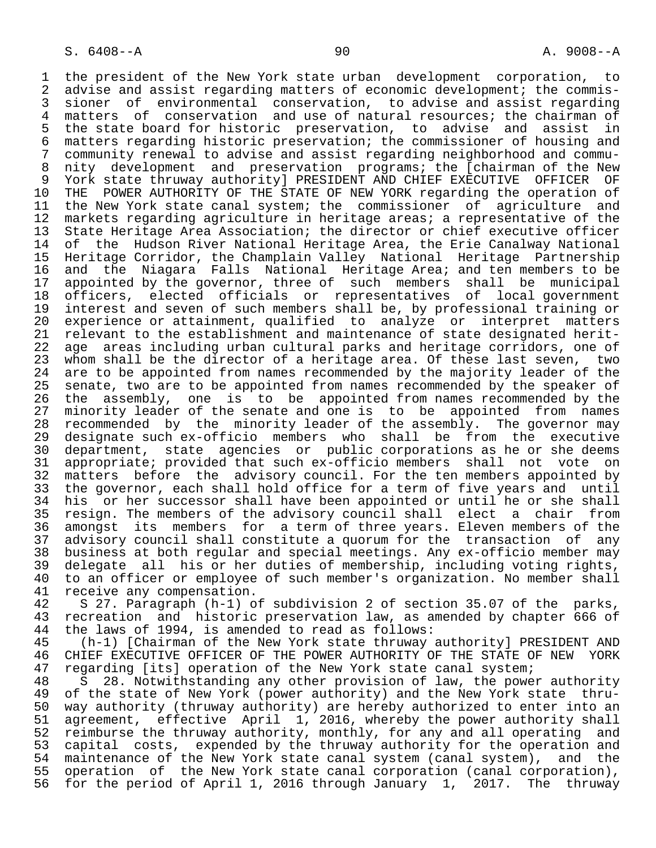1 the president of the New York state urban development corporation, to<br>2 advise and assist regarding matters of economic development; the commis-2 advise and assist regarding matters of economic development; the commis-<br>3 sioner of environmental conservation, to advise and assist regarding 3 sioner of environmental conservation, to advise and assist regarding 4 matters of conservation and use of natural resources; the chairman of<br>5 the state board for historic preservation, to advise and assist in 5 the state board for historic preservation, to advise and assist in<br>6 matters regarding historic preservation; the commissioner of housing and 6 matters regarding historic preservation; the commissioner of housing and 7 community renewal to advise and assist regarding neighborhood and commu-<br>8 nity development and preservation programs; the [chairman of the New 8 nity development and preservation programs; the [chairman of the New<br>9 York state thruway authority] PRESIDENT AND CHIEF EXECUTIVE OFFICER OF 9 York state thruway authority] PRESIDENT AND CHIEF EXECUTIVE OFFICER OF<br>10 THE POWER AUTHORITY OF THE STATE OF NEW YORK regarding the operation of 10 THE POWER AUTHORITY OF THE STATE OF NEW YORK regarding the operation of<br>11 the New York state canal system; the commissioner of agriculture and 11 the New York state canal system; the commissioner of agriculture and<br>12 markets regarding agriculture in heritage areas; a representative of the 12 markets regarding agriculture in heritage areas; a representative of the<br>13 State Heritage Area Association; the director or chief executive officer 13 State Heritage Area Association; the director or chief executive officer<br>14 of the Hudson River National Heritage Area, the Erie Canalway National 14 of the Hudson River National Heritage Area, the Erie Canalway National<br>15 Heritage Corridor, the Champlain Valley National Heritage Partnership 15 Heritage Corridor, the Champlain Valley National Heritage Partnership 16 and the Niagara Falls National Heritage Area; and ten members to be 17 appointed by the governor, three of such members shall be municipal 18 officers, elected officials or representatives of local government<br>19 interest and seven of such members shall be, by professional training or 19 interest and seven of such members shall be, by professional training or<br>20 experience or attainment, qualified to analyze or interpret matters 20 experience or attainment, qualified to analyze or interpret matters<br>21 relevant to the establishment and maintenance of state designated herit-21 relevant to the establishment and maintenance of state designated herit-<br>22 age areas including urban cultural parks and heritage corridors, one of 22 age areas including urban cultural parks and heritage corridors, one of<br>23 whom shall be the director of a heritage area. Of these last seven, two 23 whom shall be the director of a heritage area. Of these last seven, two<br>24 are to be appointed from names recommended by the majority leader of the 24 are to be appointed from names recommended by the majority leader of the<br>25 senate, two are to be appointed from names recommended by the speaker of senate, two are to be appointed from names recommended by the speaker of 26 the assembly, one is to be appointed from names recommended by the<br>27 minority leader of the senate and one is to be appointed from names 27 minority leader of the senate and one is to be appointed from names<br>28 recommended by the minority leader of the assembly. The governor may 28 recommended by the minority leader of the assembly. The governor may<br>29 designate such ex-officio members who shall be from the executive 29 designate such ex-officio members who shall be from the executive<br>30 department, state agencies or public corporations as he or she deems 30 department, state agencies or public corporations as he or she deems<br>31 appropriate; provided that such ex-officio members shall not vote on 31 appropriate; provided that such ex-officio members shall not vote on<br>32 matters before the advisory council. For the ten members appointed by 32 matters before the advisory council. For the ten members appointed by<br>33 the governor, each shall hold office for a term of five years and until 33 the governor, each shall hold office for a term of five years and until<br>34 his or her successor shall have been appointed or until he or she shall 34 his or her successor shall have been appointed or until he or she shall<br>35 resign. The members of the advisory council shall elect a chair from 35 resign. The members of the advisory council shall elect a chair from<br>36 amongst its members for a term of three years. Eleven members of the amongst its members for a term of three years. Eleven members of the 37 advisory council shall constitute a quorum for the transaction of any<br>38 business at both reqular and special meetings. Any ex-officio member may 38 business at both regular and special meetings. Any ex-officio member may<br>39 delegate all his or her duties of membership, including voting rights, 39 delegate all his or her duties of membership, including voting rights,<br>40 to an officer or employee of such member's organization. No member shall 40 to an officer or employee of such member's organization. No member shall<br>41 receive any compensation. 41 receive any compensation.<br>42 S 27. Paragraph (h-1) o

42 S 27. Paragraph (h-1) of subdivision 2 of section 35.07 of the parks,<br>43 recreation and historic preservation law, as amended by chapter 666 of 43 recreation and historic preservation law, as amended by chapter 666 of<br>44 the laws of 1994, is amended to read as follows: 44 the laws of 1994, is amended to read as follows:<br>45 (h-1) [Chairman of the New York state thruway

 45 (h-1) [Chairman of the New York state thruway authority] PRESIDENT AND 46 CHIEF EXECUTIVE OFFICER OF THE POWER AUTHORITY OF THE STATE OF NEW YORK<br>47 regarding [its] operation of the New York state canal system; 47 regarding [its] operation of the New York state canal system;<br>48 S 28. Notwithstanding any other provision of law, the powe

48 S 28. Notwithstanding any other provision of law, the power authority<br>49 of the state of New York (power authority) and the New York state thru-49 of the state of New York (power authority) and the New York state thru-<br>50 way authority (thruway authority) are hereby authorized to enter into an 50 way authority (thruway authority) are hereby authorized to enter into an<br>51 agreement, effective April 1, 2016, whereby the power authority shall 51 agreement, effective April 1, 2016, whereby the power authority shall<br>52 reimburse the thruway authority, monthly, for any and all operating and 52 reimburse the thruway authority, monthly, for any and all operating and<br>53 capital costs, expended by the thruway authority for the operation and 53 capital costs, expended by the thruway authority for the operation and<br>54 maintenance of the New York state canal system (canal system), and the 54 maintenance of the New York state canal system (canal system),<br>55 operation of the New York state canal corporation (canal corp 55 operation of the New York state canal corporation (canal corporation),<br>56 for the period of April 1, 2016 through January 1, 2017. The thruway 56 for the period of April 1, 2016 through January 1, 2017. The thruway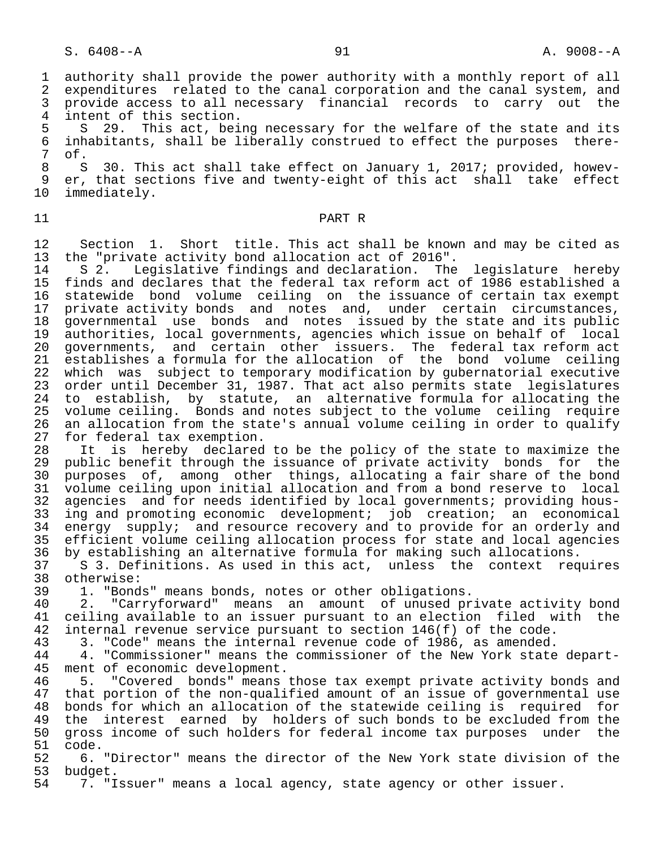1 authority shall provide the power authority with a monthly report of all<br>2 expenditures related to the canal corporation and the canal system, and 2 expenditures related to the canal corporation and the canal system, and<br>3 provide access to all necessary financial records to carry out the 3 provide access to all necessary financial records to carry out the

4 intent of this section.<br>5 S 29. This act, bei 5 S 29. This act, being necessary for the welfare of the state and its<br>6 inhabitants, shall be liberally construed to effect the purposes there-6 inhabitants, shall be liberally construed to effect the purposes there-<br>7 of. 7 of.

8 S 30. This act shall take effect on January 1, 2017; provided, howev-<br>9 er, that sections five and twenty-eight of this act shall take effect 9 er, that sections five and twenty-eight of this act shall take effect<br>10 immediately. immediately.

## 11 PART R

12 Section 1. Short title. This act shall be known and may be cited as<br>13 the "private activity bond allocation act of 2016". 13 the "private activity bond allocation act of 2016".<br>14 S 2. Legislative findings and declaration. The

14 S 2. Legislative findings and declaration. The legislature hereby<br>15 finds and declares that the federal tax reform act of 1986 established a 15 finds and declares that the federal tax reform act of 1986 established a 16 statewide bond volume ceiling on the issuance of certain tax exempt<br>17 private activity bonds and notes and, under certain circumstances, private activity bonds and notes and, under certain circumstances, 18 governmental use bonds and notes issued by the state and its public<br>19 authorities, local governments, agencies which issue on behalf of local 19 authorities, local governments, agencies which issue on behalf of local<br>20 governments, and certain other issuers. The federal tax reform act 20 governments, and certain other issuers. The federal tax reform act<br>21 establishes a formula for the allocation of the bond volume ceiling 21 establishes a formula for the allocation of the bond volume ceiling<br>22 which was subject to temporary modification by qubernatorial executive 22 which was subject to temporary modification by gubernatorial executive<br>23 order until December 31, 1987. That act also permits state legislatures 23 order until December 31, 1987. That act also permits state legislatures<br>24 to establish, by statute, an alternative formula for allocating the 24 to establish, by statute, an alternative formula for allocating the<br>25 volume ceiling. Bonds and notes subject to the volume ceiling require 25 volume ceiling. Bonds and notes subject to the volume ceiling require<br>26 an allocation from the state's annual volume ceiling in order to qualify 26 an allocation from the state's annual volume ceiling in order to qualify<br>27 for federal tax exemption. 27 for federal tax exemption.<br>28 It is hereby declared

28 It is hereby declared to be the policy of the state to maximize the<br>29 public benefit through the issuance of private activity bonds for the 29 public benefit through the issuance of private activity bonds for the<br>30 purposes of, among other things, allocating a fair share of the bond 30 purposes of, among other things, allocating a fair share of the bond<br>31 volume ceiling upon initial allocation and from a bond reserve to local 31 volume ceiling upon initial allocation and from a bond reserve to local<br>32 agencies and for needs identified by local governments; providing hous-32 agencies and for needs identified by local governments; providing hous-<br>33 ing and promoting economic development; iob creation; an economical  $33$  ing and promoting economic development; job creation; an economical  $34$  energy supply; and resource recovery and to provide for an orderly and energy supply; and resource recovery and to provide for an orderly and 35 efficient volume ceiling allocation process for state and local agencies<br>36 by establishing an alternative formula for making such allocations. 36 by establishing an alternative formula for making such allocations.

37 S 3. Definitions. As used in this act, unless the context requires<br>38 otherwise: 38 otherwise:<br>39 1. "Bond

39 1. "Bonds" means bonds, notes or other obligations.

40 2. "Carryforward" means an amount of unused private activity bond<br>41 ceiling available to an issuer pursuant to an election filed with the 41 ceiling available to an issuer pursuant to an election filed with the<br>42 internal revenue service pursuant to section 146(f) of the code. 42 internal revenue service pursuant to section 146(f) of the code.<br>43 3. "Code" means the internal revenue code of 1986, as amended.

43 3. "Code" means the internal revenue code of 1986, as amended.<br>44 4. "Commissioner" means the commissioner of the New York state 44 4. "Commissioner" means the commissioner of the New York state depart-<br>45 ment of economic development. ment of economic development.

46 5. "Covered bonds" means those tax exempt private activity bonds and<br>47 that portion of the non-qualified amount of an issue of governmental use 47 that portion of the non-qualified amount of an issue of governmental use<br>48 bonds for which an allocation of the statewide ceiling is required for 48 bonds for which an allocation of the statewide ceiling is required for<br>49 the interest earned by holders of such bonds to be excluded from the 49 the interest earned by holders of such bonds to be excluded from the<br>50 gross income of such holders for federal income tax purposes under the 50 gross income of such holders for federal income tax purposes under the<br>51 code. 51 code.<br>52 6.

 52 6. "Director" means the director of the New York state division of the 53 budget.<br>54 7. "I

7. "Issuer" means a local agency, state agency or other issuer.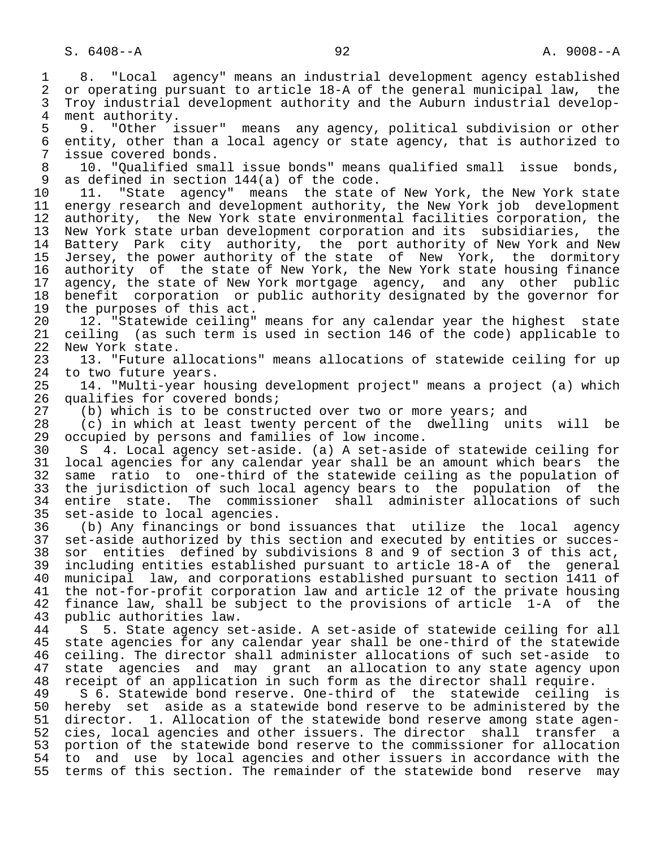1 8. "Local agency" means an industrial development agency established 2 or operating pursuant to article 18-A of the general municipal law, the<br>3 Trov industrial development authority and the Auburn industrial develop-3 Troy industrial development authority and the Auburn industrial develop-<br>4 ment authority. 4 ment authority.<br>5 9. "Other i 5 9. "Other issuer" means any agency, political subdivision or other<br>6 entity, other than a local agency or state agency, that is authorized to 6 entity, other than a local agency or state agency, that is authorized to<br>7 issue covered bonds. 7 issue covered bonds.<br>8 10. "Qualified sma 8 10. "Qualified small issue bonds" means qualified small issue bonds,<br>9 as defined in section 144(a) of the code. 9 as defined in section 144(a) of the code.<br>10 11. "State agency" means the state 10 11. "State agency" means the state of New York, the New York state<br>11 energy research and development authority, the New York job development 11 energy research and development authority, the New York job development<br>12 authority, the New York state environmental facilities corporation, the authority, the New York state environmental facilities corporation, the 13 New York state urban development corporation and its subsidiaries, the<br>14 Battery Park city authority, the port authority of New York and New Battery Park city authority, the port authority of New York and New 15 Jersey, the power authority of the state of New York, the dormitory 16 authority of the state of New York, the New York state housing finance<br>17 agency, the state of New York mortgage agency, and any other public 17 agency, the state of New York mortgage agency, and any other public<br>18 benefit corporation or public authority designated by the governor for 18 benefit corporation or public authority designated by the governor for<br>19 the purposes of this act. 19 the purposes of this act.<br>20 12. "Statewide ceiling" 20 12. "Statewide ceiling" means for any calendar year the highest state<br>21 ceiling (as such term is used in section 146 of the code) applicable to 21 ceiling (as such term is used in section 146 of the code) applicable to<br>22 New York state. 22 New York state.<br>23 13. "Future a 23 13. "Future allocations" means allocations of statewide ceiling for up<br>24 to two future vears. 24 to two future years.<br>25 14. "Multi-vear ho 25 14. "Multi-year housing development project" means a project (a) which 26 qualifies for covered bonds;<br>27 (b) which is to be constru 27 (b) which is to be constructed over two or more years; and<br>28 (c) in which at least twenty percent of the dwelling unit 28 (c) in which at least twenty percent of the dwelling units will be 29 occupied by persons and families of low income. 29 occupied by persons and families of low income.<br>30 S 4. Local agency set-aside. (a) A set-aside 30 S 4. Local agency set-aside. (a) A set-aside of statewide ceiling for 31 local agencies for any calendar year shall be an amount which bears the<br>32 same ratio to one-third of the statewide ceiling as the population of 32 same ratio to one-third of the statewide ceiling as the population of<br>33 the jurisdiction of such local agency bears to the population of the 33 the jurisdiction of such local agency bears to the population of the<br>34 entire state. The commissioner shall administer allocations of such 34 entire state. The commissioner shall administer allocations of such<br>35 set-aside to local agencies. 35 set-aside to local agencies.<br>36 (b) Any financings or bond (b) Any financings or bond issuances that utilize the local agency 37 set-aside authorized by this section and executed by entities or succes- 38 sor entities defined by subdivisions 8 and 9 of section 3 of this act, 39 including entities established pursuant to article 18-A of the general 40 municipal law, and corporations established pursuant to section 1411 of<br>41 the not-for-profit corporation law and article 12 of the private housing 41 the not-for-profit corporation law and article 12 of the private housing<br>42 finance law, shall be subject to the provisions of article 1-A of the 42 finance law, shall be subject to the provisions of article 1-A of the 43 public authorities law. 43 public authorities law. 44 S 5. State agency set-aside. A set-aside of statewide ceiling for all state agencies for any calendar year shall be one-third of the statewide 46 ceiling. The director shall administer allocations of such set-aside to<br>47 state agencies and may grant an allocation to any state agency upon state agencies and may grant an allocation to any state agency upon 48 receipt of an application in such form as the director shall require.<br>49 S 6. Statewide bond reserve. One-third of the statewide ceiling 49 S 6. Statewide bond reserve. One-third of the statewide ceiling is<br>50 hereby set aside as a statewide bond reserve to be administered by the 50 hereby set aside as a statewide bond reserve to be administered by the<br>51 director. 1. Allocation of the statewide bond reserve among state agendirector. 1. Allocation of the statewide bond reserve among state agen-52 cies, local agencies and other issuers. The director shall transfer a<br>53 portion of the statewide bond reserve to the commissioner for allocation 53 portion of the statewide bond reserve to the commissioner for allocation<br>54 to and use by local agencies and other issuers in accordance with the 54 to and use by local agencies and other issuers in accordance with the<br>55 terms of this section. The remainder of the statewide bond reserve may terms of this section. The remainder of the statewide bond reserve may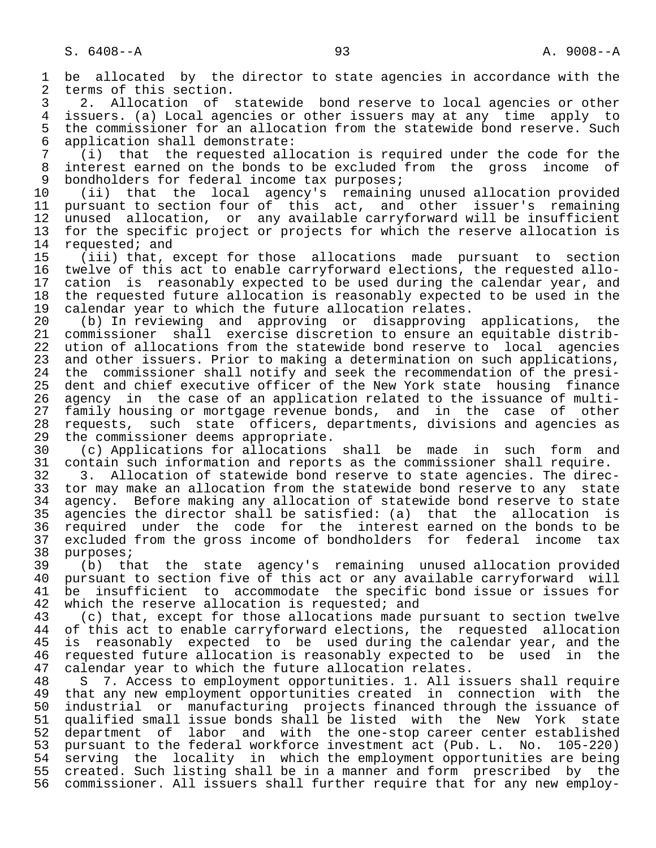1 be allocated by the director to state agencies in accordance with the<br>2 terms of this section. 2 terms of this section.<br>3 2. Allocation of

3 2. Allocation of statewide bond reserve to local agencies or other<br>4 issuers. (a) Local agencies or other issuers may at any time apply to 4 issuers. (a) Local agencies or other issuers may at any time apply to<br>5 the commissioner for an allocation from the statewide bond reserve. Such 5 the commissioner for an allocation from the statewide bond reserve. Such<br>6 application shall demonstrate: 6 application shall demonstrate:

 7 (i) that the requested allocation is required under the code for the 8 interest earned on the bonds to be excluded from the gross income of<br>9 bondholders for federal income tax purposes; 9 bondholders for federal income tax purposes;<br>10 (ii) that the local agency's remaining

 10 (ii) that the local agency's remaining unused allocation provided 11 pursuant to section four of this act, and other issuer's remaining<br>12 unused allocation, or any available carryforward will be insufficient 12 unused allocation, or any available carryforward will be insufficient<br>13 for the specific project or projects for which the reserve allocation is 13 for the specific project or projects for which the reserve allocation is<br>14 requested; and 14 requested; and<br>15 (iii) that,

 15 (iii) that, except for those allocations made pursuant to section 16 twelve of this act to enable carryforward elections, the requested allo-<br>17 cation is reasonably expected to be used during the calendar year, and 17 cation is reasonably expected to be used during the calendar year, and<br>18 the requested future allocation is reasonably expected to be used in the 18 the requested future allocation is reasonably expected to be used in the 19 calendar vear to which the future allocation relates. 19 calendar year to which the future allocation relates.<br>20 (b) In reviewing and approving or disapproving

20 (b) In reviewing and approving or disapproving applications, the<br>21 commissioner shall exercise-discretion to ensure an equitable-distrib-21 commissioner shall exercise discretion to ensure an equitable distrib-<br>22 ution of allocations from the statewide bond reserve to local agencies 22 ution of allocations from the statewide bond reserve to local agencies<br>23 and other issuers. Prior to making a determination on such applications, 23 and other issuers. Prior to making a determination on such applications,<br>24 the commissioner shall notify and seek the recommendation of the presi-24 the commissioner shall notify and seek the recommendation of the presi-<br>25 dent and chief executive officer of the New York state housing finance dent and chief executive officer of the New York state housing finance 26 agency in the case of an application related to the issuance of multi-<br>27 family housing or mortgage revenue bonds, and in the case of other 27 family housing or mortgage revenue bonds, and in the case of other<br>28 requests, such state officers, departments, divisions and agencies as 28 requests, such state officers, departments, divisions and agencies as<br>29 the commissioner deems appropriate. 29 the commissioner deems appropriate.<br>30 (c) Applications for allocations

30 (c) Applications for allocations shall be made in such form and<br>31 contain such information and reports as the commissioner shall require. 31 contain such information and reports as the commissioner shall require.<br>32 3. Allocation of statewide bond reserve to state agencies. The direc

32 3. Allocation of statewide bond reserve to state agencies. The direc-<br>33 tor may make an allocation from the statewide bond reserve to any state 33 tor may make an allocation from the statewide bond reserve to any state<br>34 agency. Before making any allocation of statewide bond reserve to state 34 agency. Before making any allocation of statewide bond reserve to state<br>35 agencies the director shall be satisfied: (a) that the allocation is 35 agencies the director shall be satisfied: (a) that the allocation is<br>36 required under the code for the interest earned on the bonds to be required under the code for the interest earned on the bonds to be 37 excluded from the gross income of bondholders for federal income tax<br>38 purposes; 38 purposes;<br>39 (b) th

 39 (b) that the state agency's remaining unused allocation provided 40 pursuant to section five of this act or any available carryforward will<br>41 be insufficient to accommodate the specific bond issue or issues for 41 be insufficient to accommodate the specific bond issue or issues for<br>42 which the reserve allocation is requested; and 42 which the reserve allocation is requested; and  $(2)$  that, except for those allocations made  $\mathfrak n$ 

43 (c) that, except for those allocations made pursuant to section twelve<br>44 of this act to enable carryforward elections, the requested allocation 44 of this act to enable carryforward elections, the requested allocation<br>45 is reasonably expected to be used during the calendar year, and the 45 is reasonably expected to be used during the calendar year, and the<br>46 requested future allocation is reasonably expected to be used in the 46 requested future allocation is reasonably expected to be used in the<br>47 calendar vear to which the future allocation relates. 47 calendar year to which the future allocation relates.<br>48 S 7. Access to employment opportunities. 1. All is

 48 S 7. Access to employment opportunities. 1. All issuers shall require 49 that any new employment opportunities created in connection with the<br>50 industrial or manufacturing projects financed through the issuance of 50 industrial or manufacturing projects financed through the issuance of<br>51 qualified small issue bonds shall be listed with the New York state 51 qualified small issue bonds shall be listed with the New York state<br>52 department of labor and with the one-stop career center established 52 department of labor and with the one-stop career center established<br>53 pursuant to the federal workforce investment act (Pub. L. No. 105-220) 53 pursuant to the federal workforce investment act (Pub. L. No. 105-220)<br>54 serving the locality in which the employment opportunities are being 54 serving the locality in which the employment opportunities are being<br>55 created. Such listing shall be in a manner and form prescribed by the 55 created. Such listing shall be in a manner and form prescribed by the<br>56 commissioner. All issuers shall further require that for any new employcommissioner. All issuers shall further require that for any new employ-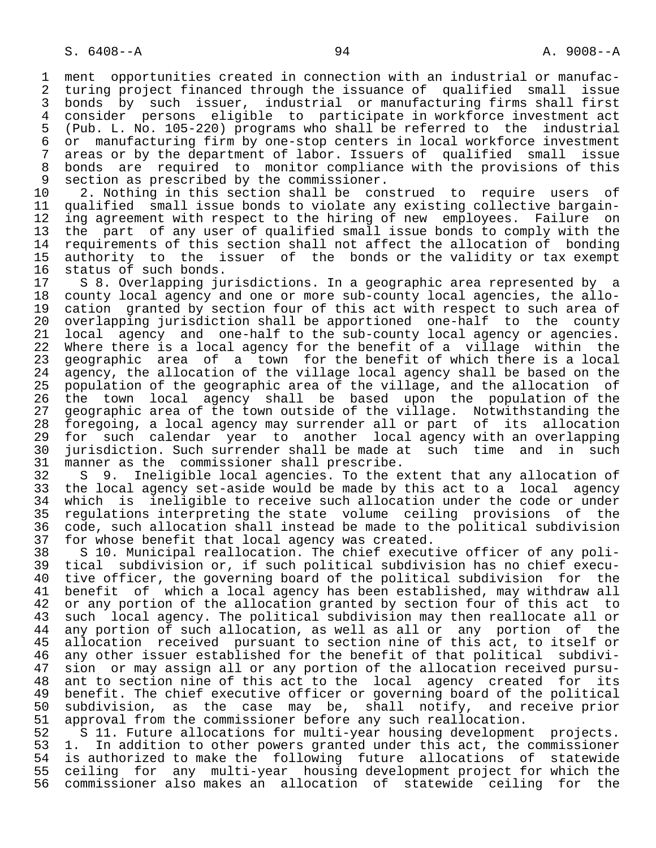1 ment opportunities created in connection with an industrial or manufac-<br>2 turing project financed through the issuance of qualified small issue 2 turing project financed through the issuance of qualified small issue<br>3 bonds by such issuer, industrial or manufacturing firms shall first 3 bonds by such issuer, industrial or manufacturing firms shall first<br>4 consider persons eligible to participate in workforce investment act 4 consider persons eligible to participate in workforce investment act 5 (Pub. L. No. 105-220) programs who shall be referred to the industrial 6 or manufacturing firm by one-stop centers in local workforce investment<br>7 areas or by the department of labor. Issuers of qualified small issue 7 areas or by the department of labor. Issuers of qualified small issue<br>8 bonds are required to monitor compliance with the provisions of this 8 bonds are required to monitor compliance with the provisions of this<br>9 section as prescribed by the commissioner. 9 section as prescribed by the commissioner.<br>10 2. Nothing in this section shall be con

10 2. Nothing in this section shall be construed to require users of<br>11 qualified small issue bonds to violate any existing collective bargain-11 qualified small issue bonds to violate any existing collective bargain-<br>12 ing agreement with respect to the hiring of new employees. Failure on 12 ing agreement with respect to the hiring of new employees. Failure on<br>13 the part of any user of qualified small issue bonds to comply with the 13 the part of any user of qualified small issue bonds to comply with the<br>14 requirements of this section shall not affect the allocation of bonding requirements of this section shall not affect the allocation of bonding 15 authority to the issuer of the bonds or the validity or tax exempt<br>16 status of such bonds. 16 status of such bonds.<br>17 S 8. Overlapping ju

17 S 8. Overlapping jurisdictions. In a geographic area represented by a<br>18 county local agency and one or more sub-county local agencies, the allo- 18 county local agency and one or more sub-county local agencies, the allo- 19 cation granted by section four of this act with respect to such area of<br>20 overlapping jurisdiction shall be apportioned one-half to the county 20 overlapping jurisdiction shall be apportioned one-half to the county<br>21 local agency and one-half to the sub-county local agency or agencies. 21 local agency and one-half to the sub-county local agency or agencies.<br>22 Where there is a local agency for the benefit of a village within the 22 Where there is a local agency for the benefit of a village within the<br>23 geographic area of a town for the benefit of which there is a local 23 geographic area of a town for the benefit of which there is a local<br>24 agency, the allocation of the village local agency shall be based on the 24 agency, the allocation of the village local agency shall be based on the<br>25 population of the geographic area of the village, and the allocation of 25 population of the geographic area of the village, and the allocation of 26 the town local agency shall be based upon the population of the 27 geographic area of the town outside of the village. Notwithstanding the<br>28 foregoing, a local agency may surrender all or part of its allocation 28 foregoing, a local agency may surrender all or part of its allocation 29 for such calendar year to another local-agency with an overlapping<br>20 jurisdiction, Such-surrender-shall-be-made-at such time and in such 30 jurisdiction. Such surrender shall be made at such time and in such<br>31 manner as the commissioner shall prescribe. 31 manner as the commissioner shall prescribe.<br>32 S 9. Ineligible local agencies. To the e

32 S 9. Ineligible local agencies. To the extent that any allocation of<br>33 the local agency set-aside would be made by this act to a local agency 33 the local agency set-aside would be made by this act to a local agency<br>34 which is ineligible to receive such allocation under the code or under 34 which is ineligible to receive such allocation under the code or under<br>35 regulations interpreting the state volume ceiling provisions of the 35 regulations interpreting the state volume ceiling provisions of the<br>36 code, such allocation shall instead be made to the political subdivision code, such allocation shall instead be made to the political subdivision 37 for whose benefit that local agency was created.<br>38 S 10. Municipal reallocation. The chief execut

 38 S 10. Municipal reallocation. The chief executive officer of any poli- 39 tical subdivision or, if such political subdivision has no chief execu- 40 tive officer, the governing board of the political subdivision for the<br>41 benefit of which a local agency has been established, may withdraw all 41 benefit of which a local agency has been established, may withdraw all<br>42 or any portion of the allocation granted by section four of this act to 42 or any portion of the allocation granted by section four of this act to<br>43 such local agency. The political subdivision may then reallocate all or 43 such local agency. The political subdivision may then reallocate all or<br>44 any portion of such allocation, as well as all or any portion of the 44 any portion of such allocation, as well as all or any portion of the<br>45 allocation received pursuant to section nine of this act, to itself or 45 allocation received pursuant to section nine of this act, to itself or<br>46 any other issuer established for the benefit of that political subdivi- 46 any other issuer established for the benefit of that political subdivi- 47 sion or may assign all or any portion of the allocation received pursu- 48 ant to section nine of this act to the local agency created for its<br>49 benefit. The chief executive officer or governing board of the political 49 benefit. The chief executive officer or governing board of the political<br>50 subdivision, as the case may be, shall notify, and receive prior 50 subdivision, as the case may be, shall notify, and receive prior<br>51 approval from the commissioner before any such reallocation. 51 approval from the commissioner before any such reallocation.<br>52 S 11. Future allocations for multi-year housing developmen

52 S 11. Future allocations for multi-year housing development projects.<br>53 1. In addition to other powers granted under this act, the commissioner 53 1. In addition to other powers granted under this act, the commissioner<br>54 is authorized to make the following future allocations of statewide 54 is authorized to make the following future allocations of statewide<br>55 ceiling for any multi-year housing development project for which the 55 ceiling for any multi-year housing development project for which the<br>56 commissioner also makes an allocation of statewide ceiling for the 56 commissioner also makes an allocation of statewide ceiling for the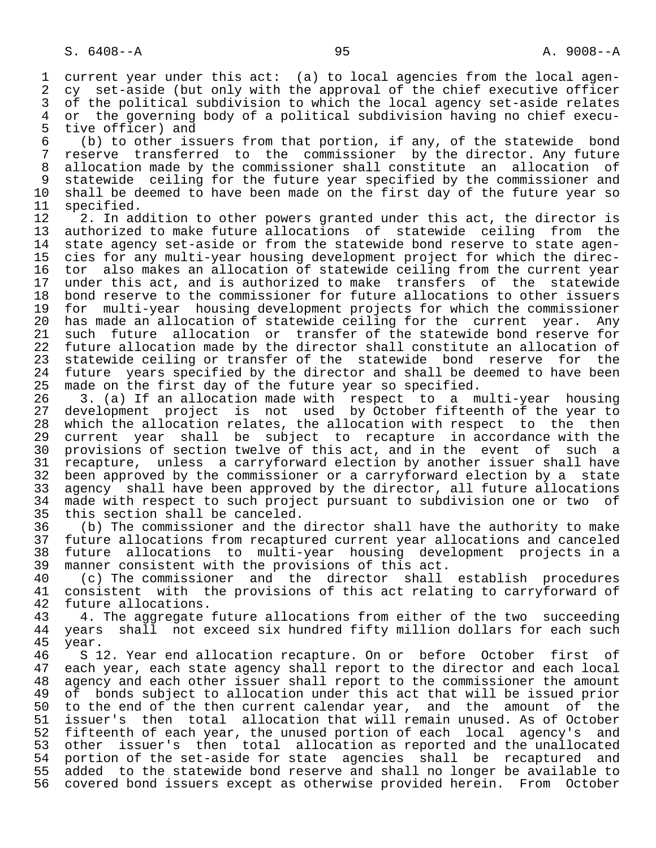1 current year under this act: (a) to local agencies from the local agen-<br>2 cy set-aside (but only with the approval of the chief executive officer 2 cy set-aside (but only with the approval of the chief executive officer<br>3 of the political subdivision to which the local agency set-aside relates 3 of the political subdivision to which the local agency set-aside relates<br>4 or the governing body of a political subdivision having no chief execu- 4 or the governing body of a political subdivision having no chief execu- 5 tive officer) and<br>6 (b) to other is:

 6 (b) to other issuers from that portion, if any, of the statewide bond 7 reserve transferred to the commissioner by the director. Any future<br>8 allocation made by the commissioner shall constitute an allocation of 8 allocation made by the commissioner shall constitute an allocation of<br>8 statewide ceiling for the future year specified by the commissioner and 9 statewide ceiling for the future year specified by the commissioner and<br>10 shall be deemed to have been made on the first day of the future year so 10 shall be deemed to have been made on the first day of the future year so 11 specified.

11 specified.<br>12 2. In ad 12 1. In addition to other powers granted under this act, the director is<br>13 authorized to make future allocations of statewide ceiling from the 13 authorized to make future allocations of statewide ceiling from the state agency set-aside or from the statewide bond reserve to state agen-15 cies for any multi-year housing development project for which the direc-<br>16 tor also makes an allocation of statewide ceiling from the current year 16 tor also makes an allocation of statewide ceiling from the current year<br>17 under this act, and is authorized to make transfers of the statewide 17 under this act, and is authorized to make transfers of the statewide<br>18 bond reserve to the commissioner for future allocations to other issuers 18 bond reserve to the commissioner for future allocations to other issuers<br>19 for multi-vear housing development projects for which the commissioner 19 for multi-year housing development projects for which the commissioner<br>20 has made an allocation of statewide ceiling for the current year. Any 20 has made an allocation of statewide ceiling for the current year. Any<br>21 such future allocation or transfer of the statewide bond reserve for 21 such future allocation or transfer of the statewide bond reserve for<br>22 future allocation made by the director shall constitute an allocation of 22 future allocation made by the director shall constitute an allocation of<br>23 statewide ceiling or transfer of the statewide bond reserve for the 23 statewide ceiling or transfer of the statewide bond reserve for the<br>24 future vears specified by the director and shall be deemed to have been 24 future years specified by the director and shall be deemed to have been<br>25 made on the first day of the future year so specified. made on the first day of the future year so specified.

26 1. (a) If an allocation made with respect to a multi-year housing<br>27 development project is not used by October fifteenth of the year to 27 development project is not used by October fifteenth of the year to 28 which the allocation relates, the allocation with respect to the then 29 current year shall be subject to recapture in accordance with the<br>20 provisions of section twelve of this act, and in the event of such a 30 provisions of section twelve of this act, and in the event of such a<br>31 recapture, unless a carryforward election by another issuer shall have 31 recapture, unless a carryforward election by another issuer shall have<br>32 been approved by the commissioner or a carryforward election by a state 32 been approved by the commissioner or a carryforward election by a state<br>33 agency shall have been approved by the director, all future allocations 33 agency shall have been approved by the director, all future allocations<br>34 made with respect to such project pursuant to subdivision one or two of 34 made with respect to such project pursuant to subdivision one or two of 35 this section shall be canceled. 35 this section shall be canceled.<br>36 (b) The commissioner and the

36 (b) The commissioner and the director shall have the authority to make<br>37 future allocations from recaptured current year allocations and canceled 37 future allocations from recaptured current year allocations and canceled 38 future allocations to multi-year housing development projects in a<br>39 manner consistent with the provisions of this act. 39 manner consistent with the provisions of this act.<br>40 (c) The commissioner and the director shall

40 (c) The commissioner and the director shall establish procedures<br>41 consistent with the provisions of this act relating to carryforward of 41 consistent with the provisions of this act relating to carryforward of 42 future allocations. 42 future allocations.<br>43 4. The aggregate

43 4. The aggregate future allocations from either of the two succeeding<br>44 years shall not exceed six hundred fifty million dollars for each such 44 years shall not exceed six hundred fifty million dollars for each such<br>45 year. 45 year.

46 S 12. Year end allocation recapture. On or before October first of 47 each vear, each state agency shall report to the director and each local each year, each state agency shall report to the director and each local 48 agency and each other issuer shall report to the commissioner the amount<br>49 of bonds subject to allocation under this act that will be issued prior 49 of bonds subject to allocation under this act that will be issued prior<br>50 to the end of the then current calendar year, and the amount of the 50 to the end of the then current calendar year, and the amount of the<br>51 issuer's then total allocation that will remain unused. As of October 51 issuer's then total allocation that will remain unused. As of October<br>52 fifteenth of each year, the unused portion of each local agency's and 52 fifteenth of each year, the unused portion of each local agency's and<br>53 other issuer's then total allocation as reported and the unallocated 53 other issuer's then total allocation as reported and the unallocated<br>54 portion of the set-aside for state agencies shall be recaptured and 54 portion of the set-aside for state agencies shall be recaptured and<br>55 added to the statewide bond reserve and shall no longer be available to added to the statewide bond reserve and shall no longer be available to 56 covered bond issuers except as otherwise provided herein. From October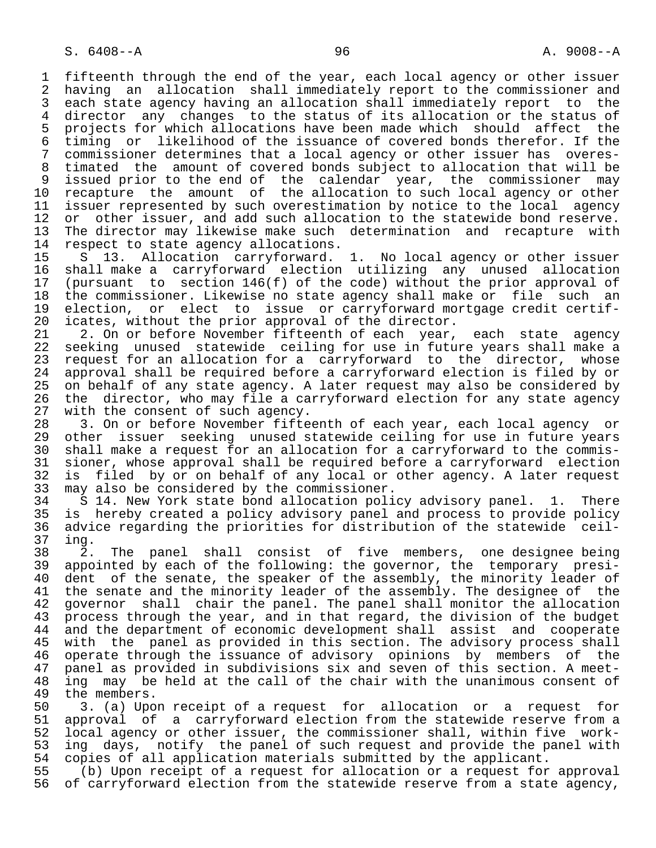1 fifteenth through the end of the year, each local agency or other issuer<br>2 having an allocation shall immediately report to the commissioner and 2 having an allocation shall immediately report to the commissioner and<br>3 each state agency having an allocation shall immediately report to the 3 each state agency having an allocation shall immediately report to the<br>4 director any changes to the status of its allocation or the status of 4 director any changes to the status of its allocation or the status of<br>5 projects for which allocations have been made which should affect the 5 projects for which allocations have been made which should affect the<br>6 timing or likelihood of the issuance of covered bonds therefor. If the 6 timing or likelihood of the issuance of covered bonds therefor. If the 7 commissioner determines that a local agency or other issuer has overes-<br>8 timated the amount of covered bonds subject to allocation that will be 8 timated the amount of covered bonds subject to allocation that will be<br>9 issued prior to the end of the calendar year, the commissioner may 9 issued prior to the end of the calendar year, the commissioner may 10 recapture the amount of the allocation to such local agency or other<br>11 issuer represented by such overestimation by notice to the local agency 11 issuer represented by such overestimation by notice to the local agency<br>12 or other issuer, and add such allocation to the statewide bond reserve. 12 or other issuer, and add such allocation to the statewide bond reserve.<br>13 The director may likewise make such determination and recapture with 13 The director may likewise make such determination and recapture with<br>14 respect to state agency allocations. 14 respect to state agency allocations.<br>15 S 13. Allocation carryforward.

 15 S 13. Allocation carryforward. 1. No local agency or other issuer 16 shall make a carryforward election utilizing any unused allocation<br>17 (pursuant to section 146(f) of the code) without the prior approval of 17 (pursuant to section 146(f) of the code) without the prior approval of<br>18 the commissioner. Likewise no state agency shall make or file such an 18 the commissioner. Likewise no state agency shall make or file such an<br>19 election, or elect to issue or carryforward mortgage credit certif-19 election, or elect to issue or carryforward mortgage credit certif-<br>20 icates, without the prior approval of the director. 20 icates, without the prior approval of the director.<br>21 2. On or before November fifteenth of each vear.

21 2. On or before November fifteenth of each year, each state agency<br>22 seeking unused statewide ceiling for use in future years shall make a 22 seeking unused statewide ceiling for use in future years shall make a<br>23 request for an allocation for a carryforward to the director, whose 23 request for an allocation for a carryforward to the director, whose<br>24 approval shall be required before a carryforward election is filed by or 24 approval shall be required before a carryforward election is filed by or 25 on behalf of any state agency. A later request may also be considered by 26 the director, who may file a carryforward election for any state agency<br>27 with the consent of such agency. 27 with the consent of such agency.<br>28 3. On or before November fifte

28 3. On or before November fifteenth of each year, each local agency or<br>29 other issuer seeking unused statewide ceiling for use in future years 29 other issuer seeking unused statewide ceiling for use in future years<br>30 shall make a request for an allocation for a carryforward to the commis- 30 shall make a request for an allocation for a carryforward to the commis- 31 sioner, whose approval shall be required before a carryforward election<br>32 is filed by or on behalf of any local or other agency. A later request 32 is filed by or on behalf of any local or other agency. A later request<br>33 may also be considered by the commissioner.

33 may also be considered by the commissioner.<br>34 S 14. New York state bond allocation poli 34 S 14. New York state bond allocation policy advisory panel. 1. There<br>35 is hereby created a policy advisory panel and process to provide policy 35 is hereby created a policy advisory panel and process to provide policy<br>36 advice regarding the priorities for distribution of the statewide ceiladvice regarding the priorities for distribution of the statewide ceil-37 ing.

38 2. The panel shall consist of five members, one-designee-being<br>39 appointed by each of the following: the governor, the temporary presi-39 appointed by each of the following: the governor, the temporary presi-<br>40 dent of the senate, the speaker of the assembly, the minority leader of 40 dent of the senate, the speaker of the assembly, the minority leader of<br>41 the senate and the minority leader of the assembly. The designee of the 41 the senate and the minority leader of the assembly. The designee of the<br>42 governor shall chair the panel. The panel shall monitor the allocation 42 governor shall chair the panel. The panel shall monitor the allocation<br>43 process through the year, and in that regard, the division of the budget 43 process through the year, and in that regard, the division of the budget<br>44 and the department of economic development shall assist and cooperate 44 and the department of economic development shall assist and cooperate<br>45 with the panel as provided in this section. The advisory process shall with the panel as provided in this section. The advisory process shall 46 operate through the issuance of advisory opinions by members of the<br>47 panel as provided in subdivisions six and seven of this section. A meet- 47 panel as provided in subdivisions six and seven of this section. A meet- 48 ing may be held at the call of the chair with the unanimous consent of 49 the members. 49 the members.<br>50 3. (a) Upo

50 3. (a) Upon receipt of a request for allocation or a request for<br>51 approval of a carryforward election from the statewide reserve from a 51 approval of a carryforward election from the statewide reserve from a<br>52 local agency or other issuer, the commissioner shall, within five work-52 local agency or other issuer, the commissioner shall, within five work-<br>53 ing days, notify the panel of such request and provide the panel with 53 ing days, notify the panel of such request and provide the panel with  $54$  copies of all application materials submitted by the applicant. 54 copies of all application materials submitted by the applicant.<br>55 (b) Upon receipt of a request for allocation or a request for

55 (b) Upon receipt of a request for allocation or a request for approval<br>56 of carryforward election from the statewide reserve from a state agency, of carryforward election from the statewide reserve from a state agency,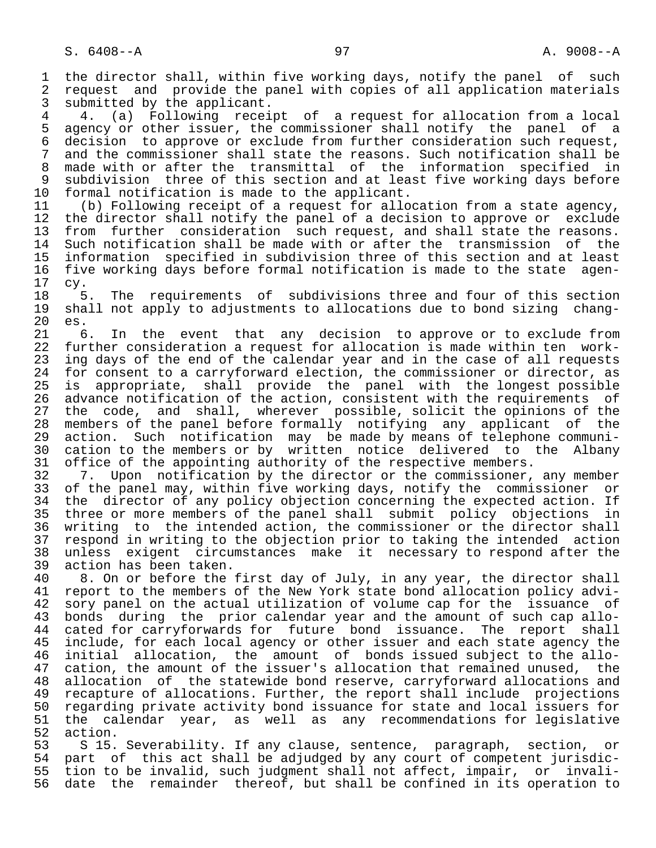1 the director shall, within five working days, notify the panel of such<br>2 request and provide the panel with copies of all application materials 2 request and provide the panel with copies of all application materials<br>3 submitted by the applicant. 3 submitted by the applicant.<br>4 (a) Following recei

4. (a) Following receipt of a request for allocation from a local<br>5 agency or other issuer, the commissioner shall notify the panel of a 5 agency or other issuer, the commissioner shall notify the panel of a 6 decision to approve or exclude from further consideration such request, 7 and the commissioner shall state the reasons. Such notification shall be 7 and the reasons. Such notification shall be 7 and the reasons. 8 made with or after the transmittal of the information specified in<br>9 subdivision three of this section and at least five working days before 9 subdivision three of this section and at least five working days before<br>10 formal notification is made to the applicant. 10 formal notification is made to the applicant.<br>11 (b) Following receipt of a request for allo

11 (b) Following receipt of a request for allocation from a state agency,<br>12 the director shall notify the panel of a decision to approve or exclude 12 the director shall notify the panel of a decision to approve or exclude<br>13 from further consideration such request, and shall state the reasons. 13 from further consideration such request, and shall state the reasons.<br>14 Such notification shall be made with or after the transmission of the Such notification shall be made with or after the transmission of the 15 information specified in subdivision three of this section and at least 16 five working days before formal notification is made to the state agen-<br>17 cv.

 17 cy. 18 5. The requirements of subdivisions three and four of this section<br>19 shall not apply to adjustments to allocations due to bond sizing changshall not apply to adjustments to allocations due to bond sizing chang-20 es.<br>21 6

21 6. In the event that any decision to approve or to exclude from<br>22 further consideration a request for allocation is made within ten work-22 further consideration a request for allocation is made within ten work-<br>23 ing days of the end of the calendar year and in the case of all requests ing days of the end of the calendar year and in the case of all requests 24 for consent to a carryforward election, the commissioner or director, as<br>25 is appropriate, shall provide the panel with the longest possible is appropriate, shall provide the panel with the longest possible 26 advance notification of the action, consistent with the requirements of<br>27 the code, and shall, wherever possible, solicit the opinions of the 27 the code, and shall, wherever possible, solicit the opinions of the<br>28 members of the panel before formally notifying any applicant of the 28 members of the panel before formally notifying any applicant of the<br>29 action. Such notification may be made by means of telephone communi-29 action. Such notification may be made by means of telephone communi-<br>30 cation to the members or by written notice delivered to the Albany 30 cation to the members or by written notice delivered to the Albany<br>31 office of the appointing authority of the respective members. 31 office of the appointing authority of the respective members.<br>32 7. Upon notification by the director or the commissioner.

32 7. Upon notification by the director or the commissioner, any member<br>33 of the panel may, within five working days, notify the commissioner or 33 of the panel may, within five working days, notify the commissioner or<br>34 the director of any policy objection concerning the expected action. If 34 the director of any policy objection concerning the expected action. If<br>35 three or more members of the panel shall submit policy objections in 35 three or more members of the panel shall submit policy objections in<br>36 writing to the intended action, the commissioner or the director shall writing to the intended action, the commissioner or the director shall 37 respond in writing to the objection prior to taking the intended action 38 unless exigent circumstances make it necessary to respond after the 39 action has been taken.<br>40 8. On or before the

40 8. On or before the first day of July, in any year, the director shall<br>41 report to the members of the New York state bond allocation policy advi-41 report to the members of the New York state bond allocation policy advi-<br>42 sory panel on the actual utilization of volume cap for the issuance of 42 sory panel on the actual utilization of volume cap for the issuance of<br>43 bonds during the prior calendar year and the amount of such cap allo-43 bonds during the prior calendar year and the amount of such cap allo-<br>44 cated for carryforwards for future bond issuance. The report shall 44 cated for carryforwards for future bond issuance. The report shall<br>45 include, for each local agency or other issuer and each state agency the include, for each local agency or other issuer and each state agency the 46 initial allocation, the amount of bonds issued subject to the allo-<br>47 cation, the amount of the issuer's allocation that remained unused, the 47 cation, the amount of the issuer's allocation that remained unused, the<br>48 allocation of the statewide bond reserve, carryforward allocations and 48 allocation of the statewide bond reserve, carryforward allocations and<br>49 recapture of allocations. Further, the report shall include projections 49 recapture of allocations. Further, the report shall include projections 50 regarding private activity bond issuance for state and local issuers for 51 the calendar year, as well as any recommendations for legislative

52 action.<br>53 S 15. 53 S 15. Severability. If any clause, sentence, paragraph, section, or<br>54 part of this act shall be adjudged by any court of competent jurisdic-54 part of this act shall be adjudged by any court of competent jurisdic-<br>55 tion to be invalid, such judgment shall not affect, impair, or invali-55 tion to be invalid, such judgment shall not affect, impair, or invali-<br>56 date the remainder thereof, but shall be confined in its operation to date the remainder thereof, but shall be confined in its operation to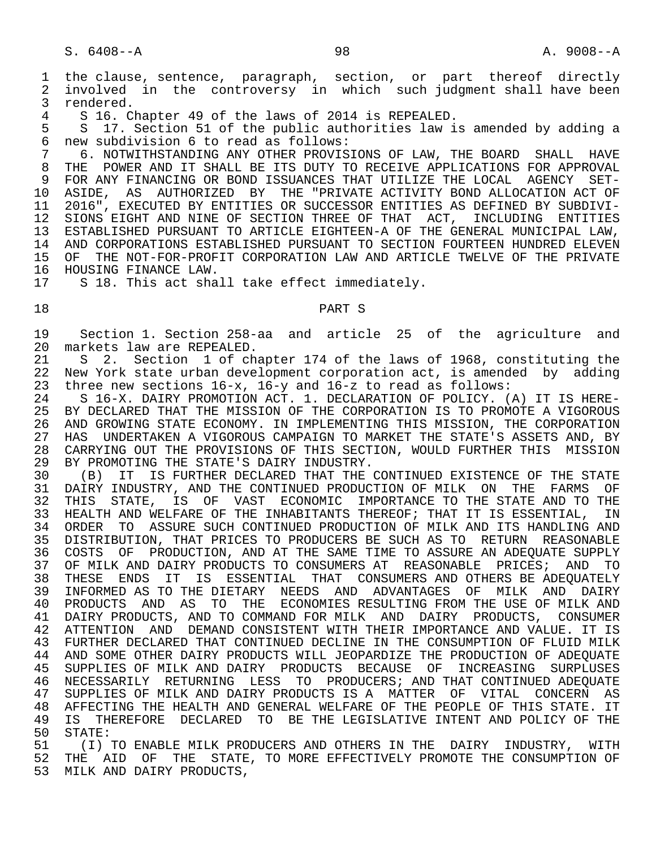1 the clause, sentence, paragraph, section, or part thereof directly<br>2 involved in the controversy in which such judgment shall have been 2 involved in the controversy in which such judgment shall have been<br>3 rendered. 3 rendered.<br>4 S 16 C

4 S 16. Chapter 49 of the laws of 2014 is REPEALED.<br>5 S 17. Section 51 of the public authorities law i

5 S 17. Section 51 of the public authorities law is amended by adding a<br>6 new subdivision 6 to read as follows: 6 new subdivision 6 to read as follows:

7 6. NOTWITHSTANDING ANY OTHER PROVISIONS OF LAW, THE BOARD SHALL HAVE<br>8 THE POWER AND IT SHALL BE ITS DUTY TO RECEIVE APPLICATIONS FOR APPROVAL 8 THE POWER AND IT SHALL BE ITS DUTY TO RECEIVE APPLICATIONS FOR APPROVAL<br>9 FOR ANY FINANCING OR BOND ISSUANCES THAT UTILIZE THE LOCAL AGENCY SET-9 FOR ANY FINANCING OR BOND ISSUANCES THAT UTILIZE THE LOCAL AGENCY SET-<br>10 ASIDE, AS AUTHORIZED BY THE "PRIVATE ACTIVITY BOND ALLOCATION ACT OF 10 ASIDE, AS AUTHORIZED BY THE "PRIVATE ACTIVITY BOND ALLOCATION ACT OF<br>11 2016", EXECUTED BY ENTITIES OR SUCCESSOR ENTITIES AS DEFINED BY SUBDIVI-11 2016", EXECUTED BY ENTITIES OR SUCCESSOR ENTITIES AS DEFINED BY SUBDIVI-<br>12 SIONS EIGHT AND NINE OF SECTION THREE OF THAT ACT, INCLUDING ENTITIES 12 SIONS EIGHT AND NINE OF SECTION THREE OF THAT ACT, INCLUDING ENTITIES<br>13 ESTABLISHED PURSUANT TO ARTICLE EIGHTEEN-A OF THE GENERAL MUNICIPAL LAW, 13 ESTABLISHED PURSUANT TO ARTICLE EIGHTEEN-A OF THE GENERAL MUNICIPAL LAW, 14 AND CORPORATIONS ESTABLISHED PURSUANT TO SECTION FOURTEEN HUNDRED ELEVEN 15 OF THE NOT-FOR-PROFIT CORPORATION LAW AND ARTICLE TWELVE OF THE PRIVATE 16 HOUSING FINANCE LAW.<br>17 S 18. This act sha

S 18. This act shall take effect immediately.

18 PART S

 19 Section 1. Section 258-aa and article 25 of the agriculture and 20 markets law are REPEALED.<br>21 S 2. Section 1 of ch

21 S 2. Section 1 of chapter 174 of the laws of 1968, constituting the<br>22 New York state urban development corporation act, is amended by adding 22 New York state urban development corporation act, is amended by adding<br>23 three new sections 16-x, 16-y and 16-z to read as follows: 23 three new sections 16-x, 16-y and 16-z to read as follows:<br>24 S 16-X. DAIRY PROMOTION ACT. 1. DECLARATION OF POLICY. (

24 S 16-X. DAIRY PROMOTION ACT. 1. DECLARATION OF POLICY. (A) IT IS HERE-<br>25 BY DECLARED THAT THE MISSION OF THE CORPORATION IS TO PROMOTE A VIGOROUS 25 BY DECLARED THAT THE MISSION OF THE CORPORATION IS TO PROMOTE A VIGOROUS<br>26 AND GROWING STATE ECONOMY. IN IMPLEMENTING THIS MISSION, THE CORPORATION 26 AND GROWING STATE ECONOMY. IN IMPLEMENTING THIS MISSION, THE CORPORATION<br>27 HAS UNDERTAKEN A VIGOROUS CAMPAIGN TO MARKET THE STATE'S ASSETS AND, BY 27 HAS UNDERTAKEN A VIGOROUS CAMPAIGN TO MARKET THE STATE'S ASSETS AND, BY<br>28 CARRYING OUT THE PROVISIONS OF THIS SECTION, WOULD FURTHER THIS MISSION 28 CARRYING OUT THE PROVISIONS OF THIS SECTION, WOULD FURTHER THIS MISSION<br>29 BY PROMOTING THE STATE'S DAIRY INDUSTRY. 29 BY PROMOTING THE STATE'S DAIRY INDUSTRY.<br>30 (B) IT IS FURTHER DECLARED THAT THE

30 (B) IT IS FURTHER DECLARED THAT THE CONTINUED EXISTENCE OF THE STATE<br>31 DAIRY INDUSTRY, AND THE CONTINUED PRODUCTION OF MILK ON THE FARMS OF 31 DAIRY INDUSTRY, AND THE CONTINUED PRODUCTION OF MILK ON THE FARMS OF<br>32 THIS STATE, IS OF VAST ECONOMIC IMPORTANCE TO THE STATE AND TO THE 32 THIS STATE, IS OF VAST ECONOMIC IMPORTANCE TO THE STATE AND TO THE 33 HEALTH AND WELFARE OF THE INHABITANTS THEREOF; THAT IT IS ESSENTIAL, IN HEALTH AND WELFARE OF THE INHABITANTS THEREOF; THAT IT IS ESSENTIAL, IN 34 ORDER TO ASSURE SUCH CONTINUED PRODUCTION OF MILK AND ITS HANDLING AND 35 DISTRIBUTION, THAT PRICES TO PRODUCERS BE SUCH AS TO RETURN REASONABLE 36 COSTS OF PRODUCTION, AND AT THE SAME TIME TO ASSURE AN ADEQUATE SUPPLY<br>37 OF MILK AND DAIRY PRODUCTS TO CONSUMERS AT REASONABLE PRICES; AND TO 37 OF MILK AND DAIRY PRODUCTS TO CONSUMERS AT REASONABLE PRICES; AND TO<br>38 THESE ENDS IT IS ESSENTIAL THAT CONSUMERS AND OTHERS BE ADEOUATELY 38 THESE ENDS IT IS ESSENTIAL THAT CONSUMERS AND OTHERS BE ADEQUATELY<br>39 INFORMED AS TO THE DIETARY NEEDS AND ADVANTAGES OF MILK AND DAIRY 39 INFORMED AS TO THE DIETARY NEEDS AND ADVANTAGES OF MILK AND DAIRY 40 PRODUCTS AND AS TO THE ECONOMIES RESULTING FROM THE USE OF MILK AND 41 DAIRY PRODUCTS, AND TO COMMAND FOR MILK AND DAIRY PRODUCTS, CONSUMER 42 ATTENTION AND DEMAND CONSISTENT WITH THEIR IMPORTANCE AND VALUE. IT IS 43 FURTHER DECLARED THAT CONTINUED DECLINE IN THE CONSUMPTION OF FLUID MILK 44 AND SOME OTHER DAIRY PRODUCTS WILL JEOPARDIZE THE PRODUCTION OF ADEQUATE<br>45 SUPPLIES OF MILK AND DAIRY PRODUCTS BECAUSE OF INCREASING SURPLUSES 45 SUPPLIES OF MILK AND DAIRY PRODUCTS BECAUSE OF INCREASING SURPLUSES 46 NECESSARILY RETURNING LESS TO PRODUCERS; AND THAT CONTINUED ADEQUATE 47 SUPPLIES OF MILK AND DAIRY PRODUCTS IS A MATTER OF VITAL CONCERN AS<br>48 AFFECTING THE HEALTH AND GENERAL WELFARE OF THE PEOPLE OF THIS STATE. IT 48 AFFECTING THE HEALTH AND GENERAL WELFARE OF THE PEOPLE OF THIS STATE. IT<br>49 IS THEREFORE DECLARED TO BE THE LEGISLATIVE INTENT AND POLICY OF THE 49 IS THEREFORE DECLARED TO BE THE LEGISLATIVE INTENT AND POLICY OF THE 50 STATE: 50 STATE:<br>51 (I)'

51 (I) TO ENABLE MILK PRODUCERS AND OTHERS IN THE DAIRY INDUSTRY, WITH 52 THE AID OF THE STATE. TO MORE EFFECTIVELY PROMOTE THE CONSUMPTION OF 52 THE AID OF THE STATE, TO MORE EFFECTIVELY PROMOTE THE CONSUMPTION OF 53 MILK AND DAIRY PRODUCTS. 53 MILK AND DAIRY PRODUCTS,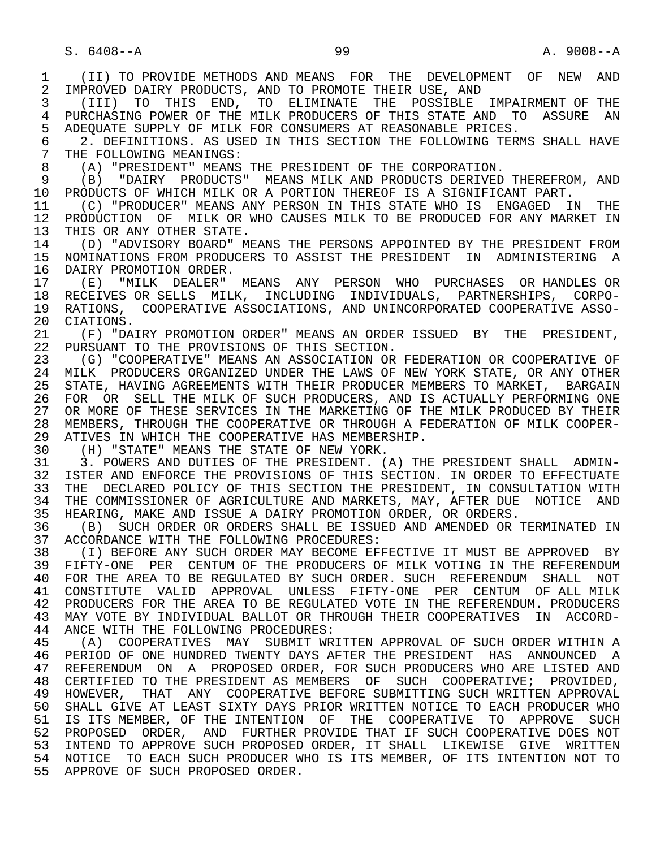1 (II) TO PROVIDE METHODS AND MEANS FOR THE DEVELOPMENT OF NEW AND<br>2 IMPROVED DAIRY PRODUCTS, AND TO PROMOTE THEIR USE, AND 2 IMPROVED DAIRY PRODUCTS, AND TO PROMOTE THEIR USE, AND<br>3 (III) TO THIS END, TO ELIMINATE THE POSSIBLE 3 (III) TO THIS END, TO ELIMINATE THE POSSIBLE IMPAIRMENT OF THE 4 PURCHASING POWER OF THE MILK PRODUCERS OF THIS STATE AND TO ASSURE AN<br>5 ADEOUATE SUPPLY OF MILK FOR CONSUMERS AT REASONABLE PRICES. 5 ADEQUATE SUPPLY OF MILK FOR CONSUMERS AT REASONABLE PRICES.<br>6 3. DEFINITIONS, AS USED IN THIS SECTION THE FOLLOWING TERN 6 2. DEFINITIONS. AS USED IN THIS SECTION THE FOLLOWING TERMS SHALL HAVE 7 THE FOLLOWING MEANINGS: 7 THE FOLLOWING MEANINGS:<br>8 (A) "PRESIDENT" MEANS 8 (A) "PRESIDENT" MEANS THE PRESIDENT OF THE CORPORATION. 9 (B) "DAIRY PRODUCTS" MEANS MILK AND PRODUCTS DERIVED THEREFROM, AND 10 PRODUCTS OF WHICH MILK OR A PORTION THEREOF IS A SIGNIFICANT PART. 10 PRODUCTS OF WHICH MILK OR A PORTION THEREOF IS A SIGNIFICANT PART.<br>11 (C) "PRODUCER" MEANS ANY PERSON IN THIS STATE WHO IS ENGAGED IN 11 (C) "PRODUCER" MEANS ANY PERSON IN THIS STATE WHO IS ENGAGED IN THE 12 PRODUCTION OF MILK OR WHO CAUSES MILK TO BE PRODUCED FOR ANY MARKET IN 12 PRODUCTION OF MILK OR WHO CAUSES MILK TO BE PRODUCED FOR ANY MARKET IN 13 THIS OR ANY OTHER STATE. 13 THIS OR ANY OTHER STATE.<br>14 (D) "ADVISORY BOARD" M 14 (D) "ADVISORY BOARD" MEANS THE PERSONS APPOINTED BY THE PRESIDENT FROM<br>15 NOMINATIONS FROM PRODUCERS TO ASSIST THE PRESIDENT IN ADMINISTERING A 15 NOMINATIONS FROM PRODUCERS TO ASSIST THE PRESIDENT IN ADMINISTERING A<br>16 DAIRY PROMOTION ORDER. 16 DAIRY PROMOTION ORDER.<br>17 (E) "MILK DEALER" 17 (E) "MILK DEALER" MEANS ANY PERSON WHO PURCHASES OR HANDLES OR 18 RECEIVES OR SELLS MILK, INCLUDING INDIVIDUALS, PARTNERSHIPS, CORPO-<br>19 RATIONS, COOPERATIVE ASSOCIATIONS, AND UNINCORPORATED COOPERATIVE ASSO-19 RATIONS, COOPERATIVE ASSOCIATIONS, AND UNINCORPORATED COOPERATIVE ASSO-<br>20 CIATIONS. 20 CIATIONS.<br>21 (F) "DA 21 (F) "DAIRY PROMOTION ORDER" MEANS AN ORDER ISSUED BY THE PRESIDENT,<br>22 PURSUANT TO THE PROVISIONS OF THIS SECTION. 22 PURSUANT TO THE PROVISIONS OF THIS SECTION.<br>23 (G) "COOPERATIVE" MEANS AN ASSOCIATION OR 23 (G) "COOPERATIVE" MEANS AN ASSOCIATION OR FEDERATION OR COOPERATIVE OF<br>24 MILK PRODUCERS ORGANIZED UNDER THE LAWS OF NEW YORK STATE, OR ANY OTHER 24 MILK PRODUCERS ORGANIZED UNDER THE LAWS OF NEW YORK STATE, OR ANY OTHER<br>25 STATE, HAVING AGREEMENTS WITH THEIR PRODUCER MEMBERS TO MARKET, BARGAIN 25 STATE, HAVING AGREEMENTS WITH THEIR PRODUCER MEMBERS TO MARKET, BARGAIN 26 FOR OR SELL THE MILK OF SUCH PRODUCERS, AND IS ACTUALLY PERFORMING ONE<br>27 OR MORE OF THESE SERVICES IN THE MARKETING OF THE MILK PRODUCED BY THEIR 27 OR MORE OF THESE SERVICES IN THE MARKETING OF THE MILK PRODUCED BY THEIR<br>28 MEMBERS, THROUGH THE COOPERATIVE OR THROUGH A FEDERATION OF MILK COOPER-28 MEMBERS, THROUGH THE COOPERATIVE OR THROUGH A FEDERATION OF MILK COOPER-<br>29 ATIVES IN WHICH THE COOPERATIVE HAS MEMBERSHIP. 29 ATIVES IN WHICH THE COOPERATIVE HAS MEMBERSHIP.<br>30 (H) "STATE" MEANS THE STATE OF NEW YORK. 30 (H) "STATE" MEANS THE STATE OF NEW YORK.<br>31 3. POWERS AND DUTIES OF THE PRESIDENT. ( 31 3. POWERS AND DUTIES OF THE PRESIDENT. (A) THE PRESIDENT SHALL ADMIN-<br>32 ISTER AND ENFORCE THE PROVISIONS OF THIS SECTION. IN ORDER TO EFFECTUATE 32 ISTER AND ENFORCE THE PROVISIONS OF THIS SECTION. IN ORDER TO EFFECTUATE<br>33 THE DECLARED POLICY OF THIS SECTION THE PRESIDENT, IN CONSULTATION WITH 33 THE DECLARED POLICY OF THIS SECTION THE PRESIDENT, IN CONSULTATION WITH 34 THE COMMISSIONER OF AGRICULTURE AND MARKETS, MAY, AFTER DUE NOTICE AND 34 THE COMMISSIONER OF AGRICULTURE AND MARKETS, MAY, AFTER DUE NOTICE AND<br>35 HEARING, MAKE AND ISSUE A DAIRY PROMOTION ORDER, OR ORDERS. 35 HEARING, MAKE AND ISSUE A DAIRY PROMOTION ORDER, OR ORDERS.<br>36 (B) SUCH ORDER OR ORDERS SHALL BE ISSUED AND AMENDED OR T 36 (B) SUCH ORDER OR ORDERS SHALL BE ISSUED AND AMENDED OR TERMINATED IN<br>37 ACCORDANCE WITH THE FOLLOWING PROCEDURES: 37 ACCORDANCE WITH THE FOLLOWING PROCEDURES:<br>38 (I) BEFORE ANY SUCH ORDER MAY BECOME EFI 38 THE TRING ORDER MAY BECOME EFFECTIVE IT MUST BE APPROVED BY A SALE AND SUCH ORDER MAY BECOME SEFECTIVE IN THE REFERENDUM 39 FIFTY-ONE PER CENTUM OF THE PRODUCERS OF MILK VOTING IN THE REFERENDUM<br>40 FOR THE AREA TO BE REGULATED BY SUCH ORDER. SUCH REFERENDUM SHALL NOT 40 FOR THE AREA TO BE REGULATED BY SUCH ORDER. SUCH REFERENDUM SHALL NOT 41 CONSTITUTE VALID APPROVAL UNLESS FIFTY-ONE PER CENTUM OF ALL MILK<br>42 PRODUCERS FOR THE AREA TO BE REGULATED VOTE IN THE REFERENDUM. PRODUCERS 42 PRODUCERS FOR THE AREA TO BE REGULATED VOTE IN THE REFERENDUM. PRODUCERS<br>43 MAY VOTE BY INDIVIDUAL BALLOT OR THROUGH THEIR COOPERATIVES IN ACCORD-43 MAY VOTE BY INDIVIDUAL BALLOT OR THROUGH THEIR COOPERATIVES IN ACCORD-<br>44 ANCE WITH THE FOLLOWING PROCEDURES: 44 ANCE WITH THE FOLLOWING PROCEDURES:<br>45 (A) COOPERATIVES MAY SUBMIT WR (A) COOPERATIVES MAY SUBMIT WRITTEN APPROVAL OF SUCH ORDER WITHIN A 46 PERIOD OF ONE HUNDRED TWENTY DAYS AFTER THE PRESIDENT HAS ANNOUNCED A<br>47 REFERENDUM ON A PROPOSED ORDER, FOR SUCH PRODUCERS WHO ARE LISTED AND 47 REFERENDUM ON A PROPOSED ORDER, FOR SUCH PRODUCERS WHO ARE LISTED AND 48 CERTIFIED TO THE PRESIDENT AS MEMBERS OF SUCH COOPERATIVE; PROVIDED. 48 CERTIFIED TO THE PRESIDENT AS MEMBERS OF SUCH COOPERATIVE; PROVIDED, 49 HOWEVER, THAT ANY COOPERATIVE BEFORE SUBMITTING SUCH WRITTEN APPROVAL<br>50 SHALL GIVE AT LEAST SIXTY DAYS PRIOR WRITTEN NOTICE TO EACH PRODUCER WHO SHALL GIVE AT LEAST SIXTY DAYS PRIOR WRITTEN NOTICE TO EACH PRODUCER WHO 51 IS ITS MEMBER, OF THE INTENTION OF THE COOPERATIVE TO APPROVE SUCH 52 PROPOSED ORDER, AND FURTHER PROVIDE THAT IF SUCH COOPERATIVE DOES NOT 53 INTEND TO APPROVE SUCH PROPOSED ORDER, IT SHALL LIKEWISE GIVE WRITTEN 54 NOTICE TO EACH SUCH PRODUCER WHO IS ITS MEMBER, OF ITS INTENTION NOT TO 55 APPROVE OF SUCH PROPOSED ORDER.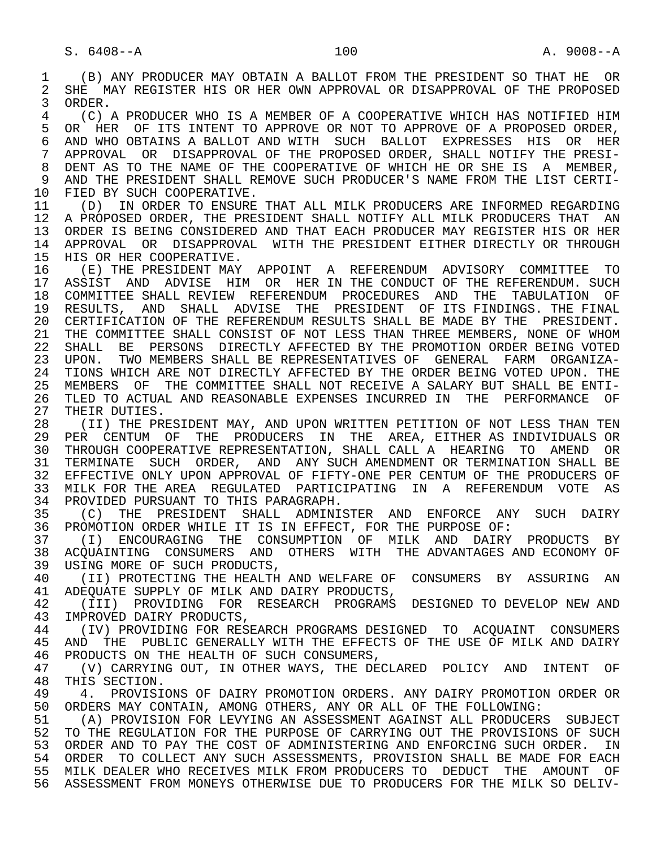1 (B) ANY PRODUCER MAY OBTAIN A BALLOT FROM THE PRESIDENT SO THAT HE OR 2 SHE MAY REGISTER HIS OR HER OWN APPROVAL OR DISAPPROVAL OF THE PROPOSED<br>3 ORDER. 3 ORDER. 4 THE REPORT OF A REALLY OF A COOPERATIVE WHICH HAS NOTIFIED HIM A SUMBER OF A PROPOSED ORDER, 5 OR HER OF ITS INTENT TO APPROVE OR NOT TO APPROVE OF A PROPOSED ORDER,<br>6 AND WHO OBTAINS A BALLOT AND WITH SUCH BALLOT EXPRESSES HIS OR HER 6 AND WHO OBTAINS A BALLOT AND WITH SUCH BALLOT EXPRESSES HIS OR HER<br>7 APPROVAL OR DISAPPROVAL OF THE PROPOSED ORDER, SHALL NOTIFY THE PRESI- 7 APPROVAL OR DISAPPROVAL OF THE PROPOSED ORDER, SHALL NOTIFY THE PRESI- 8 DENT AS TO THE NAME OF THE COOPERATIVE OF WHICH HE OR SHE IS A MEMBER, 9 AND THE PRESIDENT SHALL REMOVE SUCH PRODUCER'S NAME FROM THE LIST CERTI-<br>10 FIED BY SUCH COOPERATIVE 10 FIED BY SUCH COOPERATIVE.<br>11 (D) IN ORDER TO ENSURE 11 (D) IN ORDER TO ENSURE THAT ALL MILK PRODUCERS ARE INFORMED REGARDING 12 A PROPOSED ORDER, THE PRESIDENT SHALL NOTIFY ALL MILK PRODUCERS THAT AN 13 ORDER IS BEING CONSIDERED AND THAT EACH PRODUCER MAY REGISTER HIS OR HER<br>14 APPROVAL, OR DISAPPROVAL, WITH THE PRESIDENT EITHER DIRECTLY OR THROUGH 14 APPROVAL OR DISAPPROVAL WITH THE PRESIDENT EITHER DIRECTLY OR THROUGH 15 HIS OR HER COOPERATIVE.<br>16 (E) THE PRESIDENT MAY 16 (E) THE PRESIDENT MAY APPOINT A REFERENDUM ADVISORY COMMITTEE TO<br>17 ASSIST AND ADVISE HIM OR HER IN THE CONDUCT OF THE REFERENDUM. SUCH 17 ASSIST AND ADVISE HIM OR HER IN THE CONDUCT OF THE REFERENDUM. SUCH 18 COMMITTEE SHALL REVIEW REFERENDUM PROCEDURES AND THE TABULATION OF 18 COMMITTEE SHALL REVIEW REFERENDUM PROCEDURES AND THE TABULATION OF<br>19 RESULTS, AND SHALL ADVISE THE PRESIDENT OF ITS-FINDINGS, THE-FINAL 19 RESULTS, AND SHALL ADVISE THE PRESIDENT OF ITS FINDINGS. THE FINAL<br>20 CERTIFICATION OF THE REFERENDUM RESULTS SHALL BE MADE BY THE PRESIDENT. 20 CERTIFICATION OF THE REFERENDUM RESULTS SHALL BE MADE BY THE PRESIDENT.<br>21 THE COMMITTEE SHALL CONSIST OF NOT LESS THAN THREE MEMBERS. NONE OF WHOM 21 THE COMMITTEE SHALL CONSIST OF NOT LESS THAN THREE MEMBERS, NONE OF WHOM<br>22 SHALL BE PERSONS DIRECTLY AFFECTED BY THE PROMOTION ORDER BEING VOTED 22 SHALL BE PERSONS DIRECTLY AFFECTED BY THE PROMOTION ORDER BEING VOTED<br>23 UPON. TWO MEMBERS SHALL BE REPRESENTATIVES OF GENERAL FARM ORGANIZA- 23 UPON. TWO MEMBERS SHALL BE REPRESENTATIVES OF GENERAL FARM ORGANIZA- 24 TIONS WHICH ARE NOT DIRECTLY AFFECTED BY THE ORDER BEING VOTED UPON. THE 25 MEMBERS OF THE COMMITTEE SHALL NOT RECEIVE A SALARY BUT SHALL BE ENTL 25 MEMBERS OF THE COMMITTEE SHALL NOT RECEIVE A SALARY BUT SHALL BE ENTI- 26 TLED TO ACTUAL AND REASONABLE EXPENSES INCURRED IN THE PERFORMANCE OF<br>27 THEIR DUTIES. 27 THEIR DUTIES.<br>28 (II) THE PR 28 THE PRESIDENT MAY, AND UPON WRITTEN PETITION OF NOT LESS THAN TEN 29 PER CENTUM OF THE PRODUCERS IN THE AREA, EITHER AS INDIVIDUALS OR PER CENTUM OF THE PRODUCERS IN THE AREA, EITHER AS INDIVIDUALS OR 30 THROUGH COOPERATIVE REPRESENTATION, SHALL CALL A HEARING TO AMEND OR<br>31 TERMINATE SUCH ORDER, AND ANY SUCH AMENDMENT OR TERMINATION SHALL BE 31 TERMINATE SUCH ORDER, AND ANY SUCH AMENDMENT OR TERMINATION SHALL BE<br>32 EFFECTIVE ONLY UPON APPROVAL OF FIFTY-ONE PER CENTUM OF THE PRODUCERS OF 32 EFFECTIVE ONLY UPON APPROVAL OF FIFTY-ONE PER CENTUM OF THE PRODUCERS OF<br>33 MILK FOR THE AREA REGULATED PARTICIPATING IN A REFERENDUM VOTE AS 33 MILK FOR THE AREA REGULATED PARTICIPATING IN A REFERENDUM VOTE AS<br>34 PROVIDED PURSUANT TO THIS PARAGRAPH. 34 PROVIDED PURSUANT TO THIS PARAGRAPH.<br>35 (C) THE PRESIDENT SHALL ADMINI 35 (C) THE PRESIDENT SHALL ADMINISTER AND ENFORCE ANY SUCH DAIRY<br>36 PROMOTION-ORDER-WHILE-IT-IS-IN-EFFECT, FOR-THE-PURPOSE-OF: PROMOTION ORDER WHILE IT IS IN EFFECT, FOR THE PURPOSE OF: 37 (I) ENCOURAGING THE CONSUMPTION OF MILK AND DAIRY PRODUCTS BY 38 ACQUAINTING CONSUMERS AND OTHERS WITH THE ADVANTAGES AND ECONOMY OF SUCH PRODUCTS. 39 USING MORE OF SUCH PRODUCTS,<br>40 (II) PROTECTING THE HEALTH 40 (II) PROTECTING THE HEALTH AND WELFARE OF CONSUMERS BY ASSURING AN 41 ADEOUATE SUPPLY OF MILK AND DAIRY PRODUCTS. 41 ADEQUATE SUPPLY OF MILK AND DAIRY PRODUCTS,<br>42 (III) PROVIDING FOR RESEARCH PROGRAMS 42 (III) PROVIDING FOR RESEARCH PROGRAMS DESIGNED TO DEVELOP NEW AND<br>43 IMPROVED DAIRY PRODUCTS 43 IMPROVED DAIRY PRODUCTS,<br>44 (IV) PROVIDING FOR RES 44 (IV) PROVIDING FOR RESEARCH PROGRAMS DESIGNED TO ACQUAINT CONSUMERS<br>45 AND THE PUBLIC GENERALLY WITH THE EFFECTS OF THE USE OF MILK AND DAIRY AND THE PUBLIC GENERALLY WITH THE EFFECTS OF THE USE OF MILK AND DAIRY 46 PRODUCTS ON THE HEALTH OF SUCH CONSUMERS,<br>47 (V) CARRYING OUT, IN OTHER WAYS, THE DE 47 (V) CARRYING OUT, IN OTHER WAYS, THE DECLARED POLICY AND INTENT OF 48 THIS SECTION. 48 THIS SECTION.<br>49 4. PROVISI 49 4. PROVISIONS OF DAIRY PROMOTION ORDERS. ANY DAIRY PROMOTION ORDER OR<br>50 ORDERS MAY CONTAIN, AMONG OTHERS, ANY OR ALL OF THE FOLLOWING: 50 ORDERS MAY CONTAIN, AMONG OTHERS, ANY OR ALL OF THE FOLLOWING:<br>51 (A) PROVISION FOR LEVYING AN ASSESSMENT AGAINST ALL PRODUCER; 51 (A) PROVISION FOR LEVYING AN ASSESSMENT AGAINST ALL PRODUCERS SUBJECT<br>52 TO THE REGULATION FOR THE PURPOSE OF CARRYING OUT THE PROVISIONS OF SUCH 52 TO THE REGULATION FOR THE PURPOSE OF CARRYING OUT THE PROVISIONS OF SUCH 53 ORDER AND TO PAY THE COST OF ADMINISTERING AND ENFORCING SUCH ORDER. IN<br>54 ORDER TO COLLECT ANY SUCH ASSESSMENTS, PROVISION SHALL BE MADE FOR EACH 54 ORDER TO COLLECT ANY SUCH ASSESSMENTS, PROVISION SHALL BE MADE FOR EACH<br>55 MILK DEALER WHO RECEIVES MILK FROM PRODUCERS TO DEDUCT THE AMOUNT OF 55 MILK DEALER WHO RECEIVES MILK FROM PRODUCERS TO DEDUCT THE AMOUNT OF 56 ASSESSMENT FROM MONEYS OTHERWISE DUE TO PRODUCERS FOR THE MILK SO DELIV-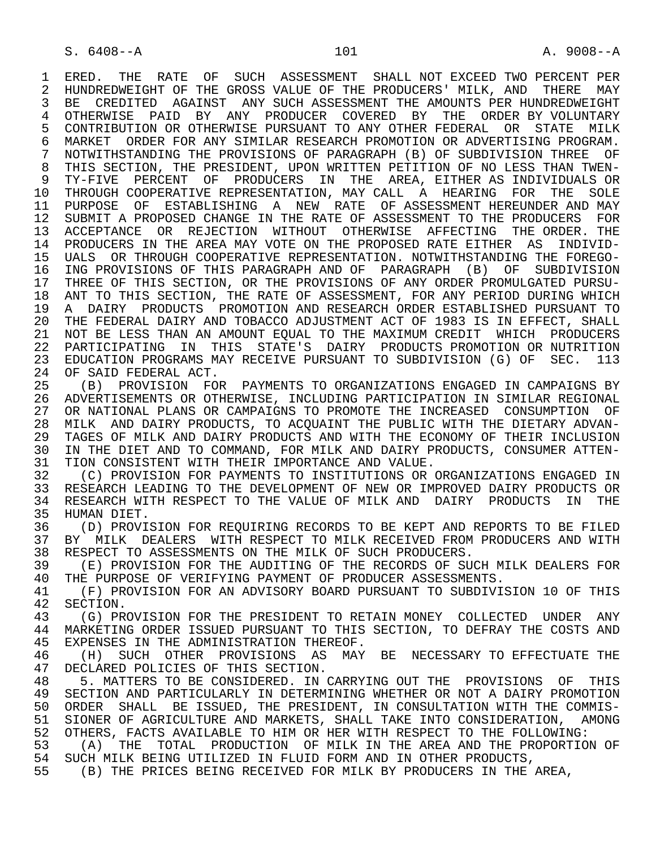1 ERED. THE RATE OF SUCH ASSESSMENT SHALL NOT EXCEED TWO PERCENT PER<br>2 HUNDREDWEIGHT OF THE GROSS VALUE OF THE PRODUCERS' MILK, AND THERE MAY 2 HUNDREDWEIGHT OF THE GROSS VALUE OF THE PRODUCERS' MILK, AND THERE MAY<br>3 BE CREDITED AGAINST ANY SUCH ASSESSMENT THE AMOUNTS PER HUNDREDWEIGHT BE CREDITED AGAINST ANY SUCH ASSESSMENT THE AMOUNTS PER HUNDREDWEIGHT 4 OTHERWISE PAID BY ANY PRODUCER COVERED BY THE ORDER BY VOLUNTARY<br>5 CONTRIBUTION OR OTHERWISE PURSUANT TO ANY OTHER FEDERAL OR STATE MILK 5 CONTRIBUTION OR OTHERWISE PURSUANT TO ANY OTHER FEDERAL OR STATE MILK<br>6 MARKET ORDER FOR ANY SIMILAR RESEARCH PROMOTION OR ADVERTISING PROGRAM. 6 MARKET ORDER FOR ANY SIMILAR RESEARCH PROMOTION OR ADVERTISING PROGRAM.<br>7 NOTWITHSTANDING THE PROVISIONS OF PARAGRAPH (B) OF SUBDIVISION THREE OF 7 NOTWITHSTANDING THE PROVISIONS OF PARAGRAPH (B) OF SUBDIVISION THREE OF 8 THIS SECTION, THE PRESIDENT, UPON WRITTEN PETITION OF NO LESS THAN TWEN-<br>9 TY-FIVE PERCENT OF PRODUCERS IN THE AREA, EITHER AS INDIVIDUALS OR 9 TY-FIVE PERCENT OF PRODUCERS IN THE AREA, EITHER AS INDIVIDUALS OR<br>10 THROUGH COOPERATIVE REPRESENTATION, MAY CALL A HEARING FOR THE SOLE 10 THROUGH COOPERATIVE REPRESENTATION, MAY CALL A HEARING FOR THE SOLE<br>11 PURPOSE OF ESTABLISHING A NEW RATE OF ASSESSMENT HEREUNDER AND MAY 11 PURPOSE OF ESTABLISHING A NEW RATE OF ASSESSMENT HEREUNDER AND MAY<br>12 SUBMIT A PROPOSED CHANGE IN THE RATE OF ASSESSMENT TO THE PRODUCERS FOR SUBMIT A PROPOSED CHANGE IN THE RATE OF ASSESSMENT TO THE PRODUCERS FOR 13 ACCEPTANCE OR REJECTION WITHOUT OTHERWISE AFFECTING THE ORDER. THE 14 PRODUCERS IN THE AREA MAY VOTE ON THE PROPOSED RATE EITHER AS INDIVID- 14 PRODUCERS IN THE AREA MAY VOTE ON THE PROPOSED RATE EITHER AS INDIVID- 15 UALS OR THROUGH COOPERATIVE REPRESENTATION. NOTWITHSTANDING THE FOREGO-<br>16 ING PROVISIONS OF THIS PARAGRAPH AND OF PARAGRAPH (B) OF SUBDIVISION 16 ING PROVISIONS OF THIS PARAGRAPH AND OF PARAGRAPH (B) OF SUBDIVISION<br>17 THREE OF THIS SECTION, OR THE PROVISIONS OF ANY ORDER PROMULGATED PURSU-THREE OF THIS SECTION, OR THE PROVISIONS OF ANY ORDER PROMULGATED PURSU-18 ANT TO THIS SECTION, THE RATE OF ASSESSMENT, FOR ANY PERIOD DURING WHICH<br>19 A DAIRY PRODUCTS PROMOTION AND RESEARCH ORDER ESTABLISHED PURSUANT TO 19 A DAIRY PRODUCTS PROMOTION AND RESEARCH ORDER ESTABLISHED PURSUANT TO<br>20 THE FEDERAL DAIRY AND TOBACCO ADJUSTMENT ACT OF 1983 IS IN EFFECT, SHALL 20 THE FEDERAL DAIRY AND TOBACCO ADJUSTMENT ACT OF 1983 IS IN EFFECT, SHALL<br>21 NOT BE LESS THAN AN AMOUNT EOUAL TO THE MAXIMUM CREDIT WHICH PRODUCERS 21 NOT BE LESS THAN AN AMOUNT EQUAL TO THE MAXIMUM CREDIT WHICH PRODUCERS<br>22 PARTICIPATING IN THIS STATE'S DAIRY PRODUCTS PROMOTION OR NUTRITION 22 PARTICIPATING IN THIS STATE'S DAIRY PRODUCTS PROMOTION OR NUTRITION<br>23 EDUCATION PROGRAMS MAY RECEIVE PURSUANT TO SUBDIVISION (G) OF SEC. 113 23 EDUCATION PROGRAMS MAY RECEIVE PURSUANT TO SUBDIVISION (G) OF SEC. 113 24 OF SAID FEDERAL ACT.<br>25 (B) PROVISION FOI 25 (B) PROVISION FOR PAYMENTS TO ORGANIZATIONS ENGAGED IN CAMPAIGNS BY 26 ADVERTISEMENTS OR OTHERWISE, INCLUDING PARTICIPATION IN SIMILAR REGIONAL 27 OR NATIONAL PLANS OR CAMPAIGNS TO PROMOTE THE INCREASED CONSUMPTION OF<br>28 MILK AND DAIRY PRODUCTS, TO ACOUAINT THE PUBLIC WITH THE DIETARY ADVAN-28 MILK AND DAIRY PRODUCTS, TO ACQUAINT THE PUBLIC WITH THE DIETARY ADVAN-<br>29 TAGES OF MILK AND DAIRY PRODUCTS AND WITH THE ECONOMY OF THEIR INCLUSION 29 TAGES OF MILK AND DAIRY PRODUCTS AND WITH THE ECONOMY OF THEIR INCLUSION<br>30 IN THE DIET AND TO COMMAND. FOR MILK AND DAIRY PRODUCTS. CONSUMER ATTEN-30 IN THE DIET AND TO COMMAND, FOR MILK AND DAIRY PRODUCTS, CONSUMER ATTEN-<br>31 TION CONSISTENT WITH THEIR IMPORTANCE AND VALUE. 31 TION CONSISTENT WITH THEIR IMPORTANCE AND VALUE.<br>32 (C) PROVISION FOR PAYMENTS TO INSTITUTIONS OR 32 (C) PROVISION FOR PAYMENTS TO INSTITUTIONS OR ORGANIZATIONS ENGAGED IN<br>33 RESEARCH LEADING TO THE DEVELOPMENT OF NEW OR IMPROVED DAIRY PRODUCTS OR 33 RESEARCH LEADING TO THE DEVELOPMENT OF NEW OR IMPROVED DAIRY PRODUCTS OR<br>34 RESEARCH WITH RESPECT TO THE VALUE OF MILK AND DAIRY PRODUCTS IN THE 34 RESEARCH WITH RESPECT TO THE VALUE OF MILK AND DAIRY PRODUCTS IN THE 35 HUMAN DIET. 35 HUMAN DIET.<br>36 (D) PROVI 36 THE ON PROVISION FOR REQUIRING RECORDS TO BE KEPT AND REPORTS TO BE FILED 37 BY MILK DEALERS WITH RESPECT TO MILK RECEIVED FROM PRODUCERS AND WITH 37 BY MILK DEALERS WITH RESPECT TO MILK RECEIVED FROM PRODUCERS AND WITH 38 RESPECT TO ASSESSMENTS ON THE MILK OF SUCH PRODUCERS.

38 RESPECT TO ASSESSMENTS ON THE MILK OF SUCH PRODUCERS.<br>39 (E) PROVISION FOR THE AUDITING OF THE RECORDS OF SU 39 (E) PROVISION FOR THE AUDITING OF THE RECORDS OF SUCH MILK DEALERS FOR<br>40 THE PURPOSE OF VERIFYING PAYMENT OF PRODUCER ASSESSMENTS. 40 THE PURPOSE OF VERIFYING PAYMENT OF PRODUCER ASSESSMENTS.<br>41 (F) PROVISION FOR AN ADVISORY BOARD PURSUANT TO SUBDIVI.

41 (F) PROVISION FOR AN ADVISORY BOARD PURSUANT TO SUBDIVISION 10 OF THIS<br>42 SECTION. 42 SECTION.<br>43 (G) PR

43 (G) PROVISION FOR THE PRESIDENT TO RETAIN MONEY COLLECTED UNDER ANY<br>44 MARKETING ORDER ISSUED PURSUANT TO THIS SECTION, TO DEFRAY THE COSTS AND 44 MARKETING ORDER ISSUED PURSUANT TO THIS SECTION, TO DEFRAY THE COSTS AND 45 EXPENSES IN THE ADMINISTRATION THEREOF. EXPENSES IN THE ADMINISTRATION THEREOF.

 46 (H) SUCH OTHER PROVISIONS AS MAY BE NECESSARY TO EFFECTUATE THE 47 DECLARED POLICIES OF THIS SECTION.<br>48 5. MATTERS TO BE CONSIDERED. IN (

48 5. MATTERS TO BE CONSIDERED. IN CARRYING OUT THE PROVISIONS OF THIS<br>49 SECTION AND PARTICULARLY IN DETERMINING WHETHER OR NOT A DAIRY PROMOTION 49 SECTION AND PARTICULARLY IN DETERMINING WHETHER OR NOT A DAIRY PROMOTION<br>50 ORDER SHALL BE ISSUED, THE PRESIDENT, IN CONSULTATION WITH THE COMMIS-50 ORDER SHALL BE ISSUED, THE PRESIDENT, IN CONSULTATION WITH THE COMMIS-<br>51 SIONER OF AGRICULTURE AND MARKETS, SHALL TAKE INTO CONSIDERATION, AMONG 51 SIONER OF AGRICULTURE AND MARKETS, SHALL TAKE INTO CONSIDERATION, AMONG<br>52 OTHERS, FACTS AVAILABLE TO HIM OR HER WITH RESPECT TO THE FOLLOWING: 52 OTHERS, FACTS AVAILABLE TO HIM OR HER WITH RESPECT TO THE FOLLOWING:<br>53 (A) THE TOTAL PRODUCTION OF MILK IN THE AREA AND THE PROPORTION

53 (A) THE TOTAL PRODUCTION OF MILK IN THE AREA AND THE PROPORTION OF 54 SUCH MILK BEING UTILIZED IN FLUID FORM AND IN OTHER PRODUCTS. 54 SUCH MILK BEING UTILIZED IN FLUID FORM AND IN OTHER PRODUCTS,<br>55 (B) THE PRICES BEING RECEIVED FOR MILK BY PRODUCERS IN THE

55 (B) THE PRICES BEING RECEIVED FOR MILK BY PRODUCERS IN THE AREA,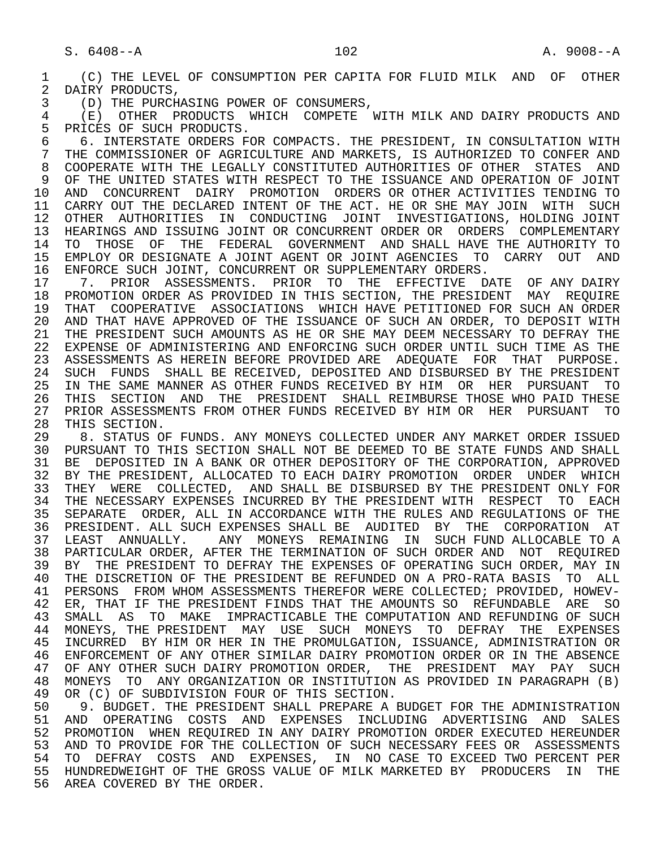1 (C) THE LEVEL OF CONSUMPTION PER CAPITA FOR FLUID MILK AND OF OTHER<br>2 DAIRY PRODUCTS. 2 DAIRY PRODUCTS,<br>3 (D) THE PURCH

3 (D) THE PURCHASING POWER OF CONSUMERS,

 4 (E) OTHER PRODUCTS WHICH COMPETE WITH MILK AND DAIRY PRODUCTS AND 5 PRICES OF SUCH PRODUCTS.<br>6 6. INTERSTATE ORDERS FO

6 6. INTERSTATE ORDERS FOR COMPACTS. THE PRESIDENT, IN CONSULTATION WITH  $\overline{7}$  THE COMMISSIONER OF AGRICULTURE AND MARKETS, IS AUTHORIZED TO CONFER AND T THE COMMISSIONER OF AGRICULTURE AND MARKETS, IS AUTHORIZED TO CONFER AND THE THAT THE LEGALLY CONSTITUTED AUTHORITIES OF OTHER STATES AND 8 COOPERATE WITH THE LEGALLY CONSTITUTED AUTHORITIES OF OTHER STATES AND OF THE UNITED STATES WITH RESPECT TO THE ISSUANCE AND OPERATION OF JOINT 9 OF THE UNITED STATES WITH RESPECT TO THE ISSUANCE AND OPERATION OF JOINT<br>10 AND CONCURRENT DAIRY PROMOTION ORDERS OR OTHER ACTIVITIES TENDING TO 10 AND CONCURRENT DAIRY PROMOTION ORDERS OR OTHER ACTIVITIES TENDING TO 11 CARRY OUT THE DECLARED INTENT OF THE ACT. HE OR SHE MAY JOIN WITH SUCH 11 CARRY OUT THE DECLARED INTENT OF THE ACT. HE OR SHE MAY JOIN WITH SUCH 12 OTHER AUTHORITIES IN CONDUCTING JOINT INVESTIGATIONS, HOLDING JOINT 12 OTHER AUTHORITIES IN CONDUCTING JOINT INVESTIGATIONS, HOLDING JOINT<br>13 HEARINGS AND ISSUING JOINT OR CONCURRENT ORDER OR ORDERS COMPLEMENTARY 13 HEARINGS AND ISSUING JOINT OR CONCURRENT ORDER OR ORDERS COMPLEMENTARY<br>14 TO THOSE OF THE FEDERAL GOVERNMENT AND SHALL HAVE THE AUTHORITY TO 14 TO THOSE OF THE FEDERAL GOVERNMENT AND SHALL HAVE THE AUTHORITY TO 15 EMPLOY OR DESIGNATE A JOINT AGENT OR JOINT AGENCIES TO CARRY OUT AND<br>16 ENFORCE SUCH JOINT, CONCURRENT OR SUPPLEMENTARY ORDERS. 16 ENFORCE SUCH JOINT, CONCURRENT OR SUPPLEMENTARY ORDERS.<br>17 7. PRIOR ASSESSMENTS. PRIOR TO THE EFFECTIVE DA

17 1. PRIOR ASSESSMENTS. PRIOR TO THE EFFECTIVE DATE OF ANY DAIRY<br>18 PROMOTION ORDER AS PROVIDED IN THIS SECTION, THE PRESIDENT MAY REOUIRE 18 PROMOTION ORDER AS PROVIDED IN THIS SECTION, THE PRESIDENT MAY REQUIRE<br>19 THAT COOPERATIVE ASSOCIATIONS WHICH HAVE PETITIONED FOR SUCH AN ORDER 19 THAT COOPERATIVE ASSOCIATIONS WHICH HAVE PETITIONED FOR SUCH AN ORDER<br>20 AND THAT HAVE APPROVED OF THE ISSUANCE OF SUCH AN ORDER. TO DEPOSIT WITH 20 AND THAT HAVE APPROVED OF THE ISSUANCE OF SUCH AN ORDER, TO DEPOSIT WITH 21 THE PRESIDENT SUCH AMOUNTS AS HE OR SHE MAY DEEM NECESSARY TO DEFRAY THE 21 THE PRESIDENT SUCH AMOUNTS AS HE OR SHE MAY DEEM NECESSARY TO DEFRAY THE 22 EXPENSE OF ADMINISTERING AND ENFORCING SUCH ORDER UNTIL SUCH TIME AS THE 22 EXPENSE OF ADMINISTERING AND ENFORCING SUCH ORDER UNTIL SUCH TIME AS THE 23 ASSESSMENTS AS HEREIN BEFORE PROVIDED ARE ADEOUATE FOR THAT PURPOSE. 23 ASSESSMENTS AS HEREIN BEFORE PROVIDED ARE ADEQUATE FOR THAT PURPOSE. 24 SUCH FUNDS SHALL BE RECEIVED, DEPOSITED AND DISBURSED BY THE PRESIDENT<br>25 IN THE SAME MANNER AS OTHER FUNDS RECEIVED BY HIM OR HER PURSUANT TO 25 IN THE SAME MANNER AS OTHER FUNDS RECEIVED BY HIM OR HER PURSUANT TO 26 THIS SECTION AND THE PRESIDENT SHALL REIMBURSE THOSE WHO PAID THESE<br>27 PRIOR ASSESSMENTS FROM OTHER FUNDS RECEIVED BY HIM OR HER PURSUANT TO 27 PRIOR ASSESSMENTS FROM OTHER FUNDS RECEIVED BY HIM OR HER PURSUANT TO 28 THIS SECTION. 28 THIS SECTION.<br>29 8. STATUS O

29 8. STATUS OF FUNDS. ANY MONEYS COLLECTED UNDER ANY MARKET ORDER ISSUED<br>30 PURSUANT TO THIS SECTION SHALL NOT BE DEEMED TO BE STATE FUNDS AND SHALL 30 PURSUANT TO THIS SECTION SHALL NOT BE DEEMED TO BE STATE FUNDS AND SHALL<br>31 BE DEPOSITED IN A BANK OR OTHER DEPOSITORY OF THE CORPORATION, APPROVED 31 BE DEPOSITED IN A BANK OR OTHER DEPOSITORY OF THE CORPORATION, APPROVED<br>32 BY THE PRESIDENT, ALLOCATED TO EACH DAIRY PROMOTION ORDER UNDER WHICH 32 BY THE PRESIDENT, ALLOCATED TO EACH DAIRY PROMOTION ORDER UNDER WHICH<br>33 THEY WERE COLLECTED, AND SHALL BE DISBURSED BY THE PRESIDENT ONLY FOR 33 THEY WERE COLLECTED, AND SHALL BE DISBURSED BY THE PRESIDENT ONLY FOR<br>34 THE NECESSARY EXPENSES INCURRED BY THE PRESIDENT WITH RESPECT TO EACH 34 THE NECESSARY EXPENSES INCURRED BY THE PRESIDENT WITH RESPECT TO EACH<br>35 SEPARATE ORDER, ALL IN ACCORDANCE WITH THE RULES AND REGULATIONS OF THE 35 SEPARATE ORDER, ALL IN ACCORDANCE WITH THE RULES AND REGULATIONS OF THE 36 PRESIDENT. ALL SUCH EXPENSES SHALL BE AUDITED BY THE CORPORATION AT 37 LEAST ANNUALLY. ANY MONEYS REMAINING IN SUCH FUND ALLOCABLE TO A 38 PARTICULAR ORDER, AFTER THE TERMINATION OF SUCH ORDER AND NOT REQUIRED<br>39 BY THE PRESIDENT TO DEFRAY THE EXPENSES OF OPERATING SUCH ORDER, MAY IN 39 BY THE PRESIDENT TO DEFRAY THE EXPENSES OF OPERATING SUCH ORDER, MAY IN<br>40 THE DISCRETION OF THE PRESIDENT BE REFUNDED ON A PRO-RATA BASIS TO ALL 40 THE DISCRETION OF THE PRESIDENT BE REFUNDED ON A PRO-RATA BASIS TO ALL<br>41 PERSONS FROM WHOM ASSESSMENTS THEREFOR WERE COLLECTED; PROVIDED, HOWEV-41 PERSONS FROM WHOM ASSESSMENTS THEREFOR WERE COLLECTED; PROVIDED, HOWEV-<br>42 ER, THAT IF THE PRESIDENT FINDS THAT THE AMOUNTS SO REFUNDABLE ARE SO 42 ER, THAT IF THE PRESIDENT FINDS THAT THE AMOUNTS SO REFUNDABLE ARE SO<br>43 SMALL AS TO MAKE IMPRACTICABLE THE COMPUTATION AND REFUNDING OF SUCH 43 SMALL AS TO MAKE IMPRACTICABLE THE COMPUTATION AND REFUNDING OF SUCH 44 MONEYS, THE PRESIDENT MAY USE SUCH MONEYS TO DEFRAY THE EXPENSES 44 MONEYS, THE PRESIDENT MAY USE SUCH MONEYS TO DEFRAY THE EXPENSES<br>45 INCURRED BY HIM OR HER IN THE PROMULGATION, ISSUANCE, ADMINISTRATION OR 45 INCURRED BY HIM OR HER IN THE PROMULGATION, ISSUANCE, ADMINISTRATION OR 46 ENFORCEMENT OF ANY OTHER SIMILAR DAIRY PROMOTION ORDER OR IN THE ABSENCE<br>47 OF ANY OTHER SUCH DAIRY PROMOTION ORDER. THE PRESIDENT MAY PAY SUCH 47 OF ANY OTHER SUCH DAIRY PROMOTION ORDER, THE PRESIDENT MAY PAY SUCH 48 MONEYS TO ANY ORGANIZATION OR INSTITUTION AS PROVIDED IN PARAGRAPH (B) 48 MONEYS TO ANY ORGANIZATION OR INSTITUTION AS PROVIDED IN PARAGRAPH (B)<br>49 OR (C) OF SUBDIVISION FOUR OF THIS SECTION. 49 OR (C) OF SUBDIVISION FOUR OF THIS SECTION.<br>50 9. BUDGET. THE PRESIDENT SHALL PREPARE A I

50 9. BUDGET. THE PRESIDENT SHALL PREPARE A BUDGET FOR THE ADMINISTRATION<br>51 AND OPERATING COSTS AND EXPENSES INCLUDING ADVERTISING AND SALES 51 AND OPERATING COSTS AND EXPENSES INCLUDING ADVERTISING AND SALES<br>52 PROMOTION WHENREOUIRED IN ANY DAIRY PROMOTION ORDER EXECUTED HEREUNDER 52 PROMOTION WHEN REQUIRED IN ANY DAIRY PROMOTION ORDER EXECUTED HEREUNDER<br>53 AND TO PROVIDE FOR THE COLLECTION OF SUCH NECESSARY FEES OR ASSESSMENTS 53 AND TO PROVIDE FOR THE COLLECTION OF SUCH NECESSARY FEES OR ASSESSMENTS<br>54 TO DEFRAY COSTS AND EXPENSES. IN NO CASE TO EXCEED TWO PERCENT PER 54 TO DEFRAY COSTS AND EXPENSES, IN NO-CASE-TO-EXCEED-TWO-PERCENT-PER<br>55 HUNDREDWEIGHT-OF-THE-GROSS-VALUE-OF-MILK-MARKETED-BY-PRODUCERS IN THE 55 HUNDREDWEIGHT OF THE GROSS VALUE OF MILK MARKETED BY PRODUCERS IN THE 56 AREA COVERED BY THE ORDER.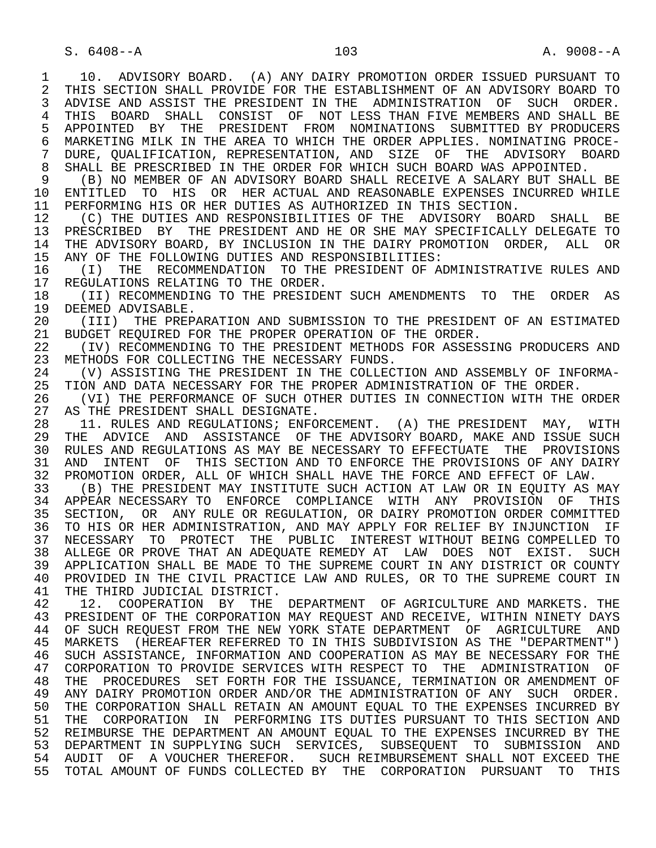1 10. ADVISORY BOARD. (A) ANY DAIRY PROMOTION ORDER ISSUED PURSUANT TO<br>2 THIS SECTION SHALL PROVIDE FOR THE ESTABLISHMENT OF AN ADVISORY BOARD TO 2 THIS SECTION SHALL PROVIDE FOR THE ESTABLISHMENT OF AN ADVISORY BOARD TO<br>3 ADVISE AND ASSIST THE PRESIDENT IN THE ADMINISTRATION OF SUCH ORDER. 3 ADVISE AND ASSIST THE PRESIDENT IN THE ADMINISTRATION OF SUCH ORDER. 4 THIS BOARD SHALL CONSIST OF NOT-LESS-THAN-FIVE-MEMBERS AND SHALL BE 15 APPOINTED BY THE PRESIDENT FROM NOMINATIONS SUBMITTED BY PRODUCERS 5 APPOINTED BY THE PRESIDENT FROM NOMINATIONS SUBMITTED— BY PRODUCERS<br>6 MARKETING—MILK IN THE AREA TO WHICH THE ORDER APPLIES, NOMINATING PROCE-6 MARKETING MILK IN THE AREA TO WHICH THE ORDER APPLIES. NOMINATING PROCE-<br>7 DURE, OUALIFICATION, REPRESENTATION, AND SIZE OF THE ADVISORY BOARD 7 DURE, QUALIFICATION, REPRESENTATION, AND SIZE OF THE ADVISORY BOARD 8 SHALL BE PRESCRIBED IN THE ORDER FOR WHICH SUCH BOARD WAS APPOINTED.<br>9 (B) NO MEMBER OF AN ADVISORY BOARD SHALL RECEIVE A SALARY BUT SHAL 9 (B) NO MEMBER OF AN ADVISORY BOARD SHALL RECEIVE A SALARY BUT SHALL BE 10 ENTITLED TO HIS OR HER ACTUAL AND REASONABLE EXPENSES INCURRED WHILE<br>11 PERFORMING HIS OR HER DUTIES AS AUTHORIZED IN THIS SECTION. 11 PERFORMING HIS OR HER DUTIES AS AUTHORIZED IN THIS SECTION.<br>12 (C) THE DUTIES AND RESPONSIBILITIES OF THE ADVISORY BOA 12 (C) THE DUTIES AND RESPONSIBILITIES OF THE ADVISORY BOARD SHALL BE<br>13 PRESCRIBED BY THE PRESIDENT AND HE OR SHE MAY SPECIFICALLY DELEGATE TO 13 PRESCRIBED BY THE PRESIDENT AND HE OR SHE MAY SPECIFICALLY DELEGATE TO<br>14 THE ADVISORY BOARD, BY INCLUSION IN THE DAIRY PROMOTION ORDER, ALL, OR THE ADVISORY BOARD, BY INCLUSION IN THE DAIRY PROMOTION ORDER, ALL OR 15 ANY OF THE FOLLOWING DUTIES AND RESPONSIBILITIES:<br>16 (I) THE RECOMMENDATION TO THE PRESIDENT OF A 16 (I) THE RECOMMENDATION TO THE PRESIDENT OF ADMINISTRATIVE RULES AND 17 REGULATIONS RELATING TO THE ORDER. 17 REGULATIONS RELATING TO THE ORDER.<br>18 (II) RECOMMENDING TO THE PRESIDE 18 (II) RECOMMENDING TO THE PRESIDENT SUCH AMENDMENTS TO THE ORDER AS<br>19 DEEMED ADVISABLE. 19 DEEMED ADVISABLE.<br>20 (III) THE PREP. 20 (III) THE PREPARATION AND SUBMISSION TO THE PRESIDENT OF AN ESTIMATED<br>21 BUDGET REOUIRED FOR THE PROPER OPERATION OF THE ORDER. 21 BUDGET REQUIRED FOR THE PROPER OPERATION OF THE ORDER.<br>22 (IV) RECOMMENDING TO THE PRESIDENT METHODS FOR ASSES 22 (IV) RECOMMENDING TO THE PRESIDENT METHODS FOR ASSESSING PRODUCERS AND 23 METHODS FOR COLLECTING THE NECESSARY FUNDS. METHODS FOR COLLECTING THE NECESSARY FUNDS. 24 (V) ASSISTING THE PRESIDENT IN THE COLLECTION AND ASSEMBLY OF INFORMA-<br>25 TION AND DATA NECESSARY FOR THE PROPER ADMINISTRATION OF THE ORDER. TION AND DATA NECESSARY FOR THE PROPER ADMINISTRATION OF THE ORDER. 26 (VI) THE PERFORMANCE OF SUCH OTHER DUTIES IN CONNECTION WITH THE ORDER 27 AS THE PRESIDENT SHALL DESIGNATE. 27 AS THE PRESIDENT SHALL DESIGNATE.<br>28 11. RULES AND REGULATIONS; ENFO 28 11. RULES AND REGULATIONS; ENFORCEMENT. (A) THE PRESIDENT MAY, WITH<br>29 THE ADVICE AND ASSISTANCE OF THE ADVISORY BOARD, MAKE AND ISSUE SUCH 29 THE ADVICE AND ASSISTANCE OF THE ADVISORY BOARD, MAKE AND ISSUE SUCH<br>30 RULES AND REGULATIONS AS MAY BE NECESSARY TO EFFECTUATE THE PROVISIONS 30 RULES AND REGULATIONS AS MAY BE NECESSARY TO EFFECTUATE THE PROVISIONS<br>31 AND INTENT OF THIS SECTION AND TO ENFORCE THE PROVISIONS OF ANY DAIRY 31 AND INTENT OF THIS SECTION AND TO ENFORCE THE PROVISIONS OF ANY DAIRY<br>32 PROMOTION ORDER, ALL OF WHICH SHALL HAVE THE FORCE AND EFFECT OF LAW. 32 PROMOTION ORDER, ALL OF WHICH SHALL HAVE THE FORCE AND EFFECT OF LAW.<br>33 (B) THE PRESIDENT MAY INSTITUTE SUCH ACTION AT LAW OR IN EOUITY AS 33 (B) THE PRESIDENT MAY INSTITUTE SUCH ACTION AT LAW OR IN EQUITY AS MAY 34 APPEAR NECESSARY TO ENFORCE COMPLIANCE WITH ANY PROVISION OF THIS<br>35 SECTION, OR ANY RULE OR REGULATION, OR DAIRY PROMOTION ORDER COMMITTED 35 SECTION, OR ANY RULE OR REGULATION, OR DAIRY PROMOTION ORDER COMMITTED<br>36 TO HIS OR HER ADMINISTRATION, AND MAY APPLY FOR RELIEF BY INJUNCTION IF 36 TO HIS OR HER ADMINISTRATION, AND MAY APPLY FOR RELIEF BY INJUNCTION IF 37 NECESSARY TO PROTECT THE PUBLIC INTEREST\_WITHOUT\_BEING\_COMPELLED\_TO<br>38 ALLEGE\_OR\_PROVE\_THAT\_AN\_ADEQUATE\_REMEDY\_AT\_\_LAW\_\_DOES\_\_NOT\_\_EXIST.\_\_SUCH 38 ALLEGE OR PROVE THAT AN ADEQUATE REMEDY AT LAW DOES NOT EXIST. SUCH<br>39 APPLICATION SHALL BE MADE TO THE SUPREME COURT IN ANY DISTRICT OR COUNTY 39 APPLICATION SHALL BE MADE TO THE SUPREME COURT IN ANY DISTRICT OR COUNTY<br>40 PROVIDED IN THE CIVIL PRACTICE LAW AND RULES, OR TO THE SUPREME COURT IN 40 PROVIDED IN THE CIVIL PRACTICE LAW AND RULES, OR TO THE SUPREME COURT IN 41 THE THIRD JUDICIAL DISTRICT. 41 THE THIRD JUDICIAL DISTRICT.<br>42 12. COOPERATION BY THE 42 12. COOPERATION BY THE DEPARTMENT OF AGRICULTURE AND MARKETS. THE 43 PRESIDENT OF THE CORPORATION MAY REQUEST AND RECEIVE. WITHIN NINETY DAYS 43 PRESIDENT OF THE CORPORATION MAY REQUEST AND RECEIVE, WITHIN NINETY DAYS<br>44 OF SUCH REOUEST FROM THE NEW YORK STATE DEPARTMENT OF AGRICULTURE AND 44 OF SUCH REQUEST FROM THE NEW YORK STATE DEPARTMENT OF AGRICULTURE AND 45 MARKETS (HEREAFTER REFERRED TO IN THIS SUBDIVISION AS THE "DEPARTMENT") MARKETS (HEREAFTER REFERRED TO IN THIS SUBDIVISION AS THE "DEPARTMENT") 46 SUCH ASSISTANCE, INFORMATION AND COOPERATION AS MAY BE NECESSARY FOR THE 47 CORPORATION OF 47 CORPORATION TO PROVIDE SERVICES WITH RESPECT TO THE ADMINISTRATION OF 48 THE PROCEDURES SET FORTH FOR THE ISSUANCE, TERMINATION OR AMENDMENT OF<br>49 ANY DAIRY PROMOTION ORDER AND/OR THE ADMINISTRATION OF ANY SUCH ORDER. 49 ANY DAIRY PROMOTION ORDER AND/OR THE ADMINISTRATION OF ANY SUCH ORDER.<br>50 THE CORPORATION SHALL RETAIN AN AMOUNT EOUAL TO THE EXPENSES INCURRED BY 50 THE CORPORATION SHALL RETAIN AN AMOUNT EQUAL TO THE EXPENSES INCURRED BY<br>51 THE CORPORATION IN PERFORMING ITS DUTIES PURSUANT TO THIS SECTION AND 51 THE CORPORATION IN PERFORMING ITS DUTIES PURSUANT TO THIS SECTION AND<br>52 REIMBURSE THE DEPARTMENT AN AMOUNT EOUAL TO THE EXPENSES INCURRED BY THE 52 REIMBURSE THE DEPARTMENT AN AMOUNT EQUAL TO THE EXPENSES INCURRED BY THE 53 DEPARTMENT IN SUPPLYING SUCH SERVICES, SUBSEQUENT TO SUBMISSION AND<br>54 AUDIT OF A VOUCHER THEREFOR. SUCH REIMBURSEMENT SHALL NOT EXCEED THE 54 AUDIT OF A VOUCHER THEREFOR. SUCH REIMBURSEMENT SHALL NOT EXCEED THE<br>55 TOTAL AMOUNT OF FUNDS COLLECTED BY THE CORPORATION PURSUANT TO THIS 55 TOTAL AMOUNT OF FUNDS COLLECTED BY THE CORPORATION PURSUANT TO THIS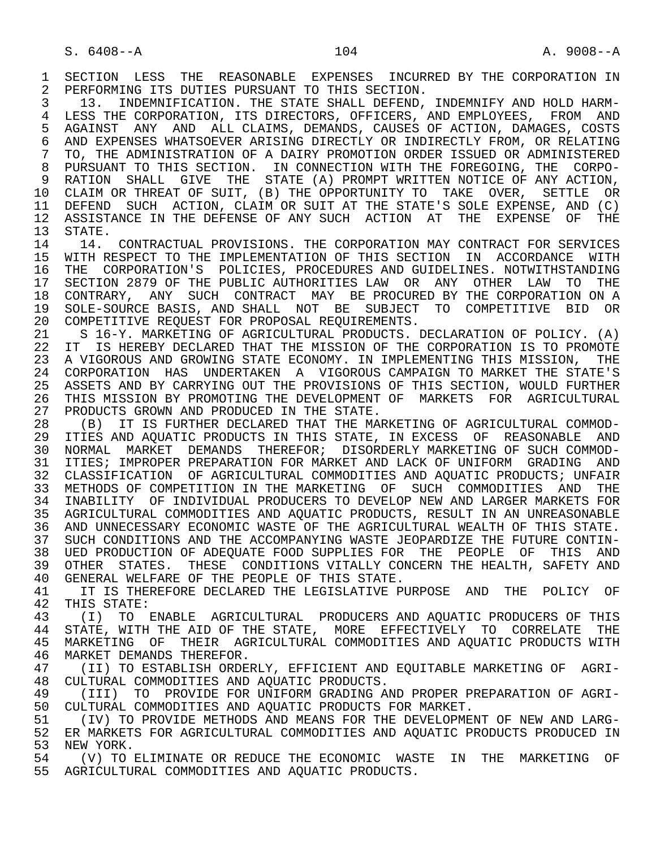1 SECTION LESS THE REASONABLE EXPENSES INCURRED BY THE CORPORATION IN<br>2 PERFORMING ITS DUTIES PURSUANT TO THIS SECTION. 2 PERFORMING ITS DUTIES PURSUANT TO THIS SECTION.<br>3 13. INDEMNIFICATION. THE STATE SHALL DEFEND.

 3 13. INDEMNIFICATION. THE STATE SHALL DEFEND, INDEMNIFY AND HOLD HARM- 4 LESS THE CORPORATION, ITS DIRECTORS, OFFICERS, AND EMPLOYEES, FROM AND<br>5 AGAINST ANY AND ALL CLAIMS, DEMANDS, CAUSES OF ACTION, DAMAGES, COSTS 5 AGAINST ANY AND ALL CLAIMS, DEMANDS, CAUSES OF ACTION, DAMAGES, COSTS<br>6 AND EXPENSES WHATSOEVER ARISING DIRECTLY OR INDIRECTLY FROM, OR RELATING 6 AND EXPENSES WHATSOEVER ARISING DIRECTLY OR INDIRECTLY FROM, OR RELATING<br>7 TO. THE ADMINISTRATION OF A DAIRY PROMOTION ORDER ISSUED OR ADMINISTERED 7 TO, THE ADMINISTRATION OF A DAIRY PROMOTION ORDER ISSUED OR ADMINISTERED 8 PURSUANT TO THIS SECTION. IN CONNECTION WITH THE FOREGOING, THE CORPO- 9 RATION SHALL GIVE THE STATE (A) PROMPT WRITTEN NOTICE OF ANY ACTION, 10 CLAIM OR THREAT OF SUIT, (B) THE OPPORTUNITY TO TAKE OVER, SETTLE OR<br>11 DEFEND SUCH ACTION, CLAIM OR SUIT AT THE STATE'S SOLE EXPENSE, AND (C) 11 DEFEND SUCH ACTION, CLAIM OR SUIT AT THE STATE'S SOLE EXPENSE, AND (C)<br>12 ASSISTANCE IN THE DEFENSE OF ANY SUCH ACTION AT THE EXPENSE OF THE 12 ASSISTANCE IN THE DEFENSE OF ANY SUCH ACTION AT THE EXPENSE OF THE 13 STATE.

13 STATE.<br>14 14 14. CONTRACTUAL PROVISIONS. THE CORPORATION MAY CONTRACT FOR SERVICES 15 WITH RESPECT TO THE IMPLEMENTATION OF THIS SECTION IN ACCORDANCE WITH<br>16 THE CORPORATION'S POLICIES, PROCEDURES AND GUIDELINES. NOTWITHSTANDING 16 THE CORPORATION'S POLICIES, PROCEDURES AND GUIDELINES. NOTWITHSTANDING<br>17 SECTION 2879 OF THE PUBLIC AUTHORITIES LAW OR ANY OTHER LAW TO THE 17 SECTION 2879 OF THE PUBLIC AUTHORITIES LAW OR ANY OTHER LAW TO THE 18 CONTRARY, ANY SUCH CONTRACT MAY BE PROCURED BY THE CORPORATION ON A 18 CONTRARY, ANY SUCH CONTRACT MAY BE PROCURED BY THE CORPORATION ON A<br>19 SOLE-SOURCE BASIS, AND SHALL NOT BE SUBJECT TO COMPETITIVE BID OR 19 SOLE-SOURCE BASIS, AND SHALL NOT BE SUBJECT TO COMPETITIVE BID OR<br>20 COMPETITIVE REOUEST FOR PROPOSAL REOUIREMENTS. 20 COMPETITIVE REQUEST FOR PROPOSAL REQUIREMENTS.<br>21 S 16-Y. MARKETING OF AGRICULTURAL PRODUCTS.

 21 S 16-Y. MARKETING OF AGRICULTURAL PRODUCTS. DECLARATION OF POLICY. (A) 22 IT IS HEREBY DECLARED THAT THE MISSION OF THE CORPORATION IS TO PROMOTE<br>23 A VIGOROUS AND GROWING STATE ECONOMY. IN IMPLEMENTING THIS MISSION, THE 23 A VIGOROUS AND GROWING STATE ECONOMY. IN IMPLEMENTING THIS MISSION, THE 24 CORPORATION HAS UNDERTAKEN A VIGOROUS CAMPAIGN TO MARKET THE STATE'S<br>25 ASSETS AND BY CARRYING OUT THE PROVISIONS OF THIS SECTION, WOULD FURTHER 25 ASSETS AND BY CARRYING OUT THE PROVISIONS OF THIS SECTION, WOULD FURTHER 26 THIS MISSION BY PROMOTING THE DEVELOPMENT OF MARKETS FOR AGRICULTURAL<br>27 PRODUCTS GROWN AND PRODUCED IN THE STATE. 27 PRODUCTS GROWN AND PRODUCED IN THE STATE.<br>28 (B) IT IS FURTHER DECLARED THAT THE MA

28 (B) IT IS FURTHER DECLARED THAT THE MARKETING OF AGRICULTURAL COMMOD-<br>29 ITIES AND AOUATIC PRODUCTS IN THIS STATE, IN EXCESS OF REASONABLE AND ITIES AND AOUATIC PRODUCTS IN THIS STATE, IN EXCESS OF REASONABLE AND 30 NORMAL MARKET DEMANDS THEREFOR; DISORDERLY MARKETING OF SUCH COMMOD-<br>31 ITIES; IMPROPER PREPARATION FOR MARKET AND LACK OF UNIFORM GRADING AND 31 ITIES; IMPROPER PREPARATION FOR MARKET AND LACK OF UNIFORM GRADING AND<br>32 CLASSIFICATION OF AGRICULTURAL COMMODITIES AND AOUATIC PRODUCTS; UNFAIR CLASSIFICATION OF AGRICULTURAL COMMODITIES AND AQUATIC PRODUCTS; UNFAIR 33 METHODS OF COMPETITION IN THE MARKETING OF SUCH COMMODITIES AND THE 34 INABILITY OF INDIVIDUAL PRODUCERS TO DEVELOP NEW AND LARGER MARKETS FOR 35 AGRICULTURAL COMMODITIES AND AQUATIC PRODUCTS, RESULT IN AN UNREASONABLE 36 AND UNNECESSARY ECONOMIC WASTE OF THE AGRICULTURAL WEALTH OF THIS STATE. 37 SUCH CONDITIONS AND THE ACCOMPANYING WASTE JEOPARDIZE THE FUTURE CONTIN- 38 UED PRODUCTION OF ADEQUATE FOOD SUPPLIES FOR THE PEOPLE OF THIS AND<br>39 OTHER STATES. THESE CONDITIONS VITALLY CONCERN THE HEALTH. SAFETY AND 39 OTHER STATES. THESE CONDITIONS VITALLY CONCERN THE HEALTH, SAFETY AND 40 GENERAL WELFARE OF THE PEOPLE OF THIS STATE. 40 GENERAL WELFARE OF THE PEOPLE OF THIS STATE.<br>41 TT IS THEREFORE DECLARED THE LEGISLATIVE PI

41 IT IS THEREFORE DECLARED THE LEGISLATIVE PURPOSE AND THE POLICY OF 42 THIS STATE: 42 THIS STATE:<br>43 (T) TO

43 (I) TO ENABLE AGRICULTURAL PRODUCERS AND AQUATIC PRODUCERS OF THIS<br>44 STATE, WITH THE AID OF THE STATE, MORE EFFECTIVELY TO CORRELATE THE 44 STATE, WITH THE AID OF THE STATE, MORE EFFECTIVELY TO CORRELATE THE 45 MARKETING OF THEIR AGRICULTURAL COMMODITIES AND AOUATIC PRODUCTS WITH 45 MARKETING OF THEIR AGRICULTURAL COMMODITIES AND AQUATIC PRODUCTS WITH 46 MARKET DEMANDS THEREFOR.<br>47 (II) TO ESTABLISH ORDE

47 (II) TO ESTABLISH ORDERLY, EFFICIENT AND EQUITABLE MARKETING OF AGRI-<br>48 CULTURAL COMMODITIES AND AOUATIC PRODUCTS. 48 CULTURAL COMMODITIES AND AQUATIC PRODUCTS.<br>49 (III) TO PROVIDE FOR UNIFORM GRADING A

49 (III) TO PROVIDE FOR UNIFORM GRADING AND PROPER PREPARATION OF AGRI-<br>50 CULTURAL COMMODITIES AND AOUATIC PRODUCTS FOR MARKET. 50 CULTURAL COMMODITIES AND AQUATIC PRODUCTS FOR MARKET.<br>51 (IV) TO PROVIDE METHODS AND MEANS FOR THE DEVELOPME

51 (IV) TO PROVIDE METHODS AND MEANS FOR THE DEVELOPMENT OF NEW AND LARG-<br>52 ER MARKETS FOR AGRICULTURAL COMMODITIES AND AOUATIC PRODUCTS PRODUCED IN 52 ER MARKETS FOR AGRICULTURAL COMMODITIES AND AQUATIC PRODUCTS PRODUCED IN<br>53 NEW YORK. 53 NEW YORK.<br>54 (V) TO

(V) TO ELIMINATE OR REDUCE THE ECONOMIC WASTE IN THE MARKETING OF 55 AGRICULTURAL COMMODITIES AND AQUATIC PRODUCTS.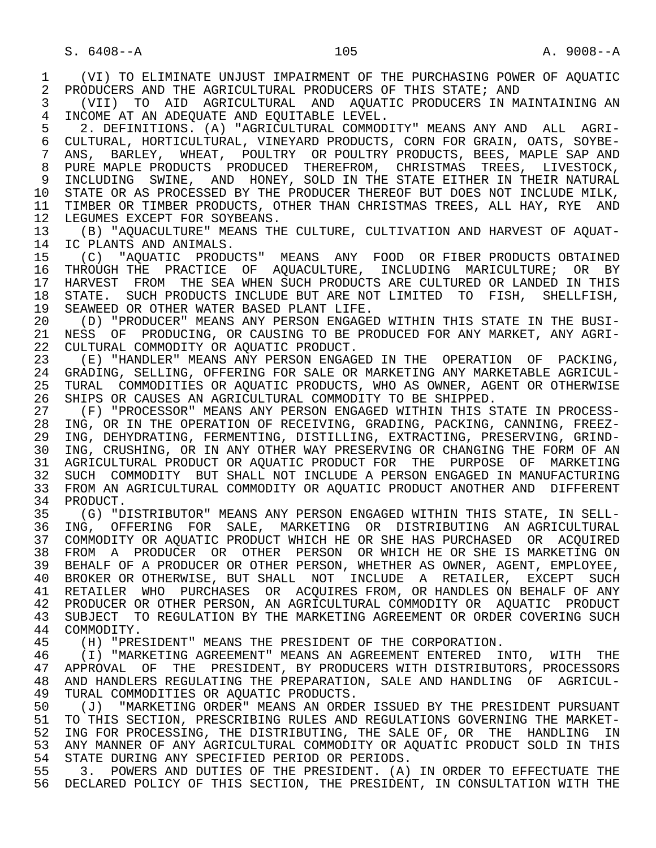1 (VI) TO ELIMINATE UNJUST IMPAIRMENT OF THE PURCHASING POWER OF AQUATIC<br>2 PRODUCERS AND THE AGRICULTURAL PRODUCERS OF THIS STATE; AND 2 PRODUCERS AND THE AGRICULTURAL PRODUCERS OF THIS STATE; AND<br>3 (VII) TO AID AGRICULTURAL AND AOUATIC PRODUCERS IN MA 3 (VII) TO AID AGRICULTURAL AND AQUATIC PRODUCERS IN MAINTAINING AN 4 INCOME AT AN ADEQUATE AND EQUITABLE LEVEL.<br>5 2. DEFINITIONS. (A) "AGRICULTURAL COMMOD 5 2. DEFINITIONS. (A) "AGRICULTURAL COMMODITY" MEANS ANY AND ALL AGRI-<br>6 CULTURAL, HORTICULTURAL, VINEYARD PRODUCTS, CORN FOR GRAIN, OATS, SOYBE-6 CULTURAL, HORTICULTURAL, VINEYARD PRODUCTS, CORN FOR GRAIN, OATS, SOYBE-<br>7 ANS. BARLEY. WHEAT. POULTRY OR POULTRY PRODUCTS. BEES. MAPLE SAP AND 7 ANS, BARLEY, WHEAT, POULTRY OR POULTRY PRODUCTS, BEES, MAPLE SAP AND 8 PURE MAPLE PRODUCTS PRODUCED THEREFROM, CHRISTMAS TREES, LIVESTOCK, 9 INCLUDING SWINE, AND HONEY, SOLD IN THE STATE EITHER IN THEIR NATURAL<br>10 STATE OR AS PROCESSED BY THE PRODUCER THEREOF BUT DOES NOT INCLUDE MILK. 10 STATE OR AS PROCESSED BY THE PRODUCER THEREOF BUT DOES NOT INCLUDE MILK,<br>11 TIMBER OR TIMBER PRODUCTS, OTHER THAN CHRISTMAS TREES, ALL HAY, RYE AND 11 TIMBER OR TIMBER PRODUCTS, OTHER THAN CHRISTMAS TREES, ALL HAY, RYE AND 12 LEGUMES EXCEPT FOR SOYBEANS. 12 LEGUMES EXCEPT FOR SOYBEANS.<br>13 (B) "AOUACULTURE" MEANS THI 13 (B) "AQUACULTURE" MEANS THE CULTURE, CULTIVATION AND HARVEST OF AQUAT-<br>14 IC PLANTS AND ANIMALS IC PLANTS AND ANIMALS. 15 (C) "AQUATIC PRODUCTS" MEANS ANY FOOD OR FIBER PRODUCTS OBTAINED<br>16 THROUGH THE PRACTICE OF AOUACULTURE, INCLUDING MARICULTURE; OR BY 16 THROUGH THE PRACTICE OF AQUACULTURE, INCLUDING MARICULTURE; OR BY<br>17 HARVEST FROM THE SEA WHEN SUCH PRODUCTS ARE CULTURED OR LANDED IN THIS 17 HARVEST FROM THE SEA WHEN SUCH PRODUCTS ARE CULTURED OR LANDED IN THIS<br>18 STATE. SUCH PRODUCTS INCLUDE BUT ARE NOT LIMITED TO FISH, SHELLFISH, 18 STATE. SUCH PRODUCTS INCLUDE BUT ARE NOT LIMITED TO FISH, SHELLFISH,<br>19 SEAWEED OR OTHER WATER BASED PLANT LIFE. 19 SEAWEED OR OTHER WATER BASED PLANT LIFE.<br>20 (D) "PRODUCER" MEANS ANY PERSON ENGAGEI 20 (D) "PRODUCER" MEANS ANY PERSON ENGAGED WITHIN THIS STATE IN THE BUSI-<br>21 NESS OF PRODUCING, OR CAUSING TO BE PRODUCED FOR ANY MARKET, ANY AGRI-21 NESS OF PRODUCING, OR CAUSING TO BE PRODUCED FOR ANY MARKET, ANY AGRI-<br>22 CULTURAL COMMODITY OR AOUATIC PRODUCT. 22 CULTURAL COMMODITY OR AQUATIC PRODUCT.<br>23 (E) "HANDLER" MEANS ANY PERSON ENGAG 23 (E) "HANDLER" MEANS ANY PERSON ENGAGED IN THE OPERATION OF PACKING, 24 GRADING, SELLING, OFFERING FOR SALE OR MARKETING ANY MARKETABLE AGRICUL-<br>25 TURAL COMMODITIES OR AOUATIC PRODUCTS, WHO AS OWNER, AGENT OR OTHERWISE 25 TURAL COMMODITIES OR AQUATIC PRODUCTS, WHO AS OWNER, AGENT OR OTHERWISE 26 SHIPS OR CAUSES AN AGRICULTURAL COMMODITY TO BE SHIPPED.<br>27 (F) "PROCESSOR" MEANS ANY PERSON ENGAGED WITHIN THIS S 27 (F) "PROCESSOR" MEANS ANY PERSON ENGAGED WITHIN THIS STATE IN PROCESS-<br>28 ING, OR IN THE OPERATION OF RECEIVING, GRADING, PACKING, CANNING, FREEZ-28 ING, OR IN THE OPERATION OF RECEIVING, GRADING, PACKING, CANNING, FREEZ-<br>29 ING, DEHYDRATING, FERMENTING, DISTILLING, EXTRACTING, PRESERVING, GRIND-ING, DEHYDRATING, FERMENTING, DISTILLING, EXTRACTING, PRESERVING, GRIND-30 ING, CRUSHING, OR IN ANY OTHER WAY PRESERVING OR CHANGING THE FORM OF AN<br>31 AGRICULTURAL PRODUCT OR AOUATIC PRODUCT FOR THE PURPOSE OF MARKETING 31 AGRICULTURAL PRODUCT OR AQUATIC PRODUCT FOR THE PURPOSE OF MARKETING<br>32 SUCH COMMODITY BUT SHALL NOT INCLUDE A PERSON ENGAGED IN MANUFACTURING 32 SUCH COMMODITY BUT SHALL NOT INCLUDE A PERSON ENGAGED IN MANUFACTURING<br>33 FROM AN AGRICULTURAL COMMODITY OR AOUATIC PRODUCT ANOTHER AND DIFFERENT 33 FROM AN AGRICULTURAL COMMODITY OR AQUATIC PRODUCT ANOTHER AND DIFFERENT<br>34 PRODUCT. 34 PRODUCT.<br>35 (G) "D 35 (G) "DISTRIBUTOR" MEANS ANY PERSON ENGAGED WITHIN THIS STATE, IN SELL-<br>36 ING. OFFERING FOR SALE. MARKETING OR DISTRIBUTING AN AGRICULTURAL ING, OFFERING FOR SALE, MARKETING OR DISTRIBUTING AN AGRICULTURAL 37 COMMODITY OR AQUATIC PRODUCT WHICH HE OR SHE HAS PURCHASED OR ACQUIRED<br>38 FROM A PRODUCER OR OTHER PERSON OR WHICH HE OR SHE IS MARKETING ON 38 FROM A PRODUCER OR OTHER PERSON OR WHICH HE OR SHE IS MARKETING ON 39 BEHALF OF A PRODUCER OR OTHER PERSON, WHETHER AS OWNER, AGENT, EMPLOYEE, 40 BROKER OR OTHERWISE, BUT SHALL NOT INCLUDE A RETAILER, EXCEPT SUCH 41 RETAILER WHO PURCHASES OR ACQUIRES FROM, OR HANDLES ON BEHALF OF ANY<br>42 PRODUCER OR OTHER PERSON, AN AGRICULTURAL COMMODITY OR AOUATIC PRODUCT 42 PRODUCER OR OTHER PERSON, AN AGRICULTURAL COMMODITY OR AQUATIC PRODUCT<br>43 SUBJECT TO REGULATION BY THE MARKETING AGREEMENT OR ORDER COVERING SUCH 43 SUBJECT TO REGULATION BY THE MARKETING AGREEMENT OR ORDER COVERING SUCH 44 COMMODITY. 44 COMMODITY.<br>45 (H) "PRE 45 (H) "PRESIDENT" MEANS THE PRESIDENT OF THE CORPORATION. 46 (I) "MARKETING AGREEMENT" MEANS AN AGREEMENT ENTERED INTO, WITH THE 47 APPROVAL OF THE PRESIDENT, BY PRODUCERS WITH DISTRIBUTORS, PROCESSORS 48 AND HANDLERS REGULATING THE PREPARATION, SALE AND HANDLING OF AGRICUL-<br>49 TURAL COMMODITIES OR AOUATIC PRODUCTS. 49 TURAL COMMODITIES OR AQUATIC PRODUCTS.<br>50 (J) "MARKETING ORDER" MEANS AN ORDER 50 (J) "MARKETING ORDER" MEANS AN ORDER ISSUED BY THE PRESIDENT PURSUANT<br>51 TO THIS SECTION, PRESCRIBING RULES AND REGULATIONS GOVERNING THE MARKET-51 TO THIS SECTION, PRESCRIBING RULES AND REGULATIONS GOVERNING THE MARKET-<br>52 ING FOR PROCESSING, THE DISTRIBUTING, THE SALE OF, OR THE HANDLING IN 52 ING FOR PROCESSING, THE DISTRIBUTING, THE SALE OF, OR THE HANDLING IN<br>53 ANY MANNER OF ANY AGRICULTURAL COMMODITY OR AOUATIC PRODUCT SOLD IN THIS 53 ANY MANNER OF ANY AGRICULTURAL COMMODITY OR AQUATIC PRODUCT SOLD IN THIS<br>54 STATE DURING ANY SPECIFIED PERIOD OR PERIODS. 54 STATE DURING ANY SPECIFIED PERIOD OR PERIODS.<br>55 3. POWERS AND DUTIES OF THE PRESIDENT. (A) 55 3. POWERS AND DUTIES OF THE PRESIDENT. (A) IN ORDER TO EFFECTUATE THE 56 DECLARED POLICY OF THIS SECTION, THE PRESIDENT, IN CONSULTATION WITH THE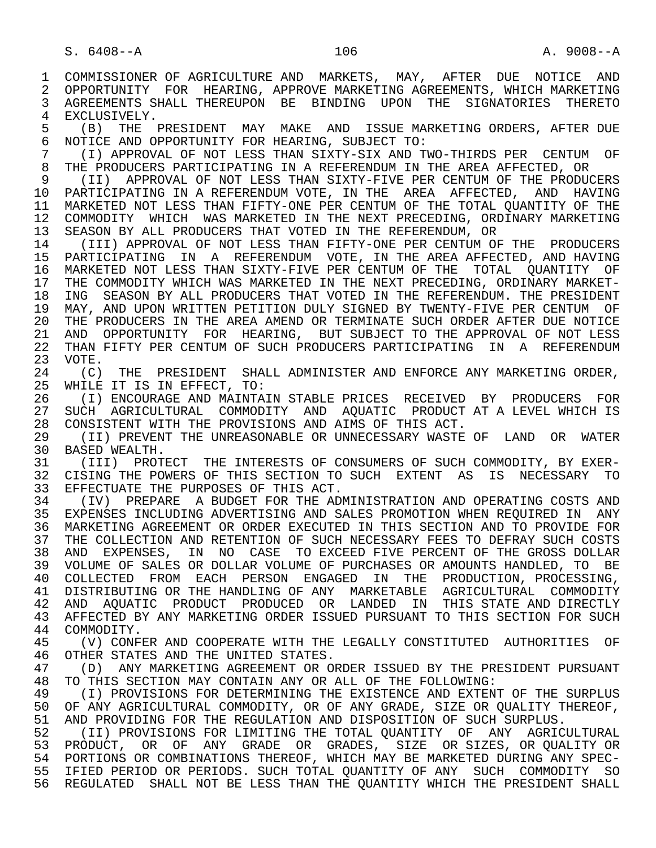1 COMMISSIONER OF AGRICULTURE AND MARKETS, MAY, AFTER DUE NOTICE AND<br>2 OPPORTUNITY FOR HEARING, APPROVE MARKETING AGREEMENTS, WHICH MARKETING 2 OPPORTUNITY FOR HEARING, APPROVE MARKETING AGREEMENTS, WHICH MARKETING<br>3 AGREEMENTS SHALL THEREUPON BE BINDING UPON THE SIGNATORIES THERETO 3 AGREEMENTS SHALL THEREUPON BE BINDING UPON THE SIGNATORIES THERETO 4 EXCLUSIVELY.<br>5 (B) THE 5 (B) THE PRESIDENT MAY MAKE AND ISSUE-MARKETING-ORDERS, AFTER DUE<br>6 NOTICE AND OPPORTUNITY FOR HEARING, SUBJECT TO: 6 NOTICE AND OPPORTUNITY FOR HEARING, SUBJECT TO:<br>7 (I) APPROVAL OF NOT LESS THAN SIXTY-SIX AND T 7 (I) APPROVAL OF NOT LESS THAN SIXTY-SIX AND TWO-THIRDS PER CENTUM OF 7<br>8 THE PRODUCERS PARTICIPATING IN A REFERENDUM IN THE AREA AFFECTED. OR 8 THE PRODUCERS PARTICIPATING IN A REFERENDUM IN THE AREA AFFECTED, OR<br>9 (II) APPROVAL OF NOT LESS THAN SIXTY-FIVE PER CENTUM OF THE PRODUG 9 (II) APPROVAL OF NOT LESS THAN SIXTY-FIVE PER CENTUM OF THE PRODUCERS 10 PARTICIPATING IN A REFERENDUM VOTE, IN THE AREA AFFECTED, AND HAVING<br>11 MARKETED NOT LESS THAN FIFTY-ONE PER CENTUM OF THE TOTAL OUANTITY OF THE 11 MARKETED NOT LESS THAN FIFTY-ONE PER CENTUM OF THE TOTAL QUANTITY OF THE 12 COMMODITY WHICH WAS MARKETED IN THE NEXT PRECEDING, ORDINARY MARKETING 12 COMMODITY WHICH WAS MARKETED IN THE NEXT PRECEDING, ORDINARY MARKETING<br>13 SEASON BY ALL PRODUCERS THAT VOTED IN THE REFERENDUM, OR 13 SEASON BY ALL PRODUCERS THAT VOTED IN THE REFERENDUM, OR<br>14 (TIT) APPROVAL OF NOT LESS THAN FIFTY-ONE PER CENTUM OF (III) APPROVAL OF NOT LESS THAN FIFTY-ONE PER CENTUM OF THE PRODUCERS 15 PARTICIPATING IN A REFERENDUM VOTE, IN THE AREA AFFECTED, AND HAVING 16 MARKETED NOT LESS THAN SIXTY-FIVE PER CENTUM OF THE TOTAL QUANTITY OF<br>17 THE COMMODITY WHICH WAS MARKETED IN THE NEXT PRECEDING, ORDINARY MARKET-17 THE COMMODITY WHICH WAS MARKETED IN THE NEXT PRECEDING, ORDINARY MARKET-<br>18 ING SEASON BY ALL PRODUCERS THAT VOTED IN THE REFERENDUM. THE PRESIDENT 18 ING SEASON BY ALL PRODUCERS THAT VOTED IN THE REFERENDUM. THE PRESIDENT 19 MAY, AND UPON WRITTEN PETITION DULY SIGNED BY TWENTY-FIVE PER CENTUM OF<br>20 THE PRODUCERS IN THE AREA AMEND OR TERMINATE SUCH ORDER AFTER DUE NOTICE 20 THE PRODUCERS IN THE AREA AMEND OR TERMINATE SUCH ORDER AFTER DUE NOTICE<br>21 AND OPPORTUNITY FOR HEARING, BUT SUBJECT TO THE APPROVAL OF NOT LESS 21 AND OPPORTUNITY FOR HEARING, BUT SUBJECT TO THE APPROVAL OF NOT LESS<br>22 THAN FIFTY PER CENTUM OF SUCH PRODUCERS PARTICIPATING IN A REFERENDUM 22 THAN FIFTY PER CENTUM OF SUCH PRODUCERS PARTICIPATING IN A REFERENDUM<br>23 VOTE. VOTE.<br>(C) 24 (C) THE PRESIDENT SHALL ADMINISTER AND ENFORCE ANY MARKETING ORDER,<br>25 WHILE IT IS IN EFFECT. TO: WHILE IT IS IN EFFECT, TO: 26 (I) ENCOURAGE AND MAINTAIN STABLE PRICES RECEIVED BY PRODUCERS FOR 27 SUCH AGRICULTURAL COMMODITY AND AQUATIC PRODUCT AT A LEVEL WHICH IS<br>28 CONSISTENT WITH THE PROVISIONS AND AIMS OF THIS ACT. 28 CONSISTENT WITH THE PROVISIONS AND AIMS OF THIS ACT.<br>29 (II) PREVENT THE UNREASONABLE OR UNNECESSARY WASTE 29 (II) PREVENT THE UNREASONABLE OR UNNECESSARY WASTE OF LAND OR WATER<br>30 BASED WEALTH 30 BASED WEALTH.<br>31 (III) PROT 31 (III) PROTECT THE INTERESTS OF CONSUMERS OF SUCH COMMODITY, BY EXER-<br>32 CISING THE POWERS OF THIS SECTION TO SUCH EXTENT AS IS NECESSARY TO 32 CISING THE POWERS OF THIS SECTION TO SUCH EXTENT AS IS NECESSARY TO 33 EFFECTUATE THE PURPOSES OF THIS ACT. 33 EFFECTUATE THE PURPOSES OF THIS ACT.<br>34 (IV) PREPARE A BUDGET FOR THE ADI 34 (IV) PREPARE A BUDGET FOR THE ADMINISTRATION AND OPERATING COSTS AND<br>35 EXPENSES INCLUDING ADVERTISING AND SALES PROMOTION WHEN REOUIRED IN ANY EXPENSES INCLUDING ADVERTISING AND SALES PROMOTION WHEN REQUIRED IN ANY 36 MARKETING AGREEMENT OR ORDER EXECUTED IN THIS SECTION AND TO PROVIDE FOR 37 THE COLLECTION AND RETENTION OF SUCH NECESSARY FEES TO DEFRAY SUCH COSTS<br>38 AND EXPENSES, IN NO CASE TO EXCEED FIVE PERCENT OF THE GROSS DOLLAR 38 AND EXPENSES, IN NO CASE TO EXCEED FIVE PERCENT OF THE GROSS DOLLAR 39 VOLUME OF SALES OR DOLLAR VOLUME OF PURCHASES OR AMOUNTS HANDLED, TO BE 40 COLLECTED FROM EACH PERSON ENGAGED IN THE PRODUCTION, PROCESSING, 41 DISTRIBUTING OR THE HANDLING OF ANY MARKETABLE AGRICULTURAL COMMODITY<br>42 AND AOUATIC PRODUCT PRODUCED OR LANDED IN THIS STATE AND DIRECTLY 42 AND AQUATIC PRODUCT PRODUCED OR LANDED IN THIS STATE AND DIRECTLY<br>43 AFFECTED BY ANY MARKETING ORDER ISSUED PURSUANT TO THIS SECTION FOR SUCH 43 AFFECTED BY ANY MARKETING ORDER ISSUED PURSUANT TO THIS SECTION FOR SUCH 44 COMMODITY. 44 COMMODITY.<br>45 (V) CONF 45 (V) CONFER AND COOPERATE WITH THE LEGALLY CONSTITUTED AUTHORITIES OF 46 OTHER STATES AND THE UNITED STATES. 47 (D) ANY MARKETING AGREEMENT OR ORDER ISSUED BY THE PRESIDENT PURSUANT 48 TO THIS SECTION MAY CONTAIN ANY OR ALL OF THE FOLLOWING: 48 TO THIS SECTION MAY CONTAIN ANY OR ALL OF THE FOLLOWING:<br>49 (I) PROVISIONS FOR DETERMINING THE EXISTENCE AND EXTEN 49 (I) PROVISIONS FOR DETERMINING THE EXISTENCE AND EXTENT OF THE SURPLUS<br>50 OF ANY AGRICULTURAL COMMODITY, OR OF ANY GRADE, SIZE OR OUALITY THEREOF, 50 OF ANY AGRICULTURAL COMMODITY, OR OF ANY GRADE, SIZE OR QUALITY THEREOF,<br>51 AND PROVIDING FOR THE REGULATION AND DISPOSITION OF SUCH SURPLUS. 51 AND PROVIDING FOR THE REGULATION AND DISPOSITION OF SUCH SURPLUS.<br>52 (II) PROVISIONS FOR LIMITING THE TOTAL OUANTITY OF ANY AGRICU 52 (II) PROVISIONS FOR LIMITING THE TOTAL QUANTITY OF ANY AGRICULTURAL<br>53 PRODUCT, OR OF ANY GRADE OR GRADES, SIZE OR SIZES, OR OUALITY OR 53 PRODUCT, OR OF ANY GRADE OR GRADES, SIZE OR SIZES, OR QUALITY OR 54 PORTIONS OR COMBINATIONS THEREOF, WHICH MAY BE MARKETED DURING ANY SPEC- 55 IFIED PERIOD OR PERIODS. SUCH TOTAL QUANTITY OF ANY SUCH COMMODITY SO 56 REGULATED SHALL NOT BE LESS THAN THE QUANTITY WHICH THE PRESIDENT SHALL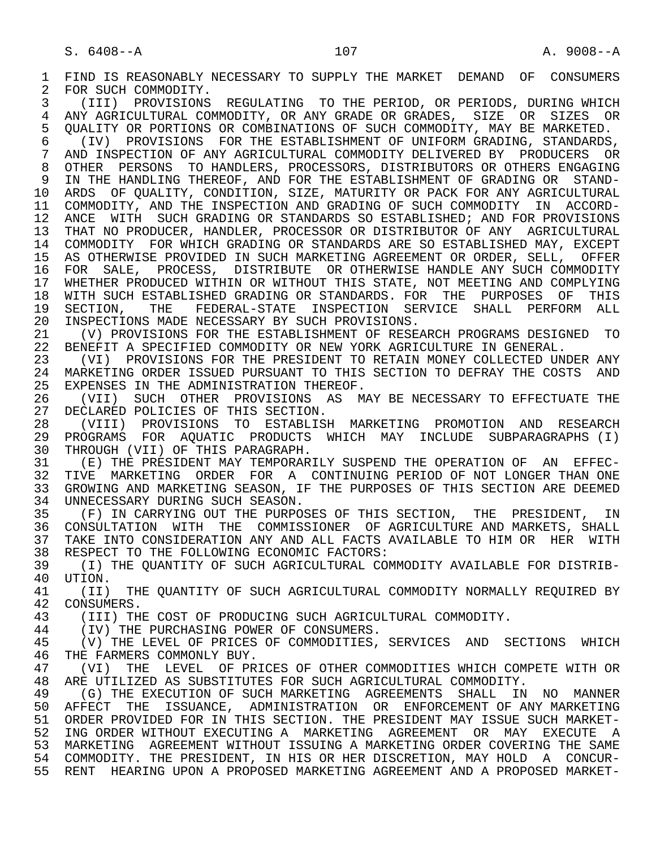1 FIND IS REASONABLY NECESSARY TO SUPPLY THE MARKET DEMAND OF CONSUMERS<br>2 FOR SUCH COMMODITY. 2 FOR SUCH COMMODITY.<br>3 (III) PROVISIONS 3 (III) PROVISIONS REGULATING TO THE PERIOD, OR PERIODS, DURING WHICH 4 ANY AGRICULTURAL COMMODITY, OR ANY GRADE OR GRADES, SIZE OR SIZES OR<br>5 OUALITY OR PORTIONS OR COMBINATIONS OF SUCH COMMODITY, MAY BE MARKETED. 5 QUALITY OR PORTIONS OR COMBINATIONS OF SUCH COMMODITY, MAY BE MARKETED.<br>6 (IV) PROVISIONS FOR THE ESTABLISHMENT OF UNIFORM GRADING, STANDARDS 6 (IV) PROVISIONS FOR THE ESTABLISHMENT OF UNIFORM GRADING, STANDARDS, 7 AND INSPECTION OF ANY AGRICULTURAL COMMODITY DELIVERED BY PRODUCERS OR 8 OTHER PERSONS TO HANDLERS, PROCESSORS, DISTRIBUTORS OR OTHERS ENGAGING 9 IN THE HANDLING THEREOF, AND FOR THE ESTABLISHMENT OF GRADING OR STAND-<br>10 ARDS OF OUALITY, CONDITION, SIZE, MATURITY OR PACK FOR ANY AGRICULTURAL 10 ARDS OF QUALITY, CONDITION, SIZE, MATURITY OR PACK FOR ANY AGRICULTURAL<br>11 COMMODITY, AND THE INSPECTION AND GRADING OF SUCH COMMODITY IN ACCORD- 11 COMMODITY, AND THE INSPECTION AND GRADING OF SUCH COMMODITY IN ACCORD- 12 ANCE WITH SUCH GRADING OR STANDARDS SO ESTABLISHED; AND FOR PROVISIONS 13 THAT NO PRODUCER, HANDLER, PROCESSOR OR DISTRIBUTOR OF ANY AGRICULTURAL<br>14 COMMODITY FOR WHICH GRADING OR STANDARDS ARE SO ESTABLISHED MAY, EXCEPT 14 COMMODITY FOR WHICH GRADING OR STANDARDS ARE SO ESTABLISHED MAY, EXCEPT 15 AS OTHERWISE PROVIDED IN SUCH MARKETING AGREEMENT OR ORDER, SELL, OFFER<br>16 FOR SALE, PROCESS, DISTRIBUTE OR OTHERWISE HANDLE ANY SUCH COMMODITY 16 FOR SALE, PROCESS, DISTRIBUTE OR OTHERWISE HANDLE ANY SUCH COMMODITY 17 WHETHER PRODUCED WITHIN OR WITHOUT THIS STATE, NOT MEETING AND COMPLYING<br>18 WITH SUCH ESTABLISHED GRADING OR STANDARDS. FOR THE PURPOSES OF THIS 18 WITH SUCH ESTABLISHED GRADING OR STANDARDS. FOR THE PURPOSES OF THIS<br>19 SECTION, THE FEDERAL-STATE INSPECTION SERVICE SHALL PERFORM ALL 19 SECTION, THE FEDERAL-STATE INSPECTION SERVICE SHALL PERFORM ALL<br>20 INSPECTIONS MADE-NECESSARY BY SUCH PROVISIONS. 20 INSPECTIONS MADE NECESSARY BY SUCH PROVISIONS.<br>21 (V) PROVISIONS FOR THE ESTABLISHMENT OF RESE 21 (V) PROVISIONS FOR THE ESTABLISHMENT OF RESEARCH PROGRAMS DESIGNED TO<br>22 BENEFIT A SPECIFIED COMMODITY OR NEW YORK AGRICULTURE IN GENERAL. 22 BENEFIT A SPECIFIED COMMODITY OR NEW YORK AGRICULTURE IN GENERAL.<br>23 (VI) PROVISIONS FOR THE PRESIDENT TO RETAIN MONEY COLLECTED UN 23 (VI) PROVISIONS FOR THE PRESIDENT TO RETAIN MONEY COLLECTED UNDER ANY<br>24 MARKETING ORDER ISSUED PURSUANT TO THIS SECTION TO DEFRAY THE COSTS AND 24 MARKETING ORDER ISSUED PURSUANT TO THIS SECTION TO DEFRAY THE COSTS AND 25 EXPENSES IN THE ADMINISTRATION THEREOF. EXPENSES IN THE ADMINISTRATION THEREOF. 26 (VII) SUCH OTHER PROVISIONS AS MAY BE NECESSARY TO EFFECTUATE THE 27 DECLARED POLICIES OF THIS SECTION. 27 DECLARED POLICIES OF THIS SECTION.<br>28 (VIII) PROVISIONS TO ESTABLISE 28 (VIII) PROVISIONS TO ESTABLISH MARKETING PROMOTION AND RESEARCH 29 PROGRAMS FOR AQUATIC PRODUCTS WHICH MAY INCLUDE SUBPARAGRAPHS (I)<br>30 THROUGH (VII) OF THIS PARAGRAPH. 30 THROUGH (VII) OF THIS PARAGRAPH.<br>31 (E) THE PRESIDENT MAY TEMPORARI 31 (E) THE PRESIDENT MAY TEMPORARILY SUSPEND THE OPERATION OF AN EFFEC-<br>32 TIVE MARKETING ORDER FOR A CONTINUING PERIOD OF NOT LONGER THAN ONE 32 TIVE MARKETING ORDER FOR A CONTINUING PERIOD OF NOT LONGER THAN ONE<br>33 GROWING AND MARKETING SEASON, IF THE PURPOSES OF THIS SECTION ARE DEEMED 33 GROWING AND MARKETING SEASON, IF THE PURPOSES OF THIS SECTION ARE DEEMED<br>34 UNNECESSARY DURING SUCH SEASON. 34 UNNECESSARY DURING SUCH SEASON.<br>35 (F) IN CARRYING OUT THE PURPO 35 (F) IN CARRYING OUT THE PURPOSES OF THIS SECTION, THE PRESIDENT, IN<br>36 CONSULTATION WITH THE COMMISSIONER OF AGRICULTURE AND MARKETS, SHALL 36 CONSULTATION WITH THE COMMISSIONER OF AGRICULTURE AND MARKETS, SHALL 37 TAKE INTO CONSIDERATION ANY AND ALL FACTS AVAILABLE TO HIM OR HER WITH 38 RESPECT TO THE FOLLOWING ECONOMIC FACTORS: 38 RESPECT TO THE FOLLOWING ECONOMIC FACTORS:<br>39 (I) THE OUANTITY OF SUCH AGRICULTURAL CO 39 (I) THE QUANTITY OF SUCH AGRICULTURAL COMMODITY AVAILABLE FOR DISTRIB- 40 UTION.<br>41 (TT) 41 (II) THE QUANTITY OF SUCH AGRICULTURAL COMMODITY NORMALLY REQUIRED BY<br>42 CONSUMERS. 42 CONSUMERS.<br>43 (TTT) TH 43 (III) THE COST OF PRODUCING SUCH AGRICULTURAL COMMODITY.<br>44 (IV) THE PURCHASING POWER OF CONSUMERS. 44 (IV) THE PURCHASING POWER OF CONSUMERS.<br>45 (V) THE LEVEL OF PRICES OF COMMODITIES, (V) THE LEVEL OF PRICES OF COMMODITIES, SERVICES AND SECTIONS WHICH 46 THE FARMERS COMMONLY BUY.<br>47 (VI) THE LEVEL OF PR 47 (VI) THE LEVEL OF PRICES OF OTHER COMMODITIES WHICH COMPETE WITH OR<br>48 ARE UTILIZED AS SUBSTITUTES FOR SUCH AGRICULTURAL COMMODITY. 48 ARE UTILIZED AS SUBSTITUTES FOR SUCH AGRICULTURAL COMMODITY.<br>49 (G) THE EXECUTION OF SUCH MARKETING AGREEMENTS SHALL IN 49 (G) THE EXECUTION OF SUCH MARKETING AGREEMENTS SHALL IN NO MANNER<br>50 AFFECT THE ISSUANCE, ADMINISTRATION OR ENFORCEMENT OF ANY MARKETING AFFECT THE ISSUANCE, ADMINISTRATION OR ENFORCEMENT OF ANY MARKETING 51 ORDER PROVIDED FOR IN THIS SECTION. THE PRESIDENT MAY ISSUE SUCH MARKET- 52 ING ORDER WITHOUT EXECUTING A MARKETING AGREEMENT OR MAY EXECUTE A 53 MARKETING AGREEMENT WITHOUT ISSUING A MARKETING ORDER COVERING THE SAME 54 COMMODITY. THE PRESIDENT, IN HIS OR HER DISCRETION, MAY HOLD A CONCUR- 55 RENT HEARING UPON A PROPOSED MARKETING AGREEMENT AND A PROPOSED MARKET-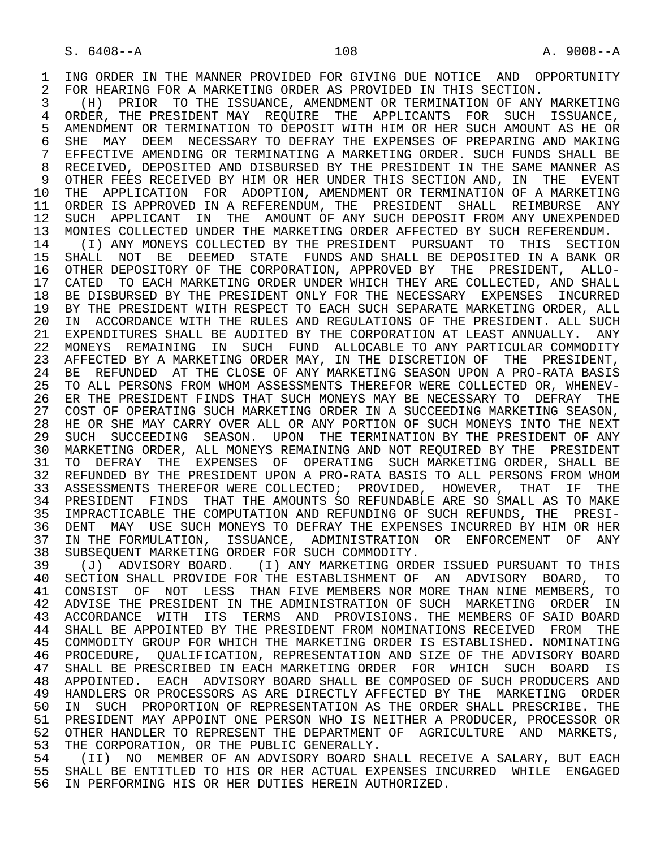1 ING ORDER IN THE MANNER PROVIDED FOR GIVING DUE NOTICE AND OPPORTUNITY<br>2 FOR HEARING FOR A MARKETING ORDER AS PROVIDED IN THIS SECTION.

2 FOR HEARING FOR A MARKETING ORDER AS PROVIDED IN THIS SECTION.<br>3 (H) PRIOR TO THE ISSUANCE, AMENDMENT OR TERMINATION OF ANY 3 (H) PRIOR TO THE ISSUANCE, AMENDMENT OR TERMINATION OF ANY MARKETING<br>4 ORDER, THE PRESIDENT MAY REOUIRE, THE APPLICANTS FOR SUCH ISSUANCE. 4 ORDER, THE PRESIDENT MAY REQUIRE THE APPLICANTS FOR SUCH ISSUANCE,<br>5 AMENDMENT OR TERMINATION TO DEPOSIT WITH HIM OR HER SUCH AMOUNT AS HE OR 5 AMENDMENT OR TERMINATION TO DEPOSIT WITH HIM OR HER SUCH AMOUNT AS HE OR<br>6 SHE MAY DEEM NECESSARY TO DEFRAY THE EXPENSES OF PREPARING AND MAKING 6 SHE MAY DEEM NECESSARY TO DEFRAY THE EXPENSES OF PREPARING AND MAKING<br>7 EFFECTIVE AMENDING OR TERMINATING A MARKETING ORDER. SUCH FUNDS SHALL BE 7 EFFECTIVE AMENDING OR TERMINATING A MARKETING ORDER. SUCH FUNDS SHALL BE 8 RECEIVED, DEPOSITED AND DISBURSED BY THE PRESIDENT IN THE SAME MANNER AS<br>9 OTHER FEES RECEIVED BY HIM OR HER UNDER THIS SECTION AND, IN THE EVENT 9 OTHER FEES RECEIVED BY HIM OR HER UNDER THIS SECTION AND, IN THE EVENT 10 THE LOTENT APPLICATION FOR ADOPTION, AMENDMENT OR TERMINATION OF A MARKETING 10 THE APPLICATION FOR ADOPTION, AMENDMENT OR TERMINATION OF A MARKETING<br>11 ORDER IS APPROVED IN A REFERENDUM, THE PRESIDENT SHALL REIMBURSE ANY 11 ORDER IS APPROVED IN A REFERENDUM, THE PRESIDENT SHALL REIMBURSE ANY<br>12 SUCH APPLICANT IN THE AMOUNT OF ANY SUCH DEPOSIT FROM ANY UNEXPENDED 12 SUCH APPLICANT IN THE AMOUNT OF ANY SUCH DEPOSIT FROM ANY UNEXPENDED<br>13 MONIES COLLECTED UNDER THE MARKETING ORDER AFFECTED BY SUCH REFERENDUM. 13 MONIES COLLECTED UNDER THE MARKETING ORDER AFFECTED BY SUCH REFERENDUM.<br>14 (I) ANY MONEYS COLLECTED BY THE PRESIDENT PURSUANT TO THIS SECTION 14 (I) ANY MONEYS COLLECTED BY THE PRESIDENT PURSUANT TO THIS SECTION 15 SHALL NOT BE DEEMED STATE FUNDS AND SHALL BE DEPOSITED IN A BANK OR<br>16 OTHER DEPOSITORY OF THE CORPORATION, APPROVED BY THE PRESIDENT, ALLO-16 OTHER DEPOSITORY OF THE CORPORATION, APPROVED BY THE PRESIDENT, ALLO-<br>17 CATED TO EACH MARKETING ORDER UNDER WHICH THEY ARE COLLECTED. AND SHALL 17 CATED TO EACH MARKETING ORDER UNDER WHICH THEY ARE COLLECTED, AND SHALL<br>18 BE DISBURSED BY THE PRESIDENT ONLY FOR THE NECESSARY EXPENSES INCURRED 18 BE DISBURSED BY THE PRESIDENT ONLY FOR THE NECESSARY EXPENSES INCURRED<br>19 BY THE PRESIDENT WITH RESPECT TO EACH SUCH SEPARATE MARKETING ORDER, ALL 19 BY THE PRESIDENT WITH RESPECT TO EACH SUCH SEPARATE MARKETING ORDER, ALL 100 FER THE RESIDENT ALL SUCH 20 IN ACCORDANCE WITH THE RULES AND REGULATIONS OF THE PRESIDENT. ALL SUCH 21 EXPENDITURES SHALL BE AUDITED BY THE CORPORATION AT LEAST ANNUALLY. ANY 21 EXPENDITURES SHALL BE AUDITED BY THE CORPORATION AT LEAST ANNUALLY. ANY<br>22 MONEYS REMAINING IN SUCH FUND ALLOCABLE TO ANY PARTICULAR COMMODITY 22 MONEYS REMAINING IN SUCH FUND ALLOCABLE TO ANY PARTICULAR COMMODITY 23 AFFECTED BY A MARKETING ORDER MAY, IN THE DISCRETION OF THE PRESIDENT,<br>24 BE REFUNDED AT THE CLOSE OF ANY MARKETING SEASON UPON A PRO-RATA BASIS 24 BE REFUNDED AT THE CLOSE OF ANY MARKETING SEASON UPON A PRO-RATA BASIS<br>25 TO ALL PERSONS FROM WHOM ASSESSMENTS THEREFOR WERE COLLECTED OR, WHENEV- 25 TO ALL PERSONS FROM WHOM ASSESSMENTS THEREFOR WERE COLLECTED OR, WHENEV- 26 ER THE PRESIDENT FINDS THAT SUCH MONEYS MAY BE NECESSARY TO DEFRAY THE 27 COST OF OPERATING SUCH MARKETING ORDER IN A SUCCEEDING MARKETING SEASON, 27 COST OF OPERATING SUCH MARKETING ORDER IN A SUCCEEDING MARKETING SEASON,<br>28 HE OR SHE MAY CARRY OVER ALL OR ANY PORTION OF SUCH MONEYS INTO THE NEXT 28 HE OR SHE MAY CARRY OVER ALL OR ANY PORTION OF SUCH MONEYS INTO THE NEXT<br>29 SUCH SUCCEEDING SEASON. UPON THE TERMINATION BY THE PRESIDENT OF ANY SUCH SUCCEEDING SEASON. UPON THE TERMINATION BY THE PRESIDENT OF ANY 30 MARKETING ORDER, ALL MONEYS REMAINING AND NOT REQUIRED BY THE PRESIDENT<br>31 TO DEFRAY THE EXPENSES OF OPERATING SUCH MARKETING ORDER, SHALL BE 31 TO DEFRAY THE EXPENSES OF OPERATING SUCH MARKETING ORDER, SHALL BE<br>32 REFUNDED BY THE PRESIDENT UPON A PRO-RATA BASIS TO ALL PERSONS FROM WHOM 32 REFUNDED BY THE PRESIDENT UPON A PRO-RATA BASIS TO ALL PERSONS FROM WHOM<br>33 ASSESSMENTS THEREFOR WERE COLLECTED; PROVIDED, HOWEVER, THAT IF THE 33 ASSESSMENTS THEREFOR WERE COLLECTED; PROVIDED, HOWEVER, THAT IF THE 34 PRESIDENT FINDS THAT THE AMOUNTS SO REFUNDABLE ARE SO SMALL AS TO MAKE<br>35 IMPRACTICABLE THE COMPUTATION AND REFUNDING OF SUCH REFUNDS, THE PRESI-35 IMPRACTICABLE THE COMPUTATION AND REFUNDING OF SUCH REFUNDS, THE PRESI-<br>36 DENT MAY USE SUCH MONEYS TO DEFRAY THE EXPENSES INCURRED BY HIM OR HER 36 DENT MAY USE SUCH MONEYS TO DEFRAY THE EXPENSES INCURRED BY HIM OR HER 37 IN THE FORMULATION, ISSUANCE, ADMINISTRATION OR ENFORCEMENT OF ANY<br>38 SUBSEOUENT MARKETING ORDER FOR SUCH COMMODITY.

38 SUBSEQUENT MARKETING ORDER FOR SUCH COMMODITY.<br>39 (J) ADVISORY BOARD. (I) ANY MARKETING ORD 39 (J) ADVISORY BOARD. (I) ANY MARKETING ORDER ISSUED PURSUANT TO THIS 40 SECTION SHALL PROVIDE FOR THE ESTABLISHMENT OF AN ADVISORY BOARD, TO<br>41 CONSIST OF NOT LESS THAN FIVE MEMBERS NOR MORE THAN NINE MEMBERS, TO 41 CONSIST OF NOT LESS THAN FIVE MEMBERS NOR MORE THAN NINE MEMBERS, TO<br>42 ADVISE THE PRESIDENT IN THE ADMINISTRATION OF SUCH MARKETING ORDER IN 42 ADVISE THE PRESIDENT IN THE ADMINISTRATION OF SUCH MARKETING ORDER IN<br>43 ACCORDANCE WITH ITS TERMS AND PROVISIONS. THE MEMBERS OF SAID BOARD 43 ACCORDANCE WITH ITS TERMS AND PROVISIONS. THE MEMBERS OF SAID BOARD<br>44 SHALL BE APPOINTED BY THE PRESIDENT FROM NOMINATIONS RECEIVED FROM THE 44 SHALL BE APPOINTED BY THE PRESIDENT FROM NOMINATIONS RECEIVED FROM THE 45 COMMODITY GROUP FOR WHICH THE MARKETING ORDER IS ESTABLISHED. NOMINATING 45 COMMODITY GROUP FOR WHICH THE MARKETING ORDER IS ESTABLISHED. NOMINATING 46 PROCEDURE, QUALIFICATION, REPRESENTATION AND SIZE OF THE ADVISORY BOARD<br>47 SHALL BE PRESCRIBED IN EACH MARKETING ORDER FOR WHICH SUCH BOARD IS 47 SHALL BE PRESCRIBED IN EACH MARKETING ORDER FOR WHICH SUCH BOARD IS<br>48 APPOINTED. EACH ADVISORY BOARD SHALL BE COMPOSED OF SUCH PRODUCERS AND 48 APPOINTED. EACH ADVISORY BOARD SHALL BE COMPOSED OF SUCH PRODUCERS AND<br>49 HANDLERS OR PROCESSORS AS ARE DIRECTLY AFFECTED BY THE MARKETING ORDER 49 HANDLERS OR PROCESSORS AS ARE DIRECTLY AFFECTED BY THE MARKETING ORDER<br>50 IN SUCH PROPORTION OF REPRESENTATION AS THE ORDER SHALL PRESCRIBE. THE 50 IN SUCH PROPORTION OF REPRESENTATION AS THE ORDER SHALL PRESCRIBE. THE 51 PRESIDENT MAY APPOINT ONE PERSON WHO IS NEITHER A PRODUCER, PROCESSOR OR 51 PRESIDENT MAY APPOINT ONE PERSON WHO IS NEITHER A PRODUCER, PROCESSOR OR<br>52 OTHER HANDLER TO REPRESENT THE DEPARTMENT OF AGRICULTURE AND MARKETS, 52 OTHER HANDLER TO REPRESENT THE DEPARTMENT OF AGRICULTURE AND MARKETS,<br>53 THE CORPORATION, OR THE PUBLIC GENERALLY. 53 THE CORPORATION, OR THE PUBLIC GENERALLY.<br>54 (TI) NO MEMBER OF AN ADVISORY BOARD SI

54 (II) NO MEMBER OF AN ADVISORY BOARD SHALL RECEIVE A SALARY, BUT EACH<br>55 SHALL BE ENTITLED TO HIS OR HER ACTUAL EXPENSES INCURRED WHILE ENGAGED 55 SHALL BE ENTITLED TO HIS OR HER ACTUAL EXPENSES INCURRED WHILE ENGAGED<br>56 IN PERFORMING HIS OR HER DUTIES HEREIN AUTHORIZED. IN PERFORMING HIS OR HER DUTIES HEREIN AUTHORIZED.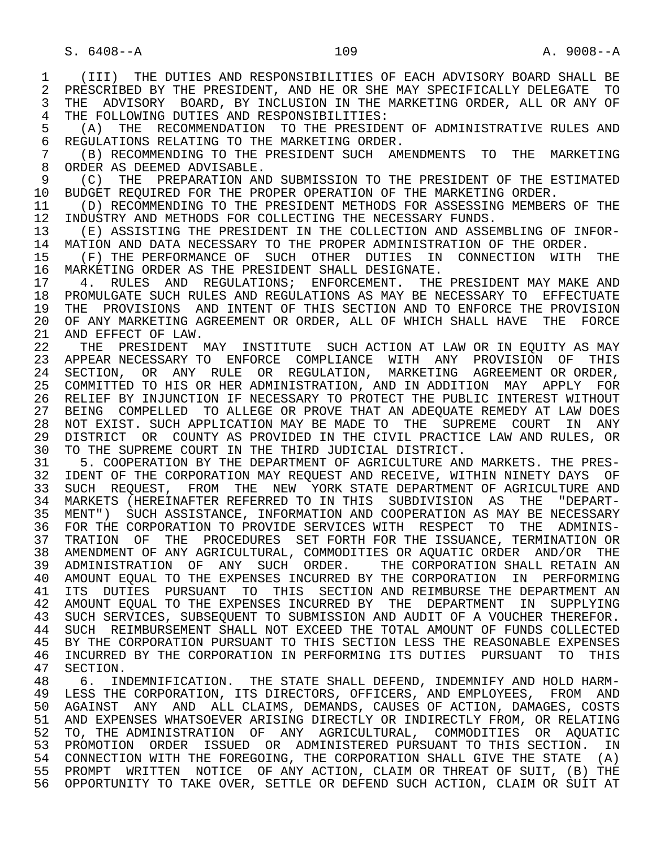1 (III) THE DUTIES AND RESPONSIBILITIES OF EACH ADVISORY BOARD SHALL BE 2 PRESCRIBED BY THE PRESIDENT, AND HE OR SHE MAY SPECIFICALLY DELEGATE TO<br>3 THE ADVISORY BOARD, BY INCLUSION IN THE MARKETING ORDER, ALL OR ANY OF THE ADVISORY BOARD, BY INCLUSION IN THE MARKETING ORDER, ALL OR ANY OF 4 THE FOLLOWING DUTIES AND RESPONSIBILITIES:<br>5 (A) THE RECOMMENDATION TO THE PRESIDE 5 (A) THE RECOMMENDATION TO THE PRESIDENT OF ADMINISTRATIVE RULES AND <br>6 REGULATIONS RELATING TO THE MARKETING ORDER. 6 REGULATIONS RELATING TO THE MARKETING ORDER.<br>7 (B) RECOMMENDING TO THE PRESIDENT SUCH AM 7 (B) RECOMMENDING TO THE PRESIDENT SUCH AMENDMENTS TO THE MARKETING<br>8 ORDER AS DEEMED ADVISABLE. 8 ORDER AS DEEMED ADVISABLE.<br>9 (C) THE PREPARATION ANI 9 (C) THE PREPARATION AND SUBMISSION TO THE PRESIDENT OF THE ESTIMATED<br>10 BUDGET REQUIRED FOR THE PROPER OPERATION OF THE MARKETING ORDER 10 BUDGET REQUIRED FOR THE PROPER OPERATION OF THE MARKETING ORDER.<br>11 (D) RECOMMENDING TO THE PRESIDENT METHODS FOR ASSESSING MEMBERS 11 (D) RECOMMENDING TO THE PRESIDENT METHODS FOR ASSESSING MEMBERS OF THE 12 INDUSTRY AND METHODS FOR COLLECTING THE NECESSARY FUNDS. 12 INDUSTRY AND METHODS FOR COLLECTING THE NECESSARY FUNDS.<br>13 (E) ASSISTING THE PRESIDENT IN THE COLLECTION AND ASSEN 13 (E) ASSISTING THE PRESIDENT IN THE COLLECTION AND ASSEMBLING OF INFOR-<br>14 MATION AND DATA NECESSARY TO THE PROPER ADMINISTRATION OF THE ORDER 14 MATION AND DATA NECESSARY TO THE PROPER ADMINISTRATION OF THE ORDER.<br>15 (F) THE PERFORMANCE OF SUCH OTHER DUTIES IN CONNECTION WITH 15 (F) THE PERFORMANCE OF SUCH OTHER DUTIES IN CONNECTION WITH THE THE THE SUCH OTHER AS THE PRESIDENT SHALL DESIGNATE. 16 MARKETING ORDER AS THE PRESIDENT SHALL DESIGNATE.<br>17 4. RULES AND REGULATIONS; ENFORCEMENT. THE 17 4. RULES AND REGULATIONS; ENFORCEMENT. THE PRESIDENT MAY MAKE AND REGULATIONS; ENFORCEMENT. THE PRESIDENT MAY MAKE AND REGULATIONS AS MAY BE NECESSARY TO EFFECTUATE 18 PROMULGATE SUCH RULES AND REGULATIONS AS MAY BE NECESSARY TO EFFECTUATE<br>19 THE PROVISIONS AND INTENT OF THIS SECTION AND TO ENFORCE THE PROVISION 19 THE PROVISIONS AND INTENT OF THIS SECTION AND TO ENFORCE THE PROVISION<br>20 OF ANY MARKETING AGREEMENT OR ORDER, ALL OF WHICH SHALL HAVE THE FORCE 20 OF ANY MARKETING AGREEMENT OR ORDER, ALL OF WHICH SHALL HAVE THE FORCE<br>21 AND EFFECT OF LAW. 21 AND EFFECT OF LAW.<br>22 THE PRESIDENT N THE PRESIDENT MAY INSTITUTE SUCH ACTION AT LAW OR IN EOUITY AS MAY 23 APPEAR NECESSARY TO ENFORCE COMPLIANCE WITH ANY PROVISION OF THIS 24 SECTION, OR ANY RULE OR REGULATION, MARKETING AGREEMENT OR ORDER,<br>25 COMMITTED TO HIS OR HER ADMINISTRATION, AND IN ADDITION MAY APPLY FOR 25 COMMITTED TO HIS OR HER ADMINISTRATION, AND IN ADDITION MAY APPLY FOR 26 RELIEF BY INJUNCTION IF NECESSARY TO PROTECT THE PUBLIC INTEREST WITHOUT 27 BEING COMPELLED TO ALLEGE OR PROVE THAT AN ADEQUATE REMEDY AT LAW DOES 28 NOT EXIST. SUCH APPLICATION MAY BE MADE TO THE SUPREME COURT IN ANY<br>29 DISTRICT OR COUNTY AS PROVIDED IN THE CIVIL PRACTICE LAW AND RULES, OR 29 DISTRICT OR COUNTY AS PROVIDED IN THE CIVIL PRACTICE LAW AND RULES, OR<br>30 TO THE SUPREME COURT IN THE THIRD JUDICIAL DISTRICT. 30 TO THE SUPREME COURT IN THE THIRD JUDICIAL DISTRICT.<br>31 5. COOPERATION BY THE DEPARTMENT OF AGRICULTURE ANI 31 5. COOPERATION BY THE DEPARTMENT OF AGRICULTURE AND MARKETS. THE PRES-<br>32 IDENT OF THE CORPORATION MAY REOUEST AND RECEIVE, WITHIN NINETY DAYS OF 32 IDENT OF THE CORPORATION MAY REQUEST AND RECEIVE, WITHIN NINETY DAYS OF<br>33 SUCH REOUEST, FROM THE NEW YORK STATE DEPARTMENT OF AGRICULTURE AND 33 SUCH REQUEST, FROM THE NEW YORK STATE DEPARTMENT OF AGRICULTURE AND 34 MARKETS (HEREINAFTER REFERRED TO IN THIS SUBDIVISION AS THE "DEPART- 35 MENT") SUCH ASSISTANCE, INFORMATION AND COOPERATION AS MAY BE NECESSARY 36 FOR THE CORPORATION TO PROVIDE SERVICES WITH RESPECT TO THE ADMINIS- 37 TRATION OF THE PROCEDURES SET FORTH FOR THE ISSUANCE, TERMINATION OR 38 AMENDMENT OF ANY AGRICULTURAL, COMMODITIES OR AQUATIC ORDER AND/OR THE 39 ADMINISTRATION OF ANY SUCH ORDER. THE CORPORATION SHALL RETAIN AN 40 AMOUNT EQUAL TO THE EXPENSES INCURRED BY THE CORPORATION IN PERFORMING 41 ITS DUTIES PURSUANT TO THIS SECTION AND REIMBURSE THE DEPARTMENT AN 42 AMOUNT EQUAL TO THE EXPENSES INCURRED BY THE DEPARTMENT IN SUPPLYING 43 SUCH SERVICES, SUBSEQUENT TO SUBMISSION AND AUDIT OF A VOUCHER THEREFOR.<br>44 SUCH REIMBURSEMENT SHALL NOT EXCEED THE TOTAL AMOUNT OF FUNDS COLLECTED 44 SUCH REIMBURSEMENT SHALL NOT EXCEED THE TOTAL AMOUNT OF FUNDS COLLECTED<br>45 BY THE CORPORATION PURSUANT TO THIS SECTION LESS THE REASONABLE EXPENSES BY THE CORPORATION PURSUANT TO THIS SECTION LESS THE REASONABLE EXPENSES 46 INCURRED BY THE CORPORATION IN PERFORMING ITS DUTIES PURSUANT TO THIS<br>47 SECTION. 47 SECTION.<br>48 6. IN 48 6. INDEMNIFICATION. THE STATE SHALL DEFEND, INDEMNIFY AND HOLD HARM-<br>49 LESS THE CORPORATION, ITS DIRECTORS, OFFICERS, AND EMPLOYEES, FROM AND 49 LESS THE CORPORATION, ITS DIRECTORS, OFFICERS, AND EMPLOYEES, FROM AND<br>50 AGAINST ANY AND ALL CLAIMS, DEMANDS, CAUSES OF ACTION, DAMAGES, COSTS AGAINST ANY AND ALL CLAIMS, DEMANDS, CAUSES OF ACTION, DAMAGES, COSTS 51 AND EXPENSES WHATSOEVER ARISING DIRECTLY OR INDIRECTLY FROM, OR RELATING 52 TO, THE ADMINISTRATION OF ANY AGRICULTURAL, COMMODITIES OR AQUATIC 53 PROMOTION ORDER ISSUED OR ADMINISTERED PURSUANT TO THIS SECTION. IN 54 CONNECTION WITH THE FOREGOING, THE CORPORATION SHALL GIVE THE STATE (A) 55 PROMPT WRITTEN NOTICE OF ANY ACTION, CLAIM OR THREAT OF SUIT, (B) THE 56 OPPORTUNITY TO TAKE OVER, SETTLE OR DEFEND SUCH ACTION, CLAIM OR SUIT AT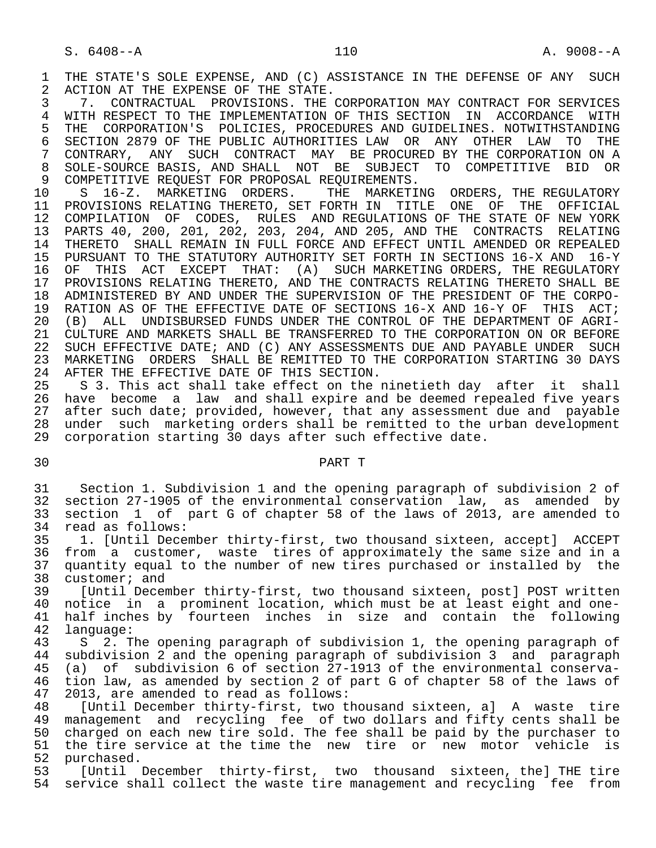1 THE STATE'S SOLE EXPENSE, AND (C) ASSISTANCE IN THE DEFENSE OF ANY SUCH 2 ACTION AT THE EXPENSE OF THE STATE. 2 ACTION AT THE EXPENSE OF THE STATE.<br>3 7. CONTRACTUAL PROVISIONS. THE

3 7. CONTRACTUAL PROVISIONS. THE CORPORATION MAY CONTRACT FOR SERVICES<br>4 WITH RESPECT TO THE IMPLEMENTATION OF THIS SECTION IN ACCORDANCE WITH 4 WITH RESPECT TO THE IMPLEMENTATION OF THIS SECTION IN ACCORDANCE WITH<br>5 THE CORPORATION'S POLICIES, PROCEDURES AND GUIDELINES. NOTWITHSTANDING 5 THE CORPORATION'S POLICIES, PROCEDURES AND GUIDELINES. NOTWITHSTANDING<br>6 SECTION 2879 OF THE PUBLIC AUTHORITIES LAW OR ANY OTHER LAW TO THE 6 SECTION 2879 OF THE PUBLIC AUTHORITIES LAW OR ANY OTHER LAW TO THE 7 CONTRARY, ANY SUCH CONTRACT MAY BE PROCURED BY THE CORPORATION ON A 7 CONTRARY, ANY SUCH CONTRACT MAY BE PROCURED BY THE CORPORATION ON A<br>8 SOLE-SOURCE BASIS, AND SHALL, NOT BE, SUBJECT TO COMPETITIVE, BID OR 8 SOLE-SOURCE BASIS, AND SHALL NOT BE SUBJECT TO COMPETITIVE<br>9 COMPETITIVE REOUEST FOR PROPOSAL REOUIREMENTS. 9 COMPETITIVE REQUEST FOR PROPOSAL REQUIREMENTS.<br>10 S 16-Z. MARKETING ORDERS. THE MARKETI

 10 S 16-Z. MARKETING ORDERS. THE MARKETING ORDERS, THE REGULATORY 11 PROVISIONS RELATING THERETO, SET FORTH IN TITLE ONE OF THE OFFICIAL<br>12 COMPILATION OF CODES, RULES AND REGULATIONS OF THE STATE OF NEW YORK 12 COMPILATION OF CODES, RULES AND REGULATIONS OF THE STATE OF NEW YORK 13 PARTS 40, 200, 201, 202, 203, 204, AND 205, AND THE CONTRACTS RELATING 14 THERETO SHALL REMAIN IN FULL FORCE AND EFFECT UNTIL AMENDED OR REPEALED 15 PURSUANT TO THE STATUTORY AUTHORITY SET FORTH IN SECTIONS 16-X AND 16-Y<br>16 OF THIS ACT EXCEPT THAT: (A) SUCH MARKETING ORDERS, THE REGULATORY 16 OF THIS ACT EXCEPT THAT: (A) SUCH-MARKETING-ORDERS, THE REGULATORY<br>17 PROVISIONS RELATING THERETO, AND THE CONTRACTS RELATING THERETO SHALL BE 17 PROVISIONS RELATING THERETO, AND THE CONTRACTS RELATING THERETO SHALL BE<br>18 ADMINISTERED BY AND UNDER THE SUPERVISION OF THE PRESIDENT OF THE CORPO-18 ADMINISTERED BY AND UNDER THE SUPERVISION OF THE PRESIDENT OF THE CORPO-<br>19 RATION AS OF THE EFFECTIVE DATE OF SECTIONS 16-X AND 16-Y OF THIS ACT; 19 RATION AS OF THE EFFECTIVE DATE OF SECTIONS 16-X AND 16-Y OF THIS ACT;<br>20 (B) ALL UNDISBURSED FUNDS UNDER THE CONTROL OF THE DEPARTMENT OF AGRI-20 (B) ALL UNDISBURSED FUNDS UNDER THE CONTROL OF THE DEPARTMENT OF AGRI-<br>21 CULTURE AND MARKETS SHALL BE TRANSFERRED TO THE CORPORATION ON OR BEFORE 21 CULTURE AND MARKETS SHALL BE TRANSFERRED TO THE CORPORATION ON OR BEFORE<br>22 SUCH EFFECTIVE DATE; AND (C) ANY ASSESSMENTS DUE AND PAYABLE UNDER SUCH SUCH EFFECTIVE DATE; AND (C) ANY ASSESSMENTS DUE AND PAYABLE UNDER SUCH 23 MARKETING ORDERS SHALL BE REMITTED TO THE CORPORATION STARTING 30 DAYS 24 AFTER THE EFFECTIVE DATE OF THIS SECTION.<br>25 S 3. This act shall take effect on the

 25 S 3. This act shall take effect on the ninetieth day after it shall 26 have become a law and shall expire and be deemed repealed five years<br>27 after such date; provided, however, that any assessment due and payable 27 after such date; provided, however, that any assessment due and payable 28 under such marketing orders shall be remitted to the urban development 29 corporation starting 30 days after such effective date.

## 30 PART T

 31 Section 1. Subdivision 1 and the opening paragraph of subdivision 2 of 32 section 27-1905 of the environmental conservation law, as amended by 33 section 1 of part G of chapter 58 of the laws of 2013, are amended to 34 read as follows:<br>35 1. [Until Dece

 35 1. [Until December thirty-first, two thousand sixteen, accept] ACCEPT 36 from a customer, waste tires of approximately the same size and in a<br>37 quantity equal to the number of new tires purchased or installed by the 37 quantity equal to the number of new tires purchased or installed by the 38 customer; and 38 customer; and<br>39 [Until Decem

 39 [Until December thirty-first, two thousand sixteen, post] POST written 40 notice in a prominent location, which must be at least eight and one-<br>41 half inches by fourteen inches in size and contain the following 41 half inches by fourteen inches in size and contain the following<br>42 language: 42 language:<br>43 S 2.T

43 S 2. The opening paragraph of subdivision 1, the opening paragraph of<br>44 subdivision 2 and the opening paragraph of subdivision 3 and paragraph 44 subdivision 2 and the opening paragraph of subdivision 3 and paragraph<br>45 (a) of subdivision 6 of section 27-1913 of the environmental conserva-(a) of subdivision 6 of section 27-1913 of the environmental conserva-46 tion law, as amended by section 2 of part G of chapter 58 of the laws of 47 2013, are amended to read as follows: 47 2013, are amended to read as follows:

48 [Until December thirty-first, two thousand sixteen, a] A waste tire<br>49 management and recycling fee of two dollars and fifty cents shall be management and recycling fee of two dollars and fifty cents shall be 50 charged on each new tire sold. The fee shall be paid by the purchaser to 51 the tire service at the time the new tire or new motor vehicle is<br>52 purchased. 52 purchased.<br>53 [Until]

[Until December thirty-first, two thousand sixteen, the] THE tire 54 service shall collect the waste tire management and recycling fee from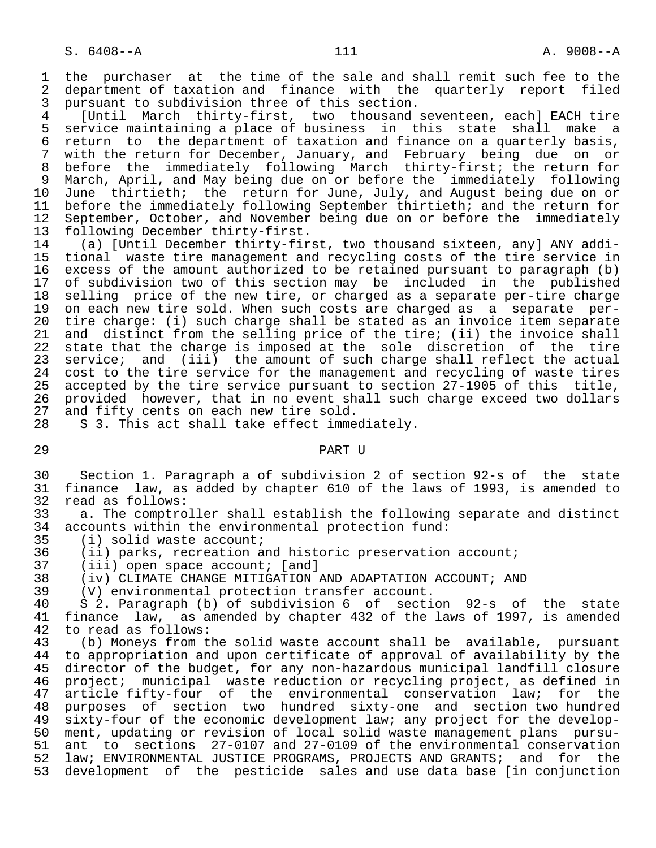1 the purchaser at the time of the sale and shall remit such fee to the<br>2 department of taxation and finance with the quarterly report filed 2 department of taxation and finance with the quarterly report filed<br>3 pursuant to subdivision three of this section. 3 pursuant to subdivision three of this section.<br>4 [Until March thirty-first, two thousand:

 4 [Until March thirty-first, two thousand seventeen, each] EACH tire 5 service maintaining a place of business in this state shall make a<br>6 return to the department of taxation and finance on a quarterly basis. 6 return to the department of taxation and finance on a quarterly basis,<br>7 with the return for December, January, and February being due on or with the return for December, January, and February being due on or 8 before the immediately following March thirty-first; the return for<br>9 March, April, and May being due on or before the immediately following 9 March, April, and May being due on or before the immediately following<br>10 June thirtieth; the return for June, July, and August being due on or 10 June thirtieth; the return for June, July, and August being due on or<br>11 before the immediately following September thirtieth; and the return for 11 before the immediately following September thirtieth; and the return for<br>12 September, October, and November being due on or before the immediately 12 September, October, and November being due on or before the immediately<br>13 following December thirty-first. 13 following December thirty-first.<br>14 (a) [Until December thirty-fir

 14 (a) [Until December thirty-first, two thousand sixteen, any] ANY addi- 15 tional waste tire management and recycling costs of the tire service in 16 excess of the amount authorized to be retained pursuant to paragraph (b)<br>17 of subdivision two of this section may be included in the published 17 of subdivision two of this section may be included in the published<br>18 selling price of the new tire, or charged as a separate per-tire charge 18 selling price of the new tire, or charged as a separate per-tire charge<br>19 on each new tire sold. When such costs are charged as a separate per-19 on each new tire sold. When such costs are charged as a separate per-<br>20 tire charge: (i) such charge shall be stated as an invoice item separate 20 tire charge: (i) such charge shall be stated as an invoice item separate<br>21 and distinct from the selling price of the tire; (ii) the invoice shall 21 and distinct from the selling price of the tire; (ii) the invoice shall<br>22 state that the charge is imposed at the sole discretion of the tire 22 state that the charge is imposed at the sole discretion of the tire<br>23 service; and (iii) the amount of such charge shall reflect the actual 23 service; and (iii) the amount of such charge shall reflect the actual<br>24 cost to the tire service for the management and recycling of waste tires 24 cost to the tire service for the management and recycling of waste tires<br>25 accepted by the tire service pursuant to section 27-1905 of this title. accepted by the tire service pursuant to section 27-1905 of this title, 26 provided however, that in no event shall such charge exceed two dollars<br>27 and fifty cents on each new tire sold. 27 and fifty cents on each new tire sold.<br>28 S 3. This act shall take effect imme

S 3. This act shall take effect immediately.

29 PART U

 30 Section 1. Paragraph a of subdivision 2 of section 92-s of the state 31 finance law, as added by chapter 610 of the laws of 1993, is amended to 32 read as follows:<br>33 a. The comptro

33 a. The comptroller shall establish the following separate and distinct<br>34 accounts within the environmental protection fund: 34 accounts within the environmental protection fund:<br>35 (i) solid waste account;

35 (i) solid waste account;<br>36 (ii) parks, recreation a

36 (ii) parks, recreation and historic preservation account;<br>37 (iii) open space account; [and]

37 (iii) open space account; [and]<br>38 (iv) CLIMATE CHANGE MITIGATION.

38 (iv) CLIMATE CHANGE MITIGATION AND ADAPTATION ACCOUNT; AND 39 (V) environmental protection transfer account.

39 (V) environmental protection transfer account.

 40 S 2. Paragraph (b) of subdivision 6 of section 92-s of the state 41 finance law, as amended by chapter 432 of the laws of 1997, is amended 42 to read as follows: 42 to read as follows:<br>43 (b) Moneys from t

43 (b) Moneys from the solid waste account shall be available, pursuant<br>44 to appropriation and upon certificate of approval of availability by the 44 to appropriation and upon certificate of approval of availability by the<br>45 director of the budget, for any non-hazardous municipal landfill closure director of the budget, for any non-hazardous municipal landfill closure 46 project; municipal waste reduction or recycling project, as defined in 47 article fifty-four of the environmental conservation law; for the<br>48 purposes of section two hundred sixty-one and section two hundred 48 purposes of section two hundred sixty-one and section two hundred<br>49 sixty-four of the economic development law; any project for the develop-49 sixty-four of the economic development law; any project for the develop-<br>50 ment, updating or revision of local solid waste management plans pursu- 50 ment, updating or revision of local solid waste management plans pursu- 51 ant to sections 27-0107 and 27-0109 of the environmental conservation<br>52 law; ENVIRONMENTAL JUSTICE PROGRAMS, PROJECTS AND GRANTS; and for the law; ENVIRONMENTAL JUSTICE PROGRAMS, PROJECTS AND GRANTS; and for the 53 development of the pesticide sales and use data base [in conjunction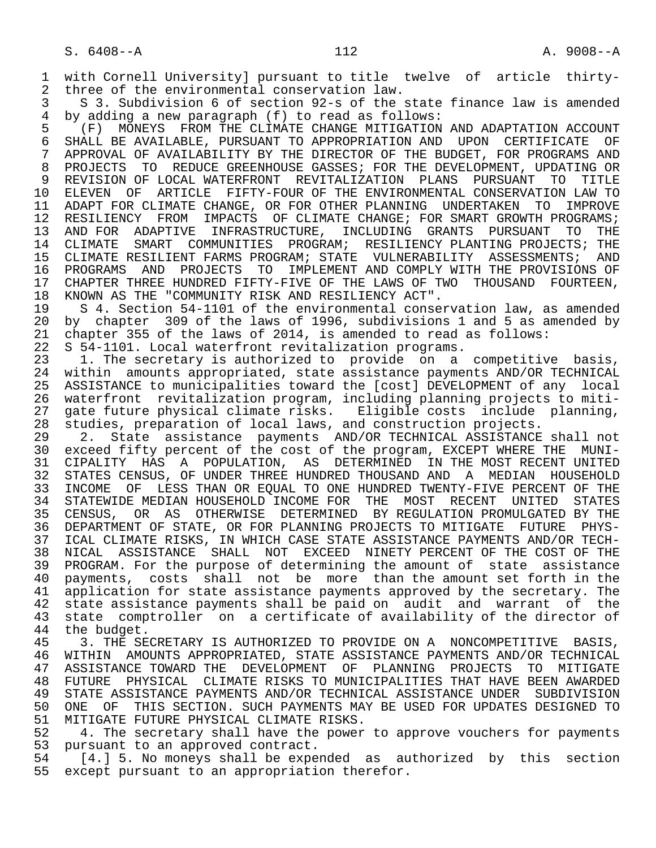1 with Cornell University] pursuant to title twelve of article thirty- 2 three of the environmental conservation law.<br>3 S 3. Subdivision 6 of section 92-s of the 3

 3 S 3. Subdivision 6 of section 92-s of the state finance law is amended 4 by adding a new paragraph (f) to read as follows:

 5 (F) MONEYS FROM THE CLIMATE CHANGE MITIGATION AND ADAPTATION ACCOUNT 6 SHALL BE AVAILABLE, PURSUANT TO APPROPRIATION AND UPON CERTIFICATE OF 3 APPROVAL OF AVAILABILITY BY THE DIRECTOR OF THE BUDGET, FOR PROGRAMS AND 7 APPROVAL OF AVAILABILITY BY THE DIRECTOR OF THE BUDGET, FOR PROGRAMS AND 7 APPROVAL OF REDUCE GREENHOUSE GASSES: FOR THE DEVELOPMENT, UPDATING OR 8 PROJECTS TO REDUCE GREENHOUSE GASSES; FOR THE DEVELOPMENT, UPDATING OR<br>9 REVISION OF LOCAL WATERFRONT REVITALIZATION PLANS PURSUANT TO TITLE 9 REVISION OF LOCAL WATERFRONT REVITALIZATION PLANS PURSUANT TO TITLE<br>10 ELEVEN OF ARTICLE FIFTY-FOUR OF THE ENVIRONMENTAL CONSERVATION LAW TO 10 ELEVEN OF ARTICLE FIFTY-FOUR OF THE ENVIRONMENTAL CONSERVATION LAW TO<br>11 ADAPT FOR CLIMATE CHANGE, OR FOR OTHER PLANNING UNDERTAKEN TO IMPROVE 11 ADAPT FOR CLIMATE CHANGE, OR FOR OTHER PLANNING UNDERTAKEN TO<br>12 RESILIENCY FROM IMPACTS OF CLIMATE CHANGE; FOR SMART GROWTH I RESILIENCY FROM IMPACTS OF CLIMATE CHANGE; FOR SMART GROWTH PROGRAMS; 13 AND FOR ADAPTIVE INFRASTRUCTURE, INCLUDING GRANTS PURSUANT TO THE 14 CLIMATE SMART COMMUNITIES PROGRAM; RESILIENCY PLANTING PROJECTS; THE CLIMATE SMART COMMUNITIES PROGRAM; RESILIENCY PLANTING PROJECTS; THE 15 CLIMATE RESILIENT FARMS PROGRAM; STATE VULNERABILITY ASSESSMENTS; AND<br>16 PROGRAMS AND PROJECTS TO IMPLEMENT AND COMPLY WITH THE PROVISIONS OF 16 PROGRAMS AND PROJECTS TO IMPLEMENT AND COMPLY WITH THE PROVISIONS OF<br>17 CHAPTER THREE HUNDRED FIFTY-FIVE OF THE LAWS OF TWO THOUSAND FOURTEEN. 17 CHAPTER THREE HUNDRED FIFTY-FIVE OF THE LAWS OF TWO THOUSAND FOURTEEN,<br>18 KNOWN AS THE "COMMUNITY RISK AND RESILIENCY ACT". 18 KNOWN AS THE "COMMUNITY RISK AND RESILIENCY ACT".<br>19 S 4. Section 54-1101 of the environmental conse

19 S 4. Section 54-1101 of the environmental conservation law, as amended<br>20 by chapter 309 of the laws of 1996, subdivisions 1 and 5 as amended by 20 by chapter 309 of the laws of 1996, subdivisions 1 and 5 as amended by<br>21 chapter 355 of the laws of 2014, is amended to read as follows: 21 chapter 355 of the laws of 2014, is amended to read as follows:<br>22 S 54-1101. Local waterfront revitalization programs.

22 S 54-1101. Local waterfront revitalization programs.<br>23 1. The secretary is authorized to provide on a 23 1. The secretary is authorized to provide on a competitive basis,<br>24 within amounts appropriated, state assistance payments AND/OR TECHNICAL 24 within amounts appropriated, state assistance payments AND/OR TECHNICAL<br>25 ASSISTANCE to municipalities toward the [cost] DEVELOPMENT of any local 25 ASSISTANCE to municipalities toward the [cost] DEVELOPMENT of any local 26 waterfront revitalization program, including planning projects to miti- 27 gate future physical climate risks. Eligible costs include planning, 28 studies, preparation of local laws, and construction projects.

29 2. State assistance payments AND/OR TECHNICAL ASSISTANCE shall not<br>30 exceed fifty percent of the cost of the program, EXCEPT WHERE THE MUNIexceed fifty percent of the cost of the program, EXCEPT WHERE THE MUNI- 31 CIPALITY HAS A POPULATION, AS DETERMINED IN THE MOST RECENT UNITED 32 STATES CENSUS, OF UNDER THREE HUNDRED THOUSAND AND A MEDIAN HOUSEHOLD 33 INCOME OF LESS THAN OR EQUAL TO ONE HUNDRED TWENTY-FIVE PERCENT OF THE 34 STATEWIDE MEDIAN HOUSEHOLD INCOME FOR THE MOST RECENT UNITED STATES 34 STATEWIDE MEDIAN HOUSEHOLD INCOME FOR THE MOST RECENT UNITED STATES<br>35 CENSUS, OR AS OTHERWISE DETERMINED BY REGULATION PROMULGATED BY THE CENSUS, OR AS OTHERWISE DETERMINED BY REGULATION PROMULGATED BY THE 36 DEPARTMENT OF STATE, OR FOR PLANNING PROJECTS TO MITIGATE FUTURE PHYS- 37 ICAL CLIMATE RISKS, IN WHICH CASE STATE ASSISTANCE PAYMENTS AND/OR TECH- 38 NICAL ASSISTANCE SHALL NOT EXCEED NINETY PERCENT OF THE COST OF THE 39 PROGRAM. For the purpose of determining the amount of state assistance<br>40 payments, costs shall not be more than the amount set forth in the 40 payments, costs shall not be more than the amount set forth in the<br>41 application for state assistance payments approved by the secretary. The 41 application for state assistance payments approved by the secretary. The 42 state assistance payments shall be paid on audit and warrant of the 42 state assistance payments shall be paid on audit and warrant of the<br>43 state comptroller on a certificate of availability of the director of 43 state comptroller on a certificate of availability of the director of<br>44 the budget.

44 the budget.<br>45 3. THE SE 3. THE SECRETARY IS AUTHORIZED TO PROVIDE ON A NONCOMPETITIVE BASIS, 46 WITHIN AMOUNTS APPROPRIATED, STATE ASSISTANCE PAYMENTS AND/OR TECHNICAL<br>47 ASSISTANCE TOWARD THE DEVELOPMENT OF PLANNING PROJECTS TO MITIGATE 47 ASSISTANCE TOWARD THE DEVELOPMENT OF PLANNING PROJECTS TO MITIGATE 48 FUTURE PHYSICAL CLIMATE RISKS TO MUNICIPALITIES THAT HAVE BEEN AWARDED 49 STATE ASSISTANCE PAYMENTS AND/OR TECHNICAL ASSISTANCE UNDER SUBDIVISION<br>50 ONE OF THIS SECTION. SUCH PAYMENTS MAY BE USED FOR UPDATES DESIGNED TO 50 ONE OF THIS SECTION. SUCH PAYMENTS MAY BE USED FOR UPDATES DESIGNED TO 51 MITIGATE FUTURE PHYSICAL CLIMATE RISKS. 51 MITIGATE FUTURE PHYSICAL CLIMATE RISKS.<br>52 – 4. The secretary shall have the power

52 4. The secretary shall have the power to approve vouchers for payments<br>53 pursuant to an approved contract. 53 pursuant to an approved contract.<br>54 [4.] 5. No moneys shall be expe

54 [4.] 5. No moneys shall be expended as authorized by this section<br>55 except pursuant to an appropriation therefor. except pursuant to an appropriation therefor.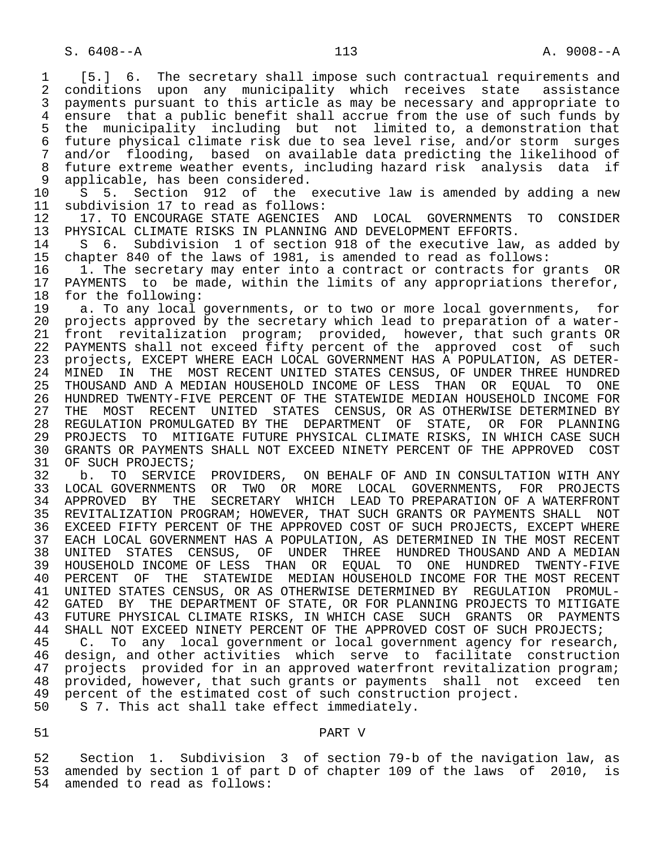1 [5.] 6. The secretary shall impose such contractual requirements and<br>2 conditions upon any municipality which receives state assistance 2 conditions upon any municipality which receives state assistance<br>3 payments pursuant to this article as may be necessary and appropriate to payments pursuant to this article as may be necessary and appropriate to 4 ensure that a public benefit shall accrue from the use of such funds by<br>5 the municipality including but not limited to, a demonstration that 5 the municipality including but not limited to, a demonstration that 6 future physical climate risk due to sea level rise, and/or storm surges 7 and/or flooding, based on available data predicting the likelihood of 8 future extreme weather events, including hazard risk analysis data if<br>9 applicable, has been considered. 9 applicable, has been considered.<br>10 S 5. Section 912 of the 10 S 5. Section 912 of the executive law is amended by adding a new<br>11 subdivision 17 to read as follows: 11 subdivision 17 to read as follows:<br>12 17. TO ENCOURAGE STATE AGENCIES 12 17. TO ENCOURAGE STATE AGENCIES AND LOCAL GOVERNMENTS TO CONSIDER<br>13 PHYSICAL CLIMATE RISKS IN PLANNING AND DEVELOPMENT EFFORTS. 13 PHYSICAL CLIMATE RISKS IN PLANNING AND DEVELOPMENT EFFORTS.<br>14 S 6. Subdivision 1 of section 918 of the executive law 14 S 6. Subdivision 1 of section 918 of the executive law, as added by<br>15 chapter 840 of the laws of 1981, is amended to read as follows: 15 chapter 840 of the laws of 1981, is amended to read as follows:<br>16 1. The secretary may enter into a contract or contracts for q 16 1. The secretary may enter into a contract or contracts for grants OR<br>17 PAYMENTS to be made, within the limits of any appropriations therefor, 17 PAYMENTS to be made, within the limits of any appropriations therefor,<br>18 for the following: 18 for the following:<br>19 a. To any local 19 a. To any local governments, or to two or more local governments, for<br>20 projects approved by the secretary which lead to preparation of a water-20 projects approved by the secretary which lead to preparation of a water-<br>21 front revitalization program; provided, however, that such grants OR 21 front revitalization program; provided, however, that such grants OR<br>22 PAYMENTS shall not exceed fifty percent of the approved cost of such 22 PAYMENTS shall not exceed fifty percent of the approved cost of such<br>23 projects, EXCEPT WHERE EACH LOCAL GOVERNMENT HAS A POPULATION, AS DETER- 23 projects, EXCEPT WHERE EACH LOCAL GOVERNMENT HAS A POPULATION, AS DETER- 24 MINED IN THE MOST-RECENT-UNITED-STATES-CENSUS, OF-UNDER-THREE-HUNDRED-<br>25 THOUSAND-AND-A-MEDIAN-HOUSEHOLD-INCOME-OF-LESS-THAN-OR-EOUAL-TO-ONE 25 THOUSAND AND A MEDIAN HOUSEHOLD INCOME OF LESS THAN OR EQUAL TO ONE 26 HUNDRED TWENTY-FIVE PERCENT OF THE STATEWIDE MEDIAN HOUSEHOLD INCOME FOR<br>27 THE MOST RECENT UNITED STATES CENSUS, OR AS OTHERWISE DETERMINED BY 27 THE MOST RECENT UNITED STATES CENSUS, OR<sup>AS</sup> OTHERWISE DETERMINED BY<br>28 REGULATION PROMULGATED BY THE DEPARTMENT OF STATE, OR FOR PLANNING 28 REGULATION PROMULGATED BY THE DEPARTMENT OF STATE, OR FOR PLANNING<br>29 PROJECTS TO MITIGATE FUTURE PHYSICAL CLIMATE RISKS, IN WHICH CASE SUCH 29 PROJECTS TO MITIGATE FUTURE PHYSICAL CLIMATE RISKS, IN WHICH CASE SUCH<br>30 GRANTS OR PAYMENTS SHALL NOT EXCEED NINETY PERCENT OF THE APPROVED COST 30 GRANTS OR PAYMENTS SHALL NOT EXCEED NINETY PERCENT OF THE APPROVED COST 31 OF SUCH PROJECTS; 31 OF SUCH PROJECTS;<br>32 b. TO SERVICE 32 b. TO SERVICE PROVIDERS, ON BEHALF OF AND IN CONSULTATION WITH ANY<br>33 LOCAL GOVERNMENTS OR TWO OR MORE LOCAL GOVERNMENTS, FOR PROJECTS 33 LOCAL GOVERNMENTS OR TWO OR MORE LOCAL GOVERNMENTS, FOR PROJECTS<br>34 APPROVED BY THE SECRETARY WHICH LEAD TO PREPARATION OF A WATERFRONT 34 APPROVED BY THE SECRETARY WHICH LEAD TO PREPARATION OF A WATERFRONT 35 REVITALIZATION PROGRAM; HOWEVER, THAT SUCH GRANTS OR PAYMENTS SHALL NOT 36 EXCEED FIFTY PERCENT OF THE APPROVED COST OF SUCH PROJECTS, EXCEPT WHERE 37 EACH LOCAL GOVERNMENT HAS A POPULATION, AS DETERMINED IN THE MOST RECENT 38 UNITED STATES CENSUS, OF UNDER THREE HUNDRED THOUSAND AND A MEDIAN 39 HOUSEHOLD INCOME OF LESS THAN OR EQUAL TO ONE HUNDRED TWENTY-FIVE<br>40 PERCENT OF THE STATEWIDE MEDIAN HOUSEHOLD INCOME FOR THE MOST RECENT 40 PERCENT OF THE STATEWIDE MEDIAN HOUSEHOLD INCOME FOR THE MOST RECENT 41 UNITED STATES CENSUS, OR AS OTHERWISE DETERMINED BY REGULATION PROMUL-<br>42 GATED BY THE DEPARTMENT OF STATE, OR FOR PLANNING PROJECTS TO MITIGATE 42 GATED BY THE DEPARTMENT OF STATE, OR FOR PLANNING PROJECTS TO MITIGATE<br>43 FUTURE PHYSICAL CLIMATE RISKS, IN WHICH CASE SUCH GRANTS OR PAYMENTS 43 FUTURE PHYSICAL CLIMATE RISKS, IN WHICH CASE SUCH GRANTS OR<br>44 SHALL NOT EXCEED NINETY PERCENT OF THE APPROVED COST OF SUCH PR 44 SHALL NOT EXCEED NINETY PERCENT OF THE APPROVED COST OF SUCH PROJECTS;<br>45 C. To any local government or local government agency for researc C. To any local government or local government agency for research, 46 design, and other activities which serve to facilitate construction<br>47 projects provided for in an approved waterfront revitalization program; 47 projects provided for in an approved waterfront revitalization program;<br>48 provided, however, that such grants or payments shall not exceed ten 48 provided, however, that such grants or payments shall not exceed ten<br>49 percent of the estimated cost of such construction project. 49 percent of the estimated cost of such construction project.<br>50 S 7. This act shall take effect immediately. S 7. This act shall take effect immediately. 51 PART V

52 Section 1. Subdivision 3 of section 79-b of the navigation law, as<br>53 amended by section 1 of part D of chapter 109 of the laws of 2010, is 53 amended by section 1 of part D of chapter 109 of the laws of 2010, is<br>54 amended to read as follows: amended to read as follows: